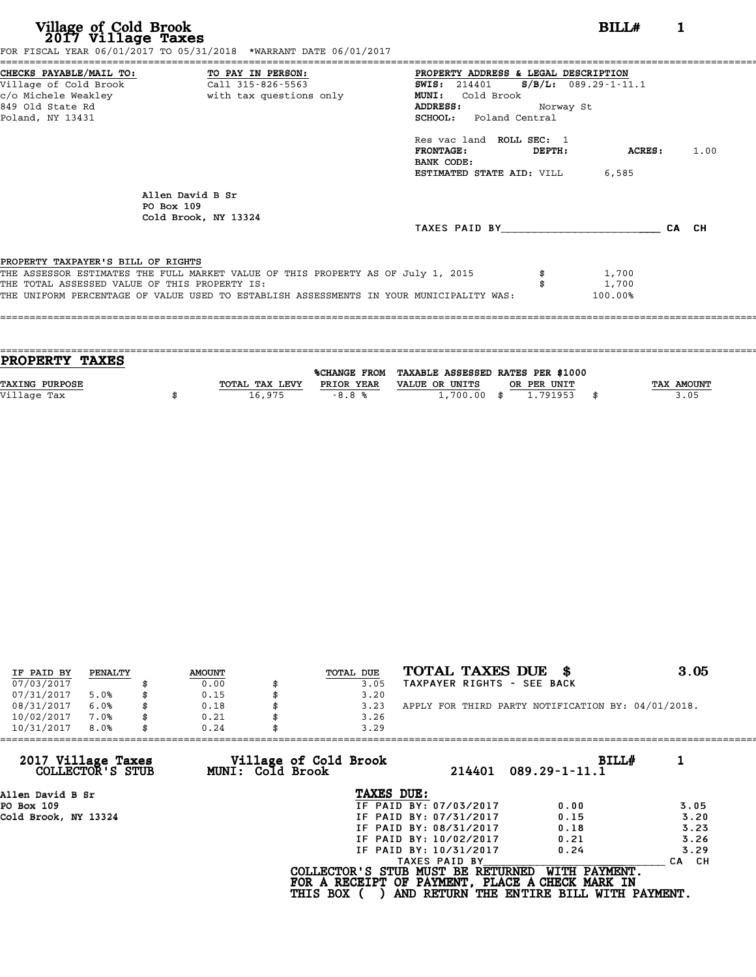| Village of Cold Brook<br>2017 Village Taxes                                                                                                         | FOR FISCAL YEAR 06/01/2017 TO 05/31/2018 *WARRANT DATE 06/01/2017                                                                                                           |                                                                                                                                        |           | BILL#                      | 1     |  |
|-----------------------------------------------------------------------------------------------------------------------------------------------------|-----------------------------------------------------------------------------------------------------------------------------------------------------------------------------|----------------------------------------------------------------------------------------------------------------------------------------|-----------|----------------------------|-------|--|
| CHECKS PAYABLE/MAIL TO: TO PAY IN PERSON:<br>Village of Cold Brook Call 315-826-5563<br>c/o Michele Weakley<br>849 Old State Rd<br>Poland, NY 13431 | with tax questions only                                                                                                                                                     | PROPERTY ADDRESS & LEGAL DESCRIPTION<br><b>SWIS: 214401</b><br><b>MUNI:</b><br>Cold Brook<br><b>ADDRESS:</b><br>SCHOOL: Poland Central | Norway St | $S/B/L: 089.29 - 1 - 11.1$ |       |  |
|                                                                                                                                                     |                                                                                                                                                                             | Res vac land ROLL SEC: 1<br><b>FRONTAGE:</b><br>BANK CODE:<br><b>ESTIMATED STATE AID:</b> VILL 6,585                                   | DEPTH:    | ACRES: 1.00                |       |  |
| PO Box 109                                                                                                                                          | Allen David B Sr<br>Cold Brook, NY 13324                                                                                                                                    | TAXES PAID BY                                                                                                                          |           |                            | CA CH |  |
| PROPERTY TAXPAYER'S BILL OF RIGHTS<br>THE TOTAL ASSESSED VALUE OF THIS PROPERTY IS:                                                                 | THE ASSESSOR ESTIMATES THE FULL MARKET VALUE OF THIS PROPERTY AS OF July 1, 2015<br>THE UNIFORM PERCENTAGE OF VALUE USED TO ESTABLISH ASSESSMENTS IN YOUR MUNICIPALITY WAS: |                                                                                                                                        | \$        | 1,700<br>1,700<br>100.00%  |       |  |

| <b>PROPERTY TAXES</b> |                |            |                                                |             |            |
|-----------------------|----------------|------------|------------------------------------------------|-------------|------------|
|                       |                |            | %CHANGE FROM TAXABLE ASSESSED RATES PER \$1000 |             |            |
| <b>TAXING PURPOSE</b> | TOTAL TAX LEVY | PRIOR YEAR | VALUE OR UNITS                                 | OR PER UNIT | TAX AMOUNT |
| Village Tax           | 16,975         | $-8.8%$    | $1,700.00$ \$                                  | 1.791953    | \$<br>3.05 |
|                       |                |            |                                                |             |            |

| IF PAID BY | PENALTY | <b>AMOUNT</b> | TOTAL DUE | TOTAL TAXES DUE \$                                 | 3.05 |
|------------|---------|---------------|-----------|----------------------------------------------------|------|
| 07/03/2017 |         | 0.00          | 3.05      | TAXPAYER RIGHTS - SEE BACK                         |      |
| 07/31/2017 | 5.0%    | \$<br>0.15    | 3.20      |                                                    |      |
| 08/31/2017 | 6.0%    | \$<br>0.18    | 3.23      | APPLY FOR THIRD PARTY NOTIFICATION BY: 04/01/2018. |      |
| 10/02/2017 | 7.0%    | \$<br>0.21    | 3.26      |                                                    |      |
| 10/31/2017 | 8.0%    | \$<br>0.24    | 3.29      |                                                    |      |

| 0.24 | 3.29                   |                                                              |                                                                                                                                  |
|------|------------------------|--------------------------------------------------------------|----------------------------------------------------------------------------------------------------------------------------------|
|      | 214401                 | BILLH<br>$089.29 - 1 - 11.1$                                 |                                                                                                                                  |
|      | TAXES DUE:             |                                                              |                                                                                                                                  |
|      | IF PAID BY: 07/03/2017 | 0.00                                                         | 3.05                                                                                                                             |
|      | IF PAID BY: 07/31/2017 | 0.15                                                         | 3.20                                                                                                                             |
|      | IF PAID BY: 08/31/2017 | 0.18                                                         | 3.23                                                                                                                             |
|      | IF PAID BY: 10/02/2017 | 0.21                                                         | 3.26                                                                                                                             |
|      | IF PAID BY: 10/31/2017 | 0.24                                                         | 3.29                                                                                                                             |
|      | TAXES PAID BY          |                                                              | CA CH                                                                                                                            |
|      |                        | WITH PAYMENT.                                                |                                                                                                                                  |
|      |                        | Village of Cold Brook<br>MUNI: Cold Brook<br><b>THIS BOX</b> | COLLECTOR'S STUB MUST BE RETURNED<br>FOR A RECEIPT OF PAYMENT, PLACE A CHECK MARK IN<br>AND RETURN THE ENTIRE BILL WITH PAYMENT. |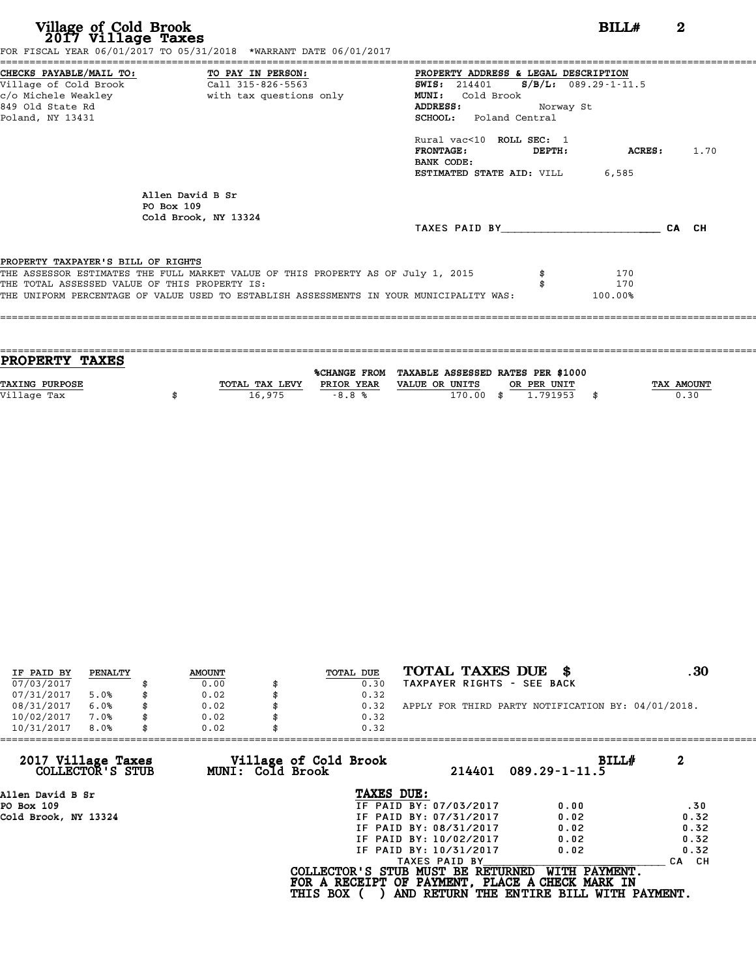**Village of Cold Brook**<br> **2017 Village Taxes**<br>
FOR FISCAL YEAR 06/01/2017 TO 05/31/2018 \*WARRANT DATE 06/01/2017<br> **POR FISCAL YEAR 06/01/2017** TO 05/31/2018 \*WARRANT DATE 06/01/2017

|                                               | FOR FISCAL YEAR 06/01/2017 TO 05/31/2018 *WARRANT DATE 06/01/2017                |                                                                                         |           |         |      |
|-----------------------------------------------|----------------------------------------------------------------------------------|-----------------------------------------------------------------------------------------|-----------|---------|------|
|                                               | CHECKS PAYABLE/MAIL TO: TO PAY IN PERSON:                                        | PROPERTY ADDRESS & LEGAL DESCRIPTION                                                    |           |         |      |
|                                               | Village of Cold Brook Call 315-826-5563                                          | <b>SWIS:</b> 214401 <b>S/B/L:</b> 089.29-1-11.5                                         |           |         |      |
|                                               |                                                                                  | MUNI: Cold Brook                                                                        |           |         |      |
| 849 Old State Rd                              |                                                                                  | <b>ADDRESS:</b>                                                                         | Norway St |         |      |
| Poland, NY 13431                              |                                                                                  | SCHOOL: Poland Central                                                                  |           |         |      |
|                                               |                                                                                  | Rural vac<10 ROLL SEC: 1                                                                |           |         |      |
|                                               |                                                                                  | <b>FRONTAGE:</b>                                                                        | DEPTH:    | ACRES:  | 1.70 |
|                                               |                                                                                  | BANK CODE:                                                                              |           |         |      |
|                                               |                                                                                  | <b>ESTIMATED STATE AID:</b> VILL 6,585                                                  |           |         |      |
|                                               | Allen David B Sr                                                                 |                                                                                         |           |         |      |
|                                               | PO Box 109                                                                       |                                                                                         |           |         |      |
|                                               | Cold Brook, NY 13324                                                             |                                                                                         |           |         |      |
|                                               |                                                                                  | TAXES PAID BY CA CH                                                                     |           |         |      |
|                                               |                                                                                  |                                                                                         |           |         |      |
| PROPERTY TAXPAYER'S BILL OF RIGHTS            |                                                                                  |                                                                                         |           |         |      |
|                                               | THE ASSESSOR ESTIMATES THE FULL MARKET VALUE OF THIS PROPERTY AS OF July 1, 2015 |                                                                                         |           | 170     |      |
| THE TOTAL ASSESSED VALUE OF THIS PROPERTY IS: |                                                                                  |                                                                                         |           | 170     |      |
|                                               |                                                                                  | THE UNIFORM PERCENTAGE OF VALUE USED TO ESTABLISH ASSESSMENTS IN YOUR MUNICIPALITY WAS: |           | 100.00% |      |

| <b>PROPERTY TAXES</b> |                |            |                                                |      |             |                   |
|-----------------------|----------------|------------|------------------------------------------------|------|-------------|-------------------|
|                       |                |            |                                                |      |             |                   |
|                       |                |            | %CHANGE FROM TAXABLE ASSESSED RATES PER \$1000 |      |             |                   |
| <b>TAXING PURPOSE</b> | TOTAL TAX LEVY | PRIOR YEAR | VALUE OR UNITS                                 |      | OR PER UNIT | <b>TAX AMOUNT</b> |
| Village Tax           | 16,975         | $-8.8%$    | 170.00                                         | - \$ | 1.791953    | 0.30              |
|                       |                |            |                                                |      |             |                   |
|                       |                |            |                                                |      |             |                   |

| IF PAID BY | PENALTY | <b>AMOUNT</b> | TOTAL DUE | TOTAL TAXES DUE<br>- 8                             | . 30 |
|------------|---------|---------------|-----------|----------------------------------------------------|------|
| 07/03/2017 |         | 0.00          | 0.30      | TAXPAYER RIGHTS - SEE BACK                         |      |
| 07/31/2017 | 5.0%    | \$<br>0.02    | 0.32      |                                                    |      |
| 08/31/2017 | 6.0%    | \$<br>0.02    | 0.32      | APPLY FOR THIRD PARTY NOTIFICATION BY: 04/01/2018. |      |
| 10/02/2017 | 7.0%    | \$<br>0.02    | 0.32      |                                                    |      |
| 10/31/2017 | 8.0%    | \$<br>0.02    | 0.32      |                                                    |      |

| 10/31/2017<br>8.0%<br>0.02             |                                           | 0.32                                                                                 |                                                           |       |
|----------------------------------------|-------------------------------------------|--------------------------------------------------------------------------------------|-----------------------------------------------------------|-------|
| 2017 Village Taxes<br>COLLECTOR'S STUB | Village of Cold Brook<br>MUNI: Cold Brook | 214401                                                                               | BILLH<br>$089.29 - 1 - 11.5$                              | 2     |
| Allen David B Sr                       |                                           | TAXES DUE:                                                                           |                                                           |       |
| PO Box 109                             |                                           | IF PAID BY: 07/03/2017                                                               | 0.00                                                      | .30   |
| Cold Brook, NY 13324                   |                                           | IF PAID BY: 07/31/2017                                                               | 0.02                                                      | 0.32  |
|                                        |                                           | IF PAID BY: 08/31/2017                                                               | 0.02                                                      | 0.32  |
|                                        |                                           | IF PAID BY: 10/02/2017                                                               | 0.02                                                      | 0.32  |
|                                        |                                           | IF PAID BY: 10/31/2017                                                               | 0.02                                                      | 0.32  |
|                                        |                                           | TAXES PAID BY                                                                        |                                                           | CA CH |
|                                        | <b>THIS BOX</b>                           | COLLECTOR'S STUB MUST BE RETURNED<br>FOR A RECEIPT OF PAYMENT, PLACE A CHECK MARK IN | WITH PAYMENT.<br>AND RETURN THE ENTIRE BILL WITH PAYMENT. |       |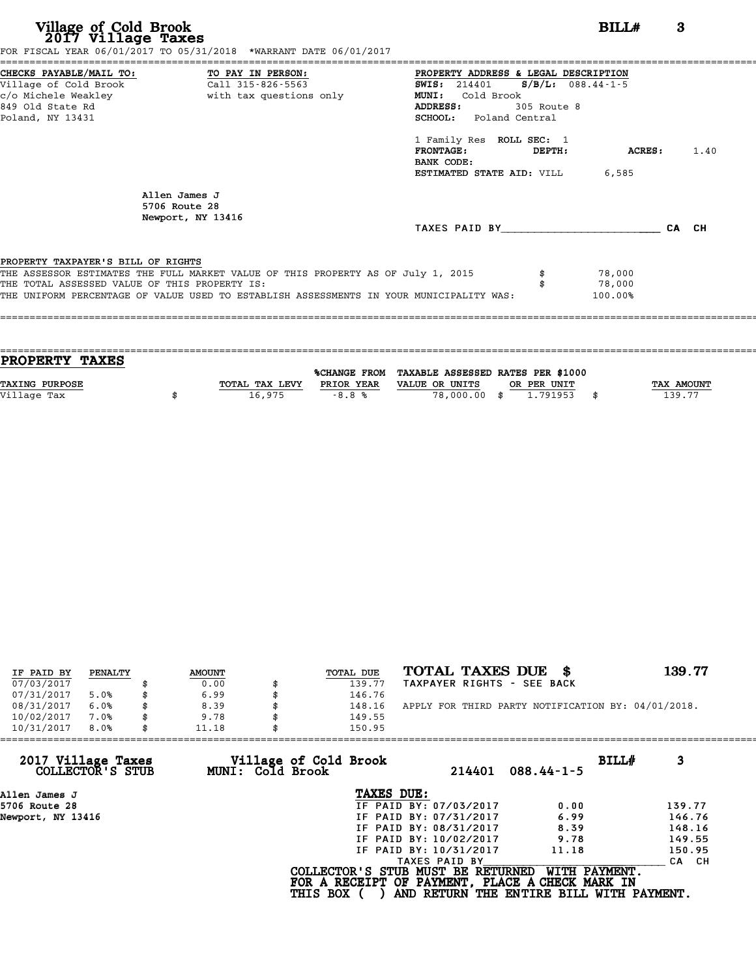| Village of Cold Brook<br>2017 Village Taxes<br>FOR FISCAL YEAR 06/01/2017 TO 05/31/2018 *WARRANT DATE 06/01/2017                                                                                                                                                   | BILL#                                                                                                                                                                                                                                                                                                        | 3     |      |
|--------------------------------------------------------------------------------------------------------------------------------------------------------------------------------------------------------------------------------------------------------------------|--------------------------------------------------------------------------------------------------------------------------------------------------------------------------------------------------------------------------------------------------------------------------------------------------------------|-------|------|
| CHECKS PAYABLE/MAIL TO: TO PAY IN PERSON:<br>Village of Cold Brook<br>Call 315-826-5563<br>c/o Michele Weakley<br>with tax questions only<br>849 Old State Rd<br>Poland, NY 13431                                                                                  | PROPERTY ADDRESS & LEGAL DESCRIPTION<br>SWIS: $214401$ S/B/L: 088.44-1-5<br>Cold Brook<br><b>MUNI:</b><br><b>ADDRESS:</b><br>305 Route 8<br><b>SCHOOL:</b> Poland Central<br>1 Family Res ROLL SEC: 1<br><b>FRONTAGE:</b><br><b>ACRES:</b><br>DEPTH:<br>BANK CODE:<br><b>ESTIMATED STATE AID:</b> VILL 6,585 |       | 1.40 |
| Allen James J<br>5706 Route 28<br>Newport, NY 13416                                                                                                                                                                                                                |                                                                                                                                                                                                                                                                                                              | CA CH |      |
| PROPERTY TAXPAYER'S BILL OF RIGHTS<br>THE ASSESSOR ESTIMATES THE FULL MARKET VALUE OF THIS PROPERTY AS OF July 1, 2015<br>THE TOTAL ASSESSED VALUE OF THIS PROPERTY IS:<br>THE UNIFORM PERCENTAGE OF VALUE USED TO ESTABLISH ASSESSMENTS IN YOUR MUNICIPALITY WAS: | 78,000<br>78,000<br>100.00%                                                                                                                                                                                                                                                                                  |       |      |

| <b>PROPERTY TAXES</b> |                |            |                                                |             |                   |
|-----------------------|----------------|------------|------------------------------------------------|-------------|-------------------|
|                       |                |            |                                                |             |                   |
|                       |                |            | %CHANGE FROM TAXABLE ASSESSED RATES PER \$1000 |             |                   |
| <b>TAXING PURPOSE</b> | TOTAL TAX LEVY | PRIOR YEAR | VALUE OR UNITS                                 | OR PER UNIT | <b>TAX AMOUNT</b> |
| Village Tax           | 16,975         | $-8.8%$    | 78,000,00 \$                                   | 1,791953    | 139.77            |
|                       |                |            |                                                |             |                   |

| IF PAID BY | PENALTY | <b>AMOUNT</b> | TOTAL DUE | TOTAL TAXES DUE<br>-8                              | 139.77 |
|------------|---------|---------------|-----------|----------------------------------------------------|--------|
| 07/03/2017 |         | 0.00          | 139.77    | TAXPAYER RIGHTS - SEE BACK                         |        |
| 07/31/2017 | 5.0%    | 6.99          | 146.76    |                                                    |        |
| 08/31/2017 | 6.0%    | 8.39          | 148.16    | APPLY FOR THIRD PARTY NOTIFICATION BY: 04/01/2018. |        |
| 10/02/2017 | 7.0%    | 9.78          | 149.55    |                                                    |        |
| 10/31/2017 | 8.0%    | 11.18         | 150.95    |                                                    |        |

| 150.95          |                                           |                                                                                                                                                               |                                                                                                                                                   |
|-----------------|-------------------------------------------|---------------------------------------------------------------------------------------------------------------------------------------------------------------|---------------------------------------------------------------------------------------------------------------------------------------------------|
|                 | 214401                                    | $088.44 - 1 - 5$                                                                                                                                              | BILLH<br>3                                                                                                                                        |
|                 |                                           |                                                                                                                                                               |                                                                                                                                                   |
|                 |                                           | 0.00                                                                                                                                                          | 139.77                                                                                                                                            |
|                 |                                           | 6.99                                                                                                                                                          | 146.76                                                                                                                                            |
|                 |                                           | 8.39                                                                                                                                                          | 148.16                                                                                                                                            |
|                 |                                           | 9.78                                                                                                                                                          | 149.55                                                                                                                                            |
|                 |                                           | 11.18                                                                                                                                                         | 150.95                                                                                                                                            |
|                 |                                           |                                                                                                                                                               | CA CH                                                                                                                                             |
| <b>THIS BOX</b> |                                           |                                                                                                                                                               |                                                                                                                                                   |
|                 | Village of Cold Brook<br>MUNI: Cold Brook | TAXES DUE:<br>IF PAID BY: 07/03/2017<br>IF PAID BY: 07/31/2017<br>IF PAID BY: 08/31/2017<br>IF PAID BY: 10/02/2017<br>IF PAID BY: 10/31/2017<br>TAXES PAID BY | COLLECTOR'S STUB MUST BE RETURNED<br>WITH PAYMENT.<br>FOR A RECEIPT OF PAYMENT, PLACE A CHECK MARK IN<br>AND RETURN THE ENTIRE BILL WITH PAYMENT. |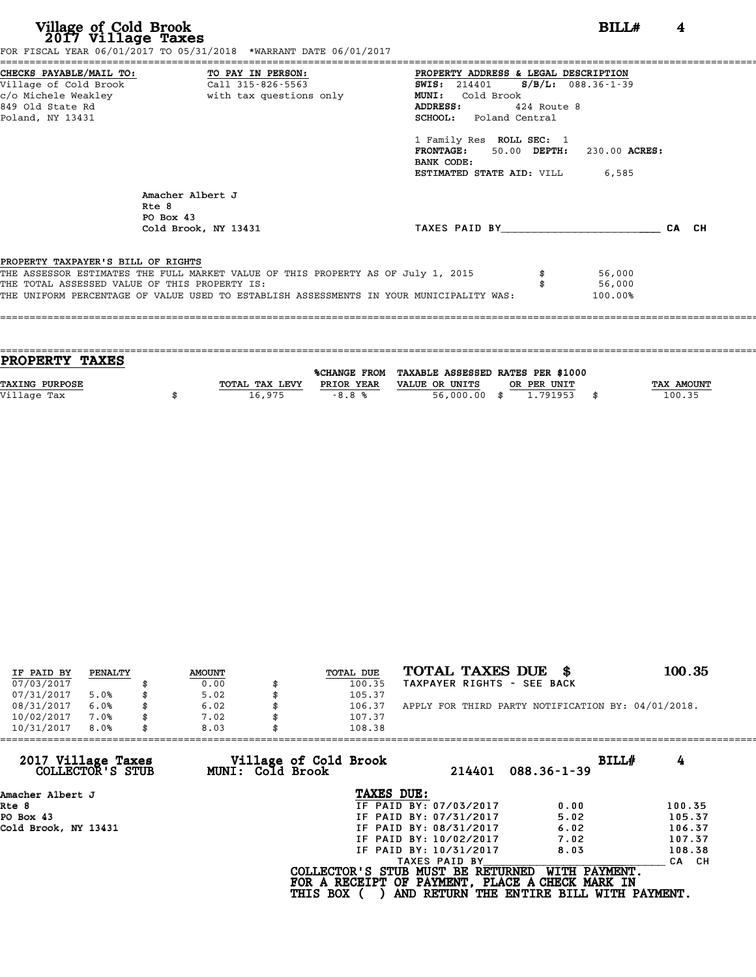| Village of Cold Brook<br>2017 Village Taxes                   | FOR FISCAL YEAR 06/01/2017 TO 05/31/2018 *WARRANT DATE 06/01/2017                                                                                                                                                            |                                                                                                                                                                                                                                                                                               | BILL#<br>4 |
|---------------------------------------------------------------|------------------------------------------------------------------------------------------------------------------------------------------------------------------------------------------------------------------------------|-----------------------------------------------------------------------------------------------------------------------------------------------------------------------------------------------------------------------------------------------------------------------------------------------|------------|
| Village of Cold Brook<br>849 Old State Rd<br>Poland, NY 13431 | CHECKS PAYABLE/MAIL TO: TO PAY IN PERSON:<br>$\overline{c}$ all 315-826-5563                                                                                                                                                 | PROPERTY ADDRESS & LEGAL DESCRIPTION<br>SWIS: 214401 S/B/L: 088.36-1-39<br>Cold Brook<br><b>MUNI:</b><br>424 Route 8<br>ADDRESS:<br><b>SCHOOL:</b> Poland Central<br>1 Family Res ROLL SEC: 1<br>FRONTAGE: 50.00 DEPTH: 230.00 ACRES:<br>BANK CODE:<br><b>ESTIMATED STATE AID:</b> VILL 6,585 |            |
|                                                               | Amacher Albert J<br>Rte 8<br>$PO$ Box 43<br>Cold Brook, NY 13431                                                                                                                                                             | TAXES PAID BY CA CH                                                                                                                                                                                                                                                                           |            |
| PROPERTY TAXPAYER'S BILL OF RIGHTS                            | THE ASSESSOR ESTIMATES THE FULL MARKET VALUE OF THIS PROPERTY AS OF July 1, 2015<br>THE TOTAL ASSESSED VALUE OF THIS PROPERTY IS:<br>THE UNIFORM PERCENTAGE OF VALUE USED TO ESTABLISH ASSESSMENTS IN YOUR MUNICIPALITY WAS: | 56,000<br>56,000<br>100.00%                                                                                                                                                                                                                                                                   |            |

| <b>TAX AMOUNT</b> |
|-------------------|
| 100.35            |
|                   |
|                   |

| IF PAID BY | PENALTY | <b>AMOUNT</b> | TOTAL DUE | TOTAL TAXES DUE \$                                 | 100.35 |
|------------|---------|---------------|-----------|----------------------------------------------------|--------|
| 07/03/2017 |         | 0.00          | 100.35    | TAXPAYER RIGHTS - SEE BACK                         |        |
| 07/31/2017 | 5.0%    | \$<br>5.02    | 105.37    |                                                    |        |
| 08/31/2017 | 6.0%    | \$<br>6.02    | 106.37    | APPLY FOR THIRD PARTY NOTIFICATION BY: 04/01/2018. |        |
| 10/02/2017 | 7.0%    | \$<br>7.02    | 107.37    |                                                    |        |
| 10/31/2017 | 8.0%    | \$<br>8.03    | 108.38    |                                                    |        |

| 8.03 | 108.38          |                                           |                                                                                                                                                               |                                                                                                                                                   |
|------|-----------------|-------------------------------------------|---------------------------------------------------------------------------------------------------------------------------------------------------------------|---------------------------------------------------------------------------------------------------------------------------------------------------|
|      |                 | 214401                                    | $088.36 - 1 - 39$                                                                                                                                             | BILLH<br>4                                                                                                                                        |
|      |                 |                                           |                                                                                                                                                               |                                                                                                                                                   |
|      |                 |                                           | 0.00                                                                                                                                                          | 100.35                                                                                                                                            |
|      |                 |                                           | 5.02                                                                                                                                                          | 105.37                                                                                                                                            |
|      |                 |                                           | 6.02                                                                                                                                                          | 106.37                                                                                                                                            |
|      |                 |                                           | 7.02                                                                                                                                                          | 107.37                                                                                                                                            |
|      |                 |                                           | 8.03                                                                                                                                                          | 108.38                                                                                                                                            |
|      |                 |                                           |                                                                                                                                                               | CA CH                                                                                                                                             |
|      | <b>THIS BOX</b> |                                           |                                                                                                                                                               |                                                                                                                                                   |
|      |                 | Village of Cold Brook<br>MUNI: Cold Brook | TAXES DUE:<br>IF PAID BY: 07/03/2017<br>IF PAID BY: 07/31/2017<br>IF PAID BY: 08/31/2017<br>IF PAID BY: 10/02/2017<br>IF PAID BY: 10/31/2017<br>TAXES PAID BY | COLLECTOR'S STUB MUST BE RETURNED<br>WITH PAYMENT.<br>FOR A RECEIPT OF PAYMENT, PLACE A CHECK MARK IN<br>AND RETURN THE ENTIRE BILL WITH PAYMENT. |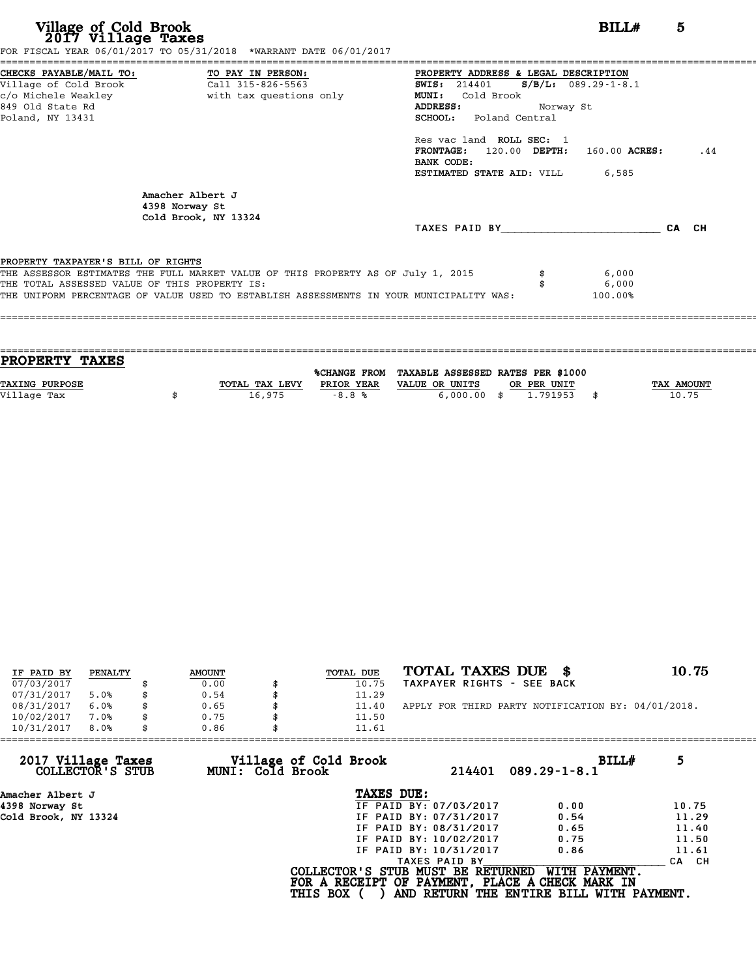|                                                                                                                                                                                                                            | 5                                                                                                                                                |
|----------------------------------------------------------------------------------------------------------------------------------------------------------------------------------------------------------------------------|--------------------------------------------------------------------------------------------------------------------------------------------------|
| PROPERTY ADDRESS & LEGAL DESCRIPTION<br>$S/B/L: 089.29 - 1 - 8.1$<br><b>SWIS:</b> 214401<br><b>MUNI:</b><br>Cold Brook<br><b>ADDRESS:</b><br>Norway St<br>SCHOOL: Poland Central<br>Res vac land ROLL SEC: 1<br>BANK CODE: | .44                                                                                                                                              |
| <b>ESTIMATED STATE AID:</b> VILL 6,585                                                                                                                                                                                     |                                                                                                                                                  |
| THE ASSESSOR ESTIMATES THE FULL MARKET VALUE OF THIS PROPERTY AS OF July 1, 2015<br>6,000<br>6,000<br>THE UNIFORM PERCENTAGE OF VALUE USED TO ESTABLISH ASSESSMENTS IN YOUR MUNICIPALITY WAS:<br>100.00%                   |                                                                                                                                                  |
|                                                                                                                                                                                                                            | BILLH<br>FOR FISCAL YEAR 06/01/2017 TO 05/31/2018 *WARRANT DATE 06/01/2017<br>$FRONTAGE: 120.00$ $DEPTH: 160.00$ $ACRES:$<br>TAXES PAID BY CA CH |

| PROPERTY TAXES        |                |              |                                   |      |            |
|-----------------------|----------------|--------------|-----------------------------------|------|------------|
|                       |                |              | TAXABLE ASSESSED RATES PER \$1000 |      |            |
|                       |                | %CHANGE FROM |                                   |      |            |
| <b>TAXING PURPOSE</b> | TOTAL TAX LEVY | PRIOR YEAR   | VALUE OR UNITS<br>OR PER UNIT     |      | TAX AMOUNT |
| Village Tax           | 16,975         | $-8.8%$      | $6,000.00$ \$<br>1.791953         | - \$ | 10.75      |
|                       |                |              |                                   |      |            |
|                       |                |              |                                   |      |            |

| IF PAID BY | PENALTY | <b>AMOUNT</b> | TOTAL DUE | TOTAL TAXES DUE \$                                 | 10.75 |
|------------|---------|---------------|-----------|----------------------------------------------------|-------|
| 07/03/2017 |         | 0.00          | 10.75     | TAXPAYER RIGHTS - SEE BACK                         |       |
| 07/31/2017 | 5.0%    | 0.54          | 11.29     |                                                    |       |
| 08/31/2017 | 6.0%    | 0.65          | 11.40     | APPLY FOR THIRD PARTY NOTIFICATION BY: 04/01/2018. |       |
| 10/02/2017 | 7.0%    | 0.75          | 11.50     |                                                    |       |
| 10/31/2017 | 8.0%    | 0.86          | 11.61     |                                                    |       |
|            |         |               |           |                                                    |       |

| 10/31/2017<br>8.0%<br>0.86             | 11.61                                                |                        |                                                                                                              |       |
|----------------------------------------|------------------------------------------------------|------------------------|--------------------------------------------------------------------------------------------------------------|-------|
| 2017 Village Taxes<br>COLLECTOR'S STUB | Village of Cold Brook<br>MUNI: Cold Brook            | 214401                 | BILLH<br>$089.29 - 1 - 8.1$                                                                                  | 5     |
| Amacher Albert J                       | TAXES DUE:                                           |                        |                                                                                                              |       |
| 4398 Norway St                         |                                                      | IF PAID BY: 07/03/2017 | 0.00                                                                                                         | 10.75 |
| Cold Brook, NY 13324                   |                                                      | IF PAID BY: 07/31/2017 | 0.54                                                                                                         | 11.29 |
|                                        |                                                      | IF PAID BY: 08/31/2017 | 0.65                                                                                                         | 11.40 |
|                                        |                                                      | IF PAID BY: 10/02/2017 | 0.75                                                                                                         | 11.50 |
|                                        |                                                      | IF PAID BY: 10/31/2017 | 0.86                                                                                                         | 11.61 |
|                                        |                                                      | TAXES PAID BY          |                                                                                                              | CA CH |
|                                        | COLLECTOR'S STUB MUST BE RETURNED<br><b>THIS BOX</b> |                        | WITH PAYMENT.<br>FOR A RECEIPT OF PAYMENT, PLACE A CHECK MARK IN<br>AND RETURN THE ENTIRE BILL WITH PAYMENT. |       |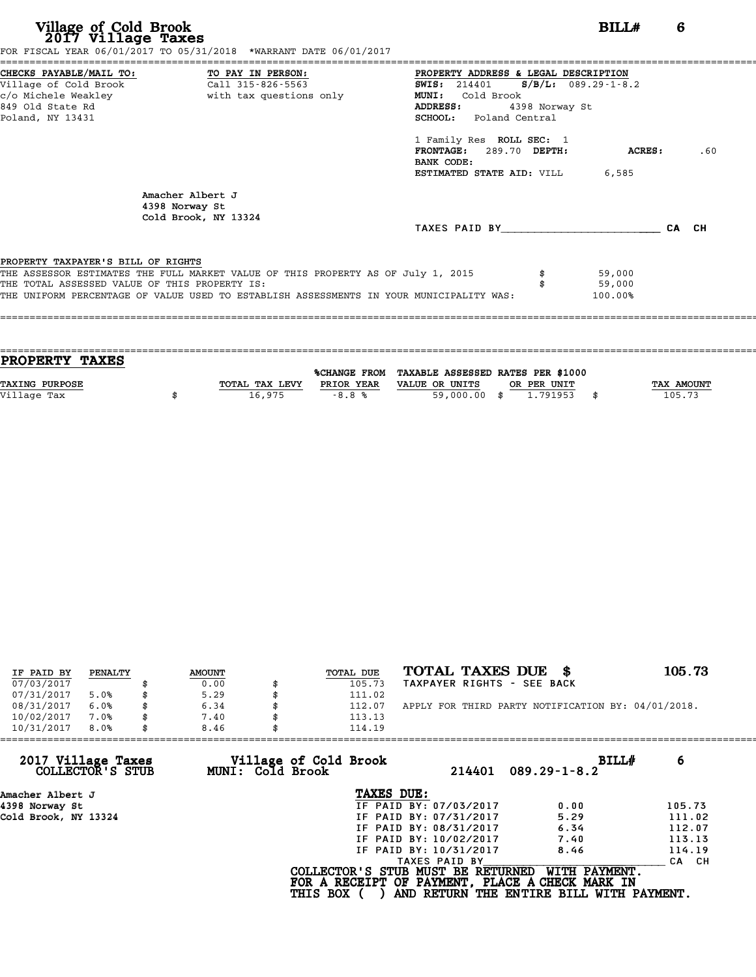| Village of Cold Brook<br>2017 Village Taxes                                                                                                         | FOR FISCAL YEAR 06/01/2017 TO 05/31/2018 *WARRANT DATE 06/01/2017                                                                                                           |                                                                                                                                                                                                                                                                                              | BILLH                       | 6     |
|-----------------------------------------------------------------------------------------------------------------------------------------------------|-----------------------------------------------------------------------------------------------------------------------------------------------------------------------------|----------------------------------------------------------------------------------------------------------------------------------------------------------------------------------------------------------------------------------------------------------------------------------------------|-----------------------------|-------|
| CHECKS PAYABLE/MAIL TO: TO PAY IN PERSON:<br>Village of Cold Brook Call 315-826-5563<br>c/o Michele Weakley<br>849 Old State Rd<br>Poland, NY 13431 | with tax questions only                                                                                                                                                     | PROPERTY ADDRESS & LEGAL DESCRIPTION<br><b>SWIS:</b> 214401 <b>S</b> /B/L: 089.29-1-8.2<br>Cold Brook<br>MUNI:<br>ADDRESS:<br>4398 Norway St<br><b>SCHOOL:</b> Poland Central<br>1 Family Res ROLL SEC: 1<br>FRONTAGE: 289.70 DEPTH:<br>BANK CODE:<br><b>ESTIMATED STATE AID:</b> VILL 6,585 | <b>ACRES:</b>               | .60   |
|                                                                                                                                                     | Amacher Albert J<br>4398 Norway St<br>Cold Brook, NY 13324                                                                                                                  | TAXES PAID BY                                                                                                                                                                                                                                                                                |                             | CA CH |
| PROPERTY TAXPAYER'S BILL OF RIGHTS<br>THE TOTAL ASSESSED VALUE OF THIS PROPERTY IS:                                                                 | THE ASSESSOR ESTIMATES THE FULL MARKET VALUE OF THIS PROPERTY AS OF July 1, 2015<br>THE UNIFORM PERCENTAGE OF VALUE USED TO ESTABLISH ASSESSMENTS IN YOUR MUNICIPALITY WAS: |                                                                                                                                                                                                                                                                                              | 59,000<br>59,000<br>100.00% |       |

| <b>PROPERTY TAXES</b> |                |            |                                                |             |                   |
|-----------------------|----------------|------------|------------------------------------------------|-------------|-------------------|
|                       |                |            |                                                |             |                   |
|                       |                |            | %CHANGE FROM TAXABLE ASSESSED RATES PER \$1000 |             |                   |
| <b>TAXING PURPOSE</b> | TOTAL TAX LEVY | PRIOR YEAR | VALUE OR UNITS                                 | OR PER UNIT | <b>TAX AMOUNT</b> |
| Village Tax           | 16,975         | $-8.8%$    | 59,000.00 \$                                   | 1,791953    | 105.73            |
|                       |                |            |                                                |             |                   |

| IF PAID BY | PENALTY | <b>AMOUNT</b> | TOTAL DUE | TOTAL TAXES DUE \$                                 | 105.73 |
|------------|---------|---------------|-----------|----------------------------------------------------|--------|
| 07/03/2017 |         | 0.00          | 105.73    | TAXPAYER RIGHTS - SEE BACK                         |        |
| 07/31/2017 | 5.0%    | 5.29          | 111.02    |                                                    |        |
| 08/31/2017 | 6.0%    | 6.34          | 112.07    | APPLY FOR THIRD PARTY NOTIFICATION BY: 04/01/2018. |        |
| 10/02/2017 | 7.0%    | 7.40          | 113.13    |                                                    |        |
| 10/31/2017 | 8.0%    | 8.46          | 114.19    |                                                    |        |

| 8.46 | 114.19          |                                           |                                                                                                                                                               |                                                                                                                                  |
|------|-----------------|-------------------------------------------|---------------------------------------------------------------------------------------------------------------------------------------------------------------|----------------------------------------------------------------------------------------------------------------------------------|
|      |                 | 214401                                    | BILLH<br>$089.29 - 1 - 8.2$                                                                                                                                   | 6                                                                                                                                |
|      |                 |                                           |                                                                                                                                                               |                                                                                                                                  |
|      |                 |                                           | 0.00                                                                                                                                                          | 105.73                                                                                                                           |
|      |                 |                                           | 5.29                                                                                                                                                          | 111.02                                                                                                                           |
|      |                 |                                           | 6.34                                                                                                                                                          | 112.07                                                                                                                           |
|      |                 |                                           | 7.40                                                                                                                                                          | 113.13                                                                                                                           |
|      |                 |                                           | 8.46                                                                                                                                                          | 114.19                                                                                                                           |
|      |                 |                                           |                                                                                                                                                               | CA CH                                                                                                                            |
|      | <b>THIS BOX</b> |                                           | WITH PAYMENT.                                                                                                                                                 |                                                                                                                                  |
|      |                 | Village of Cold Brook<br>MUNI: Cold Brook | TAXES DUE:<br>IF PAID BY: 07/03/2017<br>IF PAID BY: 07/31/2017<br>IF PAID BY: 08/31/2017<br>IF PAID BY: 10/02/2017<br>IF PAID BY: 10/31/2017<br>TAXES PAID BY | COLLECTOR'S STUB MUST BE RETURNED<br>FOR A RECEIPT OF PAYMENT, PLACE A CHECK MARK IN<br>AND RETURN THE ENTIRE BILL WITH PAYMENT. |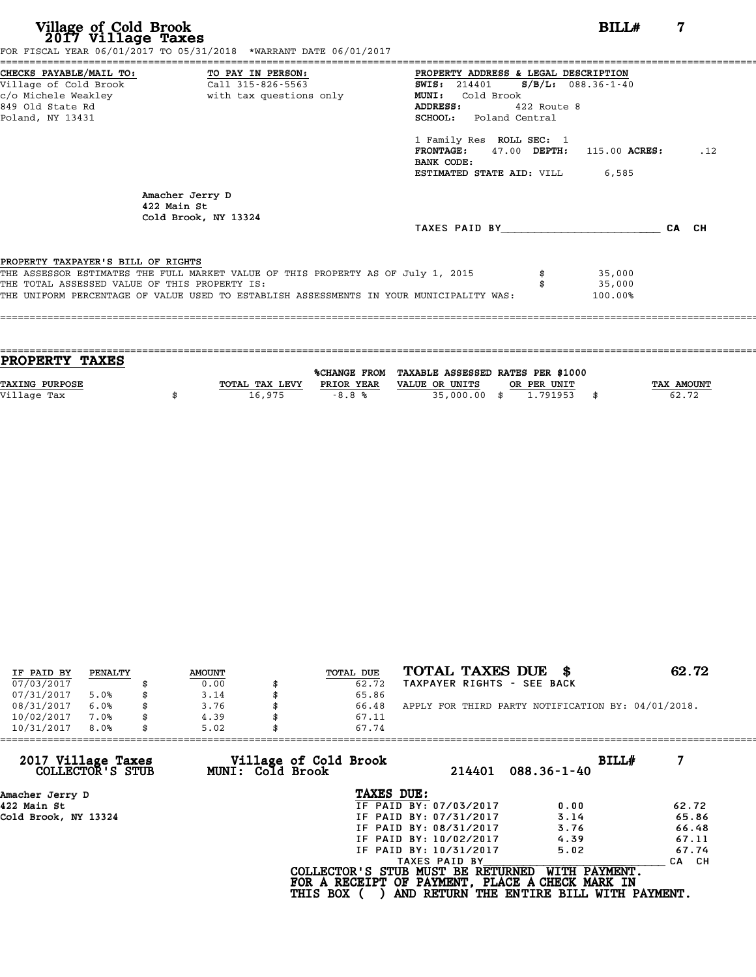| CHECKS PAYABLE/MAIL TO: TO PAY IN PERSON:<br>PROPERTY ADDRESS & LEGAL DESCRIPTION<br>$S/B/L: 088.36-1-40$<br>Call 315-826-5563<br><b>SWIS: 214401</b><br>with tax questions only<br>Cold Brook<br><b>MUNI:</b><br><b>ADDRESS:</b><br>$422$ Route 8<br><b>SCHOOL:</b> Poland Central<br>1 Family Res ROLL SEC: 1<br>.12<br>47.00 DEPTH: 115.00 ACRES:<br><b>FRONTAGE:</b><br>BANK CODE:<br><b>ESTIMATED STATE AID:</b> VILL 6,585<br>Amacher Jerry D<br>422 Main St<br>Cold Brook, NY 13324<br>CA CH<br>TAXES PAID BY<br>PROPERTY TAXPAYER'S BILL OF RIGHTS<br>THE ASSESSOR ESTIMATES THE FULL MARKET VALUE OF THIS PROPERTY AS OF July 1, 2015<br>35,000<br>THE TOTAL ASSESSED VALUE OF THIS PROPERTY IS:<br>35,000<br>THE UNIFORM PERCENTAGE OF VALUE USED TO ESTABLISH ASSESSMENTS IN YOUR MUNICIPALITY WAS:<br>100.00% | Village of Cold Brook<br>2017 Village Taxes                                          | FOR FISCAL YEAR 06/01/2017 TO 05/31/2018 *WARRANT DATE 06/01/2017 | BILL# | 7 |
|---------------------------------------------------------------------------------------------------------------------------------------------------------------------------------------------------------------------------------------------------------------------------------------------------------------------------------------------------------------------------------------------------------------------------------------------------------------------------------------------------------------------------------------------------------------------------------------------------------------------------------------------------------------------------------------------------------------------------------------------------------------------------------------------------------------------------|--------------------------------------------------------------------------------------|-------------------------------------------------------------------|-------|---|
|                                                                                                                                                                                                                                                                                                                                                                                                                                                                                                                                                                                                                                                                                                                                                                                                                           | Village of Cold Brook<br>c/o Michele Weakley<br>849 Old State Rd<br>Poland, NY 13431 |                                                                   |       |   |
|                                                                                                                                                                                                                                                                                                                                                                                                                                                                                                                                                                                                                                                                                                                                                                                                                           |                                                                                      |                                                                   |       |   |
|                                                                                                                                                                                                                                                                                                                                                                                                                                                                                                                                                                                                                                                                                                                                                                                                                           |                                                                                      |                                                                   |       |   |
|                                                                                                                                                                                                                                                                                                                                                                                                                                                                                                                                                                                                                                                                                                                                                                                                                           |                                                                                      |                                                                   |       |   |

| PROPERTY TAXES        |                |            |                                                |             |                   |
|-----------------------|----------------|------------|------------------------------------------------|-------------|-------------------|
|                       |                |            | %CHANGE FROM TAXABLE ASSESSED RATES PER \$1000 |             |                   |
| <b>TAXING PURPOSE</b> | TOTAL TAX LEVY | PRIOR YEAR | VALUE OR UNITS                                 | OR PER UNIT | <b>TAX AMOUNT</b> |
|                       |                |            |                                                |             |                   |
| Village Tax           | 16,975         | $-8.8%$    | 35,000.00 \$                                   | 1.791953    | 62.72             |
|                       |                |            |                                                |             |                   |

| IF PAID BY | PENALTY | <b>AMOUNT</b> | TOTAL DUE | TOTAL TAXES DUE \$                                 | 62.72 |
|------------|---------|---------------|-----------|----------------------------------------------------|-------|
| 07/03/2017 |         | 0.00          | 62.72     | TAXPAYER RIGHTS - SEE BACK                         |       |
| 07/31/2017 | 5.0%    | 3.14          | 65.86     |                                                    |       |
| 08/31/2017 | 6.0%    | 3.76          | 66.48     | APPLY FOR THIRD PARTY NOTIFICATION BY: 04/01/2018. |       |
| 10/02/2017 | 7.0%    | \$<br>4.39    | 67.11     |                                                    |       |
| 10/31/2017 | 8.0%    | 5.02          | 67.74     |                                                    |       |

| 5.02 | 67.74                  |                                                              |                                                                                                                                                   |
|------|------------------------|--------------------------------------------------------------|---------------------------------------------------------------------------------------------------------------------------------------------------|
|      | 214401                 | BILLH<br>$088.36 - 1 - 40$                                   |                                                                                                                                                   |
|      | TAXES DUE:             |                                                              |                                                                                                                                                   |
|      | IF PAID BY: 07/03/2017 | 0.00                                                         | 62.72                                                                                                                                             |
|      | IF PAID BY: 07/31/2017 | 3.14                                                         | 65.86                                                                                                                                             |
|      | IF PAID BY: 08/31/2017 | 3.76                                                         | 66.48                                                                                                                                             |
|      | IF PAID BY: 10/02/2017 | 4.39                                                         | 67.11                                                                                                                                             |
|      | IF PAID BY: 10/31/2017 | 5.02                                                         | 67.74                                                                                                                                             |
|      | TAXES PAID BY          |                                                              | CA CH                                                                                                                                             |
|      |                        |                                                              |                                                                                                                                                   |
|      |                        | Village of Cold Brook<br>MUNI: Cold Brook<br><b>THIS BOX</b> | WITH PAYMENT.<br>COLLECTOR'S STUB MUST BE RETURNED<br>FOR A RECEIPT OF PAYMENT, PLACE A CHECK MARK IN<br>AND RETURN THE ENTIRE BILL WITH PAYMENT. |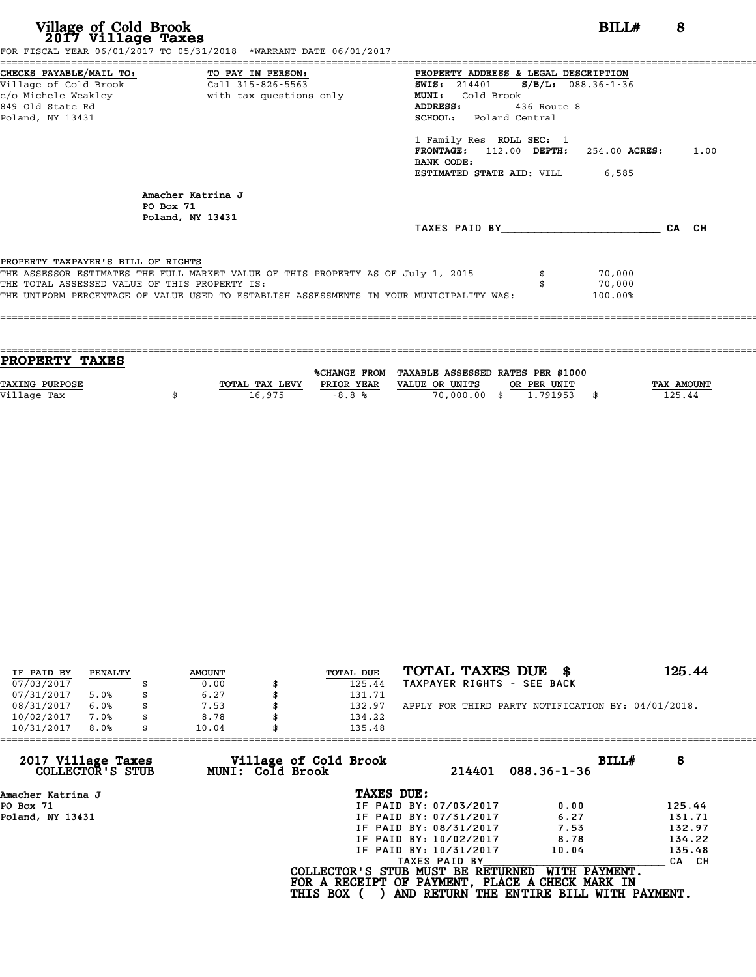| Village of Cold Brook<br>2017 Village Taxes<br>FOR FISCAL YEAR 06/01/2017 TO 05/31/2018 *WARRANT DATE 06/01/2017                                                                                                                                                   | 8<br>BILL#                                                                                                                                                                                                                                                                                                                          |
|--------------------------------------------------------------------------------------------------------------------------------------------------------------------------------------------------------------------------------------------------------------------|-------------------------------------------------------------------------------------------------------------------------------------------------------------------------------------------------------------------------------------------------------------------------------------------------------------------------------------|
| CHECKS PAYABLE/MAIL TO:<br>TO PAY IN PERSON:<br>Village of Cold Brook<br>Call 315-826-5563<br>c/o Michele Weakley<br>with tax questions only<br>849 Old State Rd<br>Poland, NY 13431                                                                               | PROPERTY ADDRESS & LEGAL DESCRIPTION<br>$S/B/L: 088.36 - 1 - 36$<br><b>SWIS: 214401</b><br>Cold Brook<br><b>MUNI:</b><br>ADDRESS:<br>$436$ Route 8<br><b>SCHOOL:</b> Poland Central<br>1 Family Res ROLL SEC: 1<br>112.00 DEPTH: 254.00 ACRES:<br>1.00<br><b>FRONTAGE :</b><br>BANK CODE:<br><b>ESTIMATED STATE AID:</b> VILL 6,585 |
| Amacher Katrina J<br>PO Box 71<br>Poland, NY 13431                                                                                                                                                                                                                 | CA CH<br>TAXES PAID BY                                                                                                                                                                                                                                                                                                              |
| PROPERTY TAXPAYER'S BILL OF RIGHTS<br>THE ASSESSOR ESTIMATES THE FULL MARKET VALUE OF THIS PROPERTY AS OF July 1, 2015<br>THE TOTAL ASSESSED VALUE OF THIS PROPERTY IS:<br>THE UNIFORM PERCENTAGE OF VALUE USED TO ESTABLISH ASSESSMENTS IN YOUR MUNICIPALITY WAS: | 70,000<br>70,000<br>100.00%                                                                                                                                                                                                                                                                                                         |

| PROPERTY TAXES        |                |            |                                                |             |                   |
|-----------------------|----------------|------------|------------------------------------------------|-------------|-------------------|
|                       |                |            | %CHANGE FROM TAXABLE ASSESSED RATES PER \$1000 |             |                   |
| <b>TAXING PURPOSE</b> | TOTAL TAX LEVY | PRIOR YEAR | VALUE OR UNITS                                 | OR PER UNIT | <b>TAX AMOUNT</b> |
|                       |                |            |                                                |             |                   |
| Village Tax           | 16,975         | $-8.8%$    | 70,000.00 \$                                   | 1.791953    | 125.44            |
|                       |                |            |                                                |             |                   |

| IF PAID BY | PENALTY |    | <b>AMOUNT</b> | TOTAL DUE | TOTAL TAXES DUE<br>- SS                            | 125.44 |
|------------|---------|----|---------------|-----------|----------------------------------------------------|--------|
| 07/03/2017 |         |    | 0.00          | 125.44    | TAXPAYER RIGHTS - SEE BACK                         |        |
| 07/31/2017 | 5.0%    |    | 6.27          | 131.71    |                                                    |        |
| 08/31/2017 | 6.0%    |    | 7.53          | 132.97    | APPLY FOR THIRD PARTY NOTIFICATION BY: 04/01/2018. |        |
| 10/02/2017 | 7.0%    | S  | 8.78          | 134.22    |                                                    |        |
| 10/31/2017 | 8.0%    | \$ | 10.04         | 135.48    |                                                    |        |

| 135.48          |                                           |                                                                                                                                                               |                                                                                                                                  |
|-----------------|-------------------------------------------|---------------------------------------------------------------------------------------------------------------------------------------------------------------|----------------------------------------------------------------------------------------------------------------------------------|
|                 | 214401                                    | BILLH<br>$088.36 - 1 - 36$                                                                                                                                    | 8                                                                                                                                |
|                 |                                           |                                                                                                                                                               |                                                                                                                                  |
|                 |                                           | 0.00                                                                                                                                                          | 125.44                                                                                                                           |
|                 |                                           | 6.27                                                                                                                                                          | 131.71                                                                                                                           |
|                 |                                           | 7.53                                                                                                                                                          | 132.97                                                                                                                           |
|                 |                                           | 8.78                                                                                                                                                          | 134.22                                                                                                                           |
|                 |                                           | 10.04                                                                                                                                                         | 135.48                                                                                                                           |
|                 |                                           |                                                                                                                                                               | CA CH                                                                                                                            |
| <b>THIS BOX</b> |                                           | WITH PAYMENT.                                                                                                                                                 |                                                                                                                                  |
|                 | Village of Cold Brook<br>MUNI: Cold Brook | TAXES DUE:<br>IF PAID BY: 07/03/2017<br>IF PAID BY: 07/31/2017<br>IF PAID BY: 08/31/2017<br>IF PAID BY: 10/02/2017<br>IF PAID BY: 10/31/2017<br>TAXES PAID BY | COLLECTOR'S STUB MUST BE RETURNED<br>FOR A RECEIPT OF PAYMENT, PLACE A CHECK MARK IN<br>AND RETURN THE ENTIRE BILL WITH PAYMENT. |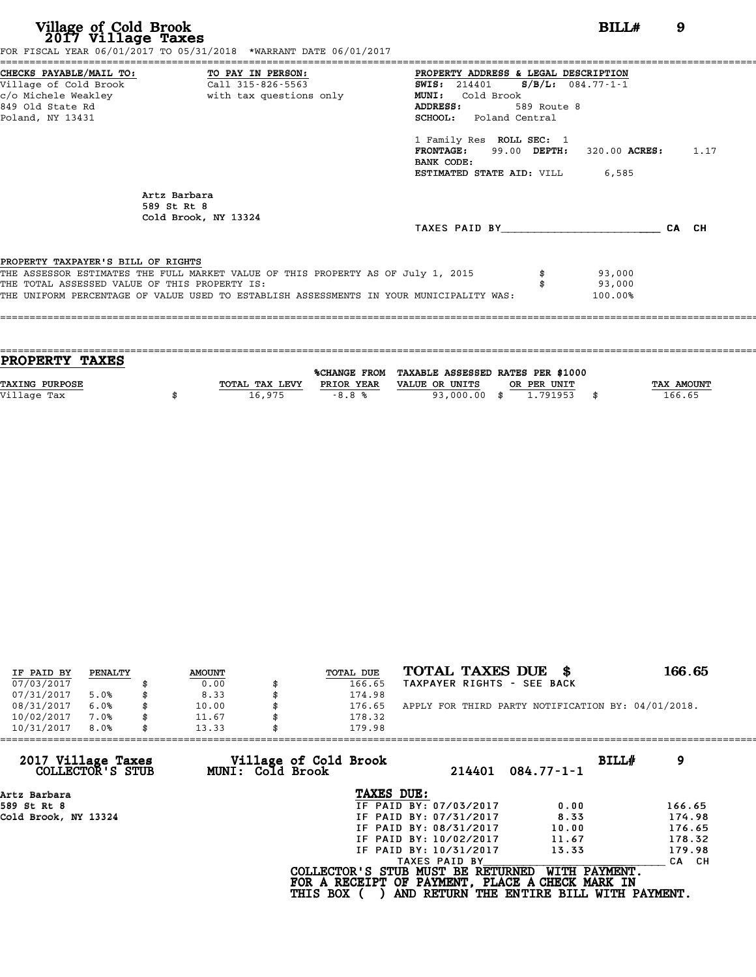| Village of Cold Brook<br>2017 Village Taxes                                            | FOR FISCAL YEAR 06/01/2017 TO 05/31/2018 *WARRANT DATE 06/01/2017                                                                                                           | BILL#                                                                                                                                                                                                                                                                                                            | 9     |
|----------------------------------------------------------------------------------------|-----------------------------------------------------------------------------------------------------------------------------------------------------------------------------|------------------------------------------------------------------------------------------------------------------------------------------------------------------------------------------------------------------------------------------------------------------------------------------------------------------|-------|
| =====================<br>Village of Cold Brook<br>849 Old State Rd<br>Poland, NY 13431 | CHECKS PAYABLE/MAIL TO: TO PAY IN PERSON:<br>$Call$ 315-826-5563                                                                                                            | PROPERTY ADDRESS & LEGAL DESCRIPTION<br>SWIS: $214401$ S/B/L: $084.77 - 1 - 1$<br><b>MUNI:</b><br>Cold Brook<br>ADDRESS:<br>589 Route 8<br><b>SCHOOL:</b> Poland Central<br>1 Family Res ROLL SEC: 1<br><b>FRONTAGE:</b> 99.00 DEPTH: 320.00 ACRES: 1.17<br>BANK CODE:<br><b>ESTIMATED STATE AID:</b> VILL 6,585 |       |
|                                                                                        | Artz Barbara<br>589 St Rt 8<br>Cold Brook, NY 13324                                                                                                                         | TAXES PAID BY TAXES                                                                                                                                                                                                                                                                                              | CA CH |
| PROPERTY TAXPAYER'S BILL OF RIGHTS<br>THE TOTAL ASSESSED VALUE OF THIS PROPERTY IS:    | THE ASSESSOR ESTIMATES THE FULL MARKET VALUE OF THIS PROPERTY AS OF July 1, 2015<br>THE UNIFORM PERCENTAGE OF VALUE USED TO ESTABLISH ASSESSMENTS IN YOUR MUNICIPALITY WAS: | 93,000<br>93,000<br>100.00%                                                                                                                                                                                                                                                                                      |       |

| <b>PROPERTY TAXES</b> |                |            |                                                |             |                   |
|-----------------------|----------------|------------|------------------------------------------------|-------------|-------------------|
|                       |                |            |                                                |             |                   |
|                       |                |            | %CHANGE FROM TAXABLE ASSESSED RATES PER \$1000 |             |                   |
| <b>TAXING PURPOSE</b> | TOTAL TAX LEVY | PRIOR YEAR | VALUE OR UNITS                                 | OR PER UNIT | <b>TAX AMOUNT</b> |
| Village Tax           | 16,975         | $-8.8%$    | 93,000.00 \$                                   | 1.791953    | 166.65            |
|                       |                |            |                                                |             |                   |
|                       |                |            |                                                |             |                   |

| IF PAID BY | PENALTY | <b>AMOUNT</b> | TOTAL DUE | TOTAL TAXES DUE \$                                 | 166.65 |
|------------|---------|---------------|-----------|----------------------------------------------------|--------|
| 07/03/2017 |         | 0.00          | 166.65    | TAXPAYER RIGHTS - SEE BACK                         |        |
| 07/31/2017 | 5.0%    | 8.33          | 174.98    |                                                    |        |
| 08/31/2017 | 6.0%    | 10.00         | 176.65    | APPLY FOR THIRD PARTY NOTIFICATION BY: 04/01/2018. |        |
| 10/02/2017 | 7.0%    | 11.67         | 178.32    |                                                    |        |
| 10/31/2017 | 8.0%    | 13.33         | 179.98    |                                                    |        |

| $084.77 - 1 - 1$ | BILLH<br>9                                                                                                                                                                                                                                                                                    |
|------------------|-----------------------------------------------------------------------------------------------------------------------------------------------------------------------------------------------------------------------------------------------------------------------------------------------|
|                  |                                                                                                                                                                                                                                                                                               |
| 0.00             | 166.65                                                                                                                                                                                                                                                                                        |
| 8.33             | 174.98                                                                                                                                                                                                                                                                                        |
| 10.00            | 176.65                                                                                                                                                                                                                                                                                        |
| 11.67            | 178.32                                                                                                                                                                                                                                                                                        |
| 13.33            | 179.98                                                                                                                                                                                                                                                                                        |
|                  | CA CH                                                                                                                                                                                                                                                                                         |
|                  | WITH PAYMENT.                                                                                                                                                                                                                                                                                 |
|                  | 214401<br>IF PAID BY: 07/03/2017<br>IF PAID BY: 07/31/2017<br>IF PAID BY: 08/31/2017<br>IF PAID BY: 10/02/2017<br>IF PAID BY: 10/31/2017<br>TAXES PAID BY<br>COLLECTOR'S STUB MUST BE RETURNED<br>FOR A RECEIPT OF PAYMENT, PLACE A CHECK MARK IN<br>AND RETURN THE ENTIRE BILL WITH PAYMENT. |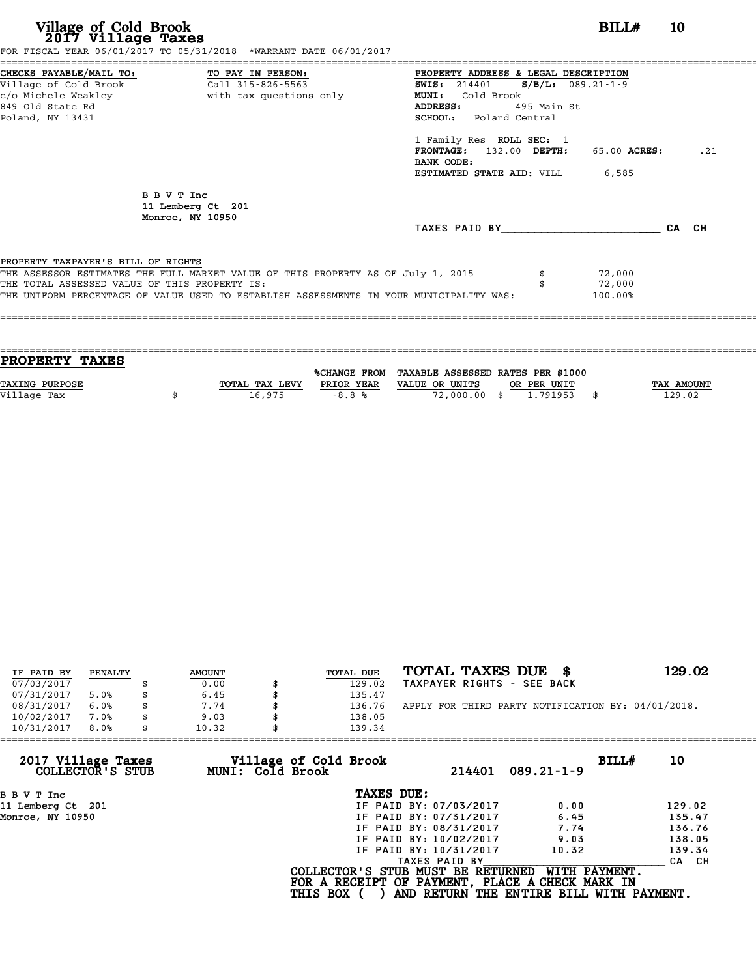| Village of Cold Brook<br>2017 Village Taxes<br>FOR FISCAL YEAR 06/01/2017 TO 05/31/2018 *WARRANT DATE 06/01/2017                                                                                                                                                   | BILL#<br><b>10</b>                                                                                                                                                                                                                                                                                                     |     |
|--------------------------------------------------------------------------------------------------------------------------------------------------------------------------------------------------------------------------------------------------------------------|------------------------------------------------------------------------------------------------------------------------------------------------------------------------------------------------------------------------------------------------------------------------------------------------------------------------|-----|
| CHECKS PAYABLE/MAIL TO: TO PAY IN PERSON:<br>Call 315-826-5563<br>Village of Cold Brook<br>c/o Michele Weakley extending with tax questions only<br>849 Old State Rd<br>Poland, NY 13431                                                                           | PROPERTY ADDRESS & LEGAL DESCRIPTION<br>$S/B/L$ : 089.21-1-9<br><b>SWIS:</b> 214401<br>Cold Brook<br><b>MUNI:</b><br>ADDRESS:<br>495 Main St<br><b>SCHOOL:</b> Poland Central<br>1 Family Res ROLL SEC: 1<br><b>FRONTAGE:</b><br>132.00 DEPTH:<br>65.00 ACRES:<br>BANK CODE:<br><b>ESTIMATED STATE AID:</b> VILL 6,585 | .21 |
| B B V T Inc<br>11 Lemberg Ct 201<br>Monroe, NY 10950                                                                                                                                                                                                               | TAXES PAID BY<br>CA CH                                                                                                                                                                                                                                                                                                 |     |
| PROPERTY TAXPAYER'S BILL OF RIGHTS<br>THE ASSESSOR ESTIMATES THE FULL MARKET VALUE OF THIS PROPERTY AS OF July 1, 2015<br>THE TOTAL ASSESSED VALUE OF THIS PROPERTY IS:<br>THE UNIFORM PERCENTAGE OF VALUE USED TO ESTABLISH ASSESSMENTS IN YOUR MUNICIPALITY WAS: | 72,000<br>72,000<br>100.00%                                                                                                                                                                                                                                                                                            |     |

| <b>PROPERTY TAXES</b> |                |            |                                                |             |                   |
|-----------------------|----------------|------------|------------------------------------------------|-------------|-------------------|
|                       |                |            | %CHANGE FROM TAXABLE ASSESSED RATES PER \$1000 |             |                   |
| <b>TAXING PURPOSE</b> | TOTAL TAX LEVY | PRIOR YEAR | VALUE OR UNITS                                 | OR PER UNIT | <b>TAX AMOUNT</b> |
|                       | 16,975         | $-8.8%$    | 72,000.00 \$                                   | 1.791953    | 129.02            |
| Village Tax           |                |            |                                                |             |                   |
|                       |                |            |                                                |             |                   |

| IF PAID BY | PENALTY | <b>AMOUNT</b> | TOTAL DUE | TOTAL TAXES DUE \$                                 | 129.02 |
|------------|---------|---------------|-----------|----------------------------------------------------|--------|
| 07/03/2017 |         | 0.00          | 129.02    | TAXPAYER RIGHTS - SEE BACK                         |        |
| 07/31/2017 | 5.0%    | 6.45          | 135.47    |                                                    |        |
| 08/31/2017 | 6.0%    | 7.74          | 136.76    | APPLY FOR THIRD PARTY NOTIFICATION BY: 04/01/2018. |        |
| 10/02/2017 | 7.0%    | 9.03          | 138.05    |                                                    |        |
| 10/31/2017 | 8.0%    | 10.32         | 139.34    |                                                    |        |

| 139.34          |                                           |                                                                                                                                                                                                                                                                                                                |
|-----------------|-------------------------------------------|----------------------------------------------------------------------------------------------------------------------------------------------------------------------------------------------------------------------------------------------------------------------------------------------------------------|
|                 | $089.21 - 1 - 9$                          | BILLH<br>10                                                                                                                                                                                                                                                                                                    |
| TAXES DUE:      |                                           |                                                                                                                                                                                                                                                                                                                |
|                 | 0.00                                      | 129.02                                                                                                                                                                                                                                                                                                         |
|                 | 6.45                                      | 135.47                                                                                                                                                                                                                                                                                                         |
|                 | 7.74                                      | 136.76                                                                                                                                                                                                                                                                                                         |
|                 | 9.03                                      | 138.05                                                                                                                                                                                                                                                                                                         |
|                 | 10.32                                     | 139.34                                                                                                                                                                                                                                                                                                         |
|                 |                                           | CA CH                                                                                                                                                                                                                                                                                                          |
| <b>THIS BOX</b> |                                           |                                                                                                                                                                                                                                                                                                                |
|                 | Village of Cold Brook<br>MUNI: Cold Brook | 214401<br>IF PAID BY: 07/03/2017<br>IF PAID BY: 07/31/2017<br>IF PAID BY: 08/31/2017<br>IF PAID BY: 10/02/2017<br>IF PAID BY: 10/31/2017<br>TAXES PAID BY<br>COLLECTOR'S STUB MUST BE RETURNED<br>WITH PAYMENT.<br>FOR A RECEIPT OF PAYMENT, PLACE A CHECK MARK IN<br>AND RETURN THE ENTIRE BILL WITH PAYMENT. |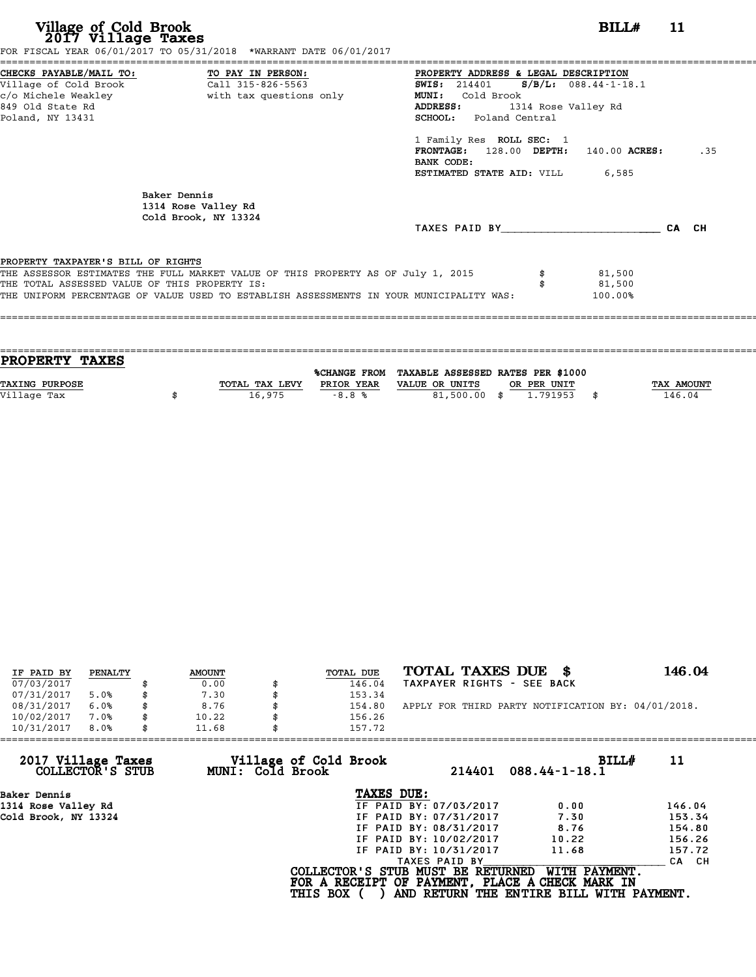| Village of Cold Brook<br>2017 Village Taxes                                         | FOR FISCAL YEAR 06/01/2017 TO 05/31/2018 *WARRANT DATE 06/01/2017                                                                                                           | BILL#                                                                                                                                                                                                                                                                | 11 |       |
|-------------------------------------------------------------------------------------|-----------------------------------------------------------------------------------------------------------------------------------------------------------------------------|----------------------------------------------------------------------------------------------------------------------------------------------------------------------------------------------------------------------------------------------------------------------|----|-------|
| Village of Cold Brook<br>849 Old State Rd<br>Poland, NY 13431                       | CHECKS PAYABLE/MAIL TO: TO PAY IN PERSON:<br>Call 315-826-5563                                                                                                              | PROPERTY ADDRESS & LEGAL DESCRIPTION<br>SWIS: 214401 S/B/L: 088.44-1-18.1<br>Cold Brook<br><b>MUNI:</b><br>ADDRESS:<br>1314 Rose Valley Rd<br><b>SCHOOL:</b> Poland Central<br>1 Family Res ROLL SEC: 1<br>$FRONTAGE: 128.00$ $DEPTH: 140.00$ $ACRES:$<br>BANK CODE: |    | .35   |
|                                                                                     | Baker Dennis<br>1314 Rose Valley Rd<br>Cold Brook, NY 13324                                                                                                                 | <b>ESTIMATED STATE AID: VILL 6,585</b><br>TAXES PAID BY TAXES                                                                                                                                                                                                        |    | CA CH |
| PROPERTY TAXPAYER'S BILL OF RIGHTS<br>THE TOTAL ASSESSED VALUE OF THIS PROPERTY IS: | THE ASSESSOR ESTIMATES THE FULL MARKET VALUE OF THIS PROPERTY AS OF July 1, 2015<br>THE UNIFORM PERCENTAGE OF VALUE USED TO ESTABLISH ASSESSMENTS IN YOUR MUNICIPALITY WAS: | 81,500<br>81,500<br>100.00%                                                                                                                                                                                                                                          |    |       |

| <b>TAX AMOUNT</b> |
|-------------------|
|                   |
|                   |
| 146.04            |

| IF PAID BY | PENALTY | <b>AMOUNT</b> | TOTAL DUE | TOTAL TAXES DUE<br>- SS                            | 146.04 |
|------------|---------|---------------|-----------|----------------------------------------------------|--------|
| 07/03/2017 |         | 0.00          | 146.04    | TAXPAYER RIGHTS - SEE BACK                         |        |
| 07/31/2017 | 5.0%    | 7.30          | 153.34    |                                                    |        |
| 08/31/2017 | 6.0%    | 8.76          | 154.80    | APPLY FOR THIRD PARTY NOTIFICATION BY: 04/01/2018. |        |
| 10/02/2017 | 7.0%    | \$<br>10.22   | 156.26    |                                                    |        |
| 10/31/2017 | 8.0%    | \$<br>11.68   | 157.72    |                                                    |        |

| 10/31/2017<br>8.0%                     | 11.68 |                                           | 157.72                            |                        |                                                                                                              |             |
|----------------------------------------|-------|-------------------------------------------|-----------------------------------|------------------------|--------------------------------------------------------------------------------------------------------------|-------------|
| 2017 Village Taxes<br>COLLECTOR'S STUB |       | Village of Cold Brook<br>MUNI: Cold Brook |                                   | 214401                 | $088.44 - 1 - 18.1$                                                                                          | BILLH<br>11 |
| Baker Dennis                           |       |                                           | TAXES DUE:                        |                        |                                                                                                              |             |
| 1314 Rose Valley Rd                    |       |                                           |                                   | IF PAID BY: 07/03/2017 | 0.00                                                                                                         | 146.04      |
| Cold Brook, NY 13324                   |       |                                           |                                   | IF PAID BY: 07/31/2017 | 7.30                                                                                                         | 153.34      |
|                                        |       |                                           |                                   | IF PAID BY: 08/31/2017 | 8.76                                                                                                         | 154.80      |
|                                        |       |                                           |                                   | IF PAID BY: 10/02/2017 | 10.22                                                                                                        | 156.26      |
|                                        |       |                                           |                                   | IF PAID BY: 10/31/2017 | 11.68                                                                                                        | 157.72      |
|                                        |       |                                           |                                   | TAXES PAID BY          |                                                                                                              | CA CH       |
|                                        |       | <b>THIS BOX</b>                           | COLLECTOR'S STUB MUST BE RETURNED |                        | WITH PAYMENT.<br>FOR A RECEIPT OF PAYMENT, PLACE A CHECK MARK IN<br>AND RETURN THE ENTIRE BILL WITH PAYMENT. |             |
|                                        |       |                                           |                                   |                        |                                                                                                              |             |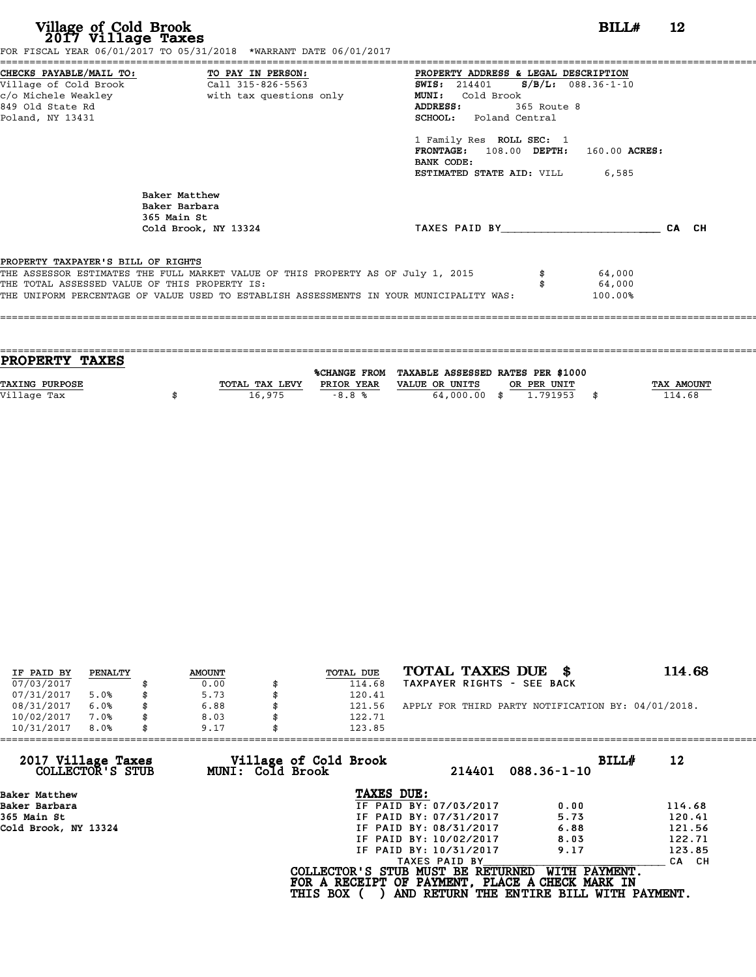| Village of Cold Brook<br>2017 Village Taxes | FOR FISCAL YEAR 06/01/2017 TO 05/31/2018 *WARRANT DATE 06/01/2017                                                                                                                                                            |                                                                                                                                                                                                                                                                                    | BILL#                       | 12    |
|---------------------------------------------|------------------------------------------------------------------------------------------------------------------------------------------------------------------------------------------------------------------------------|------------------------------------------------------------------------------------------------------------------------------------------------------------------------------------------------------------------------------------------------------------------------------------|-----------------------------|-------|
| 849 Old State Rd<br>Poland, NY 13431        | CHECKS PAYABLE/MAIL TO: TO PAY IN PERSON:<br>Village of Cold Brook Call 315-826-5563<br>c/o Michele Weakley                       with tax questions only                                                                    | ======================<br>PROPERTY ADDRESS & LEGAL DESCRIPTION<br><b>SWIS:</b> 214401 <b>S/B/L:</b> 088.36-1-10<br>MUNI: Cold Brook<br>ADDRESS:<br>365 Route 8<br><b>SCHOOL:</b> Poland Central<br>1 Family Res ROLL SEC: 1<br>FRONTAGE: 108.00 DEPTH: 160.00 ACRES:<br>BANK CODE: |                             |       |
|                                             | Baker Matthew<br>Baker Barbara<br>365 Main St<br>Cold Brook, NY 13324                                                                                                                                                        | <b>ESTIMATED STATE AID:</b> VILL 6,585<br>TAXES PAID BY AND AND TAXES PAID BY                                                                                                                                                                                                      |                             | CA CH |
| PROPERTY TAXPAYER'S BILL OF RIGHTS          | THE ASSESSOR ESTIMATES THE FULL MARKET VALUE OF THIS PROPERTY AS OF July 1, 2015<br>THE TOTAL ASSESSED VALUE OF THIS PROPERTY IS:<br>THE UNIFORM PERCENTAGE OF VALUE USED TO ESTABLISH ASSESSMENTS IN YOUR MUNICIPALITY WAS: |                                                                                                                                                                                                                                                                                    | 64,000<br>64,000<br>100.00% |       |

| <b>PROPERTY TAXES</b> |                |            |                                                |             |                   |
|-----------------------|----------------|------------|------------------------------------------------|-------------|-------------------|
|                       |                |            |                                                |             |                   |
|                       |                |            | %CHANGE FROM TAXABLE ASSESSED RATES PER \$1000 |             |                   |
| <b>TAXING PURPOSE</b> | TOTAL TAX LEVY | PRIOR YEAR | VALUE OR UNITS                                 | OR PER UNIT | <b>TAX AMOUNT</b> |
|                       |                |            |                                                |             |                   |
| Village Tax           | 16,975         | $-8.8%$    | 64,000,00 \$                                   | 1.791953    | 114.68            |
|                       |                |            |                                                |             |                   |

| IF PAID BY | PENALTY | <b>AMOUNT</b> | TOTAL DUE    | TOTAL TAXES DUE \$                                 | 114.68 |
|------------|---------|---------------|--------------|----------------------------------------------------|--------|
| 07/03/2017 |         | 0.00          | 114.68       | TAXPAYER RIGHTS - SEE BACK                         |        |
| 07/31/2017 | 5.0%    | \$<br>5.73    | 120.41       |                                                    |        |
| 08/31/2017 | 6.0%    | \$<br>6.88    | 121.56       | APPLY FOR THIRD PARTY NOTIFICATION BY: 04/01/2018. |        |
| 10/02/2017 | 7.0%    | \$<br>8.03    | \$<br>122.71 |                                                    |        |
| 10/31/2017 | 8.0%    | \$<br>9.17    | 123.85       |                                                    |        |

| 9.17             | 123.85                 |                                          |                                                                                                                                  |
|------------------|------------------------|------------------------------------------|----------------------------------------------------------------------------------------------------------------------------------|
| MUNI: Cold Brook | 214401                 | BILLH<br>$088.36 - 1 - 10$               | 12                                                                                                                               |
|                  | TAXES DUE:             |                                          |                                                                                                                                  |
|                  | IF PAID BY: 07/03/2017 | 0.00                                     | 114.68                                                                                                                           |
|                  | IF PAID BY: 07/31/2017 | 5.73                                     | 120.41                                                                                                                           |
|                  | IF PAID BY: 08/31/2017 | 6.88                                     | 121.56                                                                                                                           |
|                  | IF PAID BY: 10/02/2017 | 8.03                                     | 122.71                                                                                                                           |
|                  | IF PAID BY: 10/31/2017 | 9.17                                     | 123.85                                                                                                                           |
|                  | TAXES PAID BY          |                                          | CA CH                                                                                                                            |
|                  |                        | WITH PAYMENT.                            |                                                                                                                                  |
|                  |                        | Village of Cold Brook<br><b>THIS BOX</b> | COLLECTOR'S STUB MUST BE RETURNED<br>FOR A RECEIPT OF PAYMENT, PLACE A CHECK MARK IN<br>AND RETURN THE ENTIRE BILL WITH PAYMENT. |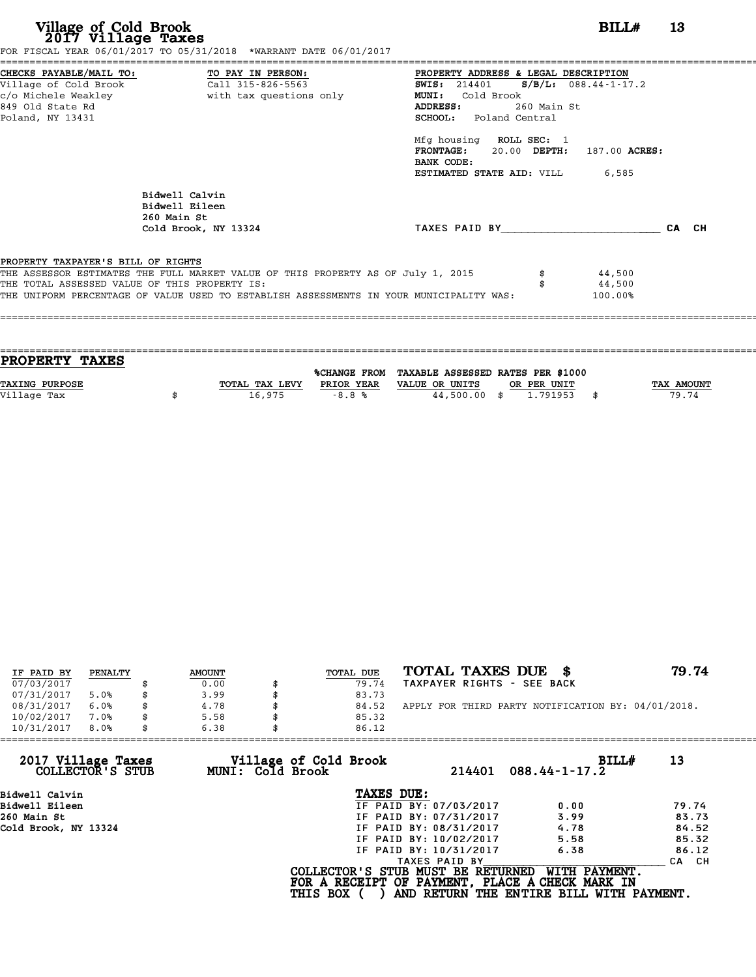| Village of Cold Brook<br>2017 Village Taxes | FOR FISCAL YEAR 06/01/2017 TO 05/31/2018 *WARRANT DATE 06/01/2017                       |                                                                                                                         | BILLH<br>13 |
|---------------------------------------------|-----------------------------------------------------------------------------------------|-------------------------------------------------------------------------------------------------------------------------|-------------|
|                                             | CHECKS PAYABLE/MAIL TO: TO PAY IN PERSON:                                               | PROPERTY ADDRESS & LEGAL DESCRIPTION                                                                                    |             |
| c/o Michele Weakley                         | Village of Cold Brook Call 315-826-5563<br>with tax questions only                      | SWIS: $214401$ S/B/L: 088.44-1-17.2<br>MUNI: Cold Brook                                                                 |             |
| 849 Old State Rd                            |                                                                                         | <b>ADDRESS:</b><br>260 Main St                                                                                          |             |
| Poland, NY 13431                            |                                                                                         | <b>SCHOOL:</b> Poland Central                                                                                           |             |
|                                             |                                                                                         | Mfg housing ROLL SEC: 1<br>FRONTAGE: 20.00 DEPTH: 187.00 ACRES:<br>BANK CODE:<br><b>ESTIMATED STATE AID:</b> VILL 6,585 |             |
|                                             | Bidwell Calvin                                                                          |                                                                                                                         |             |
|                                             | Bidwell Eileen                                                                          |                                                                                                                         |             |
|                                             | 260 Main St<br>Cold Brook, NY 13324                                                     | TAXES PAID BY TAXES PAID BY                                                                                             | CA CH       |
|                                             |                                                                                         |                                                                                                                         |             |
| PROPERTY TAXPAYER'S BILL OF RIGHTS          |                                                                                         |                                                                                                                         |             |
|                                             | THE ASSESSOR ESTIMATES THE FULL MARKET VALUE OF THIS PROPERTY AS OF July 1, 2015        | 44,500                                                                                                                  |             |
|                                             | THE TOTAL ASSESSED VALUE OF THIS PROPERTY IS:                                           | 44,500                                                                                                                  |             |
|                                             | THE UNIFORM PERCENTAGE OF VALUE USED TO ESTABLISH ASSESSMENTS IN YOUR MUNICIPALITY WAS: | 100.00%                                                                                                                 |             |

| PROPERTY TAXES        |                |                     |                                   |             |      |            |
|-----------------------|----------------|---------------------|-----------------------------------|-------------|------|------------|
|                       |                | <b>%CHANGE FROM</b> | TAXABLE ASSESSED RATES PER \$1000 |             |      |            |
| <b>TAXING PURPOSE</b> | TOTAL TAX LEVY | PRIOR YEAR          | VALUE OR UNITS                    | OR PER UNIT |      | TAX AMOUNT |
| Village Tax           | 16,975         | $-8.8%$             | 44,500.00 \$                      | 1.791953    | - \$ | 79.74      |
|                       |                |                     |                                   |             |      |            |

| IF PAID BY | PENALTY | <b>AMOUNT</b> | TOTAL DUE | TOTAL TAXES DUE \$                                 | 79.74 |
|------------|---------|---------------|-----------|----------------------------------------------------|-------|
| 07/03/2017 |         | 0.00          | 79.74     | TAXPAYER RIGHTS - SEE BACK                         |       |
| 07/31/2017 | 5.0%    | \$<br>3.99    | 83.73     |                                                    |       |
| 08/31/2017 | 6.0%    | 4.78          | 84.52     | APPLY FOR THIRD PARTY NOTIFICATION BY: 04/01/2018. |       |
| 10/02/2017 | 7.0%    | \$<br>5.58    | 85.32     |                                                    |       |
| 10/31/2017 | 8.0%    | \$<br>6.38    | 86.12     |                                                    |       |

| 6.38 | 86.12         |                                                              |                                                                                                                                                                                                                                                                    |
|------|---------------|--------------------------------------------------------------|--------------------------------------------------------------------------------------------------------------------------------------------------------------------------------------------------------------------------------------------------------------------|
|      | 214401        | BILLH<br>$088.44 - 1 - 17.2$                                 | 13                                                                                                                                                                                                                                                                 |
|      | TAXES DUE:    |                                                              |                                                                                                                                                                                                                                                                    |
|      |               | 0.00                                                         | 79.74                                                                                                                                                                                                                                                              |
|      |               | 3.99                                                         | 83.73                                                                                                                                                                                                                                                              |
|      |               | 4.78                                                         | 84.52                                                                                                                                                                                                                                                              |
|      |               | 5.58                                                         | 85.32                                                                                                                                                                                                                                                              |
|      |               | 6.38                                                         | 86.12                                                                                                                                                                                                                                                              |
|      | TAXES PAID BY |                                                              | CA CH                                                                                                                                                                                                                                                              |
|      |               | WITH PAYMENT.                                                |                                                                                                                                                                                                                                                                    |
|      |               | Village of Cold Brook<br>MUNI: Cold Brook<br><b>THIS BOX</b> | IF PAID BY: 07/03/2017<br>IF PAID BY: 07/31/2017<br>IF PAID BY: 08/31/2017<br>IF PAID BY: 10/02/2017<br>IF PAID BY: 10/31/2017<br>COLLECTOR'S STUB MUST BE RETURNED<br>FOR A RECEIPT OF PAYMENT, PLACE A CHECK MARK IN<br>AND RETURN THE ENTIRE BILL WITH PAYMENT. |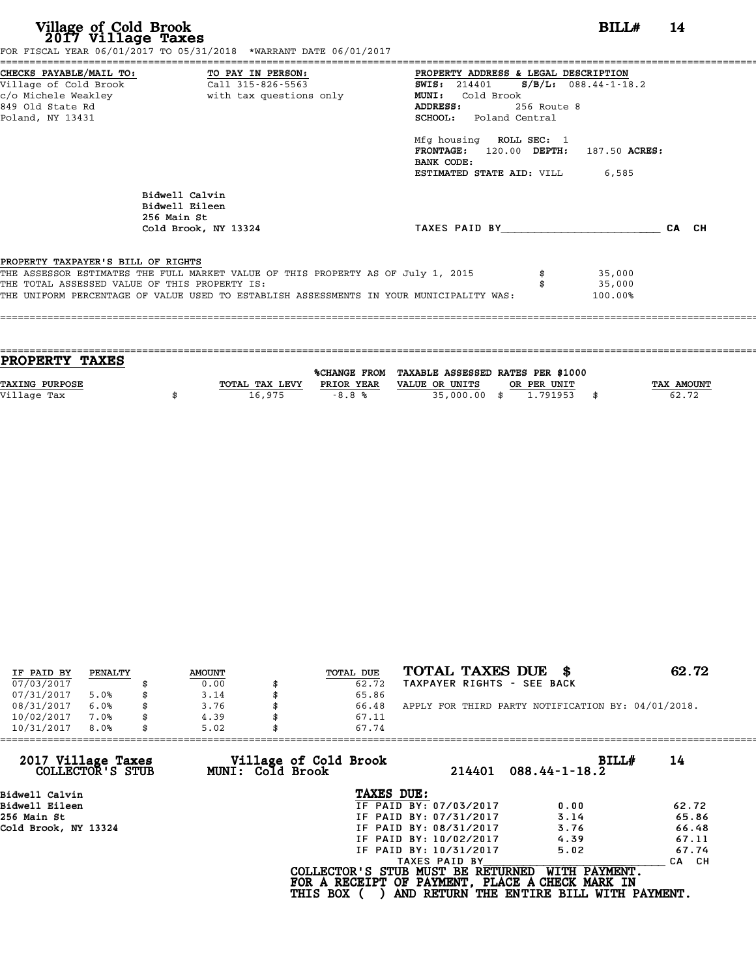| Village of Cold Brook<br>2017 Village Taxes                   | FOR FISCAL YEAR 06/01/2017 TO 05/31/2018 *WARRANT DATE 06/01/2017                                                                                                                                                            |                                                                                                                                                                                                                                                                                                                                                             | $BILLH$ 14 |  |
|---------------------------------------------------------------|------------------------------------------------------------------------------------------------------------------------------------------------------------------------------------------------------------------------------|-------------------------------------------------------------------------------------------------------------------------------------------------------------------------------------------------------------------------------------------------------------------------------------------------------------------------------------------------------------|------------|--|
| Village of Cold Brook<br>849 Old State Rd<br>Poland, NY 13431 | CHECKS PAYABLE/MAIL TO: TO PAY IN PERSON:<br>Call 315-826-5563                                                                                                                                                               | ====================<br><b>PROPERTY ADDRESS &amp; LEGAL DESCRIPTION</b><br>SWIS: 214401 S/B/L: 088.44-1-18<br>SWIS: 214401 S/B/L: 088.44-1-18.2<br>MUNI: Cold Brook<br>256 Route 8<br>ADDRESS:<br><b>SCHOOL:</b> Poland Central<br>Mfg housing ROLL SEC: 1<br>FRONTAGE: 120.00 DEPTH: 187.50 ACRES:<br>BANK CODE:<br><b>ESTIMATED STATE AID:</b> VILL 6,585 |            |  |
|                                                               | Bidwell Calvin<br>Bidwell Eileen<br>256 Main St<br>Cold Brook, NY 13324                                                                                                                                                      | TAXES PAID BY CA CH                                                                                                                                                                                                                                                                                                                                         |            |  |
| PROPERTY TAXPAYER'S BILL OF RIGHTS                            | THE ASSESSOR ESTIMATES THE FULL MARKET VALUE OF THIS PROPERTY AS OF July 1, 2015<br>THE TOTAL ASSESSED VALUE OF THIS PROPERTY IS:<br>THE UNIFORM PERCENTAGE OF VALUE USED TO ESTABLISH ASSESSMENTS IN YOUR MUNICIPALITY WAS: | 35,000<br>35,000<br>100.00%                                                                                                                                                                                                                                                                                                                                 |            |  |

| <b>PROPERTY TAXES</b> |                |            |                                                |             |                   |
|-----------------------|----------------|------------|------------------------------------------------|-------------|-------------------|
|                       |                |            |                                                |             |                   |
|                       |                |            | %CHANGE FROM TAXABLE ASSESSED RATES PER \$1000 |             |                   |
| <b>TAXING PURPOSE</b> | TOTAL TAX LEVY | PRIOR YEAR | VALUE OR UNITS                                 | OR PER UNIT | <b>TAX AMOUNT</b> |
|                       |                |            |                                                |             |                   |
| Village Tax           | 16,975         | $-8.8%$    | 35,000.00 \$                                   | 1.791953    | 62.72             |
|                       |                |            |                                                |             |                   |

| IF PAID BY | PENALTY | <b>AMOUNT</b> | TOTAL DUE | TOTAL TAXES DUE \$                                 | 62.72 |
|------------|---------|---------------|-----------|----------------------------------------------------|-------|
| 07/03/2017 |         | 0.00          | 62.72     | TAXPAYER RIGHTS - SEE BACK                         |       |
| 07/31/2017 | 5.0%    | \$<br>3.14    | 65.86     |                                                    |       |
| 08/31/2017 | 6.0%    | 3.76          | 66.48     | APPLY FOR THIRD PARTY NOTIFICATION BY: 04/01/2018. |       |
| 10/02/2017 | 7.0%    | \$<br>4.39    | 67.11     |                                                    |       |
| 10/31/2017 | 8.0%    | \$<br>5.02    | 67.74     |                                                    |       |

| 10/31/2017<br>8.0%                     | 5.02             | 67.74                                           |                                          |       |
|----------------------------------------|------------------|-------------------------------------------------|------------------------------------------|-------|
| 2017 Village Taxes<br>COLLECTOR'S STUB | MUNI: Cold Brook | Village of Cold Brook<br>214401                 | BILLH<br>$088.44 - 1 - 18.2$             | 14    |
| Bidwell Calvin                         |                  | TAXES DUE:                                      |                                          |       |
| Bidwell Eileen                         |                  | IF PAID BY: 07/03/2017                          | 0.00                                     | 62.72 |
| 256 Main St                            |                  | IF PAID BY: 07/31/2017                          | 3.14                                     | 65.86 |
| Cold Brook, NY 13324                   |                  | IF PAID BY: 08/31/2017                          | 3.76                                     | 66.48 |
|                                        |                  | IF PAID BY: 10/02/2017                          | 4.39                                     | 67.11 |
|                                        |                  | IF PAID BY: 10/31/2017                          | 5.02                                     | 67.74 |
|                                        |                  | TAXES PAID BY                                   |                                          | CA CH |
|                                        |                  | COLLECTOR'S STUB MUST BE RETURNED               | WITH PAYMENT.                            |       |
|                                        |                  | FOR A RECEIPT OF PAYMENT, PLACE A CHECK MARK IN |                                          |       |
|                                        |                  | <b>THIS BOX</b>                                 | AND RETURN THE ENTIRE BILL WITH PAYMENT. |       |
|                                        |                  |                                                 |                                          |       |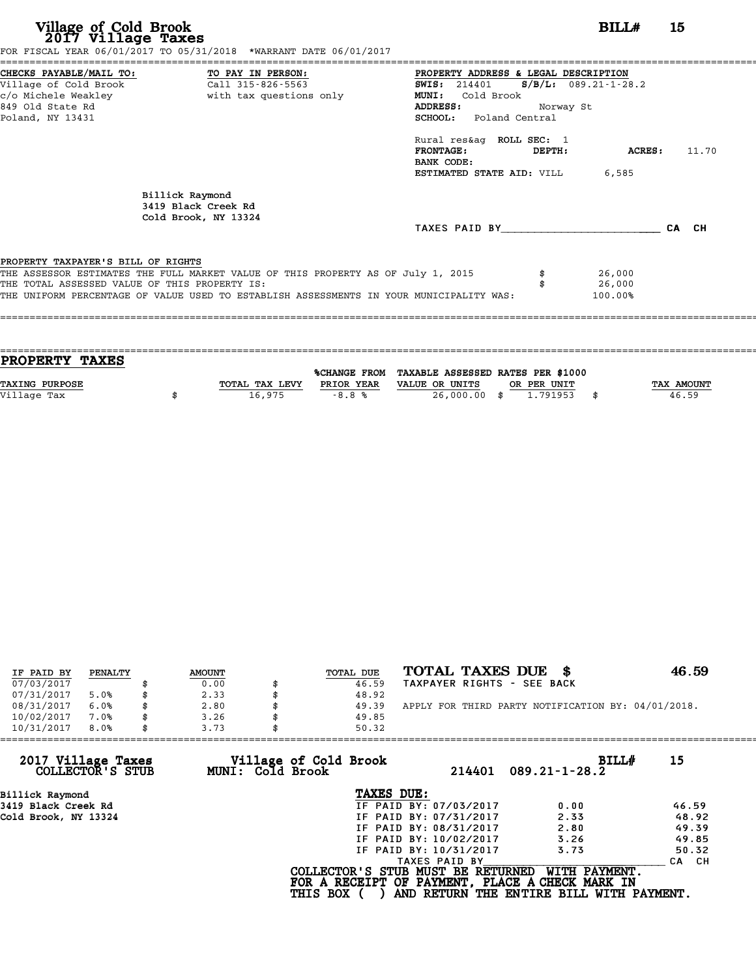| BILL#                                                                                                                                                                                                                                                                                 | 15                                                                                                                                                                                                                                               |
|---------------------------------------------------------------------------------------------------------------------------------------------------------------------------------------------------------------------------------------------------------------------------------------|--------------------------------------------------------------------------------------------------------------------------------------------------------------------------------------------------------------------------------------------------|
| PROPERTY ADDRESS & LEGAL DESCRIPTION<br>$S/B/L: 089.21 - 1 - 28.2$<br><b>SWIS:</b> 214401<br>MUNI:<br>Cold Brook<br>ADDRESS:<br>Norway St<br>SCHOOL: Poland Central<br>Rural res&aq ROLL SEC: 1<br><b>FRONTAGE:</b><br>DEPTH:<br>BANK CODE:<br><b>ESTIMATED STATE AID:</b> VILL 6,585 | ACRES:<br>11.70                                                                                                                                                                                                                                  |
| TAXES PAID BY                                                                                                                                                                                                                                                                         | CA CH                                                                                                                                                                                                                                            |
| 26,000<br>26,000<br>100.00%                                                                                                                                                                                                                                                           |                                                                                                                                                                                                                                                  |
|                                                                                                                                                                                                                                                                                       | FOR FISCAL YEAR 06/01/2017 TO 05/31/2018 *WARRANT DATE 06/01/2017<br>THE ASSESSOR ESTIMATES THE FULL MARKET VALUE OF THIS PROPERTY AS OF July 1, 2015<br>THE UNIFORM PERCENTAGE OF VALUE USED TO ESTABLISH ASSESSMENTS IN YOUR MUNICIPALITY WAS: |

| <b>PROPERTY TAXES</b> |                |            |                                                |             |                   |
|-----------------------|----------------|------------|------------------------------------------------|-------------|-------------------|
|                       |                |            |                                                |             |                   |
|                       |                |            | %CHANGE FROM TAXABLE ASSESSED RATES PER \$1000 |             |                   |
| <b>TAXING PURPOSE</b> | TOTAL TAX LEVY | PRIOR YEAR | VALUE OR UNITS                                 | OR PER UNIT | <b>TAX AMOUNT</b> |
| Village Tax           | 16,975         | $-8.8%$    | 26,000.00 \$                                   | 1.791953    | 46.59             |
|                       |                |            |                                                |             |                   |
|                       |                |            |                                                |             |                   |

| IF PAID BY | PENALTY | <b>AMOUNT</b> | TOTAL DUE | TOTAL TAXES DUE \$                                 | 46.59 |
|------------|---------|---------------|-----------|----------------------------------------------------|-------|
| 07/03/2017 |         | 0.00          | 46.59     | TAXPAYER RIGHTS - SEE BACK                         |       |
| 07/31/2017 | 5.0%    | \$<br>2.33    | 48.92     |                                                    |       |
| 08/31/2017 | 6.0%    | 2.80          | 49.39     | APPLY FOR THIRD PARTY NOTIFICATION BY: 04/01/2018. |       |
| 10/02/2017 | 7.0%    | \$<br>3.26    | 49.85     |                                                    |       |
| 10/31/2017 | 8.0%    | \$<br>3.73    | 50.32     |                                                    |       |

| 3.73 |                        |                                                              |                                                                                                                                           |
|------|------------------------|--------------------------------------------------------------|-------------------------------------------------------------------------------------------------------------------------------------------|
|      | 214401                 | BILLH<br>$089.21 - 1 - 28.2$                                 | 15                                                                                                                                        |
|      | TAXES DUE:             |                                                              |                                                                                                                                           |
|      | IF PAID BY: 07/03/2017 | 0.00                                                         | 46.59                                                                                                                                     |
|      | IF PAID BY: 07/31/2017 | 2.33                                                         | 48.92                                                                                                                                     |
|      | IF PAID BY: 08/31/2017 | 2.80                                                         | 49.39                                                                                                                                     |
|      | IF PAID BY: 10/02/2017 | 3.26                                                         | 49.85                                                                                                                                     |
|      | IF PAID BY: 10/31/2017 | 3.73                                                         | 50.32                                                                                                                                     |
|      | TAXES PAID BY          |                                                              | CA CH                                                                                                                                     |
|      |                        | WITH PAYMENT.                                                |                                                                                                                                           |
|      |                        | Village of Cold Brook<br>MUNI: Cold Brook<br><b>THIS BOX</b> | 50.32<br>COLLECTOR'S STUB MUST BE RETURNED<br>FOR A RECEIPT OF PAYMENT, PLACE A CHECK MARK IN<br>AND RETURN THE ENTIRE BILL WITH PAYMENT. |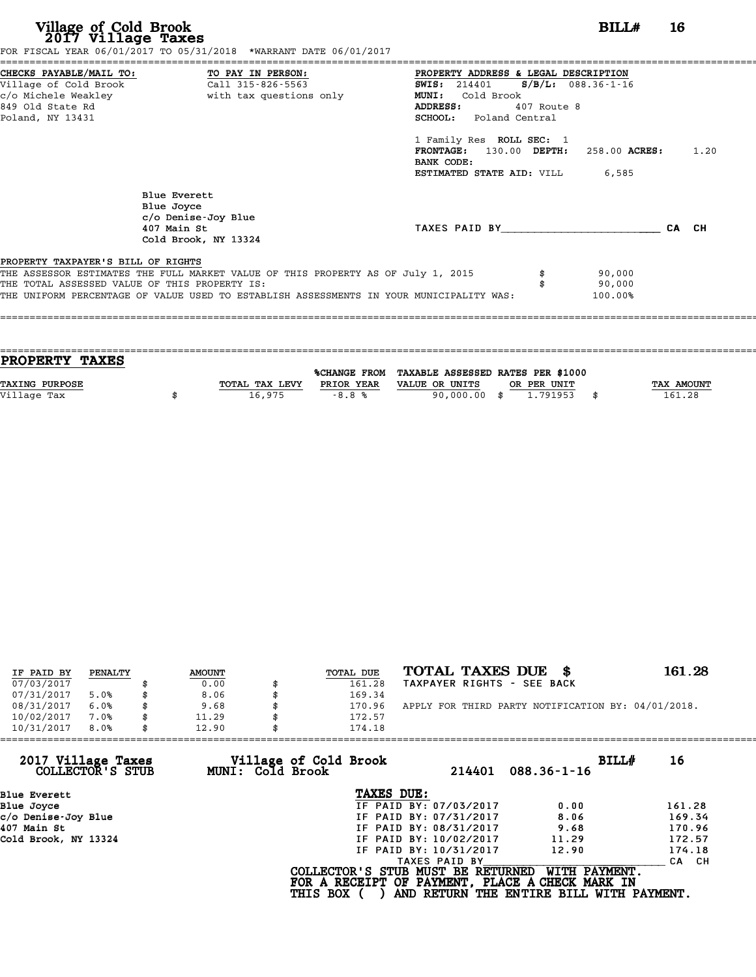# **Village of Cold Brook**<br> **2017 Village Taxes**<br>
SCAL YEAR 06/01/2017 TO 05/31/2018 \*WARRANT DATE 06/01/2017

Village of Cold Brook<br>2017 Village Taxes<br>FOR FISCAL YEAR 06/01/2017 TO 05/31/2018 \*WARRANT DATE 06/01/2017

| CHECKS PAYABLE/MAIL TO:                       | TO PAY IN PERSON:                                                                       | PROPERTY ADDRESS & LEGAL DESCRIPTION |                      |       |      |
|-----------------------------------------------|-----------------------------------------------------------------------------------------|--------------------------------------|----------------------|-------|------|
| Village of Cold Brook                         | Call 315-826-5563                                                                       | SWIS: 214401                         | $S/B/L: 088.36-1-16$ |       |      |
| c/o Michele Weakley                           | with tax questions only                                                                 | Cold Brook<br><b>MUNI:</b>           |                      |       |      |
| 849 Old State Rd                              |                                                                                         | ADDRESS:<br>407 Route 8              |                      |       |      |
| Poland, NY 13431                              |                                                                                         | <b>SCHOOL:</b> Poland Central        |                      |       |      |
|                                               |                                                                                         | 1 Family Res ROLL SEC: 1             |                      |       |      |
|                                               |                                                                                         | <b>FRONTAGE:</b><br>130.00 DEPTH:    | 258.00 ACRES:        |       | 1.20 |
|                                               |                                                                                         | BANK CODE:                           |                      |       |      |
|                                               |                                                                                         | ESTIMATED STATE AID: VILL            | 6,585                |       |      |
|                                               | Blue Everett                                                                            |                                      |                      |       |      |
|                                               | Blue Joyce                                                                              |                                      |                      |       |      |
|                                               | c/o Denise-Joy Blue                                                                     |                                      |                      |       |      |
|                                               | 407 Main St                                                                             | TAXES PAID BY                        |                      | CA CH |      |
|                                               | Cold Brook, NY 13324                                                                    |                                      |                      |       |      |
| PROPERTY TAXPAYER'S BILL OF RIGHTS            |                                                                                         |                                      |                      |       |      |
|                                               | THE ASSESSOR ESTIMATES THE FULL MARKET VALUE OF THIS PROPERTY AS OF July 1, 2015        |                                      | 90,000               |       |      |
| THE TOTAL ASSESSED VALUE OF THIS PROPERTY IS: |                                                                                         |                                      | 90,000               |       |      |
|                                               | THE UNIFORM PERCENTAGE OF VALUE USED TO ESTABLISH ASSESSMENTS IN YOUR MUNICIPALITY WAS: |                                      | 100.00%              |       |      |

==================================================================================================================================== **PROPERTY TAXES** %CHANGE FROM TAXABLE ASSESSED RATES PER \$1000 **PROPERTY TAXES**<br>
TAXING PURPOSE TOTAL TAX LEVY PRIOR YEAR VALUE OR UNITS OR PER UNIT TAX AMOUNT<br>
VALUE OR UNITS OR PER UNIT TAX AMOUNT TAX AMOUNT TAX AMOUNT TAX AMOUNT TAX AMOUNT TAX AMOUNT **TAXING PURPOSE**<br>
TAXING PURPOSE TAX NOUNT TOTAL TAX LEVY PRIOR YEAR VALUE OR UNITS OR PER UNIT<br>
Village Tax (161.28) \$161.28

====================================================================================================================================

| IF PAID BY | PENALTY |    | <b>AMOUNT</b> | TOTAL DUE | TOTAL TAXES DUE \$                                 | 161.28 |
|------------|---------|----|---------------|-----------|----------------------------------------------------|--------|
| 07/03/2017 |         |    | 0.00          | 161.28    | TAXPAYER RIGHTS - SEE BACK                         |        |
| 07/31/2017 | 5.0%    | ß. | 8.06          | 169.34    |                                                    |        |
| 08/31/2017 | 6.0%    | \$ | 9.68          | 170.96    | APPLY FOR THIRD PARTY NOTIFICATION BY: 04/01/2018. |        |
| 10/02/2017 | 7.0%    | \$ | 11.29         | 172.57    |                                                    |        |
| 10/31/2017 | 8.0%    | \$ | 12.90         | 174.18    |                                                    |        |

| 10/31/2017<br>8.0%                     | 12.90            | 174.18                            |                        |                                                 |        |
|----------------------------------------|------------------|-----------------------------------|------------------------|-------------------------------------------------|--------|
| 2017 Village Taxes<br>COLLECTOR'S STUB | MUNI: Cold Brook | Village of Cold Brook             | 214401                 | BILLH<br>$088.36 - 1 - 16$                      | 16     |
| Blue Everett                           |                  | TAXES DUE:                        |                        |                                                 |        |
| Blue Joyce                             |                  |                                   | IF PAID BY: 07/03/2017 | 0.00                                            | 161.28 |
| c/o Denise-Joy Blue                    |                  |                                   | IF PAID BY: 07/31/2017 | 8.06                                            | 169.34 |
| 407 Main St                            |                  |                                   | IF PAID BY: 08/31/2017 | 9.68                                            | 170.96 |
| Cold Brook, NY 13324                   |                  |                                   | IF PAID BY: 10/02/2017 | 11.29                                           | 172.57 |
|                                        |                  |                                   | IF PAID BY: 10/31/2017 | 12.90                                           | 174.18 |
|                                        |                  |                                   | TAXES PAID BY          |                                                 | CA CH  |
|                                        |                  | COLLECTOR'S STUB MUST BE RETURNED |                        | WITH PAYMENT.                                   |        |
|                                        |                  |                                   |                        | FOR A RECEIPT OF PAYMENT, PLACE A CHECK MARK IN |        |
|                                        |                  | <b>THIS BOX</b>                   |                        | AND RETURN THE ENTIRE BILL WITH PAYMENT.        |        |
|                                        |                  |                                   |                        |                                                 |        |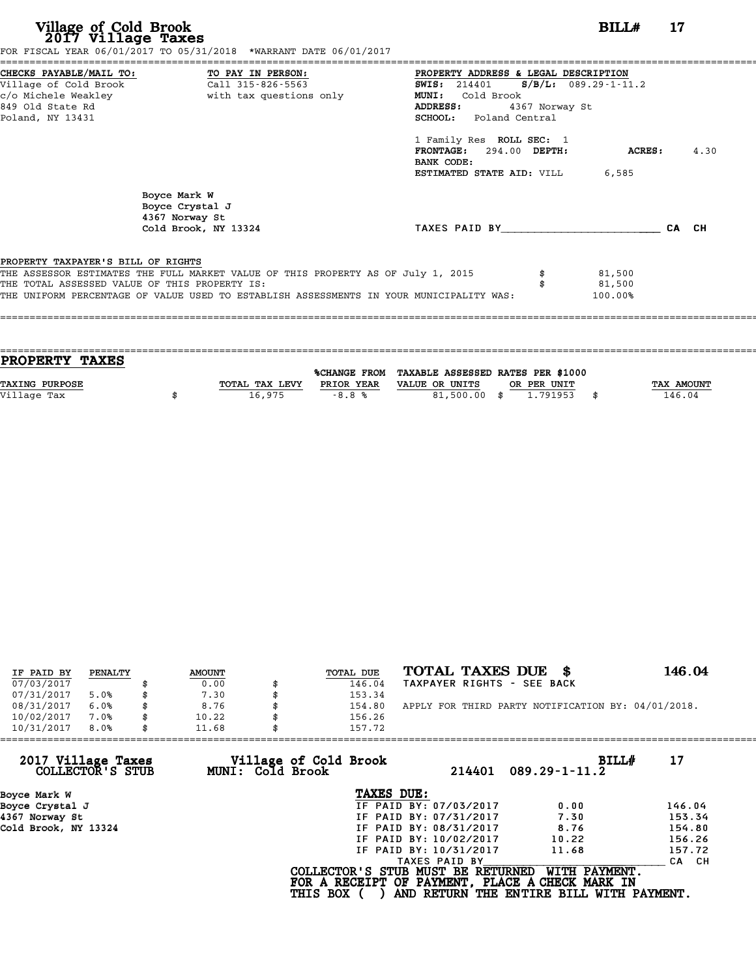| Village of Cold Brook<br>2017 Village Taxes                                          | FOR FISCAL YEAR 06/01/2017 TO 05/31/2018 *WARRANT DATE 06/01/2017                                                                                                                                                            |                                                                                                                                                                                                                | BILLH  | 17    |
|--------------------------------------------------------------------------------------|------------------------------------------------------------------------------------------------------------------------------------------------------------------------------------------------------------------------------|----------------------------------------------------------------------------------------------------------------------------------------------------------------------------------------------------------------|--------|-------|
| Village of Cold Brook<br>c/o Michele Weakley<br>849 Old State Rd<br>Poland, NY 13431 | CHECKS PAYABLE/MAIL TO: TO PAY IN PERSON:<br>Call 315-826-5563<br>with tax questions only                                                                                                                                    | PROPERTY ADDRESS & LEGAL DESCRIPTION<br>SWIS: $214401$ S/B/L: 089.29-1-11.2<br>MUNI: Cold Brook<br>4367 Norway St<br>ADDRESS:<br>SCHOOL: Poland Central<br>1 Family Res ROLL SEC: 1<br>FRONTAGE: 294.00 DEPTH: | ACRES: | 4.30  |
|                                                                                      | Boyce Mark W<br>Boyce Crystal J<br>4367 Norway St<br>Cold Brook, NY 13324                                                                                                                                                    | BANK CODE:<br><b>ESTIMATED STATE AID:</b> VILL 6,585<br>TAXES PAID BY                                                                                                                                          |        | CA CH |
| PROPERTY TAXPAYER'S BILL OF RIGHTS                                                   | THE ASSESSOR ESTIMATES THE FULL MARKET VALUE OF THIS PROPERTY AS OF July 1, 2015<br>THE TOTAL ASSESSED VALUE OF THIS PROPERTY IS:<br>THE UNIFORM PERCENTAGE OF VALUE USED TO ESTABLISH ASSESSMENTS IN YOUR MUNICIPALITY WAS: | 81,500<br>81,500<br>100.00%                                                                                                                                                                                    |        |       |

| IF PAID BY | PENALTY | <b>AMOUNT</b> | TOTAL DUE | TOTAL TAXES DUE \$                                 | 146.04 |
|------------|---------|---------------|-----------|----------------------------------------------------|--------|
| 07/03/2017 |         | 0.00          | 146.04    | TAXPAYER RIGHTS - SEE BACK                         |        |
| 07/31/2017 | 5.0%    | 7.30          | 153.34    |                                                    |        |
| 08/31/2017 | 6.0%    | \$<br>8.76    | 154.80    | APPLY FOR THIRD PARTY NOTIFICATION BY: 04/01/2018. |        |
| 10/02/2017 | 7.0%    | \$<br>10.22   | 156.26    |                                                    |        |
| 10/31/2017 | 8.0%    | \$<br>11.68   | 157.72    |                                                    |        |

| 11.68            |                        |                                                    |                                                                                                                                  |
|------------------|------------------------|----------------------------------------------------|----------------------------------------------------------------------------------------------------------------------------------|
| MUNI: Cold Brook | 214401                 | BILL#<br>$089.29 - 1 - 11.2$                       | 17                                                                                                                               |
|                  | TAXES DUE:             |                                                    |                                                                                                                                  |
|                  | IF PAID BY: 07/03/2017 | 0.00                                               | 146.04                                                                                                                           |
|                  | IF PAID BY: 07/31/2017 | 7.30                                               | 153.34                                                                                                                           |
|                  | IF PAID BY: 08/31/2017 | 8.76                                               | 154.80                                                                                                                           |
|                  | IF PAID BY: 10/02/2017 | 10.22                                              | 156.26                                                                                                                           |
|                  | IF PAID BY: 10/31/2017 | 11.68                                              | 157.72                                                                                                                           |
|                  | TAXES PAID BY          |                                                    | CA CH                                                                                                                            |
|                  |                        | WITH PAYMENT.                                      |                                                                                                                                  |
|                  |                        | 157.72<br>Village of Cold Brook<br><b>THIS BOX</b> | COLLECTOR'S STUB MUST BE RETURNED<br>FOR A RECEIPT OF PAYMENT, PLACE A CHECK MARK IN<br>AND RETURN THE ENTIRE BILL WITH PAYMENT. |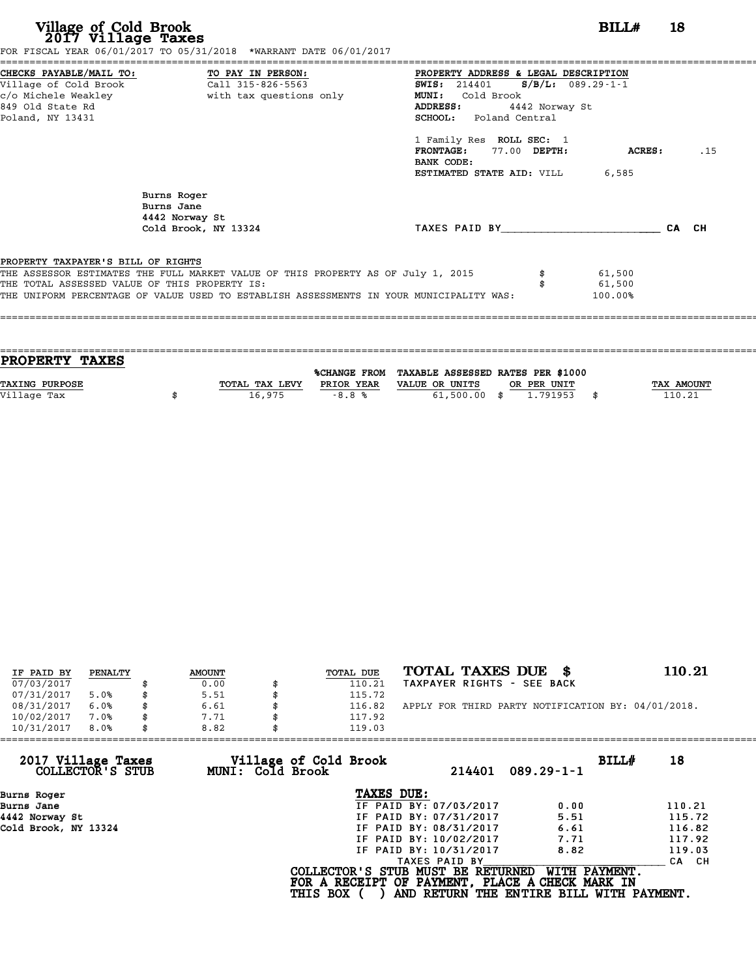| Village of Cold Brook<br>2017 Village Taxes                                         | FOR FISCAL YEAR 06/01/2017 TO 05/31/2018 *WARRANT DATE 06/01/2017                                                                                                           |                                                                                                                                                                                                                                                                                                                                              | $BILLH$ 18                  |     |
|-------------------------------------------------------------------------------------|-----------------------------------------------------------------------------------------------------------------------------------------------------------------------------|----------------------------------------------------------------------------------------------------------------------------------------------------------------------------------------------------------------------------------------------------------------------------------------------------------------------------------------------|-----------------------------|-----|
| Village of Cold Brook<br>849 Old State Rd<br>Poland, NY 13431                       | CHECKS PAYABLE/MAIL TO: TO PAY IN PERSON:<br>Call 315-826-5563                                                                                                              | ====================<br><b>PROPERTY ADDRESS &amp; LEGAL DESCRIPTION</b><br><b>SWIS:</b> 214401 <b>S/B/L:</b> 089.29-1-1<br>Cold Brook<br><b>MUNI:</b><br>ADDRESS:<br>4442 Norway St<br><b>SCHOOL:</b> Poland Central<br>1 Family Res ROLL SEC: 1<br><b>FRONTAGE:</b><br>77.00 DEPTH:<br>BANK CODE:<br><b>ESTIMATED STATE AID:</b> VILL 6,585 | <b>ACRES:</b>               | .15 |
|                                                                                     | Burns Roger<br>Burns Jane<br>4442 Norway St<br>Cold Brook, NY 13324                                                                                                         | TAXES PAID BY CA CH                                                                                                                                                                                                                                                                                                                          |                             |     |
| PROPERTY TAXPAYER'S BILL OF RIGHTS<br>THE TOTAL ASSESSED VALUE OF THIS PROPERTY IS: | THE ASSESSOR ESTIMATES THE FULL MARKET VALUE OF THIS PROPERTY AS OF July 1, 2015<br>THE UNIFORM PERCENTAGE OF VALUE USED TO ESTABLISH ASSESSMENTS IN YOUR MUNICIPALITY WAS: |                                                                                                                                                                                                                                                                                                                                              | 61,500<br>61,500<br>100.00% |     |

| <b>PROPERTY TAXES</b> |                |            |                                                |             |                   |
|-----------------------|----------------|------------|------------------------------------------------|-------------|-------------------|
|                       |                |            |                                                |             |                   |
|                       |                |            | %CHANGE FROM TAXABLE ASSESSED RATES PER \$1000 |             |                   |
| <b>TAXING PURPOSE</b> | TOTAL TAX LEVY | PRIOR YEAR | VALUE OR UNITS                                 | OR PER UNIT | <b>TAX AMOUNT</b> |
| Village Tax           | 16,975         | $-8.8%$    | $61,500.00$ \$                                 | 1.791953    | 110.21            |
|                       |                |            |                                                |             |                   |
|                       |                |            |                                                |             |                   |

| IF PAID BY | PENALTY | <b>AMOUNT</b> | TOTAL DUE | TOTAL TAXES DUE \$                                 | 110.21 |
|------------|---------|---------------|-----------|----------------------------------------------------|--------|
| 07/03/2017 |         | 0.00          | 110.21    | TAXPAYER RIGHTS - SEE BACK                         |        |
| 07/31/2017 | 5.0%    | \$<br>5.51    | 115.72    |                                                    |        |
| 08/31/2017 | 6.0%    | \$<br>6.61    | 116.82    | APPLY FOR THIRD PARTY NOTIFICATION BY: 04/01/2018. |        |
| 10/02/2017 | 7.0%    | \$<br>7.71    | 117.92    |                                                    |        |
| 10/31/2017 | 8.0%    | \$<br>8.82    | 119.03    |                                                    |        |
|            |         |               |           |                                                    |        |

| 8.82 | 119.03          |                                           |                                                                                                                                                               |                                                                                                                                  |
|------|-----------------|-------------------------------------------|---------------------------------------------------------------------------------------------------------------------------------------------------------------|----------------------------------------------------------------------------------------------------------------------------------|
|      |                 | 214401                                    | BILLH<br>$089.29 - 1 - 1$                                                                                                                                     | 18                                                                                                                               |
|      |                 |                                           |                                                                                                                                                               |                                                                                                                                  |
|      |                 |                                           | 0.00                                                                                                                                                          | 110.21                                                                                                                           |
|      |                 |                                           | 5.51                                                                                                                                                          | 115.72                                                                                                                           |
|      |                 |                                           | 6.61                                                                                                                                                          | 116.82                                                                                                                           |
|      |                 |                                           | 7.71                                                                                                                                                          | 117.92                                                                                                                           |
|      |                 |                                           | 8.82                                                                                                                                                          | 119.03                                                                                                                           |
|      |                 |                                           |                                                                                                                                                               | CA CH                                                                                                                            |
|      | <b>THIS BOX</b> |                                           | WITH PAYMENT.                                                                                                                                                 |                                                                                                                                  |
|      |                 | Village of Cold Brook<br>MUNI: Cold Brook | TAXES DUE:<br>IF PAID BY: 07/03/2017<br>IF PAID BY: 07/31/2017<br>IF PAID BY: 08/31/2017<br>IF PAID BY: 10/02/2017<br>IF PAID BY: 10/31/2017<br>TAXES PAID BY | COLLECTOR'S STUB MUST BE RETURNED<br>FOR A RECEIPT OF PAYMENT, PLACE A CHECK MARK IN<br>AND RETURN THE ENTIRE BILL WITH PAYMENT. |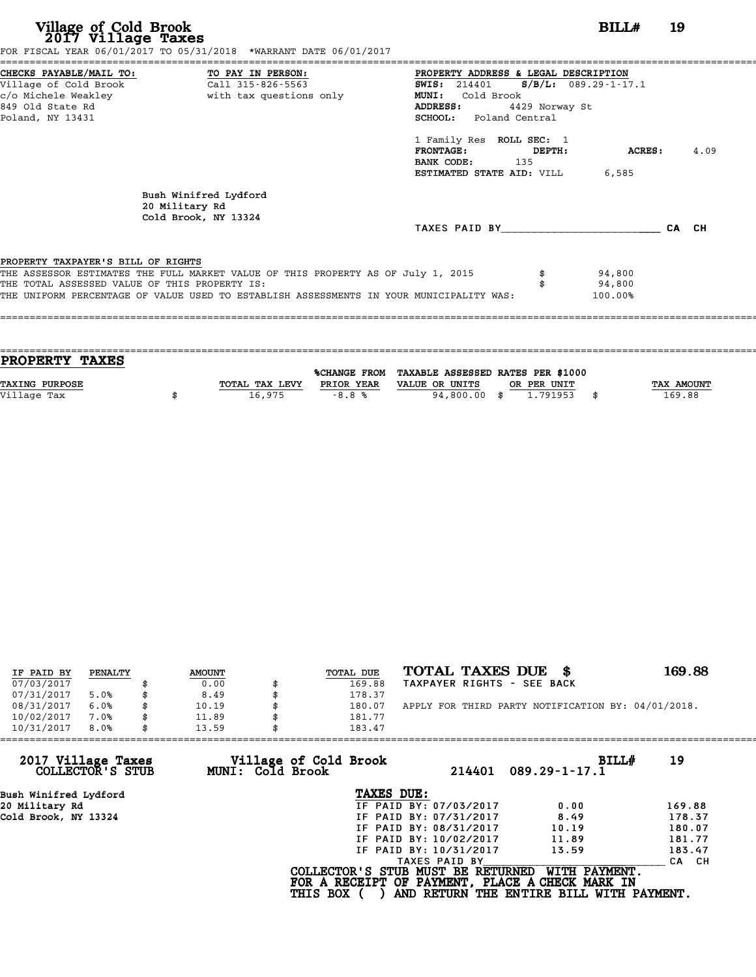| Village of Cold Brook<br>2017 Village Taxes                                                                | FOR FISCAL YEAR 06/01/2017 TO 05/31/2018 *WARRANT DATE 06/01/2017                                                                                                           |                                                                                                                                                                                                                                                                                       | BILL#                       | 19 |      |
|------------------------------------------------------------------------------------------------------------|-----------------------------------------------------------------------------------------------------------------------------------------------------------------------------|---------------------------------------------------------------------------------------------------------------------------------------------------------------------------------------------------------------------------------------------------------------------------------------|-----------------------------|----|------|
| CHECKS PAYABLE/MAIL TO: TO PAY IN PERSON:<br>Village of Cold Brook<br>849 Old State Rd<br>Poland, NY 13431 | Call 315-826-5563                                                                                                                                                           | PROPERTY ADDRESS & LEGAL DESCRIPTION<br>SWIS: 214401 S/B/L: 089.29-1-17.1<br>Cold Brook<br><b>MUNI:</b><br>4429 Norway St<br>ADDRESS:<br>SCHOOL: Poland Central<br>1 Family Res ROLL SEC: 1<br><b>FRONTAGE:</b><br>DEPTH:<br>BANK CODE: 135<br><b>ESTIMATED STATE AID:</b> VILL 6,585 | ACRES :                     |    | 4.09 |
|                                                                                                            | Bush Winifred Lydford<br>20 Military Rd<br>Cold Brook, NY 13324                                                                                                             | TAXES PAID BY CA CH                                                                                                                                                                                                                                                                   |                             |    |      |
| PROPERTY TAXPAYER'S BILL OF RIGHTS<br>THE TOTAL ASSESSED VALUE OF THIS PROPERTY IS:                        | THE ASSESSOR ESTIMATES THE FULL MARKET VALUE OF THIS PROPERTY AS OF July 1, 2015<br>THE UNIFORM PERCENTAGE OF VALUE USED TO ESTABLISH ASSESSMENTS IN YOUR MUNICIPALITY WAS: |                                                                                                                                                                                                                                                                                       | 94,800<br>94,800<br>100.00% |    |      |

| PROPERTY TAXES        |                |              |                                   |              |
|-----------------------|----------------|--------------|-----------------------------------|--------------|
|                       |                |              |                                   |              |
|                       |                | %CHANGE FROM | TAXABLE ASSESSED RATES PER \$1000 |              |
| <b>TAXING PURPOSE</b> | TOTAL TAX LEVY | PRIOR YEAR   | VALUE OR UNITS<br>OR PER UNIT     | TAX AMOUNT   |
| Village Tax           | 16,975         | $-8.8%$      | 94,800.00 \$<br>1.791953          | \$<br>169.88 |
|                       |                |              |                                   |              |

| IF PAID BY | PENALTY |   | <b>AMOUNT</b> | TOTAL DUE | TOTAL TAXES DUE<br>- \$                            | 169.88 |
|------------|---------|---|---------------|-----------|----------------------------------------------------|--------|
| 07/03/2017 |         |   | 0.00          | 169.88    | TAXPAYER RIGHTS - SEE BACK                         |        |
| 07/31/2017 | 5.0%    |   | 8.49          | 178.37    |                                                    |        |
| 08/31/2017 | 6.0%    |   | 10.19         | 180.07    | APPLY FOR THIRD PARTY NOTIFICATION BY: 04/01/2018. |        |
| 10/02/2017 | 7.0%    |   | 11.89         | 181.77    |                                                    |        |
| 10/31/2017 | 8.0%    | S | 13.59         | 183.47    |                                                    |        |

| 183.47                 |                                                              |                                                                                                                                  |
|------------------------|--------------------------------------------------------------|----------------------------------------------------------------------------------------------------------------------------------|
| 214401                 | BILLH<br>$089.29 - 1 - 17.1$                                 | 19                                                                                                                               |
| TAXES DUE:             |                                                              |                                                                                                                                  |
| IF PAID BY: 07/03/2017 | 0.00                                                         | 169.88                                                                                                                           |
| IF PAID BY: 07/31/2017 | 8.49                                                         | 178.37                                                                                                                           |
| IF PAID BY: 08/31/2017 | 10.19                                                        | 180.07                                                                                                                           |
| IF PAID BY: 10/02/2017 | 11.89                                                        | 181.77                                                                                                                           |
| IF PAID BY: 10/31/2017 | 13.59                                                        | 183.47                                                                                                                           |
| TAXES PAID BY          |                                                              | CA CH                                                                                                                            |
|                        | WITH PAYMENT.                                                |                                                                                                                                  |
| 13.59                  | Village of Cold Brook<br>MUNI: Cold Brook<br><b>THIS BOX</b> | COLLECTOR'S STUB MUST BE RETURNED<br>FOR A RECEIPT OF PAYMENT, PLACE A CHECK MARK IN<br>AND RETURN THE ENTIRE BILL WITH PAYMENT. |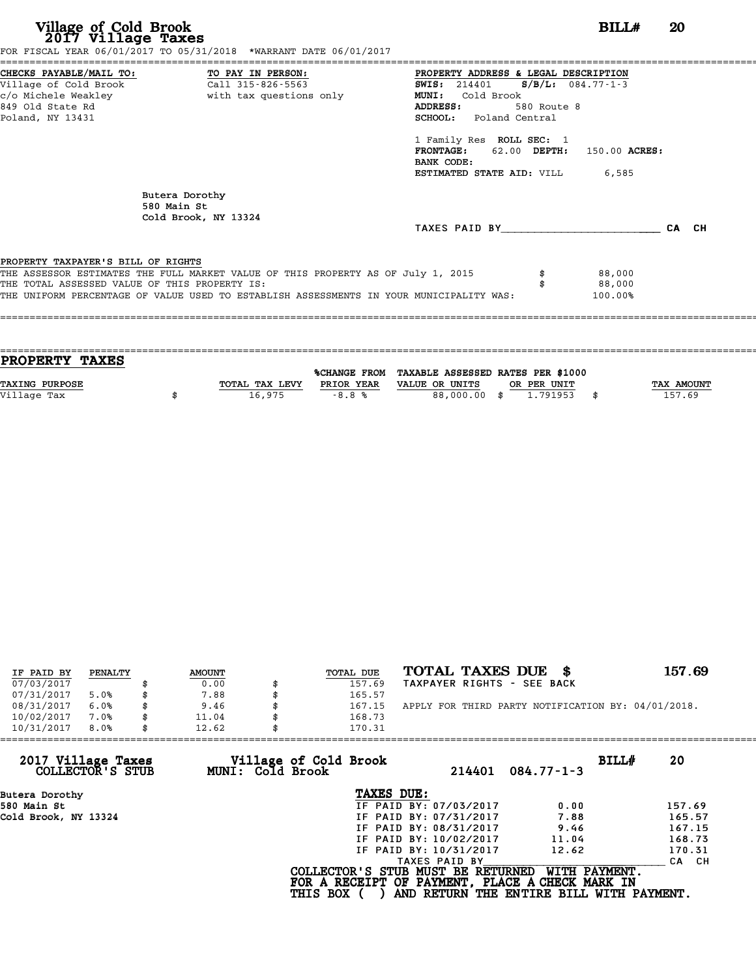| Village of Cold Brook<br>2017 Village Taxes                                         | FOR FISCAL YEAR 06/01/2017 TO 05/31/2018 *WARRANT DATE 06/01/2017                                                                                                           |                                                                                                                                                                                                                                                                                                              | BILL#                       | <b>20</b> |
|-------------------------------------------------------------------------------------|-----------------------------------------------------------------------------------------------------------------------------------------------------------------------------|--------------------------------------------------------------------------------------------------------------------------------------------------------------------------------------------------------------------------------------------------------------------------------------------------------------|-----------------------------|-----------|
| Village of Cold Brook<br>849 Old State Rd<br>Poland, NY 13431                       | CHECKS PAYABLE/MAIL TO: TO PAY IN PERSON:<br>Call 315-826-5563<br>c/o Michele Weakley                       with tax questions only                                         | PROPERTY ADDRESS & LEGAL DESCRIPTION<br>$S/B/L: 084.77 - 1 - 3$<br><b>SWIS:</b> 214401<br><b>MUNI:</b><br>Cold Brook<br>ADDRESS:<br>580 Route 8<br><b>SCHOOL:</b> Poland Central<br>1 Family Res ROLL SEC: 1<br>FRONTAGE: 62.00 DEPTH: 150.00 ACRES:<br>BANK CODE:<br><b>ESTIMATED STATE AID:</b> VILL 6,585 |                             |           |
|                                                                                     | Butera Dorothy<br>580 Main St<br>Cold Brook, NY 13324                                                                                                                       | TAXES PAID BY                                                                                                                                                                                                                                                                                                |                             | CA CH     |
| PROPERTY TAXPAYER'S BILL OF RIGHTS<br>THE TOTAL ASSESSED VALUE OF THIS PROPERTY IS: | THE ASSESSOR ESTIMATES THE FULL MARKET VALUE OF THIS PROPERTY AS OF July 1, 2015<br>THE UNIFORM PERCENTAGE OF VALUE USED TO ESTABLISH ASSESSMENTS IN YOUR MUNICIPALITY WAS: |                                                                                                                                                                                                                                                                                                              | 88,000<br>88,000<br>100.00% |           |

| <b>PROPERTY TAXES</b> |                |                     |                                   |             |            |
|-----------------------|----------------|---------------------|-----------------------------------|-------------|------------|
|                       |                | <b>%CHANGE FROM</b> | TAXABLE ASSESSED RATES PER \$1000 |             |            |
|                       |                |                     |                                   |             |            |
| <b>TAXING PURPOSE</b> | TOTAL TAX LEVY | PRIOR YEAR          | VALUE OR UNITS                    | OR PER UNIT | TAX AMOUNT |
| Village Tax           | 16,975         | $-8.8%$             | 88,000.00 \$                      | 1.791953    | 157.69     |
|                       |                |                     |                                   |             |            |

| IF PAID BY | PENALTY | <b>AMOUNT</b> | <b>TOTAL DUE</b> | TOTAL TAXES DUE \$                                 | 157.69 |
|------------|---------|---------------|------------------|----------------------------------------------------|--------|
| 07/03/2017 |         | 0.00          | 157.69           | TAXPAYER RIGHTS - SEE BACK                         |        |
| 07/31/2017 | 5.0%    | 7.88          | 165.57           |                                                    |        |
| 08/31/2017 | 6.0%    | \$<br>9.46    | 167.15           | APPLY FOR THIRD PARTY NOTIFICATION BY: 04/01/2018. |        |
| 10/02/2017 | 7.0%    | \$<br>11.04   | 168.73           |                                                    |        |
| 10/31/2017 | 8.0%    | \$<br>12.62   | 170.31           |                                                    |        |

| 10/31/2017<br>8.0%<br>12.62            | 170.31                                    |                                                                                      |                                                           |        |
|----------------------------------------|-------------------------------------------|--------------------------------------------------------------------------------------|-----------------------------------------------------------|--------|
| 2017 Village Taxes<br>COLLECTOR'S STUB | Village of Cold Brook<br>MUNI: Cold Brook | 214401                                                                               | BILL#<br>$084.77 - 1 - 3$                                 | 20     |
| Butera Dorothy                         |                                           | TAXES DUE:                                                                           |                                                           |        |
| 580 Main St                            |                                           | IF PAID BY: 07/03/2017                                                               | 0.00                                                      | 157.69 |
| Cold Brook, NY 13324                   |                                           | IF PAID BY: 07/31/2017                                                               | 7.88                                                      | 165.57 |
|                                        |                                           | IF PAID BY: 08/31/2017                                                               | 9.46                                                      | 167.15 |
|                                        |                                           | IF PAID BY: 10/02/2017                                                               | 11.04                                                     | 168.73 |
|                                        |                                           | IF PAID BY: 10/31/2017                                                               | 12.62                                                     | 170.31 |
|                                        |                                           | TAXES PAID BY                                                                        |                                                           | CA CH  |
|                                        | <b>THIS BOX</b>                           | COLLECTOR'S STUB MUST BE RETURNED<br>FOR A RECEIPT OF PAYMENT, PLACE A CHECK MARK IN | WITH PAYMENT.<br>AND RETURN THE ENTIRE BILL WITH PAYMENT. |        |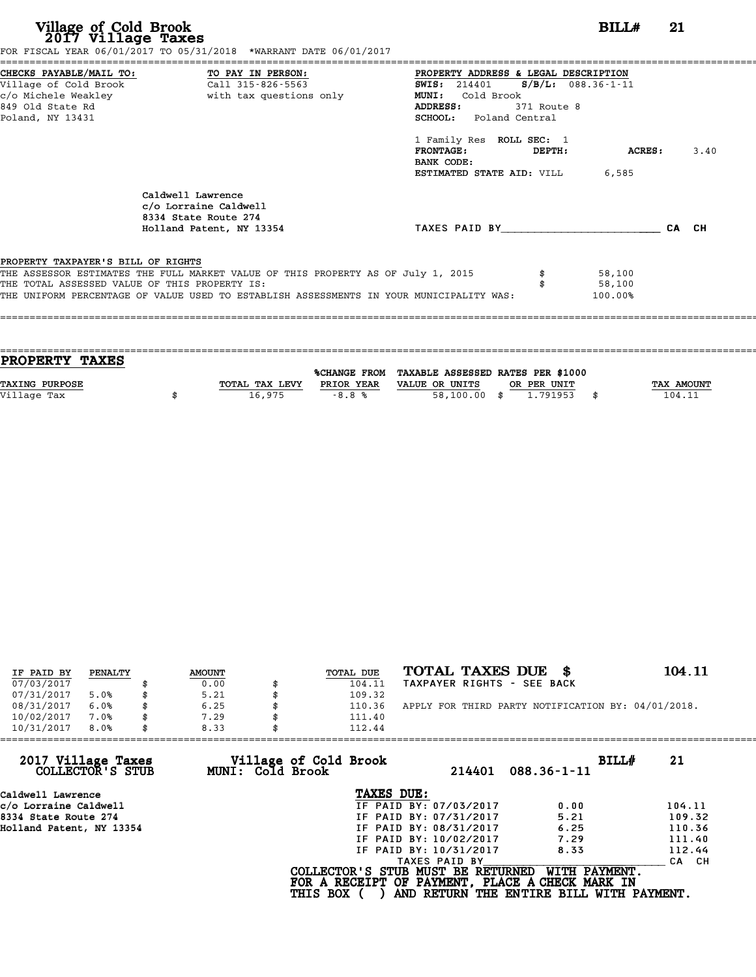| Village of Cold Brook<br>2017 Village Taxes                   | FOR FISCAL YEAR 06/01/2017 TO 05/31/2018 *WARRANT DATE 06/01/2017                                                                                                                                                            |                                                                                                                                                                                                                                                                                                   | BILLH                       | -21   |      |
|---------------------------------------------------------------|------------------------------------------------------------------------------------------------------------------------------------------------------------------------------------------------------------------------------|---------------------------------------------------------------------------------------------------------------------------------------------------------------------------------------------------------------------------------------------------------------------------------------------------|-----------------------------|-------|------|
| Village of Cold Brook<br>849 Old State Rd<br>Poland, NY 13431 | CHECKS PAYABLE/MAIL TO: TO PAY IN PERSON:<br>Call 315-826-5563                                                                                                                                                               | PROPERTY ADDRESS & LEGAL DESCRIPTION<br><b>SWIS:</b> 214401 <b>S/B/L:</b> 088.36-1-11<br><b>MUNI:</b><br>Cold Brook<br>ADDRESS:<br>371 Route 8<br><b>SCHOOL:</b> Poland Central<br>1 Family Res ROLL SEC: 1<br><b>FRONTAGE:</b><br>DEPTH:<br>BANK CODE:<br><b>ESTIMATED STATE AID: VILL 6,585</b> | ACRES :                     |       | 3.40 |
|                                                               | Caldwell Lawrence<br>c/o Lorraine Caldwell<br>8334 State Route 274<br>Holland Patent, NY 13354                                                                                                                               | TAXES PAID BY TAXES PAID BY                                                                                                                                                                                                                                                                       |                             | CA CH |      |
| PROPERTY TAXPAYER'S BILL OF RIGHTS                            | THE ASSESSOR ESTIMATES THE FULL MARKET VALUE OF THIS PROPERTY AS OF July 1, 2015<br>THE TOTAL ASSESSED VALUE OF THIS PROPERTY IS:<br>THE UNIFORM PERCENTAGE OF VALUE USED TO ESTABLISH ASSESSMENTS IN YOUR MUNICIPALITY WAS: |                                                                                                                                                                                                                                                                                                   | 58,100<br>58,100<br>100.00% |       |      |

| PROPERTY TAXES        |                |            |                                                |             |                   |
|-----------------------|----------------|------------|------------------------------------------------|-------------|-------------------|
|                       |                |            | %CHANGE FROM TAXABLE ASSESSED RATES PER \$1000 |             |                   |
| <b>TAXING PURPOSE</b> | TOTAL TAX LEVY | PRIOR YEAR | VALUE OR UNITS                                 | OR PER UNIT | <b>TAX AMOUNT</b> |
| Village Tax           | 16,975         | $-8.8%$    | 58,100.00 \$                                   | 1.791953    | 104.11            |
|                       |                |            |                                                |             |                   |

| IF PAID BY | PENALTY | <b>AMOUNT</b> | TOTAL DUE | TOTAL TAXES DUE \$                                 | 104.11 |
|------------|---------|---------------|-----------|----------------------------------------------------|--------|
| 07/03/2017 |         | 0.00          | 104.11    | TAXPAYER RIGHTS - SEE BACK                         |        |
| 07/31/2017 | 5.0%    | 5.21          | 109.32    |                                                    |        |
| 08/31/2017 | 6.0%    | \$<br>6.25    | 110.36    | APPLY FOR THIRD PARTY NOTIFICATION BY: 04/01/2018. |        |
| 10/02/2017 | 7.0%    | 7.29          | 111.40    |                                                    |        |
| 10/31/2017 | 8.0%    | \$<br>8.33    | 112.44    |                                                    |        |

| 112.44          |                                           |                                                                                                                                              |                                                                                                                                  |
|-----------------|-------------------------------------------|----------------------------------------------------------------------------------------------------------------------------------------------|----------------------------------------------------------------------------------------------------------------------------------|
|                 | 214401                                    | BILLH<br>$088.36 - 1 - 11$                                                                                                                   | 21                                                                                                                               |
|                 |                                           |                                                                                                                                              |                                                                                                                                  |
|                 |                                           | 0.00                                                                                                                                         | 104.11                                                                                                                           |
|                 |                                           | 5.21                                                                                                                                         | 109.32                                                                                                                           |
|                 |                                           | 6.25                                                                                                                                         | 110.36                                                                                                                           |
|                 |                                           | 7.29                                                                                                                                         | 111.40                                                                                                                           |
|                 |                                           | 8.33                                                                                                                                         | 112.44                                                                                                                           |
|                 | TAXES PAID BY                             |                                                                                                                                              | CA CH                                                                                                                            |
| <b>THIS BOX</b> |                                           | WITH PAYMENT.                                                                                                                                |                                                                                                                                  |
|                 | Village of Cold Brook<br>MUNI: Cold Brook | TAXES DUE:<br>IF PAID BY: 07/03/2017<br>IF PAID BY: 07/31/2017<br>IF PAID BY: 08/31/2017<br>IF PAID BY: 10/02/2017<br>IF PAID BY: 10/31/2017 | COLLECTOR'S STUB MUST BE RETURNED<br>FOR A RECEIPT OF PAYMENT, PLACE A CHECK MARK IN<br>AND RETURN THE ENTIRE BILL WITH PAYMENT. |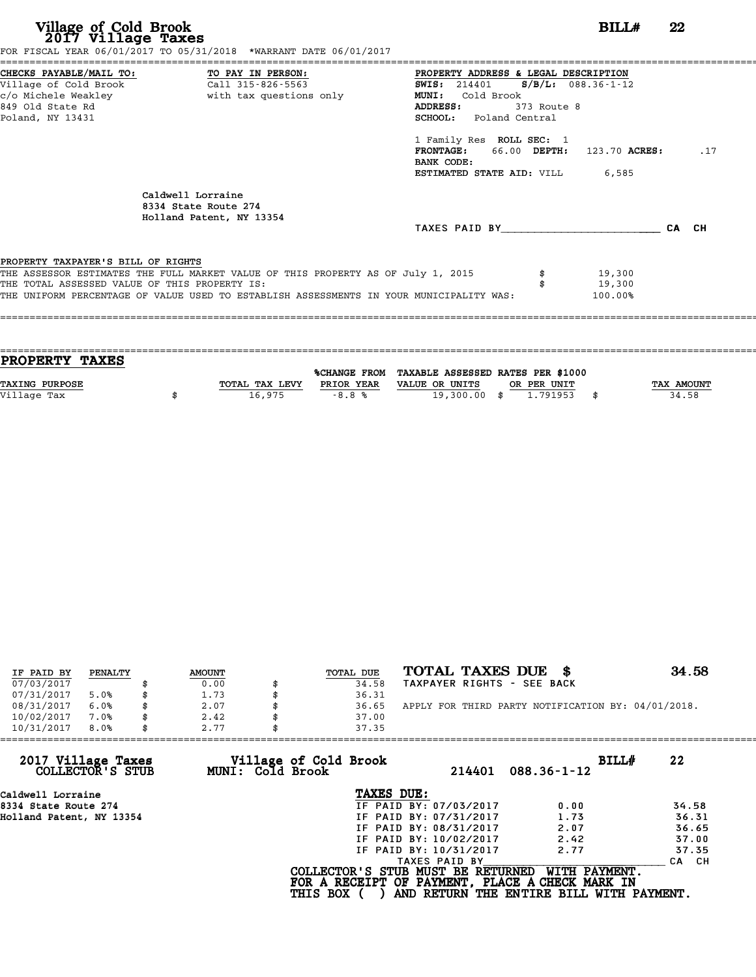| Village of Cold Brook<br>2017 Village Taxes                                                           | FOR FISCAL YEAR 06/01/2017 TO 05/31/2018 *WARRANT DATE 06/01/2017                                                                                                           | BILLH                                                                                                                                                                                                                                                                                                 | 22 |     |
|-------------------------------------------------------------------------------------------------------|-----------------------------------------------------------------------------------------------------------------------------------------------------------------------------|-------------------------------------------------------------------------------------------------------------------------------------------------------------------------------------------------------------------------------------------------------------------------------------------------------|----|-----|
| ------------------------------------<br>Village of Cold Brook<br>849 Old State Rd<br>Poland, NY 13431 | CHECKS PAYABLE/MAIL TO: TO PAY IN PERSON:<br>Call 315-826-5563                                                                                                              | PROPERTY ADDRESS & LEGAL DESCRIPTION<br>SWIS: $214401$ S/B/L: $088.36 - 1 - 12$<br>Cold Brook<br><b>MUNI:</b><br>ADDRESS:<br>373 Route 8<br><b>SCHOOL:</b> Poland Central<br>1 Family Res ROLL SEC: 1<br>FRONTAGE: 66.00 DEPTH: 123.70 ACRES:<br>BANK CODE:<br><b>ESTIMATED STATE AID:</b> VILL 6,585 |    | .17 |
|                                                                                                       | Caldwell Lorraine<br>8334 State Route 274<br>Holland Patent, NY 13354                                                                                                       | TAXES PAID BY CA CH                                                                                                                                                                                                                                                                                   |    |     |
| PROPERTY TAXPAYER'S BILL OF RIGHTS<br>THE TOTAL ASSESSED VALUE OF THIS PROPERTY IS:                   | THE ASSESSOR ESTIMATES THE FULL MARKET VALUE OF THIS PROPERTY AS OF July 1, 2015<br>THE UNIFORM PERCENTAGE OF VALUE USED TO ESTABLISH ASSESSMENTS IN YOUR MUNICIPALITY WAS: | 19,300<br>19,300<br>100.00%                                                                                                                                                                                                                                                                           |    |     |

| TAX AMOUNT |
|------------|
| 34.58      |
|            |
|            |

| IF PAID BY | PENALTY | <b>AMOUNT</b> | TOTAL DUE | TOTAL TAXES DUE \$                                 | 34.58 |
|------------|---------|---------------|-----------|----------------------------------------------------|-------|
| 07/03/2017 |         | 0.00          | 34.58     | TAXPAYER RIGHTS - SEE BACK                         |       |
| 07/31/2017 | 5.0%    | 1.73          | 36.31     |                                                    |       |
| 08/31/2017 | 6.0%    | 2.07          | 36.65     | APPLY FOR THIRD PARTY NOTIFICATION BY: 04/01/2018. |       |
| 10/02/2017 | 7.0%    | 2.42          | 37.00     |                                                    |       |
| 10/31/2017 | 8.0%    | 2.77          | 37.35     |                                                    |       |

| 2.77 | 37.35         |                                                              |                                                                                                                                                                                                                                                                                               |
|------|---------------|--------------------------------------------------------------|-----------------------------------------------------------------------------------------------------------------------------------------------------------------------------------------------------------------------------------------------------------------------------------------------|
|      |               | BILLH<br>$088.36 - 1 - 12$                                   | 22                                                                                                                                                                                                                                                                                            |
|      | TAXES DUE:    |                                                              |                                                                                                                                                                                                                                                                                               |
|      |               | 0.00                                                         | 34.58                                                                                                                                                                                                                                                                                         |
|      |               | 1.73                                                         | 36.31                                                                                                                                                                                                                                                                                         |
|      |               | 2.07                                                         | 36.65                                                                                                                                                                                                                                                                                         |
|      |               | 2.42                                                         | 37.00                                                                                                                                                                                                                                                                                         |
|      |               | 2.77                                                         | 37.35                                                                                                                                                                                                                                                                                         |
|      | TAXES PAID BY |                                                              | CA CH                                                                                                                                                                                                                                                                                         |
|      |               |                                                              |                                                                                                                                                                                                                                                                                               |
|      |               | Village of Cold Brook<br>MUNI: Cold Brook<br><b>THIS BOX</b> | 214401<br>IF PAID BY: 07/03/2017<br>IF PAID BY: 07/31/2017<br>IF PAID BY: 08/31/2017<br>IF PAID BY: 10/02/2017<br>IF PAID BY: 10/31/2017<br>WITH PAYMENT.<br>COLLECTOR'S STUB MUST BE RETURNED<br>FOR A RECEIPT OF PAYMENT, PLACE A CHECK MARK IN<br>AND RETURN THE ENTIRE BILL WITH PAYMENT. |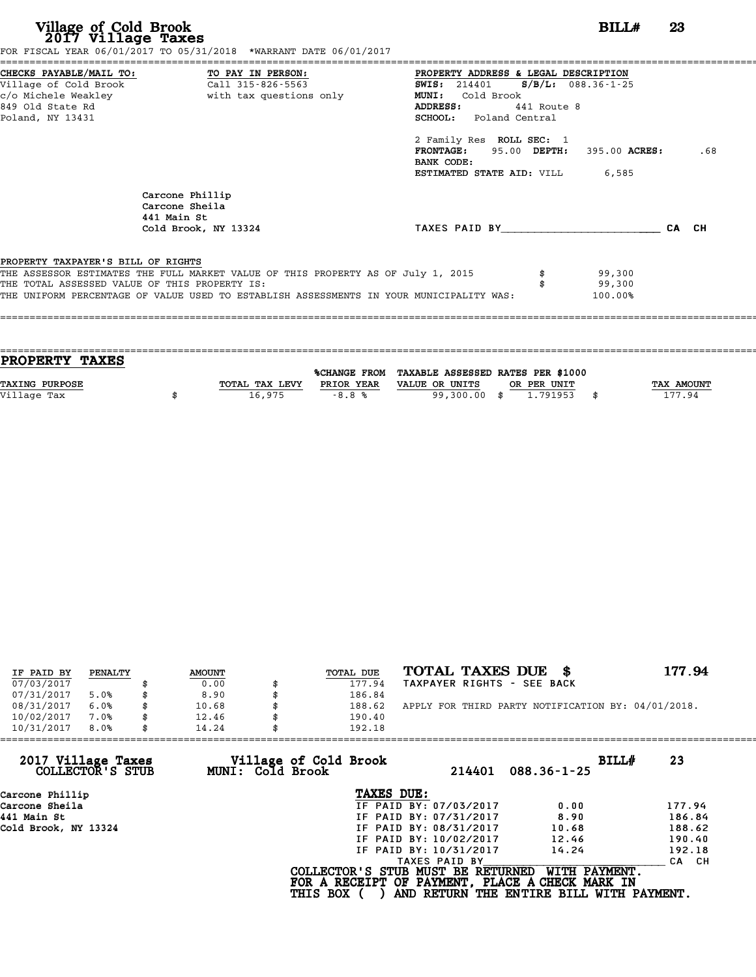| Village of Cold Brook<br>2017 Village Taxes                                                                     | FOR FISCAL YEAR 06/01/2017 TO 05/31/2018 *WARRANT DATE 06/01/2017                       | BILL#                                                                                                                                                        | 23    |
|-----------------------------------------------------------------------------------------------------------------|-----------------------------------------------------------------------------------------|--------------------------------------------------------------------------------------------------------------------------------------------------------------|-------|
| CHECKS PAYABLE/MAIL TO:<br>Village of Cold Brook<br>c/o Michele Weakley<br>849 Old State Rd<br>Poland, NY 13431 | TO PAY IN PERSON:<br>Call 315-826-5563<br>with tax questions only                       | PROPERTY ADDRESS & LEGAL DESCRIPTION<br>$S/B/L: 088.36-1-25$<br><b>SWIS:</b> 214401<br>MUNI: Cold Brook<br>ADDRESS:<br>441 Route 8<br>SCHOOL: Poland Central |       |
|                                                                                                                 |                                                                                         | 2 Family Res ROLL SEC: 1<br>FRONTAGE: 95.00 DEPTH:<br>395.00 ACRES:<br>BANK CODE:<br>ESTIMATED STATE AID: VILL<br>6,585                                      | .68   |
|                                                                                                                 | Carcone Phillip<br>Carcone Sheila<br>441 Main St                                        |                                                                                                                                                              |       |
|                                                                                                                 | Cold Brook, NY 13324                                                                    | TAXES PAID BY TAXES PAID BY                                                                                                                                  | CA CH |
| PROPERTY TAXPAYER'S BILL OF RIGHTS                                                                              |                                                                                         |                                                                                                                                                              |       |
|                                                                                                                 | THE ASSESSOR ESTIMATES THE FULL MARKET VALUE OF THIS PROPERTY AS OF July 1, 2015        | 99,300                                                                                                                                                       |       |
| THE TOTAL ASSESSED VALUE OF THIS PROPERTY IS:                                                                   |                                                                                         | 99,300                                                                                                                                                       |       |
|                                                                                                                 | THE UNIFORM PERCENTAGE OF VALUE USED TO ESTABLISH ASSESSMENTS IN YOUR MUNICIPALITY WAS: | 100.00%                                                                                                                                                      |       |

| <b>PROPERTY TAXES</b> |                |            |                                                |             |                   |
|-----------------------|----------------|------------|------------------------------------------------|-------------|-------------------|
|                       |                |            | %CHANGE FROM TAXABLE ASSESSED RATES PER \$1000 |             |                   |
|                       |                |            |                                                |             |                   |
| <b>TAXING PURPOSE</b> | TOTAL TAX LEVY | PRIOR YEAR | VALUE OR UNITS                                 | OR PER UNIT | <b>TAX AMOUNT</b> |
| Village Tax           | 16,975         | $-8.8%$    | 99,300.00 \$                                   | 1.791953    | 177.94            |
|                       |                |            |                                                |             |                   |
|                       |                |            |                                                |             |                   |

| IF PAID BY | PENALTY | <b>AMOUNT</b> | <b>TOTAL DUE</b> | TOTAL TAXES DUE \$                                 | 177.94 |
|------------|---------|---------------|------------------|----------------------------------------------------|--------|
| 07/03/2017 |         | 0.00          | 177.94           | TAXPAYER RIGHTS - SEE BACK                         |        |
| 07/31/2017 | 5.0%    | \$<br>8.90    | 186.84           |                                                    |        |
| 08/31/2017 | 6.0%    | \$<br>10.68   | 188.62           | APPLY FOR THIRD PARTY NOTIFICATION BY: 04/01/2018. |        |
| 10/02/2017 | 7.0%    | \$<br>12.46   | 190.40           |                                                    |        |
| 10/31/2017 | 8.0%    | \$<br>14.24   | 192.18           |                                                    |        |

| 14.24 |                        |                                                              |                                                                                                                                            |
|-------|------------------------|--------------------------------------------------------------|--------------------------------------------------------------------------------------------------------------------------------------------|
|       | 214401                 | BILLH<br>$088.36 - 1 - 25$                                   | 23                                                                                                                                         |
|       | TAXES DUE:             |                                                              |                                                                                                                                            |
|       | IF PAID BY: 07/03/2017 | 0.00                                                         | 177.94                                                                                                                                     |
|       | IF PAID BY: 07/31/2017 | 8.90                                                         | 186.84                                                                                                                                     |
|       | IF PAID BY: 08/31/2017 | 10.68                                                        | 188.62                                                                                                                                     |
|       | IF PAID BY: 10/02/2017 | 12.46                                                        | 190.40                                                                                                                                     |
|       | IF PAID BY: 10/31/2017 | 14.24                                                        | 192.18                                                                                                                                     |
|       | TAXES PAID BY          |                                                              | CA CH                                                                                                                                      |
|       |                        | WITH PAYMENT.                                                |                                                                                                                                            |
|       |                        | Village of Cold Brook<br>MUNI: Cold Brook<br><b>THIS BOX</b> | 192.18<br>COLLECTOR'S STUB MUST BE RETURNED<br>FOR A RECEIPT OF PAYMENT, PLACE A CHECK MARK IN<br>AND RETURN THE ENTIRE BILL WITH PAYMENT. |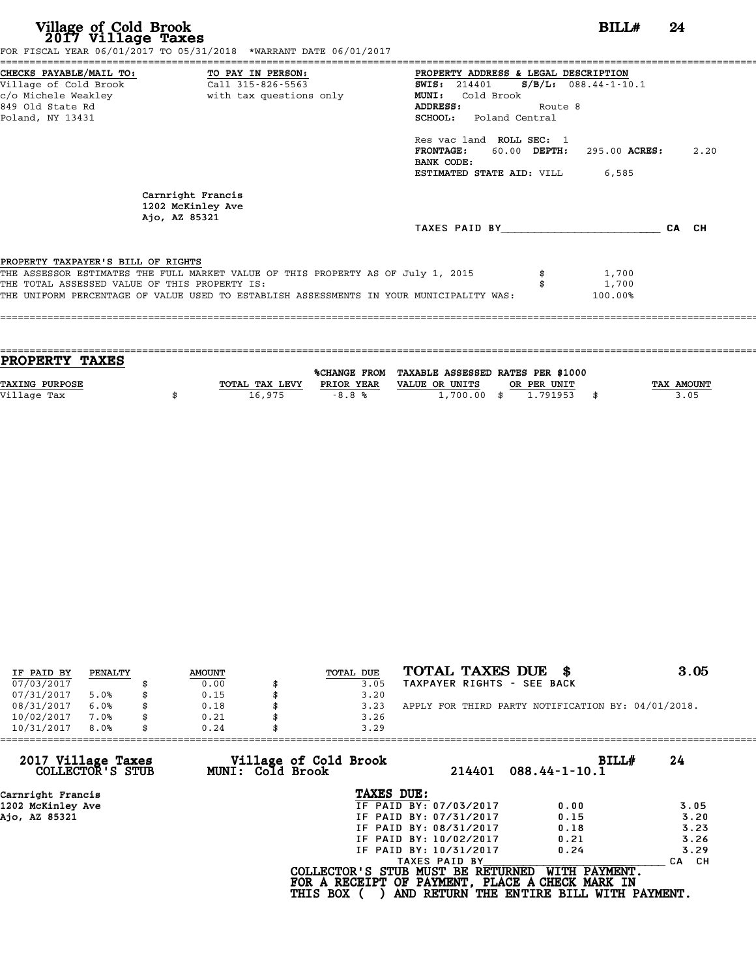| Village of Cold Brook<br>2017 Village Taxes                                              | FOR FISCAL YEAR 06/01/2017 TO 05/31/2018 *WARRANT DATE 06/01/2017                                                                                                           |                                                                                                                                                                                                                                                                           | BILLH                                    | 24   |
|------------------------------------------------------------------------------------------|-----------------------------------------------------------------------------------------------------------------------------------------------------------------------------|---------------------------------------------------------------------------------------------------------------------------------------------------------------------------------------------------------------------------------------------------------------------------|------------------------------------------|------|
| CHECKS PAYABLE/MAIL TO:<br>Village of Cold Brook<br>849 Old State Rd<br>Poland, NY 13431 | TO PAY IN PERSON:<br>Call 315-826-5563<br>c/o Michele Weakley The South tax questions only                                                                                  | PROPERTY ADDRESS & LEGAL DESCRIPTION<br><b>SWIS: 214401</b><br>Cold Brook<br>MUNI:<br><b>ADDRESS:</b><br>Route 8<br><b>SCHOOL:</b> Poland Central<br>Res vac land ROLL SEC: 1<br><b>FRONTAGE:</b><br>60.00 DEPTH:<br>BANK CODE:<br><b>ESTIMATED STATE AID:</b> VILL 6,585 | $S/B/L$ : 088.44-1-10.1<br>295.00 ACRES: | 2.20 |
|                                                                                          | Carnright Francis<br>1202 McKinley Ave<br>Ajo, AZ 85321                                                                                                                     | TAXES PAID BY CA CH                                                                                                                                                                                                                                                       |                                          |      |
| PROPERTY TAXPAYER'S BILL OF RIGHTS<br>THE TOTAL ASSESSED VALUE OF THIS PROPERTY IS:      | THE ASSESSOR ESTIMATES THE FULL MARKET VALUE OF THIS PROPERTY AS OF July 1, 2015<br>THE UNIFORM PERCENTAGE OF VALUE USED TO ESTABLISH ASSESSMENTS IN YOUR MUNICIPALITY WAS: |                                                                                                                                                                                                                                                                           | 1,700<br>1,700<br>100.00%                |      |

| <b>PROPERTY TAXES</b> |                |            |                                                |             |                   |
|-----------------------|----------------|------------|------------------------------------------------|-------------|-------------------|
|                       |                |            | %CHANGE FROM TAXABLE ASSESSED RATES PER \$1000 |             |                   |
|                       |                |            |                                                |             |                   |
| <b>TAXING PURPOSE</b> | TOTAL TAX LEVY | PRIOR YEAR | VALUE OR UNITS                                 | OR PER UNIT | <b>TAX AMOUNT</b> |
| Village Tax           | 16,975         | $-8.8%$    | $1,700.00$ \$                                  | 1.791953    | 3.05              |
|                       |                |            |                                                |             |                   |
|                       |                |            |                                                |             |                   |

| IF PAID BY | PENALTY | <b>AMOUNT</b> | TOTAL DUE | TOTAL TAXES DUE                                    | 3.05 |
|------------|---------|---------------|-----------|----------------------------------------------------|------|
| 07/03/2017 |         | 0.00          | 3.05      | TAXPAYER RIGHTS - SEE BACK                         |      |
| 07/31/2017 | 5.0%    | 0.15          | 3.20      |                                                    |      |
| 08/31/2017 | 6.0%    | 0.18          | 3.23      | APPLY FOR THIRD PARTY NOTIFICATION BY: 04/01/2018. |      |
| 10/02/2017 | 7.0%    | 0.21          | 3.26      |                                                    |      |
| 10/31/2017 | 8.0%    | 0.24          | 3.29      |                                                    |      |

| 214401                 | BILLH<br>$088.44 - 1 - 10.1$                                 | 24                                                                                                                                               |
|------------------------|--------------------------------------------------------------|--------------------------------------------------------------------------------------------------------------------------------------------------|
| TAXES DUE:             |                                                              |                                                                                                                                                  |
| IF PAID BY: 07/03/2017 | 0.00                                                         | 3.05                                                                                                                                             |
| IF PAID BY: 07/31/2017 | 0.15                                                         | 3.20                                                                                                                                             |
| IF PAID BY: 08/31/2017 | 0.18                                                         | 3.23                                                                                                                                             |
| IF PAID BY: 10/02/2017 | 0.21                                                         | 3.26                                                                                                                                             |
| IF PAID BY: 10/31/2017 | 0.24                                                         | 3.29                                                                                                                                             |
| TAXES PAID BY          |                                                              | CA CH                                                                                                                                            |
|                        | WITH PAYMENT.                                                |                                                                                                                                                  |
|                        | Village of Cold Brook<br>MUNI: Cold Brook<br><b>THIS BOX</b> | 0.24<br>3.29<br>COLLECTOR'S STUB MUST BE RETURNED<br>FOR A RECEIPT OF PAYMENT, PLACE A CHECK MARK IN<br>AND RETURN THE ENTIRE BILL WITH PAYMENT. |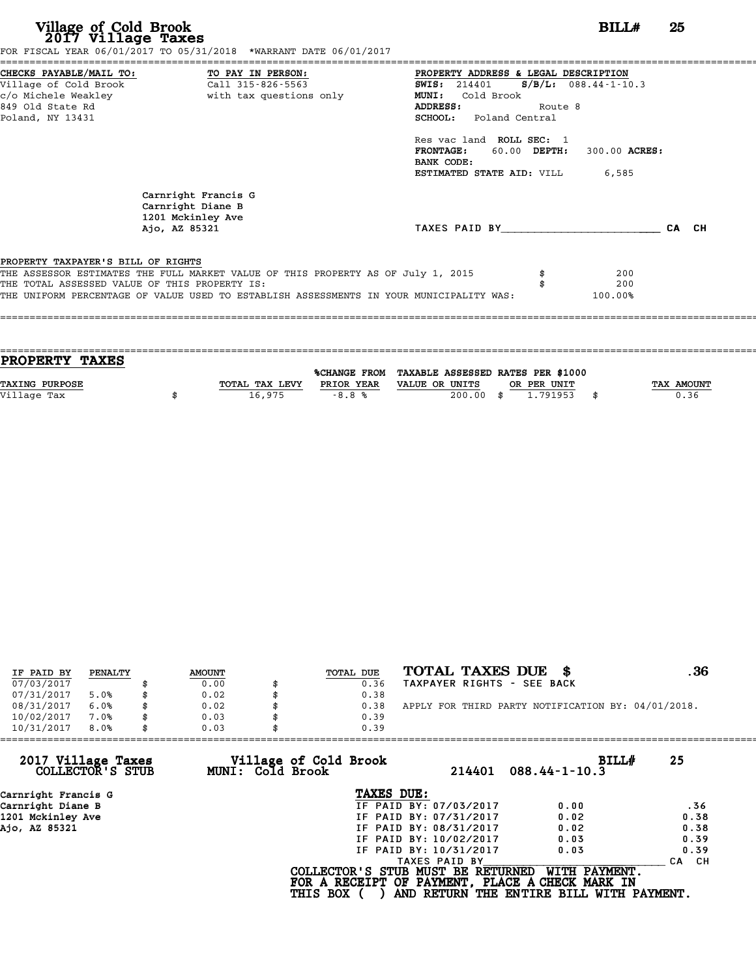**Village of Cold Brook**<br> **2017 Village Taxes**<br>
FOR FISCAL YEAR 06/01/2017 TO 05/31/2018 \*WARRANT DATE 06/01/2017<br> **POR FISCAL YEAR 06/01/2017** TO 05/31/2018 \*WARRANT DATE 06/01/2017

|                                               | CHECKS PAYABLE/MAIL TO: TO PAY IN PERSON:                                        | PROPERTY ADDRESS & LEGAL DESCRIPTION   |              |                         |  |
|-----------------------------------------------|----------------------------------------------------------------------------------|----------------------------------------|--------------|-------------------------|--|
| Village of Cold Brook                         | Call 315-826-5563                                                                | SWIS: 214401                           |              | $S/B/L$ : 088.44-1-10.3 |  |
| c/o Michele Weakley                           | with tax questions only                                                          | Cold Brook<br><b>MUNI:</b>             |              |                         |  |
| 849 Old State Rd                              |                                                                                  | ADDRESS:                               | Route 8      |                         |  |
| Poland, NY 13431                              |                                                                                  | <b>SCHOOL:</b> Poland Central          |              |                         |  |
|                                               |                                                                                  | Res vac land ROLL SEC: 1               |              |                         |  |
|                                               |                                                                                  | <b>FRONTAGE:</b>                       | 60.00 DEPTH: | 300.00 ACRES:           |  |
|                                               |                                                                                  | BANK CODE:                             |              |                         |  |
|                                               |                                                                                  | <b>ESTIMATED STATE AID:</b> VILL 6,585 |              |                         |  |
|                                               | Carnright Francis G<br>Carnright Diane B<br>1201 Mckinley Ave                    |                                        |              |                         |  |
|                                               | Ajo, AZ 85321                                                                    | TAXES PAID BY                          |              |                         |  |
|                                               |                                                                                  |                                        |              |                         |  |
|                                               |                                                                                  |                                        |              |                         |  |
| PROPERTY TAXPAYER'S BILL OF RIGHTS            |                                                                                  |                                        |              |                         |  |
| THE TOTAL ASSESSED VALUE OF THIS PROPERTY IS: | THE ASSESSOR ESTIMATES THE FULL MARKET VALUE OF THIS PROPERTY AS OF July 1, 2015 |                                        |              | 200<br>200              |  |

| <b>PROPERTY TAXES</b> |                |            |                                                |             |            |
|-----------------------|----------------|------------|------------------------------------------------|-------------|------------|
|                       |                |            |                                                |             |            |
|                       |                |            | %CHANGE FROM TAXABLE ASSESSED RATES PER \$1000 |             |            |
| <b>TAXING PURPOSE</b> | TOTAL TAX LEVY | PRIOR YEAR | VALUE OR UNITS                                 | OR PER UNIT | TAX AMOUNT |
| Village Tax           | 16,975         | $-8.8%$    | 200.00                                         | 1,791953    | \$<br>0.36 |
|                       |                |            |                                                |             |            |
|                       |                |            |                                                |             |            |

| IF PAID BY | PENALTY | <b>AMOUNT</b> | TOTAL DUE | TOTAL TAXES DUE \$                                 | . 36 |
|------------|---------|---------------|-----------|----------------------------------------------------|------|
| 07/03/2017 |         | 0.00          | 0.36      | TAXPAYER RIGHTS - SEE BACK                         |      |
| 07/31/2017 | 5.0%    | 0.02          | 0.38      |                                                    |      |
| 08/31/2017 | 6.0%    | \$<br>0.02    | 0.38      | APPLY FOR THIRD PARTY NOTIFICATION BY: 04/01/2018. |      |
| 10/02/2017 | 7.0%    | \$<br>0.03    | 0.39      |                                                    |      |
| 10/31/2017 | 8.0%    | 0.03          | 0.39      |                                                    |      |

| 214401                 | BILLH<br>$088.44 - 1 - 10.3$                                 | 25                                                                                                                                               |
|------------------------|--------------------------------------------------------------|--------------------------------------------------------------------------------------------------------------------------------------------------|
| TAXES DUE:             |                                                              |                                                                                                                                                  |
| IF PAID BY: 07/03/2017 | 0.00                                                         | .36                                                                                                                                              |
| IF PAID BY: 07/31/2017 | 0.02                                                         | 0.38                                                                                                                                             |
| IF PAID BY: 08/31/2017 | 0.02                                                         | 0.38                                                                                                                                             |
| IF PAID BY: 10/02/2017 | 0.03                                                         | 0.39                                                                                                                                             |
| IF PAID BY: 10/31/2017 | 0.03                                                         | 0.39                                                                                                                                             |
| TAXES PAID BY          |                                                              | CA CH                                                                                                                                            |
|                        | WITH PAYMENT.                                                |                                                                                                                                                  |
|                        | Village of Cold Brook<br>MUNI: Cold Brook<br><b>THIS BOX</b> | 0.03<br>0.39<br>COLLECTOR'S STUB MUST BE RETURNED<br>FOR A RECEIPT OF PAYMENT, PLACE A CHECK MARK IN<br>AND RETURN THE ENTIRE BILL WITH PAYMENT. |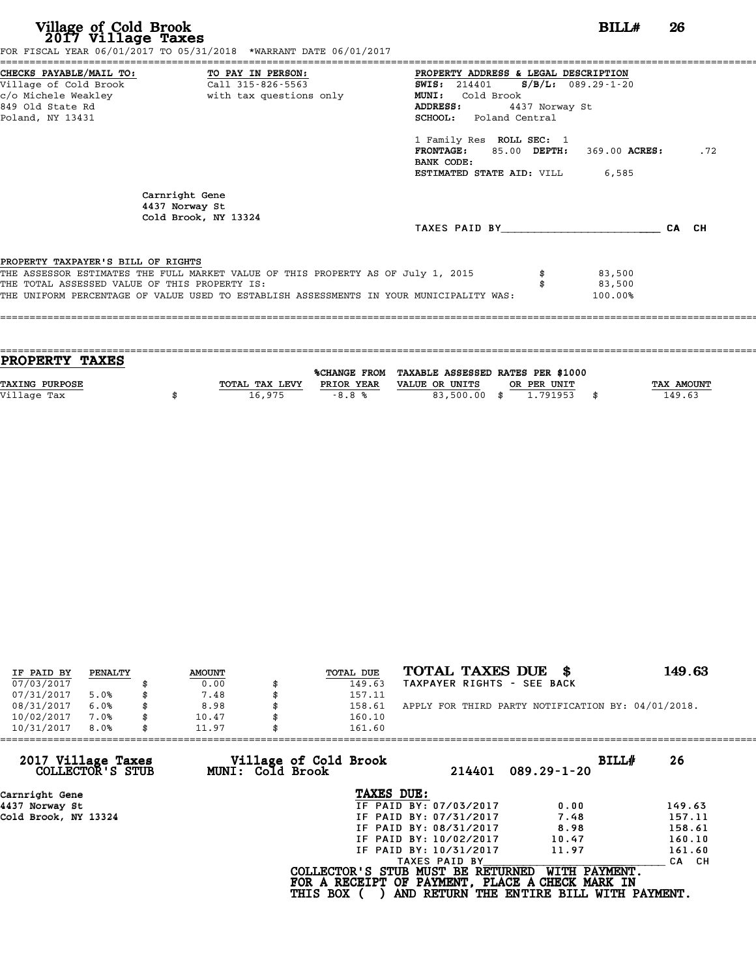| Village of Cold Brook<br>2017 Village Taxes                                         | FOR FISCAL YEAR 06/01/2017 TO 05/31/2018 *WARRANT DATE 06/01/2017                                                                                                           |                                                                                                                                                                                                                                                                                    | BILL#                       | 26  |
|-------------------------------------------------------------------------------------|-----------------------------------------------------------------------------------------------------------------------------------------------------------------------------|------------------------------------------------------------------------------------------------------------------------------------------------------------------------------------------------------------------------------------------------------------------------------------|-----------------------------|-----|
| Village of Cold Brook<br>849 Old State Rd<br>Poland, NY 13431                       | CHECKS PAYABLE/MAIL TO: TO PAY IN PERSON:<br>Call 315-826-5563                                                                                                              | PROPERTY ADDRESS & LEGAL DESCRIPTION<br>SWIS: 214401 S/B/L: 089.29-1-20<br><b>MUNI:</b><br>Cold Brook<br>ADDRESS:<br>4437 Norway St<br>SCHOOL: Poland Central<br>1 Family Res ROLL SEC: 1<br>FRONTAGE: 85.00 DEPTH: 369.00 ACRES:<br>BANK CODE:<br>ESTIMATED STATE AID: VILL 6,585 |                             | .72 |
|                                                                                     | Carnright Gene<br>4437 Norway St<br>Cold Brook, NY 13324                                                                                                                    | TAXES PAID BY CA CH                                                                                                                                                                                                                                                                |                             |     |
| PROPERTY TAXPAYER'S BILL OF RIGHTS<br>THE TOTAL ASSESSED VALUE OF THIS PROPERTY IS: | THE ASSESSOR ESTIMATES THE FULL MARKET VALUE OF THIS PROPERTY AS OF July 1, 2015<br>THE UNIFORM PERCENTAGE OF VALUE USED TO ESTABLISH ASSESSMENTS IN YOUR MUNICIPALITY WAS: |                                                                                                                                                                                                                                                                                    | 83,500<br>83,500<br>100.00% |     |

| TAX AMOUNT |
|------------|
|            |
|            |
|            |

| IF PAID BY | PENALTY | <b>AMOUNT</b> | TOTAL DUE | TOTAL TAXES DUE<br>- 8                             | 149.63 |
|------------|---------|---------------|-----------|----------------------------------------------------|--------|
| 07/03/2017 |         | 0.00          | 149.63    | TAXPAYER RIGHTS - SEE BACK                         |        |
| 07/31/2017 | 5.0%    | 7.48          | 157.11    |                                                    |        |
| 08/31/2017 | 6.0%    | 8.98          | 158.61    | APPLY FOR THIRD PARTY NOTIFICATION BY: 04/01/2018. |        |
| 10/02/2017 | 7.0%    | 10.47         | 160.10    |                                                    |        |
| 10/31/2017 | 8.0%    | 11.97         | 161.60    |                                                    |        |

| 161.60                                    |                             |                                                                                                                                                                                                                                                                                                   |
|-------------------------------------------|-----------------------------|---------------------------------------------------------------------------------------------------------------------------------------------------------------------------------------------------------------------------------------------------------------------------------------------------|
| Village of Cold Brook<br>MUNI: Cold Brook | 214401<br>$089.29 - 1 - 20$ | BILLH<br>26                                                                                                                                                                                                                                                                                       |
|                                           |                             |                                                                                                                                                                                                                                                                                                   |
|                                           | 0.00                        | 149.63                                                                                                                                                                                                                                                                                            |
|                                           | 7.48                        | 157.11                                                                                                                                                                                                                                                                                            |
|                                           | 8.98                        | 158.61                                                                                                                                                                                                                                                                                            |
|                                           | 10.47                       | 160.10                                                                                                                                                                                                                                                                                            |
|                                           | 11.97                       | 161.60                                                                                                                                                                                                                                                                                            |
|                                           | TAXES PAID BY               | CA CH                                                                                                                                                                                                                                                                                             |
| <b>THIS BOX</b>                           |                             |                                                                                                                                                                                                                                                                                                   |
|                                           |                             | TAXES DUE:<br>IF PAID BY: 07/03/2017<br>IF PAID BY: 07/31/2017<br>IF PAID BY: 08/31/2017<br>IF PAID BY: 10/02/2017<br>IF PAID BY: 10/31/2017<br>WITH PAYMENT.<br>COLLECTOR'S STUB MUST BE RETURNED<br>FOR A RECEIPT OF PAYMENT, PLACE A CHECK MARK IN<br>AND RETURN THE ENTIRE BILL WITH PAYMENT. |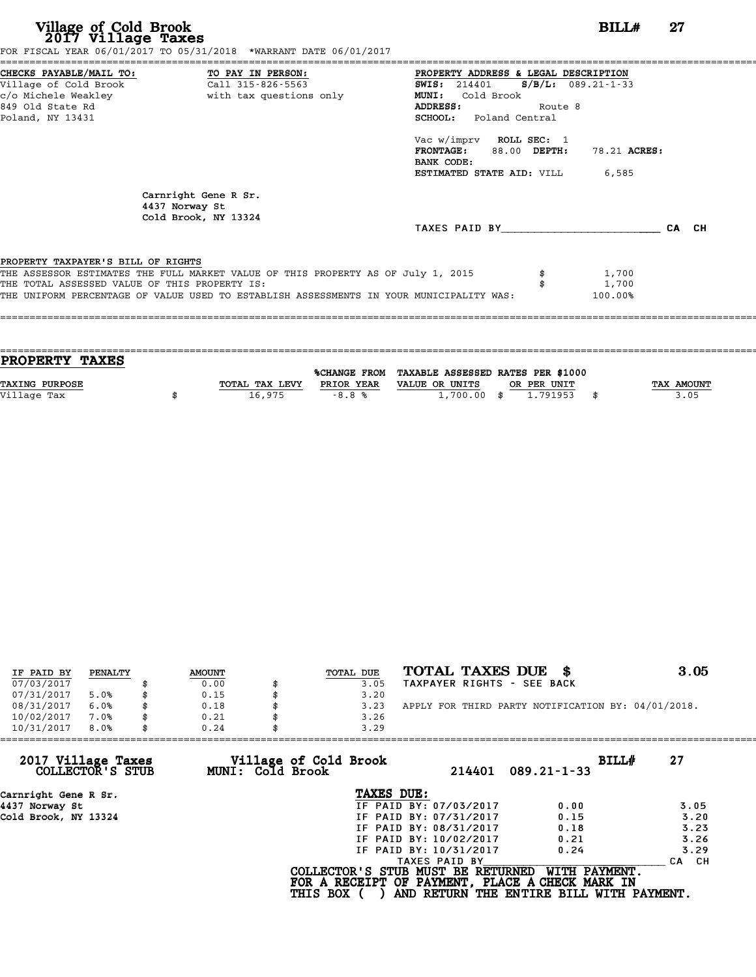| Village of Cold Brook<br>2017 Village Taxes   | FOR FISCAL YEAR 06/01/2017 TO 05/31/2018 *WARRANT DATE 06/01/2017                       | BILL#                                         | 27    |
|-----------------------------------------------|-----------------------------------------------------------------------------------------|-----------------------------------------------|-------|
|                                               |                                                                                         | PROPERTY ADDRESS & LEGAL DESCRIPTION          |       |
|                                               |                                                                                         | <b>SWIS:</b> 214401 <b>S/B/L:</b> 089.21-1-33 |       |
|                                               |                                                                                         | <b>MUNI:</b><br>Cold Brook                    |       |
| 849 Old State Rd                              |                                                                                         | Route 8<br><b>ADDRESS:</b>                    |       |
| Poland, NY 13431                              |                                                                                         | <b>SCHOOL:</b> Poland Central                 |       |
|                                               |                                                                                         | Vac w/imprv ROLL SEC: 1                       |       |
|                                               |                                                                                         | FRONTAGE: 88.00 DEPTH:<br>78.21 ACRES:        |       |
|                                               |                                                                                         | BANK CODE:                                    |       |
|                                               |                                                                                         | <b>ESTIMATED STATE AID:</b> VILL 6,585        |       |
|                                               | Carnright Gene R Sr.<br>4437 Norway St<br>Cold Brook, NY 13324                          |                                               |       |
|                                               |                                                                                         | TAXES PAID BY                                 | CA CH |
| PROPERTY TAXPAYER'S BILL OF RIGHTS            |                                                                                         |                                               |       |
|                                               | THE ASSESSOR ESTIMATES THE FULL MARKET VALUE OF THIS PROPERTY AS OF July 1, 2015        | 1,700                                         |       |
| THE TOTAL ASSESSED VALUE OF THIS PROPERTY IS: |                                                                                         | 1,700                                         |       |
|                                               | THE UNIFORM PERCENTAGE OF VALUE USED TO ESTABLISH ASSESSMENTS IN YOUR MUNICIPALITY WAS: | 100.00%                                       |       |
|                                               |                                                                                         |                                               |       |
|                                               |                                                                                         |                                               |       |

| PROPERTY TAXES        |                |            |                                                |             |                   |
|-----------------------|----------------|------------|------------------------------------------------|-------------|-------------------|
|                       |                |            | %CHANGE FROM TAXABLE ASSESSED RATES PER \$1000 |             |                   |
| <b>TAXING PURPOSE</b> | TOTAL TAX LEVY | PRIOR YEAR | VALUE OR UNITS                                 | OR PER UNIT | <b>TAX AMOUNT</b> |
| Village Tax           | 16,975         | $-8.8%$    | $1,700.00$ \$                                  | 1.791953    | 3.05              |
|                       |                |            |                                                |             |                   |

| IF PAID BY | PENALTY | <b>AMOUNT</b> | TOTAL DUE | TOTAL TAXES DUE \$                                 | 3.05 |
|------------|---------|---------------|-----------|----------------------------------------------------|------|
| 07/03/2017 |         | 0.00          | 3.05      | TAXPAYER RIGHTS - SEE BACK                         |      |
| 07/31/2017 | 5.0%    | 0.15          | 3.20      |                                                    |      |
| 08/31/2017 | 6.0%    | 0.18          | 3.23      | APPLY FOR THIRD PARTY NOTIFICATION BY: 04/01/2018. |      |
| 10/02/2017 | 7.0%    | 0.21          | 3.26      |                                                    |      |
| 10/31/2017 | 8.0%    | 0.24          | 3.29      |                                                    |      |

| 10/31/2017<br>8.0%<br>0.24             |                                           | 3.29                                                                                 |        |                                                           |             |       |
|----------------------------------------|-------------------------------------------|--------------------------------------------------------------------------------------|--------|-----------------------------------------------------------|-------------|-------|
| 2017 Village Taxes<br>COLLECTOR'S STUB | Village of Cold Brook<br>MUNI: Cold Brook |                                                                                      | 214401 | $089.21 - 1 - 33$                                         | BILL#<br>27 |       |
| Carnright Gene R Sr.                   |                                           | TAXES DUE:                                                                           |        |                                                           |             |       |
| 4437 Norway St                         |                                           | IF PAID BY: 07/03/2017                                                               |        | 0.00                                                      |             | 3.05  |
| Cold Brook, NY 13324                   |                                           | IF PAID BY: 07/31/2017                                                               |        | 0.15                                                      |             | 3.20  |
|                                        |                                           | IF PAID BY: 08/31/2017                                                               |        | 0.18                                                      |             | 3.23  |
|                                        |                                           | IF PAID BY: 10/02/2017                                                               |        | 0.21                                                      |             | 3.26  |
|                                        |                                           | IF PAID BY: 10/31/2017                                                               |        | 0.24                                                      |             | 3.29  |
|                                        |                                           | TAXES PAID BY                                                                        |        |                                                           |             | CA CH |
|                                        | <b>THIS BOX</b>                           | COLLECTOR'S STUB MUST BE RETURNED<br>FOR A RECEIPT OF PAYMENT, PLACE A CHECK MARK IN |        | WITH PAYMENT.<br>AND RETURN THE ENTIRE BILL WITH PAYMENT. |             |       |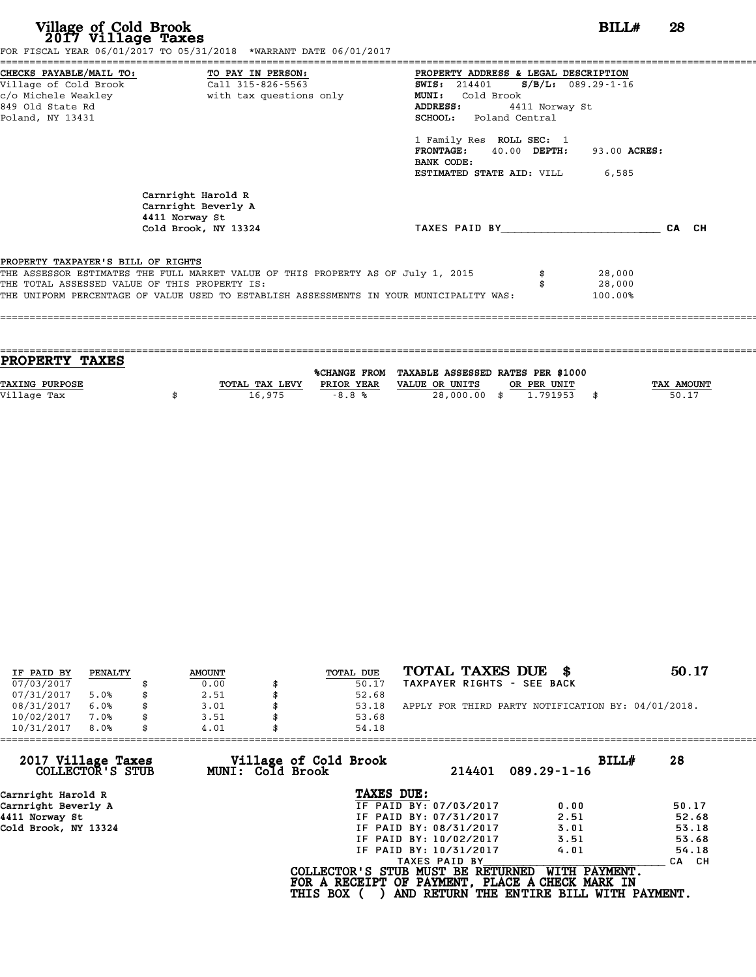| Village of Cold Brook<br>2017 Village Taxes                                          | FOR FISCAL YEAR 06/01/2017 TO 05/31/2018 *WARRANT DATE 06/01/2017                                                                                                                                                            | BILL#                                                                                                                                                                                                                                                                                                                    | 28    |
|--------------------------------------------------------------------------------------|------------------------------------------------------------------------------------------------------------------------------------------------------------------------------------------------------------------------------|--------------------------------------------------------------------------------------------------------------------------------------------------------------------------------------------------------------------------------------------------------------------------------------------------------------------------|-------|
| Village of Cold Brook<br>c/o Michele Weakley<br>849 Old State Rd<br>Poland, NY 13431 | CHECKS PAYABLE/MAIL TO: TO PAY IN PERSON:<br>Call 315-826-5563<br>with tax questions only                                                                                                                                    | PROPERTY ADDRESS & LEGAL DESCRIPTION<br><b>SWIS:</b> 214401 <b>S/B/L:</b> 089.29-1-16<br>Cold Brook<br><b>MUNI:</b><br>ADDRESS:<br>4411 Norway St<br><b>SCHOOL:</b> Poland Central<br>1 Family Res ROLL SEC: 1<br>$40.00$ DEPTH:<br><b>FRONTAGE:</b><br>93.00 ACRES:<br>BANK CODE:<br>ESTIMATED STATE AID: VILL<br>6,585 |       |
|                                                                                      | Carnright Harold R<br>Carnright Beverly A<br>4411 Norway St<br>Cold Brook, NY 13324                                                                                                                                          | TAXES PAID BY                                                                                                                                                                                                                                                                                                            | CA CH |
| PROPERTY TAXPAYER'S BILL OF RIGHTS                                                   | THE ASSESSOR ESTIMATES THE FULL MARKET VALUE OF THIS PROPERTY AS OF July 1, 2015<br>THE TOTAL ASSESSED VALUE OF THIS PROPERTY IS:<br>THE UNIFORM PERCENTAGE OF VALUE USED TO ESTABLISH ASSESSMENTS IN YOUR MUNICIPALITY WAS: | 28,000<br>28,000<br>100.00%                                                                                                                                                                                                                                                                                              |       |

|        |                                         | <b>TAX AMOUNT</b>                                                                                           |
|--------|-----------------------------------------|-------------------------------------------------------------------------------------------------------------|
| 16,975 |                                         | 50.17                                                                                                       |
|        |                                         |                                                                                                             |
|        | TOTAL TAX LEVY<br>PRIOR YEAR<br>$-8.8%$ | %CHANGE FROM TAXABLE ASSESSED RATES PER \$1000<br>VALUE OR UNITS<br>OR PER UNIT<br>28,000.00 \$<br>1.791953 |

| IF PAID BY | PENALTY | <b>AMOUNT</b> | TOTAL DUE | TOTAL TAXES DUE \$                                 | 50.17 |
|------------|---------|---------------|-----------|----------------------------------------------------|-------|
| 07/03/2017 |         | 0.00          | 50.17     | TAXPAYER RIGHTS - SEE BACK                         |       |
| 07/31/2017 | 5.0%    | 2.51          | 52.68     |                                                    |       |
| 08/31/2017 | 6.0%    | \$<br>3.01    | 53.18     | APPLY FOR THIRD PARTY NOTIFICATION BY: 04/01/2018. |       |
| 10/02/2017 | 7.0%    | \$<br>3.51    | 53.68     |                                                    |       |
| 10/31/2017 | 8.0%    | \$<br>4.01    | 54.18     |                                                    |       |

| 4.01 | 54.18                  |                                                              |                                                                                                                                  |
|------|------------------------|--------------------------------------------------------------|----------------------------------------------------------------------------------------------------------------------------------|
|      | 214401                 | BILLH<br>$089.29 - 1 - 16$                                   | 28                                                                                                                               |
|      | TAXES DUE:             |                                                              |                                                                                                                                  |
|      | IF PAID BY: 07/03/2017 | 0.00                                                         | 50.17                                                                                                                            |
|      | IF PAID BY: 07/31/2017 | 2.51                                                         | 52.68                                                                                                                            |
|      | IF PAID BY: 08/31/2017 | 3.01                                                         | 53.18                                                                                                                            |
|      | IF PAID BY: 10/02/2017 | 3.51                                                         | 53.68                                                                                                                            |
|      | IF PAID BY: 10/31/2017 | 4.01                                                         | 54.18                                                                                                                            |
|      | TAXES PAID BY          |                                                              | CA CH                                                                                                                            |
|      |                        | WITH PAYMENT.                                                |                                                                                                                                  |
|      |                        | Village of Cold Brook<br>MUNI: Cold Brook<br><b>THIS BOX</b> | COLLECTOR'S STUB MUST BE RETURNED<br>FOR A RECEIPT OF PAYMENT, PLACE A CHECK MARK IN<br>AND RETURN THE ENTIRE BILL WITH PAYMENT. |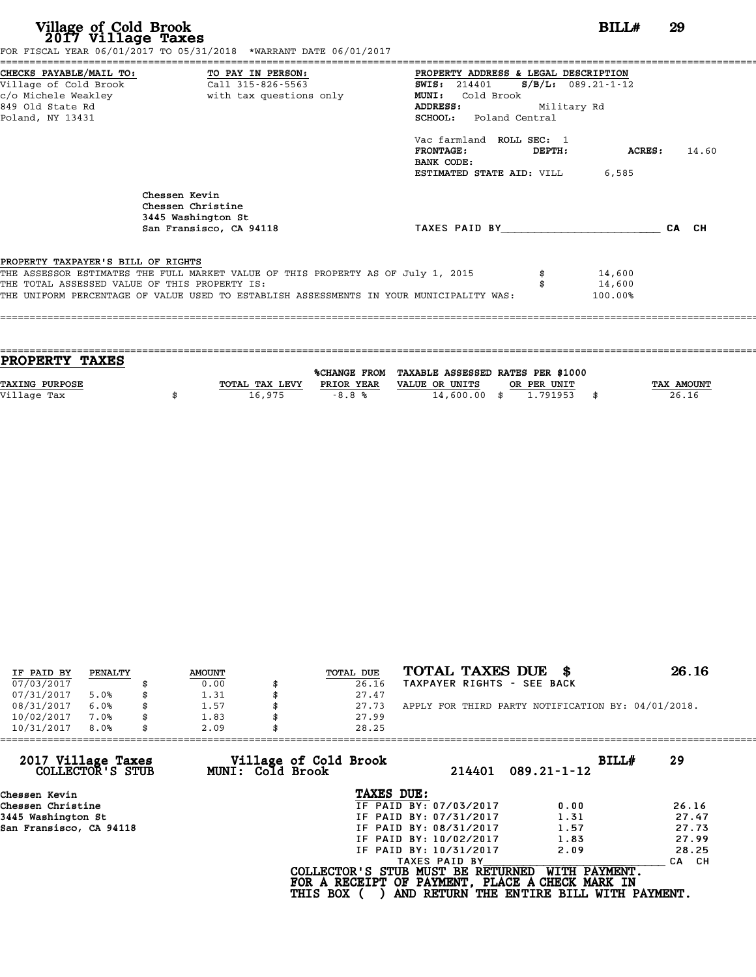| Village of Cold Brook<br>2017 Village Taxes                                                                | FOR FISCAL YEAR 06/01/2017 TO 05/31/2018 *WARRANT DATE 06/01/2017                                                                                                           |                                                                                                                                                                                                                                                                                | BILL#                          | 29    |
|------------------------------------------------------------------------------------------------------------|-----------------------------------------------------------------------------------------------------------------------------------------------------------------------------|--------------------------------------------------------------------------------------------------------------------------------------------------------------------------------------------------------------------------------------------------------------------------------|--------------------------------|-------|
| CHECKS PAYABLE/MAIL TO: TO PAY IN PERSON:<br>Village of Cold Brook<br>849 Old State Rd<br>Poland, NY 13431 | Call 315-826-5563                                                                                                                                                           | PROPERTY ADDRESS & LEGAL DESCRIPTION<br><b>SWIS:</b> 214401<br>Cold Brook<br><b>MUNI:</b><br><b>ADDRESS:</b><br>Military Rd<br><b>SCHOOL:</b> Poland Central<br>Vac farmland ROLL SEC: 1<br><b>FRONTAGE:</b><br>DEPTH:<br>BANK CODE:<br><b>ESTIMATED STATE AID:</b> VILL 6,585 | $S/B/L: 089.21-1-12$<br>ACRES: | 14.60 |
|                                                                                                            | Chessen Kevin<br>Chessen Christine<br>3445 Washington St<br>San Fransisco, CA 94118                                                                                         | TAXES PAID BY CA CH                                                                                                                                                                                                                                                            |                                |       |
| PROPERTY TAXPAYER'S BILL OF RIGHTS<br>THE TOTAL ASSESSED VALUE OF THIS PROPERTY IS:                        | THE ASSESSOR ESTIMATES THE FULL MARKET VALUE OF THIS PROPERTY AS OF July 1, 2015<br>THE UNIFORM PERCENTAGE OF VALUE USED TO ESTABLISH ASSESSMENTS IN YOUR MUNICIPALITY WAS: |                                                                                                                                                                                                                                                                                | 14,600<br>14,600<br>100.00%    |       |

| <b>PROPERTY TAXES</b> |                |            |                                                |             |            |
|-----------------------|----------------|------------|------------------------------------------------|-------------|------------|
|                       |                |            |                                                |             |            |
|                       |                |            | %CHANGE FROM TAXABLE ASSESSED RATES PER \$1000 |             |            |
| <b>TAXING PURPOSE</b> | TOTAL TAX LEVY | PRIOR YEAR | VALUE OR UNITS                                 | OR PER UNIT | TAX AMOUNT |
| Village Tax           | 16,975         | $-8.8%$    | $14,600.00$ \$                                 | 1,791953    | 26.16      |
|                       |                |            |                                                |             |            |
|                       |                |            |                                                |             |            |

| IF PAID BY | PENALTY | <b>AMOUNT</b> | TOTAL DUE | TOTAL TAXES DUE \$                                 | 26.16 |
|------------|---------|---------------|-----------|----------------------------------------------------|-------|
| 07/03/2017 |         | 0.00          | 26.16     | TAXPAYER RIGHTS - SEE BACK                         |       |
| 07/31/2017 | 5.0%    | \$<br>1.31    | 27.47     |                                                    |       |
| 08/31/2017 | 6.0%    | \$<br>1.57    | 27.73     | APPLY FOR THIRD PARTY NOTIFICATION BY: 04/01/2018. |       |
| 10/02/2017 | 7.0%    | \$<br>1.83    | 27.99     |                                                    |       |
| 10/31/2017 | 8.0%    | \$<br>2.09    | 28.25     |                                                    |       |

| 10/31/2017<br>8.0%                     | 2.09             | 28.25                                                                                |                                          |       |
|----------------------------------------|------------------|--------------------------------------------------------------------------------------|------------------------------------------|-------|
| 2017 Village Taxes<br>COLLECTOR'S STUB | MUNI: Cold Brook | Village of Cold Brook<br>214401                                                      | BILLH<br>$089.21 - 1 - 12$               | 29    |
| Chessen Kevin                          |                  | TAXES DUE:                                                                           |                                          |       |
| Chessen Christine                      |                  | IF PAID BY: 07/03/2017                                                               | 0.00                                     | 26.16 |
| 3445 Washington St                     |                  | IF PAID BY: 07/31/2017                                                               | 1.31                                     | 27.47 |
| San Fransisco, CA 94118                |                  | IF PAID BY: 08/31/2017                                                               | 1.57                                     | 27.73 |
|                                        |                  | IF PAID BY: 10/02/2017                                                               | 1.83                                     | 27.99 |
|                                        |                  | IF PAID BY: 10/31/2017                                                               | 2.09                                     | 28.25 |
|                                        |                  | TAXES PAID BY                                                                        |                                          | CA CH |
|                                        |                  | COLLECTOR'S STUB MUST BE RETURNED<br>FOR A RECEIPT OF PAYMENT, PLACE A CHECK MARK IN | WITH PAYMENT.                            |       |
|                                        |                  | <b>THIS BOX</b>                                                                      | AND RETURN THE ENTIRE BILL WITH PAYMENT. |       |
|                                        |                  |                                                                                      |                                          |       |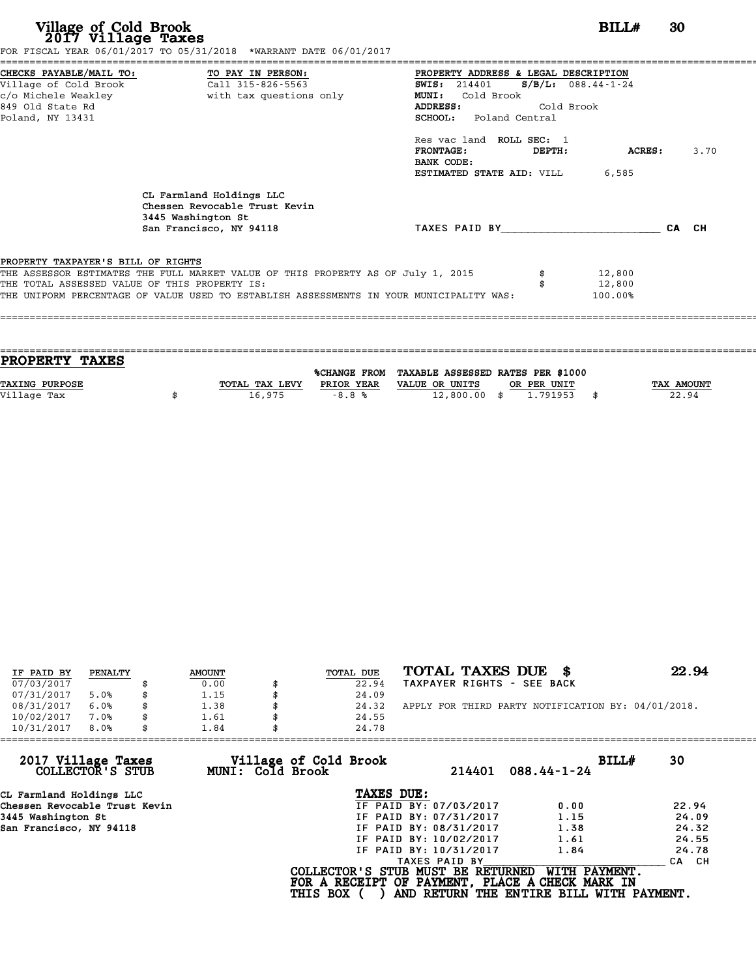| Village of Cold Brook<br>2017 Village Taxes                                         | FOR FISCAL YEAR 06/01/2017 TO 05/31/2018 *WARRANT DATE 06/01/2017                                                                                                                                                                    | BILL#                                                                                                                                                                                                                                                                                                 |         | 30    |      |
|-------------------------------------------------------------------------------------|--------------------------------------------------------------------------------------------------------------------------------------------------------------------------------------------------------------------------------------|-------------------------------------------------------------------------------------------------------------------------------------------------------------------------------------------------------------------------------------------------------------------------------------------------------|---------|-------|------|
| 849 Old State Rd<br>Poland, NY 13431                                                | c/o Michele Weakley <b>buying the set of the set of the set of the set of the set of the set of the set of the set of the set of the set of the set of the set of the set of the set of the set of the set of the set of the set</b> | PROPERTY ADDRESS & LEGAL DESCRIPTION<br>$S/B/L: 088.44-1-24$<br><b>SWIS:</b> 214401<br><b>MUNI:</b><br>Cold Brook<br>Cold Brook<br><b>ADDRESS:</b><br><b>SCHOOL:</b> Poland Central<br>Res vac land ROLL SEC: 1<br><b>FRONTAGE:</b><br>DEPTH:<br>BANK CODE:<br><b>ESTIMATED STATE AID:</b> VILL 6,585 | ACRES : |       | 3.70 |
|                                                                                     | CL Farmland Holdings LLC<br>Chessen Revocable Trust Kevin<br>3445 Washington St<br>San Francisco, NY 94118                                                                                                                           | TAXES PAID BY TAXES                                                                                                                                                                                                                                                                                   |         | CA CH |      |
| PROPERTY TAXPAYER'S BILL OF RIGHTS<br>THE TOTAL ASSESSED VALUE OF THIS PROPERTY IS: | THE ASSESSOR ESTIMATES THE FULL MARKET VALUE OF THIS PROPERTY AS OF July 1, 2015<br>THE UNIFORM PERCENTAGE OF VALUE USED TO ESTABLISH ASSESSMENTS IN YOUR MUNICIPALITY WAS:                                                          | 12,800<br>12,800<br>100.00%                                                                                                                                                                                                                                                                           |         |       |      |

| <b>TAX AMOUNT</b> |
|-------------------|
| 22.94             |
|                   |
|                   |

| IF PAID BY | PENALTY | <b>AMOUNT</b> | <b>TOTAL DUE</b> | TOTAL TAXES DUE                                    | 22.94 |
|------------|---------|---------------|------------------|----------------------------------------------------|-------|
| 07/03/2017 |         | 0.00          | 22.94            | TAXPAYER RIGHTS - SEE BACK                         |       |
| 07/31/2017 | 5.0%    | 1.15          | 24.09            |                                                    |       |
| 08/31/2017 | 6.0%    | 1.38          | 24.32            | APPLY FOR THIRD PARTY NOTIFICATION BY: 04/01/2018. |       |
| 10/02/2017 | 7.0%    | 1.61          | 24.55            |                                                    |       |
| 10/31/2017 | 8.0%    | 1.84          | 24.78            |                                                    |       |

| 1.84 | 24.78           |                                           |                                                                                                                                                               |                                                                                                                                                            |
|------|-----------------|-------------------------------------------|---------------------------------------------------------------------------------------------------------------------------------------------------------------|------------------------------------------------------------------------------------------------------------------------------------------------------------|
|      |                 | 214401                                    | $088.44 - 1 - 24$                                                                                                                                             | 30                                                                                                                                                         |
|      |                 |                                           |                                                                                                                                                               |                                                                                                                                                            |
|      |                 |                                           | 0.00                                                                                                                                                          | 22.94                                                                                                                                                      |
|      |                 |                                           | 1.15                                                                                                                                                          | 24.09                                                                                                                                                      |
|      |                 |                                           | 1.38                                                                                                                                                          | 24.32                                                                                                                                                      |
|      |                 |                                           | 1.61                                                                                                                                                          | 24.55                                                                                                                                                      |
|      |                 |                                           | 1.84                                                                                                                                                          | 24.78                                                                                                                                                      |
|      |                 |                                           |                                                                                                                                                               | CA CH                                                                                                                                                      |
|      | <b>THIS BOX</b> |                                           |                                                                                                                                                               |                                                                                                                                                            |
|      |                 | Village of Cold Brook<br>MUNI: Cold Brook | TAXES DUE:<br>IF PAID BY: 07/03/2017<br>IF PAID BY: 07/31/2017<br>IF PAID BY: 08/31/2017<br>IF PAID BY: 10/02/2017<br>IF PAID BY: 10/31/2017<br>TAXES PAID BY | BILLH<br>WITH PAYMENT.<br>COLLECTOR'S STUB MUST BE RETURNED<br>FOR A RECEIPT OF PAYMENT, PLACE A CHECK MARK IN<br>AND RETURN THE ENTIRE BILL WITH PAYMENT. |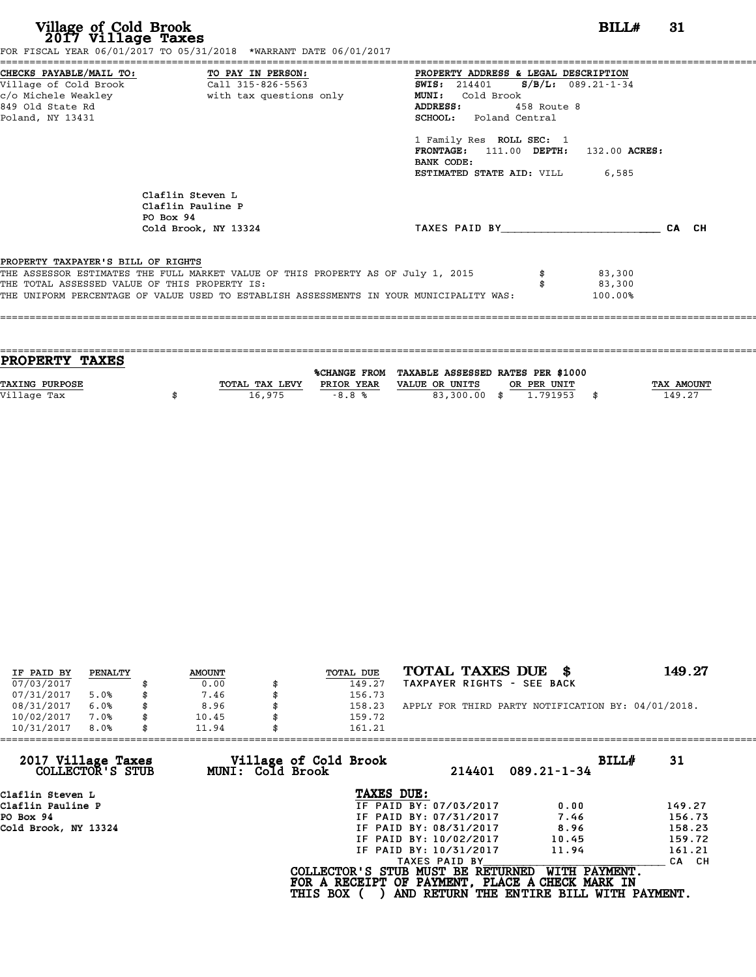| Village of Cold Brook<br>2017 Village Taxes                                |                                                                                                                                                                | BILLH                                                                                                                                                                                                                                                                       | -31                                                                                                                                                                                                                                                    |
|----------------------------------------------------------------------------|----------------------------------------------------------------------------------------------------------------------------------------------------------------|-----------------------------------------------------------------------------------------------------------------------------------------------------------------------------------------------------------------------------------------------------------------------------|--------------------------------------------------------------------------------------------------------------------------------------------------------------------------------------------------------------------------------------------------------|
| TO PAY IN PERSON:<br>Call 315-826-5563                                     | <b>SWIS:</b> 214401<br>MUNI: Cold Brook<br><b>ADDRESS:</b>                                                                                                     |                                                                                                                                                                                                                                                                             |                                                                                                                                                                                                                                                        |
|                                                                            | BANK CODE:                                                                                                                                                     |                                                                                                                                                                                                                                                                             |                                                                                                                                                                                                                                                        |
| Claflin Steven L<br>Claflin Pauline P<br>PO Box 94<br>Cold Brook, NY 13324 |                                                                                                                                                                |                                                                                                                                                                                                                                                                             |                                                                                                                                                                                                                                                        |
|                                                                            |                                                                                                                                                                | 83,300<br>83,300<br>100.00%                                                                                                                                                                                                                                                 |                                                                                                                                                                                                                                                        |
|                                                                            |                                                                                                                                                                |                                                                                                                                                                                                                                                                             |                                                                                                                                                                                                                                                        |
|                                                                            | CHECKS PAYABLE/MAIL TO:<br>Village of Cold Brook<br>c/o Michele Weakley<br>PROPERTY TAXPAYER'S BILL OF RIGHTS<br>THE TOTAL ASSESSED VALUE OF THIS PROPERTY IS: | FOR FISCAL YEAR 06/01/2017 TO 05/31/2018 *WARRANT DATE 06/01/2017<br>with tax questions only<br>THE ASSESSOR ESTIMATES THE FULL MARKET VALUE OF THIS PROPERTY AS OF July 1, 2015<br>THE UNIFORM PERCENTAGE OF VALUE USED TO ESTABLISH ASSESSMENTS IN YOUR MUNICIPALITY WAS: | PROPERTY ADDRESS & LEGAL DESCRIPTION<br>$S/B/L: 089.21 - 1 - 34$<br>458 Route 8<br>SCHOOL: Poland Central<br>1 Family Res ROLL SEC: 1<br>FRONTAGE: 111.00 DEPTH: 132.00 ACRES:<br><b>ESTIMATED STATE AID:</b> VILL 6,585<br>TAXES PAID BY <b>CA</b> CH |

| <b>PROPERTY TAXES</b> |                |            |                                                |             |            |
|-----------------------|----------------|------------|------------------------------------------------|-------------|------------|
|                       |                |            | %CHANGE FROM TAXABLE ASSESSED RATES PER \$1000 |             |            |
| <b>TAXING PURPOSE</b> | TOTAL TAX LEVY | PRIOR YEAR | VALUE OR UNITS                                 | OR PER UNIT | TAX AMOUNT |
| Village Tax           | 16,975         | $-8.8%$    | 83,300.00                                      | 1.791953    | 149.27     |

| IF PAID BY | PENALTY | <b>AMOUNT</b> | TOTAL DUE | TOTAL TAXES DUE<br>- 86                            | 149.27 |
|------------|---------|---------------|-----------|----------------------------------------------------|--------|
| 07/03/2017 |         | 0.00          | 149.27    | TAXPAYER RIGHTS - SEE BACK                         |        |
| 07/31/2017 | 5.0%    | 7.46          | 156.73    |                                                    |        |
| 08/31/2017 | 6.0%    | 8.96          | 158.23    | APPLY FOR THIRD PARTY NOTIFICATION BY: 04/01/2018. |        |
| 10/02/2017 | 7.0%    | 10.45         | 159.72    |                                                    |        |
| 10/31/2017 | 8.0%    | 11.94         | 161.21    |                                                    |        |

| 161.21          |                                           |                                                                                                                                                                                                    |                                                                                                                                   |
|-----------------|-------------------------------------------|----------------------------------------------------------------------------------------------------------------------------------------------------------------------------------------------------|-----------------------------------------------------------------------------------------------------------------------------------|
|                 | 214401                                    | BILLH                                                                                                                                                                                              | 31                                                                                                                                |
|                 |                                           |                                                                                                                                                                                                    |                                                                                                                                   |
|                 |                                           | 0.00                                                                                                                                                                                               | 149.27                                                                                                                            |
|                 |                                           | 7.46                                                                                                                                                                                               | 156.73                                                                                                                            |
|                 |                                           | 8.96                                                                                                                                                                                               | 158.23                                                                                                                            |
|                 |                                           | 10.45                                                                                                                                                                                              | 159.72                                                                                                                            |
|                 |                                           | 11.94                                                                                                                                                                                              | 161.21                                                                                                                            |
|                 |                                           |                                                                                                                                                                                                    | CA CH                                                                                                                             |
| <b>THIS BOX</b> |                                           |                                                                                                                                                                                                    |                                                                                                                                   |
|                 | Village of Cold Brook<br>MUNI: Cold Brook | TAXES DUE:<br>IF PAID BY: 07/03/2017<br>IF PAID BY: 07/31/2017<br>IF PAID BY: 08/31/2017<br>IF PAID BY: 10/02/2017<br>IF PAID BY: 10/31/2017<br>TAXES PAID BY<br>COLLECTOR'S STUB MUST BE RETURNED | $089.21 - 1 - 34$<br>WITH PAYMENT.<br>FOR A RECEIPT OF PAYMENT, PLACE A CHECK MARK IN<br>AND RETURN THE ENTIRE BILL WITH PAYMENT. |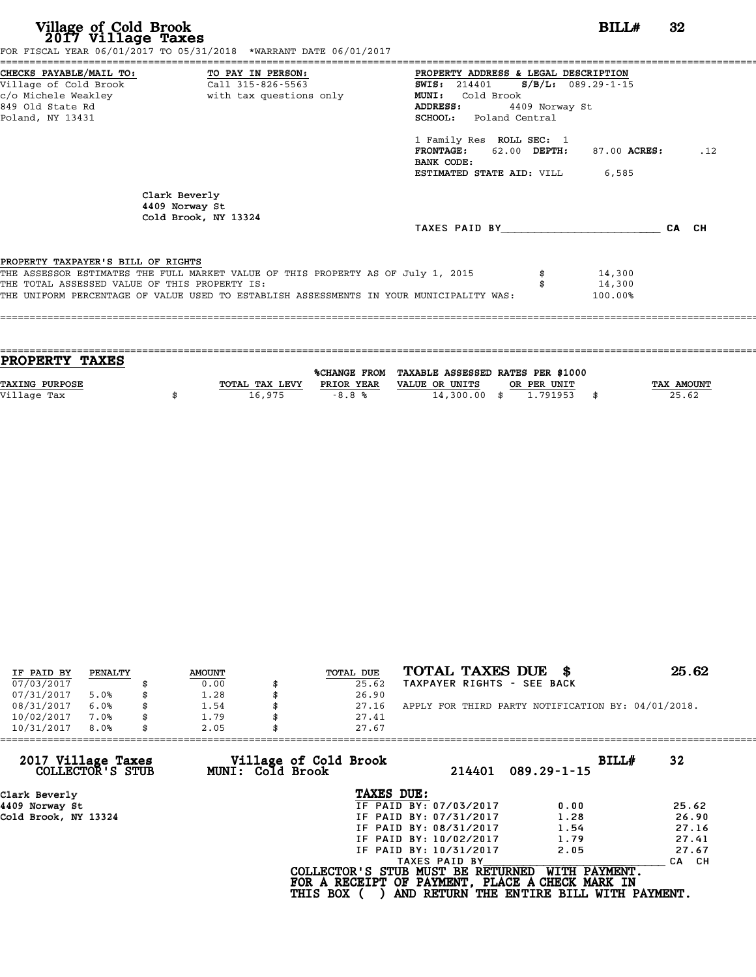**Village of Cold Brook**<br> **2017 Village Taxes**<br>
FOR FISCAL YEAR 06/01/2017 TO 05/31/2018 \*WARRANT DATE 06/01/2017<br> **POR FISCAL YEAR 06/01/2017** TO 05/31/2018 \*WARRANT DATE 06/01/2017

|                                               | FOR FISCAL YEAR 06/01/2017 TO 05/31/2018 *WARRANT DATE 06/01/2017                |                                               |                |              |       |     |
|-----------------------------------------------|----------------------------------------------------------------------------------|-----------------------------------------------|----------------|--------------|-------|-----|
| CHECKS PAYABLE/MAIL TO: TO PAY IN PERSON:     |                                                                                  | PROPERTY ADDRESS & LEGAL DESCRIPTION          |                |              |       |     |
|                                               |                                                                                  | <b>SWIS:</b> 214401 <b>S/B/L:</b> 089.29-1-15 |                |              |       |     |
|                                               |                                                                                  | MUNI: Cold Brook                              |                |              |       |     |
| 849 Old State Rd                              |                                                                                  | ADDRESS:                                      | 4409 Norway St |              |       |     |
| Poland, NY 13431                              |                                                                                  | <b>SCHOOL:</b> Poland Central                 |                |              |       |     |
|                                               |                                                                                  | 1 Family Res ROLL SEC: 1                      |                |              |       |     |
|                                               |                                                                                  | FRONTAGE: 62.00 DEPTH:                        |                | 87.00 ACRES: |       | .12 |
|                                               |                                                                                  | BANK CODE:                                    |                |              |       |     |
|                                               |                                                                                  | <b>ESTIMATED STATE AID:</b> VILL 6,585        |                |              |       |     |
|                                               | Clark Beverly<br>4409 Norway St<br>Cold Brook, NY 13324                          |                                               |                |              |       |     |
|                                               |                                                                                  | TAXES PAID BY                                 |                |              | CA CH |     |
|                                               |                                                                                  |                                               |                |              |       |     |
|                                               |                                                                                  |                                               |                |              |       |     |
|                                               |                                                                                  |                                               |                |              |       |     |
| PROPERTY TAXPAYER'S BILL OF RIGHTS            | THE ASSESSOR ESTIMATES THE FULL MARKET VALUE OF THIS PROPERTY AS OF July 1, 2015 |                                               |                | 14,300       |       |     |
| THE TOTAL ASSESSED VALUE OF THIS PROPERTY IS: |                                                                                  |                                               |                | 14,300       |       |     |

| <b>PROPERTY TAXES</b> |                |            |                                                |             |            |
|-----------------------|----------------|------------|------------------------------------------------|-------------|------------|
|                       |                |            | %CHANGE FROM TAXABLE ASSESSED RATES PER \$1000 |             |            |
| <b>TAXING PURPOSE</b> | TOTAL TAX LEVY | PRIOR YEAR | VALUE OR UNITS                                 | OR PER UNIT | TAX AMOUNT |
| Village Tax           | 16,975         | $-8.8%$    | $14,300.00$ \$                                 | 1.791953    | 25.62      |
|                       |                |            |                                                |             |            |

| IF PAID BY | PENALTY | <b>AMOUNT</b> | TOTAL DUE | TOTAL TAXES DUE \$                                 | 25.62 |
|------------|---------|---------------|-----------|----------------------------------------------------|-------|
| 07/03/2017 |         | 0.00          | 25.62     | TAXPAYER RIGHTS - SEE BACK                         |       |
| 07/31/2017 | 5.0%    | 1.28          | 26.90     |                                                    |       |
| 08/31/2017 | 6.0%    | 1.54          | 27.16     | APPLY FOR THIRD PARTY NOTIFICATION BY: 04/01/2018. |       |
| 10/02/2017 | 7.0%    | \$<br>1.79    | 27.41     |                                                    |       |
| 10/31/2017 | 8.0%    | 2.05          | 27.67     |                                                    |       |

| 10/31/2017                             | 8.0% | 2.05 |                  | 27.67                             |                        |                                                                  |             |       |
|----------------------------------------|------|------|------------------|-----------------------------------|------------------------|------------------------------------------------------------------|-------------|-------|
| 2017 Village Taxes<br>COLLECTOR'S STUB |      |      | MUNI: Cold Brook | Village of Cold Brook             | 214401                 | $089.29 - 1 - 15$                                                | BILL#<br>32 |       |
| Clark Beverly                          |      |      |                  | TAXES DUE:                        |                        |                                                                  |             |       |
| 4409 Norway St                         |      |      |                  |                                   | IF PAID BY: 07/03/2017 | 0.00                                                             |             | 25.62 |
| Cold Brook, NY 13324                   |      |      |                  |                                   | IF PAID BY: 07/31/2017 | 1.28                                                             |             | 26.90 |
|                                        |      |      |                  |                                   | IF PAID BY: 08/31/2017 | 1.54                                                             |             | 27.16 |
|                                        |      |      |                  |                                   | IF PAID BY: 10/02/2017 | 1.79                                                             |             | 27.41 |
|                                        |      |      |                  |                                   | IF PAID BY: 10/31/2017 | 2.05                                                             |             | 27.67 |
|                                        |      |      |                  |                                   | TAXES PAID BY          |                                                                  |             | CA CH |
|                                        |      |      |                  | COLLECTOR'S STUB MUST BE RETURNED |                        | WITH PAYMENT.<br>FOR A RECEIPT OF PAYMENT, PLACE A CHECK MARK IN |             |       |
|                                        |      |      |                  | <b>THIS BOX</b>                   |                        | AND RETURN THE ENTIRE BILL WITH PAYMENT.                         |             |       |
|                                        |      |      |                  |                                   |                        |                                                                  |             |       |
|                                        |      |      |                  |                                   |                        |                                                                  |             |       |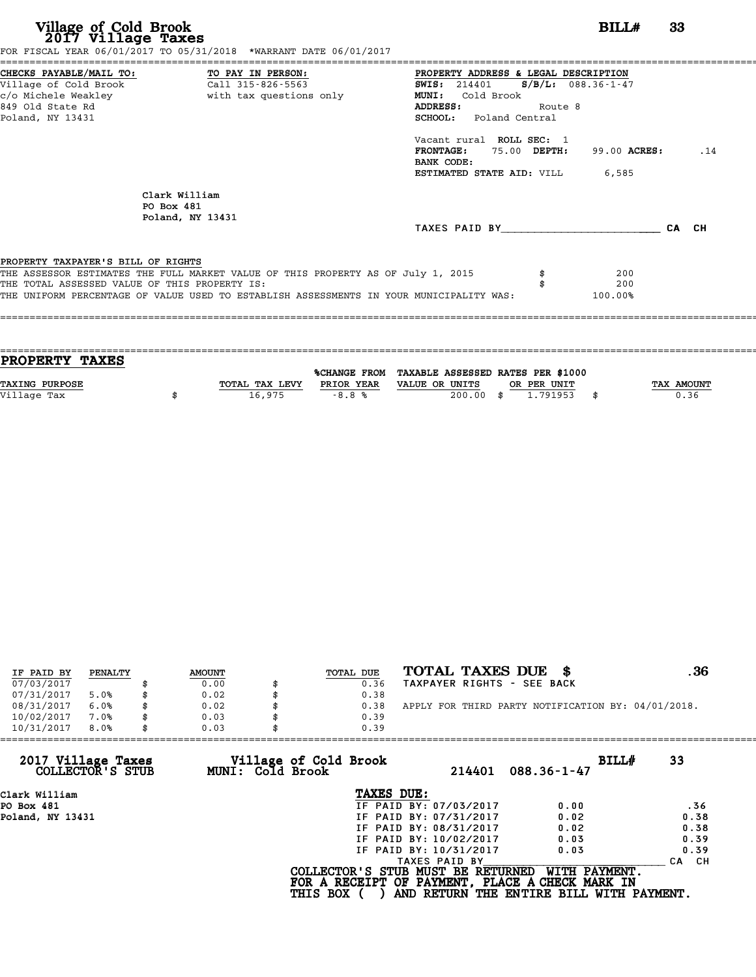| Village of Cold Brook<br>2017 Village Taxes                                                                     | FOR FISCAL YEAR 06/01/2017 TO 05/31/2018 *WARRANT DATE 06/01/2017                       |                                                                                                                                        |                                     | BILL#                 | 33    |     |
|-----------------------------------------------------------------------------------------------------------------|-----------------------------------------------------------------------------------------|----------------------------------------------------------------------------------------------------------------------------------------|-------------------------------------|-----------------------|-------|-----|
| CHECKS PAYABLE/MAIL TO:<br>Village of Cold Brook<br>c/o Michele Weakley<br>849 Old State Rd<br>Poland, NY 13431 | TO PAY IN PERSON:<br>Call 315-826-5563<br>with tax questions only                       | PROPERTY ADDRESS & LEGAL DESCRIPTION<br><b>SWIS: 214401</b><br>Cold Brook<br><b>MUNI:</b><br>ADDRESS:<br><b>SCHOOL:</b> Poland Central | $S/B/L: 088.36 - 1 - 47$<br>Route 8 |                       |       |     |
|                                                                                                                 |                                                                                         | Vacant rural ROLL SEC: 1<br><b>FRONTAGE:</b><br>BANK CODE:<br>ESTIMATED STATE AID: VILL                                                | 75.00 DEPTH:                        | 99.00 ACRES:<br>6,585 |       | .14 |
| PO Box 481                                                                                                      | Clark William<br>Poland, NY 13431                                                       |                                                                                                                                        |                                     |                       |       |     |
|                                                                                                                 |                                                                                         | TAXES PAID BY TAXES                                                                                                                    |                                     |                       | CA CH |     |
| PROPERTY TAXPAYER'S BILL OF RIGHTS                                                                              |                                                                                         |                                                                                                                                        |                                     |                       |       |     |
|                                                                                                                 | THE ASSESSOR ESTIMATES THE FULL MARKET VALUE OF THIS PROPERTY AS OF July 1, 2015        |                                                                                                                                        |                                     | 200                   |       |     |
| THE TOTAL ASSESSED VALUE OF THIS PROPERTY IS:                                                                   |                                                                                         |                                                                                                                                        |                                     | 200                   |       |     |
|                                                                                                                 | THE UNIFORM PERCENTAGE OF VALUE USED TO ESTABLISH ASSESSMENTS IN YOUR MUNICIPALITY WAS: |                                                                                                                                        |                                     | 100.00%               |       |     |

| PROPERTY TAXES        |                |            |                                                |      |             |                   |
|-----------------------|----------------|------------|------------------------------------------------|------|-------------|-------------------|
|                       |                |            |                                                |      |             |                   |
|                       |                |            | %CHANGE FROM TAXABLE ASSESSED RATES PER \$1000 |      |             |                   |
| <b>TAXING PURPOSE</b> | TOTAL TAX LEVY | PRIOR YEAR | VALUE OR UNITS                                 |      | OR PER UNIT | <b>TAX AMOUNT</b> |
|                       | 16,975         | $-8.8%$    | 200.00                                         | - \$ | 1.791953    | 0.36              |
| Village Tax           |                |            |                                                |      |             |                   |
|                       |                |            |                                                |      |             |                   |

| IF PAID BY | PENALTY | <b>AMOUNT</b> | TOTAL DUE | TOTAL TAXES DUE \$                                 | . 36 |
|------------|---------|---------------|-----------|----------------------------------------------------|------|
| 07/03/2017 |         | 0.00          | 0.36      | TAXPAYER RIGHTS - SEE BACK                         |      |
| 07/31/2017 | 5.0%    | 0.02          | 0.38      |                                                    |      |
| 08/31/2017 | 6.0%    | 0.02          | 0.38      | APPLY FOR THIRD PARTY NOTIFICATION BY: 04/01/2018. |      |
| 10/02/2017 | 7.0%    | 0.03          | 0.39      |                                                    |      |
| 10/31/2017 | 8.0%    | 0.03          | 0.39      |                                                    |      |

| 10/31/2017<br>8.0%                     | 0.03             | 0.39                                                 |                        |                                                                                                              |                  |
|----------------------------------------|------------------|------------------------------------------------------|------------------------|--------------------------------------------------------------------------------------------------------------|------------------|
| 2017 Village Taxes<br>COLLECTOR'S STUB | MUNI: Cold Brook | Village of Cold Brook                                | 214401                 | BILLH<br>$088.36 - 1 - 47$                                                                                   | 33               |
| Clark William                          |                  | TAXES DUE:                                           |                        |                                                                                                              |                  |
| PO Box 481                             |                  |                                                      | IF PAID BY: 07/03/2017 | 0.00                                                                                                         | .36              |
| Poland, NY 13431                       |                  |                                                      | IF PAID BY: 07/31/2017 | 0.02                                                                                                         | 0.38             |
|                                        |                  |                                                      | IF PAID BY: 08/31/2017 | 0.02                                                                                                         | 0.38             |
|                                        |                  |                                                      | IF PAID BY: 10/02/2017 | 0.03                                                                                                         | 0.39             |
|                                        |                  |                                                      | IF PAID BY: 10/31/2017 | 0.03                                                                                                         | 0.39             |
|                                        |                  |                                                      | TAXES PAID BY          |                                                                                                              | CH.<br><b>CA</b> |
|                                        |                  | COLLECTOR'S STUB MUST BE RETURNED<br><b>THIS BOX</b> |                        | WITH PAYMENT.<br>FOR A RECEIPT OF PAYMENT, PLACE A CHECK MARK IN<br>AND RETURN THE ENTIRE BILL WITH PAYMENT. |                  |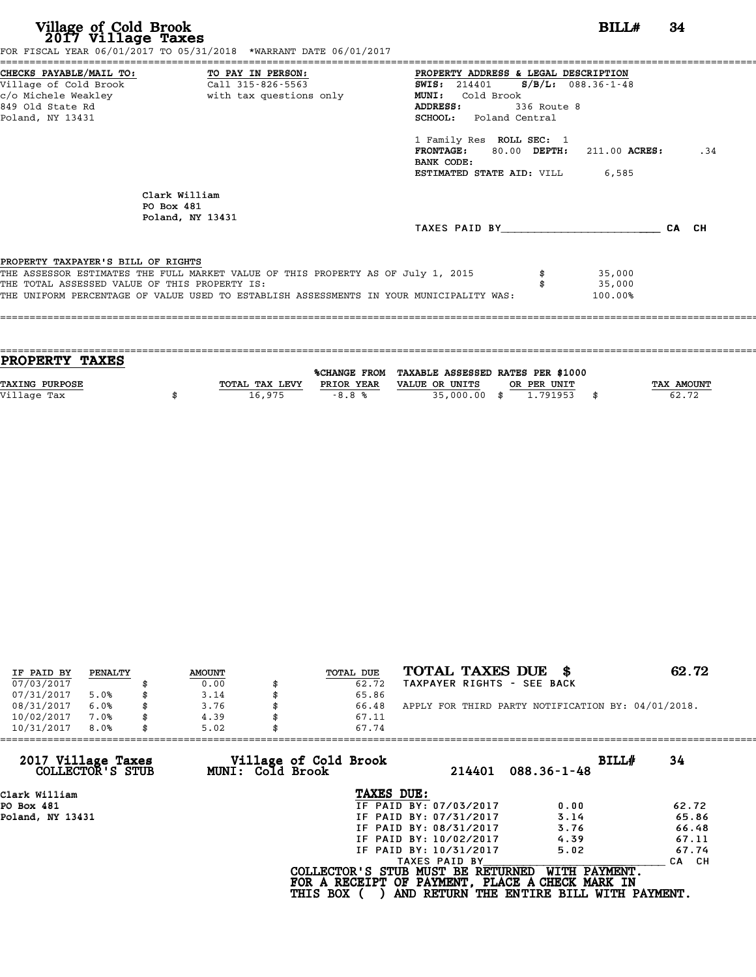| Village of Cold Brook<br>2017 Village Taxes<br>FOR FISCAL YEAR 06/01/2017 TO 05/31/2018 *WARRANT DATE 06/01/2017                                                                                                                                                   | BILLH<br>34                                                                                                                                                                                                                                                                                                            |
|--------------------------------------------------------------------------------------------------------------------------------------------------------------------------------------------------------------------------------------------------------------------|------------------------------------------------------------------------------------------------------------------------------------------------------------------------------------------------------------------------------------------------------------------------------------------------------------------------|
| CHECKS PAYABLE/MAIL TO: TO PAY IN PERSON:<br>Village of Cold Brook<br>Call 315-826-5563<br>c/o Michele Weakley                       with tax questions only<br>849 Old State Rd<br>Poland, NY 13431                                                               | PROPERTY ADDRESS & LEGAL DESCRIPTION<br>SWIS: 214401 S/B/L: 088.36-1-48<br>Cold Brook<br><b>MUNI:</b><br><b>ADDRESS:</b><br>336 Route 8<br><b>SCHOOL:</b> Poland Central<br>1 Family Res ROLL SEC: 1<br>$\texttt{FRONTAGE:}$ 80.00 DEPTH: 211.00 ACRES:<br>.34<br>BANK CODE:<br><b>ESTIMATED STATE AID:</b> VILL 6,585 |
| Clark William<br>PO Box 481<br>Poland, NY 13431                                                                                                                                                                                                                    | TAXES PAID BY CA CH                                                                                                                                                                                                                                                                                                    |
| PROPERTY TAXPAYER'S BILL OF RIGHTS<br>THE ASSESSOR ESTIMATES THE FULL MARKET VALUE OF THIS PROPERTY AS OF July 1, 2015<br>THE TOTAL ASSESSED VALUE OF THIS PROPERTY IS:<br>THE UNIFORM PERCENTAGE OF VALUE USED TO ESTABLISH ASSESSMENTS IN YOUR MUNICIPALITY WAS: | 35,000<br>35,000<br>100.00%                                                                                                                                                                                                                                                                                            |

| <b>PROPERTY TAXES</b> |                |            |                                                |             |                   |
|-----------------------|----------------|------------|------------------------------------------------|-------------|-------------------|
|                       |                |            |                                                |             |                   |
|                       |                |            | %CHANGE FROM TAXABLE ASSESSED RATES PER \$1000 |             |                   |
| <b>TAXING PURPOSE</b> | TOTAL TAX LEVY | PRIOR YEAR | VALUE OR UNITS                                 | OR PER UNIT | <b>TAX AMOUNT</b> |
|                       |                |            |                                                |             |                   |
| Village Tax           | 16,975         | $-8.8%$    | 35,000.00 \$                                   | 1.791953    | 62.72             |
|                       |                |            |                                                |             |                   |

| TOTAL TAXES DUE \$<br>62.72<br>TOTAL DUE                                                  |  |
|-------------------------------------------------------------------------------------------|--|
| <b>AMOUNT</b><br>PENALTY<br>IF PAID BY                                                    |  |
| 07/03/2017<br>TAXPAYER RIGHTS - SEE BACK<br>62.72<br>0.00                                 |  |
| 07/31/2017<br>65.86<br>5.0%<br>3.14                                                       |  |
| 08/31/2017<br>APPLY FOR THIRD PARTY NOTIFICATION BY: 04/01/2018.<br>6.0%<br>3.76<br>66.48 |  |
| 10/02/2017<br>7.0%<br>4.39<br>67.11<br>\$                                                 |  |
| 10/31/2017<br>8.0%<br>5.02<br>67.74                                                       |  |

| 10/31/2017<br>8.0%                     | 5.02             | 67.74                                                                                                   |                                                           |                  |
|----------------------------------------|------------------|---------------------------------------------------------------------------------------------------------|-----------------------------------------------------------|------------------|
| 2017 Village Taxes<br>COLLECTOR'S STUB | MUNI: Cold Brook | Village of Cold Brook<br>214401                                                                         | BILLH<br>$088.36 - 1 - 48$                                | 34               |
| Clark William                          |                  | TAXES DUE:                                                                                              |                                                           |                  |
| PO Box 481                             |                  | IF PAID BY: 07/03/2017                                                                                  | 0.00                                                      | 62.72            |
| Poland, NY 13431                       |                  | IF PAID BY: 07/31/2017                                                                                  | 3.14                                                      | 65.86            |
|                                        |                  | IF PAID BY: 08/31/2017                                                                                  | 3.76                                                      | 66.48            |
|                                        |                  | IF PAID BY: 10/02/2017                                                                                  | 4.39                                                      | 67.11            |
|                                        |                  | IF PAID BY: 10/31/2017                                                                                  | 5.02                                                      | 67.74            |
|                                        |                  | TAXES PAID BY                                                                                           |                                                           | <b>CA</b><br>CH. |
|                                        |                  | COLLECTOR'S STUB MUST BE RETURNED<br>FOR A RECEIPT OF PAYMENT, PLACE A CHECK MARK IN<br><b>THIS BOX</b> | WITH PAYMENT.<br>AND RETURN THE ENTIRE BILL WITH PAYMENT. |                  |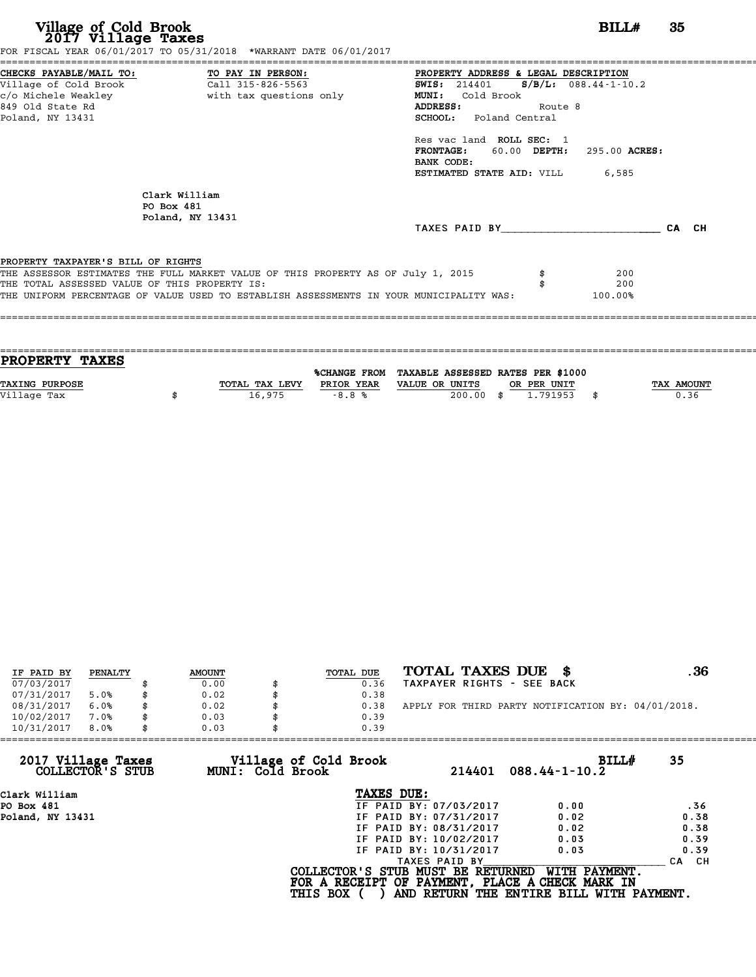| Village of Cold Brook<br>2017 Village Taxes<br>FOR FISCAL YEAR 06/01/2017 TO 05/31/2018 *WARRANT DATE 06/01/2017                                                                                                                                                   | -35<br>BILLH<br>:========================                                                                                                                                                                                                                                                      |       |
|--------------------------------------------------------------------------------------------------------------------------------------------------------------------------------------------------------------------------------------------------------------------|------------------------------------------------------------------------------------------------------------------------------------------------------------------------------------------------------------------------------------------------------------------------------------------------|-------|
| CHECKS PAYABLE/MAIL TO: TO PAY IN PERSON:<br>Village of Cold Brook<br>Call 315-826-5563<br>c/o Michele Weakley<br>with tax questions only<br>849 Old State Rd<br>Poland, NY 13431                                                                                  | PROPERTY ADDRESS & LEGAL DESCRIPTION<br>SWIS: $214401$ S/B/L: 088.44-1-10.2<br>MUNI: Cold Brook<br><b>ADDRESS:</b><br>Route 8<br>SCHOOL: Poland Central<br>Res vac land ROLL SEC: 1<br>60.00 DEPTH: 295.00 ACRES:<br><b>FRONTAGE :</b><br>BANK CODE:<br><b>ESTIMATED STATE AID:</b> VILL 6,585 |       |
| Clark William<br>PO Box 481<br>Poland, NY 13431                                                                                                                                                                                                                    | TAXES PAID BY TAXES PAID BY                                                                                                                                                                                                                                                                    | CA CH |
| PROPERTY TAXPAYER'S BILL OF RIGHTS<br>THE ASSESSOR ESTIMATES THE FULL MARKET VALUE OF THIS PROPERTY AS OF July 1, 2015<br>THE TOTAL ASSESSED VALUE OF THIS PROPERTY IS:<br>THE UNIFORM PERCENTAGE OF VALUE USED TO ESTABLISH ASSESSMENTS IN YOUR MUNICIPALITY WAS: | 200<br>200<br>100.00%                                                                                                                                                                                                                                                                          |       |

| <b>PROPERTY TAXES</b> |                |            |                                                |             |                   |
|-----------------------|----------------|------------|------------------------------------------------|-------------|-------------------|
|                       |                |            |                                                |             |                   |
|                       |                |            | %CHANGE FROM TAXABLE ASSESSED RATES PER \$1000 |             |                   |
| <b>TAXING PURPOSE</b> | TOTAL TAX LEVY | PRIOR YEAR | VALUE OR UNITS                                 | OR PER UNIT | <b>TAX AMOUNT</b> |
|                       |                |            |                                                |             |                   |
| Village Tax           | 16,975         | $-8.8%$    | $200.00$ \$                                    | 1.791953    | 0.36              |
|                       |                |            |                                                |             |                   |

| IF PAID BY | PENALTY | <b>AMOUNT</b> | TOTAL DUE | TOTAL TAXES DUE \$                                 | . 36 |
|------------|---------|---------------|-----------|----------------------------------------------------|------|
| 07/03/2017 |         | 0.00          | 0.36      | TAXPAYER RIGHTS - SEE BACK                         |      |
| 07/31/2017 | 5.0%    | 0.02          | 0.38      |                                                    |      |
| 08/31/2017 | 6.0%    | 0.02          | 0.38      | APPLY FOR THIRD PARTY NOTIFICATION BY: 04/01/2018. |      |
| 10/02/2017 | 7.0%    | 0.03          | 0.39      |                                                    |      |
| 10/31/2017 | 8.0%    | 0.03          | 0.39      |                                                    |      |

| 10/31/2017<br>8.0%                     | 0.03             | 0.39                              |                        |                                                 |            |
|----------------------------------------|------------------|-----------------------------------|------------------------|-------------------------------------------------|------------|
| 2017 Village Taxes<br>COLLECTOR'S STUB | MUNI: Cold Brook | Village of Cold Brook             | 214401                 | BILLH<br>$088.44 - 1 - 10.2$                    | 35         |
| Clark William                          |                  | TAXES DUE:                        |                        |                                                 |            |
| PO Box 481                             |                  |                                   | IF PAID BY: 07/03/2017 | 0.00                                            | .36        |
| Poland, NY 13431                       |                  |                                   | IF PAID BY: 07/31/2017 | 0.02                                            | 0.38       |
|                                        |                  |                                   | IF PAID BY: 08/31/2017 | 0.02                                            | 0.38       |
|                                        |                  |                                   | IF PAID BY: 10/02/2017 | 0.03                                            | 0.39       |
|                                        |                  |                                   | IF PAID BY: 10/31/2017 | 0.03                                            | 0.39       |
|                                        |                  |                                   | TAXES PAID BY          |                                                 | CH.<br>CA. |
|                                        |                  | COLLECTOR'S STUB MUST BE RETURNED |                        | WITH PAYMENT.                                   |            |
|                                        |                  |                                   |                        | FOR A RECEIPT OF PAYMENT, PLACE A CHECK MARK IN |            |
|                                        |                  | <b>THIS BOX</b>                   |                        | AND RETURN THE ENTIRE BILL WITH PAYMENT.        |            |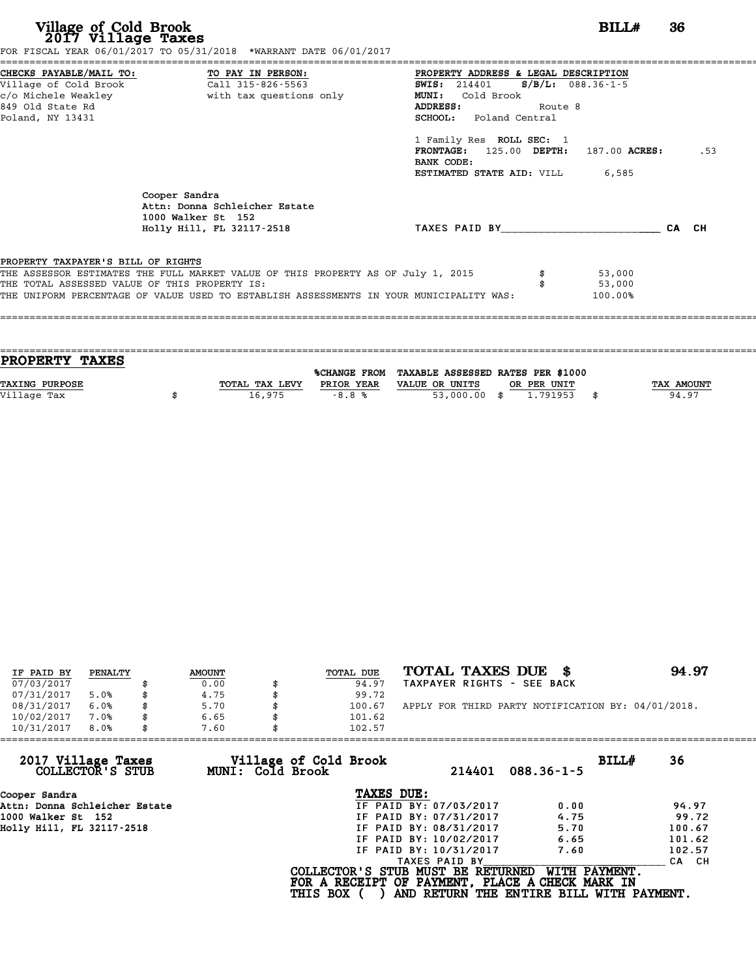| Village of Cold Brook<br>2017 Village Taxes                                         | FOR FISCAL YEAR 06/01/2017 TO 05/31/2018 *WARRANT DATE 06/01/2017                                                                                                                    |                                                                                                                                                                                                                                                                                                                | BILL# | 36  |
|-------------------------------------------------------------------------------------|--------------------------------------------------------------------------------------------------------------------------------------------------------------------------------------|----------------------------------------------------------------------------------------------------------------------------------------------------------------------------------------------------------------------------------------------------------------------------------------------------------------|-------|-----|
| 849 Old State Rd<br>Poland, NY 13431                                                | CHECKS PAYABLE/MAIL TO: TO PAY IN PERSON:<br>Village of Cold Brook (Call 315-826-5563)<br>c/o Michele Weakley <b>buying the set of the set of the Second</b> vith tax questions only | PROPERTY ADDRESS & LEGAL DESCRIPTION<br><b>SWIS:</b> 214401 <b>S/B/L:</b> 088.36-1-5<br><b>MUNI:</b><br>Cold Brook<br><b>ADDRESS:</b><br>Route 8<br><b>SCHOOL:</b> Poland Central<br>1 Family Res ROLL SEC: 1<br>FRONTAGE: 125.00 DEPTH: 187.00 ACRES:<br>BANK CODE:<br><b>ESTIMATED STATE AID:</b> VILL 6,585 |       | .53 |
|                                                                                     | Cooper Sandra<br>Attn: Donna Schleicher Estate<br>1000 Walker St 152<br>Holly Hill, FL 32117-2518                                                                                    | TAXES PAID BY CA CH                                                                                                                                                                                                                                                                                            |       |     |
| PROPERTY TAXPAYER'S BILL OF RIGHTS<br>THE TOTAL ASSESSED VALUE OF THIS PROPERTY IS: | THE ASSESSOR ESTIMATES THE FULL MARKET VALUE OF THIS PROPERTY AS OF July 1, 2015<br>THE UNIFORM PERCENTAGE OF VALUE USED TO ESTABLISH ASSESSMENTS IN YOUR MUNICIPALITY WAS:          | 53,000<br>53,000<br>100.00%                                                                                                                                                                                                                                                                                    |       |     |

| <b>PROPERTY TAXES</b> |                |            |                                                |             |            |
|-----------------------|----------------|------------|------------------------------------------------|-------------|------------|
|                       |                |            |                                                |             |            |
|                       |                |            | %CHANGE FROM TAXABLE ASSESSED RATES PER \$1000 |             |            |
| <b>TAXING PURPOSE</b> | TOTAL TAX LEVY | PRIOR YEAR | VALUE OR UNITS                                 | OR PER UNIT | TAX AMOUNT |
| Village Tax           | 16,975         | $-8.8%$    | 53,000.00 \$                                   | 1,791953    | 94.97      |
|                       |                |            |                                                |             |            |

| IF PAID BY | PENALTY | <b>AMOUNT</b> | TOTAL DUE | TOTAL TAXES DUE \$                                 | 94.97 |
|------------|---------|---------------|-----------|----------------------------------------------------|-------|
| 07/03/2017 |         | 0.00          | 94.97     | TAXPAYER RIGHTS - SEE BACK                         |       |
| 07/31/2017 | 5.0%    | \$<br>4.75    | 99.72     |                                                    |       |
| 08/31/2017 | 6.0%    | \$<br>5.70    | 100.67    | APPLY FOR THIRD PARTY NOTIFICATION BY: 04/01/2018. |       |
| 10/02/2017 | 7.0%    | \$<br>6.65    | 101.62    |                                                    |       |
| 10/31/2017 | 8.0%    | \$<br>7.60    | 102.57    |                                                    |       |

|                 | 214401                   | BILL#<br>$088.36 - 1 - 5$                                                                         | 36                                                                                                                                                                                                             |
|-----------------|--------------------------|---------------------------------------------------------------------------------------------------|----------------------------------------------------------------------------------------------------------------------------------------------------------------------------------------------------------------|
|                 |                          |                                                                                                   |                                                                                                                                                                                                                |
|                 |                          | 0.00                                                                                              | 94.97                                                                                                                                                                                                          |
|                 |                          | 4.75                                                                                              | 99.72                                                                                                                                                                                                          |
|                 |                          | 5.70                                                                                              | 100.67                                                                                                                                                                                                         |
|                 |                          | 6.65                                                                                              | 101.62                                                                                                                                                                                                         |
|                 |                          | 7.60                                                                                              | 102.57                                                                                                                                                                                                         |
|                 | TAXES PAID BY            |                                                                                                   | CA CH                                                                                                                                                                                                          |
| <b>THIS BOX</b> |                          | WITH PAYMENT.                                                                                     |                                                                                                                                                                                                                |
|                 | 7.60<br>MUNI: Cold Brook | 102.57<br>Village of Cold Brook<br>TAXES DUE:<br>IF PAID BY: 10/02/2017<br>IF PAID BY: 10/31/2017 | IF PAID BY: 07/03/2017<br>IF PAID BY: 07/31/2017<br>IF PAID BY: 08/31/2017<br>COLLECTOR'S STUB MUST BE RETURNED<br>FOR A RECEIPT OF PAYMENT, PLACE A CHECK MARK IN<br>AND RETURN THE ENTIRE BILL WITH PAYMENT. |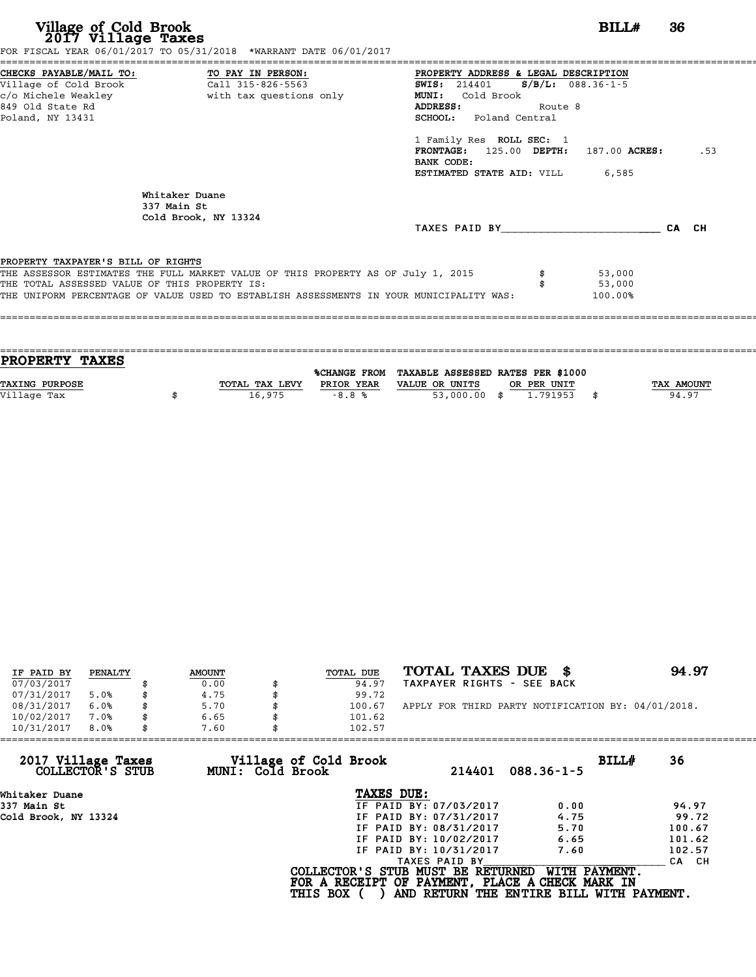| Village of Cold Brook<br>2017 Village Taxes                                                                                       | FOR FISCAL YEAR 06/01/2017 TO 05/31/2018 *WARRANT DATE 06/01/2017                                                                                                           |                                                                                                                                                                                                                                                                                                  | BILL#                       | 36    |
|-----------------------------------------------------------------------------------------------------------------------------------|-----------------------------------------------------------------------------------------------------------------------------------------------------------------------------|--------------------------------------------------------------------------------------------------------------------------------------------------------------------------------------------------------------------------------------------------------------------------------------------------|-----------------------------|-------|
| CHECKS PAYABLE/MAIL TO: TO PAY IN PERSON:<br>Village of Cold Brook<br>c/o Michele Weakley<br>849 Old State Rd<br>Poland, NY 13431 | Call 315-826-5563<br>with tax questions only                                                                                                                                | PROPERTY ADDRESS & LEGAL DESCRIPTION<br><b>SWIS:</b> 214401 <b>S/B/L:</b> 088.36-1-5<br>Cold Brook<br>MUNI:<br>ADDRESS:<br>Route 8<br><b>SCHOOL:</b> Poland Central<br>1 Family Res ROLL SEC: 1<br>FRONTAGE: 125.00 DEPTH: 187.00 ACRES:<br>BANK CODE:<br><b>ESTIMATED STATE AID:</b> VILL 6,585 |                             | .53   |
|                                                                                                                                   | Whitaker Duane<br>337 Main St<br>Cold Brook, NY 13324                                                                                                                       | TAXES PAID BY                                                                                                                                                                                                                                                                                    |                             | CA CH |
| PROPERTY TAXPAYER'S BILL OF RIGHTS<br>THE TOTAL ASSESSED VALUE OF THIS PROPERTY IS:                                               | THE ASSESSOR ESTIMATES THE FULL MARKET VALUE OF THIS PROPERTY AS OF July 1, 2015<br>THE UNIFORM PERCENTAGE OF VALUE USED TO ESTABLISH ASSESSMENTS IN YOUR MUNICIPALITY WAS: |                                                                                                                                                                                                                                                                                                  | 53,000<br>53,000<br>100.00% |       |

| PROPERTY TAXES |                |            |                                                |             |                   |
|----------------|----------------|------------|------------------------------------------------|-------------|-------------------|
|                |                |            | %CHANGE FROM TAXABLE ASSESSED RATES PER \$1000 |             |                   |
| TAXING PURPOSE | TOTAL TAX LEVY | PRIOR YEAR | VALUE OR UNITS                                 | OR PER UNIT | <b>TAX AMOUNT</b> |
| Village Tax    | 16,975         | $-8.8%$    | 53,000.00 \$                                   | 1.791953    | 94.97             |
|                |                |            |                                                |             |                   |
|                |                |            |                                                |             |                   |

| IF PAID BY | PENALTY | <b>AMOUNT</b> | TOTAL DUE | TOTAL TAXES DUE \$                                 | 94.97 |
|------------|---------|---------------|-----------|----------------------------------------------------|-------|
| 07/03/2017 |         | 0.00          | 94.97     | TAXPAYER RIGHTS - SEE BACK                         |       |
| 07/31/2017 | 5.0%    | 4.75          | 99.72     |                                                    |       |
| 08/31/2017 | 6.0%    | 5.70          | 100.67    | APPLY FOR THIRD PARTY NOTIFICATION BY: 04/01/2018. |       |
| 10/02/2017 | 7.0%    | 6.65          | 101.62    |                                                    |       |
| 10/31/2017 | 8.0%    | 7.60          | 102.57    |                                                    |       |

| 10/31/2017<br>8.0%<br>7.60             | 102.57                                    |                                                                                                                                                   |             |
|----------------------------------------|-------------------------------------------|---------------------------------------------------------------------------------------------------------------------------------------------------|-------------|
| 2017 Village Taxes<br>COLLECTOR'S STUB | Village of Cold Brook<br>MUNI: Cold Brook | 214401<br>$088.36 - 1 - 5$                                                                                                                        | BILL#<br>36 |
| Whitaker Duane                         |                                           | TAXES DUE:                                                                                                                                        |             |
| 337 Main St                            |                                           | IF PAID BY: 07/03/2017<br>0.00                                                                                                                    | 94.97       |
| Cold Brook, NY 13324                   |                                           | IF PAID BY: 07/31/2017<br>4.75                                                                                                                    | 99.72       |
|                                        |                                           | 5.70<br>IF PAID BY: 08/31/2017                                                                                                                    | 100.67      |
|                                        |                                           | IF PAID BY: 10/02/2017<br>6.65                                                                                                                    | 101.62      |
|                                        |                                           | IF PAID BY: 10/31/2017<br>7.60                                                                                                                    | 102.57      |
|                                        |                                           | TAXES PAID BY                                                                                                                                     | CA CH       |
|                                        | <b>THIS BOX</b>                           | WITH PAYMENT.<br>COLLECTOR'S STUB MUST BE RETURNED<br>FOR A RECEIPT OF PAYMENT, PLACE A CHECK MARK IN<br>AND RETURN THE ENTIRE BILL WITH PAYMENT. |             |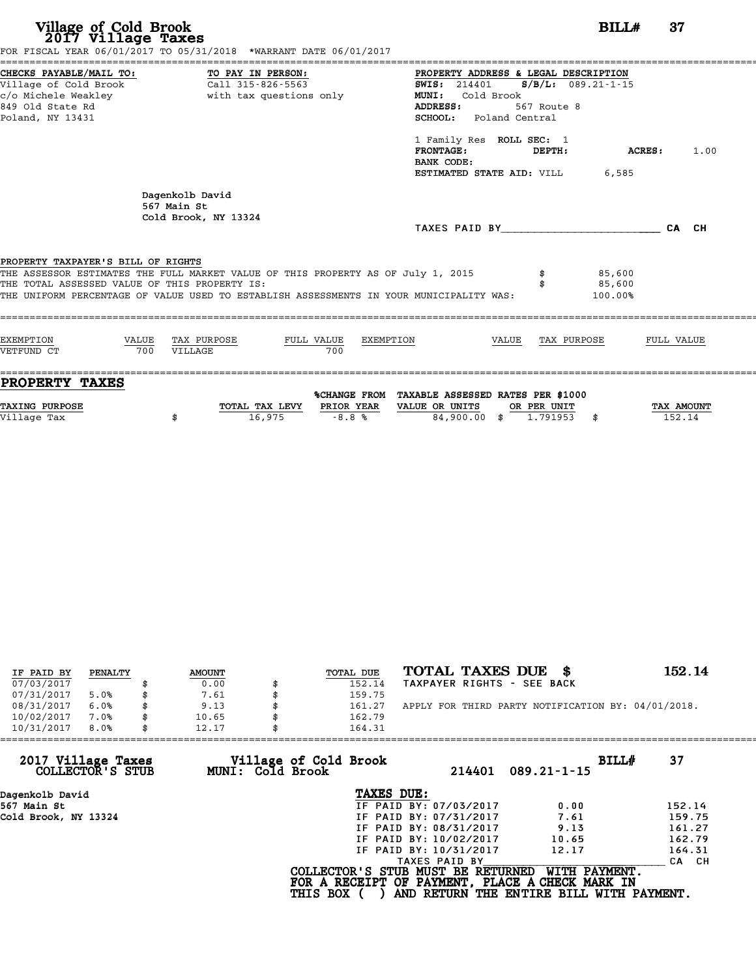| Village of Cold Brook<br>2017 Village Taxes                                                                     | FOR FISCAL YEAR 06/01/2017 TO 05/31/2018 *WARRANT DATE 06/01/2017                                                                                                           | BILL#                                                                                                                                                                                           | 37             |
|-----------------------------------------------------------------------------------------------------------------|-----------------------------------------------------------------------------------------------------------------------------------------------------------------------------|-------------------------------------------------------------------------------------------------------------------------------------------------------------------------------------------------|----------------|
| CHECKS PAYABLE/MAIL TO:<br>Village of Cold Brook<br>c/o Michele Weakley<br>849 Old State Rd<br>Poland, NY 13431 | TO PAY IN PERSON:<br>Call 315-826-5563<br>with tax questions only                                                                                                           | PROPERTY ADDRESS & LEGAL DESCRIPTION<br>$S/B/L$ : 089.21-1-15<br><b>SWIS: 214401</b><br>Cold Brook<br>MUNI:<br>ADDRESS:<br>567 Route 8<br>SCHOOL:<br>Poland Central<br>1 Family Res ROLL SEC: 1 |                |
|                                                                                                                 |                                                                                                                                                                             | <b>FRONTAGE:</b><br>DEPTH:<br>BANK CODE:<br>ESTIMATED STATE AID: VILL<br>6,585                                                                                                                  | ACRES:<br>1.00 |
|                                                                                                                 | Dagenkolb David<br>567 Main St<br>Cold Brook, NY 13324                                                                                                                      | TAXES PAID BY                                                                                                                                                                                   | CA CH          |
| PROPERTY TAXPAYER'S BILL OF RIGHTS<br>THE TOTAL ASSESSED VALUE OF THIS PROPERTY IS:                             | THE ASSESSOR ESTIMATES THE FULL MARKET VALUE OF THIS PROPERTY AS OF July 1, 2015<br>THE UNIFORM PERCENTAGE OF VALUE USED TO ESTABLISH ASSESSMENTS IN YOUR MUNICIPALITY WAS: | 85,600<br>85,600<br>100.00%                                                                                                                                                                     |                |
| <b>EXEMPTION</b><br>VALUE<br>VETFUND CT<br>700                                                                  | TAX PURPOSE<br>FULL VALUE<br>EXEMPTION<br>700<br>VILLAGE                                                                                                                    | VALUE<br>TAX PURPOSE                                                                                                                                                                            | FULL VALUE     |
|                                                                                                                 |                                                                                                                                                                             |                                                                                                                                                                                                 |                |

| IF PAID BY | PENALTY | <b>AMOUNT</b> | TOTAL DUE | TOTAL TAXES DUE<br>- SS                            | 152.14 |
|------------|---------|---------------|-----------|----------------------------------------------------|--------|
| 07/03/2017 |         | 0.00          | 152.14    | TAXPAYER RIGHTS - SEE BACK                         |        |
| 07/31/2017 | 5.0%    | 7.61          | 159.75    |                                                    |        |
| 08/31/2017 | 6.0%    | 9.13          | 161.27    | APPLY FOR THIRD PARTY NOTIFICATION BY: 04/01/2018. |        |
| 10/02/2017 | 7.0%    | 10.65         | 162.79    |                                                    |        |
| 10/31/2017 | 8.0%    | 12.17         | 164.31    |                                                    |        |

| 10/31/2017<br>8.0%                     | 12.17                                     | 164.31                                                                               |                                                           |        |
|----------------------------------------|-------------------------------------------|--------------------------------------------------------------------------------------|-----------------------------------------------------------|--------|
| 2017 Village Taxes<br>COLLECTOR'S STUB | Village of Cold Brook<br>MUNI: Cold Brook | 214401                                                                               | BILL#<br>$089.21 - 1 - 15$                                | 37     |
| Dagenkolb David                        |                                           | TAXES DUE:                                                                           |                                                           |        |
| 567 Main St                            |                                           | IF PAID BY: 07/03/2017                                                               | 0.00                                                      | 152.14 |
| Cold Brook, NY 13324                   |                                           | IF PAID BY: 07/31/2017                                                               | 7.61                                                      | 159.75 |
|                                        |                                           | IF PAID BY: 08/31/2017                                                               | 9.13                                                      | 161.27 |
|                                        |                                           | IF PAID BY: 10/02/2017                                                               | 10.65                                                     | 162.79 |
|                                        |                                           | IF PAID BY: 10/31/2017                                                               | 12.17                                                     | 164.31 |
|                                        |                                           | TAXES PAID BY                                                                        |                                                           | CA CH  |
|                                        | <b>THIS BOX</b>                           | COLLECTOR'S STUB MUST BE RETURNED<br>FOR A RECEIPT OF PAYMENT, PLACE A CHECK MARK IN | WITH PAYMENT.<br>AND RETURN THE ENTIRE BILL WITH PAYMENT. |        |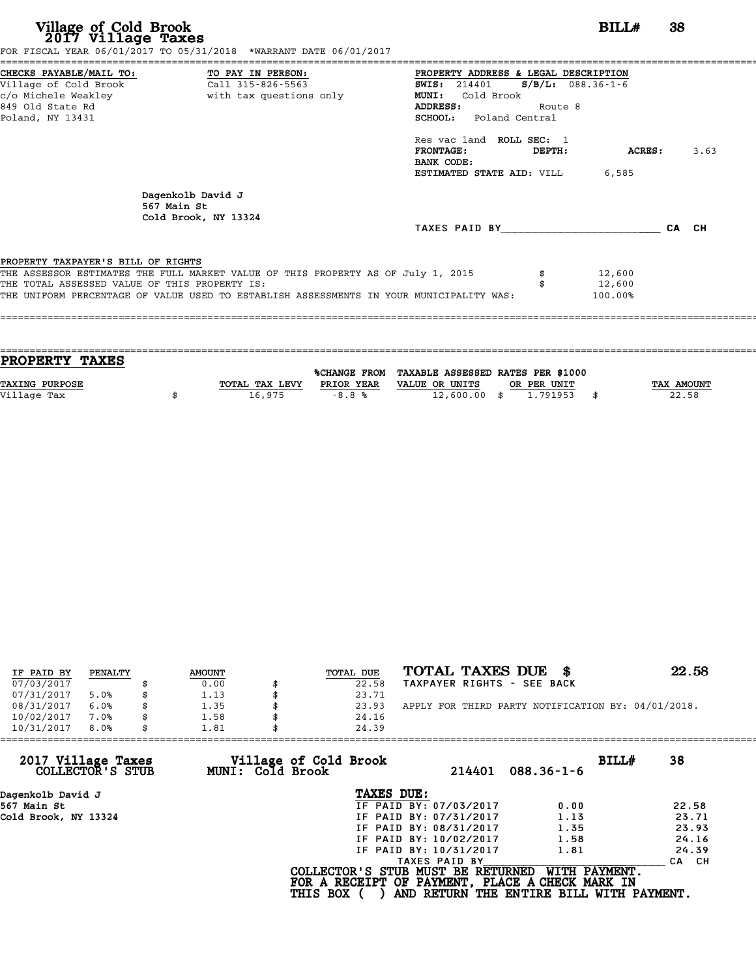# **Village of Cold Brook**<br> **2017 Village Taxes**<br>
SCAL YEAR 06/01/2017 TO 05/31/2018 \*WARRANT DATE 06/01/2017

FOR FISCAL YEAR 06/01/2017 TO 05/31/2018 \*WARRANT DATE 06/01/2017

======================================================================================================================================== CHECKS PAYABLE/MAIL TO: TO PAY IN PERSON: PROPERTY ADDRESS & LEGAL DESCRIPTION Village of Cold Brook Call 315-826-5563 SWIS: <sup>214401</sup> S/B/L: 088.36-1-6 CHECKS PAYABLE/MAIL TO: TO PAY IN PERSON: PROPERTY ADDRESS & LE<br>
Village of Cold Brook Call 315-826-5563 SWIS: 214401 S/B<br>
c/o Michele Weakley with tax questions only MUNI: Cold Brook<br>
849 Old State Pd Village of Cold Brook (Call 315-826-5563) (AUSS: 214401 (S/B/L: 088.3<br>
C/O Michele Weakley (Michele Weakley (Michele Weakley (Suite 8) (MICHELE Weakley (Suite 8) (Suite 8)<br>
Roland NY 13431 (SCHOOL: Poland Central Poland, NY 13431 SCHOOL: Poland Central ADDRESS: Route 8<br>SCHOOL: Poland Central<br>Res vac land ROLL SEC: 1<br>FRONTAGE: DEPTH: ACRES: 3.63 Res vac land ROLL SEC: 1<br>FRONTAGE: DEPTH:<br>BANK CODE: ESTIMATED STATE AID: VILL 6,585 Dagenkolb David J<br>567 Main St Dagenkolb Davi<br>567 Main St<br>Cold Brook NY 567 Main St<br>Cold Brook, NY 13324 TAXES PAID BY\_\_\_\_\_\_\_\_\_\_\_\_\_\_\_\_\_\_\_\_\_\_\_\_ CA CH PROPERTY TAXPAYER'S BILL OF RIGHTS **PROPERTY TAXPAYER'S BILL OF RIGHTS**<br>THE ASSESSOR ESTIMATES THE FULL MARKET VALUE OF THIS PROPERTY AS OF July 1, 2015 \$ 12,600<br>THE TOTAL ASSESSED VALUE OF THIS PROPERTY IS. **PROPERTY TAXPAYER'S BILL OF RIGHTS<br>THE ASSESSOR ESTIMATES THE FULL MARKET VALUE OF THIS PROPERTY AS OF July 1, 2015 \$\$\$\$\$\$\$\$\$\$\$\$\$\$\$\$\$\$\$\$\$\$\$\$\$\$\$\$\$<br>THE TOTAL ASSESSED VALUE OF THIS PROPERTY IS:<br>THE INIEOPM PERCENTAGE OF VAL** THE ASSESSOR ESTIMATES THE FULL MARKET VALUE OF THIS PROPERTY AS OF July 1, 2015  $$$  \$ 12,600<br>THE TOTAL ASSESSED VALUE OF THIS PROPERTY IS: \$ \$ 12,600<br>THE UNIFORM PERCENTAGE OF VALUE USED TO ESTABLISH ASSESSMENTS IN YOUR M ====================================================================================================================================

| <b>PROPERTY TAXES</b> |                |            |                                                |             |            |
|-----------------------|----------------|------------|------------------------------------------------|-------------|------------|
|                       |                |            |                                                |             |            |
|                       |                |            | %CHANGE FROM TAXABLE ASSESSED RATES PER \$1000 |             |            |
| <b>TAXING PURPOSE</b> | TOTAL TAX LEVY | PRIOR YEAR | VALUE OR UNITS                                 | OR PER UNIT | TAX AMOUNT |
| Village Tax           | 16,975         | $-8.8%$    | $12,600.00$ \$                                 | 1.791953    | 22.58      |
|                       |                |            |                                                |             |            |

| IF PAID BY | PENALTY | <b>AMOUNT</b> | TOTAL DUE | TOTAL TAXES DUE \$                                 | 22.58 |
|------------|---------|---------------|-----------|----------------------------------------------------|-------|
| 07/03/2017 |         | 0.00          | 22.58     | TAXPAYER RIGHTS - SEE BACK                         |       |
| 07/31/2017 | 5.0%    | \$<br>1.13    | 23.71     |                                                    |       |
| 08/31/2017 | 6.0%    | 1.35          | 23.93     | APPLY FOR THIRD PARTY NOTIFICATION BY: 04/01/2018. |       |
| 10/02/2017 | 7.0%    | \$<br>1.58    | 24.16     |                                                    |       |
| 10/31/2017 | 8.0%    | \$<br>1.81    | 24.39     |                                                    |       |

| 1.81 | 24.39                  |                                                                                        |                                                                                                                                  |
|------|------------------------|----------------------------------------------------------------------------------------|----------------------------------------------------------------------------------------------------------------------------------|
|      | 214401                 | BILLH<br>$088.36 - 1 - 6$                                                              | 38                                                                                                                               |
|      | TAXES DUE:             |                                                                                        |                                                                                                                                  |
|      | IF PAID BY: 07/03/2017 | 0.00                                                                                   | 22.58                                                                                                                            |
|      | IF PAID BY: 07/31/2017 | 1.13                                                                                   | 23.71                                                                                                                            |
|      |                        | 1.35                                                                                   | 23.93                                                                                                                            |
|      | IF PAID BY: 10/02/2017 | 1.58                                                                                   | 24.16                                                                                                                            |
|      | IF PAID BY: 10/31/2017 | 1.81                                                                                   | 24.39                                                                                                                            |
|      | TAXES PAID BY          |                                                                                        | CA CH                                                                                                                            |
|      |                        | WITH PAYMENT.                                                                          |                                                                                                                                  |
|      |                        | Village of Cold Brook<br>MUNI: Cold Brook<br>IF PAID BY: 08/31/2017<br><b>THIS BOX</b> | COLLECTOR'S STUB MUST BE RETURNED<br>FOR A RECEIPT OF PAYMENT, PLACE A CHECK MARK IN<br>AND RETURN THE ENTIRE BILL WITH PAYMENT. |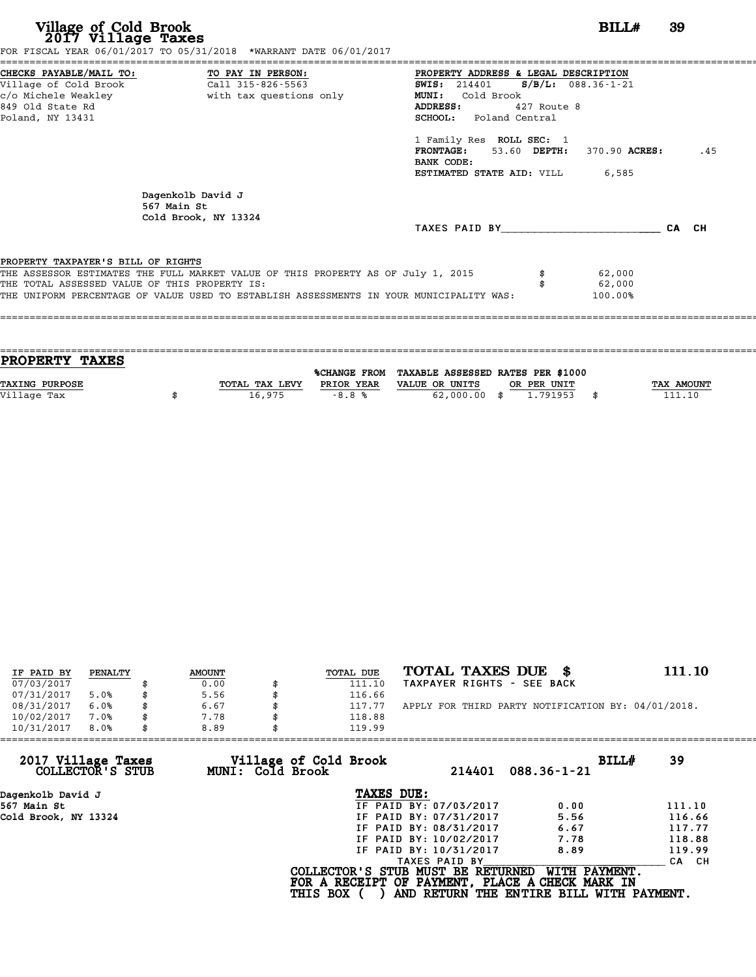FOR FISCAL YEAR 06/01/2017 TO 05/31/2018 \*WARRANT DATE 06/01/2017

======================================================================================================================================== CHECKS PAYABLE/MAIL TO: TO PAY IN PERSON: PROPERTY ADDRESS & LEGAL DESCRIPTION Village of Cold Brook Call 315-826-5563 SWIS: <sup>214401</sup> S/B/L: 088.36-1-21 CHECKS PAYABLE/MAIL TO: TO PAY IN PERSON: PROPERTY ADDRESS & LE<br>
Village of Cold Brook Call 315-826-5563 SWIS: 214401 S/B<br>
c/o Michele Weakley with tax questions only MUNI: Cold Brook<br>
849 Old State Pd CHECKS PAYABLE/MAIL TO: TO PAY IN PERSON: PROPERTY ADDRESS & LEGAL DESCRIPTION<br>
Village of Cold Brook Call 315-826-5563 SWIS: 214401 S/B/L: 088.36-1-21<br>
c/o Michele Weakley with tax questions only MUNI: Cold Brook<br>
Poland, c/o Michele Weakley (2) with tax questions only (2) MUNI: Cold Brook<br>
Poland, NY 13431 SCHOOL: Poland Central<br>
Poland, NY 13431 SCHOOL: Poland Central<br>1 Family Res ROLL SEC: 1<br>FRONTAGE: 53.60 DEPTH. FRONTAGE: 53.60 DEPTH: 370.90 ACRES: .45<br>BANK CODE:<br>ESTIMATED STATE AID: VILL 6,585 1 Family Res<br>**FRONTAGE:<br>BANK CODE:**<br>FSTIMATED STA Dagenkolb David J<br>567 Main St Dagenkolb Davi<br>567 Main St<br>Cold Brook NY 567 Main St<br>Cold Brook, NY 13324 TAXES PAID BY\_\_\_\_\_\_\_\_\_\_\_\_\_\_\_\_\_\_\_\_\_\_\_\_ CA CH PROPERTY TAXPAYER'S BILL OF RIGHTS **PROPERTY TAXPAYER'S BILL OF RIGHTS**<br>THE ASSESSOR ESTIMATES THE FULL MARKET VALUE OF THIS PROPERTY AS OF July 1, 2015 \$ 62,000<br>THE TOTAL ASSESSED VALUE OF THIS PROPERTY IS. **PROPERTY TAXPAYER'S BILL OF RIGHTS<br>THE ASSESSOR ESTIMATES THE FULL MARKET VALUE OF THIS PROPERTY AS OF July 1, 2015 \$\$\$\$\$\$\$\$\$\$\$\$\$\$\$\$\$\$\$\$\$\$\$\$\$\$\$\$\$<br>THE TOTAL ASSESSED VALUE OF THIS PROPERTY IS:<br>THE INIEOPM PERCENTAGE OF VAL** THE ASSESSOR ESTIMATES THE FULL MARKET VALUE OF THIS PROPERTY AS OF July 1, 2015 \$\$\$\$\$\$\$\$\$\$\$\$\$\$\$\$\$\$<br>THE TOTAL ASSESSED VALUE OF THIS PROPERTY IS:<br>THE UNIFORM PERCENTAGE OF VALUE USED TO ESTABLISH ASSESSMENTS IN YOUR MUNICI ====================================================================================================================================

==================================================================================================================================== **PROPERTY TAXES** %CHANGE FROM TAXABLE ASSESSED RATES PER \$1000 **PROPERTY TAXES**<br>
TAXING PURPOSE TOTAL TAX LEVY PRIOR YEAR VALUE OR UNITS OR PER UNIT TAX AMOUNT<br>
VALUE OR UNITS OR PER UNIT TAX AMOUNT TAX AMOUNT TAX AMOUNT TAX AMOUNT PRIOR YEAR VALUE OR UNITS OR PER UNIT **TAXING PURPOSE**<br>
TAXING PURPOSE TAX NOUNT TOTAL TAX LEVY PRIOR YEAR VALUE OR UNITS OR PER UNIT TAX AMOUNT<br>
Village Tax (2,000.00 \$ 1.791953 \$ 111.10

| IF PAID BY | PENALTY | <b>AMOUNT</b> | <b>TOTAL DUE</b> | TOTAL TAXES DUE \$                                 | 111.10 |
|------------|---------|---------------|------------------|----------------------------------------------------|--------|
| 07/03/2017 |         | 0.00          | 111.10           | TAXPAYER RIGHTS - SEE BACK                         |        |
| 07/31/2017 | 5.0%    | \$<br>5.56    | 116.66           |                                                    |        |
| 08/31/2017 | 6.0%    | 6.67          | 117.77           | APPLY FOR THIRD PARTY NOTIFICATION BY: 04/01/2018. |        |
| 10/02/2017 | 7.0%    | \$<br>7.78    | 118.88           |                                                    |        |
| 10/31/2017 | 8.0%    | \$<br>8.89    | 119.99           |                                                    |        |

| 8.89 | 119.99                 |                                                              |                                                                                                                                  |
|------|------------------------|--------------------------------------------------------------|----------------------------------------------------------------------------------------------------------------------------------|
|      | 214401                 | BILL#<br>$088.36 - 1 - 21$                                   | 39                                                                                                                               |
|      | TAXES DUE:             |                                                              |                                                                                                                                  |
|      | IF PAID BY: 07/03/2017 | 0.00                                                         | 111.10                                                                                                                           |
|      | IF PAID BY: 07/31/2017 | 5.56                                                         | 116.66                                                                                                                           |
|      | IF PAID BY: 08/31/2017 | 6.67                                                         | 117.77                                                                                                                           |
|      | IF PAID BY: 10/02/2017 | 7.78                                                         | 118.88                                                                                                                           |
|      | IF PAID BY: 10/31/2017 | 8.89                                                         | 119.99                                                                                                                           |
|      | TAXES PAID BY          |                                                              | CA CH                                                                                                                            |
|      |                        | WITH PAYMENT.                                                |                                                                                                                                  |
|      |                        | Village of Cold Brook<br>MUNI: Cold Brook<br><b>THIS BOX</b> | COLLECTOR'S STUB MUST BE RETURNED<br>FOR A RECEIPT OF PAYMENT, PLACE A CHECK MARK IN<br>AND RETURN THE ENTIRE BILL WITH PAYMENT. |

# **Village of Cold Brook**<br> **2017 Village Taxes**<br>
SCAL YEAR 06/01/2017 TO 05/31/2018 \*WARRANT DATE 06/01/2017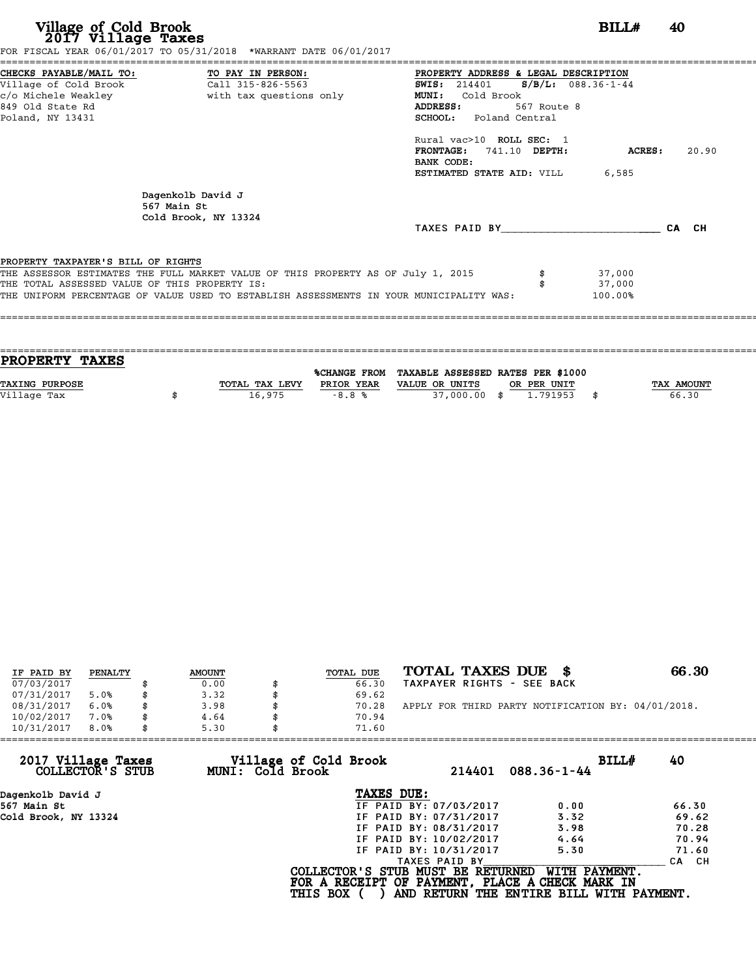| Village of Cold Brook<br>2017 Village Taxes                                                                                       | FOR FISCAL YEAR 06/01/2017 TO 05/31/2018 *WARRANT DATE 06/01/2017                                                                                                           |                                                                                                                                                                                                                                       | BILL#                                     | 40    |
|-----------------------------------------------------------------------------------------------------------------------------------|-----------------------------------------------------------------------------------------------------------------------------------------------------------------------------|---------------------------------------------------------------------------------------------------------------------------------------------------------------------------------------------------------------------------------------|-------------------------------------------|-------|
| CHECKS PAYABLE/MAIL TO: TO PAY IN PERSON:<br>Village of Cold Brook<br>c/o Michele Weakley<br>849 Old State Rd<br>Poland, NY 13431 | Call 315-826-5563<br>with tax questions only                                                                                                                                | PROPERTY ADDRESS & LEGAL DESCRIPTION<br><b>SWIS:</b> 214401<br><b>MUNI:</b><br>Cold Brook<br>ADDRESS:<br>567 Route 8<br><b>SCHOOL:</b> Poland Central<br>Rural vac>10 ROLL SEC: 1<br>741.10 DEPTH:<br><b>FRONTAGE :</b><br>BANK CODE: | $S/B/L: 088.36 - 1 - 44$<br><b>ACRES:</b> | 20.90 |
|                                                                                                                                   | Dagenkolb David J<br>567 Main St<br>Cold Brook, NY 13324                                                                                                                    | <b>ESTIMATED STATE AID:</b> VILL 6,585<br>TAXES PAID BY CA CH                                                                                                                                                                         |                                           |       |
| PROPERTY TAXPAYER'S BILL OF RIGHTS<br>THE TOTAL ASSESSED VALUE OF THIS PROPERTY IS:                                               | THE ASSESSOR ESTIMATES THE FULL MARKET VALUE OF THIS PROPERTY AS OF July 1, 2015<br>THE UNIFORM PERCENTAGE OF VALUE USED TO ESTABLISH ASSESSMENTS IN YOUR MUNICIPALITY WAS: |                                                                                                                                                                                                                                       | 37,000<br>37,000<br>100.00%               |       |

| <b>PROPERTY TAXES</b> |                |            |                                                |             |            |
|-----------------------|----------------|------------|------------------------------------------------|-------------|------------|
|                       |                |            |                                                |             |            |
|                       |                |            | %CHANGE FROM TAXABLE ASSESSED RATES PER \$1000 |             |            |
| <b>TAXING PURPOSE</b> | TOTAL TAX LEVY | PRIOR YEAR | VALUE OR UNITS                                 | OR PER UNIT | TAX AMOUNT |
|                       |                |            |                                                |             |            |
| Village Tax           | 16,975         | $-8.8%$    | 37,000,00 \$                                   | 1,791953    | 66.30      |
|                       |                |            |                                                |             |            |

| IF PAID BY | PENALTY | <b>AMOUNT</b> | TOTAL DUE | TOTAL TAXES DUE \$                                 | 66.30 |
|------------|---------|---------------|-----------|----------------------------------------------------|-------|
| 07/03/2017 |         | 0.00          | 66.30     | TAXPAYER RIGHTS - SEE BACK                         |       |
| 07/31/2017 | 5.0%    | 3.32          | 69.62     |                                                    |       |
| 08/31/2017 | 6.0%    | \$<br>3.98    | 70.28     | APPLY FOR THIRD PARTY NOTIFICATION BY: 04/01/2018. |       |
| 10/02/2017 | 7.0%    | \$<br>4.64    | 70.94     |                                                    |       |
| 10/31/2017 | 8.0%    | \$<br>5.30    | 71.60     |                                                    |       |

| 71.60           |                                           |                                                                                                                                                               |                                                                                                                                  |
|-----------------|-------------------------------------------|---------------------------------------------------------------------------------------------------------------------------------------------------------------|----------------------------------------------------------------------------------------------------------------------------------|
|                 | 214401                                    | BILLH<br>$088.36 - 1 - 44$                                                                                                                                    | 40                                                                                                                               |
|                 |                                           |                                                                                                                                                               |                                                                                                                                  |
|                 |                                           | 0.00                                                                                                                                                          | 66.30                                                                                                                            |
|                 |                                           | 3.32                                                                                                                                                          | 69.62                                                                                                                            |
|                 |                                           | 3.98                                                                                                                                                          | 70.28                                                                                                                            |
|                 |                                           | 4.64                                                                                                                                                          | 70.94                                                                                                                            |
|                 |                                           | 5.30                                                                                                                                                          | 71.60                                                                                                                            |
|                 |                                           |                                                                                                                                                               | CA CH                                                                                                                            |
| <b>THIS BOX</b> |                                           | WITH PAYMENT.                                                                                                                                                 |                                                                                                                                  |
| 5.30            | Village of Cold Brook<br>MUNI: Cold Brook | TAXES DUE:<br>IF PAID BY: 07/03/2017<br>IF PAID BY: 07/31/2017<br>IF PAID BY: 08/31/2017<br>IF PAID BY: 10/02/2017<br>IF PAID BY: 10/31/2017<br>TAXES PAID BY | COLLECTOR'S STUB MUST BE RETURNED<br>FOR A RECEIPT OF PAYMENT, PLACE A CHECK MARK IN<br>AND RETURN THE ENTIRE BILL WITH PAYMENT. |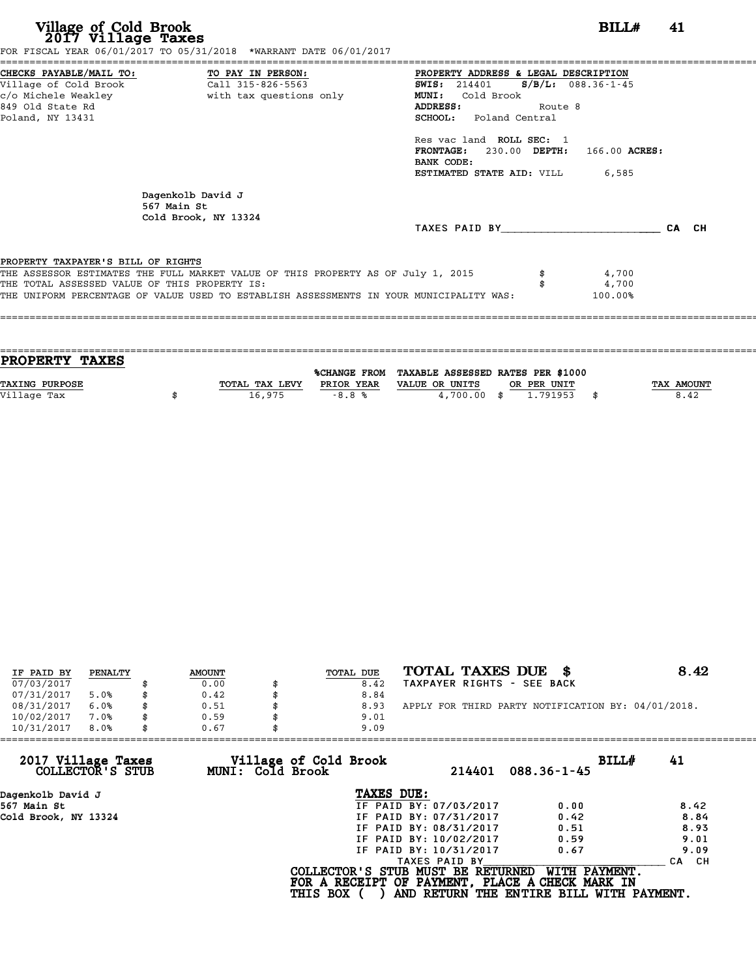| Village of Cold Brook<br>2017 Village Taxes                                                                     | FOR FISCAL YEAR 06/01/2017 TO 05/31/2018 *WARRANT DATE 06/01/2017                                                                                                           | BILL#                                                                                                                                                                                                                                                                                           | 41    |  |
|-----------------------------------------------------------------------------------------------------------------|-----------------------------------------------------------------------------------------------------------------------------------------------------------------------------|-------------------------------------------------------------------------------------------------------------------------------------------------------------------------------------------------------------------------------------------------------------------------------------------------|-------|--|
| CHECKS PAYABLE/MAIL TO:<br>Village of Cold Brook<br>c/o Michele Weakley<br>849 Old State Rd<br>Poland, NY 13431 | TO PAY IN PERSON:<br>Call 315-826-5563<br>with tax questions only                                                                                                           | PROPERTY ADDRESS & LEGAL DESCRIPTION<br>$S/B/L: 088.36-1-45$<br><b>SWIS:</b> 214401<br>Cold Brook<br>MUNI:<br>ADDRESS:<br>Route 8<br><b>SCHOOL:</b> Poland Central<br>Res vac land ROLL SEC: 1<br>FRONTAGE: 230.00 DEPTH: 166.00 ACRES:<br>BANK CODE:<br><b>ESTIMATED STATE AID:</b> VILL 6,585 |       |  |
|                                                                                                                 | Dagenkolb David J<br>567 Main St<br>Cold Brook, NY 13324                                                                                                                    | TAXES PAID BY                                                                                                                                                                                                                                                                                   | CA CH |  |
| PROPERTY TAXPAYER'S BILL OF RIGHTS<br>THE TOTAL ASSESSED VALUE OF THIS PROPERTY IS:                             | THE ASSESSOR ESTIMATES THE FULL MARKET VALUE OF THIS PROPERTY AS OF July 1, 2015<br>THE UNIFORM PERCENTAGE OF VALUE USED TO ESTABLISH ASSESSMENTS IN YOUR MUNICIPALITY WAS: | 4,700<br>4,700<br>100.00%                                                                                                                                                                                                                                                                       |       |  |
|                                                                                                                 |                                                                                                                                                                             |                                                                                                                                                                                                                                                                                                 |       |  |

| <b>TAX AMOUNT</b> |
|-------------------|
|                   |
|                   |
|                   |

|            | PENALTY |               | TOTAL DUE | TOTAL TAXES DUE \$                                 | 8.42 |
|------------|---------|---------------|-----------|----------------------------------------------------|------|
| IF PAID BY |         | <b>AMOUNT</b> |           |                                                    |      |
| 07/03/2017 |         | 0.00          | 8.42      | TAXPAYER RIGHTS - SEE BACK                         |      |
| 07/31/2017 | 5.0%    | \$<br>0.42    | 8.84      |                                                    |      |
| 08/31/2017 | 6.0%    | 0.51          | 8.93      | APPLY FOR THIRD PARTY NOTIFICATION BY: 04/01/2018. |      |
| 10/02/2017 | 7.0%    | \$<br>0.59    | 9.01      |                                                    |      |
| 10/31/2017 | 8.0%    | \$<br>0.67    | 9.09      |                                                    |      |

| 10/31/2017<br>8.0%                     | 0.67                                      | 9.09                                                                                 |                                                           |                  |
|----------------------------------------|-------------------------------------------|--------------------------------------------------------------------------------------|-----------------------------------------------------------|------------------|
| 2017 Village Taxes<br>COLLECTOR'S STUB | Village of Cold Brook<br>MUNI: Cold Brook | 214401                                                                               | BILLH<br>$088.36 - 1 - 45$                                | 41               |
| Dagenkolb David J                      |                                           | TAXES DUE:                                                                           |                                                           |                  |
| 567 Main St                            |                                           | IF PAID BY: 07/03/2017                                                               | 0.00                                                      | 8.42             |
| Cold Brook, NY 13324                   |                                           | IF PAID BY: 07/31/2017                                                               | 0.42                                                      | 8.84             |
|                                        |                                           | IF PAID BY: 08/31/2017                                                               | 0.51                                                      | 8.93             |
|                                        |                                           | IF PAID BY: 10/02/2017                                                               | 0.59                                                      | 9.01             |
|                                        |                                           | IF PAID BY: 10/31/2017                                                               | 0.67                                                      | 9.09             |
|                                        |                                           | TAXES PAID BY                                                                        |                                                           | CH.<br><b>CA</b> |
|                                        | <b>THIS BOX</b>                           | COLLECTOR'S STUB MUST BE RETURNED<br>FOR A RECEIPT OF PAYMENT, PLACE A CHECK MARK IN | WITH PAYMENT.<br>AND RETURN THE ENTIRE BILL WITH PAYMENT. |                  |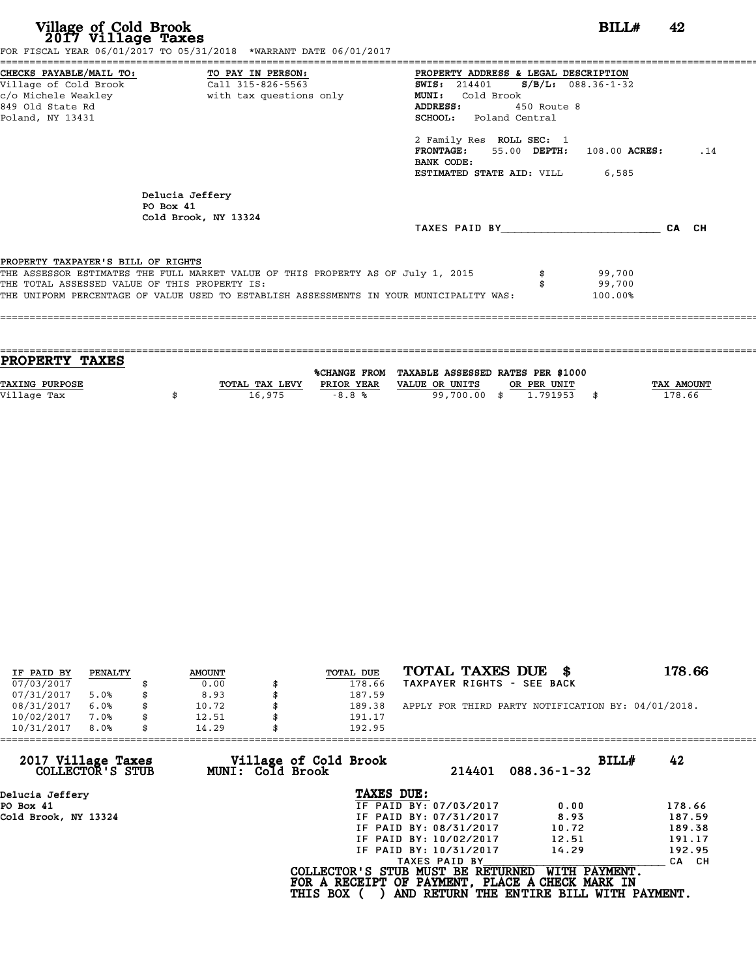| Village of Cold Brook<br>2017 Village Taxes   | FOR FISCAL YEAR 06/01/2017 TO 05/31/2018 *WARRANT DATE 06/01/2017                       |                                               | BILL#   | 42    |  |
|-----------------------------------------------|-----------------------------------------------------------------------------------------|-----------------------------------------------|---------|-------|--|
| CHECKS PAYABLE/MAIL TO: TO PAY IN PERSON:     |                                                                                         | PROPERTY ADDRESS & LEGAL DESCRIPTION          |         |       |  |
| Village of Cold Brook                         | Call 315-826-5563                                                                       | <b>SWIS:</b> 214401 <b>S/B/L:</b> 088.36-1-32 |         |       |  |
| c/o Michele Weakley                           | with tax questions only                                                                 | MUNI: Cold Brook                              |         |       |  |
| 849 Old State Rd                              |                                                                                         | 450 Route 8<br>ADDRESS:                       |         |       |  |
| Poland, NY 13431                              |                                                                                         | <b>SCHOOL:</b> Poland Central                 |         |       |  |
|                                               |                                                                                         | 2 Family Res ROLL SEC: 1                      |         |       |  |
|                                               |                                                                                         | $FRONTAGE: 55.00$ $DEPTH: 108.00$ $ACRES:$    |         | .14   |  |
|                                               |                                                                                         | BANK CODE:                                    |         |       |  |
|                                               |                                                                                         | <b>ESTIMATED STATE AID:</b> VILL 6,585        |         |       |  |
|                                               | Delucia Jeffery                                                                         |                                               |         |       |  |
| PO Box 41                                     |                                                                                         |                                               |         |       |  |
|                                               | Cold Brook, NY 13324                                                                    |                                               |         |       |  |
|                                               |                                                                                         | TAXES PAID BY TAXES PAID BY                   |         | CA CH |  |
| PROPERTY TAXPAYER'S BILL OF RIGHTS            |                                                                                         |                                               |         |       |  |
|                                               | THE ASSESSOR ESTIMATES THE FULL MARKET VALUE OF THIS PROPERTY AS OF July 1, 2015        |                                               | 99,700  |       |  |
| THE TOTAL ASSESSED VALUE OF THIS PROPERTY IS: |                                                                                         |                                               | 99,700  |       |  |
|                                               | THE UNIFORM PERCENTAGE OF VALUE USED TO ESTABLISH ASSESSMENTS IN YOUR MUNICIPALITY WAS: |                                               | 100.00% |       |  |

| <b>TAX AMOUNT</b> |
|-------------------|
| 178.66            |
|                   |
|                   |

| IF PAID BY | PENALTY | <b>AMOUNT</b> | TOTAL DUE | TOTAL TAXES DUE \$                                 | 178.66 |
|------------|---------|---------------|-----------|----------------------------------------------------|--------|
| 07/03/2017 |         | 0.00          | 178.66    | TAXPAYER RIGHTS - SEE BACK                         |        |
| 07/31/2017 | 5.0%    | 8.93          | 187.59    |                                                    |        |
| 08/31/2017 | 6.0%    | 10.72         | 189.38    | APPLY FOR THIRD PARTY NOTIFICATION BY: 04/01/2018. |        |
| 10/02/2017 | 7.0%    | 12.51         | 191.17    |                                                    |        |
| 10/31/2017 | 8.0%    | 14.29         | 192.95    |                                                    |        |

| 14.29 | 192.95                 |                                                              |                                                                                                                                  |
|-------|------------------------|--------------------------------------------------------------|----------------------------------------------------------------------------------------------------------------------------------|
|       | 214401                 | BILLH<br>$088.36 - 1 - 32$                                   | 42                                                                                                                               |
|       | TAXES DUE:             |                                                              |                                                                                                                                  |
|       | IF PAID BY: 07/03/2017 | 0.00                                                         | 178.66                                                                                                                           |
|       | IF PAID BY: 07/31/2017 | 8.93                                                         | 187.59                                                                                                                           |
|       | IF PAID BY: 08/31/2017 | 10.72                                                        | 189.38                                                                                                                           |
|       | IF PAID BY: 10/02/2017 | 12.51                                                        | 191.17                                                                                                                           |
|       | IF PAID BY: 10/31/2017 | 14.29                                                        | 192.95                                                                                                                           |
|       | TAXES PAID BY          |                                                              | CA CH                                                                                                                            |
|       |                        | WITH PAYMENT.                                                |                                                                                                                                  |
|       |                        | Village of Cold Brook<br>MUNI: Cold Brook<br><b>THIS BOX</b> | COLLECTOR'S STUB MUST BE RETURNED<br>FOR A RECEIPT OF PAYMENT, PLACE A CHECK MARK IN<br>AND RETURN THE ENTIRE BILL WITH PAYMENT. |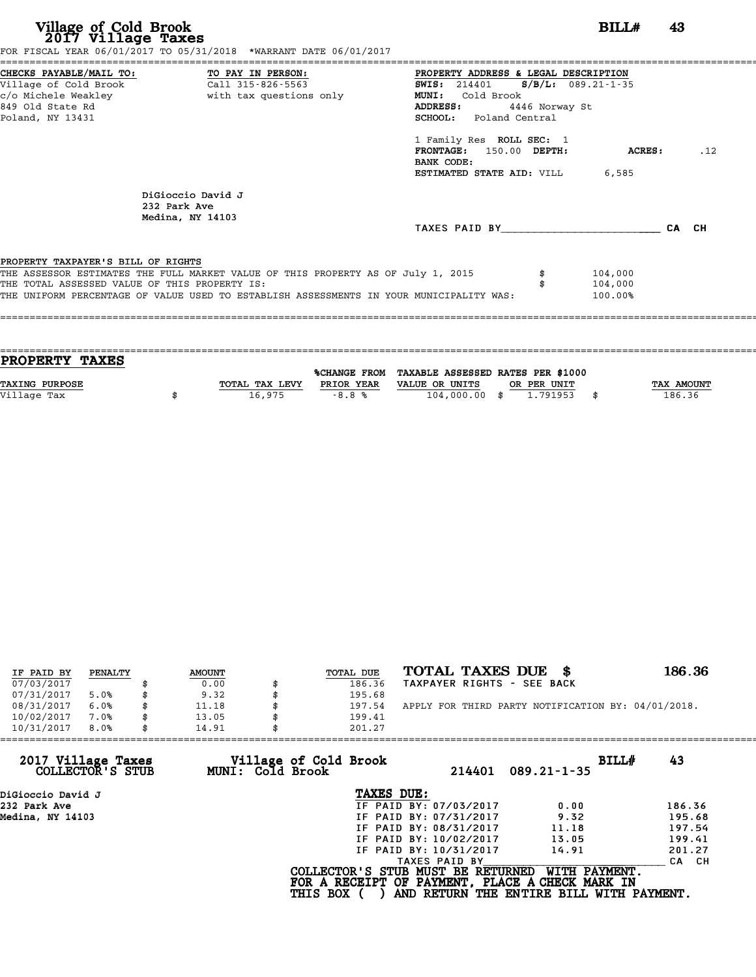| Village of Cold Brook<br>2017 Village Taxes                                         | FOR FISCAL YEAR 06/01/2017 TO 05/31/2018 *WARRANT DATE 06/01/2017                                                                                                           | BILL#                                                                                                                                                                                                                                                                                             | 43            |       |
|-------------------------------------------------------------------------------------|-----------------------------------------------------------------------------------------------------------------------------------------------------------------------------|---------------------------------------------------------------------------------------------------------------------------------------------------------------------------------------------------------------------------------------------------------------------------------------------------|---------------|-------|
| 849 Old State Rd<br>Poland, NY 13431                                                | CHECKS PAYABLE/MAIL TO: TO PAY IN PERSON:<br>Village of Cold Brook (Call 315-826-5563)                                                                                      | PROPERTY ADDRESS & LEGAL DESCRIPTION<br><b>SWIS:</b> 214401 <b>S/B/L:</b> 089.21-1-35<br><b>MUNI:</b><br>Cold Brook<br>4446 Norway St<br>ADDRESS:<br><b>SCHOOL:</b> Poland Central<br>1 Family Res ROLL SEC: 1<br>FRONTAGE: 150.00 DEPTH:<br>BANK CODE:<br><b>ESTIMATED STATE AID:</b> VILL 6,585 | <b>ACRES:</b> | .12   |
|                                                                                     | DiGioccio David J<br>232 Park Ave<br>Medina, NY 14103                                                                                                                       | TAXES PAID BY TAXES                                                                                                                                                                                                                                                                               |               | CA CH |
| PROPERTY TAXPAYER'S BILL OF RIGHTS<br>THE TOTAL ASSESSED VALUE OF THIS PROPERTY IS: | THE ASSESSOR ESTIMATES THE FULL MARKET VALUE OF THIS PROPERTY AS OF July 1, 2015<br>THE UNIFORM PERCENTAGE OF VALUE USED TO ESTABLISH ASSESSMENTS IN YOUR MUNICIPALITY WAS: | 104,000<br>104,000<br>100.00%                                                                                                                                                                                                                                                                     |               |       |

| PROPERTY TAXES        |                |              |                                   |             |      |            |
|-----------------------|----------------|--------------|-----------------------------------|-------------|------|------------|
|                       |                |              |                                   |             |      |            |
|                       |                | %CHANGE FROM | TAXABLE ASSESSED RATES PER \$1000 |             |      |            |
| <b>TAXING PURPOSE</b> | TOTAL TAX LEVY | PRIOR YEAR   | VALUE OR UNITS                    | OR PER UNIT |      | TAX AMOUNT |
| Village Tax           | 16,975         | $-8.8%$      | $104,000.00$ \$                   | 1.791953    | - \$ | 186.36     |
|                       |                |              |                                   |             |      |            |

| IF PAID BY | PENALTY | <b>AMOUNT</b> | TOTAL DUE | TOTAL TAXES DUE \$                                 | 186.36 |
|------------|---------|---------------|-----------|----------------------------------------------------|--------|
| 07/03/2017 |         | 0.00          | 186.36    | TAXPAYER RIGHTS - SEE BACK                         |        |
| 07/31/2017 | 5.0%    | \$<br>9.32    | 195.68    |                                                    |        |
| 08/31/2017 | 6.0%    | 11.18         | 197.54    | APPLY FOR THIRD PARTY NOTIFICATION BY: 04/01/2018. |        |
| 10/02/2017 | 7.0%    | \$<br>13.05   | 199.41    |                                                    |        |
| 10/31/2017 | 8.0%    | \$<br>14.91   | 201.27    |                                                    |        |

| 201.27          |                                           |                                                                                                                                                               |                                                                                                                                                       |
|-----------------|-------------------------------------------|---------------------------------------------------------------------------------------------------------------------------------------------------------------|-------------------------------------------------------------------------------------------------------------------------------------------------------|
|                 | 214401                                    | BILLH                                                                                                                                                         | 43                                                                                                                                                    |
|                 |                                           |                                                                                                                                                               |                                                                                                                                                       |
|                 |                                           | 0.00                                                                                                                                                          | 186.36                                                                                                                                                |
|                 |                                           | 9.32                                                                                                                                                          | 195.68                                                                                                                                                |
|                 |                                           | 11.18                                                                                                                                                         | 197.54                                                                                                                                                |
|                 |                                           | 13.05                                                                                                                                                         | 199.41                                                                                                                                                |
|                 |                                           | 14.91                                                                                                                                                         | 201.27                                                                                                                                                |
|                 |                                           |                                                                                                                                                               | CA CH                                                                                                                                                 |
| <b>THIS BOX</b> |                                           | WITH PAYMENT.                                                                                                                                                 |                                                                                                                                                       |
|                 | Village of Cold Brook<br>MUNI: Cold Brook | TAXES DUE:<br>IF PAID BY: 07/03/2017<br>IF PAID BY: 07/31/2017<br>IF PAID BY: 08/31/2017<br>IF PAID BY: 10/02/2017<br>IF PAID BY: 10/31/2017<br>TAXES PAID BY | $089.21 - 1 - 35$<br>COLLECTOR'S STUB MUST BE RETURNED<br>FOR A RECEIPT OF PAYMENT, PLACE A CHECK MARK IN<br>AND RETURN THE ENTIRE BILL WITH PAYMENT. |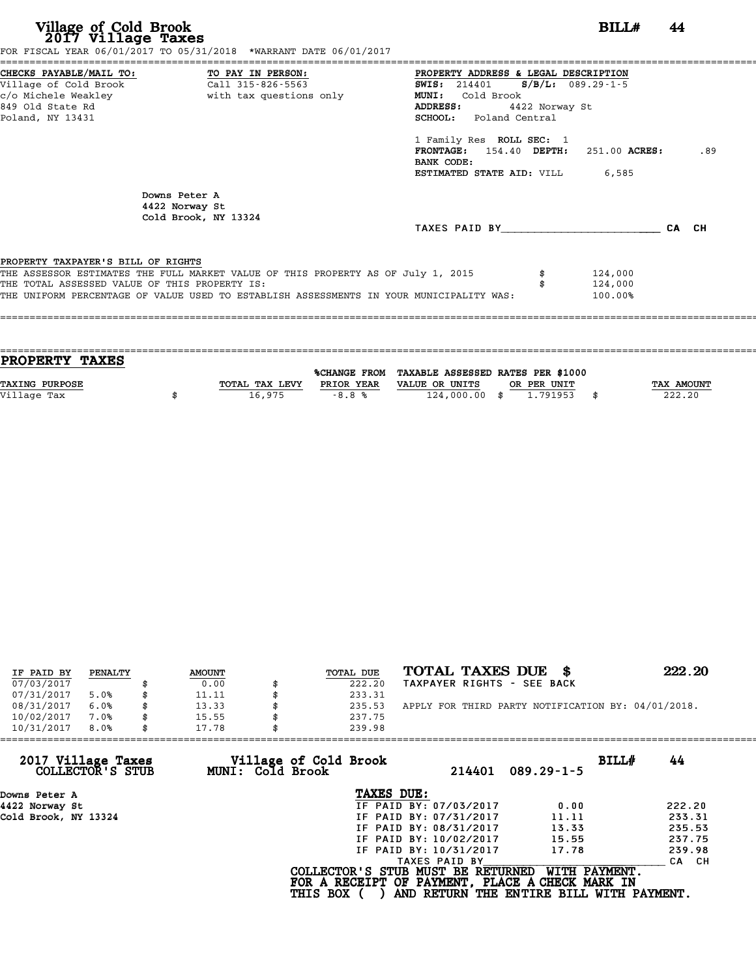| Village of Cold Brook<br>2017 Village Taxes<br>FOR FISCAL YEAR 06/01/2017 TO 05/31/2018 *WARRANT DATE 06/01/2017                                                                                                                                                   |                   | BILL#                                                                                                                                                                                                                                                                                           | 44  |
|--------------------------------------------------------------------------------------------------------------------------------------------------------------------------------------------------------------------------------------------------------------------|-------------------|-------------------------------------------------------------------------------------------------------------------------------------------------------------------------------------------------------------------------------------------------------------------------------------------------|-----|
| CHECKS PAYABLE/MAIL TO: TO PAY IN PERSON:<br>Village of Cold Brook<br>849 Old State Rd<br>Poland, NY 13431                                                                                                                                                         | Call 315-826-5563 | PROPERTY ADDRESS & LEGAL DESCRIPTION<br>SWIS: 214401 S/B/L: 089.29-1-5<br>Cold Brook<br>MUNI:<br>ADDRESS:<br>4422 Norway St<br><b>SCHOOL:</b> Poland Central<br>1 Family Res ROLL SEC: 1<br>$FRONTAGE: 154.40$ $DEPTH: 251.00$ $ACRES:$<br>BANK CODE:<br><b>ESTIMATED STATE AID:</b> VILL 6,585 | .89 |
| Downs Peter A<br>4422 Norway St<br>Cold Brook, NY 13324                                                                                                                                                                                                            |                   | TAXES PAID BY CA CH                                                                                                                                                                                                                                                                             |     |
| PROPERTY TAXPAYER'S BILL OF RIGHTS<br>THE ASSESSOR ESTIMATES THE FULL MARKET VALUE OF THIS PROPERTY AS OF July 1, 2015<br>THE TOTAL ASSESSED VALUE OF THIS PROPERTY IS:<br>THE UNIFORM PERCENTAGE OF VALUE USED TO ESTABLISH ASSESSMENTS IN YOUR MUNICIPALITY WAS: |                   | 124,000<br>124,000<br>100.00%                                                                                                                                                                                                                                                                   |     |

| <b>PROPERTY TAXES</b> |                |            |                                                |             |                   |
|-----------------------|----------------|------------|------------------------------------------------|-------------|-------------------|
|                       |                |            | %CHANGE FROM TAXABLE ASSESSED RATES PER \$1000 |             |                   |
| <b>TAXING PURPOSE</b> | TOTAL TAX LEVY | PRIOR YEAR | VALUE OR UNITS                                 | OR PER UNIT | <b>TAX AMOUNT</b> |
| Village Tax           | 16,975         | $-8.8%$    | 124,000.00 \$                                  | 1.791953    | 222.20            |
|                       |                |            |                                                |             |                   |

| IF PAID BY | PENALTY | <b>AMOUNT</b> | TOTAL DUE | TOTAL TAXES DUE \$                                 | 222.20 |
|------------|---------|---------------|-----------|----------------------------------------------------|--------|
| 07/03/2017 |         | 0.00          | 222.20    | TAXPAYER RIGHTS - SEE BACK                         |        |
| 07/31/2017 | 5.0%    | 11.11         | 233.31    |                                                    |        |
| 08/31/2017 | 6.0%    | 13.33         | 235.53    | APPLY FOR THIRD PARTY NOTIFICATION BY: 04/01/2018. |        |
| 10/02/2017 | 7.0%    | 15.55         | 237.75    |                                                    |        |
| 10/31/2017 | 8.0%    | 17.78         | 239.98    |                                                    |        |

| Village of Cold Brook<br>BILLH<br>44<br>214401<br>$089.29 - 1 - 5$                                                                                |
|---------------------------------------------------------------------------------------------------------------------------------------------------|
| TAXES DUE:                                                                                                                                        |
| IF PAID BY: 07/03/2017<br>222.20<br>0.00                                                                                                          |
| 233.31<br>IF PAID BY: 07/31/2017<br>11.11                                                                                                         |
| 235.53<br>IF PAID BY: 08/31/2017<br>13.33                                                                                                         |
| 237.75<br>15.55<br>IF PAID BY: 10/02/2017                                                                                                         |
| 239.98<br>IF PAID BY: 10/31/2017<br>17.78                                                                                                         |
| TAXES PAID BY<br>CA CH                                                                                                                            |
| COLLECTOR'S STUB MUST BE RETURNED<br>WITH PAYMENT.<br>FOR A RECEIPT OF PAYMENT, PLACE A CHECK MARK IN<br>AND RETURN THE ENTIRE BILL WITH PAYMENT. |
|                                                                                                                                                   |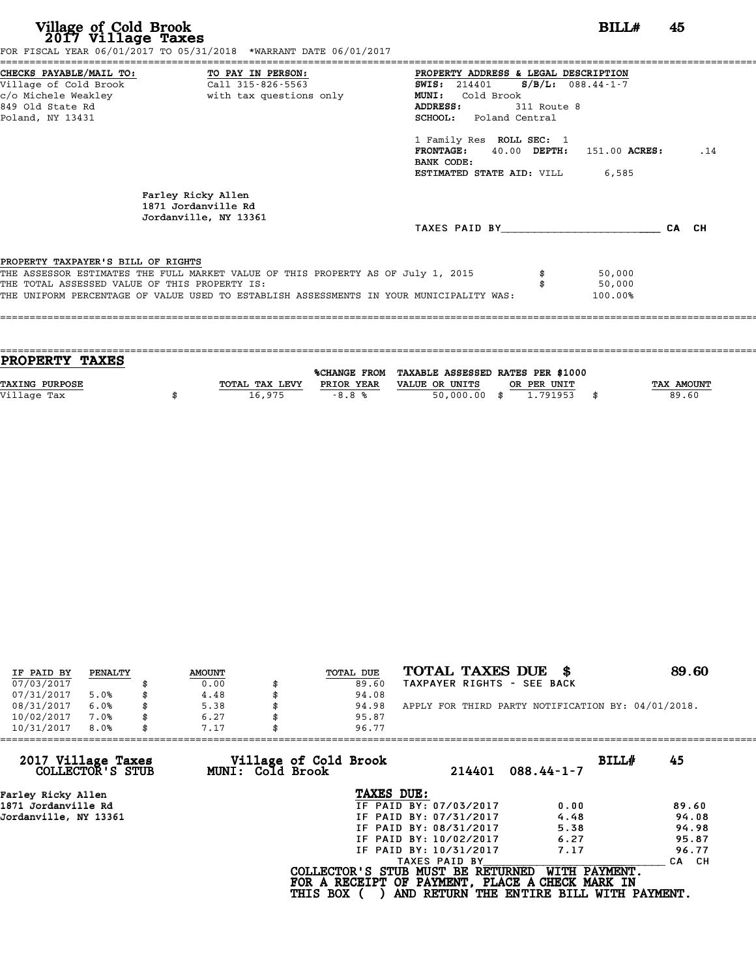| Village of Cold Brook<br>2017 Village Taxes                                                                                  | FOR FISCAL YEAR 06/01/2017 TO 05/31/2018 *WARRANT DATE 06/01/2017                                                                                                           |                                                                                                                                                                                                                                                                                                           | BILL#                       | 45  |
|------------------------------------------------------------------------------------------------------------------------------|-----------------------------------------------------------------------------------------------------------------------------------------------------------------------------|-----------------------------------------------------------------------------------------------------------------------------------------------------------------------------------------------------------------------------------------------------------------------------------------------------------|-----------------------------|-----|
| CHECKS PAYABLE/MAIL TO: TO PAY IN PERSON:<br>Village of Cold Brook Call 315-826-5563<br>849 Old State Rd<br>Poland, NY 13431 |                                                                                                                                                                             | PROPERTY ADDRESS & LEGAL DESCRIPTION<br>$S/B/L$ : 088.44-1-7<br><b>SWIS:</b> 214401<br><b>MUNI:</b><br>Cold Brook<br><b>ADDRESS:</b><br>311 Route 8<br>SCHOOL: Poland Central<br>1 Family Res ROLL SEC: 1<br>FRONTAGE: 40.00 DEPTH: 151.00 ACRES:<br>BANK CODE:<br><b>ESTIMATED STATE AID: VILL 6,585</b> |                             | .14 |
|                                                                                                                              | Farley Ricky Allen<br>1871 Jordanville Rd<br>Jordanville, NY 13361                                                                                                          | TAXES PAID BY CA CH                                                                                                                                                                                                                                                                                       |                             |     |
| PROPERTY TAXPAYER'S BILL OF RIGHTS<br>THE TOTAL ASSESSED VALUE OF THIS PROPERTY IS:                                          | THE ASSESSOR ESTIMATES THE FULL MARKET VALUE OF THIS PROPERTY AS OF July 1, 2015<br>THE UNIFORM PERCENTAGE OF VALUE USED TO ESTABLISH ASSESSMENTS IN YOUR MUNICIPALITY WAS: |                                                                                                                                                                                                                                                                                                           | 50,000<br>50,000<br>100.00% |     |

| <b>PROPERTY TAXES</b> |                |            |                                                |             |            |
|-----------------------|----------------|------------|------------------------------------------------|-------------|------------|
|                       |                |            |                                                |             |            |
|                       |                |            | %CHANGE FROM TAXABLE ASSESSED RATES PER \$1000 |             |            |
| <b>TAXING PURPOSE</b> | TOTAL TAX LEVY | PRIOR YEAR | VALUE OR UNITS                                 | OR PER UNIT | TAX AMOUNT |
| Village Tax           |                |            |                                                | 1,791953    | 89.60      |
|                       |                |            |                                                |             |            |
| 16,975<br>$-8.8%$     |                |            | $50,000.00$ \$                                 |             |            |

| IF PAID BY | PENALTY | <b>AMOUNT</b> | TOTAL DUE | TOTAL TAXES DUE \$                                 | 89.60 |
|------------|---------|---------------|-----------|----------------------------------------------------|-------|
| 07/03/2017 |         | 0.00          | 89.60     | TAXPAYER RIGHTS - SEE BACK                         |       |
| 07/31/2017 | 5.0%    | 4.48          | 94.08     |                                                    |       |
| 08/31/2017 | 6.0%    | 5.38          | 94.98     | APPLY FOR THIRD PARTY NOTIFICATION BY: 04/01/2018. |       |
| 10/02/2017 | 7.0%    | 6.27          | 95.87     |                                                    |       |
| 10/31/2017 | 8.0%    | 7.17          | 96.77     |                                                    |       |

| 10/31/2017<br>8.0%<br>7.17             |                                           | 96.77                                                                                |                                                           |       |
|----------------------------------------|-------------------------------------------|--------------------------------------------------------------------------------------|-----------------------------------------------------------|-------|
| 2017 Village Taxes<br>COLLECTOR'S STUB | Village of Cold Brook<br>MUNI: Cold Brook | 214401                                                                               | BILLH<br>$088.44 - 1 - 7$                                 | 45    |
| Farley Ricky Allen                     |                                           | TAXES DUE:                                                                           |                                                           |       |
| 1871 Jordanville Rd                    |                                           | IF PAID BY: 07/03/2017                                                               | 0.00                                                      | 89.60 |
| Jordanville, NY 13361                  |                                           | IF PAID BY: 07/31/2017                                                               | 4.48                                                      | 94.08 |
|                                        |                                           | IF PAID BY: 08/31/2017                                                               | 5.38                                                      | 94.98 |
|                                        |                                           | IF PAID BY: 10/02/2017                                                               | 6.27                                                      | 95.87 |
|                                        |                                           | IF PAID BY: 10/31/2017                                                               | 7.17                                                      | 96.77 |
|                                        |                                           | TAXES PAID BY                                                                        |                                                           | CA CH |
|                                        | <b>THIS BOX</b>                           | COLLECTOR'S STUB MUST BE RETURNED<br>FOR A RECEIPT OF PAYMENT, PLACE A CHECK MARK IN | WITH PAYMENT.<br>AND RETURN THE ENTIRE BILL WITH PAYMENT. |       |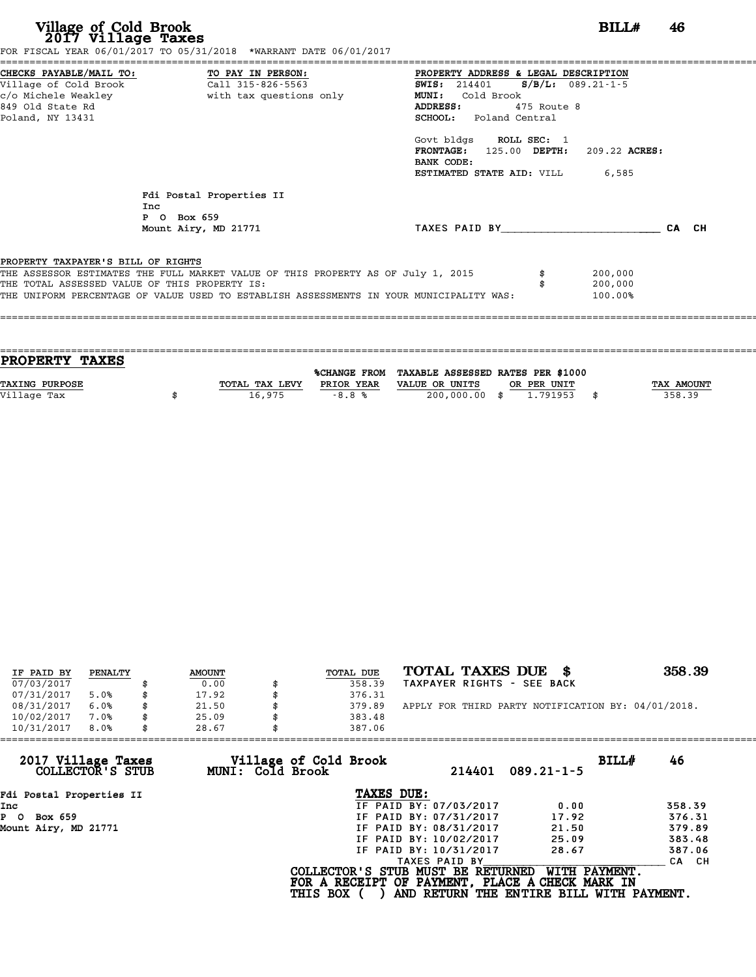| Village of Cold Brook<br>2017 Village Taxes<br>FOR FISCAL YEAR 06/01/2017 TO 05/31/2018 *WARRANT DATE 06/01/2017                                                                                                                                                   | BILL#<br>46                                                                                                                                                                                                                                                                                                   |
|--------------------------------------------------------------------------------------------------------------------------------------------------------------------------------------------------------------------------------------------------------------------|---------------------------------------------------------------------------------------------------------------------------------------------------------------------------------------------------------------------------------------------------------------------------------------------------------------|
| CHECKS PAYABLE/MAIL TO: TO PAY IN PERSON:<br>Village of Cold Brook<br>Call 315-826-5563<br>c/o Michele Weakley<br>with tax questions only<br>849 Old State Rd<br>Poland, NY 13431                                                                                  | PROPERTY ADDRESS & LEGAL DESCRIPTION<br><b>SWIS:</b> 214401<br>$S/B/L: 089.21-1-5$<br>Cold Brook<br><b>MUNI:</b><br>ADDRESS:<br>475 Route 8<br>SCHOOL: Poland Central<br>Govt bldgs ROLL SEC: 1<br><b>FRONTAGE:</b><br>125.00 DEPTH:<br>209.22 ACRES:<br>BANK CODE:<br><b>ESTIMATED STATE AID:</b> VILL 6,585 |
| Fdi Postal Properties II<br>Inc<br>P O Box 659<br>Mount Airy, MD 21771                                                                                                                                                                                             | TAXES PAID BY<br>CA CH                                                                                                                                                                                                                                                                                        |
| PROPERTY TAXPAYER'S BILL OF RIGHTS<br>THE ASSESSOR ESTIMATES THE FULL MARKET VALUE OF THIS PROPERTY AS OF July 1, 2015<br>THE TOTAL ASSESSED VALUE OF THIS PROPERTY IS:<br>THE UNIFORM PERCENTAGE OF VALUE USED TO ESTABLISH ASSESSMENTS IN YOUR MUNICIPALITY WAS: | 200,000<br>200,000<br>100.00%                                                                                                                                                                                                                                                                                 |

| PROPERTY TAXES        |                |            |                                                |             |                   |
|-----------------------|----------------|------------|------------------------------------------------|-------------|-------------------|
|                       |                |            | %CHANGE FROM TAXABLE ASSESSED RATES PER \$1000 |             |                   |
|                       |                |            |                                                |             |                   |
| <b>TAXING PURPOSE</b> | TOTAL TAX LEVY | PRIOR YEAR | VALUE OR UNITS                                 | OR PER UNIT | <b>TAX AMOUNT</b> |
| Village Tax           | 16,975         | $-8.8%$    | 200,000.00 \$                                  | 1,791953    | 358.39            |
|                       |                |            |                                                |             |                   |

====================================================================================================================================

| IF PAID BY | PENALTY | <b>AMOUNT</b> | TOTAL DUE | TOTAL TAXES DUE<br>- 86                            | 358.39 |
|------------|---------|---------------|-----------|----------------------------------------------------|--------|
| 07/03/2017 |         | 0.00          | 358.39    | TAXPAYER RIGHTS - SEE BACK                         |        |
| 07/31/2017 | 5.0%    | 17.92         | 376.31    |                                                    |        |
| 08/31/2017 | 6.0%    | 21.50         | 379.89    | APPLY FOR THIRD PARTY NOTIFICATION BY: 04/01/2018. |        |
| 10/02/2017 | 7.0%    | 25.09         | 383.48    |                                                    |        |
| 10/31/2017 | 8.0%    | 28.67         | 387.06    |                                                    |        |

| 28.67                                  | 387.06 |                                                              |                                                                                                                                                               |                                                                                                                                                   |
|----------------------------------------|--------|--------------------------------------------------------------|---------------------------------------------------------------------------------------------------------------------------------------------------------------|---------------------------------------------------------------------------------------------------------------------------------------------------|
| 2017 Village Taxes<br>COLLECTOR'S STUB |        | 214401                                                       | $089.21 - 1 - 5$                                                                                                                                              | BILLH<br>46                                                                                                                                       |
| Fdi Postal Properties II               |        |                                                              |                                                                                                                                                               |                                                                                                                                                   |
|                                        |        |                                                              | 0.00                                                                                                                                                          | 358.39                                                                                                                                            |
|                                        |        |                                                              | 17.92                                                                                                                                                         | 376.31                                                                                                                                            |
|                                        |        |                                                              | 21.50                                                                                                                                                         | 379.89                                                                                                                                            |
|                                        |        |                                                              | 25.09                                                                                                                                                         | 383.48                                                                                                                                            |
|                                        |        |                                                              | 28.67                                                                                                                                                         | 387.06                                                                                                                                            |
|                                        |        |                                                              |                                                                                                                                                               | CA CH                                                                                                                                             |
|                                        |        |                                                              |                                                                                                                                                               |                                                                                                                                                   |
|                                        |        | Village of Cold Brook<br>MUNI: Cold Brook<br><b>THIS BOX</b> | TAXES DUE:<br>IF PAID BY: 07/03/2017<br>IF PAID BY: 07/31/2017<br>IF PAID BY: 08/31/2017<br>IF PAID BY: 10/02/2017<br>IF PAID BY: 10/31/2017<br>TAXES PAID BY | COLLECTOR'S STUB MUST BE RETURNED<br>WITH PAYMENT.<br>FOR A RECEIPT OF PAYMENT, PLACE A CHECK MARK IN<br>AND RETURN THE ENTIRE BILL WITH PAYMENT. |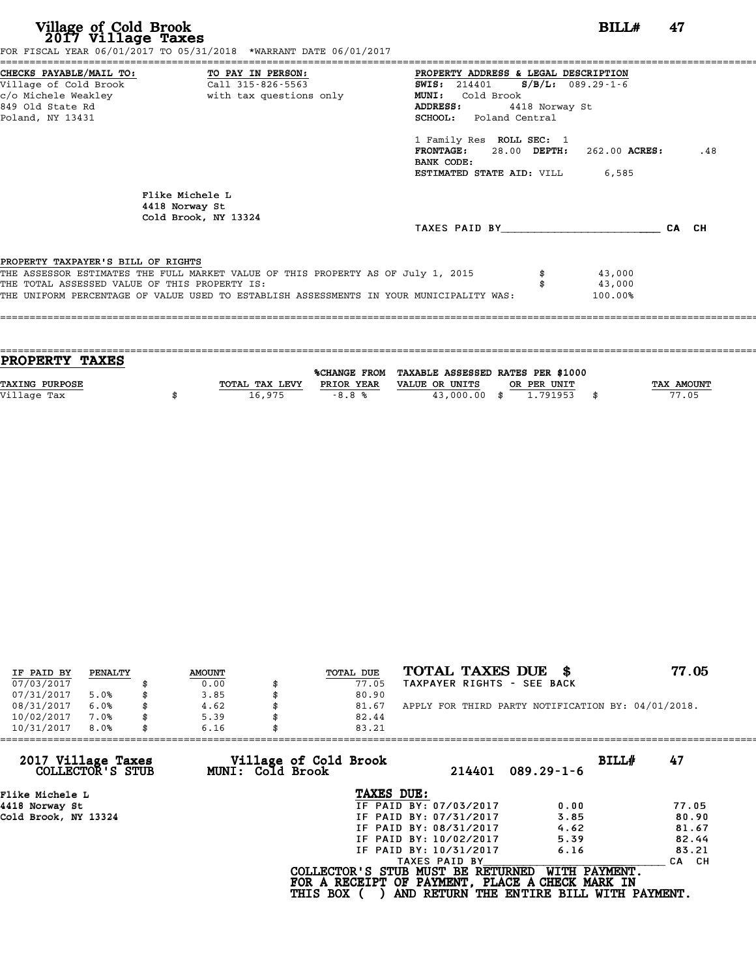| Village of Cold Brook<br>2017 Village Taxes                                                                                       | FOR FISCAL YEAR 06/01/2017 TO 05/31/2018 *WARRANT DATE 06/01/2017                                                                                                           |                                                                                                                                                                  | BILL#                       | 47    |
|-----------------------------------------------------------------------------------------------------------------------------------|-----------------------------------------------------------------------------------------------------------------------------------------------------------------------------|------------------------------------------------------------------------------------------------------------------------------------------------------------------|-----------------------------|-------|
| CHECKS PAYABLE/MAIL TO: TO PAY IN PERSON:<br>Village of Cold Brook<br>c/o Michele Weakley<br>849 Old State Rd<br>Poland, NY 13431 | Call 315-826-5563<br>with tax questions only                                                                                                                                | PROPERTY ADDRESS & LEGAL DESCRIPTION<br>SWIS: 214401 S/B/L: 089.29-1-6<br>MUNI: Cold Brook<br><b>ADDRESS:</b><br>4418 Norway St<br><b>SCHOOL:</b> Poland Central |                             |       |
|                                                                                                                                   |                                                                                                                                                                             | 1 Family Res ROLL SEC: 1<br>$FRONTAGE: 28.00$ $DEPTH: 262.00$ $ACRES:$<br>BANK CODE:<br><b>ESTIMATED STATE AID:</b> VILL 6,585                                   |                             | .48   |
|                                                                                                                                   | Flike Michele L<br>4418 Norway St<br>Cold Brook, NY 13324                                                                                                                   |                                                                                                                                                                  |                             | CA CH |
| PROPERTY TAXPAYER'S BILL OF RIGHTS<br>THE TOTAL ASSESSED VALUE OF THIS PROPERTY IS:                                               | THE ASSESSOR ESTIMATES THE FULL MARKET VALUE OF THIS PROPERTY AS OF July 1, 2015<br>THE UNIFORM PERCENTAGE OF VALUE USED TO ESTABLISH ASSESSMENTS IN YOUR MUNICIPALITY WAS: |                                                                                                                                                                  | 43,000<br>43,000<br>100.00% |       |

| <b>PROPERTY TAXES</b> |                |            |                                                |             |            |
|-----------------------|----------------|------------|------------------------------------------------|-------------|------------|
|                       |                |            |                                                |             |            |
|                       |                |            | %CHANGE FROM TAXABLE ASSESSED RATES PER \$1000 |             |            |
| <b>TAXING PURPOSE</b> | TOTAL TAX LEVY | PRIOR YEAR | VALUE OR UNITS                                 | OR PER UNIT | TAX AMOUNT |
| Village Tax           | 16,975         | $-8.8%$    | 43,000,00 \$                                   | 1,791953    | 77.05      |
|                       |                |            |                                                |             |            |
|                       |                |            |                                                |             |            |

| IF PAID BY | PENALTY | <b>AMOUNT</b> | TOTAL DUE | TOTAL TAXES DUE \$                                 | 77.05 |
|------------|---------|---------------|-----------|----------------------------------------------------|-------|
| 07/03/2017 |         | 0.00          | 77.05     | TAXPAYER RIGHTS - SEE BACK                         |       |
| 07/31/2017 | 5.0%    | 3.85          | 80.90     |                                                    |       |
| 08/31/2017 | 6.0%    | 4.62          | 81.67     | APPLY FOR THIRD PARTY NOTIFICATION BY: 04/01/2018. |       |
| 10/02/2017 | 7.0%    | 5.39          | 82.44     |                                                    |       |
| 10/31/2017 | 8.0%    | 6.16          | 83.21     |                                                    |       |
|            |         |               |           |                                                    |       |

| 10/31/2017<br>8.0%                     | 6.16             | 83.21                                                                                                   |                        |                                                           |             |  |
|----------------------------------------|------------------|---------------------------------------------------------------------------------------------------------|------------------------|-----------------------------------------------------------|-------------|--|
| 2017 Village Taxes<br>COLLECTOR'S STUB | MUNI: Cold Brook | Village of Cold Brook                                                                                   | 214401                 | $089.29 - 1 - 6$                                          | 47<br>BILL# |  |
| Flike Michele L                        |                  | TAXES DUE:                                                                                              |                        |                                                           |             |  |
| 4418 Norway St                         |                  |                                                                                                         | IF PAID BY: 07/03/2017 | 0.00                                                      | 77.05       |  |
| Cold Brook, NY 13324                   |                  |                                                                                                         | IF PAID BY: 07/31/2017 | 3.85                                                      | 80.90       |  |
|                                        |                  |                                                                                                         | IF PAID BY: 08/31/2017 | 4.62                                                      | 81.67       |  |
|                                        |                  |                                                                                                         | IF PAID BY: 10/02/2017 | 5.39                                                      | 82.44       |  |
|                                        |                  |                                                                                                         | IF PAID BY: 10/31/2017 | 6.16                                                      | 83.21       |  |
|                                        |                  |                                                                                                         | TAXES PAID BY          |                                                           | CA CH       |  |
|                                        |                  | COLLECTOR'S STUB MUST BE RETURNED<br>FOR A RECEIPT OF PAYMENT, PLACE A CHECK MARK IN<br><b>THIS BOX</b> |                        | WITH PAYMENT.<br>AND RETURN THE ENTIRE BILL WITH PAYMENT. |             |  |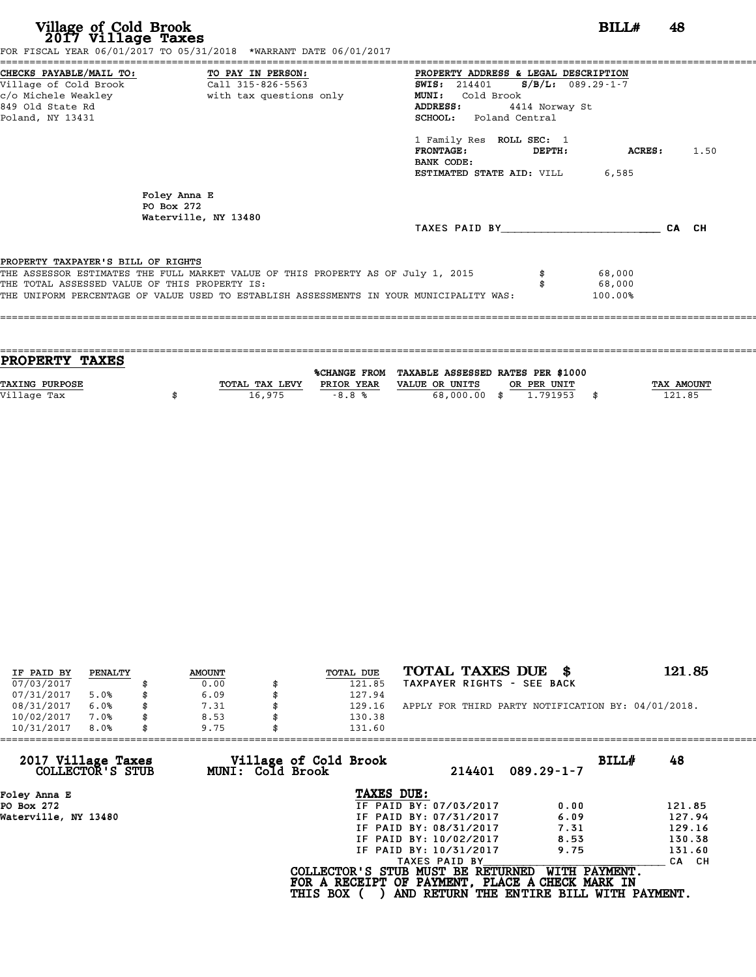| Village of Cold Brook<br>2017 Village Taxes   | FOR FISCAL YEAR 06/01/2017 TO 05/31/2018 *WARRANT DATE 06/01/2017                |                                                                                         | BILL#                   | 48    |      |
|-----------------------------------------------|----------------------------------------------------------------------------------|-----------------------------------------------------------------------------------------|-------------------------|-------|------|
| CHECKS PAYABLE/MAIL TO:                       | TO PAY IN PERSON:                                                                | PROPERTY ADDRESS & LEGAL DESCRIPTION                                                    |                         |       |      |
| Village of Cold Brook                         | Call 315-826-5563                                                                | <b>SWIS:</b> 214401                                                                     | $S/B/L: 089.29 - 1 - 7$ |       |      |
| c/o Michele Weakley                           | with tax questions only                                                          | MUNI: Cold Brook                                                                        |                         |       |      |
| 849 Old State Rd                              |                                                                                  | ADDRESS:<br>4414 Norway St                                                              |                         |       |      |
| Poland, NY 13431                              |                                                                                  | <b>SCHOOL:</b> Poland Central                                                           |                         |       |      |
|                                               |                                                                                  | 1 Family Res ROLL SEC: 1                                                                |                         |       |      |
|                                               |                                                                                  | <b>FRONTAGE:</b><br>DEPTH:                                                              | ACRES:                  |       | 1.50 |
|                                               |                                                                                  | BANK CODE:                                                                              |                         |       |      |
|                                               |                                                                                  | ESTIMATED STATE AID: VILL                                                               | 6,585                   |       |      |
|                                               | Foley Anna E                                                                     |                                                                                         |                         |       |      |
| PO Box 272                                    |                                                                                  |                                                                                         |                         |       |      |
|                                               | Waterville, NY 13480                                                             |                                                                                         |                         |       |      |
|                                               |                                                                                  | TAXES PAID BY                                                                           |                         | CA CH |      |
| PROPERTY TAXPAYER'S BILL OF RIGHTS            |                                                                                  |                                                                                         |                         |       |      |
|                                               | THE ASSESSOR ESTIMATES THE FULL MARKET VALUE OF THIS PROPERTY AS OF July 1, 2015 |                                                                                         | 68,000                  |       |      |
| THE TOTAL ASSESSED VALUE OF THIS PROPERTY IS: |                                                                                  |                                                                                         | 68,000                  |       |      |
|                                               |                                                                                  | THE UNIFORM PERCENTAGE OF VALUE USED TO ESTABLISH ASSESSMENTS IN YOUR MUNICIPALITY WAS: | 100.00%                 |       |      |

| <b>PROPERTY TAXES</b>                                                                                       |  |
|-------------------------------------------------------------------------------------------------------------|--|
| %CHANGE FROM TAXABLE ASSESSED RATES PER \$1000                                                              |  |
|                                                                                                             |  |
| <b>TAX AMOUNT</b><br><b>TAXING PURPOSE</b><br>TOTAL TAX LEVY<br>PRIOR YEAR<br>VALUE OR UNITS<br>OR PER UNIT |  |
| 121.85<br>Village Tax<br>16,975<br>68,000.00 \$<br>1.791953<br>$-8.8%$                                      |  |
|                                                                                                             |  |

| IF PAID BY | PENALTY | <b>AMOUNT</b> | TOTAL DUE | TOTAL TAXES DUE \$                                 | 121.85 |
|------------|---------|---------------|-----------|----------------------------------------------------|--------|
| 07/03/2017 |         | 0.00          | 121.85    | TAXPAYER RIGHTS - SEE BACK                         |        |
| 07/31/2017 | 5.0%    | 6.09          | 127.94    |                                                    |        |
| 08/31/2017 | 6.0%    | 7.31          | 129.16    | APPLY FOR THIRD PARTY NOTIFICATION BY: 04/01/2018. |        |
| 10/02/2017 | 7.0%    | 8.53          | 130.38    |                                                    |        |
| 10/31/2017 | 8.0%    | 9.75          | 131.60    |                                                    |        |

| 10/31/2017<br>8.0%                     | 9.75 |                  | 131.60                                                                                                  |                        |                                                           |       |        |
|----------------------------------------|------|------------------|---------------------------------------------------------------------------------------------------------|------------------------|-----------------------------------------------------------|-------|--------|
| 2017 Village Taxes<br>COLLECTOR'S STUB |      | MUNI: Cold Brook | Village of Cold Brook                                                                                   | 214401                 | $089.29 - 1 - 7$                                          | BILLH | 48     |
| Foley Anna E                           |      |                  | TAXES DUE:                                                                                              |                        |                                                           |       |        |
| PO Box 272                             |      |                  |                                                                                                         | IF PAID BY: 07/03/2017 | 0.00                                                      |       | 121.85 |
| Waterville, NY 13480                   |      |                  |                                                                                                         | IF PAID BY: 07/31/2017 | 6.09                                                      |       | 127.94 |
|                                        |      |                  |                                                                                                         | IF PAID BY: 08/31/2017 | 7.31                                                      |       | 129.16 |
|                                        |      |                  |                                                                                                         | IF PAID BY: 10/02/2017 | 8.53                                                      |       | 130.38 |
|                                        |      |                  |                                                                                                         | IF PAID BY: 10/31/2017 | 9.75                                                      |       | 131.60 |
|                                        |      |                  |                                                                                                         | TAXES PAID BY          |                                                           |       | CA CH  |
|                                        |      |                  | COLLECTOR'S STUB MUST BE RETURNED<br>FOR A RECEIPT OF PAYMENT, PLACE A CHECK MARK IN<br><b>THIS BOX</b> |                        | WITH PAYMENT.<br>AND RETURN THE ENTIRE BILL WITH PAYMENT. |       |        |
|                                        |      |                  |                                                                                                         |                        |                                                           |       |        |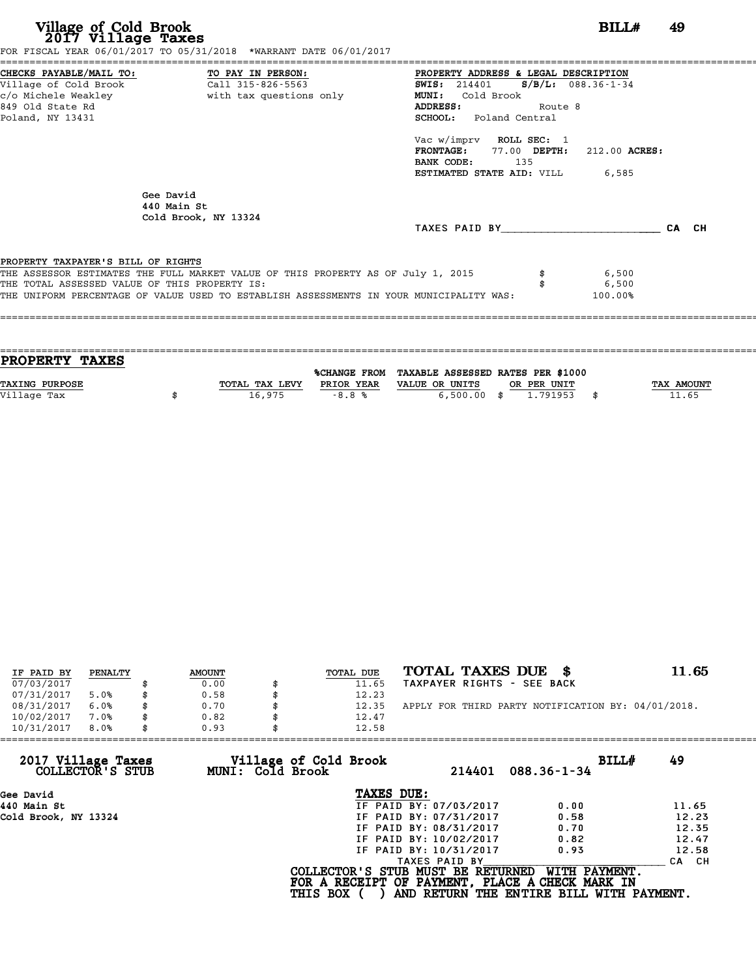| Village of Cold Brook<br>2017 Village Taxes<br>====================================  | FOR FISCAL YEAR 06/01/2017 TO 05/31/2018 *WARRANT DATE 06/01/2017                                                                                                           | BILL#                                                                                                                                                                                                                                                                                             | 49    |
|--------------------------------------------------------------------------------------|-----------------------------------------------------------------------------------------------------------------------------------------------------------------------------|---------------------------------------------------------------------------------------------------------------------------------------------------------------------------------------------------------------------------------------------------------------------------------------------------|-------|
| Village of Cold Brook<br>c/o Michele Weakley<br>849 Old State Rd<br>Poland, NY 13431 | CHECKS PAYABLE/MAIL TO: TO PAY IN PERSON:<br>Call 315-826-5563<br>with tax questions only                                                                                   | PROPERTY ADDRESS & LEGAL DESCRIPTION<br>$S/B/L: 088.36-1-34$<br><b>SWIS:</b> 214401<br>MUNI: Cold Brook<br>ADDRESS:<br>Route 8<br><b>SCHOOL:</b> Poland Central<br>Vac w/imprv ROLL SEC: 1<br>FRONTAGE: 77.00 DEPTH: 212.00 ACRES:<br>BANK CODE:<br>135<br><b>ESTIMATED STATE AID:</b> VILL 6,585 |       |
|                                                                                      | Gee David<br>440 Main St<br>Cold Brook, NY 13324                                                                                                                            | TAXES PAID BY                                                                                                                                                                                                                                                                                     | CA CH |
| PROPERTY TAXPAYER'S BILL OF RIGHTS<br>THE TOTAL ASSESSED VALUE OF THIS PROPERTY IS:  | THE ASSESSOR ESTIMATES THE FULL MARKET VALUE OF THIS PROPERTY AS OF July 1, 2015<br>THE UNIFORM PERCENTAGE OF VALUE USED TO ESTABLISH ASSESSMENTS IN YOUR MUNICIPALITY WAS: | 6,500<br>6,500<br>100.00%                                                                                                                                                                                                                                                                         |       |

| <b>PROPERTY TAXES</b> |                |            |                                                |             |                   |
|-----------------------|----------------|------------|------------------------------------------------|-------------|-------------------|
|                       |                |            |                                                |             |                   |
|                       |                |            | %CHANGE FROM TAXABLE ASSESSED RATES PER \$1000 |             |                   |
| <b>TAXING PURPOSE</b> | TOTAL TAX LEVY | PRIOR YEAR | VALUE OR UNITS                                 | OR PER UNIT | <b>TAX AMOUNT</b> |
| Village Tax           | 16,975         | $-8.8%$    | $6,500.00$ \$                                  | 1.791953    | 11.65             |
|                       |                |            |                                                |             |                   |

| IF PAID BY | PENALTY | <b>AMOUNT</b> | TOTAL DUE | TOTAL TAXES DUE \$                                 | 11.65 |
|------------|---------|---------------|-----------|----------------------------------------------------|-------|
| 07/03/2017 |         | 0.00          | 11.65     | TAXPAYER RIGHTS - SEE BACK                         |       |
| 07/31/2017 | 5.0%    | 0.58          | 12.23     |                                                    |       |
|            |         |               |           |                                                    |       |
| 08/31/2017 | 6.0%    | 0.70          | 12.35     | APPLY FOR THIRD PARTY NOTIFICATION BY: 04/01/2018. |       |
| 10/02/2017 | 7.0%    | 0.82          | 12.47     |                                                    |       |
| 10/31/2017 | 8.0%    | 0.93          | 12.58     |                                                    |       |

| 0.93 |               |                                                              |                                                                                                                                                                                                                                                                             |
|------|---------------|--------------------------------------------------------------|-----------------------------------------------------------------------------------------------------------------------------------------------------------------------------------------------------------------------------------------------------------------------------|
|      | 214401        | BILLH<br>$088.36 - 1 - 34$                                   | 49                                                                                                                                                                                                                                                                          |
|      | TAXES DUE:    |                                                              |                                                                                                                                                                                                                                                                             |
|      |               | 0.00                                                         | 11.65                                                                                                                                                                                                                                                                       |
|      |               | 0.58                                                         | 12.23                                                                                                                                                                                                                                                                       |
|      |               | 0.70                                                         | 12.35                                                                                                                                                                                                                                                                       |
|      |               | 0.82                                                         | 12.47                                                                                                                                                                                                                                                                       |
|      |               | 0.93                                                         | 12.58                                                                                                                                                                                                                                                                       |
|      | TAXES PAID BY |                                                              | CA CH                                                                                                                                                                                                                                                                       |
|      |               | WITH PAYMENT.                                                |                                                                                                                                                                                                                                                                             |
|      |               | Village of Cold Brook<br>MUNI: Cold Brook<br><b>THIS BOX</b> | 12.58<br>IF PAID BY: 07/03/2017<br>IF PAID BY: 07/31/2017<br>IF PAID BY: 08/31/2017<br>IF PAID BY: 10/02/2017<br>IF PAID BY: 10/31/2017<br>COLLECTOR'S STUB MUST BE RETURNED<br>FOR A RECEIPT OF PAYMENT, PLACE A CHECK MARK IN<br>AND RETURN THE ENTIRE BILL WITH PAYMENT. |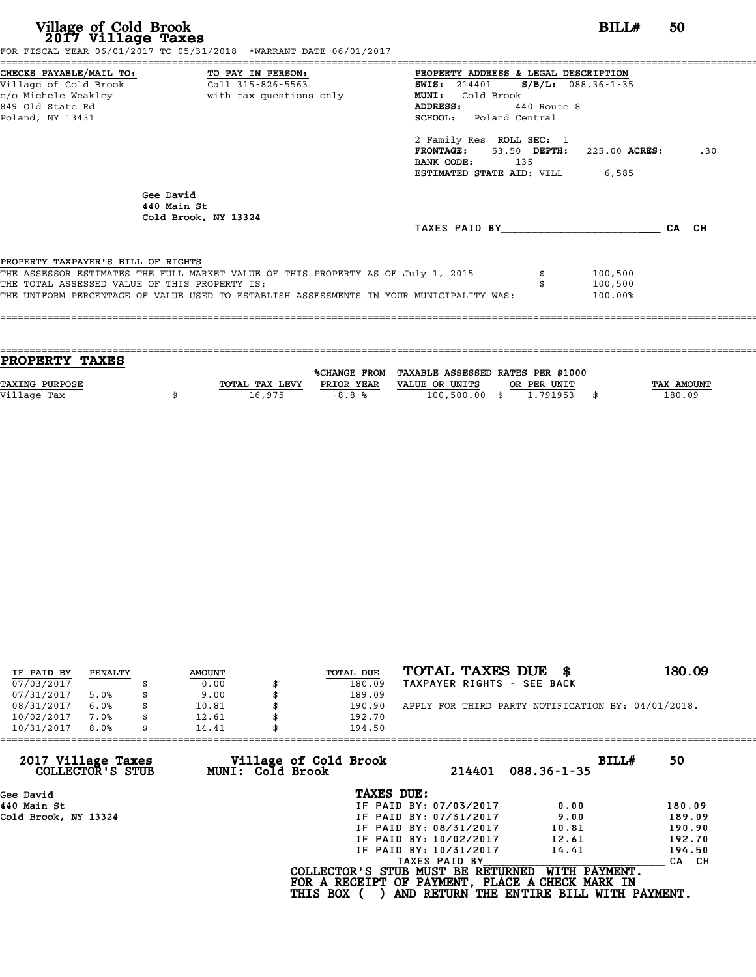| Village of Cold Brook<br>2017 Village Taxes                                         | FOR FISCAL YEAR 06/01/2017 TO 05/31/2018 *WARRANT DATE 06/01/2017                                                                                                           | BILL#                                                                                                                                                                                                                                                                                                             | 50    |
|-------------------------------------------------------------------------------------|-----------------------------------------------------------------------------------------------------------------------------------------------------------------------------|-------------------------------------------------------------------------------------------------------------------------------------------------------------------------------------------------------------------------------------------------------------------------------------------------------------------|-------|
| 849 Old State Rd<br>Poland, NY 13431                                                | c/o Michele Weakley <b>buying the set of the set of the set of the set of the set of the set of the set of the s</b>                                                        | PROPERTY ADDRESS & LEGAL DESCRIPTION<br>SWIS: 214401 S/B/L: 088.36-1-35<br><b>MUNI:</b><br>Cold Brook<br><b>ADDRESS:</b><br>440 Route 8<br><b>SCHOOL:</b> Poland Central<br>2 Family Res ROLL SEC: 1<br>$FRONTAGE: 53.50$ $DEPTH: 225.00$ $ACRES:$<br>BANK CODE:<br>135<br><b>ESTIMATED STATE AID:</b> VILL 6.585 | .30   |
|                                                                                     | Gee David<br>440 Main St<br>Cold Brook, NY 13324                                                                                                                            | TAXES PAID BY TAXES                                                                                                                                                                                                                                                                                               | CA CH |
| PROPERTY TAXPAYER'S BILL OF RIGHTS<br>THE TOTAL ASSESSED VALUE OF THIS PROPERTY IS: | THE ASSESSOR ESTIMATES THE FULL MARKET VALUE OF THIS PROPERTY AS OF July 1, 2015<br>THE UNIFORM PERCENTAGE OF VALUE USED TO ESTABLISH ASSESSMENTS IN YOUR MUNICIPALITY WAS: | 100,500<br>100,500<br>100.00%                                                                                                                                                                                                                                                                                     |       |

| TAX AMOUNT |
|------------|
| 180.09     |
|            |
|            |

| IF PAID BY | PENALTY | <b>AMOUNT</b> | TOTAL DUE | TOTAL TAXES DUE \$                                 | 180.09 |
|------------|---------|---------------|-----------|----------------------------------------------------|--------|
| 07/03/2017 |         | 0.00          | 180.09    | TAXPAYER RIGHTS - SEE BACK                         |        |
| 07/31/2017 | 5.0%    | 9.00          | 189.09    |                                                    |        |
| 08/31/2017 | 6.0%    | 10.81         | 190.90    | APPLY FOR THIRD PARTY NOTIFICATION BY: 04/01/2018. |        |
| 10/02/2017 | 7.0%    | 12.61         | 192.70    |                                                    |        |
| 10/31/2017 | 8.0%    | 14.41         | 194.50    |                                                    |        |

| 10/31/2017<br>8.0%                     | 14.41                                     | 194.50                                                                               |                                          |        |
|----------------------------------------|-------------------------------------------|--------------------------------------------------------------------------------------|------------------------------------------|--------|
| 2017 Village Taxes<br>COLLECTOR'S STUB | Village of Cold Brook<br>MUNI: Cold Brook | 214401                                                                               | BILL#<br>$088.36 - 1 - 35$               | 50     |
| Gee David                              |                                           | TAXES DUE:                                                                           |                                          |        |
| 440 Main St                            |                                           | IF PAID BY: 07/03/2017                                                               | 0.00                                     | 180.09 |
| Cold Brook, NY 13324                   |                                           | IF PAID BY: 07/31/2017                                                               | 9.00                                     | 189.09 |
|                                        |                                           | IF PAID BY: 08/31/2017                                                               | 10.81                                    | 190.90 |
|                                        |                                           | IF PAID BY: 10/02/2017                                                               | 12.61                                    | 192.70 |
|                                        |                                           | IF PAID BY: 10/31/2017                                                               | 14.41                                    | 194.50 |
|                                        |                                           | TAXES PAID BY                                                                        |                                          | CA CH  |
|                                        |                                           | COLLECTOR'S STUB MUST BE RETURNED<br>FOR A RECEIPT OF PAYMENT, PLACE A CHECK MARK IN | WITH PAYMENT.                            |        |
|                                        | <b>THIS BOX</b>                           |                                                                                      | AND RETURN THE ENTIRE BILL WITH PAYMENT. |        |
|                                        |                                           |                                                                                      |                                          |        |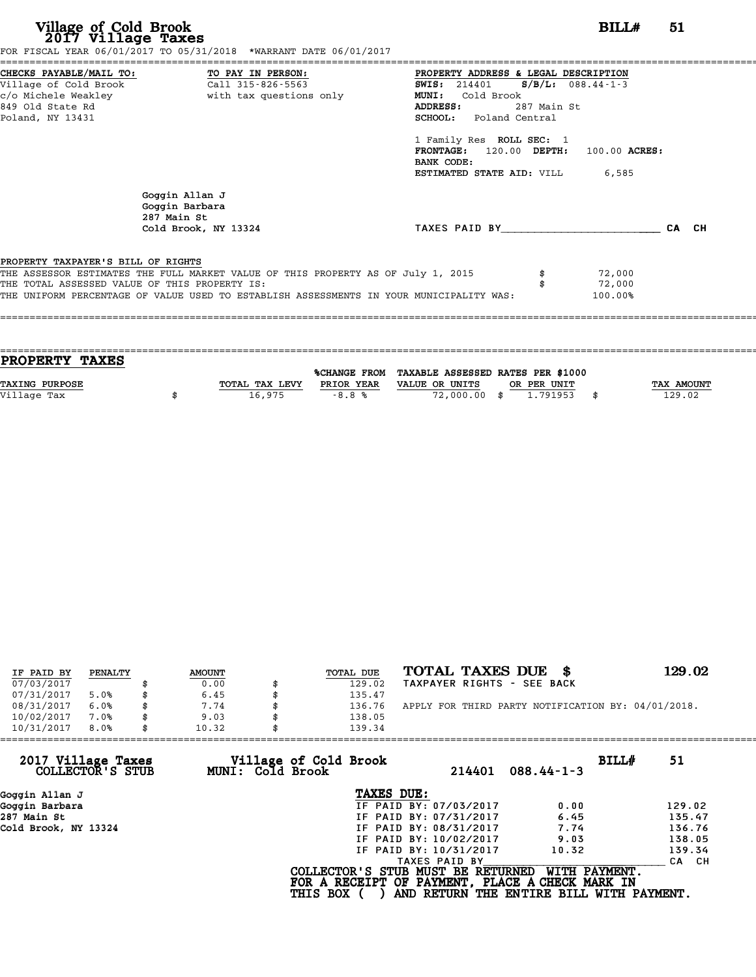| Village of Cold Brook<br>2017 Village Taxes                                                                                       | FOR FISCAL YEAR 06/01/2017 TO 05/31/2018 *WARRANT DATE 06/01/2017                                                                                                           |                                                                                                                                                                                                                                                               | BILL#                                   | 51    |
|-----------------------------------------------------------------------------------------------------------------------------------|-----------------------------------------------------------------------------------------------------------------------------------------------------------------------------|---------------------------------------------------------------------------------------------------------------------------------------------------------------------------------------------------------------------------------------------------------------|-----------------------------------------|-------|
| CHECKS PAYABLE/MAIL TO: TO PAY IN PERSON:<br>Village of Cold Brook<br>c/o Michele Weakley<br>849 Old State Rd<br>Poland, NY 13431 | Call 315-826-5563<br>with tax questions only                                                                                                                                | PROPERTY ADDRESS & LEGAL DESCRIPTION<br><b>SWIS:</b> 214401<br>MUNI:<br>Cold Brook<br>ADDRESS:<br>287 Main St<br><b>SCHOOL:</b> Poland Central<br>1 Family Res ROLL SEC: 1<br>FRONTAGE: 120.00 DEPTH:<br>BANK CODE:<br><b>ESTIMATED STATE AID:</b> VILL 6,585 | $S/B/L$ : 088.44-1-3<br>$100.00$ ACRES: |       |
|                                                                                                                                   | Goggin Allan J<br>Goggin Barbara<br>287 Main St<br>Cold Brook, NY 13324                                                                                                     | TAXES PAID BY TAXES                                                                                                                                                                                                                                           |                                         | CA CH |
| PROPERTY TAXPAYER'S BILL OF RIGHTS<br>THE TOTAL ASSESSED VALUE OF THIS PROPERTY IS:                                               | THE ASSESSOR ESTIMATES THE FULL MARKET VALUE OF THIS PROPERTY AS OF July 1, 2015<br>THE UNIFORM PERCENTAGE OF VALUE USED TO ESTABLISH ASSESSMENTS IN YOUR MUNICIPALITY WAS: |                                                                                                                                                                                                                                                               | 72,000<br>72,000<br>100.00%             |       |

| PROPERTY TAXES        |                |              |                                   |             |            |
|-----------------------|----------------|--------------|-----------------------------------|-------------|------------|
|                       |                |              |                                   |             |            |
|                       |                | %CHANGE FROM | TAXABLE ASSESSED RATES PER \$1000 |             |            |
| <b>TAXING PURPOSE</b> | TOTAL TAX LEVY | PRIOR YEAR   | VALUE OR UNITS                    | OR PER UNIT | TAX AMOUNT |
| Village Tax           |                |              |                                   | 1.791953    | \$         |
|                       |                |              |                                   |             |            |
|                       | 16,975         | $-8.8%$      | 72,000.00 \$                      |             | 129.02     |

| IF PAID BY | PENALTY | <b>AMOUNT</b> | <b>TOTAL DUE</b> | TOTAL TAXES DUE \$                                 | 129.02 |
|------------|---------|---------------|------------------|----------------------------------------------------|--------|
| 07/03/2017 |         | 0.00          | 129.02           | TAXPAYER RIGHTS - SEE BACK                         |        |
| 07/31/2017 | 5.0%    | \$<br>6.45    | 135.47           |                                                    |        |
| 08/31/2017 | 6.0%    | \$<br>7.74    | 136.76           | APPLY FOR THIRD PARTY NOTIFICATION BY: 04/01/2018. |        |
| 10/02/2017 | 7.0%    | \$<br>9.03    | 138.05           |                                                    |        |
| 10/31/2017 | 8.0%    | \$<br>10.32   | 139.34           |                                                    |        |

| 10/31/2017                             | 8.0% | 10.32 |                  | 139.34                                                                                                  |                        |                                                           |       |        |
|----------------------------------------|------|-------|------------------|---------------------------------------------------------------------------------------------------------|------------------------|-----------------------------------------------------------|-------|--------|
| 2017 Village Taxes<br>COLLECTOR'S STUB |      |       | MUNI: Cold Brook | Village of Cold Brook                                                                                   | 214401                 | $088.44 - 1 - 3$                                          | BILL# | 51     |
| Goggin Allan J                         |      |       |                  | TAXES DUE:                                                                                              |                        |                                                           |       |        |
| Goggin Barbara                         |      |       |                  |                                                                                                         | IF PAID BY: 07/03/2017 | 0.00                                                      |       | 129.02 |
| 287 Main St                            |      |       |                  |                                                                                                         | IF PAID BY: 07/31/2017 | 6.45                                                      |       | 135.47 |
| Cold Brook, NY 13324                   |      |       |                  |                                                                                                         | IF PAID BY: 08/31/2017 | 7.74                                                      |       | 136.76 |
|                                        |      |       |                  |                                                                                                         | IF PAID BY: 10/02/2017 | 9.03                                                      |       | 138.05 |
|                                        |      |       |                  |                                                                                                         | IF PAID BY: 10/31/2017 | 10.32                                                     |       | 139.34 |
|                                        |      |       |                  |                                                                                                         | TAXES PAID BY          |                                                           |       | CA CH  |
|                                        |      |       |                  | COLLECTOR'S STUB MUST BE RETURNED<br>FOR A RECEIPT OF PAYMENT, PLACE A CHECK MARK IN<br><b>THIS BOX</b> |                        | WITH PAYMENT.<br>AND RETURN THE ENTIRE BILL WITH PAYMENT. |       |        |
|                                        |      |       |                  |                                                                                                         |                        |                                                           |       |        |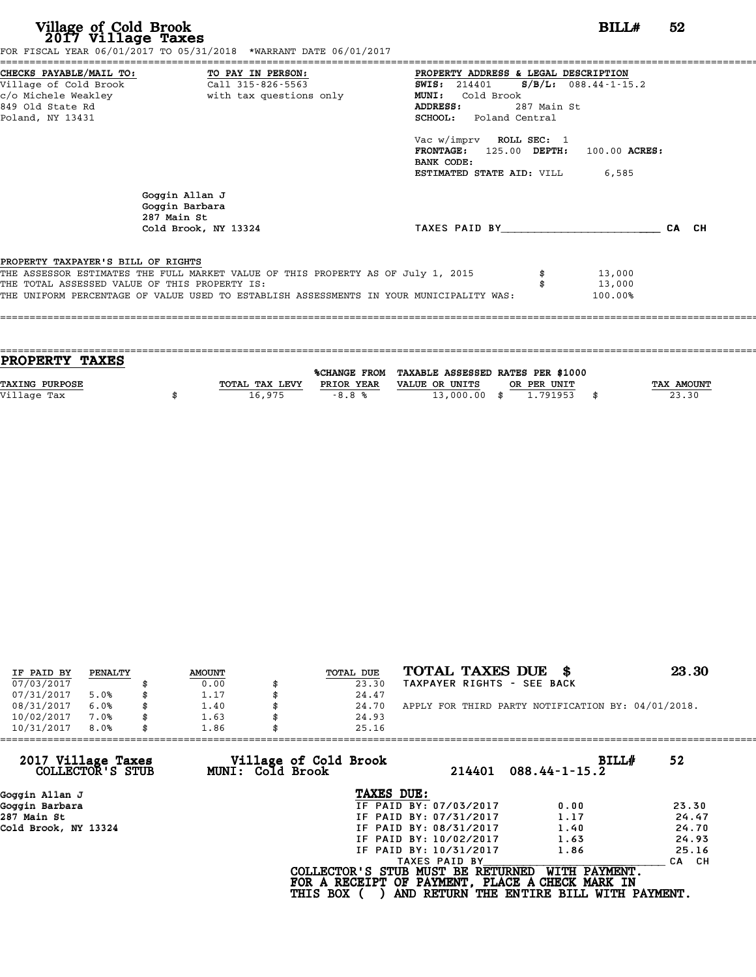| Village of Cold Brook<br>2017 Village Taxes                                         | FOR FISCAL YEAR 06/01/2017 TO 05/31/2018 *WARRANT DATE 06/01/2017                                                                                                           |                                                                                                                                                                                                                                                                                            | BILLH                       | 52    |
|-------------------------------------------------------------------------------------|-----------------------------------------------------------------------------------------------------------------------------------------------------------------------------|--------------------------------------------------------------------------------------------------------------------------------------------------------------------------------------------------------------------------------------------------------------------------------------------|-----------------------------|-------|
| 849 Old State Rd<br>Poland, NY 13431                                                | CHECKS PAYABLE/MAIL TO: TO PAY IN PERSON:<br>Village of Cold Brook Call 315-826-5563                                                                                        | PROPERTY ADDRESS & LEGAL DESCRIPTION<br>SWIS: $214401$ S/B/L: 088.44-1-15.2<br>MUNI:<br>Cold Brook<br>287 Main St<br>ADDRESS:<br><b>SCHOOL:</b> Poland Central<br>Vac w/imprv ROLL SEC: 1<br>FRONTAGE: 125.00 DEPTH: 100.00 ACRES:<br>BANK CODE:<br><b>ESTIMATED STATE AID:</b> VILL 6,585 |                             |       |
|                                                                                     | Goggin Allan J<br>Goggin Barbara<br>287 Main St<br>Cold Brook, NY 13324                                                                                                     | TAXES PAID BY                                                                                                                                                                                                                                                                              |                             | CA CH |
| PROPERTY TAXPAYER'S BILL OF RIGHTS<br>THE TOTAL ASSESSED VALUE OF THIS PROPERTY IS: | THE ASSESSOR ESTIMATES THE FULL MARKET VALUE OF THIS PROPERTY AS OF July 1, 2015<br>THE UNIFORM PERCENTAGE OF VALUE USED TO ESTABLISH ASSESSMENTS IN YOUR MUNICIPALITY WAS: |                                                                                                                                                                                                                                                                                            | 13,000<br>13,000<br>100.00% |       |

| <b>PROPERTY TAXES</b> |                |            |                                                |             |            |
|-----------------------|----------------|------------|------------------------------------------------|-------------|------------|
|                       |                |            |                                                |             |            |
|                       |                |            | %CHANGE FROM TAXABLE ASSESSED RATES PER \$1000 |             |            |
| <b>TAXING PURPOSE</b> | TOTAL TAX LEVY | PRIOR YEAR | VALUE OR UNITS                                 | OR PER UNIT | TAX AMOUNT |
| Village Tax           | 16,975         | $-8.8%$    | $13,000.00$ \$                                 | 1.791953    | 23.30      |
|                       |                |            |                                                |             |            |

| IF PAID BY | PENALTY | <b>AMOUNT</b> | TOTAL DUE | TOTAL TAXES DUE \$                                 | 23.30 |
|------------|---------|---------------|-----------|----------------------------------------------------|-------|
| 07/03/2017 |         | 0.00          | 23.30     | TAXPAYER RIGHTS - SEE BACK                         |       |
| 07/31/2017 | 5.0%    | \$<br>1.17    | 24.47     |                                                    |       |
| 08/31/2017 | 6.0%    | \$<br>1.40    | 24.70     | APPLY FOR THIRD PARTY NOTIFICATION BY: 04/01/2018. |       |
| 10/02/2017 | 7.0%    | \$<br>1.63    | 24.93     |                                                    |       |
| 10/31/2017 | 8.0%    | \$<br>1.86    | 25.16     |                                                    |       |

| 10/31/2017<br>8.0%                     | 1.86                                      | 25.16                                                                                                   |                                                           |       |
|----------------------------------------|-------------------------------------------|---------------------------------------------------------------------------------------------------------|-----------------------------------------------------------|-------|
| 2017 Village Taxes<br>COLLECTOR'S STUB | Village of Cold Brook<br>MUNI: Cold Brook | 214401                                                                                                  | BILL#<br>$088.44 - 1 - 15.2$                              | 52    |
| Goggin Allan J                         |                                           | TAXES DUE:                                                                                              |                                                           |       |
| Goggin Barbara                         |                                           | IF PAID BY: 07/03/2017                                                                                  | 0.00                                                      | 23.30 |
| 287 Main St                            |                                           | IF PAID BY: 07/31/2017                                                                                  | 1.17                                                      | 24.47 |
| Cold Brook, NY 13324                   |                                           | IF PAID BY: 08/31/2017                                                                                  | 1.40                                                      | 24.70 |
|                                        |                                           | IF PAID BY: 10/02/2017                                                                                  | 1.63                                                      | 24.93 |
|                                        |                                           | IF PAID BY: 10/31/2017                                                                                  | 1.86                                                      | 25.16 |
|                                        |                                           | TAXES PAID BY                                                                                           |                                                           | CA CH |
|                                        |                                           | COLLECTOR'S STUB MUST BE RETURNED<br>FOR A RECEIPT OF PAYMENT, PLACE A CHECK MARK IN<br><b>THIS BOX</b> | WITH PAYMENT.<br>AND RETURN THE ENTIRE BILL WITH PAYMENT. |       |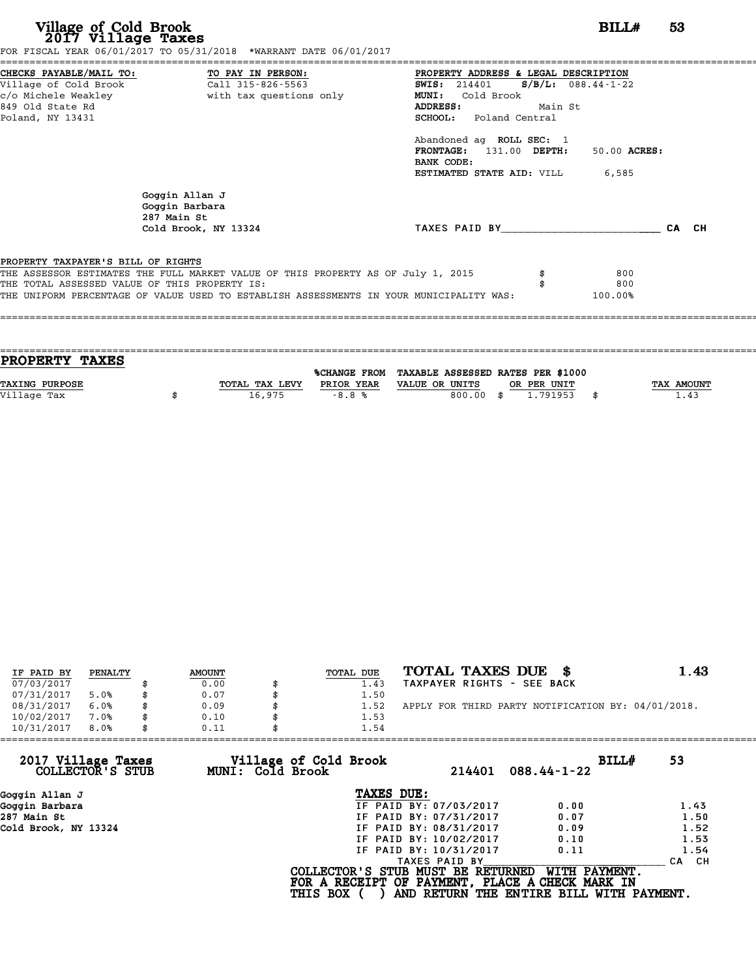| Village of Cold Brook<br>2017 Village Taxes | FOR FISCAL YEAR 06/01/2017 TO 05/31/2018 *WARRANT DATE 06/01/2017                       | BILL#                                                | 53    |
|---------------------------------------------|-----------------------------------------------------------------------------------------|------------------------------------------------------|-------|
|                                             | CHECKS PAYABLE/MAIL TO: TO PAY IN PERSON:                                               | PROPERTY ADDRESS & LEGAL DESCRIPTION                 |       |
| Village of Cold Brook                       | Call 315-826-5563                                                                       | $S/B/L: 088.44-1-22$<br><b>SWIS:</b> 214401          |       |
| c/o Michele Weakley                         | with tax questions only                                                                 | MUNI: Cold Brook                                     |       |
| 849 Old State Rd<br>Poland, NY 13431        |                                                                                         | ADDRESS:<br>Main St<br><b>SCHOOL:</b> Poland Central |       |
|                                             |                                                                                         |                                                      |       |
|                                             |                                                                                         | Abandoned ag ROLL SEC: 1                             |       |
|                                             |                                                                                         | FRONTAGE: 131.00 DEPTH:<br>50.00 ACRES:              |       |
|                                             |                                                                                         | BANK CODE:                                           |       |
|                                             |                                                                                         | ESTIMATED STATE AID: VILL<br>6,585                   |       |
|                                             | Goggin Allan J<br>Goggin Barbara<br>287 Main St                                         |                                                      |       |
|                                             | Cold Brook, NY 13324                                                                    | TAXES PAID BY                                        | CA CH |
|                                             |                                                                                         |                                                      |       |
| PROPERTY TAXPAYER'S BILL OF RIGHTS          |                                                                                         |                                                      |       |
|                                             | THE ASSESSOR ESTIMATES THE FULL MARKET VALUE OF THIS PROPERTY AS OF July 1, 2015        | 800                                                  |       |
|                                             | THE TOTAL ASSESSED VALUE OF THIS PROPERTY IS:                                           | 800                                                  |       |
|                                             | THE UNIFORM PERCENTAGE OF VALUE USED TO ESTABLISH ASSESSMENTS IN YOUR MUNICIPALITY WAS: | 100.00%                                              |       |

| <b>TAX AMOUNT</b> |
|-------------------|
|                   |
|                   |
|                   |
|                   |

| IF PAID BY | PENALTY | <b>AMOUNT</b> | TOTAL DUE | TOTAL TAXES DUE \$                                 | 1.43 |
|------------|---------|---------------|-----------|----------------------------------------------------|------|
| 07/03/2017 |         | 0.00          | 1.43      | TAXPAYER RIGHTS - SEE BACK                         |      |
| 07/31/2017 | 5.0%    | 0.07          | 1.50      |                                                    |      |
| 08/31/2017 | 6.0%    | 0.09          | 1.52      | APPLY FOR THIRD PARTY NOTIFICATION BY: 04/01/2018. |      |
| 10/02/2017 | 7.0%    | \$<br>0.10    | 1.53      |                                                    |      |
| 10/31/2017 | 8.0%    | \$<br>0.11    | 1.54      |                                                    |      |

| 10/31/2017<br>8.0%                     | 0.11                                      | 1.54                                                                                                    |                                                                  |                  |
|----------------------------------------|-------------------------------------------|---------------------------------------------------------------------------------------------------------|------------------------------------------------------------------|------------------|
| 2017 Village Taxes<br>COLLECTOR'S STUB | Village of Cold Brook<br>MUNI: Cold Brook | 214401                                                                                                  | BILL#<br>$088.44 - 1 - 22$                                       | 53               |
| Goggin Allan J                         |                                           | TAXES DUE:                                                                                              |                                                                  |                  |
| Goggin Barbara                         |                                           | IF PAID BY: 07/03/2017                                                                                  | 0.00                                                             | 1.43             |
| 287 Main St                            |                                           | IF PAID BY: 07/31/2017                                                                                  | 0.07                                                             | 1.50             |
| Cold Brook, NY 13324                   |                                           | IF PAID BY: 08/31/2017                                                                                  | 0.09                                                             | 1.52             |
|                                        |                                           | IF PAID BY: 10/02/2017                                                                                  | 0.10                                                             | 1.53             |
|                                        |                                           | IF PAID BY: 10/31/2017                                                                                  | 0.11                                                             | 1.54             |
|                                        |                                           | TAXES PAID BY                                                                                           |                                                                  | CH.<br><b>CA</b> |
|                                        |                                           | COLLECTOR'S STUB MUST BE RETURNED<br>FOR A RECEIPT OF PAYMENT, PLACE A CHECK MARK IN<br><b>THIS BOX</b> | <b>WITH PAYMENT.</b><br>AND RETURN THE ENTIRE BILL WITH PAYMENT. |                  |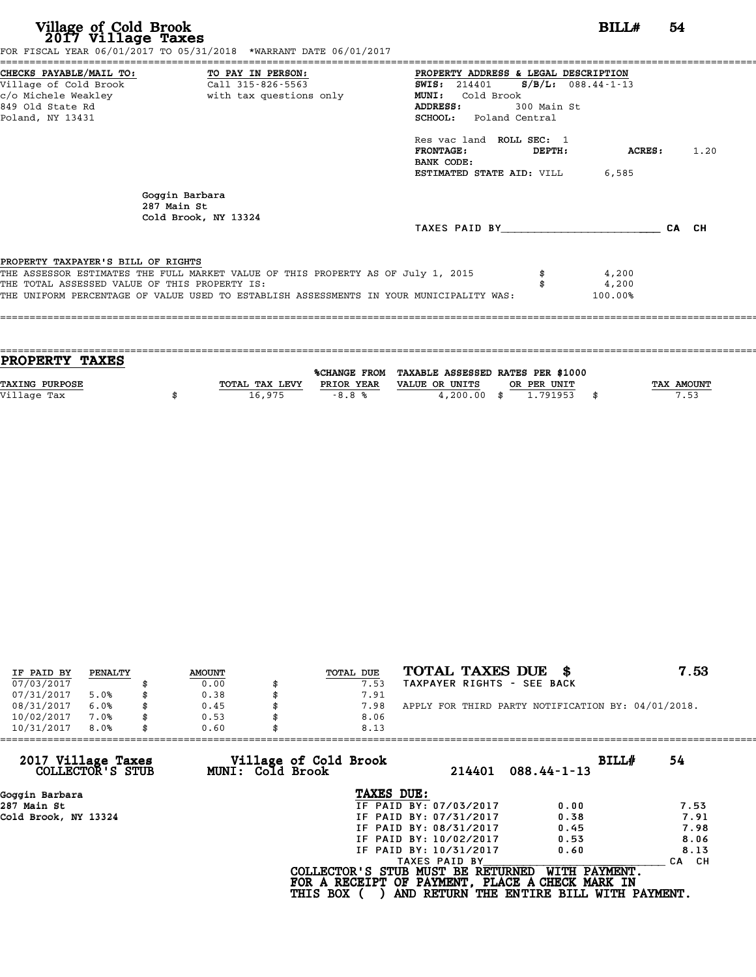| Village of Cold Brook<br>2017 Village Taxes                                                                     | FOR FISCAL YEAR 06/01/2017 TO 05/31/2018 *WARRANT DATE 06/01/2017                       |                                                                                                                                 |                                     | BILL#           | 54    |      |
|-----------------------------------------------------------------------------------------------------------------|-----------------------------------------------------------------------------------------|---------------------------------------------------------------------------------------------------------------------------------|-------------------------------------|-----------------|-------|------|
| CHECKS PAYABLE/MAIL TO:<br>Village of Cold Brook<br>c/o Michele Weakley<br>849 Old State Rd<br>Poland, NY 13431 | TO PAY IN PERSON:<br>Call 315-826-5563<br>with tax questions only                       | PROPERTY ADDRESS & LEGAL DESCRIPTION<br><b>SWIS:</b> 214401<br>Cold Brook<br><b>MUNI:</b><br>ADDRESS:<br>SCHOOL: Poland Central | $S/B/L: 088.44-1-13$<br>300 Main St |                 |       |      |
|                                                                                                                 |                                                                                         | Res vac land ROLL SEC: 1<br><b>FRONTAGE:</b><br>BANK CODE:<br>ESTIMATED STATE AID: VILL                                         | DEPTH:                              | ACRES:<br>6,585 |       | 1.20 |
|                                                                                                                 | Goggin Barbara<br>287 Main St<br>Cold Brook, NY 13324                                   | TAXES PAID BY TAXES                                                                                                             |                                     |                 | CA CH |      |
|                                                                                                                 |                                                                                         |                                                                                                                                 |                                     |                 |       |      |
| PROPERTY TAXPAYER'S BILL OF RIGHTS                                                                              |                                                                                         |                                                                                                                                 |                                     |                 |       |      |
|                                                                                                                 | THE ASSESSOR ESTIMATES THE FULL MARKET VALUE OF THIS PROPERTY AS OF July 1, 2015        |                                                                                                                                 |                                     | 4,200           |       |      |
| THE TOTAL ASSESSED VALUE OF THIS PROPERTY IS:                                                                   |                                                                                         |                                                                                                                                 |                                     | 4,200           |       |      |
|                                                                                                                 | THE UNIFORM PERCENTAGE OF VALUE USED TO ESTABLISH ASSESSMENTS IN YOUR MUNICIPALITY WAS: |                                                                                                                                 |                                     | 100.00%         |       |      |

| PROPERTY TAXES |                |            |                                                |             |                   |
|----------------|----------------|------------|------------------------------------------------|-------------|-------------------|
|                |                |            | %CHANGE FROM TAXABLE ASSESSED RATES PER \$1000 |             |                   |
| TAXING PURPOSE | TOTAL TAX LEVY | PRIOR YEAR | VALUE OR UNITS                                 | OR PER UNIT | <b>TAX AMOUNT</b> |
| Village Tax    | 16,975         | $-8.8%$    | $4,200.00$ \$                                  | 1.791953    | 7.53              |
|                |                |            |                                                |             |                   |
|                |                |            |                                                |             |                   |

| IF PAID BY | PENALTY | <b>AMOUNT</b> | TOTAL DUE | TOTAL TAXES DUE \$                                 | 7.53 |
|------------|---------|---------------|-----------|----------------------------------------------------|------|
| 07/03/2017 |         | 0.00          | 7.53      | TAXPAYER RIGHTS - SEE BACK                         |      |
| 07/31/2017 | 5.0%    | 0.38          | 7.91      |                                                    |      |
| 08/31/2017 | 6.0%    | 0.45          | 7.98      | APPLY FOR THIRD PARTY NOTIFICATION BY: 04/01/2018. |      |
| 10/02/2017 | 7.0%    | 0.53          | 8.06      |                                                    |      |
| 10/31/2017 | 8.0%    | 0.60          | 8.13      |                                                    |      |

| 10/31/2017<br>8.0%                     | 0.60             | 8.13                                                                                                    |               |                                                           |       |
|----------------------------------------|------------------|---------------------------------------------------------------------------------------------------------|---------------|-----------------------------------------------------------|-------|
| 2017 Village Taxes<br>COLLECTOR'S STUB | MUNI: Cold Brook | Village of Cold Brook                                                                                   | 214401        | BILL#<br>$088.44 - 1 - 13$                                | 54    |
| Goggin Barbara                         |                  | TAXES DUE:                                                                                              |               |                                                           |       |
| 287 Main St                            |                  | IF PAID BY: 07/03/2017                                                                                  |               | 0.00                                                      | 7.53  |
| Cold Brook, NY 13324                   |                  | IF PAID BY: 07/31/2017                                                                                  |               | 0.38                                                      | 7.91  |
|                                        |                  | IF PAID BY: 08/31/2017                                                                                  |               | 0.45                                                      | 7.98  |
|                                        |                  | IF PAID BY: 10/02/2017                                                                                  |               | 0.53                                                      | 8.06  |
|                                        |                  | IF PAID BY: 10/31/2017                                                                                  |               | 0.60                                                      | 8.13  |
|                                        |                  |                                                                                                         | TAXES PAID BY |                                                           | CA CH |
|                                        |                  | COLLECTOR'S STUB MUST BE RETURNED<br>FOR A RECEIPT OF PAYMENT, PLACE A CHECK MARK IN<br><b>THIS BOX</b> |               | WITH PAYMENT.<br>AND RETURN THE ENTIRE BILL WITH PAYMENT. |       |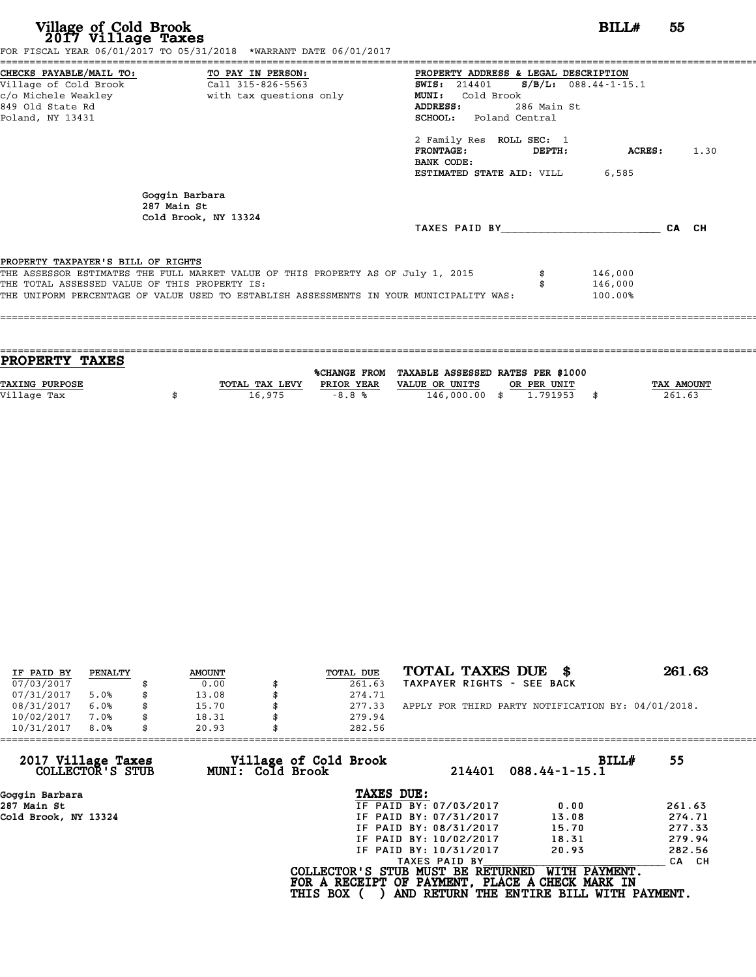| Village of Cold Brook<br>2017 Village Taxes<br>FOR FISCAL YEAR 06/01/2017 TO 05/31/2018 *WARRANT DATE 06/01/2017                                                                                                                                                             |                     |                                                                                                                                                                                                                                          | BILL#                         | 55 |  |
|------------------------------------------------------------------------------------------------------------------------------------------------------------------------------------------------------------------------------------------------------------------------------|---------------------|------------------------------------------------------------------------------------------------------------------------------------------------------------------------------------------------------------------------------------------|-------------------------------|----|--|
| ======================================<br>CHECKS PAYABLE/MAIL TO: TO PAY IN PERSON:<br>Village of Cold Brook<br>c/o Michele Weakley <b>buying the set of the set of the set of the set of the set of the set of the set of the s</b><br>849 Old State Rd<br>Poland, NY 13431 | $Call$ 315-826-5563 | PROPERTY ADDRESS & LEGAL DESCRIPTION<br>SWIS: 214401 S/B/L: 088.44-1-15.1<br>Cold Brook<br><b>MUNI:</b><br>286 Main St<br><b>ADDRESS:</b><br><b>SCHOOL:</b> Poland Central<br>2 Family Res ROLL SEC: 1<br>FRONTAGE: DEPTH:<br>BANK CODE: | <b>ACRES:</b> 1.30            |    |  |
| Goggin Barbara<br>287 Main St<br>Cold Brook, NY 13324                                                                                                                                                                                                                        |                     | <b>ESTIMATED STATE AID:</b> VILL 6.585<br>TAXES PAID BY CA CH                                                                                                                                                                            |                               |    |  |
| PROPERTY TAXPAYER'S BILL OF RIGHTS<br>THE ASSESSOR ESTIMATES THE FULL MARKET VALUE OF THIS PROPERTY AS OF July 1, 2015<br>THE TOTAL ASSESSED VALUE OF THIS PROPERTY IS:<br>THE UNIFORM PERCENTAGE OF VALUE USED TO ESTABLISH ASSESSMENTS IN YOUR MUNICIPALITY WAS:           |                     |                                                                                                                                                                                                                                          | 146,000<br>146,000<br>100.00% |    |  |

| <b>PROPERTY TAXES</b> |                |            |                                                |             |                   |
|-----------------------|----------------|------------|------------------------------------------------|-------------|-------------------|
|                       |                |            |                                                |             |                   |
|                       |                |            | %CHANGE FROM TAXABLE ASSESSED RATES PER \$1000 |             |                   |
| TAXING PURPOSE        | TOTAL TAX LEVY | PRIOR YEAR | VALUE OR UNITS                                 | OR PER UNIT | <b>TAX AMOUNT</b> |
|                       |                |            |                                                |             |                   |
| Village Tax           | 16,975         | $-8.8%$    | 146,000.00 \$                                  | 1.791953    | 261.63            |
|                       |                |            |                                                |             |                   |

| IF PAID BY | PENALTY | <b>AMOUNT</b> | TOTAL DUE | TOTAL TAXES DUE \$                                 | 261.63 |
|------------|---------|---------------|-----------|----------------------------------------------------|--------|
| 07/03/2017 |         | 0.00          | 261.63    | TAXPAYER RIGHTS - SEE BACK                         |        |
| 07/31/2017 | 5.0%    | 13.08         | 274.71    |                                                    |        |
| 08/31/2017 | 6.0%    | 15.70         | 277.33    | APPLY FOR THIRD PARTY NOTIFICATION BY: 04/01/2018. |        |
| 10/02/2017 | 7.0%    | 18.31         | 279.94    |                                                    |        |
| 10/31/2017 | 8.0%    | 20.93         | 282.56    |                                                    |        |

| 20.93            |                        |                                          |                                                                                                                                            |
|------------------|------------------------|------------------------------------------|--------------------------------------------------------------------------------------------------------------------------------------------|
| MUNI: Cold Brook | 214401                 | BILL#<br>$088.44 - 1 - 15.1$             | 55                                                                                                                                         |
|                  | TAXES DUE:             |                                          |                                                                                                                                            |
|                  | IF PAID BY: 07/03/2017 | 0.00                                     | 261.63                                                                                                                                     |
|                  | IF PAID BY: 07/31/2017 | 13.08                                    | 274.71                                                                                                                                     |
|                  | IF PAID BY: 08/31/2017 | 15.70                                    | 277.33                                                                                                                                     |
|                  | IF PAID BY: 10/02/2017 | 18.31                                    | 279.94                                                                                                                                     |
|                  | IF PAID BY: 10/31/2017 | 20.93                                    | 282.56                                                                                                                                     |
|                  | TAXES PAID BY          |                                          | CA CH                                                                                                                                      |
|                  |                        | WITH PAYMENT.                            |                                                                                                                                            |
|                  |                        | Village of Cold Brook<br><b>THIS BOX</b> | 282.56<br>COLLECTOR'S STUB MUST BE RETURNED<br>FOR A RECEIPT OF PAYMENT, PLACE A CHECK MARK IN<br>AND RETURN THE ENTIRE BILL WITH PAYMENT. |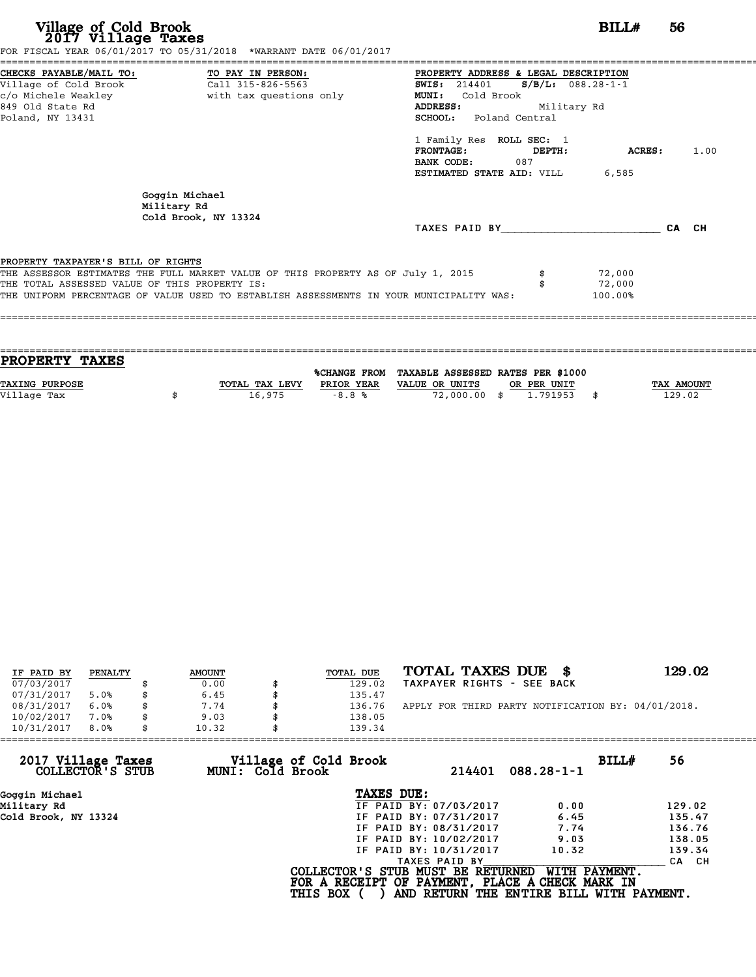| Village of Cold Brook<br>2017 Village Taxes<br>FOR FISCAL YEAR 06/01/2017 TO 05/31/2018 *WARRANT DATE 06/01/2017                                                                                                                                                   |                                              |                                                                                                                                                                                                                                         |                                              | BILL#                       | 56    |      |
|--------------------------------------------------------------------------------------------------------------------------------------------------------------------------------------------------------------------------------------------------------------------|----------------------------------------------|-----------------------------------------------------------------------------------------------------------------------------------------------------------------------------------------------------------------------------------------|----------------------------------------------|-----------------------------|-------|------|
| CHECKS PAYABLE/MAIL TO: TO PAY IN PERSON:<br>Village of Cold Brook<br>c/o Michele Weakley<br>849 Old State Rd<br>Poland, NY 13431                                                                                                                                  | Call 315-826-5563<br>with tax questions only | PROPERTY ADDRESS & LEGAL DESCRIPTION<br><b>SWIS: 214401</b><br>MUNI:<br>Cold Brook<br>ADDRESS:<br>SCHOOL: Poland Central<br>1 Family Res ROLL SEC: 1<br><b>FRONTAGE:</b><br>BANK CODE:<br>087<br><b>ESTIMATED STATE AID:</b> VILL 6,585 | $S/B/L: 088.28-1-1$<br>Military Rd<br>DEPTH: | ACRES:                      |       | 1.00 |
| Goggin Michael<br>Military Rd<br>Cold Brook, NY 13324                                                                                                                                                                                                              |                                              | TAXES PAID BY                                                                                                                                                                                                                           |                                              |                             | CA CH |      |
| PROPERTY TAXPAYER'S BILL OF RIGHTS<br>THE ASSESSOR ESTIMATES THE FULL MARKET VALUE OF THIS PROPERTY AS OF July 1, 2015<br>THE TOTAL ASSESSED VALUE OF THIS PROPERTY IS:<br>THE UNIFORM PERCENTAGE OF VALUE USED TO ESTABLISH ASSESSMENTS IN YOUR MUNICIPALITY WAS: |                                              |                                                                                                                                                                                                                                         |                                              | 72,000<br>72,000<br>100.00% |       |      |

| <b>PROPERTY TAXES</b> |                |            |                                                |             |                   |
|-----------------------|----------------|------------|------------------------------------------------|-------------|-------------------|
|                       |                |            | %CHANGE FROM TAXABLE ASSESSED RATES PER \$1000 |             |                   |
| <b>TAXING PURPOSE</b> | TOTAL TAX LEVY | PRIOR YEAR | VALUE OR UNITS                                 | OR PER UNIT | <b>TAX AMOUNT</b> |
|                       | 16,975         | $-8.8%$    | 72,000.00 \$                                   | 1.791953    | 129.02            |
| Village Tax           |                |            |                                                |             |                   |
|                       |                |            |                                                |             |                   |

| IF PAID BY | PENALTY | <b>AMOUNT</b> | TOTAL DUE | TOTAL TAXES DUE<br>- 8                             | 129.02 |
|------------|---------|---------------|-----------|----------------------------------------------------|--------|
| 07/03/2017 |         | 0.00          | 129.02    | TAXPAYER RIGHTS - SEE BACK                         |        |
| 07/31/2017 | 5.0%    | 6.45          | 135.47    |                                                    |        |
| 08/31/2017 | 6.0%    | 7.74          | 136.76    | APPLY FOR THIRD PARTY NOTIFICATION BY: 04/01/2018. |        |
| 10/02/2017 | 7.0%    | 9.03          | 138.05    |                                                    |        |
| 10/31/2017 | 8.0%    | 10.32         | 139.34    |                                                    |        |

| 10/31/2017<br>8.0%                     | 10.32            | 139.34                                          |                        |                                          |       |        |
|----------------------------------------|------------------|-------------------------------------------------|------------------------|------------------------------------------|-------|--------|
| 2017 Village Taxes<br>COLLECTOR'S STUB | MUNI: Cold Brook | Village of Cold Brook                           | 214401                 | $088.28 - 1 - 1$                         | BILL# | 56     |
| Goggin Michael                         |                  | TAXES DUE:                                      |                        |                                          |       |        |
| Military Rd                            |                  |                                                 | IF PAID BY: 07/03/2017 | 0.00                                     |       | 129.02 |
| Cold Brook, NY 13324                   |                  |                                                 | IF PAID BY: 07/31/2017 | 6.45                                     |       | 135.47 |
|                                        |                  |                                                 | IF PAID BY: 08/31/2017 | 7.74                                     |       | 136.76 |
|                                        |                  |                                                 | IF PAID BY: 10/02/2017 | 9.03                                     |       | 138.05 |
|                                        |                  |                                                 | IF PAID BY: 10/31/2017 | 10.32                                    |       | 139.34 |
|                                        |                  |                                                 | TAXES PAID BY          |                                          |       | CA CH  |
|                                        |                  | COLLECTOR'S STUB MUST BE RETURNED               |                        | WITH PAYMENT.                            |       |        |
|                                        |                  | FOR A RECEIPT OF PAYMENT, PLACE A CHECK MARK IN |                        |                                          |       |        |
|                                        |                  | <b>THIS BOX</b>                                 |                        | AND RETURN THE ENTIRE BILL WITH PAYMENT. |       |        |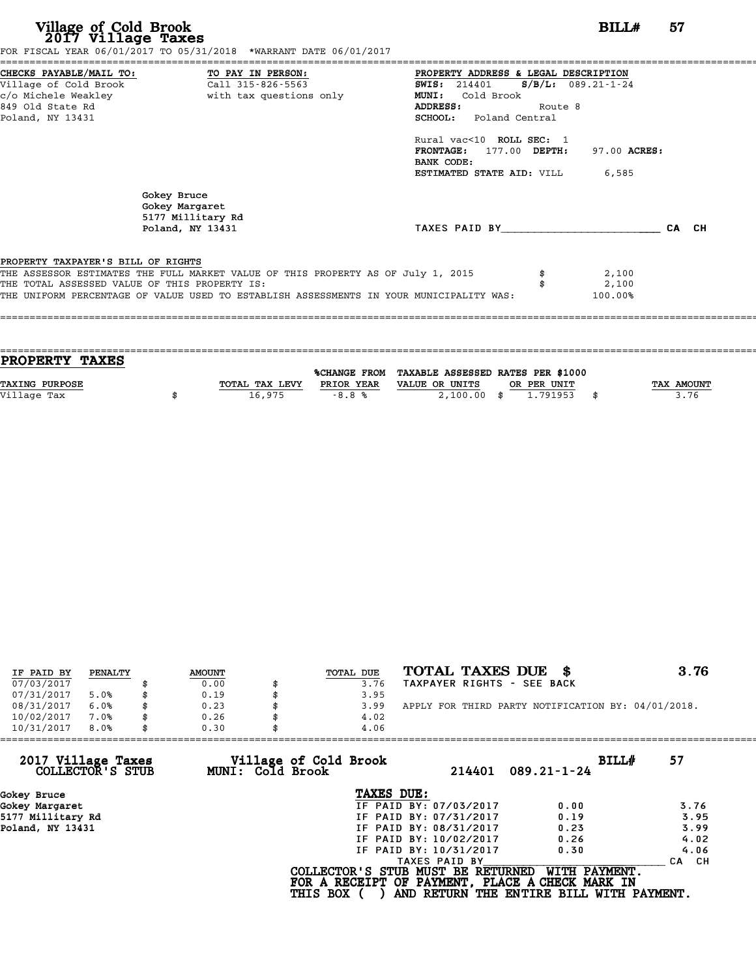| Village of Cold Brook<br>2017 Village Taxes                                          | FOR FISCAL YEAR 06/01/2017 TO 05/31/2018 *WARRANT DATE 06/01/2017                                                                                                                                                            |                                                                                                                                                                                                                                                  | BILLH                     | 57    |
|--------------------------------------------------------------------------------------|------------------------------------------------------------------------------------------------------------------------------------------------------------------------------------------------------------------------------|--------------------------------------------------------------------------------------------------------------------------------------------------------------------------------------------------------------------------------------------------|---------------------------|-------|
| Village of Cold Brook<br>c/o Michele Weakley<br>849 Old State Rd<br>Poland, NY 13431 | CHECKS PAYABLE/MAIL TO: TO PAY IN PERSON:<br>Call 315-826-5563<br>with tax questions only                                                                                                                                    | PROPERTY ADDRESS & LEGAL DESCRIPTION<br>SWIS: 214401 S/B/L: 089.21-1-24<br>MUNI: Cold Brook<br>ADDRESS:<br>SCHOOL: Poland Central<br>Rural vac<10 ROLL SEC: 1<br>FRONTAGE: 177.00 DEPTH:<br>BANK CODE:<br><b>ESTIMATED STATE AID:</b> VILL 6,585 | Route 8<br>97.00 ACRES:   |       |
|                                                                                      | Gokey Bruce<br>Gokey Margaret<br>5177 Millitary Rd<br>Poland, NY 13431                                                                                                                                                       | TAXES PAID BY And TAXES PAID BY                                                                                                                                                                                                                  |                           | CA CH |
| PROPERTY TAXPAYER'S BILL OF RIGHTS                                                   | THE ASSESSOR ESTIMATES THE FULL MARKET VALUE OF THIS PROPERTY AS OF July 1, 2015<br>THE TOTAL ASSESSED VALUE OF THIS PROPERTY IS:<br>THE UNIFORM PERCENTAGE OF VALUE USED TO ESTABLISH ASSESSMENTS IN YOUR MUNICIPALITY WAS: |                                                                                                                                                                                                                                                  | 2,100<br>2,100<br>100.00% |       |

| <b>PROPERTY TAXES</b> |                |            |                                                |             |                   |
|-----------------------|----------------|------------|------------------------------------------------|-------------|-------------------|
|                       |                |            | %CHANGE FROM TAXABLE ASSESSED RATES PER \$1000 |             |                   |
| <b>TAXING PURPOSE</b> | TOTAL TAX LEVY | PRIOR YEAR | VALUE OR UNITS                                 | OR PER UNIT | <b>TAX AMOUNT</b> |
|                       |                |            |                                                |             |                   |
| Village Tax           | 16,975         | $-8.8%$    | $2,100.00$ \$                                  | 1.791953    | 3.76              |
|                       |                |            |                                                |             |                   |

| IF PAID BY | PENALTY | <b>AMOUNT</b> | TOTAL DUE | TOTAL TAXES DUE \$                                 | 3.76 |
|------------|---------|---------------|-----------|----------------------------------------------------|------|
| 07/03/2017 |         | 0.00          | 3.76      | TAXPAYER RIGHTS - SEE BACK                         |      |
| 07/31/2017 | 5.0%    | 0.19          | 3.95      |                                                    |      |
| 08/31/2017 | 6.0%    | \$<br>0.23    | 3.99      | APPLY FOR THIRD PARTY NOTIFICATION BY: 04/01/2018. |      |
| 10/02/2017 | 7.0%    | 0.26          | 4.02      |                                                    |      |
| 10/31/2017 | 8.0%    | \$<br>0.30    | 4.06      |                                                    |      |

| 10/31/2017                             | 8.0% | 0.30 |                  | 4.06                                            |                        |                                          |       |            |
|----------------------------------------|------|------|------------------|-------------------------------------------------|------------------------|------------------------------------------|-------|------------|
| 2017 Village Taxes<br>COLLECTOR'S STUB |      |      | MUNI: Cold Brook | Village of Cold Brook                           | 214401                 | $089.21 - 1 - 24$                        | BILL# | 57         |
| Gokey Bruce                            |      |      |                  | TAXES DUE:                                      |                        |                                          |       |            |
| Gokey Margaret                         |      |      |                  |                                                 | IF PAID BY: 07/03/2017 | 0.00                                     |       | 3.76       |
| 5177 Millitary Rd                      |      |      |                  |                                                 | IF PAID BY: 07/31/2017 | 0.19                                     |       | 3.95       |
| Poland, NY 13431                       |      |      |                  |                                                 | IF PAID BY: 08/31/2017 | 0.23                                     |       | 3.99       |
|                                        |      |      |                  |                                                 | IF PAID BY: 10/02/2017 | 0.26                                     |       | 4.02       |
|                                        |      |      |                  |                                                 | IF PAID BY: 10/31/2017 | 0.30                                     |       | 4.06       |
|                                        |      |      |                  |                                                 | TAXES PAID BY          |                                          |       | CH.<br>CA. |
|                                        |      |      |                  | COLLECTOR'S STUB MUST BE RETURNED               |                        | WITH PAYMENT.                            |       |            |
|                                        |      |      |                  | FOR A RECEIPT OF PAYMENT, PLACE A CHECK MARK IN |                        |                                          |       |            |
|                                        |      |      |                  | <b>THIS BOX</b>                                 |                        | AND RETURN THE ENTIRE BILL WITH PAYMENT. |       |            |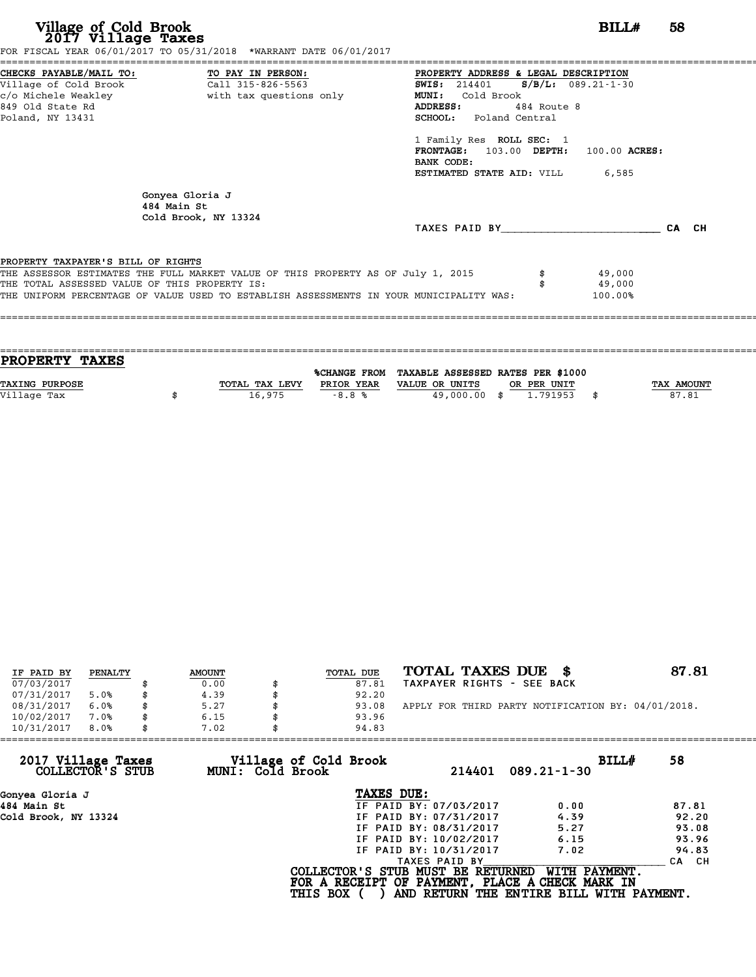| Village of Cold Brook<br>2017 Village Taxes                                                                | FOR FISCAL YEAR 06/01/2017 TO 05/31/2018 *WARRANT DATE 06/01/2017                                                                                                           |                                                                                                                                                                                                                                                                                                                     | BILLH                       | 58 |
|------------------------------------------------------------------------------------------------------------|-----------------------------------------------------------------------------------------------------------------------------------------------------------------------------|---------------------------------------------------------------------------------------------------------------------------------------------------------------------------------------------------------------------------------------------------------------------------------------------------------------------|-----------------------------|----|
| CHECKS PAYABLE/MAIL TO: TO PAY IN PERSON:<br>Village of Cold Brook<br>849 Old State Rd<br>Poland, NY 13431 | Call 315-826-5563                                                                                                                                                           | PROPERTY ADDRESS & LEGAL DESCRIPTION<br><b>SWIS:</b> 214401 <b>S/B/L:</b> 089.21-1-30<br>Cold Brook<br><b>MUNI:</b><br><b>ADDRESS:</b><br>484 Route 8<br><b>SCHOOL:</b> Poland Central<br>1 Family Res ROLL SEC: 1<br>FRONTAGE: 103.00 DEPTH: 100.00 ACRES:<br>BANK CODE:<br><b>ESTIMATED STATE AID:</b> VILL 6,585 |                             |    |
| 484 Main St                                                                                                | Gonyea Gloria J<br>Cold Brook, NY 13324                                                                                                                                     | TAXES PAID BY CA CH                                                                                                                                                                                                                                                                                                 |                             |    |
| PROPERTY TAXPAYER'S BILL OF RIGHTS<br>THE TOTAL ASSESSED VALUE OF THIS PROPERTY IS:                        | THE ASSESSOR ESTIMATES THE FULL MARKET VALUE OF THIS PROPERTY AS OF July 1, 2015<br>THE UNIFORM PERCENTAGE OF VALUE USED TO ESTABLISH ASSESSMENTS IN YOUR MUNICIPALITY WAS: |                                                                                                                                                                                                                                                                                                                     | 49,000<br>49,000<br>100.00% |    |

| <b>PROPERTY TAXES</b> |                |            |                                                |             |                   |
|-----------------------|----------------|------------|------------------------------------------------|-------------|-------------------|
|                       |                |            |                                                |             |                   |
|                       |                |            | %CHANGE FROM TAXABLE ASSESSED RATES PER \$1000 |             |                   |
| <b>TAXING PURPOSE</b> | TOTAL TAX LEVY | PRIOR YEAR | VALUE OR UNITS                                 | OR PER UNIT | <b>TAX AMOUNT</b> |
| Village Tax           | 16,975         | $-8.8%$    | 49,000.00 \$                                   | 1.791953    | 87.81             |
|                       |                |            |                                                |             |                   |

| IF PAID BY | PENALTY |   | <b>AMOUNT</b> | <b>TOTAL DUE</b> | TOTAL TAXES DUE \$                                 | 87.81 |
|------------|---------|---|---------------|------------------|----------------------------------------------------|-------|
| 07/03/2017 |         |   | 0.00          | 87.81            | TAXPAYER RIGHTS - SEE BACK                         |       |
| 07/31/2017 | 5.0%    |   | 4.39          | 92.20            |                                                    |       |
| 08/31/2017 | 6.0%    | S | 5.27          | 93.08            | APPLY FOR THIRD PARTY NOTIFICATION BY: 04/01/2018. |       |
| 10/02/2017 | 7.0%    |   | 6.15          | 93.96            |                                                    |       |
| 10/31/2017 | 8.0%    |   | 7.02          | 94.83            |                                                    |       |
|            |         |   |               |                  |                                                    |       |

| 10/31/2017<br>8.0%                     | 7.02             | 94.83                                                |               |                                                                                                              |       |
|----------------------------------------|------------------|------------------------------------------------------|---------------|--------------------------------------------------------------------------------------------------------------|-------|
| 2017 Village Taxes<br>COLLECTOR'S STUB | MUNI: Cold Brook | Village of Cold Brook                                | 214401        | BILL#<br>$089.21 - 1 - 30$                                                                                   | 58    |
| Gonyea Gloria J                        |                  | TAXES DUE:                                           |               |                                                                                                              |       |
| 484 Main St                            |                  | IF PAID BY: 07/03/2017                               |               | 0.00                                                                                                         | 87.81 |
| Cold Brook, NY 13324                   |                  | IF PAID BY: 07/31/2017                               |               | 4.39                                                                                                         | 92.20 |
|                                        |                  | IF PAID BY: 08/31/2017                               |               | 5.27                                                                                                         | 93.08 |
|                                        |                  | IF PAID BY: 10/02/2017                               |               | 6.15                                                                                                         | 93.96 |
|                                        |                  | IF PAID BY: 10/31/2017                               |               | 7.02                                                                                                         | 94.83 |
|                                        |                  |                                                      | TAXES PAID BY |                                                                                                              | CA CH |
|                                        |                  | COLLECTOR'S STUB MUST BE RETURNED<br><b>THIS BOX</b> |               | WITH PAYMENT.<br>FOR A RECEIPT OF PAYMENT, PLACE A CHECK MARK IN<br>AND RETURN THE ENTIRE BILL WITH PAYMENT. |       |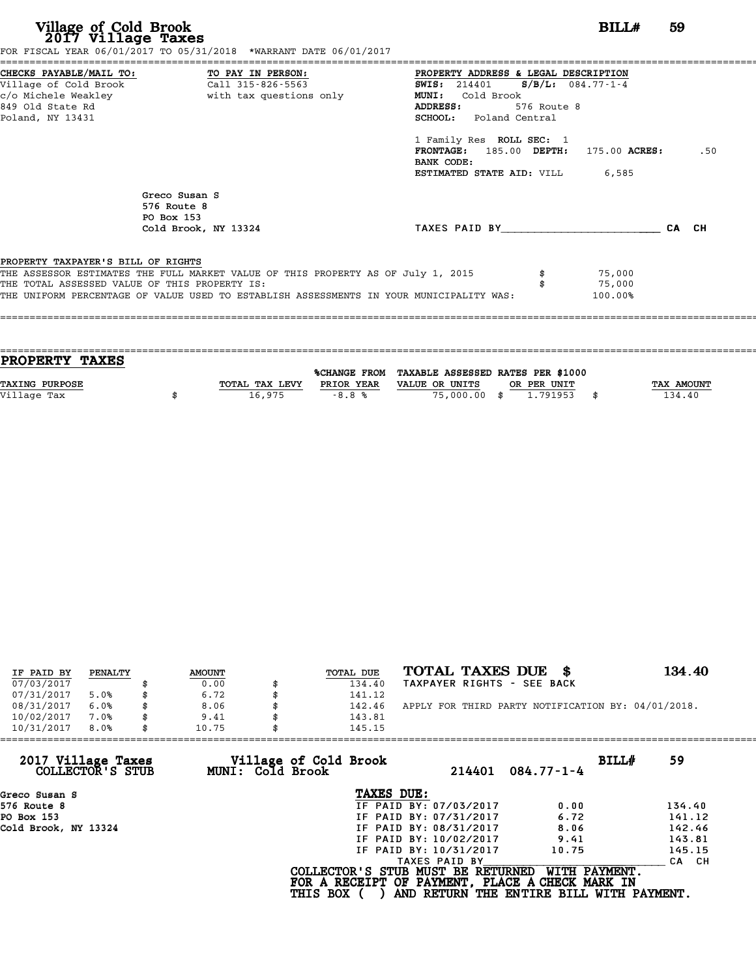| Village of Cold Brook<br>2017 Village Taxes                                                                | FOR FISCAL YEAR 06/01/2017 TO 05/31/2018 *WARRANT DATE 06/01/2017                                                                                                           |                                                                                                                                                                                                                                                                                                       | BILL#                       | 59  |
|------------------------------------------------------------------------------------------------------------|-----------------------------------------------------------------------------------------------------------------------------------------------------------------------------|-------------------------------------------------------------------------------------------------------------------------------------------------------------------------------------------------------------------------------------------------------------------------------------------------------|-----------------------------|-----|
| CHECKS PAYABLE/MAIL TO: TO PAY IN PERSON:<br>Village of Cold Brook<br>849 Old State Rd<br>Poland, NY 13431 | Call 315-826-5563<br>c/o Michele Weakley                       with tax questions only                                                                                      | PROPERTY ADDRESS & LEGAL DESCRIPTION<br>SWIS: $214401$ S/B/L: $084.77 - 1 - 4$<br>Cold Brook<br><b>MUNI:</b><br>ADDRESS:<br>576 Route 8<br><b>SCHOOL:</b> Poland Central<br>1 Family Res ROLL SEC: 1<br>FRONTAGE: 185.00 DEPTH: 175.00 ACRES:<br>BANK CODE:<br><b>ESTIMATED STATE AID:</b> VILL 6,585 |                             | .50 |
|                                                                                                            | Greco Susan S<br>576 Route 8<br>PO Box 153<br>Cold Brook, NY 13324                                                                                                          | TAXES PAID BY CA CH                                                                                                                                                                                                                                                                                   |                             |     |
| PROPERTY TAXPAYER'S BILL OF RIGHTS<br>THE TOTAL ASSESSED VALUE OF THIS PROPERTY IS:                        | THE ASSESSOR ESTIMATES THE FULL MARKET VALUE OF THIS PROPERTY AS OF July 1, 2015<br>THE UNIFORM PERCENTAGE OF VALUE USED TO ESTABLISH ASSESSMENTS IN YOUR MUNICIPALITY WAS: |                                                                                                                                                                                                                                                                                                       | 75,000<br>75,000<br>100.00% |     |

| <b>TAX AMOUNT</b> |
|-------------------|
| 134.40            |
|                   |
|                   |

| IF PAID BY | PENALTY | <b>AMOUNT</b> | <b>TOTAL DUE</b> | TOTAL TAXES DUE \$                                 | 134.40 |
|------------|---------|---------------|------------------|----------------------------------------------------|--------|
| 07/03/2017 |         | 0.00          | 134.40           | TAXPAYER RIGHTS - SEE BACK                         |        |
| 07/31/2017 | 5.0%    | 6.72          | 141.12           |                                                    |        |
| 08/31/2017 | 6.0%    | \$<br>8.06    | 142.46           | APPLY FOR THIRD PARTY NOTIFICATION BY: 04/01/2018. |        |
| 10/02/2017 | 7.0%    | \$<br>9.41    | 143.81           |                                                    |        |
| 10/31/2017 | 8.0%    | \$<br>10.75   | 145.15           |                                                    |        |

| 145.15                                    |                            |                                                                                                                                                                                                                                                                                                   |
|-------------------------------------------|----------------------------|---------------------------------------------------------------------------------------------------------------------------------------------------------------------------------------------------------------------------------------------------------------------------------------------------|
| Village of Cold Brook<br>MUNI: Cold Brook | 214401<br>$084.77 - 1 - 4$ | BILL#<br>59                                                                                                                                                                                                                                                                                       |
|                                           |                            |                                                                                                                                                                                                                                                                                                   |
|                                           | 0.00                       | 134.40                                                                                                                                                                                                                                                                                            |
|                                           | 6.72                       | 141.12                                                                                                                                                                                                                                                                                            |
|                                           | 8.06                       | 142.46                                                                                                                                                                                                                                                                                            |
|                                           | 9.41                       | 143.81                                                                                                                                                                                                                                                                                            |
|                                           | 10.75                      | 145.15                                                                                                                                                                                                                                                                                            |
|                                           |                            | CA CH                                                                                                                                                                                                                                                                                             |
| <b>THIS BOX</b>                           |                            | WITH PAYMENT.                                                                                                                                                                                                                                                                                     |
|                                           |                            | TAXES DUE:<br>IF PAID BY: 07/03/2017<br>IF PAID BY: 07/31/2017<br>IF PAID BY: 08/31/2017<br>IF PAID BY: 10/02/2017<br>IF PAID BY: 10/31/2017<br>TAXES PAID BY<br>COLLECTOR'S STUB MUST BE RETURNED<br>FOR A RECEIPT OF PAYMENT, PLACE A CHECK MARK IN<br>AND RETURN THE ENTIRE BILL WITH PAYMENT. |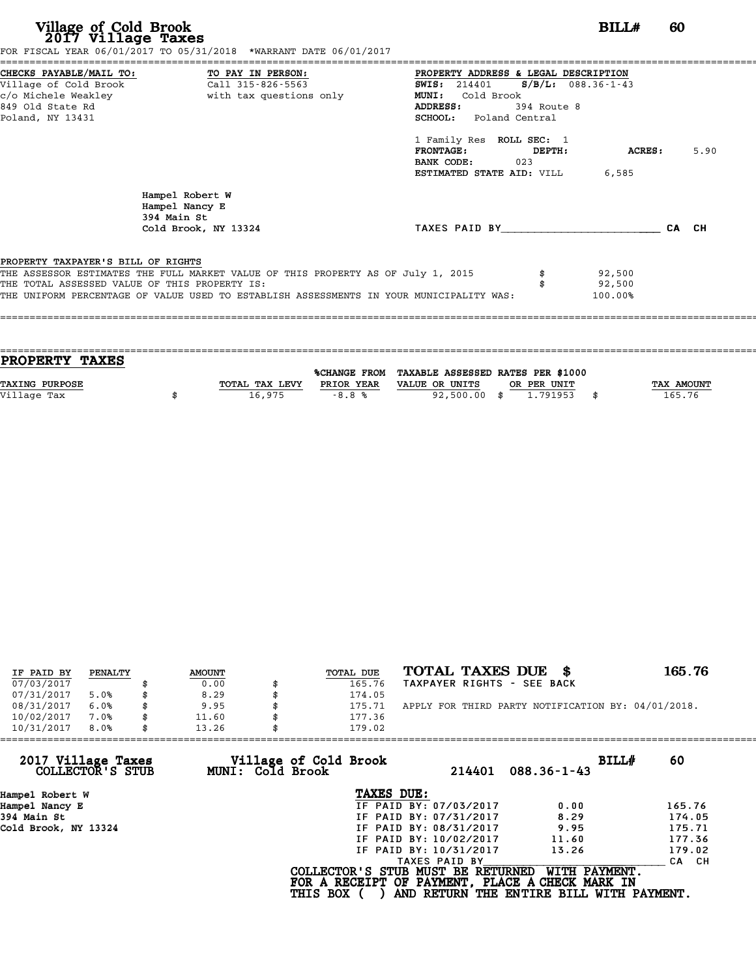| Village of Cold Brook<br>2017 Village Taxes                                         | FOR FISCAL YEAR 06/01/2017 TO 05/31/2018 *WARRANT DATE 06/01/2017                                                                                                           | BILLH                                                                                                                                                                                                                                            | -60  |
|-------------------------------------------------------------------------------------|-----------------------------------------------------------------------------------------------------------------------------------------------------------------------------|--------------------------------------------------------------------------------------------------------------------------------------------------------------------------------------------------------------------------------------------------|------|
| Village of Cold Brook<br>849 Old State Rd<br>Poland, NY 13431                       | CHECKS PAYABLE/MAIL TO: TO PAY IN PERSON: PROPERTY ADDRESS & LEGAL DESCRIPTION<br>Call 315-826-5563                                                                         | SWIS: 214401 S/B/L: 088.36-1-43<br><b>MUNI:</b><br>Cold Brook<br>ADDRESS: 394 Route 8<br><b>SCHOOL:</b> Poland Central<br>1 Family Res ROLL SEC: 1<br>$FRONTAGE:$ $DEPTH:$<br>ACRES:<br>BANK CODE: 023<br><b>ESTIMATED STATE AID:</b> VILL 6,585 | 5.90 |
|                                                                                     | Hampel Robert W<br>Hampel Nancy E<br>394 Main St<br>Cold Brook, NY 13324                                                                                                    | TAXES PAID BY CA CH                                                                                                                                                                                                                              |      |
| PROPERTY TAXPAYER'S BILL OF RIGHTS<br>THE TOTAL ASSESSED VALUE OF THIS PROPERTY IS: | THE ASSESSOR ESTIMATES THE FULL MARKET VALUE OF THIS PROPERTY AS OF July 1, 2015<br>THE UNIFORM PERCENTAGE OF VALUE USED TO ESTABLISH ASSESSMENTS IN YOUR MUNICIPALITY WAS: | 92,500<br>92,500<br>100.00%                                                                                                                                                                                                                      |      |

| <b>PROPERTY TAXES</b> |                |            |                                                |             |                   |
|-----------------------|----------------|------------|------------------------------------------------|-------------|-------------------|
|                       |                |            |                                                |             |                   |
|                       |                |            | %CHANGE FROM TAXABLE ASSESSED RATES PER \$1000 |             |                   |
| <b>TAXING PURPOSE</b> | TOTAL TAX LEVY | PRIOR YEAR | VALUE OR UNITS                                 | OR PER UNIT | <b>TAX AMOUNT</b> |
| Village Tax           | 16,975         | $-8.8%$    | 92,500.00 \$                                   | 1.791953    | 165.76            |
|                       |                |            |                                                |             |                   |
|                       |                |            |                                                |             |                   |

| IF PAID BY | PENALTY | <b>AMOUNT</b> | <b>TOTAL DUE</b> | TOTAL TAXES DUE \$                                 | 165.76 |
|------------|---------|---------------|------------------|----------------------------------------------------|--------|
| 07/03/2017 |         | 0.00          | 165.76           | TAXPAYER RIGHTS - SEE BACK                         |        |
| 07/31/2017 | 5.0%    | 8.29          | 174.05           |                                                    |        |
| 08/31/2017 | 6.0%    | 9.95          | 175.71           | APPLY FOR THIRD PARTY NOTIFICATION BY: 04/01/2018. |        |
| 10/02/2017 | 7.0%    | 11.60         | 177.36           |                                                    |        |
| 10/31/2017 | 8.0%    | 13.26         | 179.02           |                                                    |        |

| 179.02          |                                           |                                                                                                                                                                                                                                                                                                   |
|-----------------|-------------------------------------------|---------------------------------------------------------------------------------------------------------------------------------------------------------------------------------------------------------------------------------------------------------------------------------------------------|
|                 | 214401<br>$088.36 - 1 - 43$               | BILLH<br>60                                                                                                                                                                                                                                                                                       |
|                 |                                           |                                                                                                                                                                                                                                                                                                   |
|                 | 0.00                                      | 165.76                                                                                                                                                                                                                                                                                            |
|                 | 8.29                                      | 174.05                                                                                                                                                                                                                                                                                            |
|                 | 9.95                                      | 175.71                                                                                                                                                                                                                                                                                            |
|                 | 11.60                                     | 177.36                                                                                                                                                                                                                                                                                            |
|                 | 13.26                                     | 179.02                                                                                                                                                                                                                                                                                            |
|                 |                                           | CA CH                                                                                                                                                                                                                                                                                             |
| <b>THIS BOX</b> |                                           | WITH PAYMENT.                                                                                                                                                                                                                                                                                     |
|                 | Village of Cold Brook<br>MUNI: Cold Brook | TAXES DUE:<br>IF PAID BY: 07/03/2017<br>IF PAID BY: 07/31/2017<br>IF PAID BY: 08/31/2017<br>IF PAID BY: 10/02/2017<br>IF PAID BY: 10/31/2017<br>TAXES PAID BY<br>COLLECTOR'S STUB MUST BE RETURNED<br>FOR A RECEIPT OF PAYMENT, PLACE A CHECK MARK IN<br>AND RETURN THE ENTIRE BILL WITH PAYMENT. |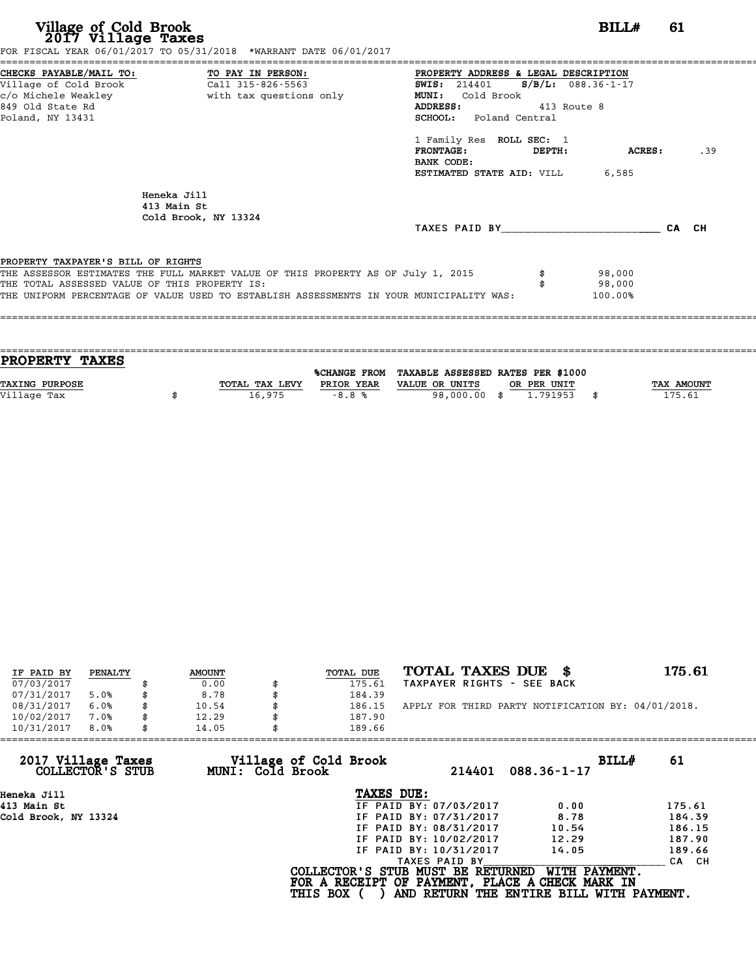| Village of Cold Brook<br>2017 Village Taxes                                                                                       | FOR FISCAL YEAR 06/01/2017 TO 05/31/2018 *WARRANT DATE 06/01/2017                                                                                                           |                                                                                                                                                                                                                                                                              | BILLH                       | 61    |
|-----------------------------------------------------------------------------------------------------------------------------------|-----------------------------------------------------------------------------------------------------------------------------------------------------------------------------|------------------------------------------------------------------------------------------------------------------------------------------------------------------------------------------------------------------------------------------------------------------------------|-----------------------------|-------|
| CHECKS PAYABLE/MAIL TO: TO PAY IN PERSON:<br>Village of Cold Brook<br>c/o Michele Weakley<br>849 Old State Rd<br>Poland, NY 13431 | Call 315-826-5563<br>with tax questions only                                                                                                                                | PROPERTY ADDRESS & LEGAL DESCRIPTION<br>SWIS: 214401 S/B/L: 088.36-1-17<br>Cold Brook<br>MUNI:<br>ADDRESS:<br>413 Route 8<br><b>SCHOOL:</b> Poland Central<br>1 Family Res ROLL SEC: 1<br><b>FRONTAGE:</b><br>DEPTH:<br>BANK CODE:<br><b>ESTIMATED STATE AID:</b> VILL 6,585 | ACRES:                      | .39   |
|                                                                                                                                   | Heneka Jill<br>413 Main St<br>Cold Brook, NY 13324                                                                                                                          | TAXES PAID BY                                                                                                                                                                                                                                                                |                             | CA CH |
| PROPERTY TAXPAYER'S BILL OF RIGHTS<br>THE TOTAL ASSESSED VALUE OF THIS PROPERTY IS:                                               | THE ASSESSOR ESTIMATES THE FULL MARKET VALUE OF THIS PROPERTY AS OF July 1, 2015<br>THE UNIFORM PERCENTAGE OF VALUE USED TO ESTABLISH ASSESSMENTS IN YOUR MUNICIPALITY WAS: |                                                                                                                                                                                                                                                                              | 98,000<br>98,000<br>100.00% |       |

| <b>TAX AMOUNT</b> |
|-------------------|
| 175.61            |
|                   |
|                   |

| IF PAID BY | PENALTY | <b>AMOUNT</b> | TOTAL DUE | TOTAL TAXES DUE \$                                 | 175.61 |
|------------|---------|---------------|-----------|----------------------------------------------------|--------|
| 07/03/2017 |         | 0.00          | 175.61    | TAXPAYER RIGHTS - SEE BACK                         |        |
| 07/31/2017 | 5.0%    | 8.78          | 184.39    |                                                    |        |
| 08/31/2017 | 6.0%    | 10.54         | 186.15    | APPLY FOR THIRD PARTY NOTIFICATION BY: 04/01/2018. |        |
| 10/02/2017 | 7.0%    | 12.29         | 187.90    |                                                    |        |
| 10/31/2017 | 8.0%    | 14.05         | 189.66    |                                                    |        |

| 14.05 |                        |                                                              |                                                                                                                                            |
|-------|------------------------|--------------------------------------------------------------|--------------------------------------------------------------------------------------------------------------------------------------------|
|       | 214401                 | BILLH<br>$088.36 - 1 - 17$                                   | 61                                                                                                                                         |
|       | TAXES DUE:             |                                                              |                                                                                                                                            |
|       | IF PAID BY: 07/03/2017 | 0.00                                                         | 175.61                                                                                                                                     |
|       | IF PAID BY: 07/31/2017 | 8.78                                                         | 184.39                                                                                                                                     |
|       | IF PAID BY: 08/31/2017 | 10.54                                                        | 186.15                                                                                                                                     |
|       | IF PAID BY: 10/02/2017 | 12.29                                                        | 187.90                                                                                                                                     |
|       | IF PAID BY: 10/31/2017 | 14.05                                                        | 189.66                                                                                                                                     |
|       | TAXES PAID BY          |                                                              | CA CH                                                                                                                                      |
|       |                        | WITH PAYMENT.                                                |                                                                                                                                            |
|       |                        | Village of Cold Brook<br>MUNI: Cold Brook<br><b>THIS BOX</b> | 189.66<br>COLLECTOR'S STUB MUST BE RETURNED<br>FOR A RECEIPT OF PAYMENT, PLACE A CHECK MARK IN<br>AND RETURN THE ENTIRE BILL WITH PAYMENT. |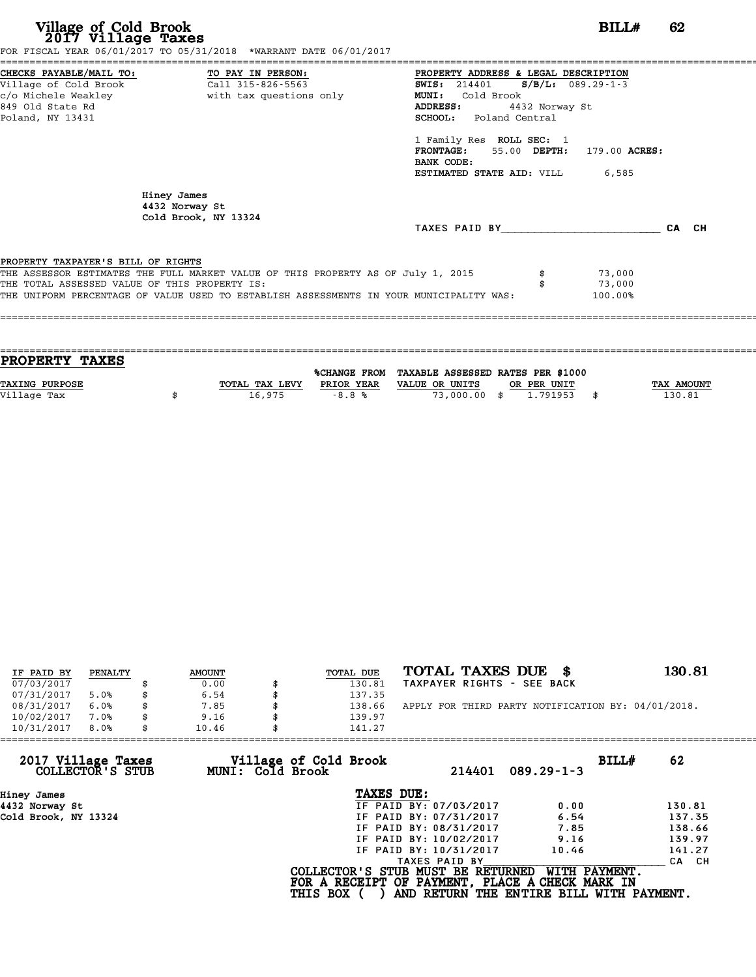**Village of Cold Brook**<br> **2017 Village Taxes**<br>
FOR FISCAL YEAR 06/01/2017 TO 05/31/2018 \*WARRANT DATE 06/01/2017<br> **POR FISCAL YEAR 06/01/2017** TO 05/31/2018 \*WARRANT DATE 06/01/2017

|                                               | FOR FISCAL YEAR 06/01/2017 TO 05/31/2018 *WARRANT DATE 06/01/2017                       |                                              |         |       |
|-----------------------------------------------|-----------------------------------------------------------------------------------------|----------------------------------------------|---------|-------|
|                                               | CHECKS PAYABLE/MAIL TO: TO PAY IN PERSON:                                               | PROPERTY ADDRESS & LEGAL DESCRIPTION         |         |       |
|                                               |                                                                                         | <b>SWIS:</b> 214401 <b>S/B/L:</b> 089.29-1-3 |         |       |
|                                               |                                                                                         | <b>MUNI:</b><br>Cold Brook                   |         |       |
| 849 Old State Rd                              |                                                                                         | ADDRESS:<br>4432 Norway St                   |         |       |
| Poland, NY 13431                              |                                                                                         | <b>SCHOOL:</b> Poland Central                |         |       |
|                                               |                                                                                         | 1 Family Res ROLL SEC: 1                     |         |       |
|                                               |                                                                                         | FRONTAGE: 55.00 DEPTH: 179.00 ACRES:         |         |       |
|                                               |                                                                                         | BANK CODE:                                   |         |       |
|                                               |                                                                                         | <b>ESTIMATED STATE AID:</b> VILL 6,585       |         |       |
|                                               | Hiney James<br>4432 Norway St<br>Cold Brook, NY 13324                                   |                                              |         |       |
|                                               |                                                                                         | TAXES PAID BY                                |         | CA CH |
| PROPERTY TAXPAYER'S BILL OF RIGHTS            |                                                                                         |                                              |         |       |
|                                               | THE ASSESSOR ESTIMATES THE FULL MARKET VALUE OF THIS PROPERTY AS OF July 1, 2015        |                                              | 73,000  |       |
| THE TOTAL ASSESSED VALUE OF THIS PROPERTY IS: |                                                                                         |                                              | 73,000  |       |
|                                               | THE UNIFORM PERCENTAGE OF VALUE USED TO ESTABLISH ASSESSMENTS IN YOUR MUNICIPALITY WAS: |                                              | 100.00% |       |
|                                               |                                                                                         |                                              |         |       |
|                                               |                                                                                         |                                              |         |       |

| <b>PROPERTY TAXES</b> |                |                     |                                   |             |            |
|-----------------------|----------------|---------------------|-----------------------------------|-------------|------------|
|                       |                |                     |                                   |             |            |
|                       |                | <b>%CHANGE FROM</b> | TAXABLE ASSESSED RATES PER \$1000 |             |            |
| <b>TAXING PURPOSE</b> | TOTAL TAX LEVY | PRIOR YEAR          | VALUE OR UNITS                    | OR PER UNIT | TAX AMOUNT |
| Village Tax           | 16,975         | $-8.8%$             | 73,000.00 \$                      | 1.791953    | 130.81     |
|                       |                |                     |                                   |             |            |

| IF PAID BY | PENALTY |   | <b>AMOUNT</b> | TOTAL DUE | TOTAL TAXES DUE<br>- 8                             | 130.81 |
|------------|---------|---|---------------|-----------|----------------------------------------------------|--------|
| 07/03/2017 |         |   | 0.00          | 130.81    | TAXPAYER RIGHTS - SEE BACK                         |        |
| 07/31/2017 | 5.0%    |   | 6.54          | 137.35    |                                                    |        |
| 08/31/2017 | 6.0%    | S | 7.85          | 138.66    | APPLY FOR THIRD PARTY NOTIFICATION BY: 04/01/2018. |        |
| 10/02/2017 | 7.0%    |   | 9.16          | 139.97    |                                                    |        |
| 10/31/2017 | 8.0%    |   | 10.46         | 141.27    |                                                    |        |

|               | BILLH<br>$089.29 - 1 - 3$                                    | 62                                                                                                                                                                                                                                                                                              |
|---------------|--------------------------------------------------------------|-------------------------------------------------------------------------------------------------------------------------------------------------------------------------------------------------------------------------------------------------------------------------------------------------|
| TAXES DUE:    |                                                              |                                                                                                                                                                                                                                                                                                 |
|               | 0.00                                                         | 130.81                                                                                                                                                                                                                                                                                          |
|               | 6.54                                                         | 137.35                                                                                                                                                                                                                                                                                          |
|               | 7.85                                                         | 138.66                                                                                                                                                                                                                                                                                          |
|               | 9.16                                                         | 139.97                                                                                                                                                                                                                                                                                          |
|               | 10.46                                                        | 141.27                                                                                                                                                                                                                                                                                          |
| TAXES PAID BY |                                                              | CA CH                                                                                                                                                                                                                                                                                           |
|               | WITH PAYMENT.                                                |                                                                                                                                                                                                                                                                                                 |
|               | Village of Cold Brook<br>MUNI: Cold Brook<br><b>THIS BOX</b> | 10.46<br>141.27<br>214401<br>IF PAID BY: 07/03/2017<br>IF PAID BY: 07/31/2017<br>IF PAID BY: 08/31/2017<br>IF PAID BY: 10/02/2017<br>IF PAID BY: 10/31/2017<br>COLLECTOR'S STUB MUST BE RETURNED<br>FOR A RECEIPT OF PAYMENT, PLACE A CHECK MARK IN<br>AND RETURN THE ENTIRE BILL WITH PAYMENT. |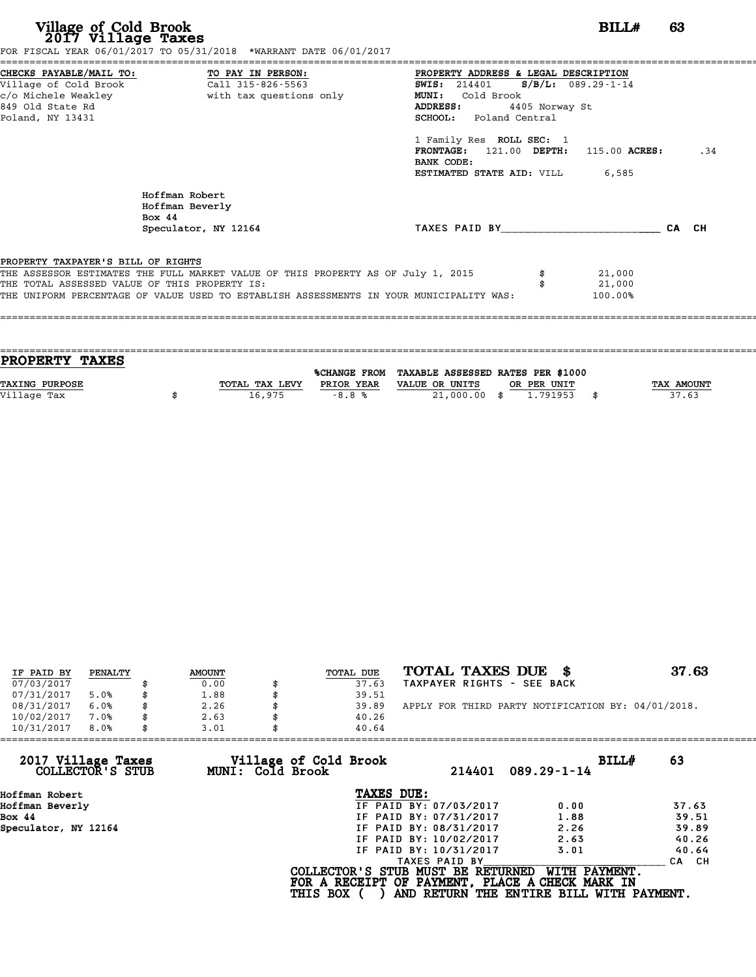| Village of Cold Brook<br>2017 Village Taxes                                                                     | FOR FISCAL YEAR 06/01/2017 TO 05/31/2018 *WARRANT DATE 06/01/2017                       | BILL#                                                                                                                                                         | 63  |
|-----------------------------------------------------------------------------------------------------------------|-----------------------------------------------------------------------------------------|---------------------------------------------------------------------------------------------------------------------------------------------------------------|-----|
| CHECKS PAYABLE/MAIL TO:<br>Village of Cold Brook<br>c/o Michele Weakley<br>849 Old State Rd<br>Poland, NY 13431 | TO PAY IN PERSON:<br>Call 315-826-5563<br>with tax questions only                       | PROPERTY ADDRESS & LEGAL DESCRIPTION<br>SWIS: 214401 S/B/L: 089.29-1-14<br><b>MUNI:</b><br>Cold Brook<br>ADDRESS:<br>4405 Norway St<br>SCHOOL: Poland Central |     |
|                                                                                                                 |                                                                                         | 1 Family Res ROLL SEC: 1<br>$FRONTAGE: 121.00$ $DEPTH: 115.00$ $ACRES:$<br>BANK CODE:<br>ESTIMATED STATE AID: VILL<br>6,585                                   | .34 |
|                                                                                                                 | Hoffman Robert<br>Hoffman Beverly<br>Bo $\times$ 44                                     |                                                                                                                                                               |     |
|                                                                                                                 | Speculator, NY 12164                                                                    | TAXES PAID BY CA CH                                                                                                                                           |     |
| PROPERTY TAXPAYER'S BILL OF RIGHTS                                                                              |                                                                                         |                                                                                                                                                               |     |
|                                                                                                                 | THE ASSESSOR ESTIMATES THE FULL MARKET VALUE OF THIS PROPERTY AS OF July 1, 2015        | 21,000                                                                                                                                                        |     |
| THE TOTAL ASSESSED VALUE OF THIS PROPERTY IS:                                                                   |                                                                                         | 21,000                                                                                                                                                        |     |
|                                                                                                                 | THE UNIFORM PERCENTAGE OF VALUE USED TO ESTABLISH ASSESSMENTS IN YOUR MUNICIPALITY WAS: | 100.00%                                                                                                                                                       |     |

| PROPERTY TAXES        |                |                     |                                   |             |      |            |
|-----------------------|----------------|---------------------|-----------------------------------|-------------|------|------------|
|                       |                | <b>%CHANGE FROM</b> | TAXABLE ASSESSED RATES PER \$1000 |             |      |            |
| <b>TAXING PURPOSE</b> | TOTAL TAX LEVY | PRIOR YEAR          | VALUE OR UNITS                    | OR PER UNIT |      | TAX AMOUNT |
|                       |                |                     |                                   |             |      |            |
| Village Tax           | 16,975         | $-8.8%$             | $21,000.00$ \$                    | 1.791953    | - \$ | 37.63      |
|                       |                |                     |                                   |             |      |            |

| IF PAID BY | PENALTY | <b>AMOUNT</b> | TOTAL DUE | TOTAL TAXES DUE \$                                 | 37.63 |
|------------|---------|---------------|-----------|----------------------------------------------------|-------|
| 07/03/2017 |         | 0.00          | 37.63     | TAXPAYER RIGHTS - SEE BACK                         |       |
| 07/31/2017 | 5.0%    | 1.88          | 39.51     |                                                    |       |
| 08/31/2017 | 6.0%    | \$<br>2.26    | 39.89     | APPLY FOR THIRD PARTY NOTIFICATION BY: 04/01/2018. |       |
| 10/02/2017 | 7.0%    | \$<br>2.63    | 40.26     |                                                    |       |
| 10/31/2017 | 8.0%    | 3.01          | 40.64     |                                                    |       |

| 3.01 | 40.64         |                                                              |                                                                                                                                                                                                                                                                    |
|------|---------------|--------------------------------------------------------------|--------------------------------------------------------------------------------------------------------------------------------------------------------------------------------------------------------------------------------------------------------------------|
|      | 214401        | BILLH<br>$089.29 - 1 - 14$                                   | 63                                                                                                                                                                                                                                                                 |
|      | TAXES DUE:    |                                                              |                                                                                                                                                                                                                                                                    |
|      |               | 0.00                                                         | 37.63                                                                                                                                                                                                                                                              |
|      |               | 1.88                                                         | 39.51                                                                                                                                                                                                                                                              |
|      |               | 2.26                                                         | 39.89                                                                                                                                                                                                                                                              |
|      |               | 2.63                                                         | 40.26                                                                                                                                                                                                                                                              |
|      |               | 3.01                                                         | 40.64                                                                                                                                                                                                                                                              |
|      | TAXES PAID BY |                                                              | CA CH                                                                                                                                                                                                                                                              |
|      |               | WITH PAYMENT.                                                |                                                                                                                                                                                                                                                                    |
|      |               | Village of Cold Brook<br>MUNI: Cold Brook<br><b>THIS BOX</b> | IF PAID BY: 07/03/2017<br>IF PAID BY: 07/31/2017<br>IF PAID BY: 08/31/2017<br>IF PAID BY: 10/02/2017<br>IF PAID BY: 10/31/2017<br>COLLECTOR'S STUB MUST BE RETURNED<br>FOR A RECEIPT OF PAYMENT, PLACE A CHECK MARK IN<br>AND RETURN THE ENTIRE BILL WITH PAYMENT. |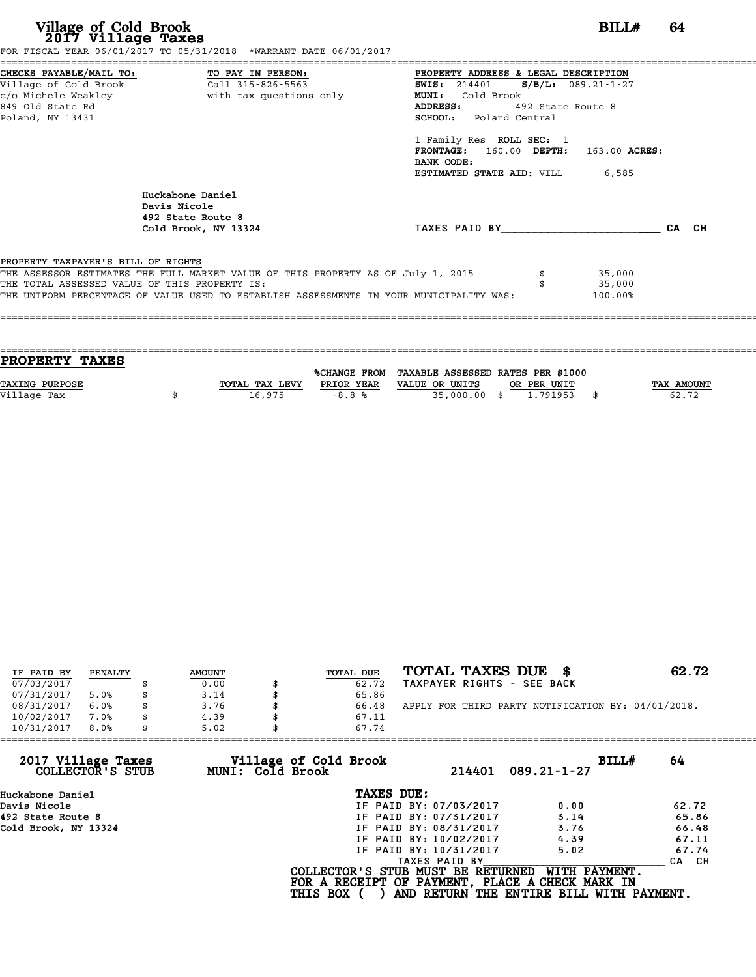| Village of Cold Brook<br>2017 Village Taxes                                                                                  | FOR FISCAL YEAR 06/01/2017 TO 05/31/2018 *WARRANT DATE 06/01/2017                                                                                                           |                                                                                                                                                                                                  | BILL#                       | 64 |
|------------------------------------------------------------------------------------------------------------------------------|-----------------------------------------------------------------------------------------------------------------------------------------------------------------------------|--------------------------------------------------------------------------------------------------------------------------------------------------------------------------------------------------|-----------------------------|----|
| CHECKS PAYABLE/MAIL TO: TO PAY IN PERSON:<br>Village of Cold Brook Call 315-826-5563<br>849 Old State Rd<br>Poland, NY 13431 |                                                                                                                                                                             | PROPERTY ADDRESS & LEGAL DESCRIPTION<br>SWIS: 214401 S/B/L: 089.21-1-27<br><b>MUNI:</b><br>Cold Brook<br>ADDRESS: 492 State Route 8<br><b>SCHOOL:</b> Poland Central<br>1 Family Res ROLL SEC: 1 |                             |    |
|                                                                                                                              | Huckabone Daniel                                                                                                                                                            | FRONTAGE: 160.00 DEPTH: 163.00 ACRES:<br>BANK CODE:<br><b>ESTIMATED STATE AID:</b> VILL 6,585                                                                                                    |                             |    |
|                                                                                                                              | Davis Nicole<br>492 State Route 8                                                                                                                                           |                                                                                                                                                                                                  |                             |    |
|                                                                                                                              | Cold Brook, NY 13324                                                                                                                                                        | TAXES PAID BY CA CH                                                                                                                                                                              |                             |    |
| PROPERTY TAXPAYER'S BILL OF RIGHTS                                                                                           |                                                                                                                                                                             |                                                                                                                                                                                                  |                             |    |
| THE TOTAL ASSESSED VALUE OF THIS PROPERTY IS:                                                                                | THE ASSESSOR ESTIMATES THE FULL MARKET VALUE OF THIS PROPERTY AS OF July 1, 2015<br>THE UNIFORM PERCENTAGE OF VALUE USED TO ESTABLISH ASSESSMENTS IN YOUR MUNICIPALITY WAS: |                                                                                                                                                                                                  | 35,000<br>35,000<br>100.00% |    |

| PROPERTY TAXES        |                |              |                                   |             |
|-----------------------|----------------|--------------|-----------------------------------|-------------|
|                       |                |              |                                   |             |
|                       |                | %CHANGE FROM | TAXABLE ASSESSED RATES PER \$1000 |             |
| <b>TAXING PURPOSE</b> | TOTAL TAX LEVY | PRIOR YEAR   | VALUE OR UNITS<br>OR PER UNIT     | TAX AMOUNT  |
| Village Tax           | 16,975         | $-8.8%$      | $35,000.00$ \$<br>1.791953        | \$<br>62.72 |
|                       |                |              |                                   |             |
|                       |                |              |                                   |             |

| IF PAID BY | PENALTY | <b>AMOUNT</b> | TOTAL DUE | TOTAL TAXES DUE \$                                 | 62.72 |
|------------|---------|---------------|-----------|----------------------------------------------------|-------|
|            |         | 0.00          | 62.72     | TAXPAYER RIGHTS - SEE BACK                         |       |
| 07/03/2017 |         |               |           |                                                    |       |
| 07/31/2017 | 5.0%    | \$<br>3.14    | 65.86     |                                                    |       |
| 08/31/2017 | 6.0%    | \$<br>3.76    | 66.48     | APPLY FOR THIRD PARTY NOTIFICATION BY: 04/01/2018. |       |
| 10/02/2017 | 7.0%    | \$<br>4.39    | 67.11     |                                                    |       |
| 10/31/2017 | 8.0%    | \$<br>5.02    | 67.74     |                                                    |       |

|                 | 214401                   | BILLH                                                                                                                                                                 | 64                                                                                                                                                             |
|-----------------|--------------------------|-----------------------------------------------------------------------------------------------------------------------------------------------------------------------|----------------------------------------------------------------------------------------------------------------------------------------------------------------|
|                 |                          |                                                                                                                                                                       |                                                                                                                                                                |
|                 |                          | 0.00                                                                                                                                                                  | 62.72                                                                                                                                                          |
|                 |                          | 3.14                                                                                                                                                                  | 65.86                                                                                                                                                          |
|                 |                          | 3.76                                                                                                                                                                  | 66.48                                                                                                                                                          |
|                 |                          | 4.39                                                                                                                                                                  | 67.11                                                                                                                                                          |
|                 |                          | 5.02                                                                                                                                                                  | 67.74                                                                                                                                                          |
|                 | TAXES PAID BY            |                                                                                                                                                                       | CA CH                                                                                                                                                          |
| <b>THIS BOX</b> |                          | WITH PAYMENT.                                                                                                                                                         |                                                                                                                                                                |
|                 | 5.02<br>MUNI: Cold Brook | Village of Cold Brook<br>TAXES DUE:<br>IF PAID BY: 07/03/2017<br>IF PAID BY: 07/31/2017<br>IF PAID BY: 08/31/2017<br>IF PAID BY: 10/02/2017<br>IF PAID BY: 10/31/2017 | 67.74<br>$089.21 - 1 - 27$<br>COLLECTOR'S STUB MUST BE RETURNED<br>FOR A RECEIPT OF PAYMENT, PLACE A CHECK MARK IN<br>AND RETURN THE ENTIRE BILL WITH PAYMENT. |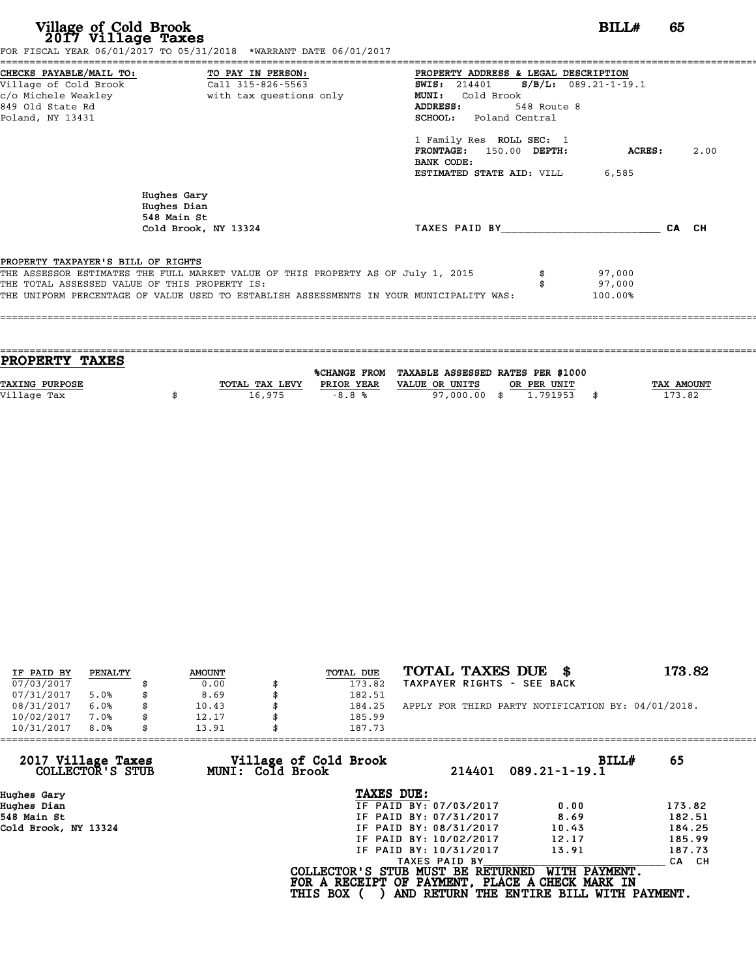| Village of Cold Brook<br>2017 Village Taxes                   | FOR FISCAL YEAR 06/01/2017 TO 05/31/2018 *WARRANT DATE 06/01/2017                                                                                                                                                            |                                                                                                                                                                                                                                                                                                              | BILL#                       | 65    |      |
|---------------------------------------------------------------|------------------------------------------------------------------------------------------------------------------------------------------------------------------------------------------------------------------------------|--------------------------------------------------------------------------------------------------------------------------------------------------------------------------------------------------------------------------------------------------------------------------------------------------------------|-----------------------------|-------|------|
| Village of Cold Brook<br>849 Old State Rd<br>Poland, NY 13431 | CHECKS PAYABLE/MAIL TO: TO PAY IN PERSON:<br>Call 315-826-5563<br>c/o Michele Weakley <b>but with tax questions</b> only                                                                                                     | PROPERTY ADDRESS & LEGAL DESCRIPTION<br>$S/B/L: 089.21 - 1 - 19.1$<br><b>SWIS:</b> 214401<br><b>MUNI:</b><br>Cold Brook<br>ADDRESS:<br>548 Route 8<br><b>SCHOOL:</b> Poland Central<br>1 Family Res ROLL SEC: 1<br>150.00 DEPTH:<br><b>FRONTAGE:</b><br>BANK CODE:<br><b>ESTIMATED STATE AID:</b> VILL 6,585 | ACRES:                      |       | 2.00 |
|                                                               | Hughes Gary<br>Hughes Dian<br>548 Main St<br>Cold Brook, NY 13324                                                                                                                                                            | TAXES PAID BY TAXES                                                                                                                                                                                                                                                                                          |                             | CA CH |      |
| PROPERTY TAXPAYER'S BILL OF RIGHTS                            | THE ASSESSOR ESTIMATES THE FULL MARKET VALUE OF THIS PROPERTY AS OF July 1, 2015<br>THE TOTAL ASSESSED VALUE OF THIS PROPERTY IS:<br>THE UNIFORM PERCENTAGE OF VALUE USED TO ESTABLISH ASSESSMENTS IN YOUR MUNICIPALITY WAS: |                                                                                                                                                                                                                                                                                                              | 97,000<br>97,000<br>100.00% |       |      |

| <b>PROPERTY TAXES</b> |                |            |                                                |             |                   |
|-----------------------|----------------|------------|------------------------------------------------|-------------|-------------------|
|                       |                |            | %CHANGE FROM TAXABLE ASSESSED RATES PER \$1000 |             |                   |
| <b>TAXING PURPOSE</b> | TOTAL TAX LEVY | PRIOR YEAR | VALUE OR UNITS                                 | OR PER UNIT | <b>TAX AMOUNT</b> |
| Village Tax           | 16,975         | $-8.8%$    | 97,000,00 \$                                   | 1.791953    | 173.82            |
|                       |                |            |                                                |             |                   |
|                       |                |            |                                                |             |                   |

| IF PAID BY | PENALTY | <b>AMOUNT</b> | TOTAL DUE | TOTAL TAXES DUE \$                                 | 173.82 |
|------------|---------|---------------|-----------|----------------------------------------------------|--------|
| 07/03/2017 |         | 0.00          | 173.82    | TAXPAYER RIGHTS - SEE BACK                         |        |
| 07/31/2017 | 5.0%    | 8.69          | 182.51    |                                                    |        |
| 08/31/2017 | 6.0%    | \$<br>10.43   | 184.25    | APPLY FOR THIRD PARTY NOTIFICATION BY: 04/01/2018. |        |
| 10/02/2017 | 7.0%    | 12.17         | 185.99    |                                                    |        |
| 10/31/2017 | 8.0%    | \$<br>13.91   | 187.73    |                                                    |        |

| 13.91            |                        |                                                    |                                                                                                                                  |
|------------------|------------------------|----------------------------------------------------|----------------------------------------------------------------------------------------------------------------------------------|
| MUNI: Cold Brook | 214401                 | BILLH<br>$089.21 - 1 - 19.1$                       | 65                                                                                                                               |
|                  | TAXES DUE:             |                                                    |                                                                                                                                  |
|                  | IF PAID BY: 07/03/2017 | 0.00                                               | 173.82                                                                                                                           |
|                  | IF PAID BY: 07/31/2017 | 8.69                                               | 182.51                                                                                                                           |
|                  | IF PAID BY: 08/31/2017 | 10.43                                              | 184.25                                                                                                                           |
|                  | IF PAID BY: 10/02/2017 | 12.17                                              | 185.99                                                                                                                           |
|                  | IF PAID BY: 10/31/2017 | 13.91                                              | 187.73                                                                                                                           |
|                  | TAXES PAID BY          |                                                    | CA CH                                                                                                                            |
|                  |                        | WITH PAYMENT.                                      |                                                                                                                                  |
|                  |                        | 187.73<br>Village of Cold Brook<br><b>THIS BOX</b> | COLLECTOR'S STUB MUST BE RETURNED<br>FOR A RECEIPT OF PAYMENT, PLACE A CHECK MARK IN<br>AND RETURN THE ENTIRE BILL WITH PAYMENT. |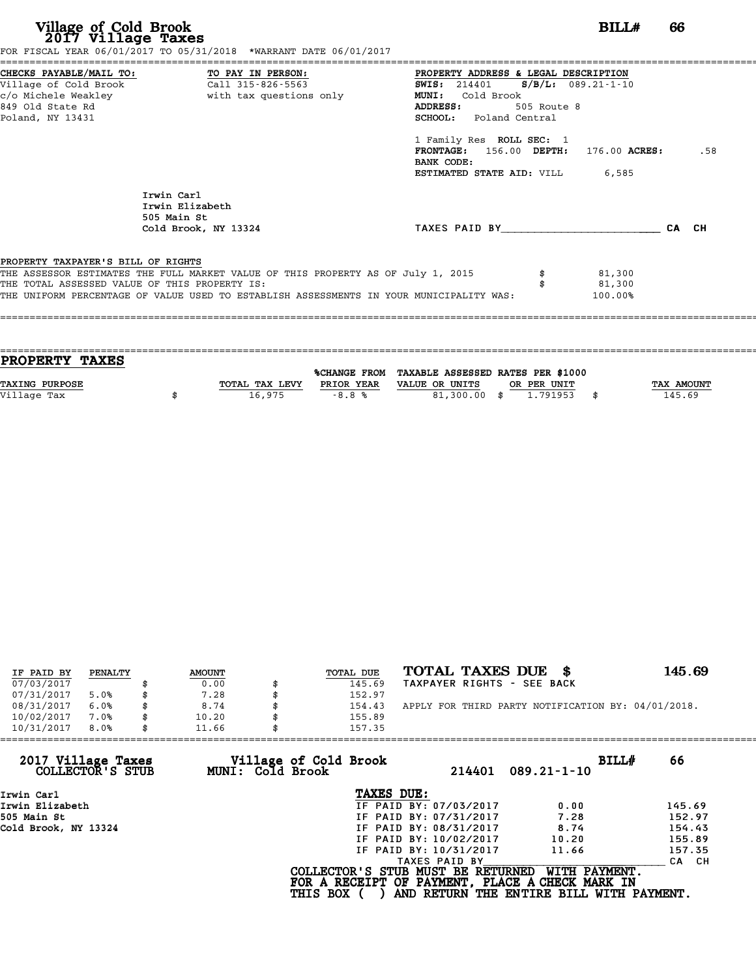| Village of Cold Brook<br>2017 Village Taxes                                                                     | FOR FISCAL YEAR 06/01/2017 TO 05/31/2018 *WARRANT DATE 06/01/2017                                                                                                                                                            | BILL#                                                                                                                                                                                                                                                                                                             | 66    |     |
|-----------------------------------------------------------------------------------------------------------------|------------------------------------------------------------------------------------------------------------------------------------------------------------------------------------------------------------------------------|-------------------------------------------------------------------------------------------------------------------------------------------------------------------------------------------------------------------------------------------------------------------------------------------------------------------|-------|-----|
| CHECKS PAYABLE/MAIL TO:<br>Village of Cold Brook<br>c/o Michele Weakley<br>849 Old State Rd<br>Poland, NY 13431 | TO PAY IN PERSON:<br>Call 315-826-5563<br>with tax questions only                                                                                                                                                            | PROPERTY ADDRESS & LEGAL DESCRIPTION<br>$S/B/L: 089.21-1-10$<br><b>SWIS:</b> 214401<br>Cold Brook<br><b>MUNI:</b><br><b>ADDRESS:</b><br>505 Route 8<br><b>SCHOOL:</b> Poland Central<br>1 Family Res ROLL SEC: 1<br>FRONTAGE: 156.00 DEPTH: 176.00 ACRES:<br>BANK CODE:<br><b>ESTIMATED STATE AID: VILL 6,585</b> |       | .58 |
|                                                                                                                 | Irwin Carl<br>Irwin Elizabeth<br>505 Main St<br>Cold Brook, NY 13324                                                                                                                                                         | TAXES PAID BY                                                                                                                                                                                                                                                                                                     | CA CH |     |
| PROPERTY TAXPAYER'S BILL OF RIGHTS                                                                              | THE ASSESSOR ESTIMATES THE FULL MARKET VALUE OF THIS PROPERTY AS OF July 1, 2015<br>THE TOTAL ASSESSED VALUE OF THIS PROPERTY IS:<br>THE UNIFORM PERCENTAGE OF VALUE USED TO ESTABLISH ASSESSMENTS IN YOUR MUNICIPALITY WAS: | 81,300<br>81,300<br>100.00%                                                                                                                                                                                                                                                                                       |       |     |

| <b>PROPERTY TAXES</b> |                |            |                                                |             |                   |
|-----------------------|----------------|------------|------------------------------------------------|-------------|-------------------|
|                       |                |            | %CHANGE FROM TAXABLE ASSESSED RATES PER \$1000 |             |                   |
|                       |                |            |                                                |             |                   |
| <b>TAXING PURPOSE</b> | TOTAL TAX LEVY | PRIOR YEAR | VALUE OR UNITS                                 | OR PER UNIT | <b>TAX AMOUNT</b> |
| Village Tax           | 16,975         | $-8.8%$    | 81,300.00 \$                                   | 1.791953    | 145.69            |
|                       |                |            |                                                |             |                   |
|                       |                |            |                                                |             |                   |

| IF PAID BY | PENALTY | <b>AMOUNT</b> | <b>TOTAL DUE</b> | TOTAL TAXES DUE \$                                 | 145.69 |
|------------|---------|---------------|------------------|----------------------------------------------------|--------|
| 07/03/2017 |         | 0.00          | 145.69           | TAXPAYER RIGHTS - SEE BACK                         |        |
| 07/31/2017 | 5.0%    | 7.28          | 152.97           |                                                    |        |
| 08/31/2017 | 6.0%    | \$<br>8.74    | 154.43           | APPLY FOR THIRD PARTY NOTIFICATION BY: 04/01/2018. |        |
| 10/02/2017 | 7.0%    | \$<br>10.20   | 155.89           |                                                    |        |
| 10/31/2017 | 8.0%    | \$<br>11.66   | 157.35           |                                                    |        |

| 11.66 | 157.35                 |                                                              |                                                                                                                                  |
|-------|------------------------|--------------------------------------------------------------|----------------------------------------------------------------------------------------------------------------------------------|
|       | 214401                 | BILLH<br>$089.21 - 1 - 10$                                   | 66                                                                                                                               |
|       | TAXES DUE:             |                                                              |                                                                                                                                  |
|       | IF PAID BY: 07/03/2017 | 0.00                                                         | 145.69                                                                                                                           |
|       | IF PAID BY: 07/31/2017 | 7.28                                                         | 152.97                                                                                                                           |
|       | IF PAID BY: 08/31/2017 | 8.74                                                         | 154.43                                                                                                                           |
|       | IF PAID BY: 10/02/2017 | 10.20                                                        | 155.89                                                                                                                           |
|       | IF PAID BY: 10/31/2017 | 11.66                                                        | 157.35                                                                                                                           |
|       | TAXES PAID BY          |                                                              | CA CH                                                                                                                            |
|       |                        | WITH PAYMENT.                                                |                                                                                                                                  |
|       |                        | Village of Cold Brook<br>MUNI: Cold Brook<br><b>THIS BOX</b> | COLLECTOR'S STUB MUST BE RETURNED<br>FOR A RECEIPT OF PAYMENT, PLACE A CHECK MARK IN<br>AND RETURN THE ENTIRE BILL WITH PAYMENT. |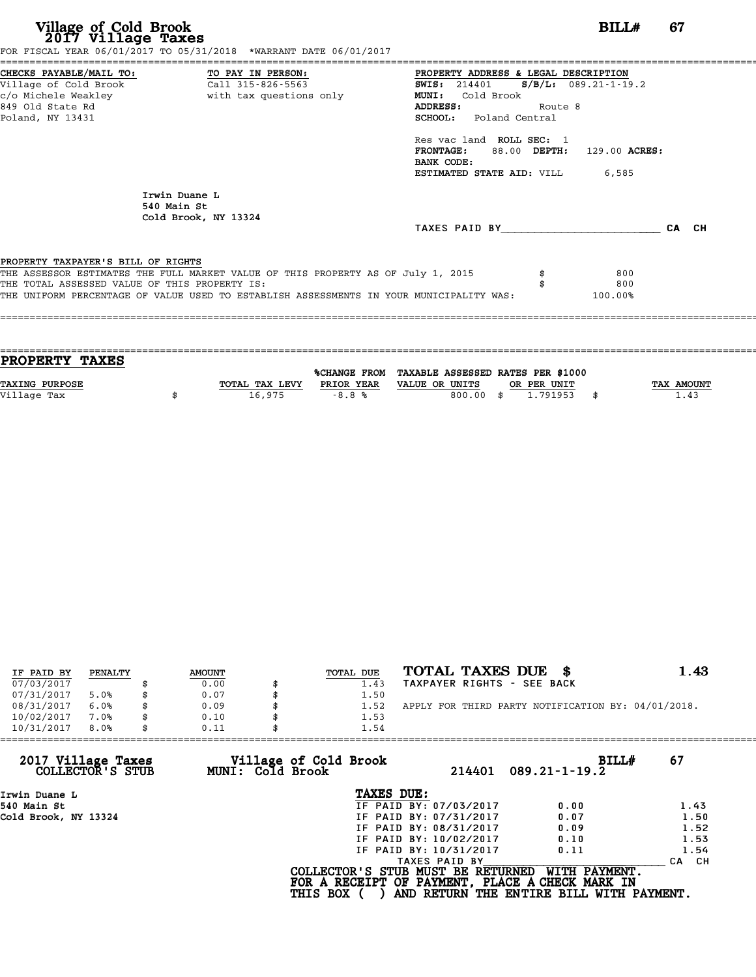| Village of Cold Brook<br>2017 Village Taxes                                         | FOR FISCAL YEAR 06/01/2017 TO 05/31/2018 *WARRANT DATE 06/01/2017                                                                                                           | BILL#                                                                                                                                                                                                                                                                                                            | 67 |
|-------------------------------------------------------------------------------------|-----------------------------------------------------------------------------------------------------------------------------------------------------------------------------|------------------------------------------------------------------------------------------------------------------------------------------------------------------------------------------------------------------------------------------------------------------------------------------------------------------|----|
| Village of Cold Brook<br>849 Old State Rd<br>Poland, NY 13431                       | CHECKS PAYABLE/MAIL TO: TO PAY IN PERSON:<br>Call 315-826-5563                                                                                                              | PROPERTY ADDRESS & LEGAL DESCRIPTION<br><b>SWIS:</b> 214401 <b>S/B/L:</b> 089.21-1-19.2<br>Cold Brook<br><b>MUNI:</b><br><b>ADDRESS:</b><br>Route 8<br><b>SCHOOL:</b> Poland Central<br>Res vac land ROLL SEC: 1<br>FRONTAGE: 88.00 DEPTH: 129.00 ACRES:<br>BANK CODE:<br><b>ESTIMATED STATE AID: VILL 6,585</b> |    |
|                                                                                     | Irwin Duane L<br>540 Main St<br>Cold Brook, NY 13324                                                                                                                        | TAXES PAID BY CA CH                                                                                                                                                                                                                                                                                              |    |
| PROPERTY TAXPAYER'S BILL OF RIGHTS<br>THE TOTAL ASSESSED VALUE OF THIS PROPERTY IS: | THE ASSESSOR ESTIMATES THE FULL MARKET VALUE OF THIS PROPERTY AS OF July 1, 2015<br>THE UNIFORM PERCENTAGE OF VALUE USED TO ESTABLISH ASSESSMENTS IN YOUR MUNICIPALITY WAS: | 800<br>800<br>100.00%                                                                                                                                                                                                                                                                                            |    |
|                                                                                     |                                                                                                                                                                             |                                                                                                                                                                                                                                                                                                                  |    |

| PROPERTY TAXES        |                |            |                                                |                  |                   |
|-----------------------|----------------|------------|------------------------------------------------|------------------|-------------------|
|                       |                |            | %CHANGE FROM TAXABLE ASSESSED RATES PER \$1000 |                  |                   |
| <b>TAXING PURPOSE</b> | TOTAL TAX LEVY | PRIOR YEAR | VALUE OR UNITS                                 | OR PER UNIT      | <b>TAX AMOUNT</b> |
| Village Tax           | 16,975         | $-8.8%$    | 800.00                                         | 1.791953<br>- \$ | 1.43              |
|                       |                |            |                                                |                  |                   |

| IF PAID BY | PENALTY | <b>AMOUNT</b> | TOTAL DUE | TOTAL TAXES DUE \$                                 | 1.43 |
|------------|---------|---------------|-----------|----------------------------------------------------|------|
| 07/03/2017 |         | 0.00          | 1.43      | TAXPAYER RIGHTS - SEE BACK                         |      |
| 07/31/2017 | 5.0%    | 0.07          | 1.50      |                                                    |      |
| 08/31/2017 | 6.0%    | 0.09          | 1.52      | APPLY FOR THIRD PARTY NOTIFICATION BY: 04/01/2018. |      |
| 10/02/2017 | 7.0%    | 0.10          | 1.53      |                                                    |      |
| 10/31/2017 | 8.0%    | 0.11          | 1.54      |                                                    |      |
|            |         |               |           |                                                    |      |

| 10/31/2017<br>8.0%                     | 0.11                                      | 1.54                                                                                                    |                                                           |                  |
|----------------------------------------|-------------------------------------------|---------------------------------------------------------------------------------------------------------|-----------------------------------------------------------|------------------|
| 2017 Village Taxes<br>COLLECTOR'S STUB | Village of Cold Brook<br>MUNI: Cold Brook | 214401                                                                                                  | BILLH<br>$089.21 - 1 - 19.2$                              | 67               |
| Irwin Duane L                          |                                           | TAXES DUE:                                                                                              |                                                           |                  |
| 540 Main St                            |                                           | IF PAID BY: 07/03/2017                                                                                  | 0.00                                                      | 1.43             |
| Cold Brook, NY 13324                   |                                           | IF PAID BY: 07/31/2017                                                                                  | 0.07                                                      | 1.50             |
|                                        |                                           | IF PAID BY: 08/31/2017                                                                                  | 0.09                                                      | 1.52             |
|                                        |                                           | IF PAID BY: 10/02/2017                                                                                  | 0.10                                                      | 1.53             |
|                                        |                                           | IF PAID BY: 10/31/2017                                                                                  | 0.11                                                      | 1.54             |
|                                        |                                           | TAXES PAID BY                                                                                           |                                                           | CH.<br><b>CA</b> |
|                                        |                                           | COLLECTOR'S STUB MUST BE RETURNED<br>FOR A RECEIPT OF PAYMENT, PLACE A CHECK MARK IN<br><b>THIS BOX</b> | WITH PAYMENT.<br>AND RETURN THE ENTIRE BILL WITH PAYMENT. |                  |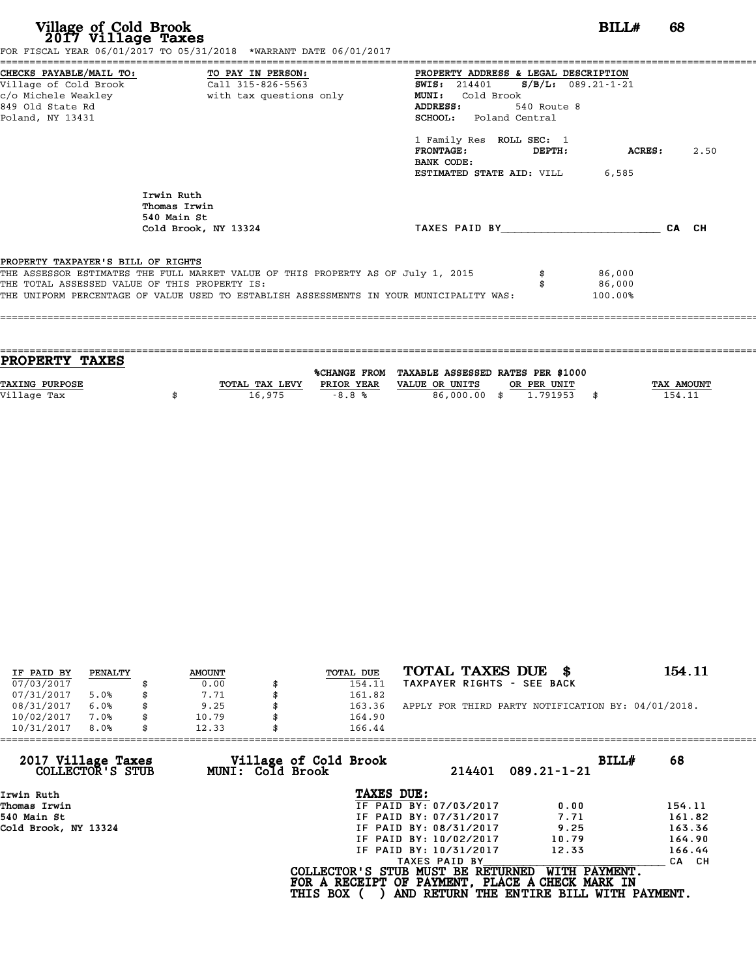| Village of Cold Brook<br>2017 Village Taxes                                         | FOR FISCAL YEAR 06/01/2017 TO 05/31/2018 *WARRANT DATE 06/01/2017                                                                                                           | BILL#<br>68                                                                                                                                                                                                                                                                                                 |       |
|-------------------------------------------------------------------------------------|-----------------------------------------------------------------------------------------------------------------------------------------------------------------------------|-------------------------------------------------------------------------------------------------------------------------------------------------------------------------------------------------------------------------------------------------------------------------------------------------------------|-------|
| Village of Cold Brook<br>849 Old State Rd<br>Poland, NY 13431                       | CHECKS PAYABLE/MAIL TO: TO PAY IN PERSON:<br>Call 315-826-5563                                                                                                              | PROPERTY ADDRESS & LEGAL DESCRIPTION<br>SWIS: 214401 S/B/L: 089.21-1-21<br>Cold Brook<br><b>MUNI:</b><br><b>ADDRESS:</b><br>540 Route 8<br><b>SCHOOL:</b> Poland Central<br>1 Family Res ROLL SEC: 1<br>$\tt FRONTAGE:$<br>DEPTH:<br><b>ACRES :</b><br>BANK CODE:<br><b>ESTIMATED STATE AID: VILL 6,585</b> | 2.50  |
|                                                                                     | Irwin Ruth<br>Thomas Irwin<br>540 Main St<br>Cold Brook, NY 13324                                                                                                           | TAXES PAID BY                                                                                                                                                                                                                                                                                               | CA CH |
| PROPERTY TAXPAYER'S BILL OF RIGHTS<br>THE TOTAL ASSESSED VALUE OF THIS PROPERTY IS: | THE ASSESSOR ESTIMATES THE FULL MARKET VALUE OF THIS PROPERTY AS OF July 1, 2015<br>THE UNIFORM PERCENTAGE OF VALUE USED TO ESTABLISH ASSESSMENTS IN YOUR MUNICIPALITY WAS: | 86,000<br>86,000<br>100.00%                                                                                                                                                                                                                                                                                 |       |

| <b>PROPERTY TAXES</b> |                |            |                                                |             |                   |
|-----------------------|----------------|------------|------------------------------------------------|-------------|-------------------|
|                       |                |            |                                                |             |                   |
|                       |                |            | %CHANGE FROM TAXABLE ASSESSED RATES PER \$1000 |             |                   |
| <b>TAXING PURPOSE</b> | TOTAL TAX LEVY | PRIOR YEAR | VALUE OR UNITS                                 | OR PER UNIT | <b>TAX AMOUNT</b> |
|                       |                |            |                                                |             |                   |
| Village Tax           | 16,975         | $-8.8%$    | 86,000,00 \$                                   | 1.791953    | 154.11            |
|                       |                |            |                                                |             |                   |

| IF PAID BY | PENALTY | <b>AMOUNT</b> | TOTAL DUE | TOTAL TAXES DUE<br>- 86                            | 154.11 |
|------------|---------|---------------|-----------|----------------------------------------------------|--------|
| 07/03/2017 |         | 0.00          | 154.11    | TAXPAYER RIGHTS - SEE BACK                         |        |
| 07/31/2017 | 5.0%    | 7.71          | 161.82    |                                                    |        |
| 08/31/2017 | 6.0%    | 9.25          | 163.36    | APPLY FOR THIRD PARTY NOTIFICATION BY: 04/01/2018. |        |
| 10/02/2017 | 7.0%    | 10.79         | 164.90    |                                                    |        |
| 10/31/2017 | 8.0%    | 12.33         | 166.44    |                                                    |        |

| 12.33            | 166.44                 |                                          |                                                                                                                                  |
|------------------|------------------------|------------------------------------------|----------------------------------------------------------------------------------------------------------------------------------|
| MUNI: Cold Brook | 214401                 | BILLH<br>$089.21 - 1 - 21$               | 68                                                                                                                               |
|                  | TAXES DUE:             |                                          |                                                                                                                                  |
|                  | IF PAID BY: 07/03/2017 | 0.00                                     | 154.11                                                                                                                           |
|                  | IF PAID BY: 07/31/2017 | 7.71                                     | 161.82                                                                                                                           |
|                  | IF PAID BY: 08/31/2017 | 9.25                                     | 163.36                                                                                                                           |
|                  | IF PAID BY: 10/02/2017 | 10.79                                    | 164.90                                                                                                                           |
|                  | IF PAID BY: 10/31/2017 | 12.33                                    | 166.44                                                                                                                           |
|                  | TAXES PAID BY          |                                          | CA CH                                                                                                                            |
|                  |                        | WITH PAYMENT.                            |                                                                                                                                  |
|                  |                        | Village of Cold Brook<br><b>THIS BOX</b> | COLLECTOR'S STUB MUST BE RETURNED<br>FOR A RECEIPT OF PAYMENT, PLACE A CHECK MARK IN<br>AND RETURN THE ENTIRE BILL WITH PAYMENT. |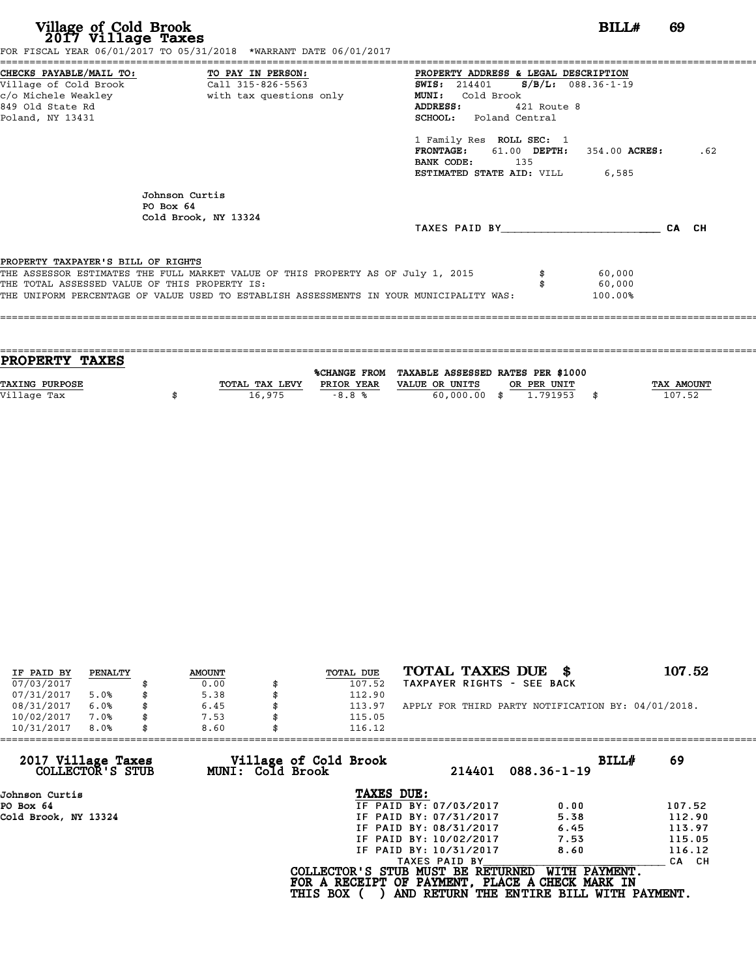| Village of Cold Brook<br>2017 Village Taxes<br>FOR FISCAL YEAR 06/01/2017 TO 05/31/2018 *WARRANT DATE 06/01/2017                                                                                                                                                   | BILL#                                                                                                                                                                                                                                                                                                    | 69    |
|--------------------------------------------------------------------------------------------------------------------------------------------------------------------------------------------------------------------------------------------------------------------|----------------------------------------------------------------------------------------------------------------------------------------------------------------------------------------------------------------------------------------------------------------------------------------------------------|-------|
| CHECKS PAYABLE/MAIL TO: TO PAY IN PERSON:<br>Village of Cold Brook<br>Call 315-826-5563<br>c/o Michele Weakley<br>with tax questions only<br>849 Old State Rd<br>Poland, NY 13431                                                                                  | PROPERTY ADDRESS & LEGAL DESCRIPTION<br>SWIS: 214401 S/B/L: 088.36-1-19<br>Cold Brook<br><b>MUNI:</b><br><b>ADDRESS:</b><br>421 Route 8<br><b>SCHOOL:</b> Poland Central<br>1 Family Res ROLL SEC: 1<br>FRONTAGE: 61.00 DEPTH: 354.00 ACRES:<br>BANK CODE: 135<br><b>ESTIMATED STATE AID:</b> VILL 6,585 | .62   |
| Johnson Curtis<br>$PO$ Box $64$<br>Cold Brook, NY 13324                                                                                                                                                                                                            |                                                                                                                                                                                                                                                                                                          | CA CH |
| PROPERTY TAXPAYER'S BILL OF RIGHTS<br>THE ASSESSOR ESTIMATES THE FULL MARKET VALUE OF THIS PROPERTY AS OF July 1, 2015<br>THE TOTAL ASSESSED VALUE OF THIS PROPERTY IS:<br>THE UNIFORM PERCENTAGE OF VALUE USED TO ESTABLISH ASSESSMENTS IN YOUR MUNICIPALITY WAS: | 60,000<br>60,000<br>100.00%                                                                                                                                                                                                                                                                              |       |

| <b>PROPERTY TAXES</b> |                |            |                                                |             |                   |
|-----------------------|----------------|------------|------------------------------------------------|-------------|-------------------|
|                       |                |            |                                                |             |                   |
|                       |                |            | %CHANGE FROM TAXABLE ASSESSED RATES PER \$1000 |             |                   |
| <b>TAXING PURPOSE</b> | TOTAL TAX LEVY | PRIOR YEAR | VALUE OR UNITS                                 | OR PER UNIT | <b>TAX AMOUNT</b> |
|                       |                |            |                                                |             |                   |
| Village Tax           | 16,975         | $-8.8%$    | $60,000,00$ \$                                 | 1.791953    | 107.52            |
|                       |                |            |                                                |             |                   |

| IF PAID BY | PENALTY | <b>AMOUNT</b> | TOTAL DUE | TOTAL TAXES DUE \$                                 | 107.52 |
|------------|---------|---------------|-----------|----------------------------------------------------|--------|
| 07/03/2017 |         | 0.00          | 107.52    | TAXPAYER RIGHTS - SEE BACK                         |        |
| 07/31/2017 | 5.0%    | 5.38          | 112.90    |                                                    |        |
| 08/31/2017 | 6.0%    | 6.45          | 113.97    | APPLY FOR THIRD PARTY NOTIFICATION BY: 04/01/2018. |        |
| 10/02/2017 | 7.0%    | 7.53          | 115.05    |                                                    |        |
| 10/31/2017 | 8.0%    | 8.60          | 116.12    |                                                    |        |

| 10/31/2017<br>8.0%                     | 8.60                                      | 116.12                                                                                                  |                                                           |        |
|----------------------------------------|-------------------------------------------|---------------------------------------------------------------------------------------------------------|-----------------------------------------------------------|--------|
| 2017 Village Taxes<br>COLLECTOR'S STUB | Village of Cold Brook<br>MUNI: Cold Brook | 214401                                                                                                  | BILLH<br>$088.36 - 1 - 19$                                | 69     |
| Johnson Curtis                         |                                           | TAXES DUE:                                                                                              |                                                           |        |
| PO Box 64                              |                                           | IF PAID BY: 07/03/2017                                                                                  | 0.00                                                      | 107.52 |
| Cold Brook, NY 13324                   |                                           | IF PAID BY: 07/31/2017                                                                                  | 5.38                                                      | 112.90 |
|                                        |                                           | IF PAID BY: 08/31/2017                                                                                  | 6.45                                                      | 113.97 |
|                                        |                                           | IF PAID BY: 10/02/2017                                                                                  | 7.53                                                      | 115.05 |
|                                        |                                           | IF PAID BY: 10/31/2017                                                                                  | 8.60                                                      | 116.12 |
|                                        |                                           | TAXES PAID BY                                                                                           |                                                           | CA CH  |
|                                        |                                           | COLLECTOR'S STUB MUST BE RETURNED<br>FOR A RECEIPT OF PAYMENT, PLACE A CHECK MARK IN<br><b>THIS BOX</b> | WITH PAYMENT.<br>AND RETURN THE ENTIRE BILL WITH PAYMENT. |        |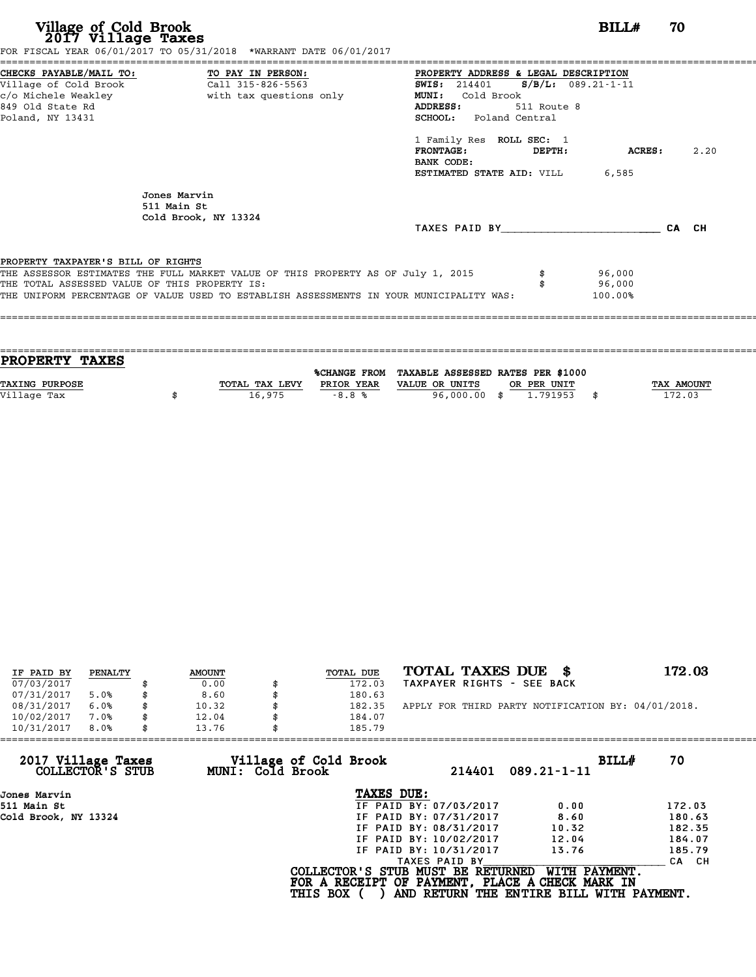| Village of Cold Brook<br>2017 Village Taxes<br>FOR FISCAL YEAR 06/01/2017 TO 05/31/2018 *WARRANT DATE 06/01/2017                                                                                                                                                   | BILL#<br>70                                                                                                                                                                                                                                                                                    |
|--------------------------------------------------------------------------------------------------------------------------------------------------------------------------------------------------------------------------------------------------------------------|------------------------------------------------------------------------------------------------------------------------------------------------------------------------------------------------------------------------------------------------------------------------------------------------|
| CHECKS PAYABLE/MAIL TO: TO PAY IN PERSON:<br>Village of Cold Brook<br>Call 315-826-5563<br>c/o Michele Weakley<br>with tax questions only<br>849 Old State Rd<br>Poland, NY 13431                                                                                  | PROPERTY ADDRESS & LEGAL DESCRIPTION<br>SWIS: 214401 S/B/L: 089.21-1-11<br>Cold Brook<br>MUNI:<br>ADDRESS:<br>511 Route 8<br><b>SCHOOL:</b> Poland Central<br>1 Family Res ROLL SEC: 1<br>2.20<br><b>FRONTAGE:</b><br>ACRES:<br>DEPTH:<br>BANK CODE:<br><b>ESTIMATED STATE AID:</b> VILL 6,585 |
| Jones Marvin<br>511 Main St<br>Cold Brook, NY 13324                                                                                                                                                                                                                | TAXES PAID BY<br>CA CH                                                                                                                                                                                                                                                                         |
| PROPERTY TAXPAYER'S BILL OF RIGHTS<br>THE ASSESSOR ESTIMATES THE FULL MARKET VALUE OF THIS PROPERTY AS OF July 1, 2015<br>THE TOTAL ASSESSED VALUE OF THIS PROPERTY IS:<br>THE UNIFORM PERCENTAGE OF VALUE USED TO ESTABLISH ASSESSMENTS IN YOUR MUNICIPALITY WAS: | 96,000<br>96,000<br>100.00%                                                                                                                                                                                                                                                                    |

| <b>PROPERTY TAXES</b> |                |            |                                                |             |                   |
|-----------------------|----------------|------------|------------------------------------------------|-------------|-------------------|
|                       |                |            | %CHANGE FROM TAXABLE ASSESSED RATES PER \$1000 |             |                   |
| <b>TAXING PURPOSE</b> | TOTAL TAX LEVY | PRIOR YEAR | VALUE OR UNITS                                 | OR PER UNIT | <b>TAX AMOUNT</b> |
| Village Tax           | 16,975         | $-8.8%$    | 96,000.00 \$                                   | 1,791953    | 172.03            |
|                       |                |            |                                                |             |                   |

| IF PAID BY | PENALTY | <b>AMOUNT</b> | TOTAL DUE | TOTAL TAXES DUE \$                                 | 172.03 |
|------------|---------|---------------|-----------|----------------------------------------------------|--------|
| 07/03/2017 |         | 0.00          | 172.03    | TAXPAYER RIGHTS - SEE BACK                         |        |
| 07/31/2017 | 5.0%    | 8.60          | 180.63    |                                                    |        |
| 08/31/2017 | 6.0%    | 10.32         | 182.35    | APPLY FOR THIRD PARTY NOTIFICATION BY: 04/01/2018. |        |
| 10/02/2017 | 7.0%    | 12.04         | 184.07    |                                                    |        |
| 10/31/2017 | 8.0%    | 13.76         | 185.79    |                                                    |        |

| 10/31/2017<br>8.0%<br>13.76            | 185.79                                                                                                  |                                                           |        |
|----------------------------------------|---------------------------------------------------------------------------------------------------------|-----------------------------------------------------------|--------|
| 2017 Village Taxes<br>COLLECTOR'S STUB | Village of Cold Brook<br>MUNI: Cold Brook<br>214401                                                     | BILLH<br>$089.21 - 1 - 11$                                | 70     |
| Jones Marvin                           | TAXES DUE:                                                                                              |                                                           |        |
| 511 Main St                            | IF PAID BY: 07/03/2017                                                                                  | 0.00                                                      | 172.03 |
| Cold Brook, NY 13324                   | IF PAID BY: 07/31/2017                                                                                  | 8.60                                                      | 180.63 |
|                                        | IF PAID BY: 08/31/2017                                                                                  | 10.32                                                     | 182.35 |
|                                        | IF PAID BY: 10/02/2017                                                                                  | 12.04                                                     | 184.07 |
|                                        | IF PAID BY: 10/31/2017                                                                                  | 13.76                                                     | 185.79 |
|                                        | TAXES PAID BY                                                                                           |                                                           | CA CH  |
|                                        | COLLECTOR'S STUB MUST BE RETURNED<br>FOR A RECEIPT OF PAYMENT, PLACE A CHECK MARK IN<br><b>THIS BOX</b> | WITH PAYMENT.<br>AND RETURN THE ENTIRE BILL WITH PAYMENT. |        |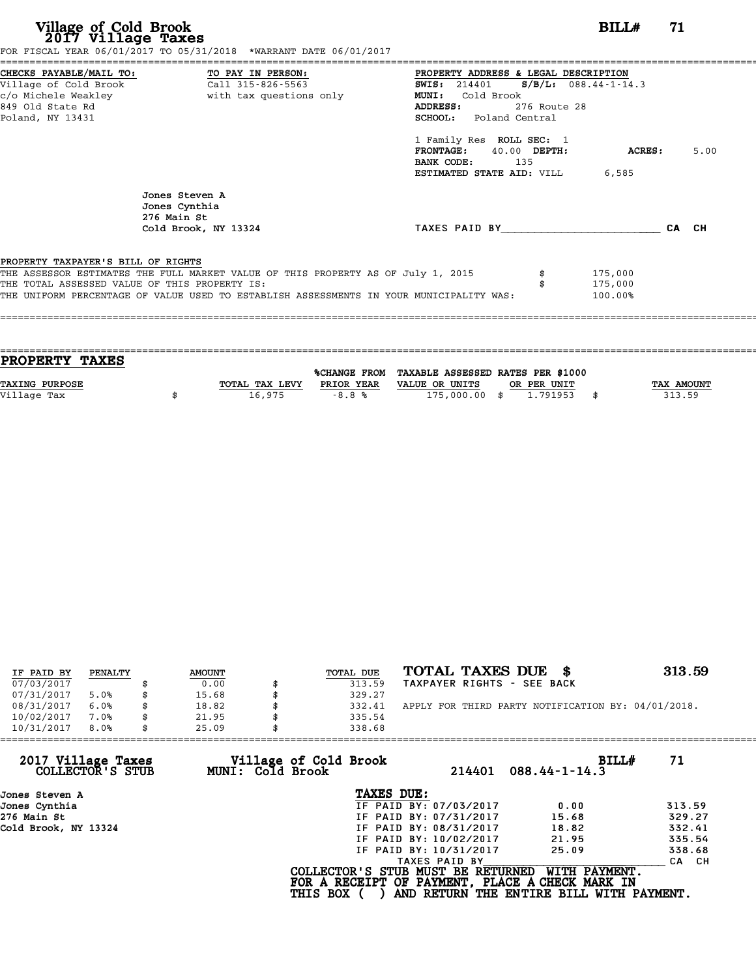| Village of Cold Brook<br>2017 Village Taxes                                         | FOR FISCAL YEAR 06/01/2017 TO 05/31/2018 *WARRANT DATE 06/01/2017                                                                                                           |                                                                                                                                                                                                                                                                      | BILLH                             | 71    |      |
|-------------------------------------------------------------------------------------|-----------------------------------------------------------------------------------------------------------------------------------------------------------------------------|----------------------------------------------------------------------------------------------------------------------------------------------------------------------------------------------------------------------------------------------------------------------|-----------------------------------|-------|------|
| c/o Michele Weakley<br>849 Old State Rd<br>Poland, NY 13431                         | CHECKS PAYABLE/MAIL TO: TO PAY IN PERSON:<br>Village of Cold Brook Call 315-826-5563<br>Call 315-826-5563<br>with tax questions only                                        | PROPERTY ADDRESS & LEGAL DESCRIPTION<br>SWIS: 214401<br><b>MUNI:</b><br>Cold Brook<br>276 Route 28<br>ADDRESS:<br><b>SCHOOL:</b> Poland Central<br>1 Family Res ROLL SEC: 1<br>FRONTAGE: 40.00 DEPTH:<br>BANK CODE:<br>135<br><b>ESTIMATED STATE AID: VILL 6,585</b> | $S/B/L: 088.44-1-14.3$<br>ACRES : |       | 5.00 |
|                                                                                     | Jones Steven A<br>Jones Cynthia<br>276 Main St<br>Cold Brook, NY 13324                                                                                                      | TAXES PAID BY TAXES PAID BY                                                                                                                                                                                                                                          |                                   | CA CH |      |
| PROPERTY TAXPAYER'S BILL OF RIGHTS<br>THE TOTAL ASSESSED VALUE OF THIS PROPERTY IS: | THE ASSESSOR ESTIMATES THE FULL MARKET VALUE OF THIS PROPERTY AS OF July 1, 2015<br>THE UNIFORM PERCENTAGE OF VALUE USED TO ESTABLISH ASSESSMENTS IN YOUR MUNICIPALITY WAS: |                                                                                                                                                                                                                                                                      | 175,000<br>175,000<br>100.00%     |       |      |

| PROPERTY TAXES        |                |                     |                                   |             |            |
|-----------------------|----------------|---------------------|-----------------------------------|-------------|------------|
|                       |                |                     |                                   |             |            |
|                       |                | <b>%CHANGE FROM</b> | TAXABLE ASSESSED RATES PER \$1000 |             |            |
| <b>TAXING PURPOSE</b> | TOTAL TAX LEVY | PRIOR YEAR          | VALUE OR UNITS                    | OR PER UNIT | TAX AMOUNT |
| Village Tax           | 16,975         | $-8.8%$             | 175,000.00 \$                     | 1.791953    | 313.59     |
|                       |                |                     |                                   |             |            |

| IF PAID BY | PENALTY | <b>AMOUNT</b> | TOTAL DUE | TOTAL TAXES DUE \$                                 | 313.59 |
|------------|---------|---------------|-----------|----------------------------------------------------|--------|
| 07/03/2017 |         | 0.00          | 313.59    | TAXPAYER RIGHTS - SEE BACK                         |        |
| 07/31/2017 | 5.0%    | \$<br>15.68   | 329.27    |                                                    |        |
| 08/31/2017 | 6.0%    | \$<br>18.82   | 332.41    | APPLY FOR THIRD PARTY NOTIFICATION BY: 04/01/2018. |        |
| 10/02/2017 | 7.0%    | \$<br>21.95   | 335.54    |                                                    |        |
| 10/31/2017 | 8.0%    | \$<br>25.09   | 338.68    |                                                    |        |

| 25.09            | 338.68                 |                                          |                                                                                                                                  |
|------------------|------------------------|------------------------------------------|----------------------------------------------------------------------------------------------------------------------------------|
| MUNI: Cold Brook | 214401                 | BILLH<br>$088.44 - 1 - 14.3$             | 71                                                                                                                               |
|                  | TAXES DUE:             |                                          |                                                                                                                                  |
|                  | IF PAID BY: 07/03/2017 | 0.00                                     | 313.59                                                                                                                           |
|                  | IF PAID BY: 07/31/2017 | 15.68                                    | 329.27                                                                                                                           |
|                  | IF PAID BY: 08/31/2017 | 18.82                                    | 332.41                                                                                                                           |
|                  | IF PAID BY: 10/02/2017 | 21.95                                    | 335.54                                                                                                                           |
|                  | IF PAID BY: 10/31/2017 | 25.09                                    | 338.68                                                                                                                           |
|                  | TAXES PAID BY          |                                          | CA CH                                                                                                                            |
|                  |                        | WITH PAYMENT.                            |                                                                                                                                  |
|                  |                        | Village of Cold Brook<br><b>THIS BOX</b> | COLLECTOR'S STUB MUST BE RETURNED<br>FOR A RECEIPT OF PAYMENT, PLACE A CHECK MARK IN<br>AND RETURN THE ENTIRE BILL WITH PAYMENT. |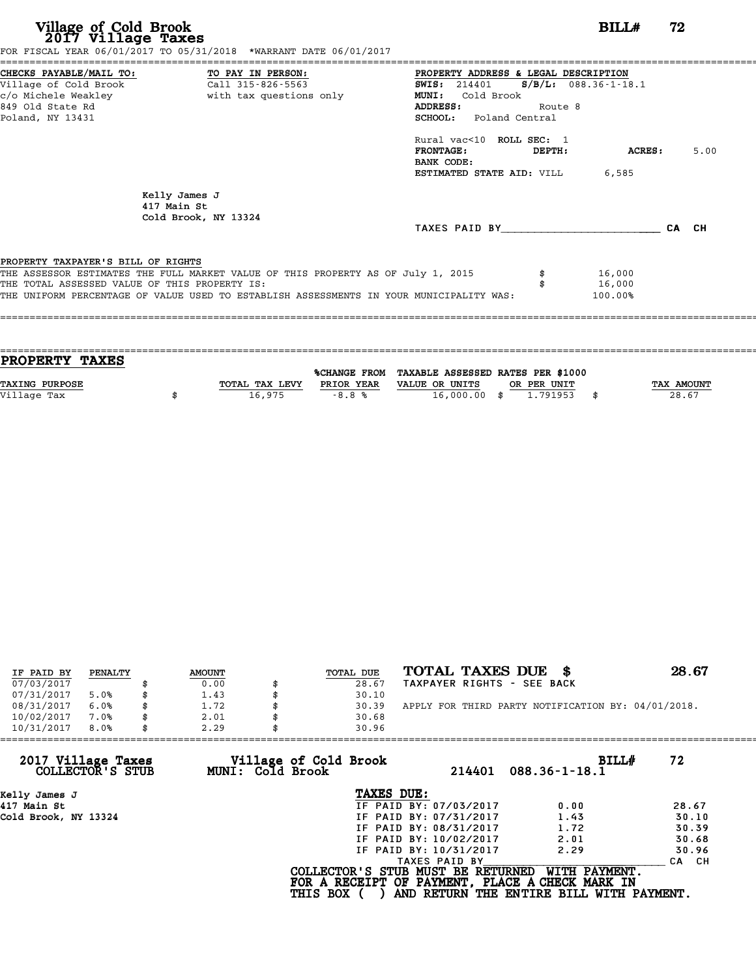| Village of Cold Brook<br>2017 Village Taxes<br>FOR FISCAL YEAR 06/01/2017 TO 05/31/2018 *WARRANT DATE 06/01/2017                                                                                                                                                   | BILL#                                                                                                                                                                                                                                                                                                | 72    |
|--------------------------------------------------------------------------------------------------------------------------------------------------------------------------------------------------------------------------------------------------------------------|------------------------------------------------------------------------------------------------------------------------------------------------------------------------------------------------------------------------------------------------------------------------------------------------------|-------|
| CHECKS PAYABLE/MAIL TO: TO PAY IN PERSON:<br>Village of Cold Brook<br>Call 315-826-5563<br>c/o Michele Weakley<br>with tax questions only<br>849 Old State Rd<br>Poland, NY 13431                                                                                  | PROPERTY ADDRESS & LEGAL DESCRIPTION<br>SWIS: $214401$ S/B/L: 088.36-1-18.1<br>Cold Brook<br><b>MUNI:</b><br>ADDRESS:<br>Route 8<br><b>SCHOOL:</b> Poland Central<br>Rural vac<10 ROLL SEC: 1<br><b>FRONTAGE:</b><br><b>ACRES:</b><br>DEPTH:<br>BANK CODE:<br><b>ESTIMATED STATE AID:</b> VILL 6,585 | 5.00  |
| Kelly James J<br>417 Main St<br>Cold Brook, NY 13324                                                                                                                                                                                                               | TAXES PAID BY                                                                                                                                                                                                                                                                                        | CA CH |
| PROPERTY TAXPAYER'S BILL OF RIGHTS<br>THE ASSESSOR ESTIMATES THE FULL MARKET VALUE OF THIS PROPERTY AS OF July 1, 2015<br>THE TOTAL ASSESSED VALUE OF THIS PROPERTY IS:<br>THE UNIFORM PERCENTAGE OF VALUE USED TO ESTABLISH ASSESSMENTS IN YOUR MUNICIPALITY WAS: | 16,000<br>16,000<br>100.00%                                                                                                                                                                                                                                                                          |       |

| <b>TAX AMOUNT</b> |
|-------------------|
| 28.67             |
|                   |
|                   |

| IF PAID BY | PENALTY | <b>AMOUNT</b> | <b>TOTAL DUE</b> | TOTAL TAXES DUE \$                                 | 28.67 |
|------------|---------|---------------|------------------|----------------------------------------------------|-------|
| 07/03/2017 |         | 0.00          | 28.67            | TAXPAYER RIGHTS - SEE BACK                         |       |
| 07/31/2017 | 5.0%    | 1.43          | 30.10            |                                                    |       |
| 08/31/2017 | 6.0%    | 1.72          | 30.39            | APPLY FOR THIRD PARTY NOTIFICATION BY: 04/01/2018. |       |
| 10/02/2017 | 7.0%    | 2.01          | 30.68            |                                                    |       |
| 10/31/2017 | 8.0%    | 2.29          | 30.96            |                                                    |       |

| 10/31/2017<br>8.0%<br>2.29             | 30.96                                     |                                   |                                                                                                              |       |
|----------------------------------------|-------------------------------------------|-----------------------------------|--------------------------------------------------------------------------------------------------------------|-------|
| 2017 Village Taxes<br>COLLECTOR'S STUB | Village of Cold Brook<br>MUNI: Cold Brook | 214401                            | BILL#<br>$088.36 - 1 - 18.1$                                                                                 | 72    |
| Kelly James J                          |                                           | TAXES DUE:                        |                                                                                                              |       |
| 417 Main St                            |                                           | IF PAID BY: 07/03/2017            | 0.00                                                                                                         | 28.67 |
| Cold Brook, NY 13324                   |                                           | IF PAID BY: 07/31/2017            | 1.43                                                                                                         | 30.10 |
|                                        |                                           | IF PAID BY: 08/31/2017            | 1.72                                                                                                         | 30.39 |
|                                        |                                           | IF PAID BY: 10/02/2017            | 2.01                                                                                                         | 30.68 |
|                                        |                                           | IF PAID BY: 10/31/2017            | 2.29                                                                                                         | 30.96 |
|                                        |                                           | TAXES PAID BY                     |                                                                                                              | CA CH |
|                                        | <b>THIS BOX</b>                           | COLLECTOR'S STUB MUST BE RETURNED | WITH PAYMENT.<br>FOR A RECEIPT OF PAYMENT, PLACE A CHECK MARK IN<br>AND RETURN THE ENTIRE BILL WITH PAYMENT. |       |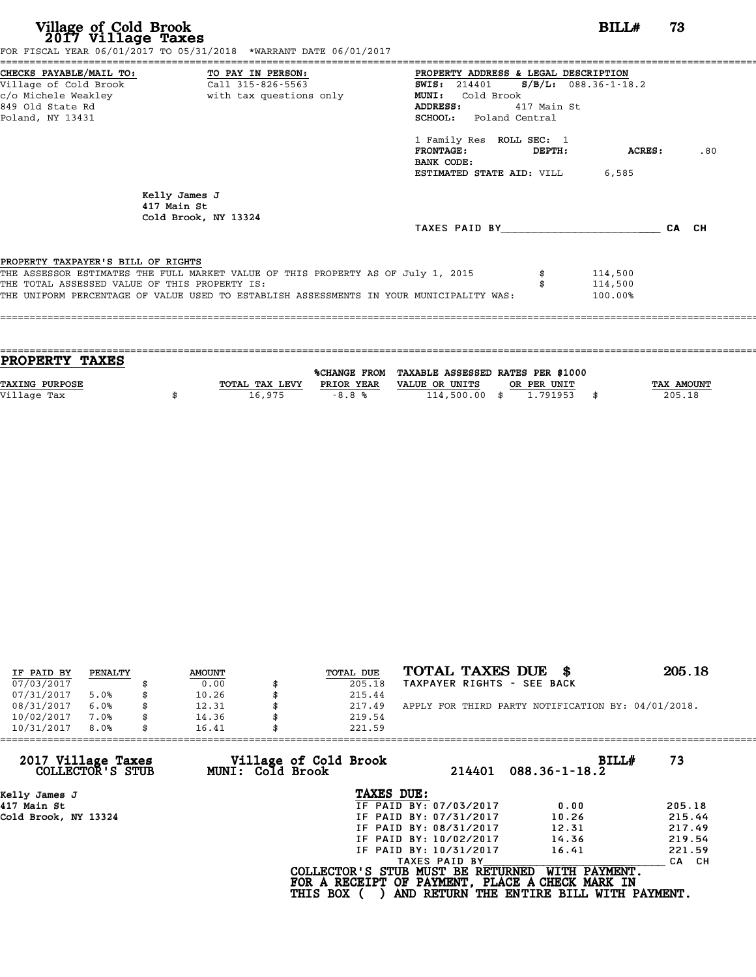# **Village of Cold Brook**<br> **2017 Village Taxes**<br> **2017 Village Taxes BILL#** 73

FOR FISCAL YEAR 06/01/2017 TO 05/31/2018 \*WARRANT DATE 06/01/2017

======================================================================================================================================== CHECKS PAYABLE/MAIL TO: TO PAY IN PERSON: PROPERTY ADDRESS & LEGAL DESCRIPTION Village of Cold Brook Call 315-826-5563 SWIS: <sup>214401</sup> S/B/L: 088.36-1-18.2 CHECKS PAYABLE/MAIL TO: TO PAY IN PERSON: PROPERTY ADDRESS & LE<br>
Village of Cold Brook Call 315-826-5563 SWIS: 214401 S/B<br>
c/o Michele Weakley with tax questions only MUNI: Cold Brook<br>
849 Old State Pd CHECKS PAYABLE/MAIL TO: TO PAY IN PERSON: THE PROPERTY ADDRESS & LEGAL DESCRIPTION<br>
Village of Cold Brook Call 315-826-5563<br>
c/o Michele Weakley with tax questions only MUNI: Cold Brook MUNI R/B/L: 088.36-1-18.2<br>
Redand, N Poland, NY 13431 SCHOOL: Poland Central SCHOOL: Poland Central<br>1 Family Res ROLL SEC: 1<br>FRONTAGE: DEPTH: ACRES: .80 1 Family Res ROLL SEC: 1<br>FRONTAGE: DEPTH:<br>BANK CODE: ESTIMATED STATE AID: VILL 6,585 Kelly James J<br>417 Main St Kelly James J<br>417 Main St<br>Cold Brook NY 417 Main St<br>Cold Brook, NY 13324 TAXES PAID BY\_\_\_\_\_\_\_\_\_\_\_\_\_\_\_\_\_\_\_\_\_\_\_\_ CA CH PROPERTY TAXPAYER'S BILL OF RIGHTS PROPERTY TAXPAYER'S BILL OF RIGHTS<br>THE ASSESSOR ESTIMATES THE FULL MARKET VALUE OF THIS PROPERTY AS OF July 1, 2015 \$ 114,500<br>THE TOTAL ASSESSED VALUE OF THIS PROPERTY IS. **PROPERTY TAXPAYER'S BILL OF RIGHTS<br>THE ASSESSOR ESTIMATES THE FULL MARKET VALUE OF THIS PROPERTY AS OF July 1, 2015 \$114,500<br>THE TOTAL ASSESSED VALUE OF THIS PROPERTY IS: \$114,500<br>THE INIEOPM PERCENTAGE OF VALUE USED TO E** THE ASSESSOR ESTIMATES THE FULL MARKET VALUE OF THIS PROPERTY AS OF July 1, 2015 \$4000000000000000000000000000<br>THE TOTAL ASSESSED VALUE OF THIS PROPERTY IS:<br>THE UNIFORM PERCENTAGE OF VALUE USED TO ESTABLISH ASSESSMENTS IN ====================================================================================================================================

==================================================================================================================================== **PROPERTY TAXES** %CHANGE FROM TAXABLE ASSESSED RATES PER \$1000 **PROPERTY TAXES**<br>
TAXING PURPOSE TOTAL TAX LEVY PRIOR YEAR VALUE OR UNITS OR PER UNIT TAX AMOUNT<br>
VALUE OR UNITS OR PER UNIT TAX AMOUNT TAX AMOUNT TAX AMOUNT TAX AMOUNT PRIOR YEAR VALUE OR UNITS OR PER UNIT **TAXING PURPOSE**<br>
TAXING PURPOSE TAX NOUNT TOTAL TAX LEVY PRIOR YEAR VALUE OR UNITS OR PER UNIT<br>
Village Tax (205.18) (114,500.00 \$ 1.791953 \$ 205.18

| IF PAID BY | PENALTY | <b>AMOUNT</b> | TOTAL DUE | TOTAL TAXES DUE \$                                 | 205.18 |
|------------|---------|---------------|-----------|----------------------------------------------------|--------|
| 07/03/2017 |         | 0.00          | 205.18    | TAXPAYER RIGHTS - SEE BACK                         |        |
| 07/31/2017 | 5.0%    | 10.26         | 215.44    |                                                    |        |
| 08/31/2017 | 6.0%    | 12.31         | 217.49    | APPLY FOR THIRD PARTY NOTIFICATION BY: 04/01/2018. |        |
| 10/02/2017 | 7.0%    | 14.36         | 219.54    |                                                    |        |
| 10/31/2017 | 8.0%    | 16.41         | 221.59    |                                                    |        |

|                 | 214401           | BILLH<br>$088.36 - 1 - 18.2$        | 73                                                                                                                                                                                                                                                                           |
|-----------------|------------------|-------------------------------------|------------------------------------------------------------------------------------------------------------------------------------------------------------------------------------------------------------------------------------------------------------------------------|
|                 |                  |                                     |                                                                                                                                                                                                                                                                              |
|                 |                  | 0.00                                | 205.18                                                                                                                                                                                                                                                                       |
|                 |                  | 10.26                               | 215.44                                                                                                                                                                                                                                                                       |
|                 |                  | 12.31                               | 217.49                                                                                                                                                                                                                                                                       |
|                 |                  | 14.36                               | 219.54                                                                                                                                                                                                                                                                       |
|                 |                  | 16.41                               | 221.59                                                                                                                                                                                                                                                                       |
|                 | TAXES PAID BY    |                                     | CA CH                                                                                                                                                                                                                                                                        |
| <b>THIS BOX</b> |                  | WITH PAYMENT.                       |                                                                                                                                                                                                                                                                              |
|                 | MUNI: Cold Brook | Village of Cold Brook<br>TAXES DUE: | 221.59<br>IF PAID BY: 07/03/2017<br>IF PAID BY: 07/31/2017<br>IF PAID BY: 08/31/2017<br>IF PAID BY: 10/02/2017<br>IF PAID BY: 10/31/2017<br>COLLECTOR'S STUB MUST BE RETURNED<br>FOR A RECEIPT OF PAYMENT, PLACE A CHECK MARK IN<br>AND RETURN THE ENTIRE BILL WITH PAYMENT. |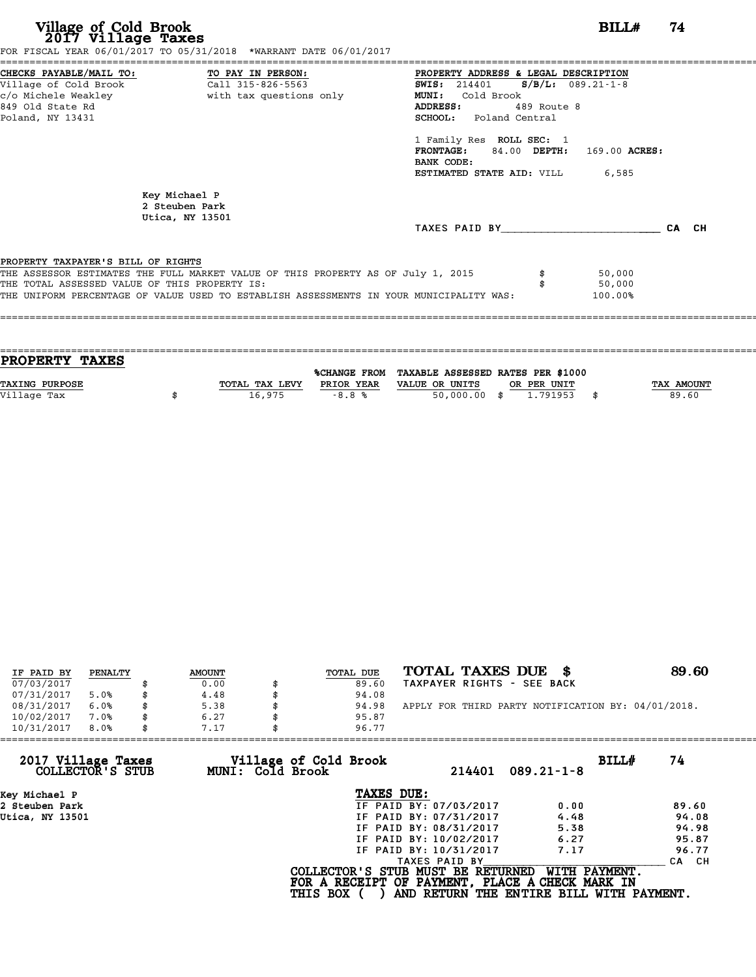| Village of Cold Brook<br>2017 Village Taxes                                                                | FOR FISCAL YEAR 06/01/2017 TO 05/31/2018 *WARRANT DATE 06/01/2017                                                                                                           |                                                                                                                                                                                                                                                                                                           | 74<br>BILL#      |       |
|------------------------------------------------------------------------------------------------------------|-----------------------------------------------------------------------------------------------------------------------------------------------------------------------------|-----------------------------------------------------------------------------------------------------------------------------------------------------------------------------------------------------------------------------------------------------------------------------------------------------------|------------------|-------|
| CHECKS PAYABLE/MAIL TO: TO PAY IN PERSON:<br>Village of Cold Brook<br>849 Old State Rd<br>Poland, NY 13431 | Call 315-826-5563<br>c/o Michele Weakley                       with tax questions only                                                                                      | PROPERTY ADDRESS & LEGAL DESCRIPTION<br>$S/B/L$ : 089.21-1-8<br><b>SWIS:</b> 214401<br><b>MUNI:</b><br>Cold Brook<br>ADDRESS:<br>489 Route 8<br><b>SCHOOL:</b> Poland Central<br>1 Family Res ROLL SEC: 1<br>FRONTAGE: 84.00 DEPTH: 169.00 ACRES:<br>BANK CODE:<br><b>ESTIMATED STATE AID:</b> VILL 6,585 |                  |       |
|                                                                                                            | Key Michael P<br>2 Steuben Park<br>Utica, NY 13501                                                                                                                          | TAXES PAID BY TAXES                                                                                                                                                                                                                                                                                       |                  | CA CH |
| PROPERTY TAXPAYER'S BILL OF RIGHTS<br>THE TOTAL ASSESSED VALUE OF THIS PROPERTY IS:                        | THE ASSESSOR ESTIMATES THE FULL MARKET VALUE OF THIS PROPERTY AS OF July 1, 2015<br>THE UNIFORM PERCENTAGE OF VALUE USED TO ESTABLISH ASSESSMENTS IN YOUR MUNICIPALITY WAS: | 100.00%                                                                                                                                                                                                                                                                                                   | 50,000<br>50,000 |       |

| <b>PROPERTY TAXES</b> |                |            |                                                |             |            |
|-----------------------|----------------|------------|------------------------------------------------|-------------|------------|
|                       |                |            |                                                |             |            |
|                       |                |            | %CHANGE FROM TAXABLE ASSESSED RATES PER \$1000 |             |            |
| <b>TAXING PURPOSE</b> | TOTAL TAX LEVY | PRIOR YEAR | VALUE OR UNITS                                 | OR PER UNIT | TAX AMOUNT |
| Village Tax           |                |            |                                                | 1,791953    | 89.60      |
|                       |                |            |                                                |             |            |
| 16,975<br>$-8.8%$     |                |            | $50,000.00$ \$                                 |             |            |

| IF PAID BY | PENALTY | <b>AMOUNT</b> | TOTAL DUE | TOTAL TAXES DUE<br>- 86                            | 89.60 |
|------------|---------|---------------|-----------|----------------------------------------------------|-------|
| 07/03/2017 |         | 0.00          | 89.60     | TAXPAYER RIGHTS - SEE BACK                         |       |
| 07/31/2017 | 5.0%    | 4.48          | 94.08     |                                                    |       |
| 08/31/2017 | 6.0%    | 5.38          | 94.98     | APPLY FOR THIRD PARTY NOTIFICATION BY: 04/01/2018. |       |
| 10/02/2017 | 7.0%    | 6.27          | 95.87     |                                                    |       |
| 10/31/2017 | 8.0%    | 7.17          | 96.77     |                                                    |       |

| 96.77           |                                           |                                                                                                                                                               |                                                                                                                                                      |
|-----------------|-------------------------------------------|---------------------------------------------------------------------------------------------------------------------------------------------------------------|------------------------------------------------------------------------------------------------------------------------------------------------------|
|                 | 214401                                    | BILLH                                                                                                                                                         | 74                                                                                                                                                   |
|                 |                                           |                                                                                                                                                               |                                                                                                                                                      |
|                 |                                           | 0.00                                                                                                                                                          | 89.60                                                                                                                                                |
|                 |                                           | 4.48                                                                                                                                                          | 94.08                                                                                                                                                |
|                 |                                           | 5.38                                                                                                                                                          | 94.98                                                                                                                                                |
|                 |                                           | 6.27                                                                                                                                                          | 95.87                                                                                                                                                |
|                 |                                           | 7.17                                                                                                                                                          | 96.77                                                                                                                                                |
|                 |                                           |                                                                                                                                                               | CA CH                                                                                                                                                |
| <b>THIS BOX</b> |                                           | WITH PAYMENT.                                                                                                                                                 |                                                                                                                                                      |
|                 | Village of Cold Brook<br>MUNI: Cold Brook | TAXES DUE:<br>IF PAID BY: 07/03/2017<br>IF PAID BY: 07/31/2017<br>IF PAID BY: 08/31/2017<br>IF PAID BY: 10/02/2017<br>IF PAID BY: 10/31/2017<br>TAXES PAID BY | $089.21 - 1 - 8$<br>COLLECTOR'S STUB MUST BE RETURNED<br>FOR A RECEIPT OF PAYMENT, PLACE A CHECK MARK IN<br>AND RETURN THE ENTIRE BILL WITH PAYMENT. |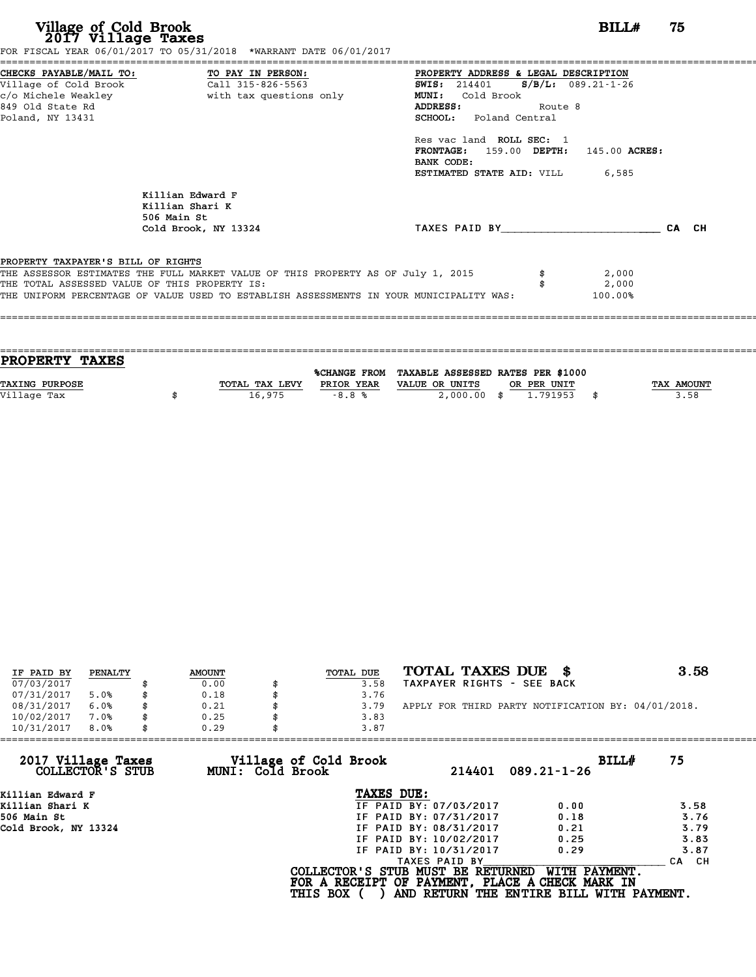| CHECKS PAYABLE/MAIL TO:<br>TO PAY IN PERSON:<br>PROPERTY ADDRESS & LEGAL DESCRIPTION<br>Call 315-826-5563<br>Village of Cold Brook<br>$S/B/L: 089.21 - 1 - 26$<br><b>SWIS:</b> 214401<br>c/o Michele Weakley<br>with tax questions only<br>MUNI: Cold Brook<br>849 Old State Rd<br>ADDRESS:<br>Route 8<br>Poland, NY 13431<br>SCHOOL: Poland Central<br>Res vac land ROLL SEC: 1<br>FRONTAGE: 159.00 DEPTH: 145.00 ACRES:<br>BANK CODE:<br><b>ESTIMATED STATE AID:</b> VILL 6,585<br>Killian Edward F<br>Killian Shari K<br>506 Main St<br>TAXES PAID BY <b>CA</b> CH<br>Cold Brook, NY 13324<br>PROPERTY TAXPAYER'S BILL OF RIGHTS<br>THE ASSESSOR ESTIMATES THE FULL MARKET VALUE OF THIS PROPERTY AS OF July 1, 2015<br>2,000<br>THE TOTAL ASSESSED VALUE OF THIS PROPERTY IS:<br>2,000<br>THE UNIFORM PERCENTAGE OF VALUE USED TO ESTABLISH ASSESSMENTS IN YOUR MUNICIPALITY WAS:<br>100.00% | Village of Cold Brook<br>2017 Village Taxes | FOR FISCAL YEAR 06/01/2017 TO 05/31/2018 *WARRANT DATE 06/01/2017 |  | BILL# | 75 |
|--------------------------------------------------------------------------------------------------------------------------------------------------------------------------------------------------------------------------------------------------------------------------------------------------------------------------------------------------------------------------------------------------------------------------------------------------------------------------------------------------------------------------------------------------------------------------------------------------------------------------------------------------------------------------------------------------------------------------------------------------------------------------------------------------------------------------------------------------------------------------------------------------|---------------------------------------------|-------------------------------------------------------------------|--|-------|----|
|                                                                                                                                                                                                                                                                                                                                                                                                                                                                                                                                                                                                                                                                                                                                                                                                                                                                                                  |                                             |                                                                   |  |       |    |
|                                                                                                                                                                                                                                                                                                                                                                                                                                                                                                                                                                                                                                                                                                                                                                                                                                                                                                  |                                             |                                                                   |  |       |    |
|                                                                                                                                                                                                                                                                                                                                                                                                                                                                                                                                                                                                                                                                                                                                                                                                                                                                                                  |                                             |                                                                   |  |       |    |
|                                                                                                                                                                                                                                                                                                                                                                                                                                                                                                                                                                                                                                                                                                                                                                                                                                                                                                  |                                             |                                                                   |  |       |    |
| <b>PROPERTY TAXES</b><br>%CHANGE FROM TAXABLE ASSESSED RATES PER \$1000                                                                                                                                                                                                                                                                                                                                                                                                                                                                                                                                                                                                                                                                                                                                                                                                                          |                                             |                                                                   |  |       |    |

| <b>PROPERTY TAXES</b> |                |              |                                                |            |
|-----------------------|----------------|--------------|------------------------------------------------|------------|
|                       |                |              | %CHANGE FROM TAXABLE ASSESSED RATES PER \$1000 |            |
| <b>TAXING PURPOSE</b> | TOTAL TAX LEVY | PRIOR YEAR   | VALUE OR UNITS<br>OR PER UNIT                  | TAX AMOUNT |
| Village Tax           | 16.975         | $-R$ $R$ $R$ | 2,000.00<br>1.791953<br>\$.                    | 3.58       |

| IF PAID BY | PENALTY | <b>AMOUNT</b> | TOTAL DUE | TOTAL TAXES DUE \$                                 | 3.58 |
|------------|---------|---------------|-----------|----------------------------------------------------|------|
| 07/03/2017 |         | 0.00          | 3.58      | TAXPAYER RIGHTS - SEE BACK                         |      |
| 07/31/2017 | 5.0%    | 0.18          | 3.76      |                                                    |      |
| 08/31/2017 | 6.0%    | \$<br>0.21    | 3.79      | APPLY FOR THIRD PARTY NOTIFICATION BY: 04/01/2018. |      |
| 10/02/2017 | 7.0%    | 0.25          | 3.83      |                                                    |      |
| 10/31/2017 | 8.0%    | \$<br>0.29    | 3.87      |                                                    |      |

| 0.29 |                        |                                                              |                                                                                                                                          |
|------|------------------------|--------------------------------------------------------------|------------------------------------------------------------------------------------------------------------------------------------------|
|      | 214401                 | BILLH<br>$089.21 - 1 - 26$                                   | 75                                                                                                                                       |
|      | TAXES DUE:             |                                                              |                                                                                                                                          |
|      | IF PAID BY: 07/03/2017 | 0.00                                                         | 3.58                                                                                                                                     |
|      | IF PAID BY: 07/31/2017 | 0.18                                                         | 3.76                                                                                                                                     |
|      | IF PAID BY: 08/31/2017 | 0.21                                                         | 3.79                                                                                                                                     |
|      | IF PAID BY: 10/02/2017 | 0.25                                                         | 3.83                                                                                                                                     |
|      | IF PAID BY: 10/31/2017 | 0.29                                                         | 3.87                                                                                                                                     |
|      | TAXES PAID BY          |                                                              | CA CH                                                                                                                                    |
|      |                        | WITH PAYMENT.                                                |                                                                                                                                          |
|      |                        | Village of Cold Brook<br>MUNI: Cold Brook<br><b>THIS BOX</b> | 3.87<br>COLLECTOR'S STUB MUST BE RETURNED<br>FOR A RECEIPT OF PAYMENT, PLACE A CHECK MARK IN<br>AND RETURN THE ENTIRE BILL WITH PAYMENT. |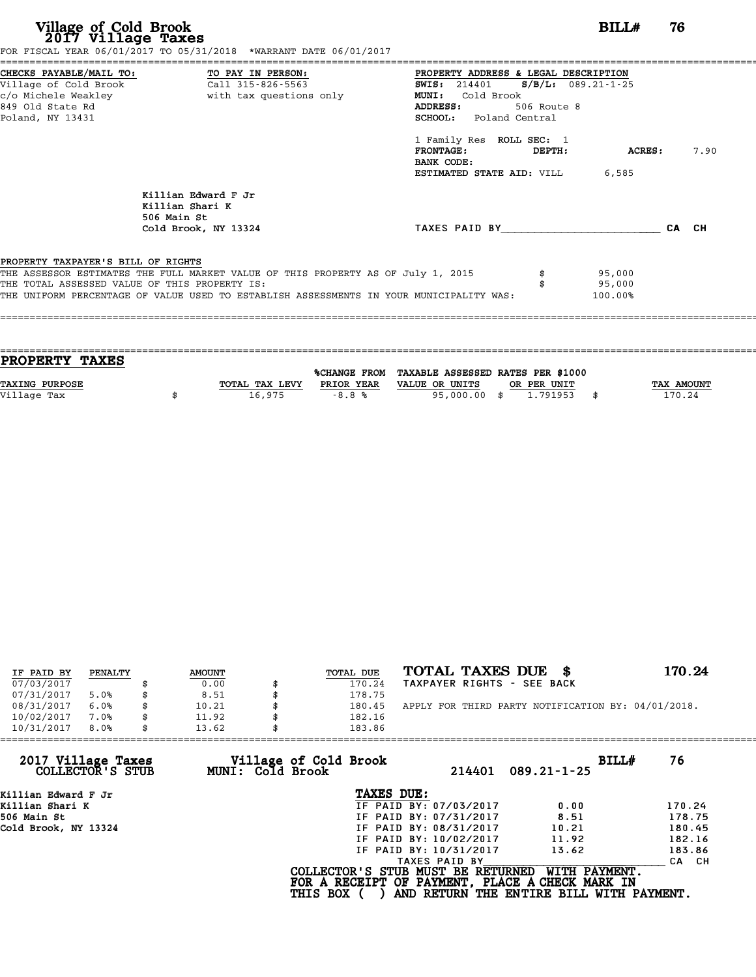| Village of Cold Brook<br>2017 Village Taxes                                                                                                         | FOR FISCAL YEAR 06/01/2017 TO 05/31/2018 *WARRANT DATE 06/01/2017                                                                                                           |                                                                                                                                                                   | BILL#                       | 76 |      |
|-----------------------------------------------------------------------------------------------------------------------------------------------------|-----------------------------------------------------------------------------------------------------------------------------------------------------------------------------|-------------------------------------------------------------------------------------------------------------------------------------------------------------------|-----------------------------|----|------|
| CHECKS PAYABLE/MAIL TO: TO PAY IN PERSON:<br>Village of Cold Brook Call 315-826-5563<br>c/o Michele Weakley<br>849 Old State Rd<br>Poland, NY 13431 | with tax questions only                                                                                                                                                     | PROPERTY ADDRESS & LEGAL DESCRIPTION<br>SWIS: 214401 S/B/L: 089.21-1-25<br>Cold Brook<br><b>MUNI:</b><br>ADDRESS:<br>506 Route 8<br><b>SCHOOL:</b> Poland Central |                             |    |      |
|                                                                                                                                                     |                                                                                                                                                                             | 1 Family Res ROLL SEC: 1<br><b>FRONTAGE:</b><br><b>DEPTH:</b><br>BANK CODE:<br><b>ESTIMATED STATE AID:</b> VILL 6,585                                             | ACRES:                      |    | 7.90 |
|                                                                                                                                                     | Killian Edward F Jr<br>Killian Shari K<br>506 Main St<br>Cold Brook, NY 13324                                                                                               | TAXES PAID BY CA CH                                                                                                                                               |                             |    |      |
| PROPERTY TAXPAYER'S BILL OF RIGHTS<br>THE TOTAL ASSESSED VALUE OF THIS PROPERTY IS:                                                                 | THE ASSESSOR ESTIMATES THE FULL MARKET VALUE OF THIS PROPERTY AS OF July 1, 2015<br>THE UNIFORM PERCENTAGE OF VALUE USED TO ESTABLISH ASSESSMENTS IN YOUR MUNICIPALITY WAS: |                                                                                                                                                                   | 95,000<br>95,000<br>100.00% |    |      |

| <b>PROPERTY TAXES</b> |                |            |                                                |      |            |
|-----------------------|----------------|------------|------------------------------------------------|------|------------|
|                       |                |            |                                                |      |            |
|                       |                |            | %CHANGE FROM TAXABLE ASSESSED RATES PER \$1000 |      |            |
| <b>TAXING PURPOSE</b> | TOTAL TAX LEVY | PRIOR YEAR | VALUE OR UNITS<br>OR PER UNIT                  |      | TAX AMOUNT |
| Village Tax           | 16,975         | $-8.8%$    | 95,000.00<br>1.791953<br>- \$                  | - \$ | 170.24     |
|                       |                |            |                                                |      |            |

| IF PAID BY | PENALTY | <b>AMOUNT</b> | TOTAL DUE | TOTAL TAXES DUE<br>- 86                            | 170.24 |
|------------|---------|---------------|-----------|----------------------------------------------------|--------|
| 07/03/2017 |         | 0.00          | 170.24    | TAXPAYER RIGHTS - SEE BACK                         |        |
| 07/31/2017 | 5.0%    | 8.51          | 178.75    |                                                    |        |
| 08/31/2017 | 6.0%    | 10.21         | 180.45    | APPLY FOR THIRD PARTY NOTIFICATION BY: 04/01/2018. |        |
| 10/02/2017 | 7.0%    | 11.92         | 182.16    |                                                    |        |
| 10/31/2017 | 8.0%    | 13.62         | 183.86    |                                                    |        |

| 13.62            | 183.86                 |                                          |                                                                                                                                  |
|------------------|------------------------|------------------------------------------|----------------------------------------------------------------------------------------------------------------------------------|
| MUNI: Cold Brook | 214401                 | BILLH<br>$089.21 - 1 - 25$               | 76                                                                                                                               |
|                  | TAXES DUE:             |                                          |                                                                                                                                  |
|                  | IF PAID BY: 07/03/2017 | 0.00                                     | 170.24                                                                                                                           |
|                  | IF PAID BY: 07/31/2017 | 8.51                                     | 178.75                                                                                                                           |
|                  | IF PAID BY: 08/31/2017 | 10.21                                    | 180.45                                                                                                                           |
|                  | IF PAID BY: 10/02/2017 | 11.92                                    | 182.16                                                                                                                           |
|                  | IF PAID BY: 10/31/2017 | 13.62                                    | 183.86                                                                                                                           |
|                  | TAXES PAID BY          |                                          | CA CH                                                                                                                            |
|                  |                        | WITH PAYMENT.                            |                                                                                                                                  |
|                  |                        | Village of Cold Brook<br><b>THIS BOX</b> | COLLECTOR'S STUB MUST BE RETURNED<br>FOR A RECEIPT OF PAYMENT, PLACE A CHECK MARK IN<br>AND RETURN THE ENTIRE BILL WITH PAYMENT. |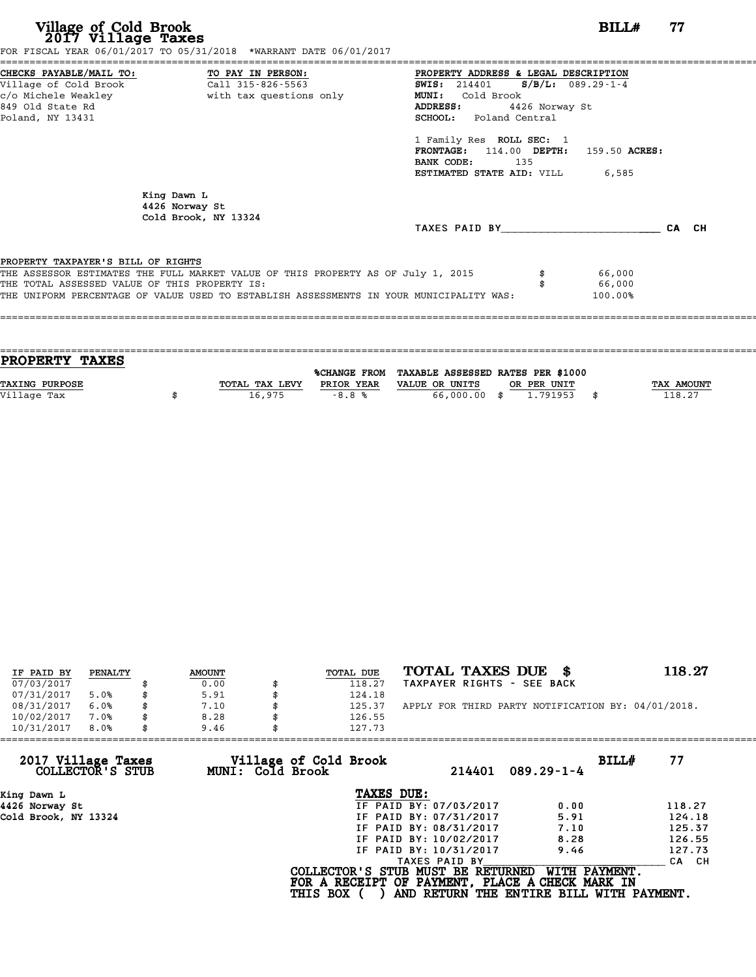| Village of Cold Brook<br>2017 Village Taxes                                         | FOR FISCAL YEAR 06/01/2017 TO 05/31/2018 *WARRANT DATE 06/01/2017                                                                                                           |                                                                                                                                                                                                                                                                                                    | BILL#<br>77 |
|-------------------------------------------------------------------------------------|-----------------------------------------------------------------------------------------------------------------------------------------------------------------------------|----------------------------------------------------------------------------------------------------------------------------------------------------------------------------------------------------------------------------------------------------------------------------------------------------|-------------|
| 849 Old State Rd<br>Poland, NY 13431                                                | CHECKS PAYABLE/MAIL TO: TO PAY IN PERSON:<br>Village of Cold Brook Call 315-826-5563                                                                                        | PROPERTY ADDRESS & LEGAL DESCRIPTION<br>SWIS: $214401$ S/B/L: 089.29-1-4<br>Cold Brook<br>MUNI:<br>4426 Norway St<br>ADDRESS:<br><b>SCHOOL:</b> Poland Central<br>1 Family Res ROLL SEC: 1<br>FRONTAGE: 114.00 DEPTH: 159.50 ACRES:<br>BANK CODE:<br>135<br><b>ESTIMATED STATE AID:</b> VILL 6,585 |             |
|                                                                                     | King Dawn L<br>4426 Norway St<br>Cold Brook, NY 13324                                                                                                                       | TAXES PAID BY                                                                                                                                                                                                                                                                                      | CA CH       |
| PROPERTY TAXPAYER'S BILL OF RIGHTS<br>THE TOTAL ASSESSED VALUE OF THIS PROPERTY IS: | THE ASSESSOR ESTIMATES THE FULL MARKET VALUE OF THIS PROPERTY AS OF July 1, 2015<br>THE UNIFORM PERCENTAGE OF VALUE USED TO ESTABLISH ASSESSMENTS IN YOUR MUNICIPALITY WAS: | 66,000<br>66,000<br>100.00%                                                                                                                                                                                                                                                                        |             |

| <b>PROPERTY TAXES</b> |                |            |                                                |             |                   |
|-----------------------|----------------|------------|------------------------------------------------|-------------|-------------------|
|                       |                |            | %CHANGE FROM TAXABLE ASSESSED RATES PER \$1000 |             |                   |
| <b>TAXING PURPOSE</b> | TOTAL TAX LEVY | PRIOR YEAR | VALUE OR UNITS                                 | OR PER UNIT | <b>TAX AMOUNT</b> |
| Village Tax           | 16,975         | $-8.8%$    | 66,000,00 \$                                   | 1.791953    | 118.27            |
|                       |                |            |                                                |             |                   |
|                       |                |            |                                                |             |                   |

| IF PAID BY | PENALTY | <b>AMOUNT</b> | TOTAL DUE | TOTAL TAXES DUE \$                                 | 118.27 |
|------------|---------|---------------|-----------|----------------------------------------------------|--------|
| 07/03/2017 |         | 0.00          | 118.27    | TAXPAYER RIGHTS - SEE BACK                         |        |
| 07/31/2017 | 5.0%    | 5.91          | 124.18    |                                                    |        |
| 08/31/2017 | 6.0%    | 7.10          | 125.37    | APPLY FOR THIRD PARTY NOTIFICATION BY: 04/01/2018. |        |
| 10/02/2017 | 7.0%    | 8.28          | 126.55    |                                                    |        |
| 10/31/2017 | 8.0%    | 9.46          | 127.73    |                                                    |        |

| 127.73          |                                           |                                                                                                                                                               |                                                                                                                                                      |
|-----------------|-------------------------------------------|---------------------------------------------------------------------------------------------------------------------------------------------------------------|------------------------------------------------------------------------------------------------------------------------------------------------------|
|                 | 214401                                    | BILLH                                                                                                                                                         | 77                                                                                                                                                   |
|                 |                                           |                                                                                                                                                               |                                                                                                                                                      |
|                 |                                           | 0.00                                                                                                                                                          | 118.27                                                                                                                                               |
|                 |                                           | 5.91                                                                                                                                                          | 124.18                                                                                                                                               |
|                 |                                           | 7.10                                                                                                                                                          | 125.37                                                                                                                                               |
|                 |                                           | 8.28                                                                                                                                                          | 126.55                                                                                                                                               |
|                 |                                           | 9.46                                                                                                                                                          | 127.73                                                                                                                                               |
|                 |                                           |                                                                                                                                                               | CA CH                                                                                                                                                |
| <b>THIS BOX</b> |                                           | WITH PAYMENT.                                                                                                                                                 |                                                                                                                                                      |
|                 | Village of Cold Brook<br>MUNI: Cold Brook | TAXES DUE:<br>IF PAID BY: 07/03/2017<br>IF PAID BY: 07/31/2017<br>IF PAID BY: 08/31/2017<br>IF PAID BY: 10/02/2017<br>IF PAID BY: 10/31/2017<br>TAXES PAID BY | $089.29 - 1 - 4$<br>COLLECTOR'S STUB MUST BE RETURNED<br>FOR A RECEIPT OF PAYMENT, PLACE A CHECK MARK IN<br>AND RETURN THE ENTIRE BILL WITH PAYMENT. |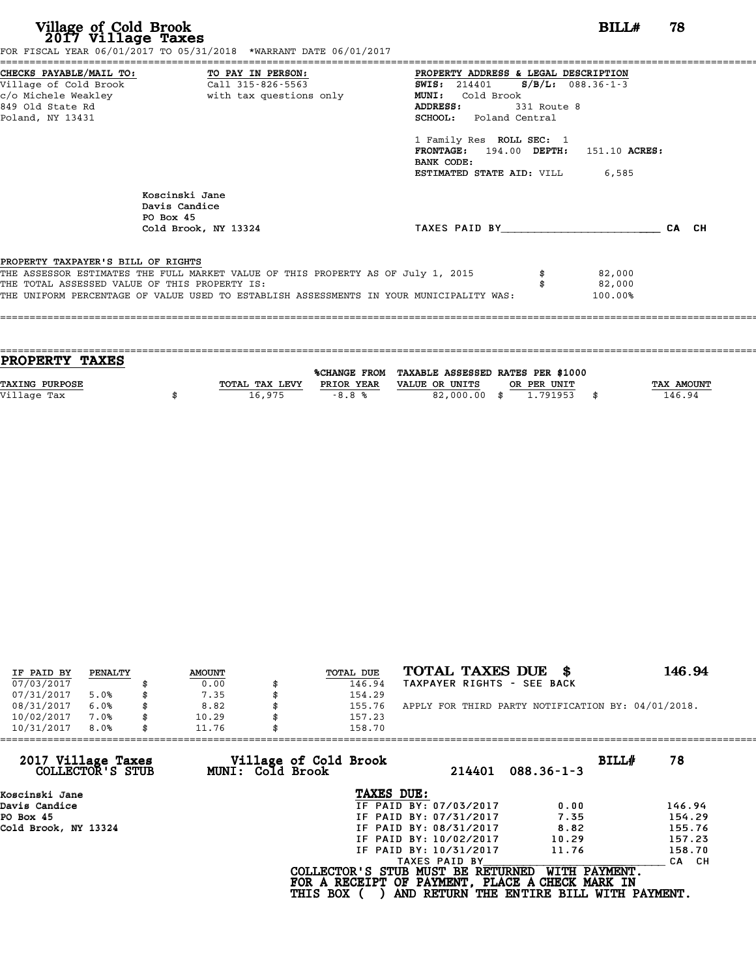| Village of Cold Brook<br>2017 Village Taxes                                          | FOR FISCAL YEAR 06/01/2017 TO 05/31/2018 *WARRANT DATE 06/01/2017                                                                                                                                                            |                                                                                                                                                                                                                                                                                                                    | BILLH<br>78 |
|--------------------------------------------------------------------------------------|------------------------------------------------------------------------------------------------------------------------------------------------------------------------------------------------------------------------------|--------------------------------------------------------------------------------------------------------------------------------------------------------------------------------------------------------------------------------------------------------------------------------------------------------------------|-------------|
| Village of Cold Brook<br>c/o Michele Weakley<br>849 Old State Rd<br>Poland, NY 13431 | CHECKS PAYABLE/MAIL TO: TO PAY IN PERSON:<br>Call 315-826-5563<br>with tax questions only                                                                                                                                    | PROPERTY ADDRESS & LEGAL DESCRIPTION<br><b>SWIS:</b> 214401 <b>S/B/L:</b> 088.36-1-3<br>Cold Brook<br><b>MUNI:</b><br><b>ADDRESS:</b><br>331 Route 8<br><b>SCHOOL:</b> Poland Central<br>1 Family Res ROLL SEC: 1<br>FRONTAGE: 194.00 DEPTH: 151.10 ACRES:<br>BANK CODE:<br><b>ESTIMATED STATE AID: VILL 6,585</b> |             |
|                                                                                      | Koscinski Jane<br>Davis Candice<br>PO Box 45<br>Cold Brook, NY 13324                                                                                                                                                         | TAXES PAID BY                                                                                                                                                                                                                                                                                                      | CA CH       |
| PROPERTY TAXPAYER'S BILL OF RIGHTS                                                   | THE ASSESSOR ESTIMATES THE FULL MARKET VALUE OF THIS PROPERTY AS OF July 1, 2015<br>THE TOTAL ASSESSED VALUE OF THIS PROPERTY IS:<br>THE UNIFORM PERCENTAGE OF VALUE USED TO ESTABLISH ASSESSMENTS IN YOUR MUNICIPALITY WAS: | 82,000<br>82,000<br>100.00%                                                                                                                                                                                                                                                                                        |             |

| <b>TAX AMOUNT</b> |
|-------------------|
| 146.94            |
|                   |
|                   |

| IF PAID BY | PENALTY | <b>AMOUNT</b> | TOTAL DUE | TOTAL TAXES DUE \$                                 | 146.94 |
|------------|---------|---------------|-----------|----------------------------------------------------|--------|
| 07/03/2017 |         | 0.00          | 146.94    | TAXPAYER RIGHTS - SEE BACK                         |        |
| 07/31/2017 | 5.0%    | 7.35          | 154.29    |                                                    |        |
| 08/31/2017 | 6.0%    | \$<br>8.82    | 155.76    | APPLY FOR THIRD PARTY NOTIFICATION BY: 04/01/2018. |        |
| 10/02/2017 | 7.0%    | 10.29         | 157.23    |                                                    |        |
| 10/31/2017 | 8.0%    | \$<br>11.76   | 158.70    |                                                    |        |

| 158.70          |                                           |                                                                                                                                                               |                                                                                                                                  |
|-----------------|-------------------------------------------|---------------------------------------------------------------------------------------------------------------------------------------------------------------|----------------------------------------------------------------------------------------------------------------------------------|
|                 | 214401                                    | BILLH<br>$088.36 - 1 - 3$                                                                                                                                     | 78                                                                                                                               |
|                 |                                           |                                                                                                                                                               |                                                                                                                                  |
|                 |                                           | 0.00                                                                                                                                                          | 146.94                                                                                                                           |
|                 |                                           | 7.35                                                                                                                                                          | 154.29                                                                                                                           |
|                 |                                           | 8.82                                                                                                                                                          | 155.76                                                                                                                           |
|                 |                                           | 10.29                                                                                                                                                         | 157.23                                                                                                                           |
|                 |                                           | 11.76                                                                                                                                                         | 158.70                                                                                                                           |
|                 |                                           |                                                                                                                                                               | CA CH                                                                                                                            |
| <b>THIS BOX</b> |                                           | WITH PAYMENT.                                                                                                                                                 |                                                                                                                                  |
|                 | Village of Cold Brook<br>MUNI: Cold Brook | TAXES DUE:<br>IF PAID BY: 07/03/2017<br>IF PAID BY: 07/31/2017<br>IF PAID BY: 08/31/2017<br>IF PAID BY: 10/02/2017<br>IF PAID BY: 10/31/2017<br>TAXES PAID BY | COLLECTOR'S STUB MUST BE RETURNED<br>FOR A RECEIPT OF PAYMENT, PLACE A CHECK MARK IN<br>AND RETURN THE ENTIRE BILL WITH PAYMENT. |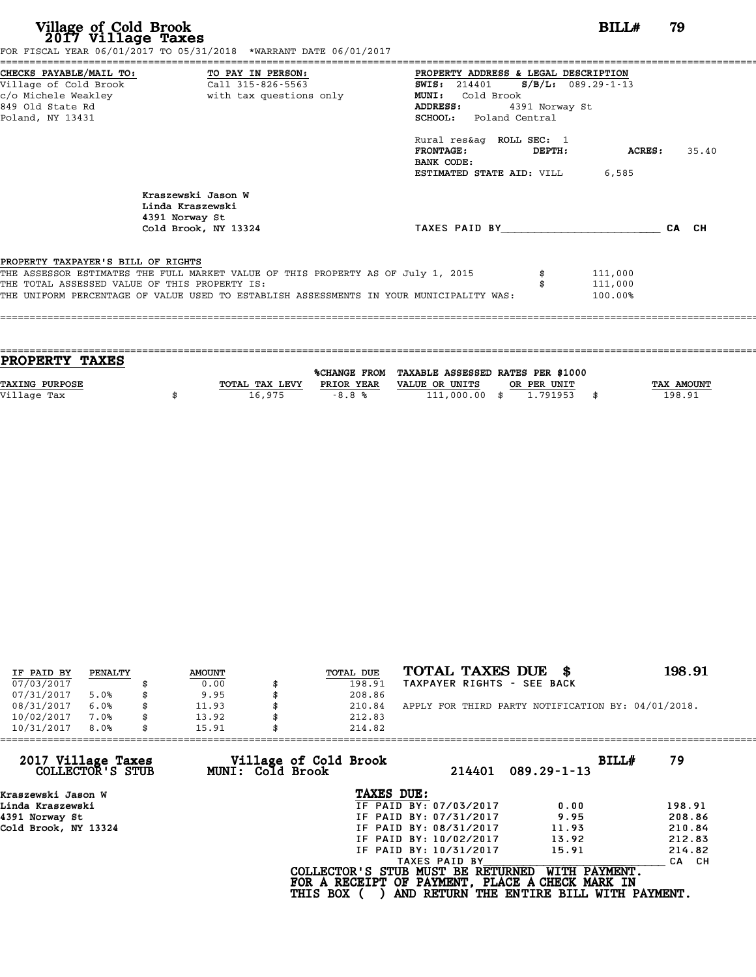| Village of Cold Brook<br>2017 Village Taxes                                                                     | FOR FISCAL YEAR 06/01/2017 TO 05/31/2018 *WARRANT DATE 06/01/2017                                                                                                                                                            |                                                                                                                                                          | BILL#                         | 79           |
|-----------------------------------------------------------------------------------------------------------------|------------------------------------------------------------------------------------------------------------------------------------------------------------------------------------------------------------------------------|----------------------------------------------------------------------------------------------------------------------------------------------------------|-------------------------------|--------------|
| CHECKS PAYABLE/MAIL TO:<br>Village of Cold Brook<br>c/o Michele Weakley<br>849 Old State Rd<br>Poland, NY 13431 | TO PAY IN PERSON:<br>Call 315-826-5563<br>with tax questions only                                                                                                                                                            | PROPERTY ADDRESS & LEGAL DESCRIPTION<br><b>SWIS:</b> 214401<br>Cold Brook<br><b>MUNI:</b><br><b>ADDRESS:</b><br>4391 Norway St<br>SCHOOL: Poland Central | $S/B/L: 089.29 - 1 - 13$      |              |
|                                                                                                                 |                                                                                                                                                                                                                              | Rural res&aq ROLL SEC: 1<br><b>FRONTAGE:</b><br>DEPTH:<br>BANK CODE:<br><b>ESTIMATED STATE AID:</b> VILL 6,585                                           |                               | ACRES: 35.40 |
|                                                                                                                 | Kraszewski Jason W<br>Linda Kraszewski<br>4391 Norway St                                                                                                                                                                     |                                                                                                                                                          |                               |              |
|                                                                                                                 | Cold Brook, NY 13324                                                                                                                                                                                                         | TAXES PAID BY <b>CA</b> CH                                                                                                                               |                               |              |
| PROPERTY TAXPAYER'S BILL OF RIGHTS                                                                              | THE ASSESSOR ESTIMATES THE FULL MARKET VALUE OF THIS PROPERTY AS OF July 1, 2015<br>THE TOTAL ASSESSED VALUE OF THIS PROPERTY IS:<br>THE UNIFORM PERCENTAGE OF VALUE USED TO ESTABLISH ASSESSMENTS IN YOUR MUNICIPALITY WAS: |                                                                                                                                                          | 111,000<br>111,000<br>100.00% |              |
|                                                                                                                 |                                                                                                                                                                                                                              |                                                                                                                                                          |                               |              |
|                                                                                                                 |                                                                                                                                                                                                                              |                                                                                                                                                          |                               |              |

| <b>PROPERTY TAXES</b> |                |            |                                                |             |            |
|-----------------------|----------------|------------|------------------------------------------------|-------------|------------|
|                       |                |            | %CHANGE FROM TAXABLE ASSESSED RATES PER \$1000 |             |            |
| <b>TAXING PURPOSE</b> | TOTAL TAX LEVY | PRIOR YEAR | VALUE OR UNITS                                 | OR PER UNIT | TAX AMOUNT |
| Village Tax           | 16.975         | $-8.8%$    | 111,000.00                                     | 1.791953    | 198.91     |

| IF PAID BY | PENALTY | <b>AMOUNT</b> | TOTAL DUE | TOTAL TAXES DUE \$                                 | 198.91 |
|------------|---------|---------------|-----------|----------------------------------------------------|--------|
|            |         |               |           |                                                    |        |
| 07/03/2017 |         | 0.00          | 198.91    | TAXPAYER RIGHTS - SEE BACK                         |        |
| 07/31/2017 | 5.0%    | 9.95          | 208.86    |                                                    |        |
| 08/31/2017 | 6.0%    | \$<br>11.93   | 210.84    | APPLY FOR THIRD PARTY NOTIFICATION BY: 04/01/2018. |        |
| 10/02/2017 | 7.0%    | \$<br>13.92   | 212.83    |                                                    |        |
| 10/31/2017 | 8.0%    | \$<br>15.91   | 214.82    |                                                    |        |

| Village of Cold Brook<br>MUNI: Cold Brook | 214401<br>$089.29 - 1 - 13$ | BILLH<br>79                                                                                                                                                                                                                                                                                                        |
|-------------------------------------------|-----------------------------|--------------------------------------------------------------------------------------------------------------------------------------------------------------------------------------------------------------------------------------------------------------------------------------------------------------------|
|                                           |                             |                                                                                                                                                                                                                                                                                                                    |
|                                           | 0.00                        | 198.91                                                                                                                                                                                                                                                                                                             |
|                                           | 9.95                        | 208.86                                                                                                                                                                                                                                                                                                             |
|                                           | 11.93                       | 210.84                                                                                                                                                                                                                                                                                                             |
|                                           | 13.92                       | 212.83                                                                                                                                                                                                                                                                                                             |
|                                           | 15.91                       | 214.82                                                                                                                                                                                                                                                                                                             |
|                                           |                             | CA CH                                                                                                                                                                                                                                                                                                              |
| <b>THIS BOX</b>                           |                             |                                                                                                                                                                                                                                                                                                                    |
|                                           | 214.82                      | TAXES DUE:<br>IF PAID BY: 07/03/2017<br>IF PAID BY: 07/31/2017<br>IF PAID BY: 08/31/2017<br>IF PAID BY: 10/02/2017<br>IF PAID BY: 10/31/2017<br>TAXES PAID BY<br>WITH PAYMENT.<br>COLLECTOR'S STUB MUST BE RETURNED<br>FOR A RECEIPT OF PAYMENT, PLACE A CHECK MARK IN<br>AND RETURN THE ENTIRE BILL WITH PAYMENT. |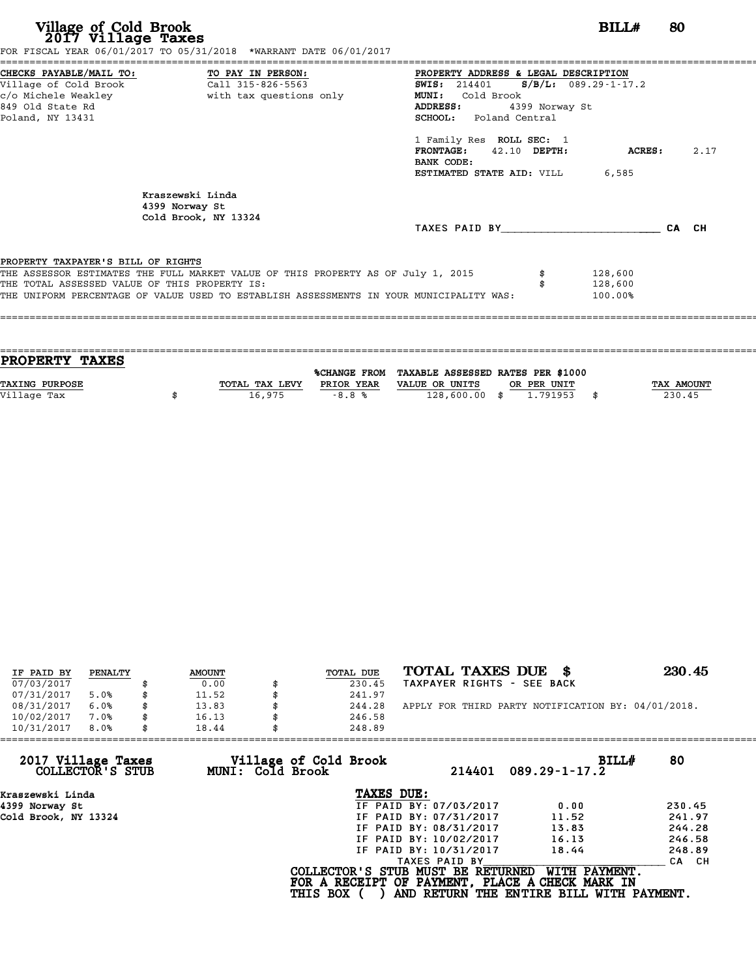# **Village of Cold Brook**<br> **2017 Village Taxes**<br>
SCAL YEAR 06/01/2017 TO 05/31/2018 \*WARRANT DATE 06/01/2017

FOR FISCAL YEAR 06/01/2017 TO 05/31/2018 \*WARRANT DATE 06/01/2017

======================================================================================================================================== CHECKS PAYABLE/MAIL TO: TO PAY IN PERSON: PROPERTY ADDRESS & LEGAL DESCRIPTION Village of Cold Brook Call 315-826-5563 SWIS: <sup>214401</sup> S/B/L: 089.29-1-17.2 CHECKS PAYABLE/MAIL TO: TO PAY IN PERSON: PROPERTY ADDRESS & LE<br>
Village of Cold Brook Call 315-826-5563 SWIS: 214401 S/B<br>
c/o Michele Weakley with tax questions only MUNI: Cold Brook<br>
849 Old State Pd CHECKS PAYABLE/MAIL TO: TO PAY IN PERSON: THE PROPERTY ADDRESS & LEGAL DESCRIPTION<br>
Village of Cold Brook Call 315-826-5563<br>
c/o Michele Weakley with tax questions only MUNI: Cold Brook MUNI (Cold Brook ADDRESS: 4399 Norwa Poland, NY 13431 SCHOOL: Poland Central SCHOOL: Poland Central<br>1 Family Res ROLL SEC:<br>FRONTAGE: 42.10 DEPTH 42.10 DEPTH: ACRES: 2.17 1 Family Res ROLL SEC: 1<br>FRONTAGE: 42.10 DEPTH:<br>BANK CODE: ESTIMATED STATE AID: VILL 6,585 Kraszewski Linda 4399 Norway St Cold Brook, NY 13324 TAXES PAID BY\_\_\_\_\_\_\_\_\_\_\_\_\_\_\_\_\_\_\_\_\_\_\_\_ CA CH PROPERTY TAXPAYER'S BILL OF RIGHTS **PROPERTY TAXPAYER'S BILL OF RIGHTS**<br>THE ASSESSOR ESTIMATES THE FULL MARKET VALUE OF THIS PROPERTY AS OF July 1, 2015 \$ 128,600<br>THE TOTAL ASSESSED VALUE OF THIS PROPERTY IS. **PROPERTY TAXPAYER'S BILL OF RIGHTS<br>THE ASSESSOR ESTIMATES THE FULL MARKET VALUE OF THIS PROPERTY AS OF July 1, 2015 \$\$P\$\$P\$\$P\$\$P\$\$P\$\$P\$\$P\$\$P\$\$P\$\$<br>THE TOTAL ASSESSED VALUE OF THIS PROPERTY IS:<br>THE INIEOPM PERCENTAGE OF VAL** THE ASSESSOR ESTIMATES THE FULL MARKET VALUE OF THIS PROPERTY AS OF July 1, 2015 \$4000000000000000000000000000<br>THE TOTAL ASSESSED VALUE OF THIS PROPERTY IS:<br>THE UNIFORM PERCENTAGE OF VALUE USED TO ESTABLISH ASSESSMENTS IN ====================================================================================================================================

==================================================================================================================================== **PROPERTY TAXES** %CHANGE FROM TAXABLE ASSESSED RATES PER \$1000 **PROPERTY TAXES**<br>
TAXING PURPOSE TOTAL TAX LEVY PRIOR YEAR VALUE OR UNITS OR PER UNIT TAX AMOUNT<br>
VALUE OR UNITS OR PER UNIT TAX AMOUNT TAX AMOUNT TAX AMOUNT TAX AMOUNT PRIOR YEAR VALUE OR UNITS OR PER UNIT **TAXING PURPOSE**<br>
TAXING PURPOSE TAX NOUNT TOTAL TAX LEVY PRIOR YEAR VALUE OR UNITS OR PER UNIT<br>
Village Tax (230.45) (18,975 -8.8 % 128,600.00 \$ 1.791953 \$ 230.45

| IF PAID BY | PENALTY | <b>AMOUNT</b> | <b>TOTAL DUE</b> | TOTAL TAXES DUE<br>- 8                             | 230.45 |
|------------|---------|---------------|------------------|----------------------------------------------------|--------|
| 07/03/2017 |         | 0.00          | 230.45           | TAXPAYER RIGHTS - SEE BACK                         |        |
| 07/31/2017 | 5.0%    | 11.52         | 241.97           |                                                    |        |
| 08/31/2017 | 6.0%    | \$<br>13.83   | 244.28           | APPLY FOR THIRD PARTY NOTIFICATION BY: 04/01/2018. |        |
| 10/02/2017 | 7.0%    | \$<br>16.13   | 246.58           |                                                    |        |
| 10/31/2017 | 8.0%    | \$<br>18.44   | 248.89           |                                                    |        |

| 248.89          |                                           |                                                                                                                                                               |                                                                                                                                  |
|-----------------|-------------------------------------------|---------------------------------------------------------------------------------------------------------------------------------------------------------------|----------------------------------------------------------------------------------------------------------------------------------|
|                 | 214401                                    | BILLH<br>$089.29 - 1 - 17.2$                                                                                                                                  | 80                                                                                                                               |
|                 |                                           |                                                                                                                                                               |                                                                                                                                  |
|                 |                                           | 0.00                                                                                                                                                          | 230.45                                                                                                                           |
|                 |                                           | 11.52                                                                                                                                                         | 241.97                                                                                                                           |
|                 |                                           | 13.83                                                                                                                                                         | 244.28                                                                                                                           |
|                 |                                           | 16.13                                                                                                                                                         | 246.58                                                                                                                           |
|                 |                                           | 18.44                                                                                                                                                         | 248.89                                                                                                                           |
|                 |                                           |                                                                                                                                                               | CA CH                                                                                                                            |
| <b>THIS BOX</b> |                                           | WITH PAYMENT.                                                                                                                                                 |                                                                                                                                  |
| 18.44           | Village of Cold Brook<br>MUNI: Cold Brook | TAXES DUE:<br>IF PAID BY: 07/03/2017<br>IF PAID BY: 07/31/2017<br>IF PAID BY: 08/31/2017<br>IF PAID BY: 10/02/2017<br>IF PAID BY: 10/31/2017<br>TAXES PAID BY | COLLECTOR'S STUB MUST BE RETURNED<br>FOR A RECEIPT OF PAYMENT, PLACE A CHECK MARK IN<br>AND RETURN THE ENTIRE BILL WITH PAYMENT. |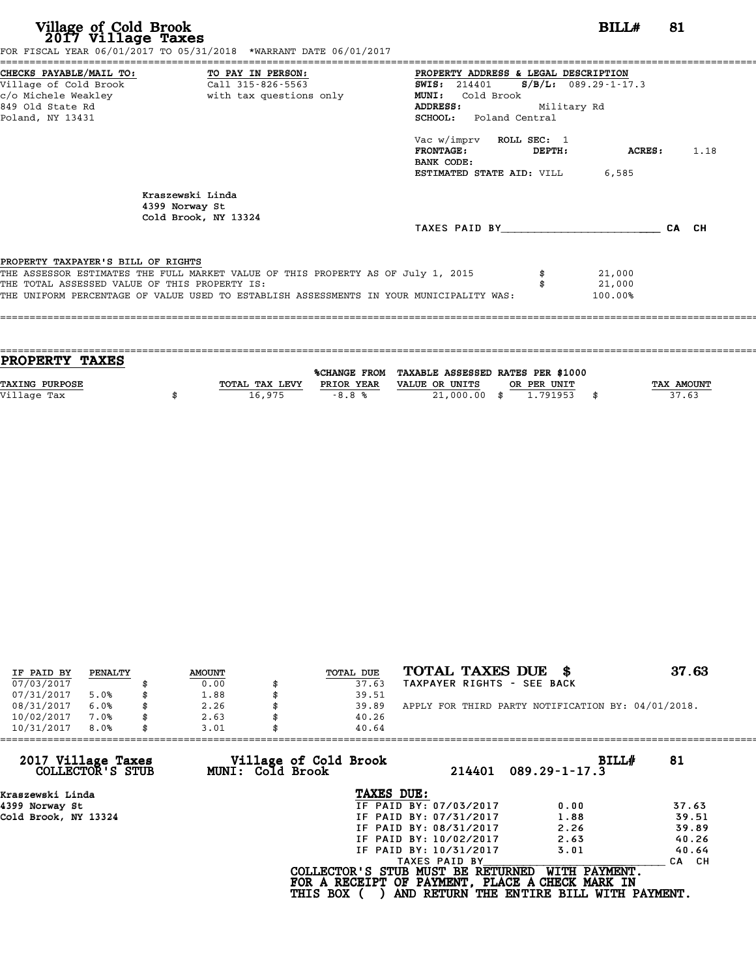| Village of Cold Brook<br>2017 Village Taxes<br>FOR FISCAL YEAR 06/01/2017 TO 05/31/2018 *WARRANT DATE 06/01/2017                                                                                                                                                   |                                               |                                                                                                                                                                                              |                       | BILL#                                        | 81 |      |
|--------------------------------------------------------------------------------------------------------------------------------------------------------------------------------------------------------------------------------------------------------------------|-----------------------------------------------|----------------------------------------------------------------------------------------------------------------------------------------------------------------------------------------------|-----------------------|----------------------------------------------|----|------|
| CHECKS PAYABLE/MAIL TO: TO PAY IN PERSON:<br>Call 315-826-5563<br>Village of Cold Brook<br>849 Old State Rd<br>Poland, NY 13431                                                                                                                                    | <b>MUNI:</b><br><b>ADDRESS:</b><br>BANK CODE: | PROPERTY ADDRESS & LEGAL DESCRIPTION<br><b>SWIS:</b> 214401<br>Cold Brook<br>SCHOOL: Poland Central<br>Vac w/imprv ROLL SEC: 1<br><b>FRONTAGE:</b><br><b>ESTIMATED STATE AID:</b> VILL 6,585 | Military Rd<br>DEPTH: | $S/B/L: 089.29 - 1 - 17.3$<br><b>ACRES :</b> |    | 1.18 |
| Kraszewski Linda<br>4399 Norway St<br>Cold Brook, NY 13324                                                                                                                                                                                                         |                                               | TAXES PAID BY CA CH                                                                                                                                                                          |                       |                                              |    |      |
| PROPERTY TAXPAYER'S BILL OF RIGHTS<br>THE ASSESSOR ESTIMATES THE FULL MARKET VALUE OF THIS PROPERTY AS OF July 1, 2015<br>THE TOTAL ASSESSED VALUE OF THIS PROPERTY IS:<br>THE UNIFORM PERCENTAGE OF VALUE USED TO ESTABLISH ASSESSMENTS IN YOUR MUNICIPALITY WAS: |                                               |                                                                                                                                                                                              |                       | 21,000<br>21,000<br>100.00%                  |    |      |

| PROPERTY TAXES        |                |              |                                   |             |
|-----------------------|----------------|--------------|-----------------------------------|-------------|
|                       |                |              |                                   |             |
|                       |                | %CHANGE FROM | TAXABLE ASSESSED RATES PER \$1000 |             |
| <b>TAXING PURPOSE</b> | TOTAL TAX LEVY | PRIOR YEAR   | VALUE OR UNITS<br>OR PER UNIT     | TAX AMOUNT  |
| Village Tax           | 16,975         | $-8.8%$      | 21,000.00 \$<br>1.791953          | \$<br>37.63 |
|                       |                |              |                                   |             |

| IF PAID BY | PENALTY | <b>AMOUNT</b> | TOTAL DUE | TOTAL TAXES DUE \$                                 | 37.63 |
|------------|---------|---------------|-----------|----------------------------------------------------|-------|
| 07/03/2017 |         | 0.00          | 37.63     | TAXPAYER RIGHTS - SEE BACK                         |       |
| 07/31/2017 | 5.0%    | \$<br>1.88    | 39.51     |                                                    |       |
| 08/31/2017 | 6.0%    | \$<br>2.26    | 39.89     | APPLY FOR THIRD PARTY NOTIFICATION BY: 04/01/2018. |       |
| 10/02/2017 | 7.0%    | \$<br>2.63    | 40.26     |                                                    |       |
| 10/31/2017 | 8.0%    | \$<br>3.01    | 40.64     |                                                    |       |

| 10/31/2017<br>8.0%<br>3.01             |                                           | 40.64                             |                                                                                                              |       |
|----------------------------------------|-------------------------------------------|-----------------------------------|--------------------------------------------------------------------------------------------------------------|-------|
| 2017 Village Taxes<br>COLLECTOR'S STUB | Village of Cold Brook<br>MUNI: Cold Brook | 214401                            | BILLH<br>$089.29 - 1 - 17.3$                                                                                 | 81    |
| Kraszewski Linda                       |                                           | TAXES DUE:                        |                                                                                                              |       |
| 4399 Norway St                         |                                           | IF PAID BY: 07/03/2017            | 0.00                                                                                                         | 37.63 |
| Cold Brook, NY 13324                   |                                           | IF PAID BY: 07/31/2017            | 1.88                                                                                                         | 39.51 |
|                                        |                                           | IF PAID BY: 08/31/2017            | 2.26                                                                                                         | 39.89 |
|                                        |                                           | IF PAID BY: 10/02/2017            | 2.63                                                                                                         | 40.26 |
|                                        |                                           | IF PAID BY: 10/31/2017            | 3.01                                                                                                         | 40.64 |
|                                        |                                           | TAXES PAID BY                     |                                                                                                              | CA CH |
|                                        | <b>THIS BOX</b>                           | COLLECTOR'S STUB MUST BE RETURNED | WITH PAYMENT.<br>FOR A RECEIPT OF PAYMENT, PLACE A CHECK MARK IN<br>AND RETURN THE ENTIRE BILL WITH PAYMENT. |       |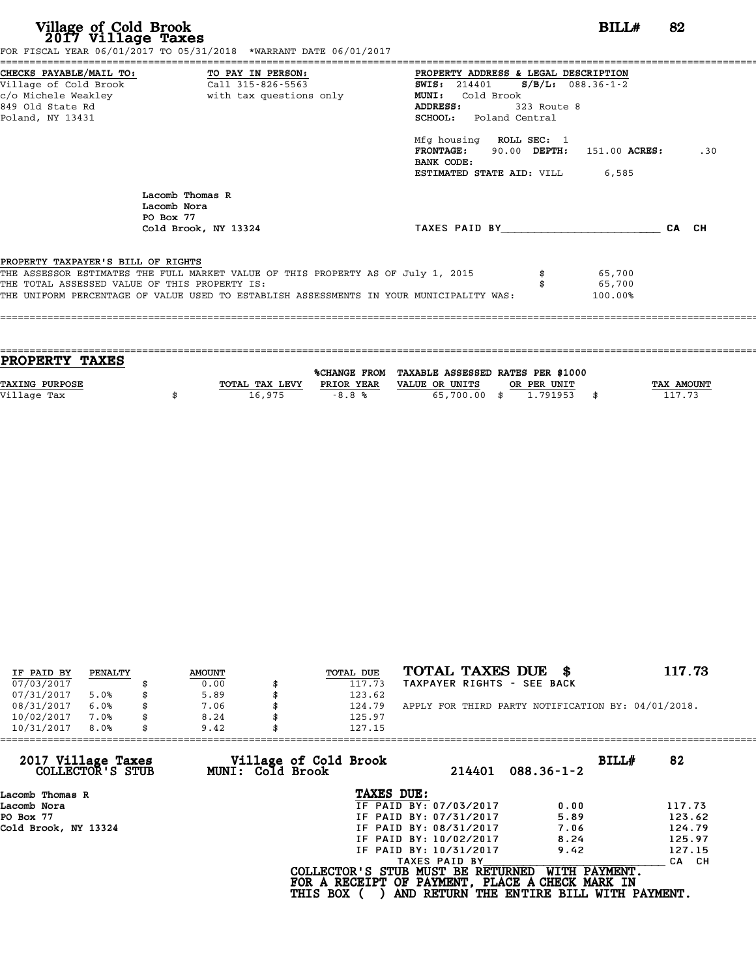| Village of Cold Brook<br>2017 Village Taxes                                         | FOR FISCAL YEAR 06/01/2017 TO 05/31/2018 *WARRANT DATE 06/01/2017                                                                                                           |                                                                                                                                                                                                                                       | BILL#                       | 82  |
|-------------------------------------------------------------------------------------|-----------------------------------------------------------------------------------------------------------------------------------------------------------------------------|---------------------------------------------------------------------------------------------------------------------------------------------------------------------------------------------------------------------------------------|-----------------------------|-----|
| c/o Michele Weakley<br>849 Old State Rd<br>Poland, NY 13431                         | CHECKS PAYABLE/MAIL TO: TO PAY IN PERSON:<br>Village of Cold Brook Call 315-826-5563<br>with tax questions only                                                             | PROPERTY ADDRESS & LEGAL DESCRIPTION<br>$S/B/L: 088.36-1-2$<br><b>SWIS:</b> 214401<br>MUNI: Cold Brook<br>ADDRESS:<br>323 Route 8<br><b>SCHOOL:</b> Poland Central<br>Mfg housing ROLL SEC: 1<br>FRONTAGE: 90.00 DEPTH: 151.00 ACRES: |                             | .30 |
|                                                                                     | Lacomb Thomas R<br>Lacomb Nora<br>PO Box 77<br>Cold Brook, NY 13324                                                                                                         | BANK CODE:<br><b>ESTIMATED STATE AID:</b> VILL 6,585<br>TAXES PAID BY CA CH                                                                                                                                                           |                             |     |
| PROPERTY TAXPAYER'S BILL OF RIGHTS<br>THE TOTAL ASSESSED VALUE OF THIS PROPERTY IS: | THE ASSESSOR ESTIMATES THE FULL MARKET VALUE OF THIS PROPERTY AS OF July 1, 2015<br>THE UNIFORM PERCENTAGE OF VALUE USED TO ESTABLISH ASSESSMENTS IN YOUR MUNICIPALITY WAS: |                                                                                                                                                                                                                                       | 65,700<br>65,700<br>100.00% |     |

| <b>PROPERTY TAXES</b> |                |            |                                                |             |            |
|-----------------------|----------------|------------|------------------------------------------------|-------------|------------|
|                       |                |            | %CHANGE FROM TAXABLE ASSESSED RATES PER \$1000 |             |            |
|                       |                |            |                                                |             |            |
| <b>TAXING PURPOSE</b> | TOTAL TAX LEVY | PRIOR YEAR | VALUE OR UNITS                                 | OR PER UNIT | TAX AMOUNT |
| Village Tax           | 16,975         | $-8.8%$    | 65,700.00 \$                                   | 1,791953    | 117.73     |
|                       |                |            |                                                |             |            |

| IF PAID BY | PENALTY | <b>AMOUNT</b> | <b>TOTAL DUE</b> | TOTAL TAXES DUE \$                                 | 117.73 |
|------------|---------|---------------|------------------|----------------------------------------------------|--------|
| 07/03/2017 |         | 0.00          | 117.73           | TAXPAYER RIGHTS - SEE BACK                         |        |
| 07/31/2017 | 5.0%    | \$<br>5.89    | 123.62           |                                                    |        |
| 08/31/2017 | 6.0%    | \$<br>7.06    | \$<br>124.79     | APPLY FOR THIRD PARTY NOTIFICATION BY: 04/01/2018. |        |
| 10/02/2017 | 7.0%    | 8.24          | 125.97           |                                                    |        |
| 10/31/2017 | 8.0%    | \$<br>9.42    | 127.15           |                                                    |        |

| 82                                       |
|------------------------------------------|
|                                          |
| 117.73                                   |
| 123.62                                   |
| 124.79                                   |
| 125.97                                   |
| 127.15                                   |
| CA CH                                    |
| AND RETURN THE ENTIRE BILL WITH PAYMENT. |
|                                          |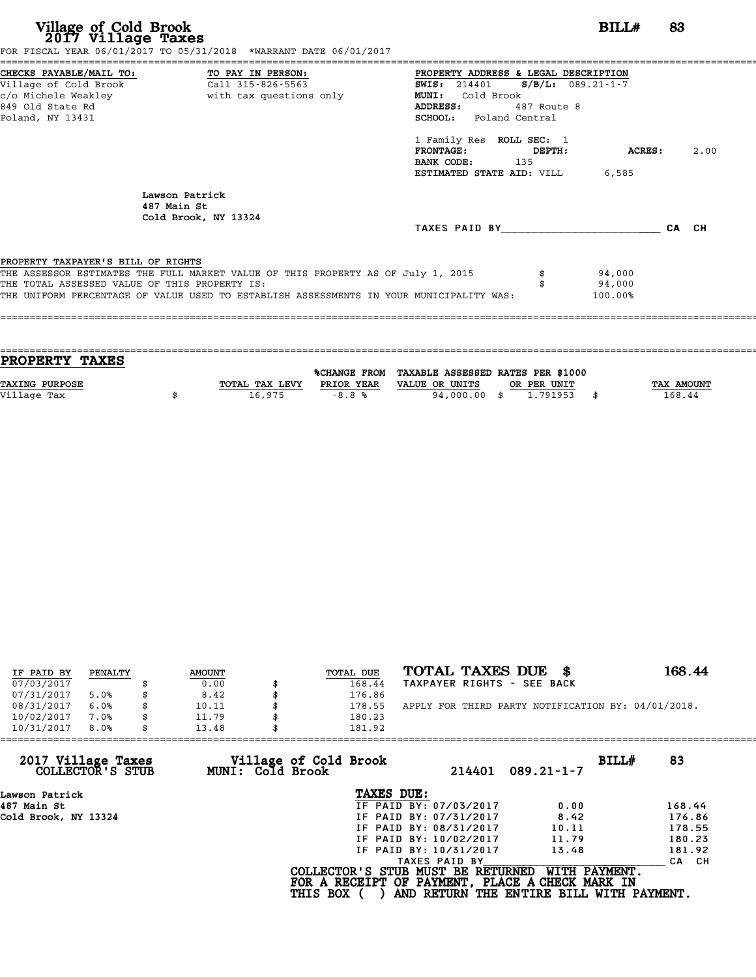| Village of Cold Brook<br>2017 Village Taxes                                                                | FOR FISCAL YEAR 06/01/2017 TO 05/31/2018 *WARRANT DATE 06/01/2017                                                                                                           |                                                                                                                                                                                                                                                                   | BILL#                       | 83    |      |
|------------------------------------------------------------------------------------------------------------|-----------------------------------------------------------------------------------------------------------------------------------------------------------------------------|-------------------------------------------------------------------------------------------------------------------------------------------------------------------------------------------------------------------------------------------------------------------|-----------------------------|-------|------|
| CHECKS PAYABLE/MAIL TO: TO PAY IN PERSON:<br>Village of Cold Brook<br>849 Old State Rd<br>Poland, NY 13431 | Call 315-826-5563<br>c/o Michele Weakley extending with tax questions only                                                                                                  | PROPERTY ADDRESS & LEGAL DESCRIPTION<br>SWIS: 214401 S/B/L: 089.21-1-7<br>Cold Brook<br>MUNI:<br>ADDRESS:<br>487 Route 8<br>SCHOOL: Poland Central<br>1 Family Res ROLL SEC: 1<br>FRONTAGE:<br>DEPTH:<br>BANK CODE: 135<br><b>ESTIMATED STATE AID:</b> VILL 6,585 | ACRES:                      |       | 2.00 |
|                                                                                                            | Lawson Patrick<br>487 Main St<br>Cold Brook, NY 13324                                                                                                                       | TAXES PAID BY                                                                                                                                                                                                                                                     |                             | CA CH |      |
| PROPERTY TAXPAYER'S BILL OF RIGHTS<br>THE TOTAL ASSESSED VALUE OF THIS PROPERTY IS:                        | THE ASSESSOR ESTIMATES THE FULL MARKET VALUE OF THIS PROPERTY AS OF July 1, 2015<br>THE UNIFORM PERCENTAGE OF VALUE USED TO ESTABLISH ASSESSMENTS IN YOUR MUNICIPALITY WAS: |                                                                                                                                                                                                                                                                   | 94,000<br>94,000<br>100.00% |       |      |

| <b>PROPERTY TAXES</b> |                |            |                                                |             |                   |
|-----------------------|----------------|------------|------------------------------------------------|-------------|-------------------|
|                       |                |            |                                                |             |                   |
|                       |                |            | %CHANGE FROM TAXABLE ASSESSED RATES PER \$1000 |             |                   |
| <b>TAXING PURPOSE</b> | TOTAL TAX LEVY | PRIOR YEAR | VALUE OR UNITS                                 | OR PER UNIT | <b>TAX AMOUNT</b> |
|                       |                |            |                                                |             |                   |
| Village Tax           | 16,975         | $-8.8%$    | 94,000.00 \$                                   | 1.791953    | 168.44            |
|                       |                |            |                                                |             |                   |

| IF PAID BY | PENALTY |   | <b>AMOUNT</b> | TOTAL DUE | TOTAL TAXES DUE<br>- 8                             | 168.44 |
|------------|---------|---|---------------|-----------|----------------------------------------------------|--------|
| 07/03/2017 |         |   | 0.00          | 168.44    | TAXPAYER RIGHTS - SEE BACK                         |        |
| 07/31/2017 | 5.0%    |   | 8.42          | 176.86    |                                                    |        |
| 08/31/2017 | 6.0%    | S | 10.11         | 178.55    | APPLY FOR THIRD PARTY NOTIFICATION BY: 04/01/2018. |        |
| 10/02/2017 | 7.0%    |   | 11.79         | 180.23    |                                                    |        |
| 10/31/2017 | 8.0%    |   | 13.48         | 181.92    |                                                    |        |
|            |         |   |               |           |                                                    |        |

| 13.48 |               |                                                              |                                                                                                                                                                                                                                                                              |
|-------|---------------|--------------------------------------------------------------|------------------------------------------------------------------------------------------------------------------------------------------------------------------------------------------------------------------------------------------------------------------------------|
|       | 214401        | BILLH<br>$089.21 - 1 - 7$                                    | 83                                                                                                                                                                                                                                                                           |
|       | TAXES DUE:    |                                                              |                                                                                                                                                                                                                                                                              |
|       |               | 0.00                                                         | 168.44                                                                                                                                                                                                                                                                       |
|       |               | 8.42                                                         | 176.86                                                                                                                                                                                                                                                                       |
|       |               | 10.11                                                        | 178.55                                                                                                                                                                                                                                                                       |
|       |               | 11.79                                                        | 180.23                                                                                                                                                                                                                                                                       |
|       |               | 13.48                                                        | 181.92                                                                                                                                                                                                                                                                       |
|       | TAXES PAID BY |                                                              | CA CH                                                                                                                                                                                                                                                                        |
|       |               | WITH PAYMENT.                                                |                                                                                                                                                                                                                                                                              |
|       |               | Village of Cold Brook<br>MUNI: Cold Brook<br><b>THIS BOX</b> | 181.92<br>IF PAID BY: 07/03/2017<br>IF PAID BY: 07/31/2017<br>IF PAID BY: 08/31/2017<br>IF PAID BY: 10/02/2017<br>IF PAID BY: 10/31/2017<br>COLLECTOR'S STUB MUST BE RETURNED<br>FOR A RECEIPT OF PAYMENT, PLACE A CHECK MARK IN<br>AND RETURN THE ENTIRE BILL WITH PAYMENT. |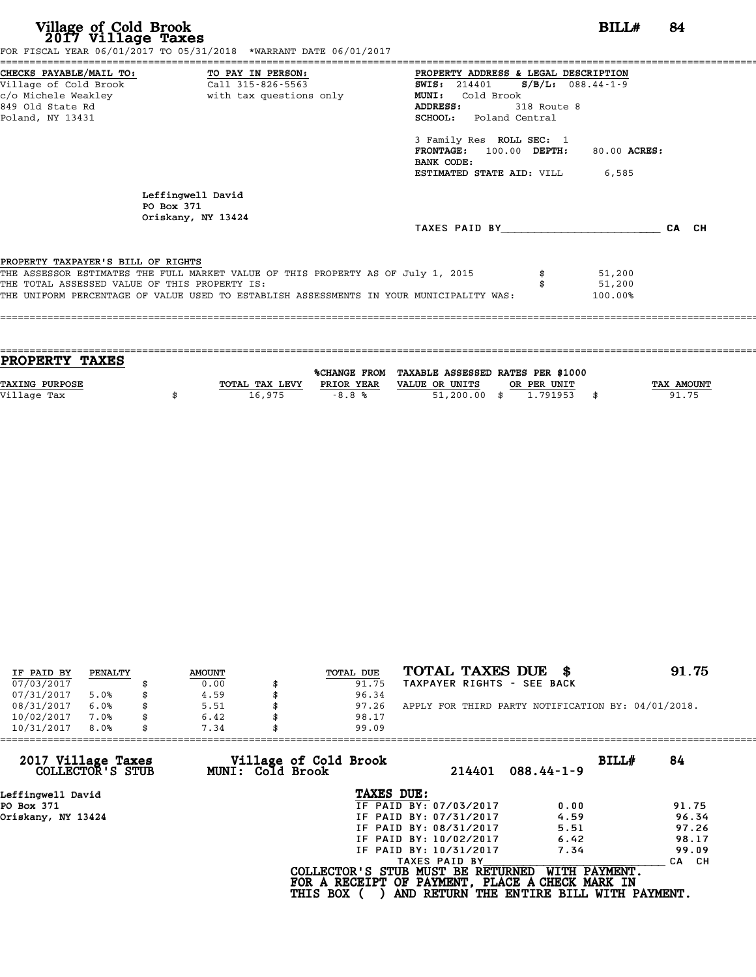| Village of Cold Brook<br>2017 Village Taxes                                         | FOR FISCAL YEAR 06/01/2017 TO 05/31/2018 *WARRANT DATE 06/01/2017                                                                                                           |                                                                                                                                                                                                                                                                                 | BILL#                       | -84   |
|-------------------------------------------------------------------------------------|-----------------------------------------------------------------------------------------------------------------------------------------------------------------------------|---------------------------------------------------------------------------------------------------------------------------------------------------------------------------------------------------------------------------------------------------------------------------------|-----------------------------|-------|
| Village of Cold Brook<br>849 Old State Rd<br>Poland, NY 13431                       | CHECKS PAYABLE/MAIL TO: TO PAY IN PERSON:<br>$\overline{c}$ all 315 - 826 - 5563                                                                                            | PROPERTY ADDRESS & LEGAL DESCRIPTION<br>SWIS: 214401 S/B/L: 088.44-1-9<br>Cold Brook<br><b>MUNI:</b><br>ADDRESS:<br>318 Route 8<br><b>SCHOOL:</b> Poland Central<br>3 Family Res ROLL SEC: 1<br>FRONTAGE: 100.00 DEPTH:<br>BANK CODE:<br><b>ESTIMATED STATE AID:</b> VILL 6,585 | 80.00 ACRES:                |       |
|                                                                                     | Leffingwell David<br>PO Box 371<br>Oriskany, NY 13424                                                                                                                       | TAXES PAID BY                                                                                                                                                                                                                                                                   |                             | CA CH |
| PROPERTY TAXPAYER'S BILL OF RIGHTS<br>THE TOTAL ASSESSED VALUE OF THIS PROPERTY IS: | THE ASSESSOR ESTIMATES THE FULL MARKET VALUE OF THIS PROPERTY AS OF July 1, 2015<br>THE UNIFORM PERCENTAGE OF VALUE USED TO ESTABLISH ASSESSMENTS IN YOUR MUNICIPALITY WAS: |                                                                                                                                                                                                                                                                                 | 51,200<br>51,200<br>100.00% |       |
|                                                                                     |                                                                                                                                                                             |                                                                                                                                                                                                                                                                                 |                             |       |

| <b>PROPERTY TAXES</b> |                |            |                                                |             |            |
|-----------------------|----------------|------------|------------------------------------------------|-------------|------------|
|                       |                |            |                                                |             |            |
|                       |                |            | %CHANGE FROM TAXABLE ASSESSED RATES PER \$1000 |             |            |
| <b>TAXING PURPOSE</b> | TOTAL TAX LEVY | PRIOR YEAR | VALUE OR UNITS                                 | OR PER UNIT | TAX AMOUNT |
| Village Tax           | 16,975         | $-8.8%$    | $51,200.00$ \$                                 | 1,791953    | 91.75      |
|                       |                |            |                                                |             |            |

| IF PAID BY | PENALTY | <b>AMOUNT</b> | TOTAL DUE | TOTAL TAXES DUE \$                                 | 91.75 |
|------------|---------|---------------|-----------|----------------------------------------------------|-------|
| 07/03/2017 |         | 0.00          | 91.75     | TAXPAYER RIGHTS - SEE BACK                         |       |
| 07/31/2017 | 5.0%    | 4.59          | 96.34     |                                                    |       |
| 08/31/2017 | 6.0%    | 5.51          | 97.26     | APPLY FOR THIRD PARTY NOTIFICATION BY: 04/01/2018. |       |
| 10/02/2017 | 7.0%    | \$<br>6.42    | 98.17     |                                                    |       |
| 10/31/2017 | 8.0%    | 7.34          | 99.09     |                                                    |       |

| 10/31/2017<br>8.0%                     | 7.34             | 99.09                                           |               |                                          |                  |
|----------------------------------------|------------------|-------------------------------------------------|---------------|------------------------------------------|------------------|
| 2017 Village Taxes<br>COLLECTOR'S STUB | MUNI: Cold Brook | Village of Cold Brook                           | 214401        | $088.44 - 1 - 9$                         | BILLH<br>84      |
| Leffinqwell David                      |                  | TAXES DUE:                                      |               |                                          |                  |
| PO Box 371                             |                  | IF PAID BY: 07/03/2017                          |               | 0.00                                     | 91.75            |
| Oriskany, NY 13424                     |                  | IF PAID BY: 07/31/2017                          |               | 4.59                                     | 96.34            |
|                                        |                  | IF PAID BY: 08/31/2017                          |               | 5.51                                     | 97.26            |
|                                        |                  | IF PAID BY: 10/02/2017                          |               | 6.42                                     | 98.17            |
|                                        |                  | IF PAID BY: 10/31/2017                          |               | 7.34                                     | 99.09            |
|                                        |                  |                                                 | TAXES PAID BY |                                          | <b>CA</b><br>CH. |
|                                        |                  | COLLECTOR'S STUB MUST BE RETURNED               |               | WITH PAYMENT.                            |                  |
|                                        |                  | FOR A RECEIPT OF PAYMENT, PLACE A CHECK MARK IN |               |                                          |                  |
|                                        |                  | <b>THIS BOX</b>                                 |               | AND RETURN THE ENTIRE BILL WITH PAYMENT. |                  |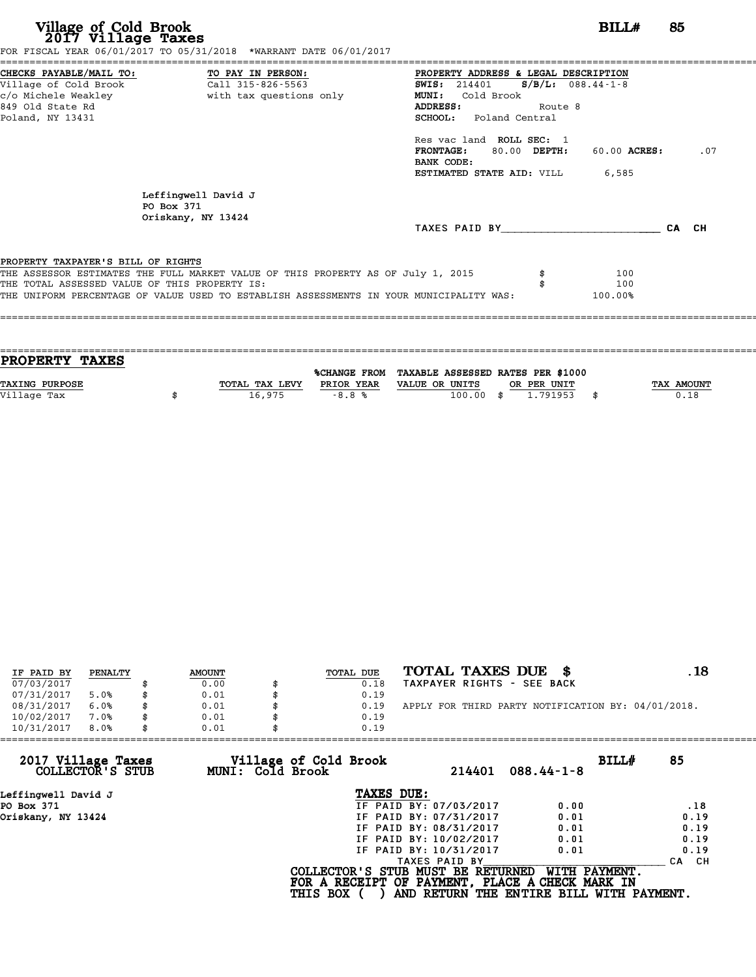| Village of Cold Brook<br>2017 Village Taxes                                                                                       | FOR FISCAL YEAR 06/01/2017 TO 05/31/2018 *WARRANT DATE 06/01/2017                       |                                                                                                                              |                                 | <b>BILL#</b>          | 85    |     |
|-----------------------------------------------------------------------------------------------------------------------------------|-----------------------------------------------------------------------------------------|------------------------------------------------------------------------------------------------------------------------------|---------------------------------|-----------------------|-------|-----|
| CHECKS PAYABLE/MAIL TO: TO PAY IN PERSON:<br>Village of Cold Brook<br>c/o Michele Weakley<br>849 Old State Rd<br>Poland, NY 13431 | Call 315-826-5563<br>with tax questions only                                            | PROPERTY ADDRESS & LEGAL DESCRIPTION<br><b>SWIS:</b> 214401<br>MUNI: Cold Brook<br>ADDRESS:<br><b>SCHOOL:</b> Poland Central | $S/B/L$ : 088.44-1-8<br>Route 8 |                       |       |     |
|                                                                                                                                   |                                                                                         | Res vac land ROLL SEC: 1<br><b>FRONTAGE:</b><br>BANK CODE:<br>ESTIMATED STATE AID: VILL                                      | 80.00 DEPTH:                    | 60.00 ACRES:<br>6,585 |       | .07 |
| PO Box 371                                                                                                                        | Leffingwell David J<br>Oriskany, NY 13424                                               |                                                                                                                              |                                 |                       |       |     |
|                                                                                                                                   |                                                                                         | TAXES PAID BY                                                                                                                |                                 |                       | CA CH |     |
| PROPERTY TAXPAYER'S BILL OF RIGHTS                                                                                                |                                                                                         |                                                                                                                              |                                 |                       |       |     |
|                                                                                                                                   | THE ASSESSOR ESTIMATES THE FULL MARKET VALUE OF THIS PROPERTY AS OF July 1, 2015        |                                                                                                                              |                                 | 100                   |       |     |
| THE TOTAL ASSESSED VALUE OF THIS PROPERTY IS:                                                                                     |                                                                                         |                                                                                                                              |                                 | 100                   |       |     |
|                                                                                                                                   | THE UNIFORM PERCENTAGE OF VALUE USED TO ESTABLISH ASSESSMENTS IN YOUR MUNICIPALITY WAS: |                                                                                                                              |                                 | 100.00%               |       |     |

| PROPERTY TAXES        |                |            |                                                |      |             |                   |
|-----------------------|----------------|------------|------------------------------------------------|------|-------------|-------------------|
|                       |                |            | %CHANGE FROM TAXABLE ASSESSED RATES PER \$1000 |      |             |                   |
| <b>TAXING PURPOSE</b> | TOTAL TAX LEVY | PRIOR YEAR | VALUE OR UNITS                                 |      | OR PER UNIT | <b>TAX AMOUNT</b> |
|                       |                |            |                                                |      |             |                   |
| Village Tax           | 16,975         | $-8.8%$    | 100.00                                         | - \$ | 1.791953    | 0.18              |
|                       |                |            |                                                |      |             |                   |
|                       |                |            |                                                |      |             |                   |

| IF PAID BY | PENALTY | <b>AMOUNT</b> | TOTAL DUE | TOTAL TAXES DUE \$                                 | . 18 |
|------------|---------|---------------|-----------|----------------------------------------------------|------|
| 07/03/2017 |         | 0.00          | 0.18      | TAXPAYER RIGHTS - SEE BACK                         |      |
| 07/31/2017 | 5.0%    | 0.01          | 0.19      |                                                    |      |
| 08/31/2017 | 6.0%    | 0.01          | 0.19      | APPLY FOR THIRD PARTY NOTIFICATION BY: 04/01/2018. |      |
| 10/02/2017 | 7.0%    | 0.01          | 0.19      |                                                    |      |
| 10/31/2017 | 8.0%    | 0.01          | 0.19      |                                                    |      |

| 0.19            |                                           |                                                                                                                                                               |                                   |                                                                                                                       |
|-----------------|-------------------------------------------|---------------------------------------------------------------------------------------------------------------------------------------------------------------|-----------------------------------|-----------------------------------------------------------------------------------------------------------------------|
|                 | 214401                                    | $088.44 - 1 - 8$                                                                                                                                              |                                   | 85                                                                                                                    |
|                 |                                           |                                                                                                                                                               |                                   |                                                                                                                       |
|                 |                                           | 0.00                                                                                                                                                          |                                   | .18                                                                                                                   |
|                 |                                           | 0.01                                                                                                                                                          |                                   | 0.19                                                                                                                  |
|                 |                                           | 0.01                                                                                                                                                          |                                   | 0.19                                                                                                                  |
|                 |                                           | 0.01                                                                                                                                                          |                                   | 0.19                                                                                                                  |
|                 |                                           | 0.01                                                                                                                                                          |                                   | 0.19                                                                                                                  |
|                 |                                           |                                                                                                                                                               |                                   | CA CH                                                                                                                 |
| <b>THIS BOX</b> |                                           |                                                                                                                                                               |                                   |                                                                                                                       |
| 0.01            | Village of Cold Brook<br>MUNI: Cold Brook | TAXES DUE:<br>IF PAID BY: 07/03/2017<br>IF PAID BY: 07/31/2017<br>IF PAID BY: 08/31/2017<br>IF PAID BY: 10/02/2017<br>IF PAID BY: 10/31/2017<br>TAXES PAID BY | COLLECTOR'S STUB MUST BE RETURNED | BILLH<br>WITH PAYMENT.<br>FOR A RECEIPT OF PAYMENT, PLACE A CHECK MARK IN<br>AND RETURN THE ENTIRE BILL WITH PAYMENT. |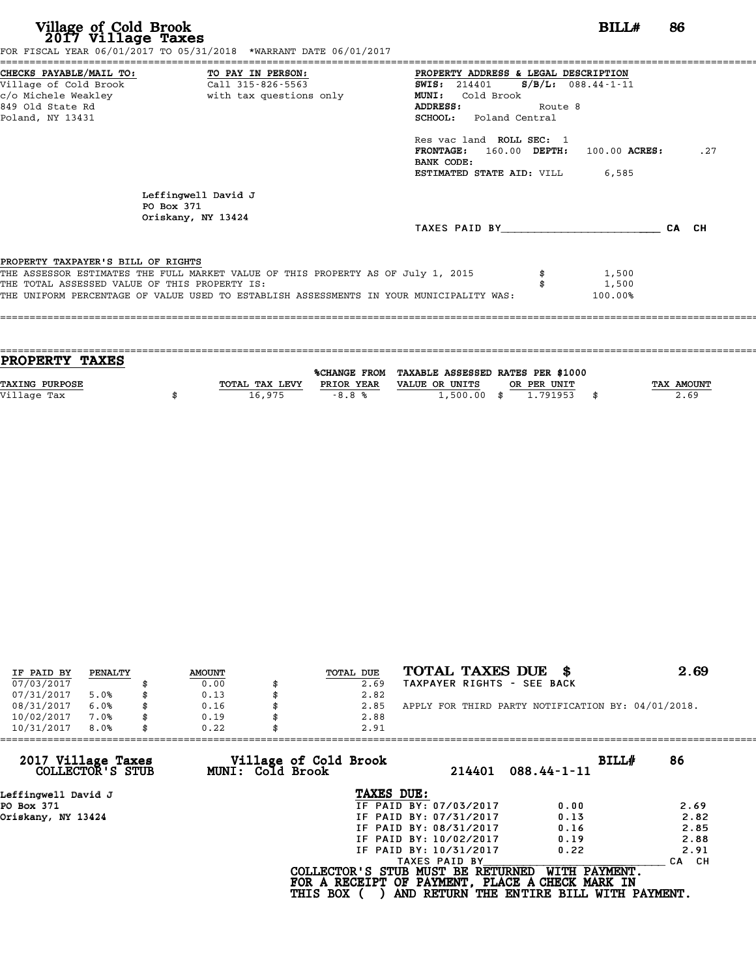| Village of Cold Brook<br>2017 Village Taxes                                                                                                         | FOR FISCAL YEAR 06/01/2017 TO 05/31/2018 *WARRANT DATE 06/01/2017                       |                                                                                                                                                                                                                        |                                 | BILL#   | 86    |
|-----------------------------------------------------------------------------------------------------------------------------------------------------|-----------------------------------------------------------------------------------------|------------------------------------------------------------------------------------------------------------------------------------------------------------------------------------------------------------------------|---------------------------------|---------|-------|
| CHECKS PAYABLE/MAIL TO: TO PAY IN PERSON:<br>Village of Cold Brook Call 315-826-5563<br>c/o Michele Weakley<br>849 Old State Rd<br>Poland, NY 13431 | with tax questions only                                                                 | PROPERTY ADDRESS & LEGAL DESCRIPTION<br><b>SWIS: 214401</b><br><b>MUNI:</b><br>Cold Brook<br>ADDRESS:<br><b>SCHOOL:</b> Poland Central<br>Res vac land ROLL SEC: 1<br>$\texttt{FRONTAGE:}$ 160.00 DEPTH: 100.00 ACRES: | $S/B/L: 088.44-1-11$<br>Route 8 |         | .27   |
|                                                                                                                                                     |                                                                                         | BANK CODE:<br><b>ESTIMATED STATE AID:</b> VILL 6,585                                                                                                                                                                   |                                 |         |       |
| PO Box 371                                                                                                                                          | Leffingwell David J                                                                     |                                                                                                                                                                                                                        |                                 |         |       |
|                                                                                                                                                     | Oriskany, NY 13424                                                                      | TAXES PAID BY TAXES                                                                                                                                                                                                    |                                 |         | CA CH |
| PROPERTY TAXPAYER'S BILL OF RIGHTS                                                                                                                  |                                                                                         |                                                                                                                                                                                                                        |                                 |         |       |
|                                                                                                                                                     | THE ASSESSOR ESTIMATES THE FULL MARKET VALUE OF THIS PROPERTY AS OF July 1, 2015        |                                                                                                                                                                                                                        |                                 | 1,500   |       |
| THE TOTAL ASSESSED VALUE OF THIS PROPERTY IS:                                                                                                       |                                                                                         |                                                                                                                                                                                                                        |                                 | 1,500   |       |
|                                                                                                                                                     | THE UNIFORM PERCENTAGE OF VALUE USED TO ESTABLISH ASSESSMENTS IN YOUR MUNICIPALITY WAS: |                                                                                                                                                                                                                        |                                 | 100.00% |       |

| <b>PROPERTY TAXES</b> |                |            |                                                |                |            |
|-----------------------|----------------|------------|------------------------------------------------|----------------|------------|
|                       |                |            |                                                |                |            |
|                       |                |            | %CHANGE FROM TAXABLE ASSESSED RATES PER \$1000 |                |            |
| TAXING PURPOSE        | TOTAL TAX LEVY | PRIOR YEAR | VALUE OR UNITS                                 | OR PER UNIT    | TAX AMOUNT |
| Village Tax           | 16,975         | $-8.8%$    | 1,500.00                                       | \$<br>1.791953 | 2.69       |
|                       |                |            |                                                |                |            |
|                       |                |            |                                                |                |            |

| IF PAID BY | PENALTY | <b>AMOUNT</b> | TOTAL DUE | TOTAL TAXES DUE \$                                 | 2.69 |
|------------|---------|---------------|-----------|----------------------------------------------------|------|
| 07/03/2017 |         | 0.00          | 2.69      | TAXPAYER RIGHTS - SEE BACK                         |      |
| 07/31/2017 | 5.0%    | \$<br>0.13    | 2.82      |                                                    |      |
| 08/31/2017 | 6.0%    | \$<br>0.16    | 2.85      | APPLY FOR THIRD PARTY NOTIFICATION BY: 04/01/2018. |      |
| 10/02/2017 | 7.0%    | \$<br>0.19    | 2.88      |                                                    |      |
| 10/31/2017 | 8.0%    | \$<br>0.22    | 2.91      |                                                    |      |

| 2.91                   |                                                              |                                                                                                                                  |
|------------------------|--------------------------------------------------------------|----------------------------------------------------------------------------------------------------------------------------------|
| 214401                 | BILLH<br>$088.44 - 1 - 11$                                   | 86                                                                                                                               |
| TAXES DUE:             |                                                              |                                                                                                                                  |
| IF PAID BY: 07/03/2017 | 0.00                                                         | 2.69                                                                                                                             |
| IF PAID BY: 07/31/2017 | 0.13                                                         | 2.82                                                                                                                             |
| IF PAID BY: 08/31/2017 | 0.16                                                         | 2.85                                                                                                                             |
| IF PAID BY: 10/02/2017 | 0.19                                                         | 2.88                                                                                                                             |
| IF PAID BY: 10/31/2017 | 0.22                                                         | 2.91                                                                                                                             |
| TAXES PAID BY          |                                                              | CA CH                                                                                                                            |
|                        | WITH PAYMENT.                                                |                                                                                                                                  |
| 0.22                   | Village of Cold Brook<br>MUNI: Cold Brook<br><b>THIS BOX</b> | COLLECTOR'S STUB MUST BE RETURNED<br>FOR A RECEIPT OF PAYMENT, PLACE A CHECK MARK IN<br>AND RETURN THE ENTIRE BILL WITH PAYMENT. |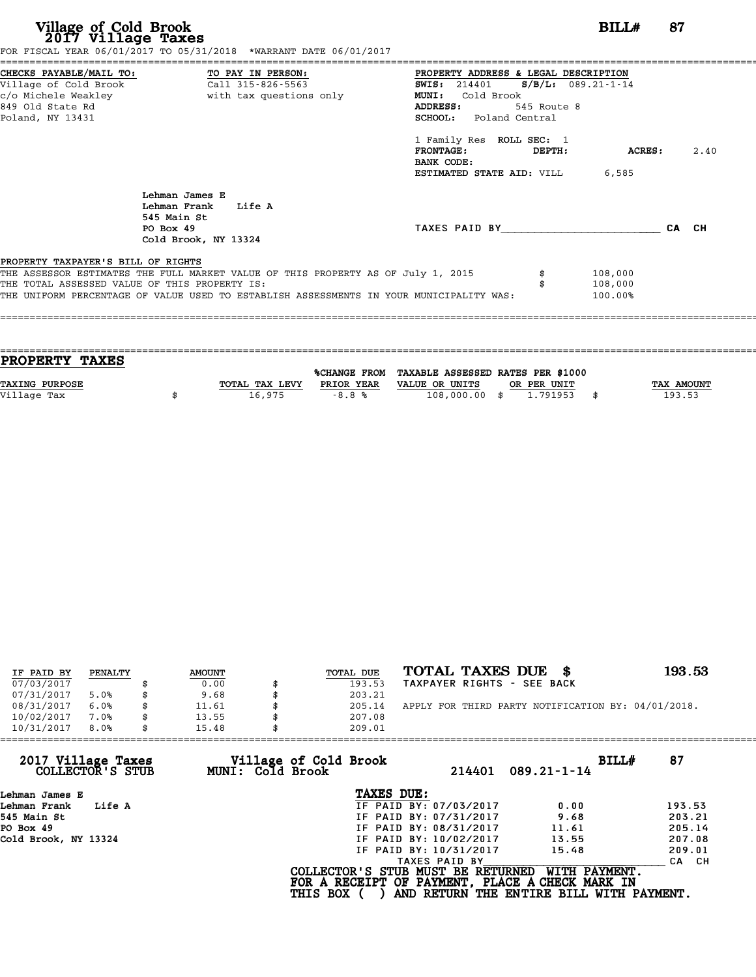| Village of Cold Brook<br>2017 Village Taxes                                         | FOR FISCAL YEAR 06/01/2017 TO 05/31/2018 *WARRANT DATE 06/01/2017                                                                                                           |                                                                                                                                                                                                                                                                                             | <b>BILL#</b>                  | 87 |      |
|-------------------------------------------------------------------------------------|-----------------------------------------------------------------------------------------------------------------------------------------------------------------------------|---------------------------------------------------------------------------------------------------------------------------------------------------------------------------------------------------------------------------------------------------------------------------------------------|-------------------------------|----|------|
| Village of Cold Brook<br>849 Old State Rd<br>Poland, NY 13431                       | =========================<br>CHECKS PAYABLE/MAIL TO: TO PAY IN PERSON:<br>Call 315-826-5563                                                                                 | PROPERTY ADDRESS & LEGAL DESCRIPTION<br><b>SWIS:</b> 214401 <b>S/B/L:</b> 089.21-1-14<br><b>MUNI:</b><br>Cold Brook<br><b>ADDRESS:</b><br>545 Route 8<br><b>SCHOOL:</b> Poland Central<br>1 Family Res ROLL SEC: 1<br><b>FRONTAGE:</b><br>DEPTH:<br>BANK CODE:<br>ESTIMATED STATE AID: VILL | ACRES :<br>6,585              |    | 2.40 |
|                                                                                     | Lehman James E<br>Lehman Frank Life A<br>545 Main St<br>PO Box 49<br>Cold Brook, NY 13324                                                                                   | TAXES PAID BY CA CH                                                                                                                                                                                                                                                                         |                               |    |      |
| PROPERTY TAXPAYER'S BILL OF RIGHTS<br>THE TOTAL ASSESSED VALUE OF THIS PROPERTY IS: | THE ASSESSOR ESTIMATES THE FULL MARKET VALUE OF THIS PROPERTY AS OF July 1, 2015<br>THE UNIFORM PERCENTAGE OF VALUE USED TO ESTABLISH ASSESSMENTS IN YOUR MUNICIPALITY WAS: |                                                                                                                                                                                                                                                                                             | 108,000<br>108,000<br>100.00% |    |      |

| PROPERTY TAXES        |                |            |                                                |             |                   |
|-----------------------|----------------|------------|------------------------------------------------|-------------|-------------------|
|                       |                |            | %CHANGE FROM TAXABLE ASSESSED RATES PER \$1000 |             |                   |
| <b>TAXING PURPOSE</b> | TOTAL TAX LEVY | PRIOR YEAR | VALUE OR UNITS                                 | OR PER UNIT | <b>TAX AMOUNT</b> |
| Village Tax           | 16,975         | $-8.8%$    | 108,000.00 \$                                  | 1.791953    | 193.53            |
|                       |                |            |                                                |             |                   |

| IF PAID BY | PENALTY | <b>AMOUNT</b> | TOTAL DUE | TOTAL TAXES DUE<br>- 86                            | 193.53 |
|------------|---------|---------------|-----------|----------------------------------------------------|--------|
| 07/03/2017 |         | 0.00          | 193.53    | TAXPAYER RIGHTS - SEE BACK                         |        |
| 07/31/2017 | 5.0%    | \$<br>9.68    | 203.21    |                                                    |        |
| 08/31/2017 | 6.0%    | \$<br>11.61   | 205.14    | APPLY FOR THIRD PARTY NOTIFICATION BY: 04/01/2018. |        |
| 10/02/2017 | 7.0%    | \$<br>13.55   | 207.08    |                                                    |        |
| 10/31/2017 | 8.0%    | \$<br>15.48   | 209.01    |                                                    |        |

| 15.48 | 209.01                 |                                                              |                                                                                                                                  |
|-------|------------------------|--------------------------------------------------------------|----------------------------------------------------------------------------------------------------------------------------------|
|       | 214401                 | BILLH<br>$089.21 - 1 - 14$                                   | 87                                                                                                                               |
|       | TAXES DUE:             |                                                              |                                                                                                                                  |
|       | IF PAID BY: 07/03/2017 | 0.00                                                         | 193.53                                                                                                                           |
|       | IF PAID BY: 07/31/2017 | 9.68                                                         | 203.21                                                                                                                           |
|       | IF PAID BY: 08/31/2017 | 11.61                                                        | 205.14                                                                                                                           |
|       | IF PAID BY: 10/02/2017 | 13.55                                                        | 207.08                                                                                                                           |
|       | IF PAID BY: 10/31/2017 | 15.48                                                        | 209.01                                                                                                                           |
|       | TAXES PAID BY          |                                                              | CA CH                                                                                                                            |
|       |                        | WITH PAYMENT.                                                |                                                                                                                                  |
|       |                        | Village of Cold Brook<br>MUNI: Cold Brook<br><b>THIS BOX</b> | COLLECTOR'S STUB MUST BE RETURNED<br>FOR A RECEIPT OF PAYMENT, PLACE A CHECK MARK IN<br>AND RETURN THE ENTIRE BILL WITH PAYMENT. |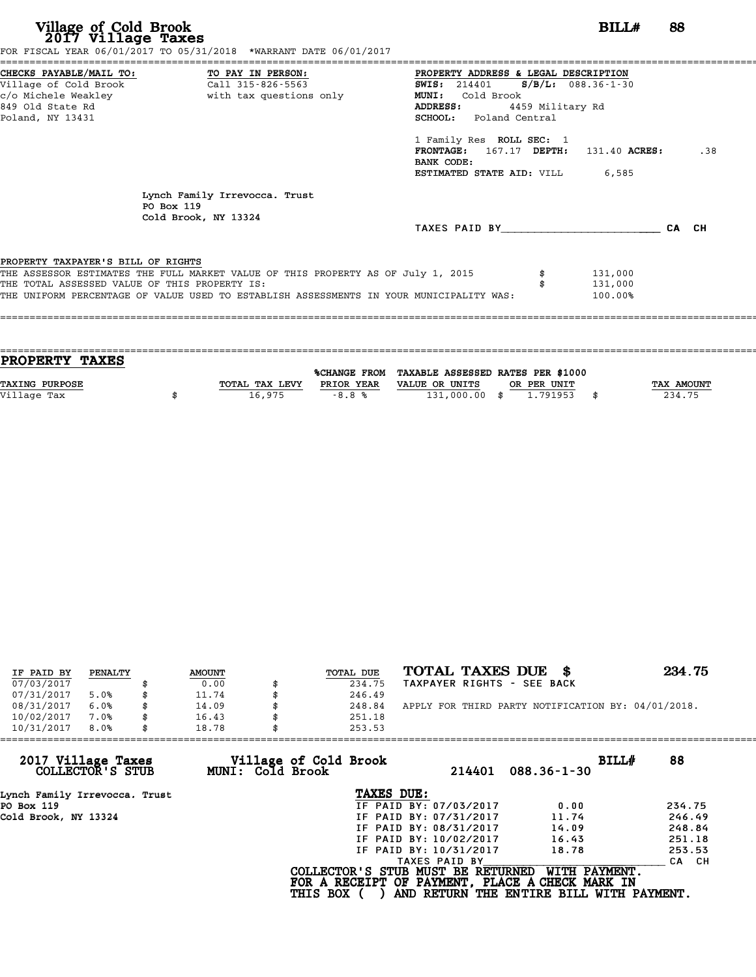**Village of Cold Brook**<br> **2017 Village Taxes**<br>
FOR FISCAL YEAR 06/01/2017 TO 05/31/2018 \*WARRANT DATE 06/01/2017<br> **POR FISCAL YEAR 06/01/2017** TO 05/31/2018 \*WARRANT DATE 06/01/2017

| CHECKS PAYABLE/MAIL TO: TO PAY IN PERSON:<br>PROPERTY ADDRESS & LEGAL DESCRIPTION<br>$S/B/L$ : 088.36-1-30<br><b>SWIS:</b> 214401<br>with tax questions only<br>Cold Brook<br><b>MUNI:</b><br><b>ADDRESS:</b><br>4459 Military Rd<br>SCHOOL: Poland Central<br>1 Family Res ROLL SEC: 1<br><b>FRONTAGE:</b><br>167.17 DEPTH:<br>131.40 ACRES:<br>BANK CODE:<br><b>ESTIMATED STATE AID:</b> VILL 6,585<br>Lynch Family Irrevocca. Trust<br>PO Box 119<br>Cold Brook, NY 13324<br>TAXES PAID BY TAXES |       |
|-----------------------------------------------------------------------------------------------------------------------------------------------------------------------------------------------------------------------------------------------------------------------------------------------------------------------------------------------------------------------------------------------------------------------------------------------------------------------------------------------------|-------|
|                                                                                                                                                                                                                                                                                                                                                                                                                                                                                                     |       |
| c/o Michele Weakley<br>849 Old State Rd                                                                                                                                                                                                                                                                                                                                                                                                                                                             |       |
|                                                                                                                                                                                                                                                                                                                                                                                                                                                                                                     |       |
| Poland, NY 13431<br>PROPERTY TAXPAYER'S BILL OF RIGHTS                                                                                                                                                                                                                                                                                                                                                                                                                                              |       |
|                                                                                                                                                                                                                                                                                                                                                                                                                                                                                                     |       |
|                                                                                                                                                                                                                                                                                                                                                                                                                                                                                                     |       |
|                                                                                                                                                                                                                                                                                                                                                                                                                                                                                                     | .38   |
|                                                                                                                                                                                                                                                                                                                                                                                                                                                                                                     |       |
|                                                                                                                                                                                                                                                                                                                                                                                                                                                                                                     |       |
|                                                                                                                                                                                                                                                                                                                                                                                                                                                                                                     |       |
|                                                                                                                                                                                                                                                                                                                                                                                                                                                                                                     | CA CH |
| THE ASSESSOR ESTIMATES THE FULL MARKET VALUE OF THIS PROPERTY AS OF July 1, 2015<br>131,000<br>THE TOTAL ASSESSED VALUE OF THIS PROPERTY IS:<br>131,000                                                                                                                                                                                                                                                                                                                                             |       |

| PROPERTY TAXES        |                |            |                                                |             |                   |
|-----------------------|----------------|------------|------------------------------------------------|-------------|-------------------|
|                       |                |            | %CHANGE FROM TAXABLE ASSESSED RATES PER \$1000 |             |                   |
| <b>TAXING PURPOSE</b> | TOTAL TAX LEVY | PRIOR YEAR | VALUE OR UNITS                                 | OR PER UNIT | <b>TAX AMOUNT</b> |
| Village Tax           | 16,975         | $-8.8%$    | 131,000.00 \$                                  | 1.791953    | 234.75            |
|                       |                |            |                                                |             |                   |

====================================================================================================================================

| IF PAID BY | PENALTY | <b>AMOUNT</b> | TOTAL DUE | TOTAL TAXES DUE \$                                 | 234.75 |
|------------|---------|---------------|-----------|----------------------------------------------------|--------|
| 07/03/2017 |         | 0.00          | 234.75    | TAXPAYER RIGHTS - SEE BACK                         |        |
| 07/31/2017 | 5.0%    | 11.74         | 246.49    |                                                    |        |
| 08/31/2017 | 6.0%    | 14.09         | 248.84    | APPLY FOR THIRD PARTY NOTIFICATION BY: 04/01/2018. |        |
| 10/02/2017 | 7.0%    | 16.43         | 251.18    |                                                    |        |
| 10/31/2017 | 8.0%    | 18.78         | 253.53    |                                                    |        |

| 253.53          |                                           |                                                                                                                                                               |                                                                                                                                                            |
|-----------------|-------------------------------------------|---------------------------------------------------------------------------------------------------------------------------------------------------------------|------------------------------------------------------------------------------------------------------------------------------------------------------------|
|                 | 214401                                    | $088.36 - 1 - 30$                                                                                                                                             | 88                                                                                                                                                         |
|                 |                                           |                                                                                                                                                               |                                                                                                                                                            |
|                 |                                           | 0.00                                                                                                                                                          | 234.75                                                                                                                                                     |
|                 |                                           | 11.74                                                                                                                                                         | 246.49                                                                                                                                                     |
|                 |                                           | 14.09                                                                                                                                                         | 248.84                                                                                                                                                     |
|                 |                                           | 16.43                                                                                                                                                         | 251.18                                                                                                                                                     |
|                 |                                           | 18.78                                                                                                                                                         | 253.53                                                                                                                                                     |
|                 |                                           |                                                                                                                                                               | CA CH                                                                                                                                                      |
| <b>THIS BOX</b> |                                           |                                                                                                                                                               |                                                                                                                                                            |
|                 | Village of Cold Brook<br>MUNI: Cold Brook | TAXES DUE:<br>IF PAID BY: 07/03/2017<br>IF PAID BY: 07/31/2017<br>IF PAID BY: 08/31/2017<br>IF PAID BY: 10/02/2017<br>IF PAID BY: 10/31/2017<br>TAXES PAID BY | BILLH<br>WITH PAYMENT.<br>COLLECTOR'S STUB MUST BE RETURNED<br>FOR A RECEIPT OF PAYMENT, PLACE A CHECK MARK IN<br>AND RETURN THE ENTIRE BILL WITH PAYMENT. |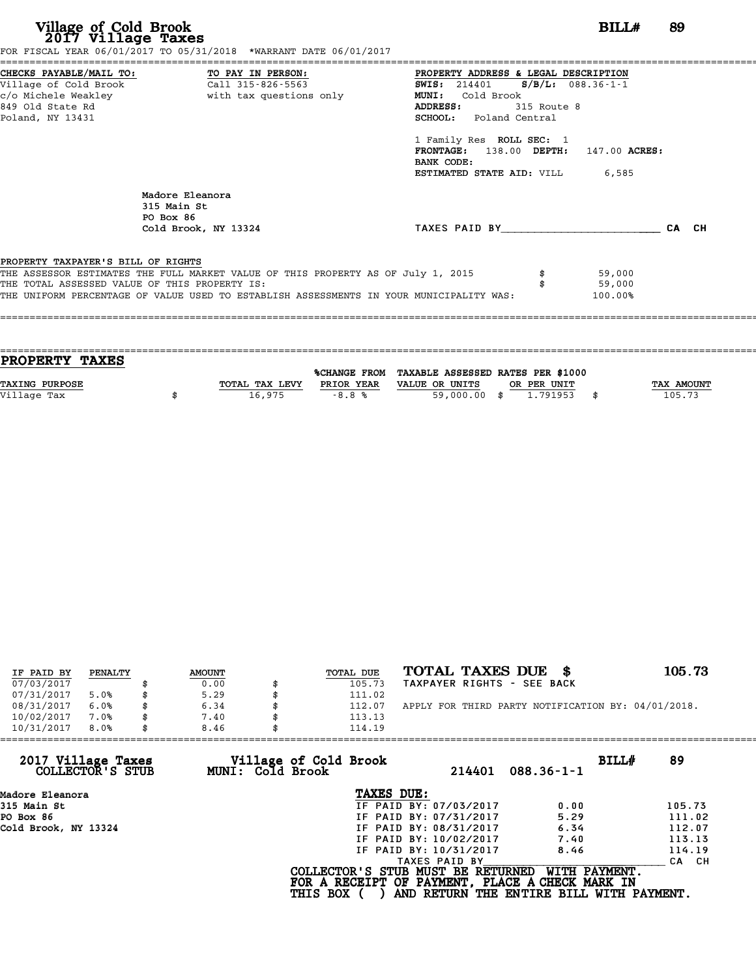| Village of Cold Brook<br>2017 Village Taxes   | FOR FISCAL YEAR 06/01/2017 TO 05/31/2018 *WARRANT DATE 06/01/2017                       | BILL#                                  | 89    |
|-----------------------------------------------|-----------------------------------------------------------------------------------------|----------------------------------------|-------|
|                                               | CHECKS PAYABLE/MAIL TO: TO PAY IN PERSON:                                               | PROPERTY ADDRESS & LEGAL DESCRIPTION   |       |
|                                               |                                                                                         | SWIS: $214401$ S/B/L: 088.36-1-1       |       |
| c/o Michele Weakley                           | with tax questions only                                                                 | MUNI: Cold Brook                       |       |
| 849 Old State Rd                              |                                                                                         | ADDRESS:<br>315 Route 8                |       |
| Poland, NY 13431                              |                                                                                         | <b>SCHOOL:</b> Poland Central          |       |
|                                               |                                                                                         | 1 Family Res ROLL SEC: 1               |       |
|                                               |                                                                                         | FRONTAGE: 138.00 DEPTH: 147.00 ACRES:  |       |
|                                               |                                                                                         | BANK CODE:                             |       |
|                                               |                                                                                         | <b>ESTIMATED STATE AID:</b> VILL 6,585 |       |
|                                               | Madore Eleanora<br>315 Main St<br>PO Box 86                                             |                                        |       |
|                                               | Cold Brook, NY 13324                                                                    | TAXES PAID BY TAXES                    | CA CH |
|                                               |                                                                                         |                                        |       |
| PROPERTY TAXPAYER'S BILL OF RIGHTS            |                                                                                         |                                        |       |
|                                               | THE ASSESSOR ESTIMATES THE FULL MARKET VALUE OF THIS PROPERTY AS OF July 1, 2015        | 59,000                                 |       |
| THE TOTAL ASSESSED VALUE OF THIS PROPERTY IS: |                                                                                         | 59,000                                 |       |
|                                               | THE UNIFORM PERCENTAGE OF VALUE USED TO ESTABLISH ASSESSMENTS IN YOUR MUNICIPALITY WAS: | 100.00%                                |       |

| <b>PROPERTY TAXES</b> |                |            |                                                |             |                   |
|-----------------------|----------------|------------|------------------------------------------------|-------------|-------------------|
|                       |                |            |                                                |             |                   |
|                       |                |            | %CHANGE FROM TAXABLE ASSESSED RATES PER \$1000 |             |                   |
| <b>TAXING PURPOSE</b> | TOTAL TAX LEVY | PRIOR YEAR | VALUE OR UNITS                                 | OR PER UNIT | <b>TAX AMOUNT</b> |
| Village Tax           | 16,975         | $-8.8%$    | 59,000,00 \$                                   | 1.791953    | 105.73            |
|                       |                |            |                                                |             |                   |
|                       |                |            |                                                |             |                   |

| IF PAID BY | PENALTY | <b>AMOUNT</b> | <b>TOTAL DUE</b> | TOTAL TAXES DUE \$                                 | 105.73 |
|------------|---------|---------------|------------------|----------------------------------------------------|--------|
|            |         |               |                  |                                                    |        |
| 07/03/2017 |         | 0.00          | 105.73           | TAXPAYER RIGHTS - SEE BACK                         |        |
| 07/31/2017 | 5.0%    | \$<br>5.29    | 111.02           |                                                    |        |
| 08/31/2017 | 6.0%    | 6.34          | 112.07           | APPLY FOR THIRD PARTY NOTIFICATION BY: 04/01/2018. |        |
| 10/02/2017 | 7.0%    | \$<br>7.40    | 113.13           |                                                    |        |
| 10/31/2017 | 8.0%    | \$<br>8.46    | 114.19           |                                                    |        |

| 114.19          |                                           |                                                                                                                                                               |                                                                                                                                                   |
|-----------------|-------------------------------------------|---------------------------------------------------------------------------------------------------------------------------------------------------------------|---------------------------------------------------------------------------------------------------------------------------------------------------|
|                 | 214401                                    | $088.36 - 1 - 1$                                                                                                                                              | BILLH<br>89                                                                                                                                       |
|                 |                                           |                                                                                                                                                               |                                                                                                                                                   |
|                 |                                           | 0.00                                                                                                                                                          | 105.73                                                                                                                                            |
|                 |                                           | 5.29                                                                                                                                                          | 111.02                                                                                                                                            |
|                 |                                           | 6.34                                                                                                                                                          | 112.07                                                                                                                                            |
|                 |                                           | 7.40                                                                                                                                                          | 113.13                                                                                                                                            |
|                 |                                           | 8.46                                                                                                                                                          | 114.19                                                                                                                                            |
|                 |                                           |                                                                                                                                                               | CA CH                                                                                                                                             |
| <b>THIS BOX</b> |                                           |                                                                                                                                                               |                                                                                                                                                   |
| 8.46            | Village of Cold Brook<br>MUNI: Cold Brook | TAXES DUE:<br>IF PAID BY: 07/03/2017<br>IF PAID BY: 07/31/2017<br>IF PAID BY: 08/31/2017<br>IF PAID BY: 10/02/2017<br>IF PAID BY: 10/31/2017<br>TAXES PAID BY | COLLECTOR'S STUB MUST BE RETURNED<br>WITH PAYMENT.<br>FOR A RECEIPT OF PAYMENT, PLACE A CHECK MARK IN<br>AND RETURN THE ENTIRE BILL WITH PAYMENT. |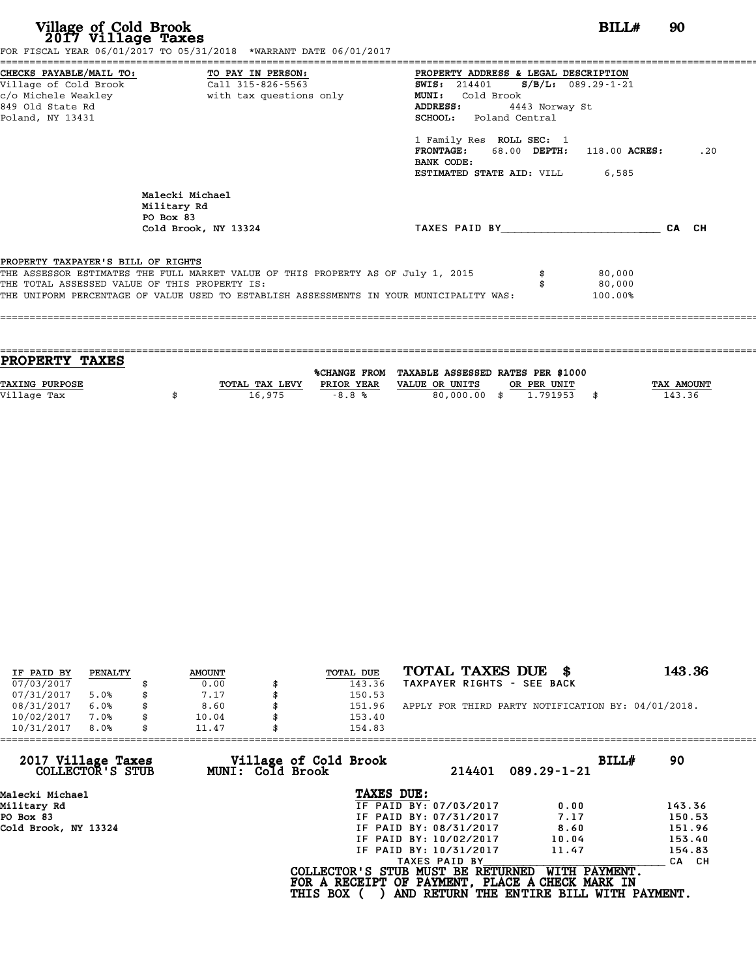| Village of Cold Brook<br>2017 Village Taxes                                          | FOR FISCAL YEAR 06/01/2017 TO 05/31/2018 *WARRANT DATE 06/01/2017                                                                                                           |                                                                                                                                                                                                                                                                                        | BILLH                       | 90    |
|--------------------------------------------------------------------------------------|-----------------------------------------------------------------------------------------------------------------------------------------------------------------------------|----------------------------------------------------------------------------------------------------------------------------------------------------------------------------------------------------------------------------------------------------------------------------------------|-----------------------------|-------|
| Village of Cold Brook<br>c/o Michele Weakley<br>849 Old State Rd<br>Poland, NY 13431 | CHECKS PAYABLE/MAIL TO: TO PAY IN PERSON:<br>Call 315-826-5563<br>with tax questions only                                                                                   | PROPERTY ADDRESS & LEGAL DESCRIPTION<br>SWIS: 214401 S/B/L: 089.29-1-21<br>MUNI: Cold Brook<br>ADDRESS:<br>4443 Norway St<br><b>SCHOOL:</b> Poland Central<br>1 Family Res ROLL SEC: 1<br>FRONTAGE: 68.00 DEPTH: 118.00 ACRES:<br>BANK CODE:<br><b>ESTIMATED STATE AID:</b> VILL 6,585 |                             | .20   |
|                                                                                      | Malecki Michael<br>Military Rd<br>PO Box 83<br>Cold Brook, NY 13324                                                                                                         | TAXES PAID BY And All And All And All And All And All And All And All And All And All And All And All And All                                                                                                                                                                          |                             | CA CH |
| PROPERTY TAXPAYER'S BILL OF RIGHTS<br>THE TOTAL ASSESSED VALUE OF THIS PROPERTY IS:  | THE ASSESSOR ESTIMATES THE FULL MARKET VALUE OF THIS PROPERTY AS OF July 1, 2015<br>THE UNIFORM PERCENTAGE OF VALUE USED TO ESTABLISH ASSESSMENTS IN YOUR MUNICIPALITY WAS: |                                                                                                                                                                                                                                                                                        | 80,000<br>80,000<br>100.00% |       |

| <b>PROPERTY TAXES</b> |                |            |                                                |             |                   |
|-----------------------|----------------|------------|------------------------------------------------|-------------|-------------------|
|                       |                |            | %CHANGE FROM TAXABLE ASSESSED RATES PER \$1000 |             |                   |
|                       |                |            |                                                |             |                   |
| <b>TAXING PURPOSE</b> | TOTAL TAX LEVY | PRIOR YEAR | VALUE OR UNITS                                 | OR PER UNIT | <b>TAX AMOUNT</b> |
| Village Tax           | 16,975         | $-8.8%$    | 80,000.00 \$                                   | 1.791953    | 143.36            |
|                       |                |            |                                                |             |                   |
|                       |                |            |                                                |             |                   |

| IF PAID BY | PENALTY | <b>AMOUNT</b> | <b>TOTAL DUE</b> | TOTAL TAXES DUE \$                                 | 143.36 |
|------------|---------|---------------|------------------|----------------------------------------------------|--------|
| 07/03/2017 |         | 0.00          | 143.36           | TAXPAYER RIGHTS - SEE BACK                         |        |
| 07/31/2017 | 5.0%    | 7.17          | 150.53           |                                                    |        |
| 08/31/2017 | 6.0%    | \$<br>8.60    | 151.96           | APPLY FOR THIRD PARTY NOTIFICATION BY: 04/01/2018. |        |
| 10/02/2017 | 7.0%    | \$<br>10.04   | 153.40           |                                                    |        |
| 10/31/2017 | 8.0%    | \$<br>11.47   | 154.83           |                                                    |        |

| 11.47            | 154.83                 |                                          |                                                                                                                                  |
|------------------|------------------------|------------------------------------------|----------------------------------------------------------------------------------------------------------------------------------|
| MUNI: Cold Brook | 214401                 | BILLH<br>$089.29 - 1 - 21$               | 90                                                                                                                               |
|                  | TAXES DUE:             |                                          |                                                                                                                                  |
|                  | IF PAID BY: 07/03/2017 | 0.00                                     | 143.36                                                                                                                           |
|                  | IF PAID BY: 07/31/2017 | 7.17                                     | 150.53                                                                                                                           |
|                  | IF PAID BY: 08/31/2017 | 8.60                                     | 151.96                                                                                                                           |
|                  | IF PAID BY: 10/02/2017 | 10.04                                    | 153.40                                                                                                                           |
|                  | IF PAID BY: 10/31/2017 | 11.47                                    | 154.83                                                                                                                           |
|                  | TAXES PAID BY          |                                          | CA CH                                                                                                                            |
|                  |                        | WITH PAYMENT.                            |                                                                                                                                  |
|                  |                        | Village of Cold Brook<br><b>THIS BOX</b> | COLLECTOR'S STUB MUST BE RETURNED<br>FOR A RECEIPT OF PAYMENT, PLACE A CHECK MARK IN<br>AND RETURN THE ENTIRE BILL WITH PAYMENT. |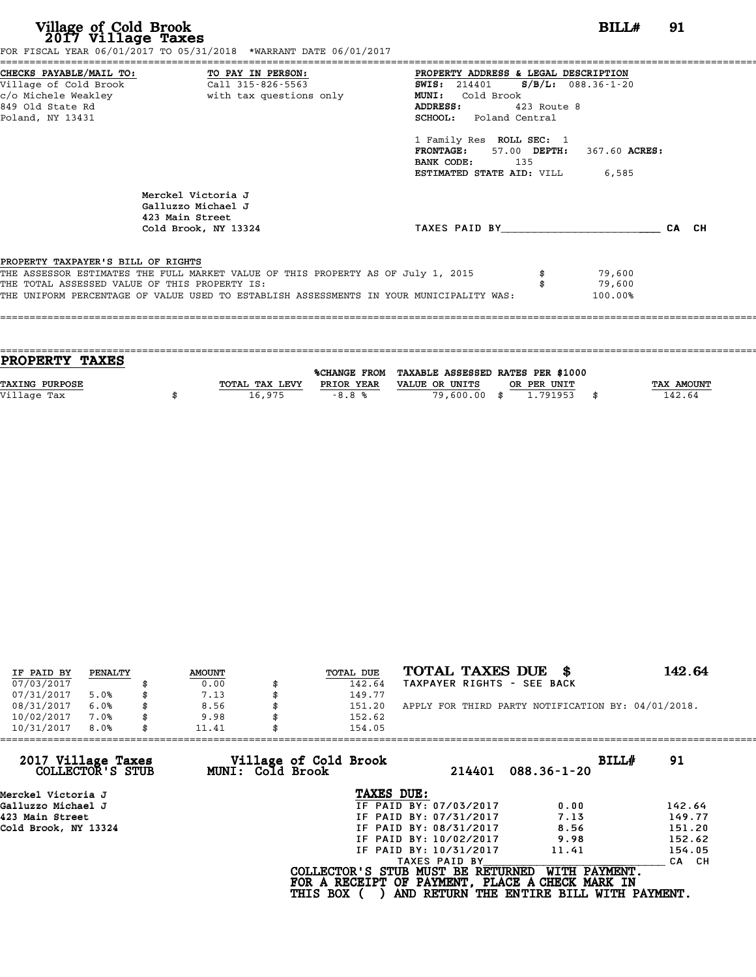| <b>BILL#</b> 91<br>FOR FISCAL YEAR 06/01/2017 TO 05/31/2018 *WARRANT DATE 06/01/2017                                                                                                                                                                                                                              |
|-------------------------------------------------------------------------------------------------------------------------------------------------------------------------------------------------------------------------------------------------------------------------------------------------------------------|
| PROPERTY ADDRESS & LEGAL DESCRIPTION<br><b>SWIS:</b> 214401 <b>S/B/L:</b> 088.36-1-20<br>Cold Brook<br>MUNI:<br><b>ADDRESS:</b><br>$423$ Route 8<br><b>SCHOOL:</b> Poland Central<br>1 Family Res ROLL SEC: 1<br>FRONTAGE: 57.00 DEPTH: 367.60 ACRES:<br>BANK CODE: 135<br><b>ESTIMATED STATE AID:</b> VILL 6,585 |
| TAXES PAID BY<br>CA CH                                                                                                                                                                                                                                                                                            |
| THE ASSESSOR ESTIMATES THE FULL MARKET VALUE OF THIS PROPERTY AS OF July 1, 2015<br>79,600<br>79,600<br>THE UNIFORM PERCENTAGE OF VALUE USED TO ESTABLISH ASSESSMENTS IN YOUR MUNICIPALITY WAS:<br>100.00%                                                                                                        |
|                                                                                                                                                                                                                                                                                                                   |

| <b>TAX AMOUNT</b> |
|-------------------|
| 142.64            |
|                   |
|                   |

| IF PAID BY | PENALTY | <b>AMOUNT</b> | TOTAL DUE | TOTAL TAXES DUE \$                                 | 142.64 |
|------------|---------|---------------|-----------|----------------------------------------------------|--------|
| 07/03/2017 |         | 0.00          | 142.64    | TAXPAYER RIGHTS - SEE BACK                         |        |
| 07/31/2017 | 5.0%    | \$<br>7.13    | 149.77    |                                                    |        |
| 08/31/2017 | 6.0%    | 8.56          | 151.20    | APPLY FOR THIRD PARTY NOTIFICATION BY: 04/01/2018. |        |
| 10/02/2017 | 7.0%    | \$<br>9.98    | 152.62    |                                                    |        |
| 10/31/2017 | 8.0%    | \$<br>11.41   | 154.05    |                                                    |        |

| 11.41            | 154.05                 |                                          |                                                                                                                                  |
|------------------|------------------------|------------------------------------------|----------------------------------------------------------------------------------------------------------------------------------|
| MUNI: Cold Brook | 214401                 | BILLH<br>$088.36 - 1 - 20$               | 91                                                                                                                               |
|                  | TAXES DUE:             |                                          |                                                                                                                                  |
|                  | IF PAID BY: 07/03/2017 | 0.00                                     | 142.64                                                                                                                           |
|                  | IF PAID BY: 07/31/2017 | 7.13                                     | 149.77                                                                                                                           |
|                  | IF PAID BY: 08/31/2017 | 8.56                                     | 151.20                                                                                                                           |
|                  | IF PAID BY: 10/02/2017 | 9.98                                     | 152.62                                                                                                                           |
|                  | IF PAID BY: 10/31/2017 | 11.41                                    | 154.05                                                                                                                           |
|                  | TAXES PAID BY          |                                          | CA CH                                                                                                                            |
|                  |                        | WITH PAYMENT.                            |                                                                                                                                  |
|                  |                        | Village of Cold Brook<br><b>THIS BOX</b> | COLLECTOR'S STUB MUST BE RETURNED<br>FOR A RECEIPT OF PAYMENT, PLACE A CHECK MARK IN<br>AND RETURN THE ENTIRE BILL WITH PAYMENT. |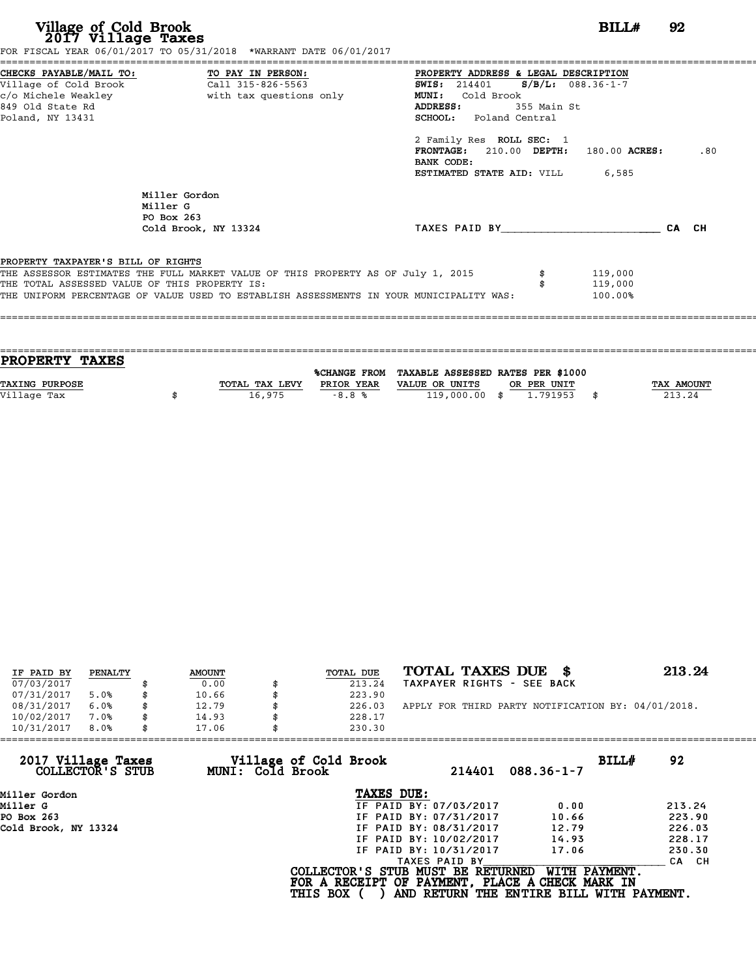| CHECKS PAYABLE/MAIL TO: TO PAY IN PERSON:<br>PROPERTY ADDRESS & LEGAL DESCRIPTION<br>Village of Cold Brook<br>Call 315-826-5563<br>SWIS: $214401$ S/B/L: 088.36-1-7<br>c/o Michele Weakley<br>with tax questions only<br>MUNI: Cold Brook<br>849 Old State Rd<br>ADDRESS:<br>355 Main St<br><b>SCHOOL:</b> Poland Central<br>Poland, NY 13431<br>2 Family Res ROLL SEC: 1<br>$FRONTAGE: 210.00$ $DEPTH: 180.00$ $ACRES:$<br>BANK CODE:<br><b>ESTIMATED STATE AID:</b> VILL 6,585<br>Miller Gordon |       |     |
|---------------------------------------------------------------------------------------------------------------------------------------------------------------------------------------------------------------------------------------------------------------------------------------------------------------------------------------------------------------------------------------------------------------------------------------------------------------------------------------------------|-------|-----|
|                                                                                                                                                                                                                                                                                                                                                                                                                                                                                                   |       | .80 |
| Miller G<br>PO Box 263<br>TAXES PAID BY<br>Cold Brook, NY 13324                                                                                                                                                                                                                                                                                                                                                                                                                                   | CA CH |     |
| PROPERTY TAXPAYER'S BILL OF RIGHTS<br>THE ASSESSOR ESTIMATES THE FULL MARKET VALUE OF THIS PROPERTY AS OF July 1, 2015<br>119,000<br>THE TOTAL ASSESSED VALUE OF THIS PROPERTY IS:<br>119,000<br>THE UNIFORM PERCENTAGE OF VALUE USED TO ESTABLISH ASSESSMENTS IN YOUR MUNICIPALITY WAS:<br>100.00%                                                                                                                                                                                               |       |     |

| <b>PROPERTY TAXES</b> |                |            |                                                |             |                   |
|-----------------------|----------------|------------|------------------------------------------------|-------------|-------------------|
|                       |                |            | %CHANGE FROM TAXABLE ASSESSED RATES PER \$1000 |             |                   |
| <b>TAXING PURPOSE</b> | TOTAL TAX LEVY | PRIOR YEAR | VALUE OR UNITS                                 | OR PER UNIT | <b>TAX AMOUNT</b> |
|                       |                |            |                                                |             |                   |
| Village Tax           | 16,975         | $-8.8%$    | 119,000.00 \$                                  | 1.791953    | 213.24            |
|                       |                |            |                                                |             |                   |

| IF PAID BY | PENALTY | <b>AMOUNT</b> | TOTAL DUE | TOTAL TAXES DUE \$                                 | 213.24 |
|------------|---------|---------------|-----------|----------------------------------------------------|--------|
| 07/03/2017 |         | 0.00          | 213.24    | TAXPAYER RIGHTS - SEE BACK                         |        |
| 07/31/2017 | 5.0%    | \$<br>10.66   | 223.90    |                                                    |        |
| 08/31/2017 | 6.0%    | \$<br>12.79   | 226.03    | APPLY FOR THIRD PARTY NOTIFICATION BY: 04/01/2018. |        |
| 10/02/2017 | 7.0%    | \$<br>14.93   | 228.17    |                                                    |        |
| 10/31/2017 | 8.0%    | \$<br>17.06   | 230.30    |                                                    |        |

| 17.06            | 230.30                 |                                          |                                                                                                                                  |
|------------------|------------------------|------------------------------------------|----------------------------------------------------------------------------------------------------------------------------------|
| MUNI: Cold Brook | 214401                 | BILLH<br>$088.36 - 1 - 7$                | 92                                                                                                                               |
|                  | TAXES DUE:             |                                          |                                                                                                                                  |
|                  | IF PAID BY: 07/03/2017 | 0.00                                     | 213.24                                                                                                                           |
|                  | IF PAID BY: 07/31/2017 | 10.66                                    | 223.90                                                                                                                           |
|                  | IF PAID BY: 08/31/2017 | 12.79                                    | 226.03                                                                                                                           |
|                  | IF PAID BY: 10/02/2017 | 14.93                                    | 228.17                                                                                                                           |
|                  | IF PAID BY: 10/31/2017 | 17.06                                    | 230.30                                                                                                                           |
|                  | TAXES PAID BY          |                                          | CA CH                                                                                                                            |
|                  |                        | WITH PAYMENT.                            |                                                                                                                                  |
|                  |                        | Village of Cold Brook<br><b>THIS BOX</b> | COLLECTOR'S STUB MUST BE RETURNED<br>FOR A RECEIPT OF PAYMENT, PLACE A CHECK MARK IN<br>AND RETURN THE ENTIRE BILL WITH PAYMENT. |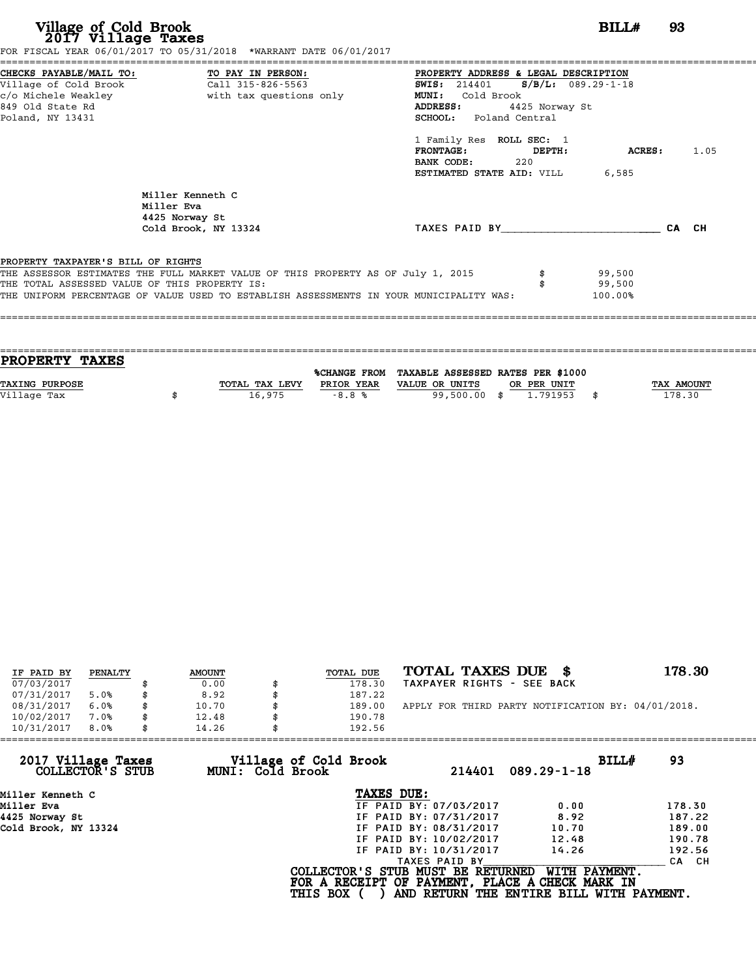| Village of Cold Brook<br>2017 Village Taxes<br>FOR FISCAL YEAR 06/01/2017 TO 05/31/2018 *WARRANT DATE 06/01/2017<br>CHECKS PAYABLE/MAIL TO: TO PAY IN PERSON:<br>Village of Cold Brook Call 315-826-5563                                                           | BILL#<br>93<br>PROPERTY ADDRESS & LEGAL DESCRIPTION<br>SWIS: 214401 S/B/L: 089.29-1-18                                                                                                                        |  |
|--------------------------------------------------------------------------------------------------------------------------------------------------------------------------------------------------------------------------------------------------------------------|---------------------------------------------------------------------------------------------------------------------------------------------------------------------------------------------------------------|--|
| with tax questions only<br>c/o Michele Weakley<br>849 Old State Rd<br>Poland, NY 13431                                                                                                                                                                             | MUNI: Cold Brook<br>ADDRESS:<br>4425 Norway St<br>SCHOOL: Poland Central<br>1 Family Res ROLL SEC: 1<br>FRONTAGE: DEPTH:<br><b>ACRES:</b> 1.05<br>BANK CODE:<br>220<br><b>ESTIMATED STATE AID:</b> VILL 6,585 |  |
| Miller Kenneth C<br>Miller Eva<br>4425 Norway St<br>Cold Brook, NY 13324                                                                                                                                                                                           | TAXES PAID BY TAXES<br>CA CH                                                                                                                                                                                  |  |
| PROPERTY TAXPAYER'S BILL OF RIGHTS<br>THE ASSESSOR ESTIMATES THE FULL MARKET VALUE OF THIS PROPERTY AS OF July 1, 2015<br>THE TOTAL ASSESSED VALUE OF THIS PROPERTY IS:<br>THE UNIFORM PERCENTAGE OF VALUE USED TO ESTABLISH ASSESSMENTS IN YOUR MUNICIPALITY WAS: | 99,500<br>99,500<br>100.00%                                                                                                                                                                                   |  |

| <b>PROPERTY TAXES</b> |                |            |                                                |             |                   |
|-----------------------|----------------|------------|------------------------------------------------|-------------|-------------------|
|                       |                |            | %CHANGE FROM TAXABLE ASSESSED RATES PER \$1000 |             |                   |
| <b>TAXING PURPOSE</b> | TOTAL TAX LEVY | PRIOR YEAR | VALUE OR UNITS                                 | OR PER UNIT | <b>TAX AMOUNT</b> |
| Village Tax           | 16,975         | $-8.8%$    | 99,500.00 \$                                   | 1.791953    | 178.30            |
|                       |                |            |                                                |             |                   |

| IF PAID BY | PENALTY | <b>AMOUNT</b> | <b>TOTAL DUE</b> | TOTAL TAXES DUE \$                                 | 178.30 |
|------------|---------|---------------|------------------|----------------------------------------------------|--------|
| 07/03/2017 |         | 0.00          | 178.30           | TAXPAYER RIGHTS - SEE BACK                         |        |
| 07/31/2017 | 5.0%    | \$<br>8.92    | 187.22           |                                                    |        |
| 08/31/2017 | 6.0%    | \$<br>10.70   | \$<br>189.00     | APPLY FOR THIRD PARTY NOTIFICATION BY: 04/01/2018. |        |
| 10/02/2017 | 7.0%    | \$<br>12.48   | 190.78           |                                                    |        |
| 10/31/2017 | 8.0%    | \$<br>14.26   | 192.56           |                                                    |        |

| 14.26 | 192.56     |                                                              |                                                                                                                                                                                                                                                                                                                |
|-------|------------|--------------------------------------------------------------|----------------------------------------------------------------------------------------------------------------------------------------------------------------------------------------------------------------------------------------------------------------------------------------------------------------|
|       |            | $089.29 - 1 - 18$                                            | BILL#<br>93                                                                                                                                                                                                                                                                                                    |
|       | TAXES DUE: |                                                              |                                                                                                                                                                                                                                                                                                                |
|       |            | 0.00                                                         | 178.30                                                                                                                                                                                                                                                                                                         |
|       |            | 8.92                                                         | 187.22                                                                                                                                                                                                                                                                                                         |
|       |            | 10.70                                                        | 189.00                                                                                                                                                                                                                                                                                                         |
|       |            | 12.48                                                        | 190.78                                                                                                                                                                                                                                                                                                         |
|       |            | 14.26                                                        | 192.56                                                                                                                                                                                                                                                                                                         |
|       |            |                                                              | CA CH                                                                                                                                                                                                                                                                                                          |
|       |            |                                                              |                                                                                                                                                                                                                                                                                                                |
|       |            | Village of Cold Brook<br>MUNI: Cold Brook<br><b>THIS BOX</b> | 214401<br>IF PAID BY: 07/03/2017<br>IF PAID BY: 07/31/2017<br>IF PAID BY: 08/31/2017<br>IF PAID BY: 10/02/2017<br>IF PAID BY: 10/31/2017<br>TAXES PAID BY<br>COLLECTOR'S STUB MUST BE RETURNED<br>WITH PAYMENT.<br>FOR A RECEIPT OF PAYMENT, PLACE A CHECK MARK IN<br>AND RETURN THE ENTIRE BILL WITH PAYMENT. |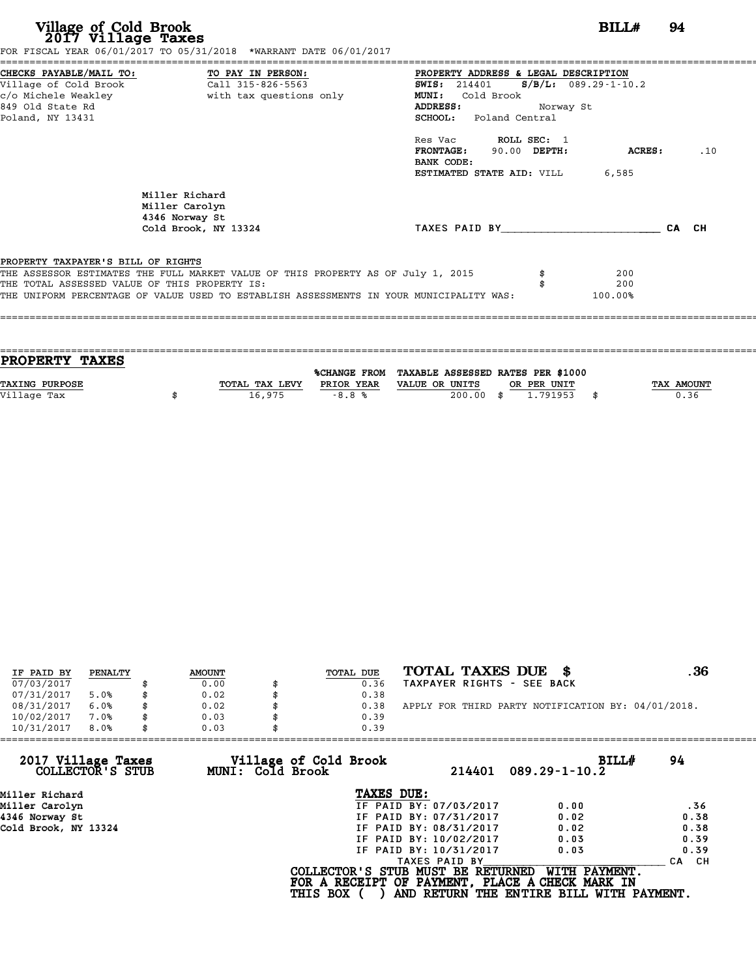| Village of Cold Brook<br>2017 Village Taxes<br>FOR FISCAL YEAR 06/01/2017 TO 05/31/2018 *WARRANT DATE 06/01/2017                                                                                                                                                   | BILL#                                                                                                                                                                      | 94    |
|--------------------------------------------------------------------------------------------------------------------------------------------------------------------------------------------------------------------------------------------------------------------|----------------------------------------------------------------------------------------------------------------------------------------------------------------------------|-------|
| CHECKS PAYABLE/MAIL TO: TO PAY IN PERSON:<br>Village of Cold Brook Call 315-826-5563<br>c/o Michele Weakley<br>with tax questions only<br>849 Old State Rd<br>Poland, NY 13431                                                                                     | PROPERTY ADDRESS & LEGAL DESCRIPTION<br>$S/B/L: 089.29 - 1 - 10.2$<br><b>SWIS:</b> 214401<br>Cold Brook<br><b>MUNI:</b><br>ADDRESS:<br>Norway St<br>SCHOOL: Poland Central |       |
|                                                                                                                                                                                                                                                                    | Res Vac ROLL SEC: 1<br>FRONTAGE: 90.00 DEPTH:<br>ACRES:<br>BANK CODE:<br><b>ESTIMATED STATE AID:</b> VILL 6,585                                                            | .10   |
| Miller Richard<br>Miller Carolyn<br>4346 Norway St<br>Cold Brook, NY 13324                                                                                                                                                                                         | TAXES PAID BY TAXES                                                                                                                                                        | CA CH |
| PROPERTY TAXPAYER'S BILL OF RIGHTS<br>THE ASSESSOR ESTIMATES THE FULL MARKET VALUE OF THIS PROPERTY AS OF July 1, 2015<br>THE TOTAL ASSESSED VALUE OF THIS PROPERTY IS:<br>THE UNIFORM PERCENTAGE OF VALUE USED TO ESTABLISH ASSESSMENTS IN YOUR MUNICIPALITY WAS: | 200<br>\$<br>200<br>100.00%                                                                                                                                                |       |

| PROPERTY TAXES        |                |                     |                                   |      |             |    |            |
|-----------------------|----------------|---------------------|-----------------------------------|------|-------------|----|------------|
|                       |                | <b>%CHANGE FROM</b> | TAXABLE ASSESSED RATES PER \$1000 |      |             |    |            |
|                       |                |                     |                                   |      |             |    |            |
| <b>TAXING PURPOSE</b> | TOTAL TAX LEVY | PRIOR YEAR          | VALUE OR UNITS                    |      | OR PER UNIT |    | TAX AMOUNT |
| Village Tax           | 16,975         | $-8.8%$             | 200.00                            | - \$ | 1.791953    | -8 | 0.36       |
|                       |                |                     |                                   |      |             |    |            |

| IF PAID BY | PENALTY |    | <b>AMOUNT</b> | TOTAL DUE | TOTAL TAXES DUE<br>- 86                            | . 36 |
|------------|---------|----|---------------|-----------|----------------------------------------------------|------|
| 07/03/2017 |         |    | 0.00          | 0.36      | TAXPAYER RIGHTS - SEE BACK                         |      |
| 07/31/2017 | 5.0%    | S  | 0.02          | 0.38      |                                                    |      |
| 08/31/2017 | 6.0%    | \$ | 0.02          | 0.38      | APPLY FOR THIRD PARTY NOTIFICATION BY: 04/01/2018. |      |
| 10/02/2017 | 7.0%    |    | 0.03          | 0.39      |                                                    |      |
| 10/31/2017 | 8.0%    | \$ | 0.03          | 0.39      |                                                    |      |

| 10/31/2017<br>8.0%                     | 0.03                                      | 0.39                                                                                 |                                                           |       |
|----------------------------------------|-------------------------------------------|--------------------------------------------------------------------------------------|-----------------------------------------------------------|-------|
| 2017 Village Taxes<br>COLLECTOR'S STUB | Village of Cold Brook<br>MUNI: Cold Brook | 214401                                                                               | BILLH<br>$089.29 - 1 - 10.2$                              | 94    |
| Miller Richard                         |                                           | TAXES DUE:                                                                           |                                                           |       |
| Miller Carolyn                         |                                           | IF PAID BY: 07/03/2017                                                               | 0.00                                                      | .36   |
| 4346 Norway St                         |                                           | IF PAID BY: 07/31/2017                                                               | 0.02                                                      | 0.38  |
| Cold Brook, NY 13324                   |                                           | IF PAID BY: 08/31/2017                                                               | 0.02                                                      | 0.38  |
|                                        |                                           | IF PAID BY: 10/02/2017                                                               | 0.03                                                      | 0.39  |
|                                        |                                           | IF PAID BY: 10/31/2017                                                               | 0.03                                                      | 0.39  |
|                                        |                                           | TAXES PAID BY                                                                        |                                                           | CA CH |
|                                        | <b>THIS BOX</b>                           | COLLECTOR'S STUB MUST BE RETURNED<br>FOR A RECEIPT OF PAYMENT, PLACE A CHECK MARK IN | WITH PAYMENT.<br>AND RETURN THE ENTIRE BILL WITH PAYMENT. |       |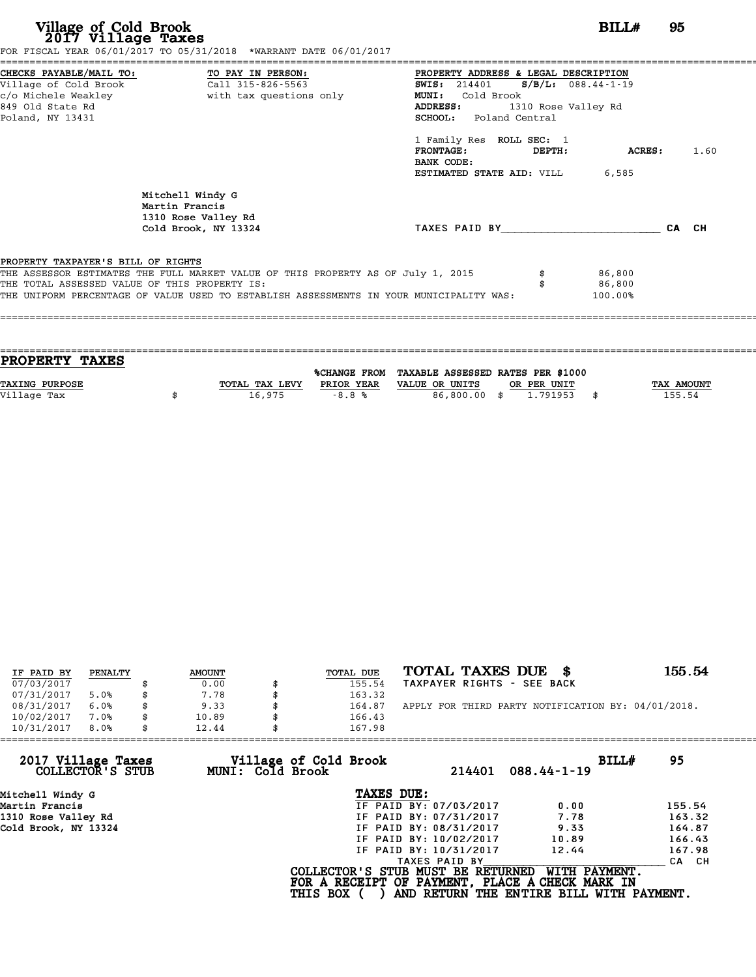| Village of Cold Brook<br>2017 Village Taxes                                                                                       | FOR FISCAL YEAR 06/01/2017 TO 05/31/2018 *WARRANT DATE 06/01/2017                                                                                                           | BILL#                                                                                                                                                    | 95            |      |
|-----------------------------------------------------------------------------------------------------------------------------------|-----------------------------------------------------------------------------------------------------------------------------------------------------------------------------|----------------------------------------------------------------------------------------------------------------------------------------------------------|---------------|------|
| CHECKS PAYABLE/MAIL TO: TO PAY IN PERSON:<br>Village of Cold Brook<br>c/o Michele Weakley<br>849 Old State Rd<br>Poland, NY 13431 | Call 315-826-5563<br>with tax questions only                                                                                                                                | PROPERTY ADDRESS & LEGAL DESCRIPTION<br>SWIS: 214401 S/B/L: 088.44-1-19<br>MUNI: Cold Brook<br>ADDRESS:<br>1310 Rose Valley Rd<br>SCHOOL: Poland Central |               |      |
|                                                                                                                                   |                                                                                                                                                                             | 1 Family Res ROLL SEC: 1<br><b>FRONTAGE:</b><br>DEPTH:<br>BANK CODE:<br><b>ESTIMATED STATE AID:</b> VILL 6,585                                           | <b>ACRES:</b> | 1.60 |
|                                                                                                                                   | Mitchell Windy G<br>Martin Francis<br>1310 Rose Valley Rd<br>Cold Brook, NY 13324                                                                                           | TAXES PAID BY                                                                                                                                            | CA CH         |      |
| PROPERTY TAXPAYER'S BILL OF RIGHTS<br>THE TOTAL ASSESSED VALUE OF THIS PROPERTY IS:                                               | THE ASSESSOR ESTIMATES THE FULL MARKET VALUE OF THIS PROPERTY AS OF July 1, 2015<br>THE UNIFORM PERCENTAGE OF VALUE USED TO ESTABLISH ASSESSMENTS IN YOUR MUNICIPALITY WAS: | 86,800<br>86,800<br>100.00%                                                                                                                              |               |      |

| <b>PROPERTY TAXES</b> |                |            |                                                |             |                   |
|-----------------------|----------------|------------|------------------------------------------------|-------------|-------------------|
|                       |                |            |                                                |             |                   |
|                       |                |            | %CHANGE FROM TAXABLE ASSESSED RATES PER \$1000 |             |                   |
| <b>TAXING PURPOSE</b> | TOTAL TAX LEVY | PRIOR YEAR | VALUE OR UNITS                                 | OR PER UNIT | <b>TAX AMOUNT</b> |
| Village Tax           | 16,975         | $-8.8%$    | 86,800,00 \$                                   | 1.791953    | 155.54            |
|                       |                |            |                                                |             |                   |
|                       |                |            |                                                |             |                   |

| IF PAID BY | PENALTY |   | <b>AMOUNT</b> | TOTAL DUE | TOTAL TAXES DUE<br>- SS                            | 155.54 |
|------------|---------|---|---------------|-----------|----------------------------------------------------|--------|
| 07/03/2017 |         |   | 0.00          | 155.54    | TAXPAYER RIGHTS - SEE BACK                         |        |
| 07/31/2017 | 5.0%    |   | 7.78          | 163.32    |                                                    |        |
| 08/31/2017 | 6.0%    |   | 9.33          | 164.87    | APPLY FOR THIRD PARTY NOTIFICATION BY: 04/01/2018. |        |
| 10/02/2017 | 7.0%    |   | 10.89         | 166.43    |                                                    |        |
| 10/31/2017 | 8.0%    | S | 12.44         | 167.98    |                                                    |        |

| 167.98          |                                           |                                                                                                                                                               |                                                                                                                                  |
|-----------------|-------------------------------------------|---------------------------------------------------------------------------------------------------------------------------------------------------------------|----------------------------------------------------------------------------------------------------------------------------------|
|                 | 214401                                    | BILLH<br>$088.44 - 1 - 19$                                                                                                                                    | 95                                                                                                                               |
|                 |                                           |                                                                                                                                                               |                                                                                                                                  |
|                 |                                           | 0.00                                                                                                                                                          | 155.54                                                                                                                           |
|                 |                                           | 7.78                                                                                                                                                          | 163.32                                                                                                                           |
|                 |                                           | 9.33                                                                                                                                                          | 164.87                                                                                                                           |
|                 |                                           | 10.89                                                                                                                                                         | 166.43                                                                                                                           |
|                 |                                           | 12.44                                                                                                                                                         | 167.98                                                                                                                           |
|                 |                                           |                                                                                                                                                               | CA CH                                                                                                                            |
| <b>THIS BOX</b> |                                           | WITH PAYMENT.                                                                                                                                                 |                                                                                                                                  |
|                 | Village of Cold Brook<br>MUNI: Cold Brook | TAXES DUE:<br>IF PAID BY: 07/03/2017<br>IF PAID BY: 07/31/2017<br>IF PAID BY: 08/31/2017<br>IF PAID BY: 10/02/2017<br>IF PAID BY: 10/31/2017<br>TAXES PAID BY | COLLECTOR'S STUB MUST BE RETURNED<br>FOR A RECEIPT OF PAYMENT, PLACE A CHECK MARK IN<br>AND RETURN THE ENTIRE BILL WITH PAYMENT. |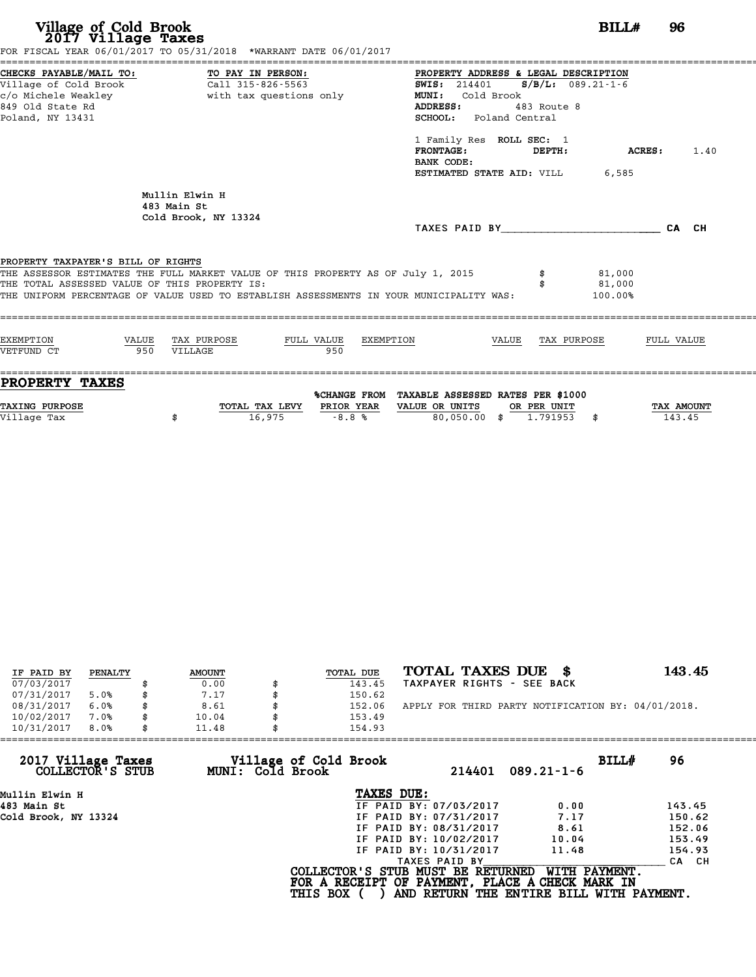| Village of Cold Brook<br>2017 Village Taxes                                                                     | FOR FISCAL YEAR 06/01/2017 TO 05/31/2018 *WARRANT DATE 06/01/2017                                                                                                           | BILL#                                                                                                                                                                           | 96             |  |  |  |
|-----------------------------------------------------------------------------------------------------------------|-----------------------------------------------------------------------------------------------------------------------------------------------------------------------------|---------------------------------------------------------------------------------------------------------------------------------------------------------------------------------|----------------|--|--|--|
| CHECKS PAYABLE/MAIL TO:<br>Village of Cold Brook<br>c/o Michele Weakley<br>849 Old State Rd<br>Poland, NY 13431 | TO PAY IN PERSON:<br>Call 315-826-5563<br>with tax questions only                                                                                                           | PROPERTY ADDRESS & LEGAL DESCRIPTION<br>$S/B/L: 089.21-1-6$<br><b>SWIS: 214401</b><br><b>MUNI:</b><br>Cold Brook<br>ADDRESS:<br>483 Route 8<br>Poland Central<br><b>SCHOOL:</b> |                |  |  |  |
|                                                                                                                 |                                                                                                                                                                             | 1 Family Res ROLL SEC: 1<br><b>FRONTAGE:</b><br>DEPTH:<br>BANK CODE:<br><b>ESTIMATED STATE AID:</b> VILL 6,585                                                                  | ACRES:<br>1.40 |  |  |  |
|                                                                                                                 | Mullin Elwin H<br>483 Main St<br>Cold Brook, NY 13324                                                                                                                       | TAXES PAID BY                                                                                                                                                                   | CA CH          |  |  |  |
| PROPERTY TAXPAYER'S BILL OF RIGHTS<br>THE TOTAL ASSESSED VALUE OF THIS PROPERTY IS:                             | THE ASSESSOR ESTIMATES THE FULL MARKET VALUE OF THIS PROPERTY AS OF July 1, 2015<br>THE UNIFORM PERCENTAGE OF VALUE USED TO ESTABLISH ASSESSMENTS IN YOUR MUNICIPALITY WAS: | 81,000<br>81,000<br>100.00%                                                                                                                                                     |                |  |  |  |
| <b>EXEMPTION</b><br>VALUE                                                                                       | TAX PURPOSE<br>FULL VALUE<br>EXEMPTION<br>950<br>VILLAGE                                                                                                                    | VALUE<br>TAX PURPOSE                                                                                                                                                            | FULL VALUE     |  |  |  |
| VETFUND CT<br>950                                                                                               |                                                                                                                                                                             |                                                                                                                                                                                 |                |  |  |  |

| IF PAID BY | PENALTY | <b>AMOUNT</b> | TOTAL DUE | TOTAL TAXES DUE<br>- 8                             | 143.45 |
|------------|---------|---------------|-----------|----------------------------------------------------|--------|
| 07/03/2017 |         | 0.00          | 143.45    | TAXPAYER RIGHTS - SEE BACK                         |        |
| 07/31/2017 | 5.0%    | 7.17          | 150.62    |                                                    |        |
| 08/31/2017 | 6.0%    | 8.61          | 152.06    | APPLY FOR THIRD PARTY NOTIFICATION BY: 04/01/2018. |        |
| 10/02/2017 | 7.0%    | \$<br>10.04   | 153.49    |                                                    |        |
| 10/31/2017 | 8.0%    | \$<br>11.48   | 154.93    |                                                    |        |

| 154.93          |                                           |                                                                                                                                              |                                                                                                                                                   |
|-----------------|-------------------------------------------|----------------------------------------------------------------------------------------------------------------------------------------------|---------------------------------------------------------------------------------------------------------------------------------------------------|
|                 | 214401                                    | $089.21 - 1 - 6$                                                                                                                             | BILLH<br>96                                                                                                                                       |
|                 |                                           |                                                                                                                                              |                                                                                                                                                   |
|                 |                                           | 0.00                                                                                                                                         | 143.45                                                                                                                                            |
|                 |                                           | 7.17                                                                                                                                         | 150.62                                                                                                                                            |
|                 |                                           | 8.61                                                                                                                                         | 152.06                                                                                                                                            |
|                 |                                           | 10.04                                                                                                                                        | 153.49                                                                                                                                            |
|                 |                                           | 11.48                                                                                                                                        | 154.93                                                                                                                                            |
|                 | TAXES PAID BY                             |                                                                                                                                              | CA CH                                                                                                                                             |
| <b>THIS BOX</b> |                                           |                                                                                                                                              |                                                                                                                                                   |
|                 | Village of Cold Brook<br>MUNI: Cold Brook | TAXES DUE:<br>IF PAID BY: 07/03/2017<br>IF PAID BY: 07/31/2017<br>IF PAID BY: 08/31/2017<br>IF PAID BY: 10/02/2017<br>IF PAID BY: 10/31/2017 | COLLECTOR'S STUB MUST BE RETURNED<br>WITH PAYMENT.<br>FOR A RECEIPT OF PAYMENT, PLACE A CHECK MARK IN<br>AND RETURN THE ENTIRE BILL WITH PAYMENT. |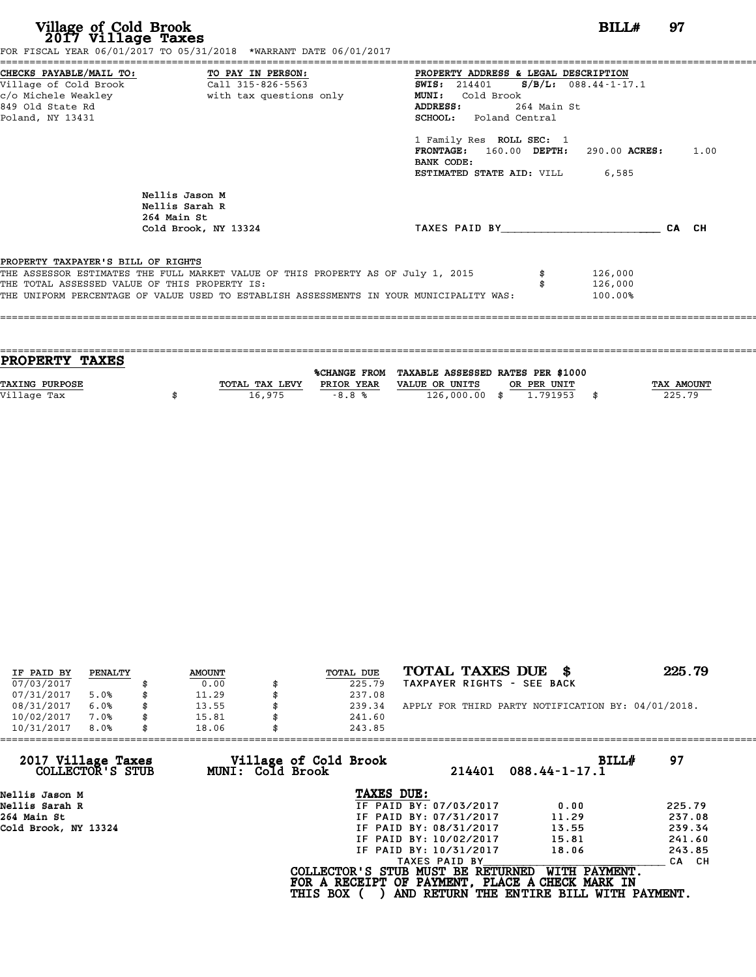| Village of Cold Brook<br>2017 Village Taxes                                          | FOR FISCAL YEAR 06/01/2017 TO 05/31/2018 *WARRANT DATE 06/01/2017                                                                                                           |                                                                                                                                                                                                                                                                                                                             | BILLH                         | 97    |
|--------------------------------------------------------------------------------------|-----------------------------------------------------------------------------------------------------------------------------------------------------------------------------|-----------------------------------------------------------------------------------------------------------------------------------------------------------------------------------------------------------------------------------------------------------------------------------------------------------------------------|-------------------------------|-------|
| Village of Cold Brook<br>c/o Michele Weakley<br>849 Old State Rd<br>Poland, NY 13431 | CHECKS PAYABLE/MAIL TO: TO PAY IN PERSON:<br>Call 315-826-5563<br>with tax questions only                                                                                   | PROPERTY ADDRESS & LEGAL DESCRIPTION<br>$S/B/L: 088.44-1-17.1$<br><b>SWIS:</b> 214401<br>Cold Brook<br><b>MUNI:</b><br>264 Main St<br>ADDRESS:<br><b>SCHOOL:</b> Poland Central<br>1 Family Res ROLL SEC: 1<br>160.00 DEPTH: 290.00 ACRES: 1.00<br><b>FRONTAGE:</b><br>BANK CODE:<br><b>ESTIMATED STATE AID:</b> VILL 6,585 |                               |       |
|                                                                                      | Nellis Jason M<br>Nellis Sarah R<br>264 Main St<br>Cold Brook, NY 13324                                                                                                     | TAXES PAID BY                                                                                                                                                                                                                                                                                                               |                               | CA CH |
| PROPERTY TAXPAYER'S BILL OF RIGHTS<br>THE TOTAL ASSESSED VALUE OF THIS PROPERTY IS:  | THE ASSESSOR ESTIMATES THE FULL MARKET VALUE OF THIS PROPERTY AS OF July 1, 2015<br>THE UNIFORM PERCENTAGE OF VALUE USED TO ESTABLISH ASSESSMENTS IN YOUR MUNICIPALITY WAS: |                                                                                                                                                                                                                                                                                                                             | 126,000<br>126,000<br>100.00% |       |

| <b>PROPERTY TAXES</b> |                |            |                                                |             |                   |
|-----------------------|----------------|------------|------------------------------------------------|-------------|-------------------|
|                       |                |            | %CHANGE FROM TAXABLE ASSESSED RATES PER \$1000 |             |                   |
| <b>TAXING PURPOSE</b> | TOTAL TAX LEVY | PRIOR YEAR | VALUE OR UNITS                                 | OR PER UNIT | <b>TAX AMOUNT</b> |
| Village Tax           | 16,975         | $-8.8%$    | 126,000.00 \$                                  | 1.791953    | 225.79            |
|                       |                |            |                                                |             |                   |

| IF PAID BY | PENALTY | <b>AMOUNT</b> | TOTAL DUE | TOTAL TAXES DUE<br>- SS                            | 225.79 |
|------------|---------|---------------|-----------|----------------------------------------------------|--------|
| 07/03/2017 |         | 0.00          | 225.79    | TAXPAYER RIGHTS - SEE BACK                         |        |
| 07/31/2017 | 5.0%    | 11.29         | 237.08    |                                                    |        |
| 08/31/2017 | 6.0%    | \$<br>13.55   | 239.34    | APPLY FOR THIRD PARTY NOTIFICATION BY: 04/01/2018. |        |
| 10/02/2017 | 7.0%    | \$<br>15.81   | 241.60    |                                                    |        |
| 10/31/2017 | 8.0%    | \$<br>18.06   | 243.85    |                                                    |        |

| 10/31/2017<br>8.0%                     | 18.06                                     | 243.85                                                                               |                                                           |        |
|----------------------------------------|-------------------------------------------|--------------------------------------------------------------------------------------|-----------------------------------------------------------|--------|
| 2017 Village Taxes<br>COLLECTOR'S STUB | Village of Cold Brook<br>MUNI: Cold Brook | 214401                                                                               | BILL#<br>$088.44 - 1 - 17.1$                              | 97     |
| Nellis Jason M                         |                                           | TAXES DUE:                                                                           |                                                           |        |
| Nellis Sarah R                         |                                           | IF PAID BY: 07/03/2017                                                               | 0.00                                                      | 225.79 |
| 264 Main St                            |                                           | IF PAID BY: 07/31/2017                                                               | 11.29                                                     | 237.08 |
| Cold Brook, NY 13324                   |                                           | IF PAID BY: 08/31/2017                                                               | 13.55                                                     | 239.34 |
|                                        |                                           | IF PAID BY: 10/02/2017                                                               | 15.81                                                     | 241.60 |
|                                        |                                           | IF PAID BY: 10/31/2017                                                               | 18.06                                                     | 243.85 |
|                                        |                                           | TAXES PAID BY                                                                        |                                                           | CA CH  |
|                                        | <b>THIS BOX</b>                           | COLLECTOR'S STUB MUST BE RETURNED<br>FOR A RECEIPT OF PAYMENT, PLACE A CHECK MARK IN | WITH PAYMENT.<br>AND RETURN THE ENTIRE BILL WITH PAYMENT. |        |
|                                        |                                           |                                                                                      |                                                           |        |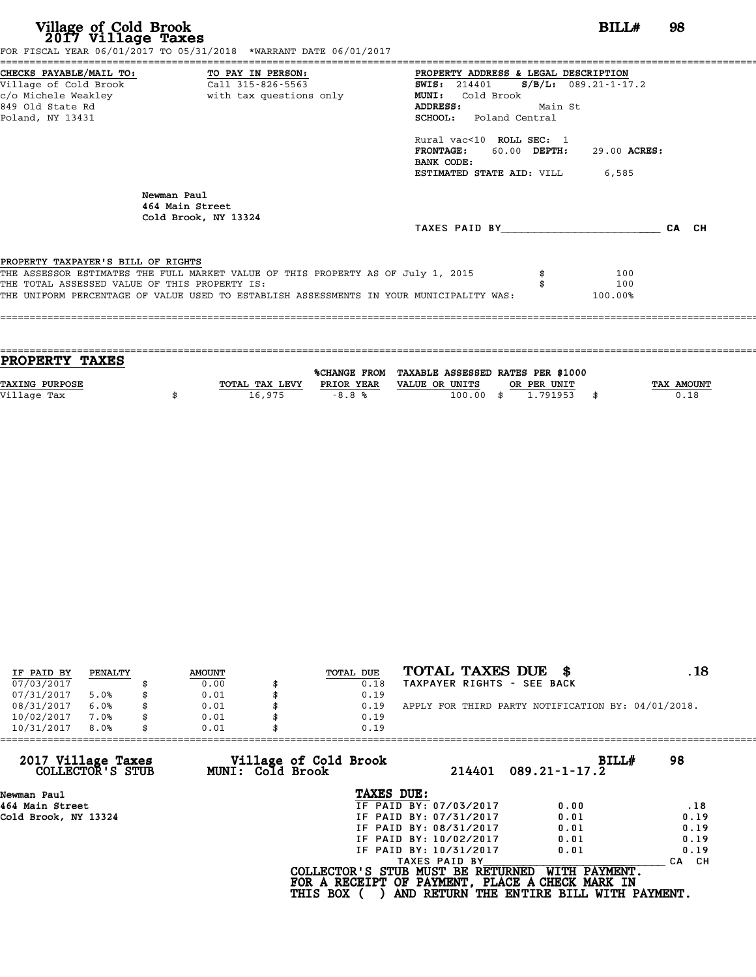| Village of Cold Brook<br>2017 Village Taxes<br>FOR FISCAL YEAR 06/01/2017 TO 05/31/2018 *WARRANT DATE 06/01/2017                                                                                                                                                   | BILL#                                                                                                                                                                                                                                                                                                                  | 98    |
|--------------------------------------------------------------------------------------------------------------------------------------------------------------------------------------------------------------------------------------------------------------------|------------------------------------------------------------------------------------------------------------------------------------------------------------------------------------------------------------------------------------------------------------------------------------------------------------------------|-------|
| CHECKS PAYABLE/MAIL TO:<br>TO PAY IN PERSON:<br>Village of Cold Brook<br>Call 315-826-5563<br>c/o Michele Weakley<br>with tax questions only<br>849 Old State Rd<br>Poland, NY 13431                                                                               | PROPERTY ADDRESS & LEGAL DESCRIPTION<br><b>SWIS:</b> 214401 <b>S</b> /B/L: 089.21-1-17.2<br>Cold Brook<br><b>MUNI:</b><br>ADDRESS:<br>Main St<br><b>SCHOOL:</b> Poland Central<br>Rural vac<10 ROLL SEC: 1<br><b>FRONTAGE:</b><br>60.00 DEPTH:<br>29.00 ACRES:<br>BANK CODE:<br><b>ESTIMATED STATE AID:</b> VILL 6,585 |       |
| Newman Paul<br>464 Main Street<br>Cold Brook, NY 13324                                                                                                                                                                                                             | TAXES PAID BY                                                                                                                                                                                                                                                                                                          | CA CH |
| PROPERTY TAXPAYER'S BILL OF RIGHTS<br>THE ASSESSOR ESTIMATES THE FULL MARKET VALUE OF THIS PROPERTY AS OF July 1, 2015<br>THE TOTAL ASSESSED VALUE OF THIS PROPERTY IS:<br>THE UNIFORM PERCENTAGE OF VALUE USED TO ESTABLISH ASSESSMENTS IN YOUR MUNICIPALITY WAS: | 100<br>100<br>100.00%                                                                                                                                                                                                                                                                                                  |       |

| PROPERTY TAXES        |                |            |                                                |             |                   |
|-----------------------|----------------|------------|------------------------------------------------|-------------|-------------------|
|                       |                |            | %CHANGE FROM TAXABLE ASSESSED RATES PER \$1000 |             |                   |
| <b>TAXING PURPOSE</b> | TOTAL TAX LEVY | PRIOR YEAR | VALUE OR UNITS                                 | OR PER UNIT | <b>TAX AMOUNT</b> |
| Village Tax           | 16,975         | $-8.8%$    | $100.00$ \$                                    | 1.791953    | 0.18              |
|                       |                |            |                                                |             |                   |

| IF PAID BY | PENALTY | <b>AMOUNT</b> | TOTAL DUE | TOTAL TAXES DUE<br>- \$                            | . 18 |
|------------|---------|---------------|-----------|----------------------------------------------------|------|
| 07/03/2017 |         | 0.00          | 0.18      | TAXPAYER RIGHTS - SEE BACK                         |      |
| 07/31/2017 | 5.0%    | 0.01          | 0.19      |                                                    |      |
| 08/31/2017 | 6.0%    | 0.01          | 0.19      | APPLY FOR THIRD PARTY NOTIFICATION BY: 04/01/2018. |      |
| 10/02/2017 | 7.0%    | 0.01          | 0.19      |                                                    |      |
| 10/31/2017 | 8.0%    | 0.01          | 0.19      |                                                    |      |
|            |         |               |           |                                                    |      |

| 214401                 | BILLH<br>$089.21 - 1 - 17.2$                                 | 98                                                                                                                                               |
|------------------------|--------------------------------------------------------------|--------------------------------------------------------------------------------------------------------------------------------------------------|
| TAXES DUE:             |                                                              |                                                                                                                                                  |
| IF PAID BY: 07/03/2017 | 0.00                                                         | .18                                                                                                                                              |
| IF PAID BY: 07/31/2017 | 0.01                                                         | 0.19                                                                                                                                             |
| IF PAID BY: 08/31/2017 | 0.01                                                         | 0.19                                                                                                                                             |
| IF PAID BY: 10/02/2017 | 0.01                                                         | 0.19                                                                                                                                             |
| IF PAID BY: 10/31/2017 | 0.01                                                         | 0.19                                                                                                                                             |
| TAXES PAID BY          |                                                              | CA CH                                                                                                                                            |
|                        | WITH PAYMENT.                                                |                                                                                                                                                  |
|                        | Village of Cold Brook<br>MUNI: Cold Brook<br><b>THIS BOX</b> | 0.01<br>0.19<br>COLLECTOR'S STUB MUST BE RETURNED<br>FOR A RECEIPT OF PAYMENT, PLACE A CHECK MARK IN<br>AND RETURN THE ENTIRE BILL WITH PAYMENT. |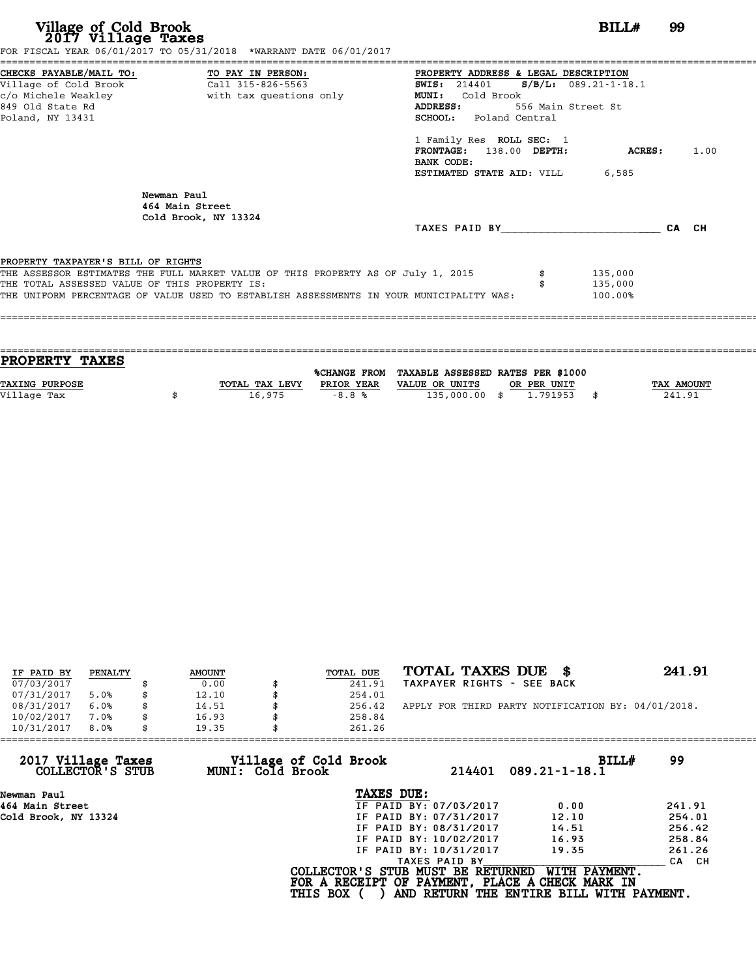**Village of Cold Brook**<br> **2017 Village Taxes**<br>
FOR FISCAL YEAR 06/01/2017 TO 05/31/2018 \*WARRANT DATE 06/01/2017<br> **POR FISCAL YEAR 06/01/2017** TO 05/31/2018 \*WARRANT DATE 06/01/2017

|                                               | FOR FISCAL YEAR 06/01/2017 TO 05/31/2018 *WARRANT DATE 06/01/2017                       |                                                 |         |      |
|-----------------------------------------------|-----------------------------------------------------------------------------------------|-------------------------------------------------|---------|------|
|                                               | CHECKS PAYABLE/MAIL TO: TO PAY IN PERSON:                                               | PROPERTY ADDRESS & LEGAL DESCRIPTION            |         |      |
|                                               | Village of Cold Brook Call 315-826-5563                                                 | <b>SWIS:</b> 214401 <b>S/B/L:</b> 089.21-1-18.1 |         |      |
|                                               |                                                                                         | MUNI: Cold Brook                                |         |      |
| 849 Old State Rd                              |                                                                                         | ADDRESS: 556 Main Street St                     |         |      |
| Poland, NY 13431                              |                                                                                         | <b>SCHOOL:</b> Poland Central                   |         |      |
|                                               |                                                                                         | 1 Family Res ROLL SEC: 1                        |         |      |
|                                               |                                                                                         | FRONTAGE: 138.00 DEPTH:                         | ACRES:  | 1.00 |
|                                               |                                                                                         | BANK CODE:                                      |         |      |
|                                               |                                                                                         | <b>ESTIMATED STATE AID:</b> VILL 6,585          |         |      |
|                                               | Newman Paul<br>464 Main Street<br>Cold Brook, NY 13324                                  |                                                 |         |      |
|                                               |                                                                                         | TAXES PAID BY CA CH                             |         |      |
|                                               |                                                                                         |                                                 |         |      |
| PROPERTY TAXPAYER'S BILL OF RIGHTS            |                                                                                         |                                                 |         |      |
|                                               | THE ASSESSOR ESTIMATES THE FULL MARKET VALUE OF THIS PROPERTY AS OF July 1, 2015        |                                                 | 135,000 |      |
| THE TOTAL ASSESSED VALUE OF THIS PROPERTY IS: |                                                                                         |                                                 | 135,000 |      |
|                                               | THE UNIFORM PERCENTAGE OF VALUE USED TO ESTABLISH ASSESSMENTS IN YOUR MUNICIPALITY WAS: |                                                 | 100.00% |      |
|                                               |                                                                                         |                                                 |         |      |
|                                               |                                                                                         |                                                 |         |      |

| PROPERTY TAXES        |                |            |                                                |             |                   |
|-----------------------|----------------|------------|------------------------------------------------|-------------|-------------------|
|                       |                |            |                                                |             |                   |
|                       |                |            | %CHANGE FROM TAXABLE ASSESSED RATES PER \$1000 |             |                   |
| <b>TAXING PURPOSE</b> | TOTAL TAX LEVY | PRIOR YEAR | VALUE OR UNITS                                 | OR PER UNIT | <b>TAX AMOUNT</b> |
| Village Tax           | 16,975         | $-8.8%$    | 135,000.00 \$                                  | 1.791953    | 241.91            |
|                       |                |            |                                                |             |                   |

| IF PAID BY | PENALTY |   | <b>AMOUNT</b> | TOTAL DUE | TOTAL TAXES DUE<br>- \$                            | 241.91 |
|------------|---------|---|---------------|-----------|----------------------------------------------------|--------|
| 07/03/2017 |         |   | 0.00          | 241.91    | TAXPAYER RIGHTS - SEE BACK                         |        |
| 07/31/2017 | 5.0%    |   | 12.10         | 254.01    |                                                    |        |
| 08/31/2017 | 6.0%    | S | 14.51         | 256.42    | APPLY FOR THIRD PARTY NOTIFICATION BY: 04/01/2018. |        |
| 10/02/2017 | 7.0%    |   | 16.93         | 258.84    |                                                    |        |
| 10/31/2017 | 8.0%    | S | 19.35         | 261.26    |                                                    |        |

| 10/31/2017<br>8.0%                     | 19.35            | 261.26                            |                        |                                                                  |        |
|----------------------------------------|------------------|-----------------------------------|------------------------|------------------------------------------------------------------|--------|
| 2017 Village Taxes<br>COLLECTOR'S STUB | MUNI: Cold Brook | Village of Cold Brook             | 214401                 | BILLH<br>$089.21 - 1 - 18.1$                                     | 99     |
| Newman Paul                            |                  | TAXES DUE:                        |                        |                                                                  |        |
| 464 Main Street                        |                  |                                   | IF PAID BY: 07/03/2017 | 0.00                                                             | 241.91 |
| Cold Brook, NY 13324                   |                  |                                   | IF PAID BY: 07/31/2017 | 12.10                                                            | 254.01 |
|                                        |                  |                                   | IF PAID BY: 08/31/2017 | 14.51                                                            | 256.42 |
|                                        |                  |                                   | IF PAID BY: 10/02/2017 | 16.93                                                            | 258.84 |
|                                        |                  |                                   | IF PAID BY: 10/31/2017 | 19.35                                                            | 261.26 |
|                                        |                  |                                   | TAXES PAID BY          |                                                                  | CA CH  |
|                                        |                  | COLLECTOR'S STUB MUST BE RETURNED |                        | WITH PAYMENT.<br>FOR A RECEIPT OF PAYMENT, PLACE A CHECK MARK IN |        |
|                                        |                  | <b>THIS BOX</b>                   |                        | AND RETURN THE ENTIRE BILL WITH PAYMENT.                         |        |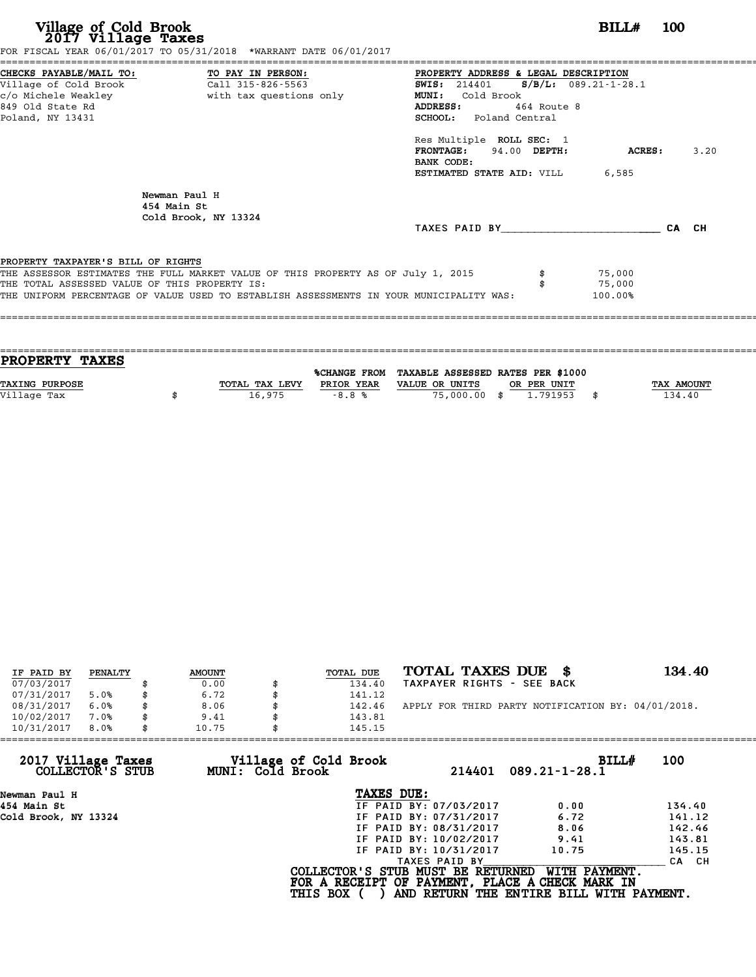| Village of Cold Brook<br>2017 Village Taxes                                            | FOR FISCAL YEAR 06/01/2017 TO 05/31/2018 *WARRANT DATE 06/01/2017                                                                                                           | BILL#                                                                                                                                                                                                                                                                                      | <b>100</b>    |       |
|----------------------------------------------------------------------------------------|-----------------------------------------------------------------------------------------------------------------------------------------------------------------------------|--------------------------------------------------------------------------------------------------------------------------------------------------------------------------------------------------------------------------------------------------------------------------------------------|---------------|-------|
| =====================<br>Village of Cold Brook<br>849 Old State Rd<br>Poland, NY 13431 | CHECKS PAYABLE/MAIL TO: TO PAY IN PERSON:<br>Call 315-826-5563                                                                                                              | PROPERTY ADDRESS & LEGAL DESCRIPTION<br>SWIS: $214401$ S/B/L: 089.21-1-28.1<br>Cold Brook<br><b>MUNI:</b><br><b>ADDRESS:</b><br>464 Route 8<br><b>SCHOOL:</b> Poland Central<br>Res Multiple ROLL SEC: 1<br>FRONTAGE: 94.00 DEPTH:<br>BANK CODE:<br><b>ESTIMATED STATE AID:</b> VILL 6,585 | <b>ACRES:</b> | 3.20  |
|                                                                                        | Newman Paul H<br>454 Main St<br>Cold Brook, NY 13324                                                                                                                        | TAXES PAID BY TAXES                                                                                                                                                                                                                                                                        |               | CA CH |
| PROPERTY TAXPAYER'S BILL OF RIGHTS<br>THE TOTAL ASSESSED VALUE OF THIS PROPERTY IS:    | THE ASSESSOR ESTIMATES THE FULL MARKET VALUE OF THIS PROPERTY AS OF July 1, 2015<br>THE UNIFORM PERCENTAGE OF VALUE USED TO ESTABLISH ASSESSMENTS IN YOUR MUNICIPALITY WAS: | 75,000<br>75,000<br>100.00%                                                                                                                                                                                                                                                                |               |       |

| <b>PROPERTY TAXES</b> |                |                     |                                   |             |            |
|-----------------------|----------------|---------------------|-----------------------------------|-------------|------------|
|                       |                | <b>%CHANGE FROM</b> | TAXABLE ASSESSED RATES PER \$1000 |             |            |
|                       |                |                     |                                   |             |            |
| <b>TAXING PURPOSE</b> | TOTAL TAX LEVY | PRIOR YEAR          | VALUE OR UNITS                    | OR PER UNIT | TAX AMOUNT |
| Village Tax           | 16,975         | $-8.8%$             | 75,000.00 \$                      | 1.791953    | 134.40     |
|                       |                |                     |                                   |             |            |

| IF PAID BY | PENALTY |   | <b>AMOUNT</b> | TOTAL DUE | TOTAL TAXES DUE<br>- SS                            | 134.40 |
|------------|---------|---|---------------|-----------|----------------------------------------------------|--------|
| 07/03/2017 |         |   | 0.00          | 134.40    | TAXPAYER RIGHTS - SEE BACK                         |        |
| 07/31/2017 | 5.0%    |   | 6.72          | 141.12    |                                                    |        |
| 08/31/2017 | 6.0%    |   | 8.06          | 142.46    | APPLY FOR THIRD PARTY NOTIFICATION BY: 04/01/2018. |        |
| 10/02/2017 | 7.0%    |   | 9.41          | 143.81    |                                                    |        |
| 10/31/2017 | 8.0%    | S | 10.75         | 145.15    |                                                    |        |

| 10/31/2017                             | 8.0% | 10.75 |                  | 145.15                                               |                        |                                                                                                              |        |
|----------------------------------------|------|-------|------------------|------------------------------------------------------|------------------------|--------------------------------------------------------------------------------------------------------------|--------|
| 2017 Village Taxes<br>COLLECTOR'S STUB |      |       | MUNI: Cold Brook | Village of Cold Brook                                | 214401                 | BILLH<br>$089.21 - 1 - 28.1$                                                                                 | 100    |
| Newman Paul H                          |      |       |                  | TAXES DUE:                                           |                        |                                                                                                              |        |
| 454 Main St                            |      |       |                  |                                                      | IF PAID BY: 07/03/2017 | 0.00                                                                                                         | 134.40 |
| Cold Brook, NY 13324                   |      |       |                  |                                                      | IF PAID BY: 07/31/2017 | 6.72                                                                                                         | 141.12 |
|                                        |      |       |                  |                                                      | IF PAID BY: 08/31/2017 | 8.06                                                                                                         | 142.46 |
|                                        |      |       |                  |                                                      | IF PAID BY: 10/02/2017 | 9.41                                                                                                         | 143.81 |
|                                        |      |       |                  |                                                      | IF PAID BY: 10/31/2017 | 10.75                                                                                                        | 145.15 |
|                                        |      |       |                  |                                                      | TAXES PAID BY          |                                                                                                              | CA CH  |
|                                        |      |       |                  | COLLECTOR'S STUB MUST BE RETURNED<br><b>THIS BOX</b> |                        | WITH PAYMENT.<br>FOR A RECEIPT OF PAYMENT, PLACE A CHECK MARK IN<br>AND RETURN THE ENTIRE BILL WITH PAYMENT. |        |
|                                        |      |       |                  |                                                      |                        |                                                                                                              |        |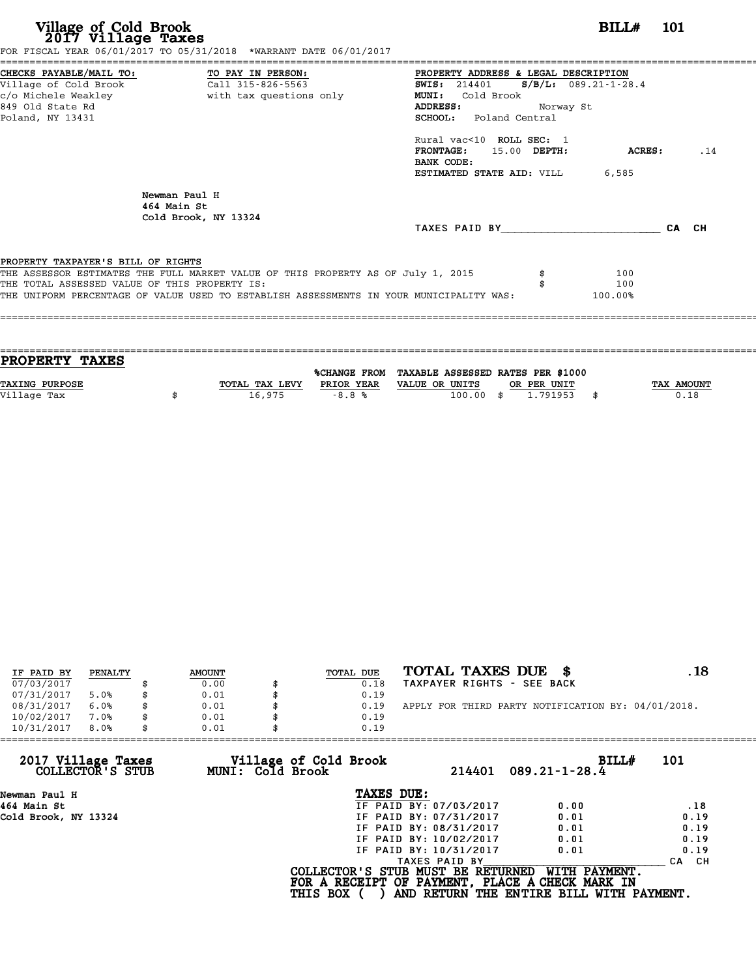| Village of Cold Brook<br>2017 Village Taxes                                                                                       | FOR FISCAL YEAR 06/01/2017 TO 05/31/2018 *WARRANT DATE 06/01/2017                                                                                                           | <b>BILL#</b> 101                                                                                                                                          |     |
|-----------------------------------------------------------------------------------------------------------------------------------|-----------------------------------------------------------------------------------------------------------------------------------------------------------------------------|-----------------------------------------------------------------------------------------------------------------------------------------------------------|-----|
| CHECKS PAYABLE/MAIL TO: TO PAY IN PERSON:<br>Village of Cold Brook<br>c/o Michele Weakley<br>849 Old State Rd<br>Poland, NY 13431 | Call 315-826-5563<br>with tax questions only                                                                                                                                | PROPERTY ADDRESS & LEGAL DESCRIPTION<br>SWIS: $214401$ S/B/L: 089.21-1-28.4<br>MUNI: Cold Brook<br>ADDRESS:<br>Norway St<br><b>SCHOOL:</b> Poland Central |     |
|                                                                                                                                   |                                                                                                                                                                             | Rural vac<10 ROLL SEC: 1<br><b>FRONTAGE:</b><br>15.00 DEPTH:<br>ACRES :<br>BANK CODE:<br><b>ESTIMATED STATE AID:</b> VILL 6,585                           | .14 |
|                                                                                                                                   | Newman Paul H<br>464 Main St<br>Cold Brook, NY 13324                                                                                                                        | TAXES PAID BY TAXES PAID BY<br>CA CH                                                                                                                      |     |
| PROPERTY TAXPAYER'S BILL OF RIGHTS<br>THE TOTAL ASSESSED VALUE OF THIS PROPERTY IS:                                               | THE ASSESSOR ESTIMATES THE FULL MARKET VALUE OF THIS PROPERTY AS OF July 1, 2015<br>THE UNIFORM PERCENTAGE OF VALUE USED TO ESTABLISH ASSESSMENTS IN YOUR MUNICIPALITY WAS: | 100<br>100<br>100.00%                                                                                                                                     |     |

| <b>PROPERTY TAXES</b> |                |            |                                                |             |                   |
|-----------------------|----------------|------------|------------------------------------------------|-------------|-------------------|
|                       |                |            |                                                |             |                   |
|                       |                |            | %CHANGE FROM TAXABLE ASSESSED RATES PER \$1000 |             |                   |
| <b>TAXING PURPOSE</b> | TOTAL TAX LEVY | PRIOR YEAR | VALUE OR UNITS                                 | OR PER UNIT | <b>TAX AMOUNT</b> |
| Village Tax           | 16,975         | $-8.8%$    | $100.00$ \$                                    | 1.791953    | 0.18              |
|                       |                |            |                                                |             |                   |

| IF PAID BY | PENALTY | <b>AMOUNT</b> | TOTAL DUE | TOTAL TAXES DUE \$                                 | . 18 |
|------------|---------|---------------|-----------|----------------------------------------------------|------|
| 07/03/2017 |         | 0.00          | 0.18      | TAXPAYER RIGHTS - SEE BACK                         |      |
| 07/31/2017 | 5.0%    | 0.01          | 0.19      |                                                    |      |
| 08/31/2017 | 6.0%    | 0.01          | 0.19      | APPLY FOR THIRD PARTY NOTIFICATION BY: 04/01/2018. |      |
| 10/02/2017 | 7.0%    | 0.01          | 0.19      |                                                    |      |
| 10/31/2017 | 8.0%    | 0.01          | 0.19      |                                                    |      |

| 10/31/2017<br>8.0%                     | 0.01             | 0.19                              |                        |                                                 |            |
|----------------------------------------|------------------|-----------------------------------|------------------------|-------------------------------------------------|------------|
| 2017 Village Taxes<br>COLLECTOR'S STUB | MUNI: Cold Brook | Village of Cold Brook             | 214401                 | BILL#<br>$089.21 - 1 - 28.4$                    | 101        |
| Newman Paul H                          |                  | TAXES DUE:                        |                        |                                                 |            |
| 464 Main St                            |                  |                                   | IF PAID BY: 07/03/2017 | 0.00                                            | .18        |
| Cold Brook, NY 13324                   |                  |                                   | IF PAID BY: 07/31/2017 | 0.01                                            | 0.19       |
|                                        |                  |                                   | IF PAID BY: 08/31/2017 | 0.01                                            | 0.19       |
|                                        |                  |                                   | IF PAID BY: 10/02/2017 | 0.01                                            | 0.19       |
|                                        |                  |                                   | IF PAID BY: 10/31/2017 | 0.01                                            | 0.19       |
|                                        |                  |                                   | TAXES PAID BY          |                                                 | CH.<br>CA. |
|                                        |                  | COLLECTOR'S STUB MUST BE RETURNED |                        | WITH PAYMENT.                                   |            |
|                                        |                  |                                   |                        | FOR A RECEIPT OF PAYMENT, PLACE A CHECK MARK IN |            |
|                                        |                  | <b>THIS BOX</b>                   |                        | AND RETURN THE ENTIRE BILL WITH PAYMENT.        |            |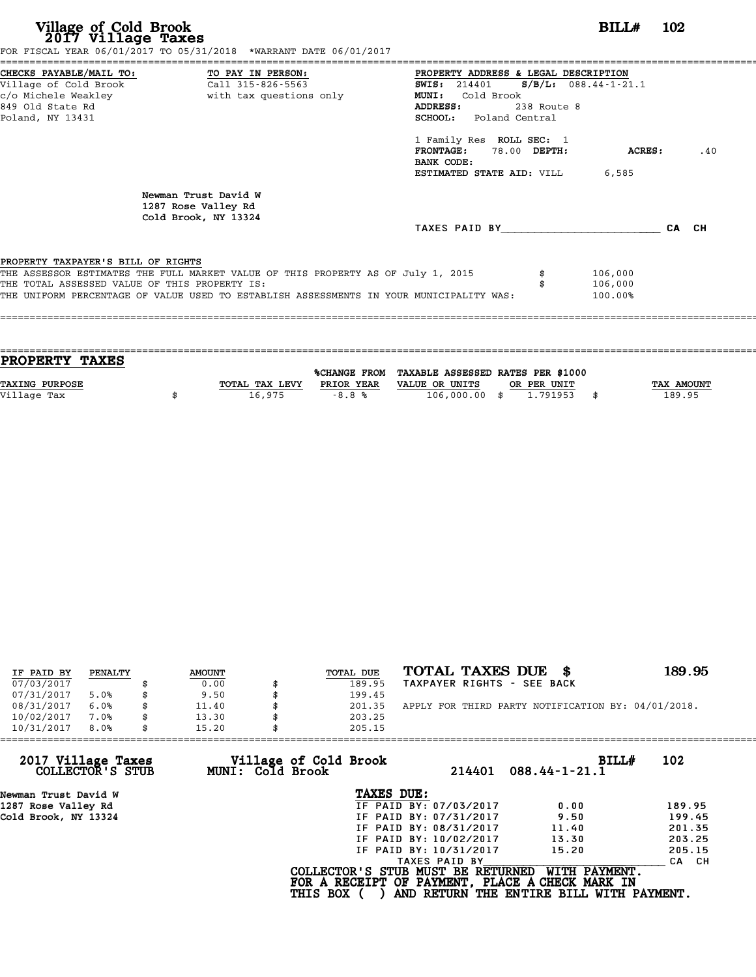| Village of Cold Brook<br>2017 Village Taxes                                         | FOR FISCAL YEAR 06/01/2017 TO 05/31/2018 *WARRANT DATE 06/01/2017                                                                                                                                                                                                                                      |                                                                                                                                                                                                                                           | $BILLH$ 102                   |       |
|-------------------------------------------------------------------------------------|--------------------------------------------------------------------------------------------------------------------------------------------------------------------------------------------------------------------------------------------------------------------------------------------------------|-------------------------------------------------------------------------------------------------------------------------------------------------------------------------------------------------------------------------------------------|-------------------------------|-------|
| Village of Cold Brook<br>849 Old State Rd<br>Poland, NY 13431                       | CHECKS PAYABLE/MAIL TO: TO PAY IN PERSON:<br>Call 315-826-5563<br>c/o Michele Weakley <b>buying the set of the set of the set of the set of the set of the set of the set of the set of the set of the set of the set of the set of the set of the set of the set of the set of the set of the set</b> | PROPERTY ADDRESS & LEGAL DESCRIPTION<br>SWIS: $214401$ S/B/L: 088.44-1-21.1<br><b>MUNI:</b><br>Cold Brook<br>ADDRESS:<br>238 Route 8<br><b>SCHOOL:</b> Poland Central<br>1 Family Res ROLL SEC: 1<br>FRONTAGE: 78.00 DEPTH:<br>BANK CODE: | ACRES :                       | .40   |
|                                                                                     | Newman Trust David W<br>1287 Rose Valley Rd<br>Cold Brook, NY 13324                                                                                                                                                                                                                                    | <b>ESTIMATED STATE AID:</b> VILL 6,585<br>TAXES PAID BY TAXES                                                                                                                                                                             |                               | CA CH |
| PROPERTY TAXPAYER'S BILL OF RIGHTS<br>THE TOTAL ASSESSED VALUE OF THIS PROPERTY IS: | THE ASSESSOR ESTIMATES THE FULL MARKET VALUE OF THIS PROPERTY AS OF July 1, 2015<br>THE UNIFORM PERCENTAGE OF VALUE USED TO ESTABLISH ASSESSMENTS IN YOUR MUNICIPALITY WAS:                                                                                                                            |                                                                                                                                                                                                                                           | 106,000<br>106,000<br>100.00% |       |

| <b>PROPERTY TAXES</b> |                |            |                                                |             |            |
|-----------------------|----------------|------------|------------------------------------------------|-------------|------------|
|                       |                |            |                                                |             |            |
|                       |                |            | %CHANGE FROM TAXABLE ASSESSED RATES PER \$1000 |             |            |
| <b>TAXING PURPOSE</b> | TOTAL TAX LEVY | PRIOR YEAR | VALUE OR UNITS                                 | OR PER UNIT | TAX AMOUNT |
| Village Tax           | 16,975         | $-8.8%$    | 106,000.00 \$                                  | 1,791953    | 189.95     |
|                       |                |            |                                                |             |            |
|                       |                |            |                                                |             |            |

| IF PAID BY | PENALTY |    | <b>AMOUNT</b> | <b>TOTAL DUE</b> | TOTAL TAXES DUE<br>- 8                             | 189.95 |
|------------|---------|----|---------------|------------------|----------------------------------------------------|--------|
| 07/03/2017 |         |    | 0.00          | 189.95           | TAXPAYER RIGHTS - SEE BACK                         |        |
| 07/31/2017 | 5.0%    |    | 9.50          | 199.45           |                                                    |        |
| 08/31/2017 | 6.0%    | \$ | 11.40         | 201.35           | APPLY FOR THIRD PARTY NOTIFICATION BY: 04/01/2018. |        |
| 10/02/2017 | 7.0%    | \$ | 13.30         | 203.25           |                                                    |        |
| 10/31/2017 | 8.0%    | S  | 15.20         | 205.15           |                                                    |        |

| MUNI: Cold Brook | 214401        | BILL#<br>$088.44 - 1 - 21.1$                                                                                                                                                    | 102                                                                                                                              |
|------------------|---------------|---------------------------------------------------------------------------------------------------------------------------------------------------------------------------------|----------------------------------------------------------------------------------------------------------------------------------|
|                  |               |                                                                                                                                                                                 |                                                                                                                                  |
|                  |               | 0.00                                                                                                                                                                            | 189.95                                                                                                                           |
|                  |               | 9.50                                                                                                                                                                            | 199.45                                                                                                                           |
|                  |               | 11.40                                                                                                                                                                           | 201.35                                                                                                                           |
|                  |               | 13.30                                                                                                                                                                           | 203.25                                                                                                                           |
|                  |               | 15.20                                                                                                                                                                           | 205.15                                                                                                                           |
|                  | TAXES PAID BY |                                                                                                                                                                                 | CA CH                                                                                                                            |
| <b>THIS BOX</b>  |               | WITH PAYMENT.                                                                                                                                                                   |                                                                                                                                  |
|                  |               | 205.15<br>Village of Cold Brook<br>TAXES DUE:<br>IF PAID BY: 07/03/2017<br>IF PAID BY: 07/31/2017<br>IF PAID BY: 08/31/2017<br>IF PAID BY: 10/02/2017<br>IF PAID BY: 10/31/2017 | COLLECTOR'S STUB MUST BE RETURNED<br>FOR A RECEIPT OF PAYMENT, PLACE A CHECK MARK IN<br>AND RETURN THE ENTIRE BILL WITH PAYMENT. |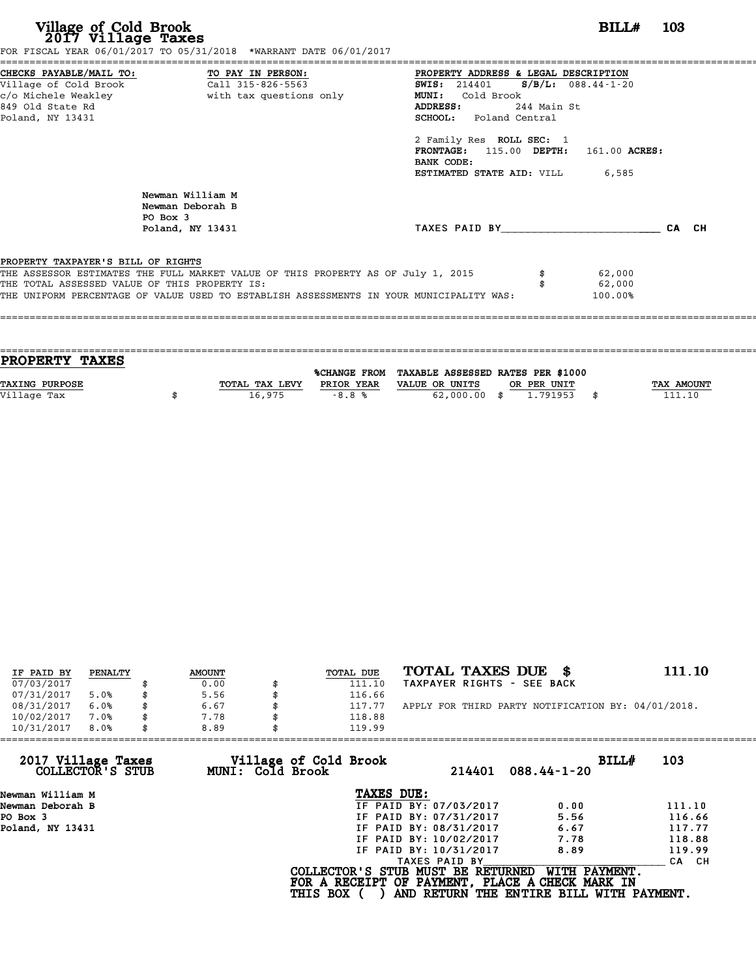| Village of Cold Brook<br>2017 Village Taxes   | FOR FISCAL YEAR 06/01/2017 TO 05/31/2018 *WARRANT DATE 06/01/2017                       | BILL#                                     | -- 103 |
|-----------------------------------------------|-----------------------------------------------------------------------------------------|-------------------------------------------|--------|
|                                               | CHECKS PAYABLE/MAIL TO: TO PAY IN PERSON:                                               | PROPERTY ADDRESS & LEGAL DESCRIPTION      |        |
| Village of Cold Brook                         | Call 315-826-5563                                                                       | SWIS: $214401$ S/B/L: 088.44-1-20         |        |
|                                               |                                                                                         | Cold Brook<br><b>MUNI:</b>                |        |
| 849 Old State Rd                              |                                                                                         | 244 Main St<br>ADDRESS:                   |        |
| Poland, NY 13431                              |                                                                                         | <b>SCHOOL:</b> Poland Central             |        |
|                                               |                                                                                         | 2 Family Res ROLL SEC: 1                  |        |
|                                               |                                                                                         | FRONTAGE: $115.00$ DEPTH: $161.00$ ACRES: |        |
|                                               |                                                                                         | BANK CODE:                                |        |
|                                               |                                                                                         | <b>ESTIMATED STATE AID:</b> VILL 6,585    |        |
|                                               | Newman William M<br>Newman Deborah B                                                    |                                           |        |
|                                               | PO Box 3                                                                                |                                           |        |
|                                               | Poland, NY 13431                                                                        | TAXES PAID BY CA CH                       |        |
|                                               |                                                                                         |                                           |        |
| PROPERTY TAXPAYER'S BILL OF RIGHTS            |                                                                                         |                                           |        |
|                                               | THE ASSESSOR ESTIMATES THE FULL MARKET VALUE OF THIS PROPERTY AS OF July 1, 2015        | 62,000                                    |        |
| THE TOTAL ASSESSED VALUE OF THIS PROPERTY IS: |                                                                                         | 62,000                                    |        |
|                                               | THE UNIFORM PERCENTAGE OF VALUE USED TO ESTABLISH ASSESSMENTS IN YOUR MUNICIPALITY WAS: | 100.00%                                   |        |
|                                               |                                                                                         |                                           |        |
|                                               |                                                                                         |                                           |        |

| PROPERTY TAXES        |                |                     |                                   |             |            |
|-----------------------|----------------|---------------------|-----------------------------------|-------------|------------|
|                       |                | <b>%CHANGE FROM</b> | TAXABLE ASSESSED RATES PER \$1000 |             |            |
| <b>TAXING PURPOSE</b> | TOTAL TAX LEVY | PRIOR YEAR          | VALUE OR UNITS                    | OR PER UNIT | TAX AMOUNT |
| Village Tax           | 16,975         | $-8.8%$             | $62,000.00$ \$                    | 1.791953    | 111.10     |
|                       |                |                     |                                   |             |            |

| IF PAID BY | PENALTY | <b>AMOUNT</b> | TOTAL DUE | TOTAL TAXES DUE<br>- 86                            | 111.10 |
|------------|---------|---------------|-----------|----------------------------------------------------|--------|
| 07/03/2017 |         | 0.00          | 111.10    | TAXPAYER RIGHTS - SEE BACK                         |        |
| 07/31/2017 | 5.0%    | \$<br>5.56    | 116.66    |                                                    |        |
| 08/31/2017 | 6.0%    | \$<br>6.67    | 117.77    | APPLY FOR THIRD PARTY NOTIFICATION BY: 04/01/2018. |        |
| 10/02/2017 | 7.0%    | \$<br>7.78    | 118.88    |                                                    |        |
| 10/31/2017 | 8.0%    | \$<br>8.89    | 119.99    |                                                    |        |

| 119.99          |                                           |                                                                                                                                                                                                |                                                                                                                                   |
|-----------------|-------------------------------------------|------------------------------------------------------------------------------------------------------------------------------------------------------------------------------------------------|-----------------------------------------------------------------------------------------------------------------------------------|
|                 |                                           | BILLH                                                                                                                                                                                          | 103                                                                                                                               |
| TAXES DUE:      |                                           |                                                                                                                                                                                                |                                                                                                                                   |
|                 |                                           | 0.00                                                                                                                                                                                           | 111.10                                                                                                                            |
|                 |                                           | 5.56                                                                                                                                                                                           | 116.66                                                                                                                            |
|                 |                                           | 6.67                                                                                                                                                                                           | 117.77                                                                                                                            |
|                 |                                           | 7.78                                                                                                                                                                                           | 118.88                                                                                                                            |
|                 |                                           | 8.89                                                                                                                                                                                           | 119.99                                                                                                                            |
|                 |                                           |                                                                                                                                                                                                | CA CH                                                                                                                             |
| <b>THIS BOX</b> |                                           |                                                                                                                                                                                                |                                                                                                                                   |
|                 | Village of Cold Brook<br>MUNI: Cold Brook | 214401<br>IF PAID BY: 07/03/2017<br>IF PAID BY: 07/31/2017<br>IF PAID BY: 08/31/2017<br>IF PAID BY: 10/02/2017<br>IF PAID BY: 10/31/2017<br>TAXES PAID BY<br>COLLECTOR'S STUB MUST BE RETURNED | $088.44 - 1 - 20$<br>WITH PAYMENT.<br>FOR A RECEIPT OF PAYMENT, PLACE A CHECK MARK IN<br>AND RETURN THE ENTIRE BILL WITH PAYMENT. |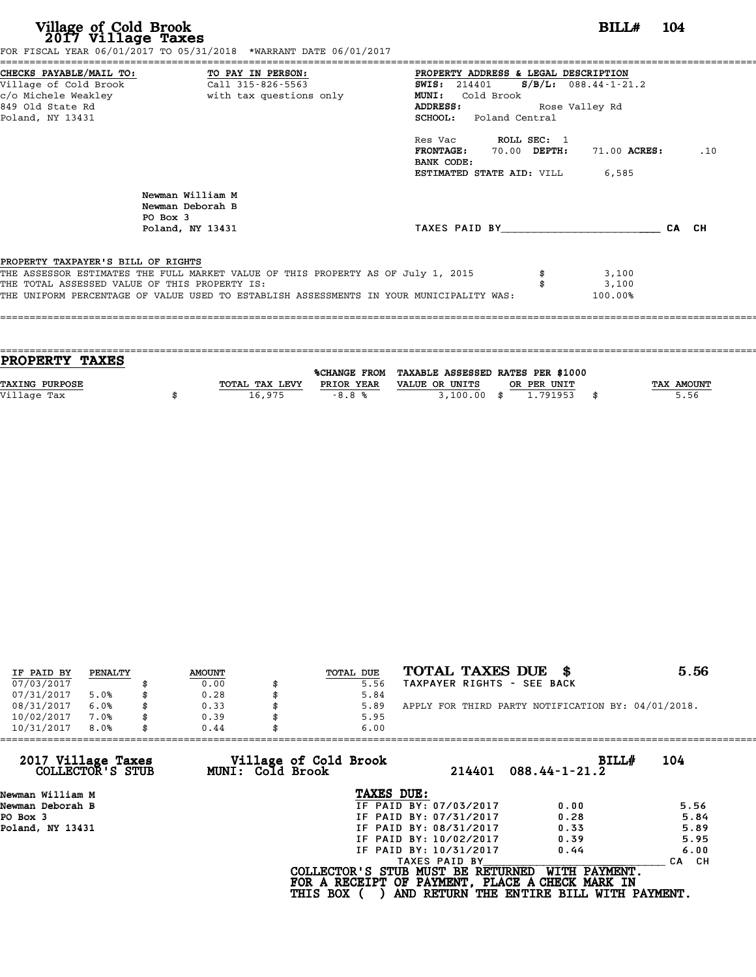| Village of Cold Brook<br>2017 Village Taxes                                                                                                         | FOR FISCAL YEAR 06/01/2017 TO 05/31/2018 *WARRANT DATE 06/01/2017                                                                                                           |                                                                                                                              | BILL#                                    | 104   |
|-----------------------------------------------------------------------------------------------------------------------------------------------------|-----------------------------------------------------------------------------------------------------------------------------------------------------------------------------|------------------------------------------------------------------------------------------------------------------------------|------------------------------------------|-------|
| CHECKS PAYABLE/MAIL TO: TO PAY IN PERSON:<br>Village of Cold Brook Call 315-826-5563<br>c/o Michele Weakley<br>849 Old State Rd<br>Poland, NY 13431 | with tax questions only                                                                                                                                                     | PROPERTY ADDRESS & LEGAL DESCRIPTION<br><b>SWIS:</b> 214401<br>MUNI: Cold Brook<br>ADDRESS:<br><b>SCHOOL:</b> Poland Central | $S/B/L: 088.44-1-21.2$<br>Rose Valley Rd |       |
|                                                                                                                                                     |                                                                                                                                                                             | Res Vac <b>ROLL SEC:</b> 1<br>FRONTAGE: 70.00 DEPTH:<br>BANK CODE:<br><b>ESTIMATED STATE AID:</b> VILL 6,585                 | 71.00 ACRES:                             | .10   |
| PO Box 3                                                                                                                                            | Newman William M<br>Newman Deborah B<br>Poland, NY 13431                                                                                                                    | TAXES PAID BY                                                                                                                |                                          | CA CH |
| PROPERTY TAXPAYER'S BILL OF RIGHTS<br>THE TOTAL ASSESSED VALUE OF THIS PROPERTY IS:                                                                 | THE ASSESSOR ESTIMATES THE FULL MARKET VALUE OF THIS PROPERTY AS OF July 1, 2015<br>THE UNIFORM PERCENTAGE OF VALUE USED TO ESTABLISH ASSESSMENTS IN YOUR MUNICIPALITY WAS: |                                                                                                                              | 3,100<br>3,100<br>100.00%                |       |

| PROPERTY TAXES        |                |              |                                   |             |            |
|-----------------------|----------------|--------------|-----------------------------------|-------------|------------|
|                       |                |              |                                   |             |            |
|                       |                | %CHANGE FROM | TAXABLE ASSESSED RATES PER \$1000 |             |            |
| <b>TAXING PURPOSE</b> | TOTAL TAX LEVY | PRIOR YEAR   | VALUE OR UNITS                    | OR PER UNIT | TAX AMOUNT |
| Village Tax           | 16,975         | $-8.8%$      | $3,100.00$ \$                     | 1.791953    | \$<br>5.56 |
|                       |                |              |                                   |             |            |

| IF PAID BY | PENALTY |    | <b>AMOUNT</b> | TOTAL DUE | TOTAL TAXES DUE \$                                 | 5.56 |
|------------|---------|----|---------------|-----------|----------------------------------------------------|------|
| 07/03/2017 |         |    | 0.00          | 5.56      | TAXPAYER RIGHTS - SEE BACK                         |      |
| 07/31/2017 | 5.0%    | S  | 0.28          | 5.84      |                                                    |      |
| 08/31/2017 | 6.0%    | \$ | 0.33          | 5.89      | APPLY FOR THIRD PARTY NOTIFICATION BY: 04/01/2018. |      |
| 10/02/2017 | 7.0%    | \$ | 0.39          | 5.95      |                                                    |      |
| 10/31/2017 | 8.0%    | \$ | 0.44          | 6.00      |                                                    |      |

| 0.44 | 6.00                   |                                                              |                                                                                                                                  |
|------|------------------------|--------------------------------------------------------------|----------------------------------------------------------------------------------------------------------------------------------|
|      | 214401                 | BILL#<br>$088.44 - 1 - 21.2$                                 | 104                                                                                                                              |
|      | TAXES DUE:             |                                                              |                                                                                                                                  |
|      | IF PAID BY: 07/03/2017 | 0.00                                                         | 5.56                                                                                                                             |
|      | IF PAID BY: 07/31/2017 | 0.28                                                         | 5.84                                                                                                                             |
|      | IF PAID BY: 08/31/2017 | 0.33                                                         | 5.89                                                                                                                             |
|      | IF PAID BY: 10/02/2017 | 0.39                                                         | 5.95                                                                                                                             |
|      | IF PAID BY: 10/31/2017 | 0.44                                                         | 6.00                                                                                                                             |
|      | TAXES PAID BY          |                                                              | CA CH                                                                                                                            |
|      |                        | WITH PAYMENT.                                                |                                                                                                                                  |
|      |                        | Village of Cold Brook<br>MUNI: Cold Brook<br><b>THIS BOX</b> | COLLECTOR'S STUB MUST BE RETURNED<br>FOR A RECEIPT OF PAYMENT, PLACE A CHECK MARK IN<br>AND RETURN THE ENTIRE BILL WITH PAYMENT. |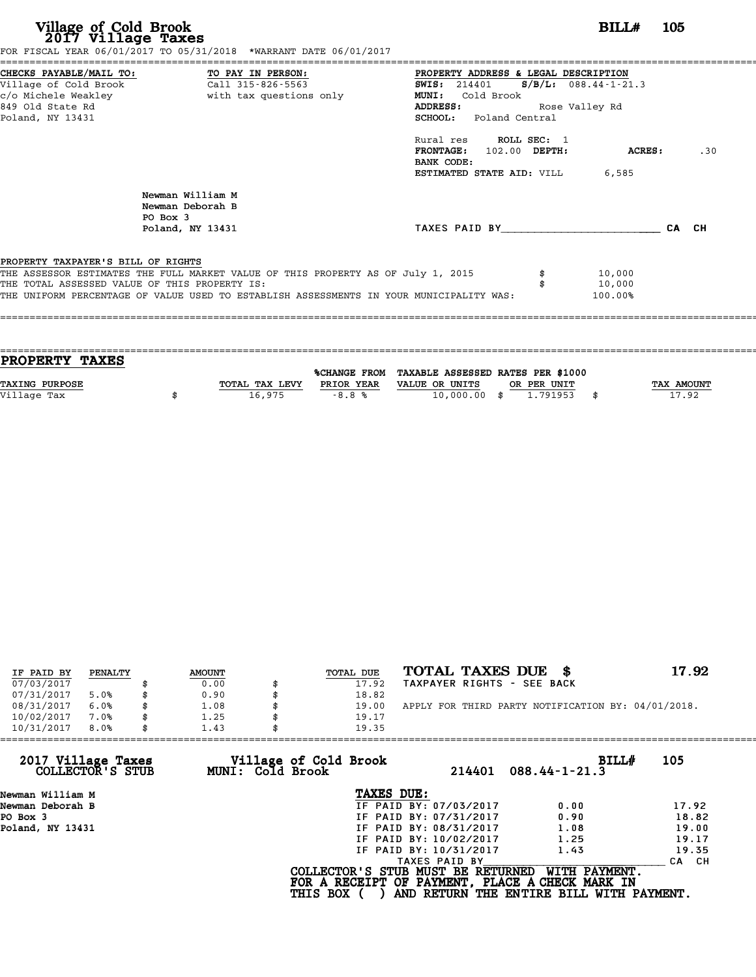| Village of Cold Brook<br>2017 Village Taxes<br>FOR FISCAL YEAR 06/01/2017 TO 05/31/2018 *WARRANT DATE 06/01/2017                                                                                                                                                   | BILL#<br>- 105                                                                                                                                                                      |
|--------------------------------------------------------------------------------------------------------------------------------------------------------------------------------------------------------------------------------------------------------------------|-------------------------------------------------------------------------------------------------------------------------------------------------------------------------------------|
| CHECKS PAYABLE/MAIL TO: TO PAY IN PERSON:<br>Village of Cold Brook Call 315-826-5563<br>c/o Michele Weakley<br>with tax questions only<br>849 Old State Rd<br>Poland, NY 13431                                                                                     | PROPERTY ADDRESS & LEGAL DESCRIPTION<br>$S/B/L$ : 088.44-1-21.3<br><b>SWIS:</b> 214401<br>Cold Brook<br><b>MUNI:</b><br><b>ADDRESS:</b><br>Rose Valley Rd<br>SCHOOL: Poland Central |
|                                                                                                                                                                                                                                                                    | Rural res ROLL SEC: 1<br>FRONTAGE: 102.00 DEPTH:<br>.30<br>ACRES:<br>BANK CODE:<br><b>ESTIMATED STATE AID:</b> VILL 6,585                                                           |
| Newman William M<br>Newman Deborah B<br>PO Box 3<br>Poland, NY 13431                                                                                                                                                                                               | TAXES PAID BY TAXES<br>CA CH                                                                                                                                                        |
| PROPERTY TAXPAYER'S BILL OF RIGHTS<br>THE ASSESSOR ESTIMATES THE FULL MARKET VALUE OF THIS PROPERTY AS OF July 1, 2015<br>THE TOTAL ASSESSED VALUE OF THIS PROPERTY IS:<br>THE UNIFORM PERCENTAGE OF VALUE USED TO ESTABLISH ASSESSMENTS IN YOUR MUNICIPALITY WAS: | 10,000<br>10,000<br>100.00%                                                                                                                                                         |

| <b>PROPERTY TAXES</b>                                                                  |            |
|----------------------------------------------------------------------------------------|------------|
|                                                                                        |            |
| %CHANGE FROM TAXABLE ASSESSED RATES PER \$1000                                         |            |
| <b>TAXING PURPOSE</b><br>TOTAL TAX LEVY<br>PRIOR YEAR<br>VALUE OR UNITS<br>OR PER UNIT | TAX AMOUNT |
| Village Tax<br>$10,000.00$ \$<br>1.791953<br>16,975<br>$-8.8%$                         | 17.92      |
|                                                                                        |            |

| IF PAID BY | PENALTY | <b>AMOUNT</b> | TOTAL DUE | TOTAL TAXES DUE \$                                 | 17.92 |
|------------|---------|---------------|-----------|----------------------------------------------------|-------|
| 07/03/2017 |         | 0.00          | 17.92     | TAXPAYER RIGHTS - SEE BACK                         |       |
| 07/31/2017 | 5.0%    | \$<br>0.90    | 18.82     |                                                    |       |
| 08/31/2017 | 6.0%    | 1.08          | 19.00     | APPLY FOR THIRD PARTY NOTIFICATION BY: 04/01/2018. |       |
| 10/02/2017 | 7.0%    | \$<br>1.25    | 19.17     |                                                    |       |
| 10/31/2017 | 8.0%    | \$<br>1.43    | 19.35     |                                                    |       |

| 1.43 |                        |                                                              |                                                                                                                                           |
|------|------------------------|--------------------------------------------------------------|-------------------------------------------------------------------------------------------------------------------------------------------|
|      | 214401                 | BILL#<br>$088.44 - 1 - 21.3$                                 | 105                                                                                                                                       |
|      | TAXES DUE:             |                                                              |                                                                                                                                           |
|      | IF PAID BY: 07/03/2017 | 0.00                                                         | 17.92                                                                                                                                     |
|      | IF PAID BY: 07/31/2017 | 0.90                                                         | 18.82                                                                                                                                     |
|      | IF PAID BY: 08/31/2017 | 1.08                                                         | 19.00                                                                                                                                     |
|      | IF PAID BY: 10/02/2017 | 1.25                                                         | 19.17                                                                                                                                     |
|      | IF PAID BY: 10/31/2017 | 1.43                                                         | 19.35                                                                                                                                     |
|      | TAXES PAID BY          |                                                              | CA CH                                                                                                                                     |
|      |                        | WITH PAYMENT.                                                |                                                                                                                                           |
|      |                        | Village of Cold Brook<br>MUNI: Cold Brook<br><b>THIS BOX</b> | 19.35<br>COLLECTOR'S STUB MUST BE RETURNED<br>FOR A RECEIPT OF PAYMENT, PLACE A CHECK MARK IN<br>AND RETURN THE ENTIRE BILL WITH PAYMENT. |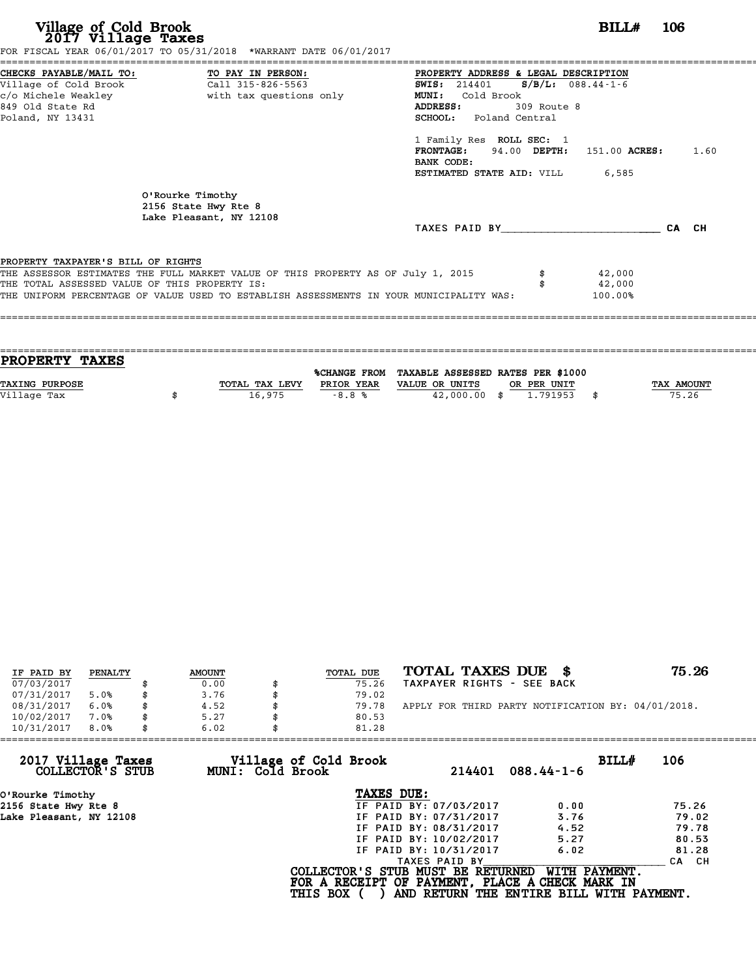| Village of Cold Brook<br>2017 Village Taxes                                         | FOR FISCAL YEAR 06/01/2017 TO 05/31/2018 *WARRANT DATE 06/01/2017                                                                                                           |                                                                                                                                                                                                                                                                              | BILL# | - 106 |
|-------------------------------------------------------------------------------------|-----------------------------------------------------------------------------------------------------------------------------------------------------------------------------|------------------------------------------------------------------------------------------------------------------------------------------------------------------------------------------------------------------------------------------------------------------------------|-------|-------|
| -------------------------------------<br>849 Old State Rd<br>Poland, NY 13431       | CHECKS PAYABLE/MAIL TO: TO PAY IN PERSON:<br>Village of Cold Brook (Call 315-826-5563)<br>c/o Michele Weakley but here with tax questions only                              | PROPERTY ADDRESS & LEGAL DESCRIPTION<br><b>SWIS:</b> 214401 <b>S/B/L:</b> 088.44-1-6<br><b>MUNI:</b><br>Cold Brook<br>ADDRESS:<br>309 Route 8<br><b>SCHOOL:</b> Poland Central<br>1 Family Res ROLL SEC: 1<br><b>FRONTAGE:</b> 94.00 DEPTH: 151.00 ACRES: 1.60<br>BANK CODE: |       |       |
|                                                                                     | O'Rourke Timothy<br>2156 State Hwy Rte 8<br>Lake Pleasant, NY 12108                                                                                                         | <b>ESTIMATED STATE AID:</b> VILL 6,585<br>TAXES PAID BY TAXES                                                                                                                                                                                                                |       | CA CH |
| PROPERTY TAXPAYER'S BILL OF RIGHTS<br>THE TOTAL ASSESSED VALUE OF THIS PROPERTY IS: | THE ASSESSOR ESTIMATES THE FULL MARKET VALUE OF THIS PROPERTY AS OF July 1, 2015<br>THE UNIFORM PERCENTAGE OF VALUE USED TO ESTABLISH ASSESSMENTS IN YOUR MUNICIPALITY WAS: | 42,000<br>42,000<br>100.00%                                                                                                                                                                                                                                                  |       |       |

| <b>PROPERTY TAXES</b> |                |            |                                                |             |                   |
|-----------------------|----------------|------------|------------------------------------------------|-------------|-------------------|
|                       |                |            |                                                |             |                   |
|                       |                |            | %CHANGE FROM TAXABLE ASSESSED RATES PER \$1000 |             |                   |
| <b>TAXING PURPOSE</b> | TOTAL TAX LEVY | PRIOR YEAR | VALUE OR UNITS                                 | OR PER UNIT | <b>TAX AMOUNT</b> |
|                       |                |            |                                                |             |                   |
| Village Tax           | 16,975         | $-8.8%$    | $42,000.00$ \$                                 | 1.791953    | 75.26             |
|                       |                |            |                                                |             |                   |

| IF PAID BY | PENALTY | <b>AMOUNT</b> | TOTAL DUE | TOTAL TAXES DUE \$                                 | 75.26 |
|------------|---------|---------------|-----------|----------------------------------------------------|-------|
| 07/03/2017 |         | 0.00          | 75.26     | TAXPAYER RIGHTS - SEE BACK                         |       |
| 07/31/2017 | 5.0%    | 3.76          | 79.02     |                                                    |       |
| 08/31/2017 | 6.0%    | 4.52          | 79.78     | APPLY FOR THIRD PARTY NOTIFICATION BY: 04/01/2018. |       |
| 10/02/2017 | 7.0%    | 5.27          | 80.53     |                                                    |       |
| 10/31/2017 | 8.0%    | 6.02          | 81.28     |                                                    |       |

| 214401                 | BILL#<br>$088.44 - 1 - 6$                                                                    | 106                                                                                                                                               |
|------------------------|----------------------------------------------------------------------------------------------|---------------------------------------------------------------------------------------------------------------------------------------------------|
| TAXES DUE:             |                                                                                              |                                                                                                                                                   |
| IF PAID BY: 07/03/2017 | 0.00                                                                                         | 75.26                                                                                                                                             |
|                        | 3.76                                                                                         | 79.02                                                                                                                                             |
|                        | 4.52                                                                                         | 79.78                                                                                                                                             |
| IF PAID BY: 10/02/2017 | 5.27                                                                                         | 80.53                                                                                                                                             |
| IF PAID BY: 10/31/2017 | 6.02                                                                                         | 81.28                                                                                                                                             |
| TAXES PAID BY          |                                                                                              | CA CH                                                                                                                                             |
|                        | WITH PAYMENT.                                                                                |                                                                                                                                                   |
| MUNI: Cold Brook       | Village of Cold Brook<br>IF PAID BY: 07/31/2017<br>IF PAID BY: 08/31/2017<br><b>THIS BOX</b> | 6.02<br>81.28<br>COLLECTOR'S STUB MUST BE RETURNED<br>FOR A RECEIPT OF PAYMENT, PLACE A CHECK MARK IN<br>AND RETURN THE ENTIRE BILL WITH PAYMENT. |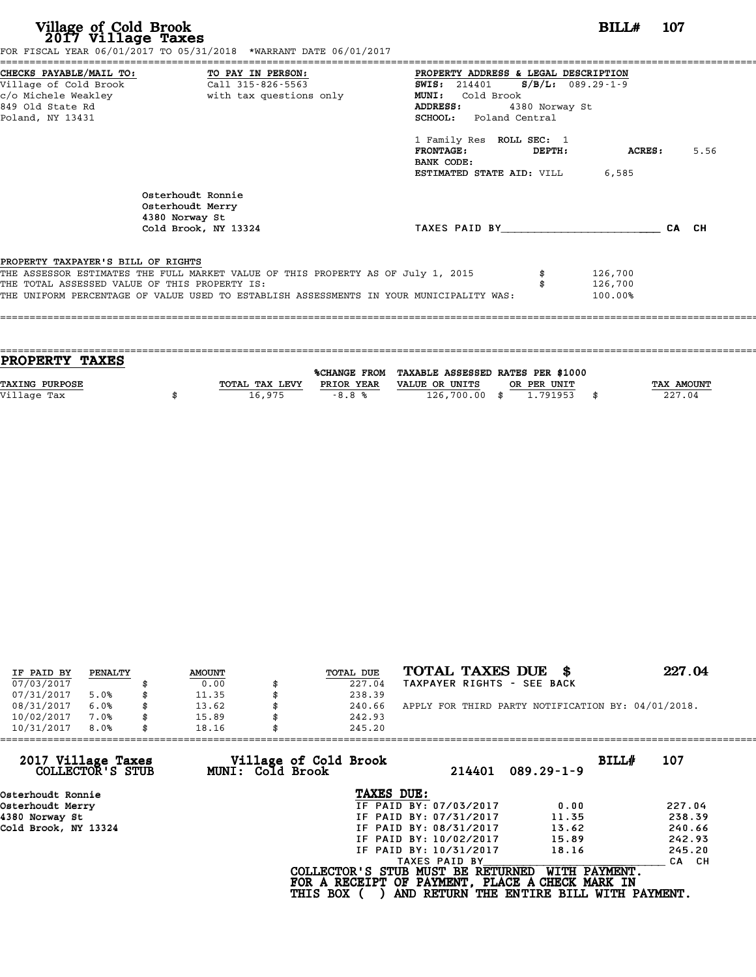| Village of Cold Brook<br>2017 Village Taxes                                                                     | FOR FISCAL YEAR 06/01/2017 TO 05/31/2018 *WARRANT DATE 06/01/2017                                                                 |                         |                                                                                                                                                |                | BILL#                         | 107   |      |
|-----------------------------------------------------------------------------------------------------------------|-----------------------------------------------------------------------------------------------------------------------------------|-------------------------|------------------------------------------------------------------------------------------------------------------------------------------------|----------------|-------------------------------|-------|------|
| CHECKS PAYABLE/MAIL TO:<br>Village of Cold Brook<br>c/o Michele Weakley<br>849 Old State Rd<br>Poland, NY 13431 | TO PAY IN PERSON:<br>Call 315-826-5563                                                                                            | with tax questions only | PROPERTY ADDRESS & LEGAL DESCRIPTION<br><b>SWIS:</b> 214401 <b>S/B/L:</b> 089.29-1-9<br>MUNI: Cold Brook<br>ADDRESS:<br>SCHOOL: Poland Central | 4380 Norway St |                               |       |      |
|                                                                                                                 |                                                                                                                                   |                         | 1 Family Res ROLL SEC: 1<br><b>FRONTAGE:</b><br>BANK CODE:<br>ESTIMATED STATE AID: VILL                                                        | DEPTH:         | ACRES :<br>6,585              |       | 5.56 |
|                                                                                                                 | Osterhoudt Ronnie<br>Osterhoudt Merry<br>4380 Norway St<br>Cold Brook, NY 13324                                                   |                         | TAXES PAID BY                                                                                                                                  |                |                               | CA CH |      |
| PROPERTY TAXPAYER'S BILL OF RIGHTS                                                                              | THE ASSESSOR ESTIMATES THE FULL MARKET VALUE OF THIS PROPERTY AS OF July 1, 2015<br>THE TOTAL ASSESSED VALUE OF THIS PROPERTY IS: |                         | THE UNIFORM PERCENTAGE OF VALUE USED TO ESTABLISH ASSESSMENTS IN YOUR MUNICIPALITY WAS:                                                        |                | 126,700<br>126,700<br>100.00% |       |      |

| <b>PROPERTY TAXES</b> |                |            |                                                |                   |
|-----------------------|----------------|------------|------------------------------------------------|-------------------|
|                       |                |            |                                                |                   |
|                       |                |            | %CHANGE FROM TAXABLE ASSESSED RATES PER \$1000 |                   |
| <b>TAXING PURPOSE</b> | TOTAL TAX LEVY | PRIOR YEAR | VALUE OR UNITS<br>OR PER UNIT                  | <b>TAX AMOUNT</b> |
| Village Tax           | 16,975         | $-8.8%$    | 126,700.00 \$<br>1.791953                      | 227.04            |
|                       |                |            |                                                |                   |

| IF PAID BY | PENALTY | <b>AMOUNT</b> |    | TOTAL DUE | TOTAL TAXES DUE \$                                 | 227.04 |
|------------|---------|---------------|----|-----------|----------------------------------------------------|--------|
| 07/03/2017 |         | 0.00          |    | 227.04    | TAXPAYER RIGHTS - SEE BACK                         |        |
| 07/31/2017 | 5.0%    | \$<br>11.35   |    | 238.39    |                                                    |        |
| 08/31/2017 | 6.0%    | \$<br>13.62   |    | 240.66    | APPLY FOR THIRD PARTY NOTIFICATION BY: 04/01/2018. |        |
| 10/02/2017 | 7.0%    | \$<br>15.89   | Я. | 242.93    |                                                    |        |
| 10/31/2017 | 8.0%    | \$<br>18.16   |    | 245.20    |                                                    |        |

| 245.20          |                                           |                                                                                                                                                                                                    |                                                                                                                                                                              |
|-----------------|-------------------------------------------|----------------------------------------------------------------------------------------------------------------------------------------------------------------------------------------------------|------------------------------------------------------------------------------------------------------------------------------------------------------------------------------|
|                 | 214401                                    | BILL#                                                                                                                                                                                              | 107                                                                                                                                                                          |
|                 |                                           |                                                                                                                                                                                                    |                                                                                                                                                                              |
|                 |                                           |                                                                                                                                                                                                    | 227.04                                                                                                                                                                       |
|                 |                                           |                                                                                                                                                                                                    | 238.39                                                                                                                                                                       |
|                 |                                           |                                                                                                                                                                                                    | 240.66                                                                                                                                                                       |
|                 |                                           |                                                                                                                                                                                                    | 242.93                                                                                                                                                                       |
|                 |                                           |                                                                                                                                                                                                    | 245.20                                                                                                                                                                       |
|                 |                                           |                                                                                                                                                                                                    | CA CH                                                                                                                                                                        |
| <b>THIS BOX</b> |                                           |                                                                                                                                                                                                    |                                                                                                                                                                              |
|                 | Village of Cold Brook<br>MUNI: Cold Brook | TAXES DUE:<br>IF PAID BY: 07/03/2017<br>IF PAID BY: 07/31/2017<br>IF PAID BY: 08/31/2017<br>IF PAID BY: 10/02/2017<br>IF PAID BY: 10/31/2017<br>TAXES PAID BY<br>COLLECTOR'S STUB MUST BE RETURNED | $089.29 - 1 - 9$<br>0.00<br>11.35<br>13.62<br>15.89<br>18.16<br>WITH PAYMENT.<br>FOR A RECEIPT OF PAYMENT, PLACE A CHECK MARK IN<br>AND RETURN THE ENTIRE BILL WITH PAYMENT. |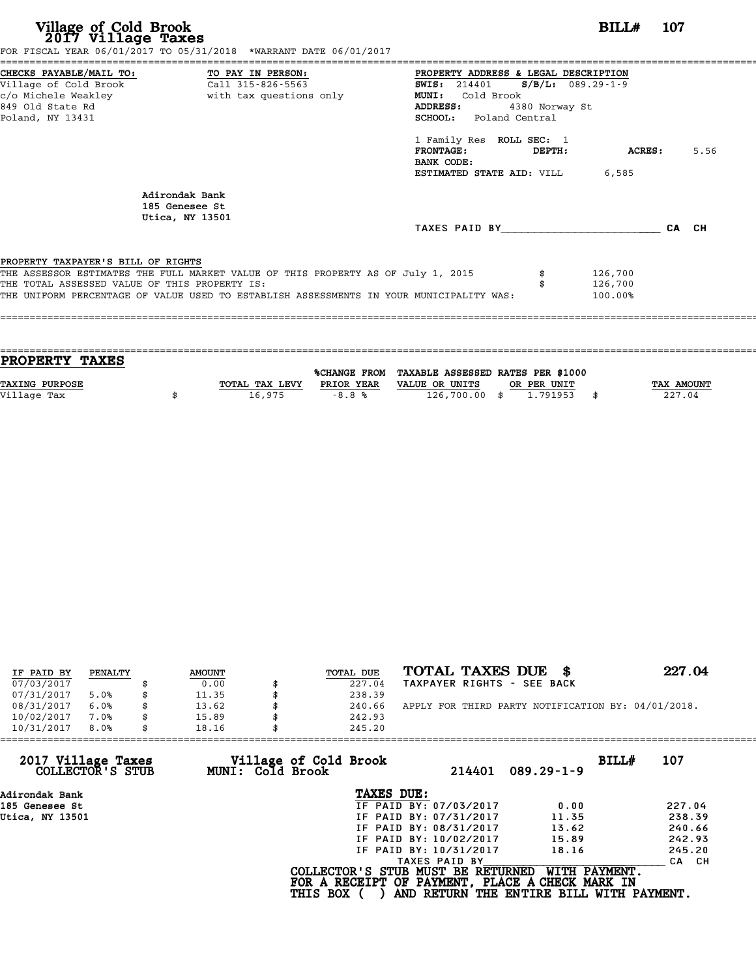| Village of Cold Brook<br>2017 Village Taxes                                         | FOR FISCAL YEAR 06/01/2017 TO 05/31/2018 *WARRANT DATE 06/01/2017                                                                                                           |                                                                                                                                                                                                                                                                                             | BILL#                         | - 107 |      |
|-------------------------------------------------------------------------------------|-----------------------------------------------------------------------------------------------------------------------------------------------------------------------------|---------------------------------------------------------------------------------------------------------------------------------------------------------------------------------------------------------------------------------------------------------------------------------------------|-------------------------------|-------|------|
| Village of Cold Brook<br>849 Old State Rd<br>Poland, NY 13431                       |                                                                                                                                                                             | PROPERTY ADDRESS & LEGAL DESCRIPTION<br><b>SWIS:</b> 214401 <b>S/B/L:</b> 089.29-1-9<br><b>MUNI:</b><br>Cold Brook<br>ADDRESS:<br>4380 Norway St<br>SCHOOL: Poland Central<br>1 Family Res ROLL SEC: 1<br>$\tt FRONTAGE:$<br>DEPTH:<br>BANK CODE:<br><b>ESTIMATED STATE AID:</b> VILL 6,585 | ACRES :                       |       | 5.56 |
|                                                                                     | Adirondak Bank<br>185 Genesee St<br>Utica, NY 13501                                                                                                                         | TAXES PAID BY                                                                                                                                                                                                                                                                               |                               | CA CH |      |
| PROPERTY TAXPAYER'S BILL OF RIGHTS<br>THE TOTAL ASSESSED VALUE OF THIS PROPERTY IS: | THE ASSESSOR ESTIMATES THE FULL MARKET VALUE OF THIS PROPERTY AS OF July 1, 2015<br>THE UNIFORM PERCENTAGE OF VALUE USED TO ESTABLISH ASSESSMENTS IN YOUR MUNICIPALITY WAS: |                                                                                                                                                                                                                                                                                             | 126,700<br>126,700<br>100.00% |       |      |

| <b>PROPERTY TAXES</b> |                |            |                                                |             |                   |
|-----------------------|----------------|------------|------------------------------------------------|-------------|-------------------|
|                       |                |            | %CHANGE FROM TAXABLE ASSESSED RATES PER \$1000 |             |                   |
| <b>TAXING PURPOSE</b> | TOTAL TAX LEVY | PRIOR YEAR | VALUE OR UNITS                                 | OR PER UNIT | <b>TAX AMOUNT</b> |
| Village Tax           | 16,975         | $-8.8%$    | $126,700.00$ \$                                | 1,791953    | 227.04            |
|                       |                |            |                                                |             |                   |

| IF PAID BY | PENALTY | <b>AMOUNT</b> | TOTAL DUE | TOTAL TAXES DUE<br>- 8                             | 227.04 |
|------------|---------|---------------|-----------|----------------------------------------------------|--------|
| 07/03/2017 |         | 0.00          | 227.04    | TAXPAYER RIGHTS - SEE BACK                         |        |
| 07/31/2017 | 5.0%    | \$<br>11.35   | 238.39    |                                                    |        |
| 08/31/2017 | 6.0%    | 13.62         | 240.66    | APPLY FOR THIRD PARTY NOTIFICATION BY: 04/01/2018. |        |
| 10/02/2017 | 7.0%    | \$<br>15.89   | 242.93    |                                                    |        |
| 10/31/2017 | 8.0%    | \$<br>18.16   | 245.20    |                                                    |        |

| 245.20          |                  |                                                                                                                                                                       |                                                                                                                                                      |
|-----------------|------------------|-----------------------------------------------------------------------------------------------------------------------------------------------------------------------|------------------------------------------------------------------------------------------------------------------------------------------------------|
|                 | 214401           | BILL#                                                                                                                                                                 | 107                                                                                                                                                  |
|                 |                  |                                                                                                                                                                       |                                                                                                                                                      |
|                 |                  | 0.00                                                                                                                                                                  | 227.04                                                                                                                                               |
|                 |                  | 11.35                                                                                                                                                                 | 238.39                                                                                                                                               |
|                 |                  | 13.62                                                                                                                                                                 | 240.66                                                                                                                                               |
|                 |                  | 15.89                                                                                                                                                                 | 242.93                                                                                                                                               |
|                 |                  | 18.16                                                                                                                                                                 | 245.20                                                                                                                                               |
|                 | TAXES PAID BY    |                                                                                                                                                                       | CA CH                                                                                                                                                |
| <b>THIS BOX</b> |                  | WITH PAYMENT.                                                                                                                                                         |                                                                                                                                                      |
|                 | MUNI: Cold Brook | Village of Cold Brook<br>TAXES DUE:<br>IF PAID BY: 07/03/2017<br>IF PAID BY: 07/31/2017<br>IF PAID BY: 08/31/2017<br>IF PAID BY: 10/02/2017<br>IF PAID BY: 10/31/2017 | $089.29 - 1 - 9$<br>COLLECTOR'S STUB MUST BE RETURNED<br>FOR A RECEIPT OF PAYMENT, PLACE A CHECK MARK IN<br>AND RETURN THE ENTIRE BILL WITH PAYMENT. |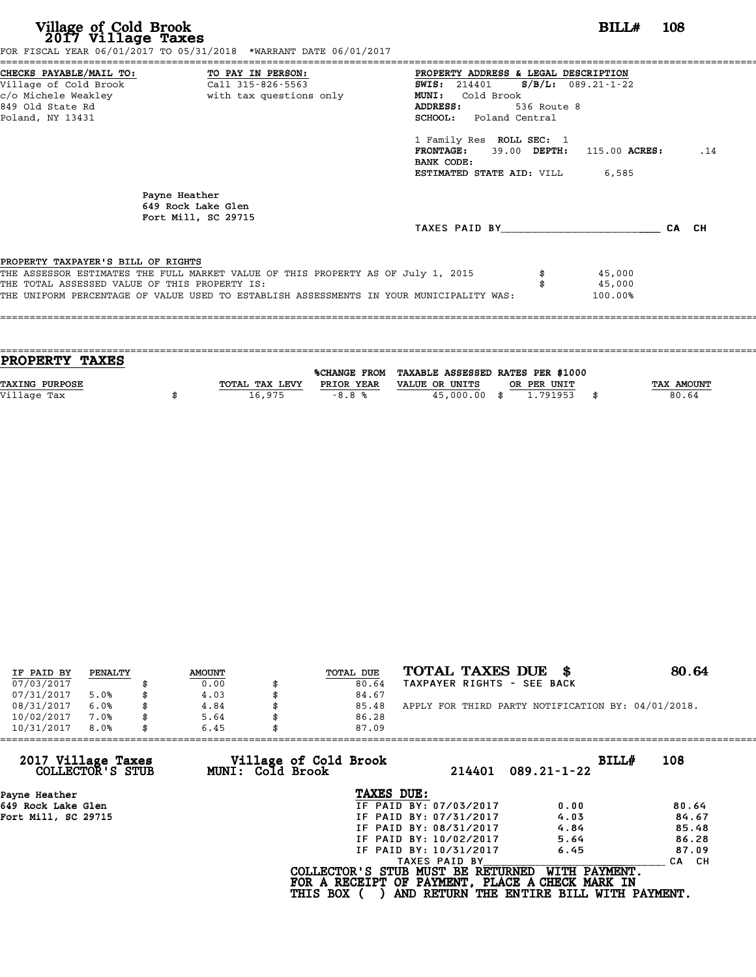| Village of Cold Brook<br>2017 Village Taxes<br>FOR FISCAL YEAR 06/01/2017 TO 05/31/2018 *WARRANT DATE 06/01/2017                                                                                                                                                   | BILL#<br><b>108</b>                                                                                                                                                                                                                                                                                                 |
|--------------------------------------------------------------------------------------------------------------------------------------------------------------------------------------------------------------------------------------------------------------------|---------------------------------------------------------------------------------------------------------------------------------------------------------------------------------------------------------------------------------------------------------------------------------------------------------------------|
| CHECKS PAYABLE/MAIL TO: TO PAY IN PERSON:<br>Village of Cold Brook Call 315-826-5563<br>c/o Michele Weakley<br>with tax questions only<br>849 Old State Rd<br>Poland, NY 13431                                                                                     | PROPERTY ADDRESS & LEGAL DESCRIPTION<br>$S/B/L: 089.21-1-22$<br>SWIS: 214401<br><b>MUNI:</b><br>Cold Brook<br>536 Route 8<br>ADDRESS:<br><b>SCHOOL:</b> Poland Central<br>1 Family Res ROLL SEC: 1<br><b>FRONTAGE:</b><br>39.00 DEPTH: 115.00 ACRES:<br>.14<br>BANK CODE:<br><b>ESTIMATED STATE AID: VILL 6,585</b> |
| Payne Heather<br>649 Rock Lake Glen<br>Fort Mill, SC 29715                                                                                                                                                                                                         | TAXES PAID BY TAXES PAID BY<br>CA CH                                                                                                                                                                                                                                                                                |
| PROPERTY TAXPAYER'S BILL OF RIGHTS<br>THE ASSESSOR ESTIMATES THE FULL MARKET VALUE OF THIS PROPERTY AS OF July 1, 2015<br>THE TOTAL ASSESSED VALUE OF THIS PROPERTY IS:<br>THE UNIFORM PERCENTAGE OF VALUE USED TO ESTABLISH ASSESSMENTS IN YOUR MUNICIPALITY WAS: | 45,000<br>45,000<br>100.00%                                                                                                                                                                                                                                                                                         |

| <b>TAX AMOUNT</b> |
|-------------------|
| 80.64             |
|                   |
|                   |

| IF PAID BY | PENALTY | <b>AMOUNT</b> | TOTAL DUE | TOTAL TAXES DUE \$                                 | 80.64 |
|------------|---------|---------------|-----------|----------------------------------------------------|-------|
| 07/03/2017 |         | 0.00          | 80.64     | TAXPAYER RIGHTS - SEE BACK                         |       |
| 07/31/2017 | 5.0%    | \$<br>4.03    | 84.67     |                                                    |       |
| 08/31/2017 | 6.0%    | \$<br>4.84    | 85.48     | APPLY FOR THIRD PARTY NOTIFICATION BY: 04/01/2018. |       |
| 10/02/2017 | 7.0%    | \$<br>5.64    | 86.28     |                                                    |       |
| 10/31/2017 | 8.0%    | \$<br>6.45    | 87.09     |                                                    |       |
|            |         |               |           |                                                    |       |

| 87.09           |                                           |                                                                                                                                                               |                                                                                                                                  |
|-----------------|-------------------------------------------|---------------------------------------------------------------------------------------------------------------------------------------------------------------|----------------------------------------------------------------------------------------------------------------------------------|
|                 | 214401                                    | BILLH<br>$089.21 - 1 - 22$                                                                                                                                    | 108                                                                                                                              |
|                 |                                           |                                                                                                                                                               |                                                                                                                                  |
|                 |                                           | 0.00                                                                                                                                                          | 80.64                                                                                                                            |
|                 |                                           | 4.03                                                                                                                                                          | 84.67                                                                                                                            |
|                 |                                           | 4.84                                                                                                                                                          | 85.48                                                                                                                            |
|                 |                                           | 5.64                                                                                                                                                          | 86.28                                                                                                                            |
|                 |                                           | 6.45                                                                                                                                                          | 87.09                                                                                                                            |
|                 |                                           |                                                                                                                                                               | CA CH                                                                                                                            |
| <b>THIS BOX</b> |                                           | WITH PAYMENT.                                                                                                                                                 |                                                                                                                                  |
| 6.45            | Village of Cold Brook<br>MUNI: Cold Brook | TAXES DUE:<br>IF PAID BY: 07/03/2017<br>IF PAID BY: 07/31/2017<br>IF PAID BY: 08/31/2017<br>IF PAID BY: 10/02/2017<br>IF PAID BY: 10/31/2017<br>TAXES PAID BY | COLLECTOR'S STUB MUST BE RETURNED<br>FOR A RECEIPT OF PAYMENT, PLACE A CHECK MARK IN<br>AND RETURN THE ENTIRE BILL WITH PAYMENT. |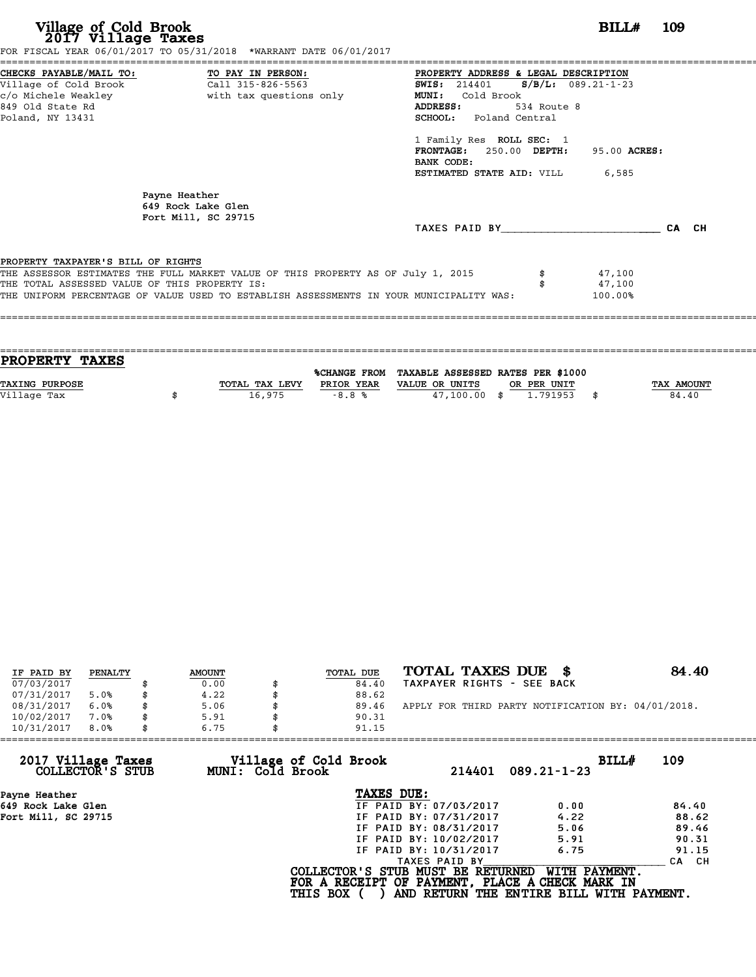| BILL#<br>- 109<br>FOR FISCAL YEAR 06/01/2017 TO 05/31/2018 *WARRANT DATE 06/01/2017                                                                                                                                                                                                                                                                                          |
|------------------------------------------------------------------------------------------------------------------------------------------------------------------------------------------------------------------------------------------------------------------------------------------------------------------------------------------------------------------------------|
| PROPERTY ADDRESS & LEGAL DESCRIPTION<br>SWIS: 214401 S/B/L: 089.21-1-23<br>c/o Michele Weakley                       with tax questions only<br><b>MUNI:</b><br>Cold Brook<br><b>ADDRESS:</b><br>534 Route 8<br><b>SCHOOL:</b> Poland Central<br>1 Family Res ROLL SEC: 1<br>FRONTAGE: 250.00 DEPTH:<br>95.00 ACRES:<br>BANK CODE:<br><b>ESTIMATED STATE AID:</b> VILL 6,585 |
| TAXES PAID BY<br>CA CH                                                                                                                                                                                                                                                                                                                                                       |
| THE ASSESSOR ESTIMATES THE FULL MARKET VALUE OF THIS PROPERTY AS OF July 1, 2015<br>47,100<br>47,100<br>THE UNIFORM PERCENTAGE OF VALUE USED TO ESTABLISH ASSESSMENTS IN YOUR MUNICIPALITY WAS:<br>100.00%                                                                                                                                                                   |
|                                                                                                                                                                                                                                                                                                                                                                              |

| <b>PROPERTY TAXES</b> |                |                     |                                   |             |      |                   |
|-----------------------|----------------|---------------------|-----------------------------------|-------------|------|-------------------|
|                       |                | <b>%CHANGE FROM</b> | TAXABLE ASSESSED RATES PER \$1000 |             |      |                   |
| <b>TAXING PURPOSE</b> | TOTAL TAX LEVY | PRIOR YEAR          | VALUE OR UNITS                    | OR PER UNIT |      | <b>TAX AMOUNT</b> |
|                       |                |                     |                                   |             |      |                   |
| Village Tax           | 16,975         | $-8.8%$             | $47.100.00$ \$                    | 1.791953    | - \$ | 84.40             |
|                       |                |                     |                                   |             |      |                   |

| IF PAID BY | PENALTY | <b>AMOUNT</b> | TOTAL DUE | TOTAL TAXES DUE \$                                 | 84.40 |
|------------|---------|---------------|-----------|----------------------------------------------------|-------|
| 07/03/2017 |         | 0.00          | 84.40     | TAXPAYER RIGHTS - SEE BACK                         |       |
| 07/31/2017 | 5.0%    | \$<br>4.22    | 88.62     |                                                    |       |
| 08/31/2017 | 6.0%    | \$<br>5.06    | 89.46     | APPLY FOR THIRD PARTY NOTIFICATION BY: 04/01/2018. |       |
| 10/02/2017 | 7.0%    | \$<br>5.91    | 90.31     |                                                    |       |
| 10/31/2017 | 8.0%    | \$<br>6.75    | 91.15     |                                                    |       |
|            |         |               |           |                                                    |       |

| 6.75 | 91.15           |                                           |                                                                                                                                                 |                                                                                                                                                   |
|------|-----------------|-------------------------------------------|-------------------------------------------------------------------------------------------------------------------------------------------------|---------------------------------------------------------------------------------------------------------------------------------------------------|
|      |                 | 214401                                    | BILLH<br>$089.21 - 1 - 23$                                                                                                                      | 109                                                                                                                                               |
|      | TAXES DUE:      |                                           |                                                                                                                                                 |                                                                                                                                                   |
|      |                 |                                           | 0.00                                                                                                                                            | 84.40                                                                                                                                             |
|      |                 |                                           | 4.22                                                                                                                                            | 88.62                                                                                                                                             |
|      |                 |                                           | 5.06                                                                                                                                            | 89.46                                                                                                                                             |
|      |                 |                                           | 5.91                                                                                                                                            | 90.31                                                                                                                                             |
|      |                 |                                           | 6.75                                                                                                                                            | 91.15                                                                                                                                             |
|      |                 |                                           |                                                                                                                                                 | CA CH                                                                                                                                             |
|      | <b>THIS BOX</b> |                                           |                                                                                                                                                 |                                                                                                                                                   |
|      |                 | Village of Cold Brook<br>MUNI: Cold Brook | IF PAID BY: 07/03/2017<br>IF PAID BY: 07/31/2017<br>IF PAID BY: 08/31/2017<br>IF PAID BY: 10/02/2017<br>IF PAID BY: 10/31/2017<br>TAXES PAID BY | WITH PAYMENT.<br>COLLECTOR'S STUB MUST BE RETURNED<br>FOR A RECEIPT OF PAYMENT, PLACE A CHECK MARK IN<br>AND RETURN THE ENTIRE BILL WITH PAYMENT. |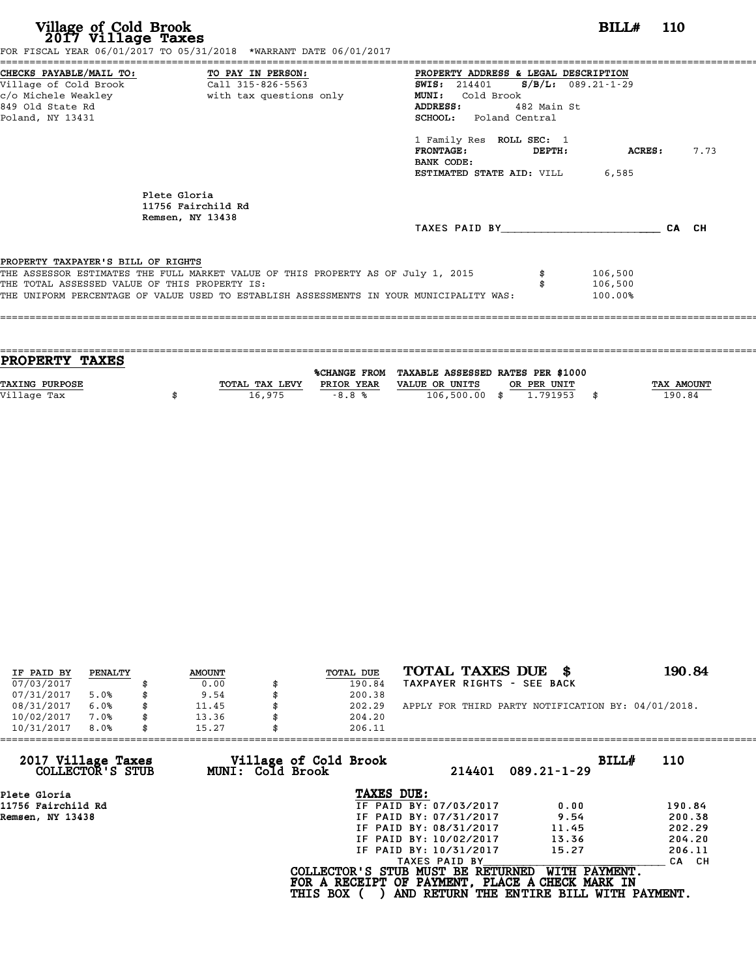| Village of Cold Brook<br>2017 Village Taxes<br>FOR FISCAL YEAR 06/01/2017 TO 05/31/2018 *WARRANT DATE 06/01/2017                                                                                                                                                   | <b>BILL#</b> 110                                                                                                                                                                                                                                                                                                    |
|--------------------------------------------------------------------------------------------------------------------------------------------------------------------------------------------------------------------------------------------------------------------|---------------------------------------------------------------------------------------------------------------------------------------------------------------------------------------------------------------------------------------------------------------------------------------------------------------------|
| CHECKS PAYABLE/MAIL TO: TO PAY IN PERSON:<br>Village of Cold Brook<br>Call 315-826-5563<br>849 Old State Rd<br>Poland, NY 13431                                                                                                                                    | PROPERTY ADDRESS & LEGAL DESCRIPTION<br><b>SWIS:</b> 214401 <b>S/B/L:</b> 089.21-1-29<br><b>MUNI:</b><br>Cold Brook<br>ADDRESS: 482 Main St.<br><b>SCHOOL:</b> Poland Central<br>1 Family Res ROLL SEC: 1<br>$FRONTAGE:$ $DEPTH:$<br>7.73<br><b>ACRES :</b><br>BANK CODE:<br><b>ESTIMATED STATE AID:</b> VILL 6,585 |
| Plete Gloria<br>11756 Fairchild Rd<br>Remsen, NY 13438                                                                                                                                                                                                             | TAXES PAID BY CA CH                                                                                                                                                                                                                                                                                                 |
| PROPERTY TAXPAYER'S BILL OF RIGHTS<br>THE ASSESSOR ESTIMATES THE FULL MARKET VALUE OF THIS PROPERTY AS OF July 1, 2015<br>THE TOTAL ASSESSED VALUE OF THIS PROPERTY IS:<br>THE UNIFORM PERCENTAGE OF VALUE USED TO ESTABLISH ASSESSMENTS IN YOUR MUNICIPALITY WAS: | 106,500<br>106,500<br>100.00%                                                                                                                                                                                                                                                                                       |

| PROPERTY TAXES        |                |                     |                                   |             |                   |
|-----------------------|----------------|---------------------|-----------------------------------|-------------|-------------------|
|                       |                |                     |                                   |             |                   |
|                       |                | <b>%CHANGE FROM</b> | TAXABLE ASSESSED RATES PER \$1000 |             |                   |
| <b>TAXING PURPOSE</b> | TOTAL TAX LEVY | PRIOR YEAR          | VALUE OR UNITS                    | OR PER UNIT | <b>TAX AMOUNT</b> |
| Village Tax           | 16,975         | $-8.8%$             | 106,500.00 \$                     | 1.791953    | 190.84            |
|                       |                |                     |                                   |             |                   |

| IF PAID BY | PENALTY |   | <b>AMOUNT</b> | TOTAL DUE | TOTAL TAXES DUE<br>- \$                            | 190.84 |
|------------|---------|---|---------------|-----------|----------------------------------------------------|--------|
| 07/03/2017 |         |   | 0.00          | 190.84    | TAXPAYER RIGHTS - SEE BACK                         |        |
|            |         |   |               |           |                                                    |        |
| 07/31/2017 | 5.0%    |   | 9.54          | 200.38    |                                                    |        |
| 08/31/2017 | 6.0%    |   | 11.45         | 202.29    | APPLY FOR THIRD PARTY NOTIFICATION BY: 04/01/2018. |        |
| 10/02/2017 | 7.0%    |   | 13.36         | 204.20    |                                                    |        |
| 10/31/2017 | 8.0%    | S | 15.27         | 206.11    |                                                    |        |

| 206.11          |                                           |                                                                                                                                                               |                                                                                                                                                            |
|-----------------|-------------------------------------------|---------------------------------------------------------------------------------------------------------------------------------------------------------------|------------------------------------------------------------------------------------------------------------------------------------------------------------|
|                 | 214401                                    | $089.21 - 1 - 29$                                                                                                                                             | 110                                                                                                                                                        |
|                 |                                           |                                                                                                                                                               |                                                                                                                                                            |
|                 |                                           | 0.00                                                                                                                                                          | 190.84                                                                                                                                                     |
|                 |                                           | 9.54                                                                                                                                                          | 200.38                                                                                                                                                     |
|                 |                                           | 11.45                                                                                                                                                         | 202.29                                                                                                                                                     |
|                 |                                           | 13.36                                                                                                                                                         | 204.20                                                                                                                                                     |
|                 |                                           | 15.27                                                                                                                                                         | 206.11                                                                                                                                                     |
|                 |                                           |                                                                                                                                                               | CA CH                                                                                                                                                      |
| <b>THIS BOX</b> |                                           |                                                                                                                                                               |                                                                                                                                                            |
|                 | Village of Cold Brook<br>MUNI: Cold Brook | TAXES DUE:<br>IF PAID BY: 07/03/2017<br>IF PAID BY: 07/31/2017<br>IF PAID BY: 08/31/2017<br>IF PAID BY: 10/02/2017<br>IF PAID BY: 10/31/2017<br>TAXES PAID BY | BILLH<br>WITH PAYMENT.<br>COLLECTOR'S STUB MUST BE RETURNED<br>FOR A RECEIPT OF PAYMENT, PLACE A CHECK MARK IN<br>AND RETURN THE ENTIRE BILL WITH PAYMENT. |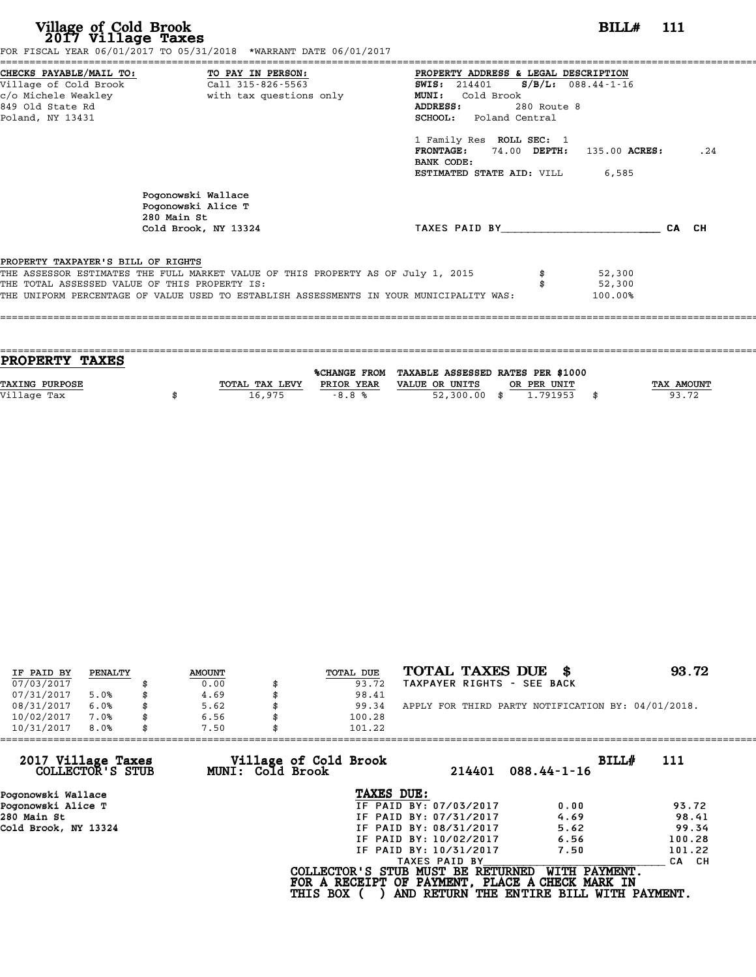| Village of Cold Brook<br>2017 Village Taxes                                                                     | FOR FISCAL YEAR 06/01/2017 TO 05/31/2018 *WARRANT DATE 06/01/2017                                                                                                           | BILL# 111                                                                                                                                                         |       |
|-----------------------------------------------------------------------------------------------------------------|-----------------------------------------------------------------------------------------------------------------------------------------------------------------------------|-------------------------------------------------------------------------------------------------------------------------------------------------------------------|-------|
| CHECKS PAYABLE/MAIL TO:<br>Village of Cold Brook<br>c/o Michele Weakley<br>849 Old State Rd<br>Poland, NY 13431 | TO PAY IN PERSON:<br>Call 315-826-5563<br>with tax questions only                                                                                                           | PROPERTY ADDRESS & LEGAL DESCRIPTION<br>$S/B/L$ : 088.44-1-16<br><b>SWIS:</b> 214401<br>MUNI: Cold Brook<br>ADDRESS:<br>$280$ Route $8$<br>SCHOOL: Poland Central |       |
|                                                                                                                 |                                                                                                                                                                             | 1 Family Res ROLL SEC: 1<br>FRONTAGE: 74.00 DEPTH: 135.00 ACRES:<br>BANK CODE:<br>ESTIMATED STATE AID: VILL<br>6,585                                              | .24   |
|                                                                                                                 | Pogonowski Wallace<br>Pogonowski Alice T<br>280 Main St<br>Cold Brook, NY 13324                                                                                             | TAXES PAID BY                                                                                                                                                     | CA CH |
| PROPERTY TAXPAYER'S BILL OF RIGHTS<br>THE TOTAL ASSESSED VALUE OF THIS PROPERTY IS:                             | THE ASSESSOR ESTIMATES THE FULL MARKET VALUE OF THIS PROPERTY AS OF July 1, 2015<br>THE UNIFORM PERCENTAGE OF VALUE USED TO ESTABLISH ASSESSMENTS IN YOUR MUNICIPALITY WAS: | 52,300<br>52,300<br>100.00%                                                                                                                                       |       |

| <b>PROPERTY TAXES</b> |                |            |                                                |             |                   |
|-----------------------|----------------|------------|------------------------------------------------|-------------|-------------------|
|                       |                |            | %CHANGE FROM TAXABLE ASSESSED RATES PER \$1000 |             |                   |
| TAXING PURPOSE        | TOTAL TAX LEVY | PRIOR YEAR | VALUE OR UNITS                                 | OR PER UNIT | <b>TAX AMOUNT</b> |
|                       |                |            |                                                |             |                   |
| Village Tax           | 16,975         | $-8.8%$    | $52,300.00$ \$                                 | 1.791953    | 93.72             |
|                       |                |            |                                                |             |                   |

| IF PAID BY | PENALTY | <b>AMOUNT</b> | TOTAL DUE | TOTAL TAXES DUE \$                                 | 93.72 |
|------------|---------|---------------|-----------|----------------------------------------------------|-------|
| 07/03/2017 |         | 0.00          | 93.72     | TAXPAYER RIGHTS - SEE BACK                         |       |
| 07/31/2017 | 5.0%    | 4.69          | 98.41     |                                                    |       |
| 08/31/2017 | 6.0%    | 5.62          | 99.34     | APPLY FOR THIRD PARTY NOTIFICATION BY: 04/01/2018. |       |
| 10/02/2017 | 7.0%    | 6.56          | 100.28    |                                                    |       |
| 10/31/2017 | 8.0%    | 7.50          | 101.22    |                                                    |       |

| 101.22     |                                                              |                                                                                                                                                                                                                                                                                               |
|------------|--------------------------------------------------------------|-----------------------------------------------------------------------------------------------------------------------------------------------------------------------------------------------------------------------------------------------------------------------------------------------|
|            | $088.44 - 1 - 16$                                            | BILLH<br>111                                                                                                                                                                                                                                                                                  |
| TAXES DUE: |                                                              |                                                                                                                                                                                                                                                                                               |
|            | 0.00                                                         | 93.72                                                                                                                                                                                                                                                                                         |
|            | 4.69                                                         | 98.41                                                                                                                                                                                                                                                                                         |
|            | 5.62                                                         | 99.34                                                                                                                                                                                                                                                                                         |
|            | 6.56                                                         | 100.28                                                                                                                                                                                                                                                                                        |
|            | 7.50                                                         | 101.22                                                                                                                                                                                                                                                                                        |
|            |                                                              | CA CH                                                                                                                                                                                                                                                                                         |
|            | WITH PAYMENT.                                                |                                                                                                                                                                                                                                                                                               |
| 7.50       | Village of Cold Brook<br>MUNI: Cold Brook<br><b>THIS BOX</b> | 214401<br>IF PAID BY: 07/03/2017<br>IF PAID BY: 07/31/2017<br>IF PAID BY: 08/31/2017<br>IF PAID BY: 10/02/2017<br>IF PAID BY: 10/31/2017<br>TAXES PAID BY<br>COLLECTOR'S STUB MUST BE RETURNED<br>FOR A RECEIPT OF PAYMENT, PLACE A CHECK MARK IN<br>AND RETURN THE ENTIRE BILL WITH PAYMENT. |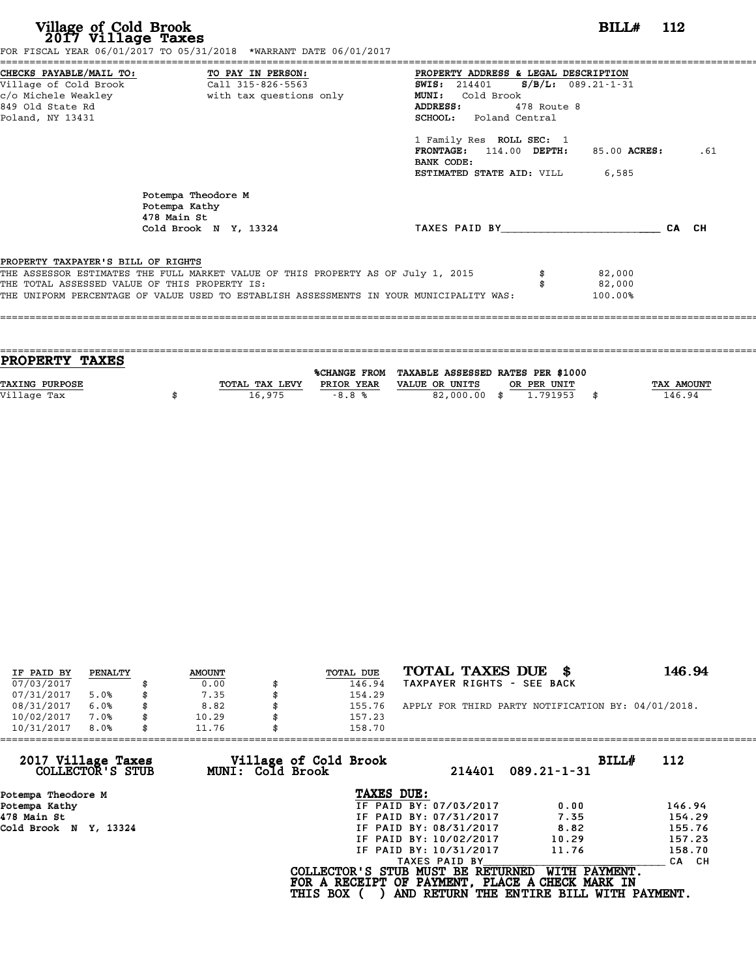| Village of Cold Brook<br>2017 Village Taxes<br>FOR FISCAL YEAR 06/01/2017 TO 05/31/2018 *WARRANT DATE 06/01/2017                                                                                                                                                   |                                             |                                                                                                                                                                                                                                                                      | BILL# 112                             |       |
|--------------------------------------------------------------------------------------------------------------------------------------------------------------------------------------------------------------------------------------------------------------------|---------------------------------------------|----------------------------------------------------------------------------------------------------------------------------------------------------------------------------------------------------------------------------------------------------------------------|---------------------------------------|-------|
| CHECKS PAYABLE/MAIL TO: TO PAY IN PERSON:<br>Village of Cold Brook Call 315-826-5563<br>c/o Michele Weakley<br>849 Old State Rd<br>Poland, NY 13431                                                                                                                | with tax questions only                     | PROPERTY ADDRESS & LEGAL DESCRIPTION<br><b>SWIS:</b> 214401<br>Cold Brook<br><b>MUNI:</b><br>ADDRESS:<br>478 Route 8<br><b>SCHOOL:</b> Poland Central<br>1 Family Res ROLL SEC: 1<br>FRONTAGE: 114.00 DEPTH:<br>BANK CODE:<br><b>ESTIMATED STATE AID:</b> VILL 6,585 | $S/B/L$ : 089.21-1-31<br>85.00 ACRES: | .61   |
| Potempa Kathy<br>478 Main St                                                                                                                                                                                                                                       | Potempa Theodore M<br>Cold Brook N Y, 13324 | TAXES PAID BY TAXES                                                                                                                                                                                                                                                  |                                       | CA CH |
| PROPERTY TAXPAYER'S BILL OF RIGHTS<br>THE ASSESSOR ESTIMATES THE FULL MARKET VALUE OF THIS PROPERTY AS OF July 1, 2015<br>THE TOTAL ASSESSED VALUE OF THIS PROPERTY IS:<br>THE UNIFORM PERCENTAGE OF VALUE USED TO ESTABLISH ASSESSMENTS IN YOUR MUNICIPALITY WAS: |                                             | \$                                                                                                                                                                                                                                                                   | 82,000<br>82,000<br>100.00%           |       |

| PROPERTY TAXES        |                |                     |                                   |             |                   |  |
|-----------------------|----------------|---------------------|-----------------------------------|-------------|-------------------|--|
|                       |                | <b>%CHANGE FROM</b> | TAXABLE ASSESSED RATES PER \$1000 |             |                   |  |
| <b>TAXING PURPOSE</b> | TOTAL TAX LEVY | PRIOR YEAR          | VALUE OR UNITS                    | OR PER UNIT | <b>TAX AMOUNT</b> |  |
| Village Tax           | 16,975         | $-8.8%$             | 82,000.00 \$                      | 1.791953    | 146.94<br>\$      |  |
|                       |                |                     |                                   |             |                   |  |
|                       |                |                     |                                   |             |                   |  |

| IF PAID BY | PENALTY | <b>AMOUNT</b> | TOTAL DUE | TOTAL TAXES DUE \$                                 | 146.94 |
|------------|---------|---------------|-----------|----------------------------------------------------|--------|
| 07/03/2017 |         | 0.00          | 146.94    | TAXPAYER RIGHTS - SEE BACK                         |        |
| 07/31/2017 | 5.0%    | 7.35          | 154.29    |                                                    |        |
| 08/31/2017 | 6.0%    | \$<br>8.82    | 155.76    | APPLY FOR THIRD PARTY NOTIFICATION BY: 04/01/2018. |        |
| 10/02/2017 | 7.0%    | 10.29         | 157.23    |                                                    |        |
| 10/31/2017 | 8.0%    | \$<br>11.76   | 158.70    |                                                    |        |

| 11.76            |               |                                          |                                                                                                                                                                                                                                                                              |
|------------------|---------------|------------------------------------------|------------------------------------------------------------------------------------------------------------------------------------------------------------------------------------------------------------------------------------------------------------------------------|
| MUNI: Cold Brook | 214401        | BILL#<br>$089.21 - 1 - 31$               | 112                                                                                                                                                                                                                                                                          |
|                  | TAXES DUE:    |                                          |                                                                                                                                                                                                                                                                              |
|                  |               | 0.00                                     | 146.94                                                                                                                                                                                                                                                                       |
|                  |               | 7.35                                     | 154.29                                                                                                                                                                                                                                                                       |
|                  |               | 8.82                                     | 155.76                                                                                                                                                                                                                                                                       |
|                  |               | 10.29                                    | 157.23                                                                                                                                                                                                                                                                       |
|                  |               | 11.76                                    | 158.70                                                                                                                                                                                                                                                                       |
|                  | TAXES PAID BY |                                          | CA CH                                                                                                                                                                                                                                                                        |
|                  |               | WITH PAYMENT.                            |                                                                                                                                                                                                                                                                              |
|                  |               | Village of Cold Brook<br><b>THIS BOX</b> | 158.70<br>IF PAID BY: 07/03/2017<br>IF PAID BY: 07/31/2017<br>IF PAID BY: 08/31/2017<br>IF PAID BY: 10/02/2017<br>IF PAID BY: 10/31/2017<br>COLLECTOR'S STUB MUST BE RETURNED<br>FOR A RECEIPT OF PAYMENT, PLACE A CHECK MARK IN<br>AND RETURN THE ENTIRE BILL WITH PAYMENT. |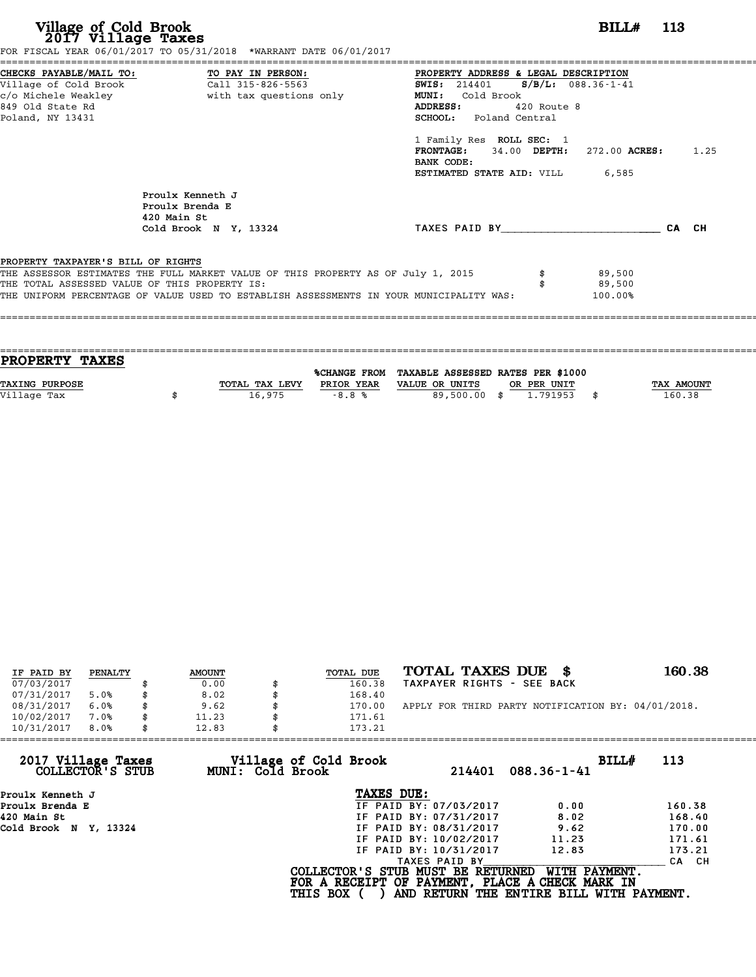| Village of Cold Brook<br>2017 Village Taxes                 | FOR FISCAL YEAR 06/01/2017 TO 05/31/2018 *WARRANT DATE 06/01/2017                                                                                                                                                            |                                                                                                                                                                                                                                             | <b>BILL#</b> 113  |  |
|-------------------------------------------------------------|------------------------------------------------------------------------------------------------------------------------------------------------------------------------------------------------------------------------------|---------------------------------------------------------------------------------------------------------------------------------------------------------------------------------------------------------------------------------------------|-------------------|--|
| c/o Michele Weakley<br>849 Old State Rd<br>Poland, NY 13431 | CHECKS PAYABLE/MAIL TO: TO PAY IN PERSON:<br>Village of Cold Brook Call 315-826-5563<br>with tax questions only                                                                                                              | PROPERTY ADDRESS & LEGAL DESCRIPTION<br>SWIS: 214401 S/B/L: 088.36-1-41<br>MUNI: Cold Brook<br>ADDRESS: 420 Route 8<br>SCHOOL: Poland Central<br>1 Family Res ROLL SEC: 1<br><b>FRONTAGE:</b> 34.00 DEPTH: 272.00 ACRES: 1.25<br>BANK CODE: |                   |  |
|                                                             | Proulx Kenneth J<br>Proulx Brenda E<br>420 Main St<br>Cold Brook N Y, 13324                                                                                                                                                  | <b>ESTIMATED STATE AID:</b> VILL 6,585<br>TAXES PAID BY CA CH                                                                                                                                                                               |                   |  |
| PROPERTY TAXPAYER'S BILL OF RIGHTS                          | THE ASSESSOR ESTIMATES THE FULL MARKET VALUE OF THIS PROPERTY AS OF July 1, 2015<br>THE TOTAL ASSESSED VALUE OF THIS PROPERTY IS:<br>THE UNIFORM PERCENTAGE OF VALUE USED TO ESTABLISH ASSESSMENTS IN YOUR MUNICIPALITY WAS: | 89,500                                                                                                                                                                                                                                      | 89,500<br>100.00% |  |

| <b>PROPERTY TAXES</b> |                |            |                                                |             |                   |
|-----------------------|----------------|------------|------------------------------------------------|-------------|-------------------|
|                       |                |            |                                                |             |                   |
|                       |                |            | %CHANGE FROM TAXABLE ASSESSED RATES PER \$1000 |             |                   |
| <b>TAXING PURPOSE</b> | TOTAL TAX LEVY | PRIOR YEAR | VALUE OR UNITS                                 | OR PER UNIT | <b>TAX AMOUNT</b> |
| Village Tax           | 16,975         | $-8.8%$    | 89,500.00 \$                                   | 1,791953    | 160.38            |
|                       |                |            |                                                |             |                   |
|                       |                |            |                                                |             |                   |

| IF PAID BY | PENALTY | <b>AMOUNT</b> | <b>TOTAL DUE</b> | TOTAL TAXES DUE \$                                 | 160.38 |
|------------|---------|---------------|------------------|----------------------------------------------------|--------|
| 07/03/2017 |         | 0.00          | 160.38           | TAXPAYER RIGHTS - SEE BACK                         |        |
| 07/31/2017 | 5.0%    | \$<br>8.02    | 168.40           |                                                    |        |
| 08/31/2017 | 6.0%    | \$<br>9.62    | \$<br>170.00     | APPLY FOR THIRD PARTY NOTIFICATION BY: 04/01/2018. |        |
| 10/02/2017 | 7.0%    | \$<br>11.23   | 171.61           |                                                    |        |
| 10/31/2017 | 8.0%    | \$<br>12.83   | 173.21           |                                                    |        |

|                 | 214401           | BILL#<br>$088.36 - 1 - 41$                                                                                                                                            | 113                                                                                                                                        |
|-----------------|------------------|-----------------------------------------------------------------------------------------------------------------------------------------------------------------------|--------------------------------------------------------------------------------------------------------------------------------------------|
|                 |                  |                                                                                                                                                                       |                                                                                                                                            |
|                 |                  | 0.00                                                                                                                                                                  | 160.38                                                                                                                                     |
|                 |                  | 8.02                                                                                                                                                                  | 168.40                                                                                                                                     |
|                 |                  | 9.62                                                                                                                                                                  | 170.00                                                                                                                                     |
|                 |                  | 11.23                                                                                                                                                                 | 171.61                                                                                                                                     |
|                 |                  | 12.83                                                                                                                                                                 | 173.21                                                                                                                                     |
|                 | TAXES PAID BY    |                                                                                                                                                                       | CA CH                                                                                                                                      |
| <b>THIS BOX</b> |                  | WITH PAYMENT.                                                                                                                                                         |                                                                                                                                            |
|                 | MUNI: Cold Brook | Village of Cold Brook<br>TAXES DUE:<br>IF PAID BY: 07/03/2017<br>IF PAID BY: 07/31/2017<br>IF PAID BY: 08/31/2017<br>IF PAID BY: 10/02/2017<br>IF PAID BY: 10/31/2017 | 173.21<br>COLLECTOR'S STUB MUST BE RETURNED<br>FOR A RECEIPT OF PAYMENT, PLACE A CHECK MARK IN<br>AND RETURN THE ENTIRE BILL WITH PAYMENT. |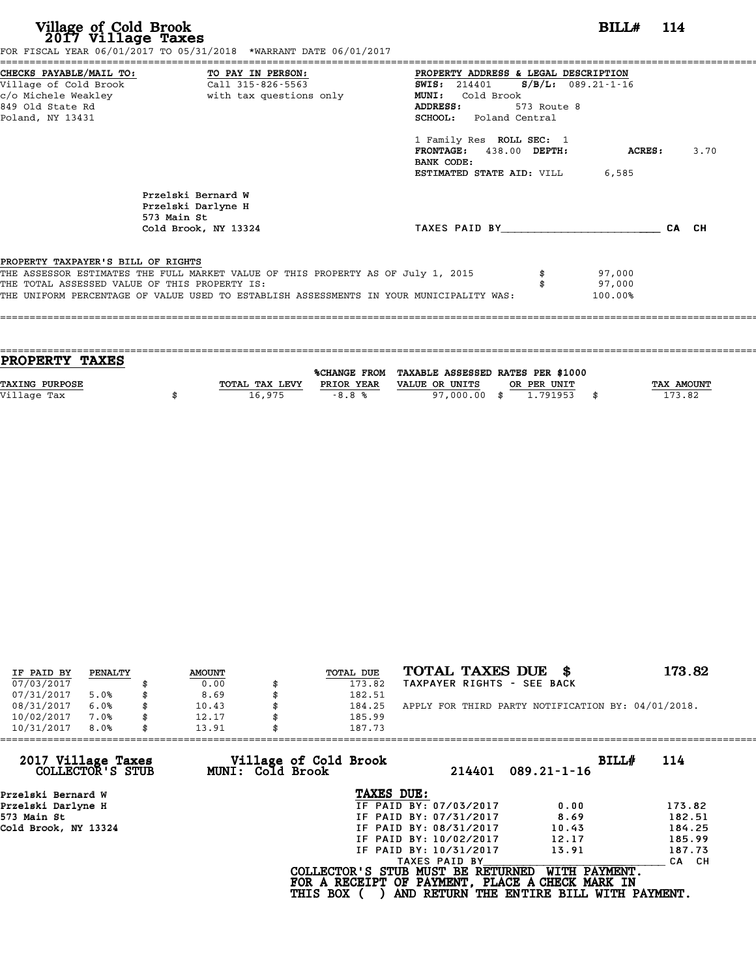| Village of Cold Brook<br>2017 Village Taxes                                         | FOR FISCAL YEAR 06/01/2017 TO 05/31/2018 *WARRANT DATE 06/01/2017                                                                                                           |                                                                                                                                                                                                                                                            | $BILLH$ 114                 |                    |      |
|-------------------------------------------------------------------------------------|-----------------------------------------------------------------------------------------------------------------------------------------------------------------------------|------------------------------------------------------------------------------------------------------------------------------------------------------------------------------------------------------------------------------------------------------------|-----------------------------|--------------------|------|
| c/o Michele Weakley<br>849 Old State Rd<br>Poland, NY 13431                         | CHECKS PAYABLE/MAIL TO: TO PAY IN PERSON:<br>Village of Cold Brook Call 315-826-5563<br>with tax questions only                                                             | PROPERTY ADDRESS & LEGAL DESCRIPTION<br><b>SWIS:</b> 214401<br>MUNI: Cold Brook<br>ADDRESS:<br>573 Route 8<br><b>SCHOOL:</b> Poland Central<br>1 Family Res ROLL SEC: 1<br>FRONTAGE: 438.00 DEPTH:<br>BANK CODE:<br><b>ESTIMATED STATE AID:</b> VILL 6,585 | $S/B/L: 089.21-1-16$        | $\mathtt{ACRES}$ : | 3.70 |
|                                                                                     | Przelski Bernard W<br>Przelski Darlyne H<br>573 Main St<br>Cold Brook, NY 13324                                                                                             | TAXES PAID BY TAXES                                                                                                                                                                                                                                        |                             | CA CH              |      |
| PROPERTY TAXPAYER'S BILL OF RIGHTS<br>THE TOTAL ASSESSED VALUE OF THIS PROPERTY IS: | THE ASSESSOR ESTIMATES THE FULL MARKET VALUE OF THIS PROPERTY AS OF July 1, 2015<br>THE UNIFORM PERCENTAGE OF VALUE USED TO ESTABLISH ASSESSMENTS IN YOUR MUNICIPALITY WAS: |                                                                                                                                                                                                                                                            | 97,000<br>97,000<br>100.00% |                    |      |

| <b>PROPERTY TAXES</b> |                |                     |                                   |             |                   |
|-----------------------|----------------|---------------------|-----------------------------------|-------------|-------------------|
|                       |                | <b>%CHANGE FROM</b> | TAXABLE ASSESSED RATES PER \$1000 |             |                   |
|                       |                |                     |                                   |             |                   |
| <b>TAXING PURPOSE</b> | TOTAL TAX LEVY | PRIOR YEAR          | VALUE OR UNITS                    | OR PER UNIT | <b>TAX AMOUNT</b> |
| Village Tax           | 16,975         | $-8.8%$             | 97,000.00 \$                      | 1.791953    | 173.82            |
|                       |                |                     |                                   |             |                   |

| IF PAID BY | PENALTY | <b>AMOUNT</b> |    | TOTAL DUE | TOTAL TAXES DUE \$                                 | 173.82 |
|------------|---------|---------------|----|-----------|----------------------------------------------------|--------|
| 07/03/2017 |         | 0.00          |    | 173.82    | TAXPAYER RIGHTS - SEE BACK                         |        |
| 07/31/2017 | 5.0%    | 8.69          |    | 182.51    |                                                    |        |
| 08/31/2017 | 6.0%    | \$<br>10.43   |    | 184.25    | APPLY FOR THIRD PARTY NOTIFICATION BY: 04/01/2018. |        |
| 10/02/2017 | 7.0%    | \$<br>12.17   | Я. | 185.99    |                                                    |        |
| 10/31/2017 | 8.0%    | \$<br>13.91   |    | 187.73    |                                                    |        |

|                 | 214401<br>$089.21 - 1 - 16$                         | BILL#<br>114                                                                                                                                                                                                                                                                                      |
|-----------------|-----------------------------------------------------|---------------------------------------------------------------------------------------------------------------------------------------------------------------------------------------------------------------------------------------------------------------------------------------------------|
|                 |                                                     |                                                                                                                                                                                                                                                                                                   |
|                 | 0.00                                                | 173.82                                                                                                                                                                                                                                                                                            |
|                 | 8.69                                                | 182.51                                                                                                                                                                                                                                                                                            |
|                 | 10.43                                               | 184.25                                                                                                                                                                                                                                                                                            |
|                 | 12.17                                               | 185.99                                                                                                                                                                                                                                                                                            |
|                 | 13.91                                               | 187.73                                                                                                                                                                                                                                                                                            |
|                 |                                                     | CA CH                                                                                                                                                                                                                                                                                             |
| <b>THIS BOX</b> | WITH PAYMENT.                                       |                                                                                                                                                                                                                                                                                                   |
|                 | 187.73<br>Village of Cold Brook<br>MUNI: Cold Brook | TAXES DUE:<br>IF PAID BY: 07/03/2017<br>IF PAID BY: 07/31/2017<br>IF PAID BY: 08/31/2017<br>IF PAID BY: 10/02/2017<br>IF PAID BY: 10/31/2017<br>TAXES PAID BY<br>COLLECTOR'S STUB MUST BE RETURNED<br>FOR A RECEIPT OF PAYMENT, PLACE A CHECK MARK IN<br>AND RETURN THE ENTIRE BILL WITH PAYMENT. |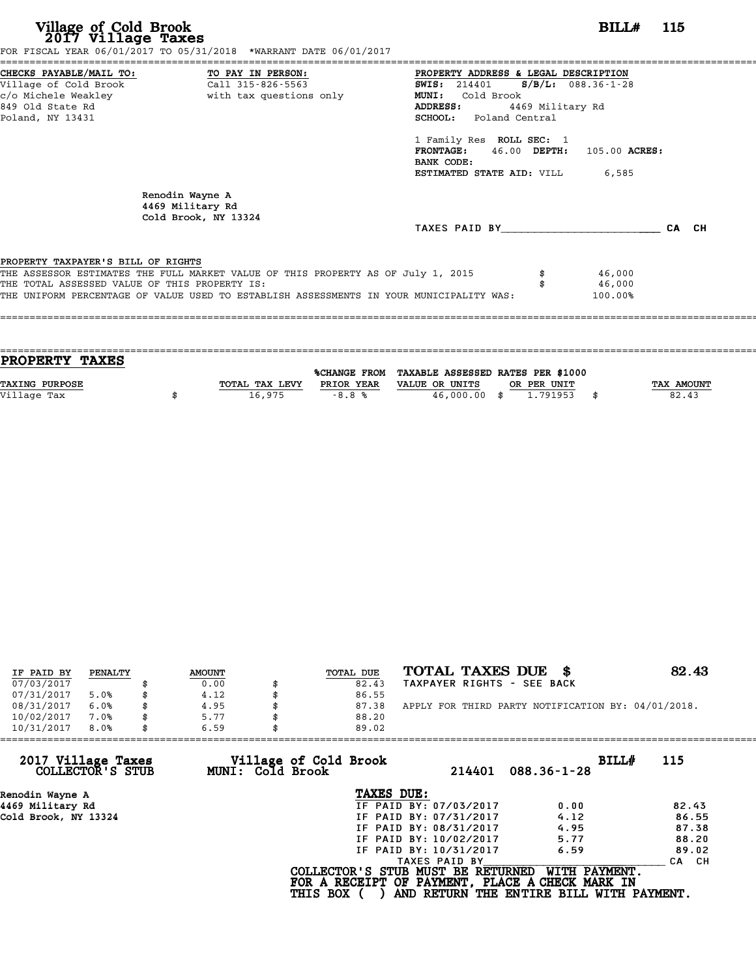| CHECKS PAYABLE/MAIL TO: TO PAY IN PERSON:<br>PROPERTY ADDRESS & LEGAL DESCRIPTION<br>Village of Cold Brook<br>Call 315-826-5563<br>$S/B/L: 088.36-1-28$<br><b>SWIS:</b> 214401<br>c/o Michele Weakley<br>with tax questions only<br><b>MUNI:</b><br>Cold Brook<br>849 Old State Rd<br>4469 Military Rd<br><b>ADDRESS:</b><br>Poland, NY 13431<br><b>SCHOOL:</b> Poland Central<br>1 Family Res ROLL SEC: 1<br>FRONTAGE: 46.00 DEPTH: 105.00 ACRES:<br>BANK CODE:<br><b>ESTIMATED STATE AID:</b> VILL 6,585<br>Renodin Wayne A<br>4469 Military Rd<br>Cold Brook, NY 13324<br>TAXES PAID BY TAXES<br>CA CH<br>PROPERTY TAXPAYER'S BILL OF RIGHTS<br>THE ASSESSOR ESTIMATES THE FULL MARKET VALUE OF THIS PROPERTY AS OF July 1, 2015<br>46,000<br>THE TOTAL ASSESSED VALUE OF THIS PROPERTY IS:<br>46,000<br>THE UNIFORM PERCENTAGE OF VALUE USED TO ESTABLISH ASSESSMENTS IN YOUR MUNICIPALITY WAS:<br>100.00% | Village of Cold Brook<br>2017 Village Taxes | FOR FISCAL YEAR 06/01/2017 TO 05/31/2018 *WARRANT DATE 06/01/2017 | $BILLH$ 115 |
|----------------------------------------------------------------------------------------------------------------------------------------------------------------------------------------------------------------------------------------------------------------------------------------------------------------------------------------------------------------------------------------------------------------------------------------------------------------------------------------------------------------------------------------------------------------------------------------------------------------------------------------------------------------------------------------------------------------------------------------------------------------------------------------------------------------------------------------------------------------------------------------------------------------|---------------------------------------------|-------------------------------------------------------------------|-------------|
|                                                                                                                                                                                                                                                                                                                                                                                                                                                                                                                                                                                                                                                                                                                                                                                                                                                                                                                |                                             |                                                                   |             |
|                                                                                                                                                                                                                                                                                                                                                                                                                                                                                                                                                                                                                                                                                                                                                                                                                                                                                                                |                                             |                                                                   |             |
|                                                                                                                                                                                                                                                                                                                                                                                                                                                                                                                                                                                                                                                                                                                                                                                                                                                                                                                |                                             |                                                                   |             |
|                                                                                                                                                                                                                                                                                                                                                                                                                                                                                                                                                                                                                                                                                                                                                                                                                                                                                                                |                                             |                                                                   |             |
|                                                                                                                                                                                                                                                                                                                                                                                                                                                                                                                                                                                                                                                                                                                                                                                                                                                                                                                |                                             |                                                                   |             |
|                                                                                                                                                                                                                                                                                                                                                                                                                                                                                                                                                                                                                                                                                                                                                                                                                                                                                                                |                                             |                                                                   |             |
|                                                                                                                                                                                                                                                                                                                                                                                                                                                                                                                                                                                                                                                                                                                                                                                                                                                                                                                |                                             |                                                                   |             |
|                                                                                                                                                                                                                                                                                                                                                                                                                                                                                                                                                                                                                                                                                                                                                                                                                                                                                                                |                                             |                                                                   |             |
|                                                                                                                                                                                                                                                                                                                                                                                                                                                                                                                                                                                                                                                                                                                                                                                                                                                                                                                |                                             |                                                                   |             |
|                                                                                                                                                                                                                                                                                                                                                                                                                                                                                                                                                                                                                                                                                                                                                                                                                                                                                                                |                                             |                                                                   |             |
|                                                                                                                                                                                                                                                                                                                                                                                                                                                                                                                                                                                                                                                                                                                                                                                                                                                                                                                |                                             |                                                                   |             |
|                                                                                                                                                                                                                                                                                                                                                                                                                                                                                                                                                                                                                                                                                                                                                                                                                                                                                                                |                                             |                                                                   |             |
|                                                                                                                                                                                                                                                                                                                                                                                                                                                                                                                                                                                                                                                                                                                                                                                                                                                                                                                |                                             |                                                                   |             |
|                                                                                                                                                                                                                                                                                                                                                                                                                                                                                                                                                                                                                                                                                                                                                                                                                                                                                                                |                                             |                                                                   |             |
|                                                                                                                                                                                                                                                                                                                                                                                                                                                                                                                                                                                                                                                                                                                                                                                                                                                                                                                |                                             |                                                                   |             |
|                                                                                                                                                                                                                                                                                                                                                                                                                                                                                                                                                                                                                                                                                                                                                                                                                                                                                                                |                                             |                                                                   |             |

| <b>TAX AMOUNT</b> |
|-------------------|
| 82.43             |
|                   |
|                   |

| IF PAID BY | PENALTY | <b>AMOUNT</b> | TOTAL DUE | TOTAL TAXES DUE \$                                 | 82.43 |
|------------|---------|---------------|-----------|----------------------------------------------------|-------|
| 07/03/2017 |         | 0.00          | 82.43     | TAXPAYER RIGHTS - SEE BACK                         |       |
| 07/31/2017 | 5.0%    | 4.12          | 86.55     |                                                    |       |
| 08/31/2017 | 6.0%    | 4.95          | 87.38     | APPLY FOR THIRD PARTY NOTIFICATION BY: 04/01/2018. |       |
| 10/02/2017 | 7.0%    | 5.77          | 88.20     |                                                    |       |
| 10/31/2017 | 8.0%    | 6.59          | 89.02     |                                                    |       |

|                 | 214401           | BILLH<br>$088.36 - 1 - 28$                                                                                                 | 115                                                                                                                                                                                                   |
|-----------------|------------------|----------------------------------------------------------------------------------------------------------------------------|-------------------------------------------------------------------------------------------------------------------------------------------------------------------------------------------------------|
|                 |                  |                                                                                                                            |                                                                                                                                                                                                       |
|                 |                  | 0.00                                                                                                                       | 82.43                                                                                                                                                                                                 |
|                 |                  | 4.12                                                                                                                       | 86.55                                                                                                                                                                                                 |
|                 |                  | 4.95                                                                                                                       | 87.38                                                                                                                                                                                                 |
|                 |                  | 5.77                                                                                                                       | 88.20                                                                                                                                                                                                 |
|                 |                  | 6.59                                                                                                                       | 89.02                                                                                                                                                                                                 |
|                 | TAXES PAID BY    |                                                                                                                            | CA CH                                                                                                                                                                                                 |
| <b>THIS BOX</b> |                  |                                                                                                                            |                                                                                                                                                                                                       |
| 6.59            | MUNI: Cold Brook | 89.02<br>Village of Cold Brook<br>TAXES DUE:<br>IF PAID BY: 07/03/2017<br>IF PAID BY: 10/02/2017<br>IF PAID BY: 10/31/2017 | IF PAID BY: 07/31/2017<br>IF PAID BY: 08/31/2017<br>COLLECTOR'S STUB MUST BE RETURNED<br>WITH PAYMENT.<br>FOR A RECEIPT OF PAYMENT, PLACE A CHECK MARK IN<br>AND RETURN THE ENTIRE BILL WITH PAYMENT. |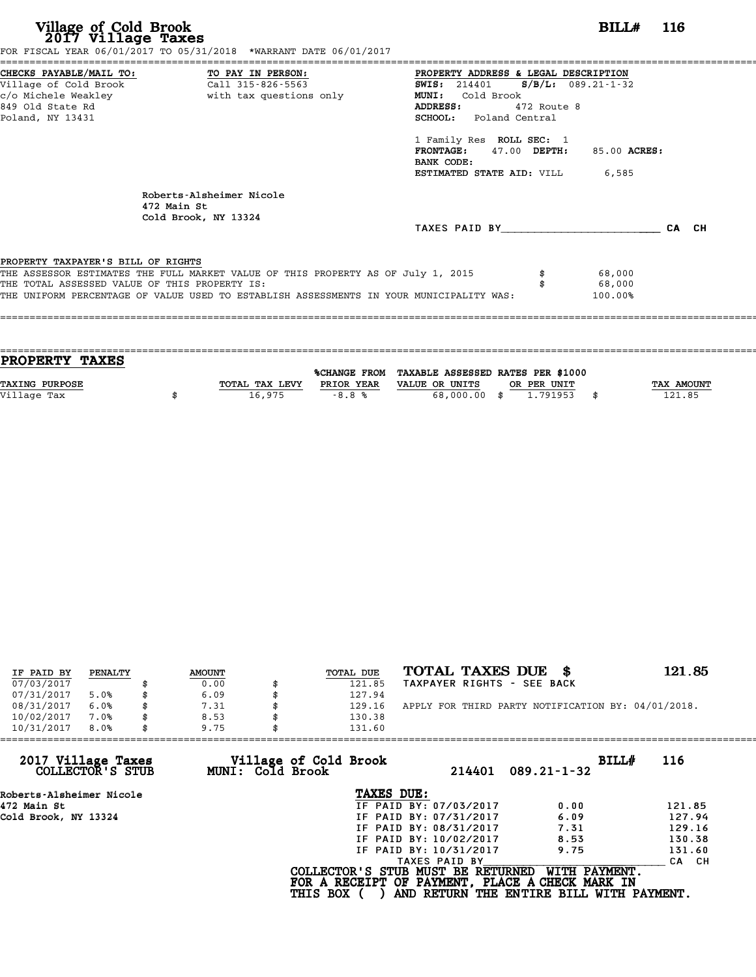**Village of Cold Brook**<br> **2017 Village Taxes**<br>
FOR FISCAL YEAR 06/01/2017 TO 05/31/2018 \*WARRANT DATE 06/01/2017<br> **POR FISCAL YEAR 06/01/2017** TO 05/31/2018 \*WARRANT DATE 06/01/2017

|                                               | FOR FISCAL YEAR 06/01/2017 TO 05/31/2018 *WARRANT DATE 06/01/2017                       |                                      |                      |       |
|-----------------------------------------------|-----------------------------------------------------------------------------------------|--------------------------------------|----------------------|-------|
|                                               | CHECKS PAYABLE/MAIL TO: TO PAY IN PERSON:                                               | PROPERTY ADDRESS & LEGAL DESCRIPTION |                      |       |
|                                               | Village of Cold Brook Call 315-826-5563                                                 | <b>SWIS:</b> 214401                  | $S/B/L: 089.21-1-32$ |       |
| c/o Michele Weakley                           | with tax questions only                                                                 | Cold Brook<br><b>MUNI:</b>           |                      |       |
| 849 Old State Rd                              |                                                                                         | ADDRESS:<br>472 Route 8              |                      |       |
| Poland, NY 13431                              |                                                                                         | SCHOOL: Poland Central               |                      |       |
|                                               |                                                                                         | 1 Family Res ROLL SEC: 1             |                      |       |
|                                               |                                                                                         | $47.00$ DEPTH:<br><b>FRONTAGE:</b>   | 85.00 ACRES:         |       |
|                                               |                                                                                         | BANK CODE:                           |                      |       |
|                                               |                                                                                         | ESTIMATED STATE AID: VILL            | 6,585                |       |
|                                               | Roberts-Alsheimer Nicole                                                                |                                      |                      |       |
|                                               | 472 Main St<br>Cold Brook, NY 13324                                                     |                                      |                      |       |
|                                               |                                                                                         | TAXES PAID BY                        |                      | CA CH |
| PROPERTY TAXPAYER'S BILL OF RIGHTS            |                                                                                         |                                      |                      |       |
|                                               | THE ASSESSOR ESTIMATES THE FULL MARKET VALUE OF THIS PROPERTY AS OF July 1, 2015        |                                      | 68,000               |       |
| THE TOTAL ASSESSED VALUE OF THIS PROPERTY IS: |                                                                                         |                                      | 68,000               |       |
|                                               | THE UNIFORM PERCENTAGE OF VALUE USED TO ESTABLISH ASSESSMENTS IN YOUR MUNICIPALITY WAS: |                                      | 100.00%              |       |
|                                               |                                                                                         |                                      |                      |       |

| <b>PROPERTY TAXES</b> |                |                     |                                   |             |                   |
|-----------------------|----------------|---------------------|-----------------------------------|-------------|-------------------|
|                       |                | <b>%CHANGE FROM</b> | TAXABLE ASSESSED RATES PER \$1000 |             |                   |
|                       |                |                     |                                   |             |                   |
| <b>TAXING PURPOSE</b> | TOTAL TAX LEVY | PRIOR YEAR          | VALUE OR UNITS                    | OR PER UNIT | <b>TAX AMOUNT</b> |
| Village Tax           | 16,975         | $-8.8%$             | 68,000.00 \$                      | 1.791953    | 121.85            |
|                       |                |                     |                                   |             |                   |

====================================================================================================================================

| IF PAID BY | PENALTY | <b>AMOUNT</b> | TOTAL DUE | TOTAL TAXES DUE \$                                 | 121.85 |
|------------|---------|---------------|-----------|----------------------------------------------------|--------|
| 07/03/2017 |         | 0.00          | 121.85    | TAXPAYER RIGHTS - SEE BACK                         |        |
| 07/31/2017 | 5.0%    | \$<br>6.09    | 127.94    |                                                    |        |
| 08/31/2017 | 6.0%    | \$<br>7.31    | 129.16    | APPLY FOR THIRD PARTY NOTIFICATION BY: 04/01/2018. |        |
| 10/02/2017 | 7.0%    | \$<br>8.53    | 130.38    |                                                    |        |
| 10/31/2017 | 8.0%    | \$<br>9.75    | 131.60    |                                                    |        |

| 10/31/2017<br>8.0%<br>9.75             |                                           | 131.60                                                                               |                                                           |        |
|----------------------------------------|-------------------------------------------|--------------------------------------------------------------------------------------|-----------------------------------------------------------|--------|
| 2017 Village Taxes<br>COLLECTOR'S STUB | Village of Cold Brook<br>MUNI: Cold Brook | 214401                                                                               | BILL#<br>$089.21 - 1 - 32$                                | 116    |
| Roberts-Alsheimer Nicole               |                                           | TAXES DUE:                                                                           |                                                           |        |
| 472 Main St                            |                                           | IF PAID BY: 07/03/2017                                                               | 0.00                                                      | 121.85 |
| Cold Brook, NY 13324                   |                                           | IF PAID BY: 07/31/2017                                                               | 6.09                                                      | 127.94 |
|                                        |                                           | IF PAID BY: 08/31/2017                                                               | 7.31                                                      | 129.16 |
|                                        |                                           | IF PAID BY: 10/02/2017                                                               | 8.53                                                      | 130.38 |
|                                        |                                           | IF PAID BY: 10/31/2017                                                               | 9.75                                                      | 131.60 |
|                                        |                                           | TAXES PAID BY                                                                        |                                                           | CA CH  |
|                                        | <b>THIS BOX</b>                           | COLLECTOR'S STUB MUST BE RETURNED<br>FOR A RECEIPT OF PAYMENT, PLACE A CHECK MARK IN | WITH PAYMENT.<br>AND RETURN THE ENTIRE BILL WITH PAYMENT. |        |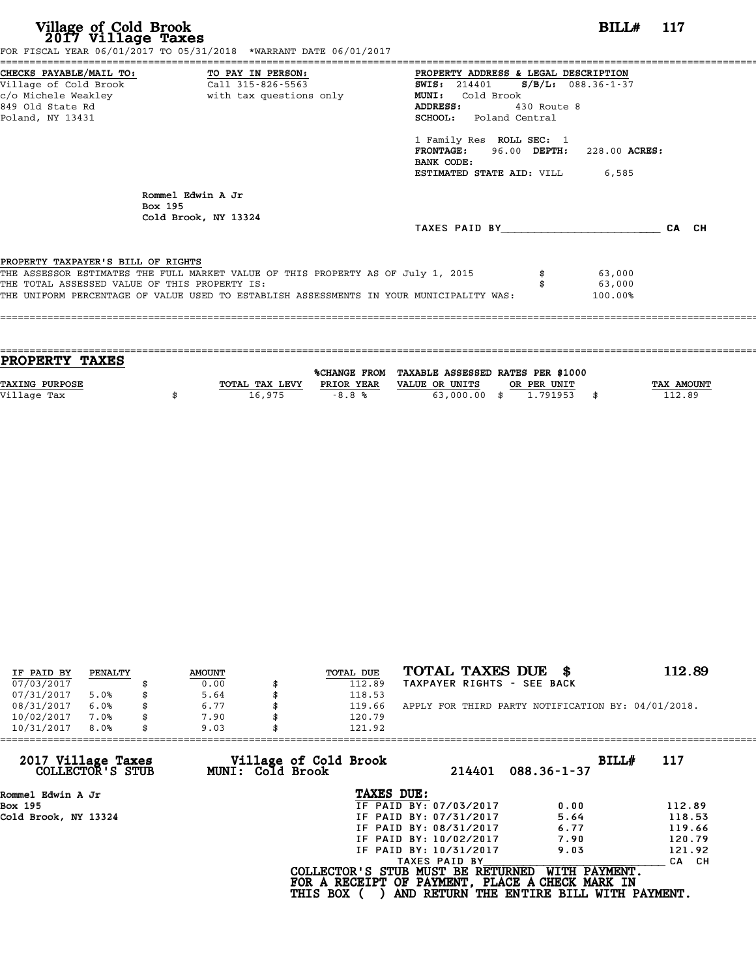# **Village of Cold Brook**<br> **2017 Village Taxes**<br>
SCAL YEAR 06/01/2017 TO 05/31/2018 \*WARRANT DATE 06/01/2017

FOR FISCAL YEAR 06/01/2017 TO 05/31/2018 \*WARRANT DATE 06/01/2017

======================================================================================================================================== CHECKS PAYABLE/MAIL TO: TO PAY IN PERSON: PROPERTY ADDRESS & LEGAL DESCRIPTION Village of Cold Brook Call 315-826-5563 SWIS: <sup>214401</sup> S/B/L: 088.36-1-37 CHECKS PAYABLE/MAIL TO: TO PAY IN PERSON: PROPERTY ADDRESS & LE<br>
Village of Cold Brook Call 315-826-5563 SWIS: 214401 S/B<br>
c/o Michele Weakley with tax questions only MUNI: Cold Brook<br>
849 Old State Pd Village of Cold Brook (Call 315-826-5563) (AUSS: 214401 (S/B/L: 088.3)<br>
C/O Michele Weakley (Michele Weakley (With tax questions only MUNI: Cold Brook (ADDRESS: 430 Route 8<br>
Poland NY 13431 (SCHOOL: Poland Central c/o Michele Weakley (2) with tax questions only (2) MUNI: Cold Brook<br>
Poland, NY 13431 (2018) SCHOOL: Poland Central<br>
Poland, NY 13431 ADDRESS: 430 Route 8<br>
SCHOOL: Poland Central<br>
1 Family Res ROLL SEC: 1<br>
FRONTAGE: 96.00 DEPTH: FRONTAGE: 96.00 DEPTH: 228.00 ACRES:<br>BANK CODE:<br>ESTIMATED STATE AID: VILL 6,585 1 Family Res ROLL SEC: 1<br>FRONTAGE: 96.00 DEPTH:<br>BANK CODE:<br>ESTIMATED STATE AID: VILL Rommel Edwin A Jr Rommel Edw<br>Box 195<br>Cold Brook Cold Brook, NY 13324 TAXES PAID BY\_\_\_\_\_\_\_\_\_\_\_\_\_\_\_\_\_\_\_\_\_\_\_\_ CA CH PROPERTY TAXPAYER'S BILL OF RIGHTS **PROPERTY TAXPAYER'S BILL OF RIGHTS**<br>THE ASSESSOR ESTIMATES THE FULL MARKET VALUE OF THIS PROPERTY AS OF July 1, 2015 \$ 63,000<br>THE TOTAL ASSESSED VALUE OF THIS PROPERTY IS: **PROPERTY TAXPAYER'S BILL OF RIGHTS<br>THE ASSESSOR ESTIMATES THE FULL MARKET VALUE OF THIS PROPERTY AS OF July 1, 2015 \$\$\$\$\$\$\$\$\$\$\$\$\$\$\$\$\$\$\$\$\$\$\$\$\$\$\$\$\$<br>THE TOTAL ASSESSED VALUE OF THIS PROPERTY IS:<br>THE INIEOPM PERCENTAGE OF VAL** THE ASSESSOR ESTIMATES THE FULL MARKET VALUE OF THIS PROPERTY AS OF July 1, 2015 \$\$\$\$\$\$\$\$ \$<br>THE TOTAL ASSESSED VALUE OF THIS PROPERTY IS:<br>THE UNIFORM PERCENTAGE OF VALUE USED TO ESTABLISH ASSESSMENTS IN YOUR MUNICIPALITY W ====================================================================================================================================

| <b>TAX AMOUNT</b> |
|-------------------|
| 112.89            |
|                   |
|                   |

|                          | PENALTY | <b>AMOUNT</b> |    | TOTAL DUE | TOTAL TAXES DUE \$                                 | 112.89 |
|--------------------------|---------|---------------|----|-----------|----------------------------------------------------|--------|
| IF PAID BY<br>07/03/2017 |         | 0.00          |    | 112.89    | TAXPAYER RIGHTS - SEE BACK                         |        |
|                          |         |               |    |           |                                                    |        |
| 07/31/2017               | 5.0%    | 5.64          |    | 118.53    |                                                    |        |
| 08/31/2017               | 6.0%    | \$<br>6.77    |    | 119.66    | APPLY FOR THIRD PARTY NOTIFICATION BY: 04/01/2018. |        |
| 10/02/2017               | 7.0%    | \$<br>7.90    | Я. | 120.79    |                                                    |        |
| 10/31/2017               | 8.0%    | \$<br>9.03    |    | 121.92    |                                                    |        |

| 121.92          |                                           |                                                                                                                                                               |                                                                                                                                                            |
|-----------------|-------------------------------------------|---------------------------------------------------------------------------------------------------------------------------------------------------------------|------------------------------------------------------------------------------------------------------------------------------------------------------------|
|                 | 214401                                    | $088.36 - 1 - 37$                                                                                                                                             | 117                                                                                                                                                        |
|                 |                                           |                                                                                                                                                               |                                                                                                                                                            |
|                 |                                           | 0.00                                                                                                                                                          | 112.89                                                                                                                                                     |
|                 |                                           | 5.64                                                                                                                                                          | 118.53                                                                                                                                                     |
|                 |                                           | 6.77                                                                                                                                                          | 119.66                                                                                                                                                     |
|                 |                                           | 7.90                                                                                                                                                          | 120.79                                                                                                                                                     |
|                 |                                           | 9.03                                                                                                                                                          | 121.92                                                                                                                                                     |
|                 |                                           |                                                                                                                                                               | CA CH                                                                                                                                                      |
| <b>THIS BOX</b> |                                           |                                                                                                                                                               |                                                                                                                                                            |
| 9.03            | Village of Cold Brook<br>MUNI: Cold Brook | TAXES DUE:<br>IF PAID BY: 07/03/2017<br>IF PAID BY: 07/31/2017<br>IF PAID BY: 08/31/2017<br>IF PAID BY: 10/02/2017<br>IF PAID BY: 10/31/2017<br>TAXES PAID BY | BILL#<br>COLLECTOR'S STUB MUST BE RETURNED<br>WITH PAYMENT.<br>FOR A RECEIPT OF PAYMENT, PLACE A CHECK MARK IN<br>AND RETURN THE ENTIRE BILL WITH PAYMENT. |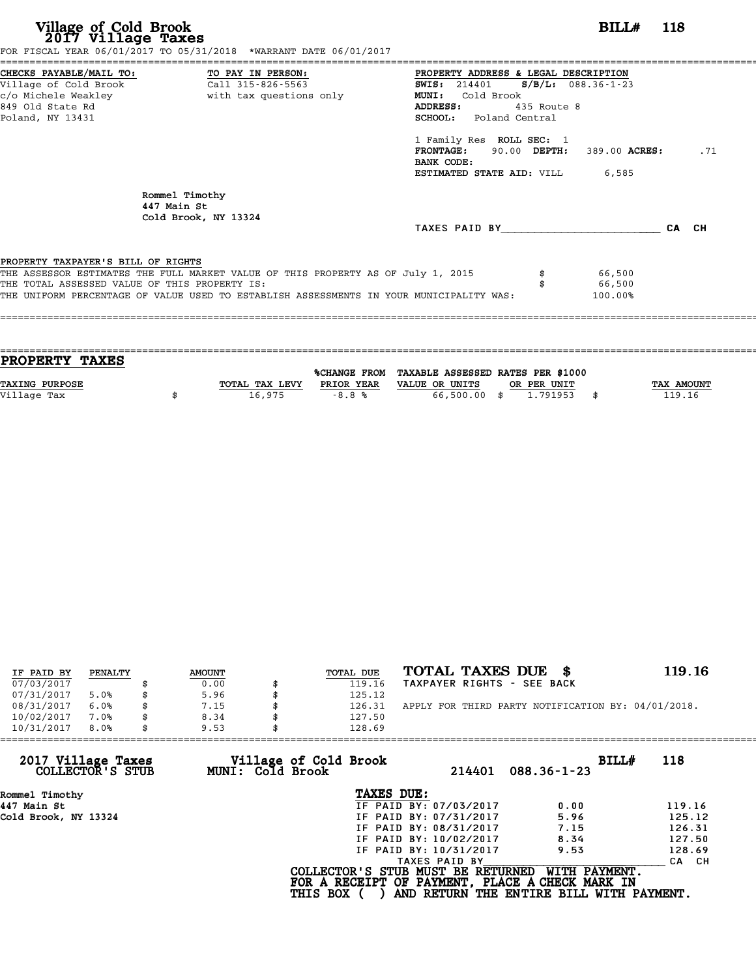# **Village of Cold Brook**<br> **2017 Village Taxes**<br>
SCAL YEAR 06/01/2017 TO 05/31/2018 \*WARRANT DATE 06/01/2017

FOR FISCAL YEAR 06/01/2017 TO 05/31/2018 \*WARRANT DATE 06/01/2017

======================================================================================================================================== CHECKS PAYABLE/MAIL TO: TO PAY IN PERSON: PROPERTY ADDRESS & LEGAL DESCRIPTION Village of Cold Brook Call 315-826-5563 SWIS: <sup>214401</sup> S/B/L: 088.36-1-23 CHECKS PAYABLE/MAIL TO: TO PAY IN PERSON: PROPERTY ADDRESS & LE<br>
Village of Cold Brook Call 315-826-5563 SWIS: 214401 S/B<br>
c/o Michele Weakley with tax questions only MUNI: Cold Brook<br>
849 Old State Pd Village of Cold Brook (Call 315-826-5563) (AUSS: 214401 (S/B/L: 088.3)<br>
C/O Michele Weakley (Michele Weakley (With tax questions only MUNI: Cold Brook (AUSS: 435 Route 8)<br>
Roland NY 13431 (SCHOOL: Poland Central Poland, NY 13431 SCHOOL: Poland Central ADDRESS: 435 Route 8<br>
SCHOOL: Poland Central<br>
1 Family Res ROLL SEC: 1<br>
FRONTAGE: 90.00 DEPTH: FRONTAGE: 90.00 DEPTH: 389.00 ACRES: .71<br>BANK CODE:<br>ESTIMATED STATE AID: VILL 6,585 1 Family Res ROLL SEC: 1<br>FRONTAGE: 90.00 DEPTH:<br>BANK CODE:<br>ESTIMATED STATE AID: VILL Rommel Timothy<br>447 Main St Rommel Timothy<br>447 Main St<br>Cold Brook NY 447 Main St<br>Cold Brook, NY 13324 TAXES PAID BY\_\_\_\_\_\_\_\_\_\_\_\_\_\_\_\_\_\_\_\_\_\_\_\_ CA CH PROPERTY TAXPAYER'S BILL OF RIGHTS **PROPERTY TAXPAYER'S BILL OF RIGHTS**<br>THE ASSESSOR ESTIMATES THE FULL MARKET VALUE OF THIS PROPERTY AS OF July 1, 2015 \$ 66,500<br>THE TOTAL ASSESSED VALUE OF THIS PROPERTY IS: **PROPERTY TAXPAYER'S BILL OF RIGHTS**<br>THE ASSESSOR ESTIMATES THE FULL MARKET VALUE OF THIS PROPERTY AS OF July 1, 2015 \$\$\$\$\$\$\$\$\$\$\$\$\$\$\$\$\$\$\$\$\$\$\$\$\$\$\$\$\$<br>THE TOTAL ASSESSED VALUE OF THIS PROPERTY IS:<br>THE INIEOPM PERCENTAGE OF VA THE ASSESSOR ESTIMATES THE FULL MARKET VALUE OF THIS PROPERTY AS OF July 1, 2015  $$66,500$ <br>THE TOTAL ASSESSED VALUE OF THIS PROPERTY IS:<br>THE UNIFORM PERCENTAGE OF VALUE USED TO ESTABLISH ASSESSMENTS IN YOUR MUNICIPALITY WA ====================================================================================================================================

| <b>TAX AMOUNT</b> |
|-------------------|
| 119.16            |
|                   |
|                   |

| IF PAID BY | PENALTY | <b>AMOUNT</b> | TOTAL DUE | TOTAL TAXES DUE \$                                 | 119.16 |
|------------|---------|---------------|-----------|----------------------------------------------------|--------|
| 07/03/2017 |         | 0.00          | 119.16    | TAXPAYER RIGHTS - SEE BACK                         |        |
| 07/31/2017 | 5.0%    | \$<br>5.96    | 125.12    |                                                    |        |
| 08/31/2017 | 6.0%    | \$<br>7.15    | 126.31    | APPLY FOR THIRD PARTY NOTIFICATION BY: 04/01/2018. |        |
| 10/02/2017 | 7.0%    | \$<br>8.34    | 127.50    |                                                    |        |
| 10/31/2017 | 8.0%    | \$<br>9.53    | 128.69    |                                                    |        |

| 9.53 | 128.69                 |                                                              |                                                                                                                                  |
|------|------------------------|--------------------------------------------------------------|----------------------------------------------------------------------------------------------------------------------------------|
|      | 214401                 | BILL#<br>$088.36 - 1 - 23$                                   | 118                                                                                                                              |
|      | TAXES DUE:             |                                                              |                                                                                                                                  |
|      | IF PAID BY: 07/03/2017 | 0.00                                                         | 119.16                                                                                                                           |
|      | IF PAID BY: 07/31/2017 | 5.96                                                         | 125.12                                                                                                                           |
|      | IF PAID BY: 08/31/2017 | 7.15                                                         | 126.31                                                                                                                           |
|      | IF PAID BY: 10/02/2017 | 8.34                                                         | 127.50                                                                                                                           |
|      | IF PAID BY: 10/31/2017 | 9.53                                                         | 128.69                                                                                                                           |
|      | TAXES PAID BY          |                                                              | CA CH                                                                                                                            |
|      |                        | WITH PAYMENT.                                                |                                                                                                                                  |
|      |                        | Village of Cold Brook<br>MUNI: Cold Brook<br><b>THIS BOX</b> | COLLECTOR'S STUB MUST BE RETURNED<br>FOR A RECEIPT OF PAYMENT, PLACE A CHECK MARK IN<br>AND RETURN THE ENTIRE BILL WITH PAYMENT. |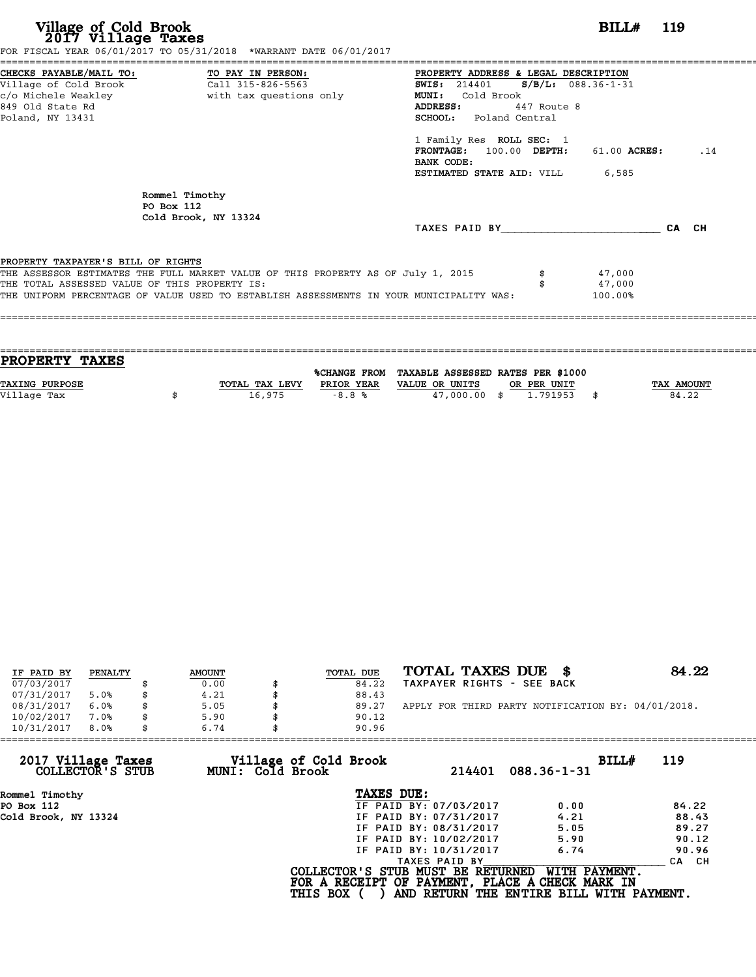| Village of Cold Brook<br>2017 Village Taxes                                                                | FOR FISCAL YEAR 06/01/2017 TO 05/31/2018 *WARRANT DATE 06/01/2017                                                                                                           |                                                                                                                                                                                                                                                                                              | <b>BILL#</b> 119            |     |
|------------------------------------------------------------------------------------------------------------|-----------------------------------------------------------------------------------------------------------------------------------------------------------------------------|----------------------------------------------------------------------------------------------------------------------------------------------------------------------------------------------------------------------------------------------------------------------------------------------|-----------------------------|-----|
| CHECKS PAYABLE/MAIL TO: TO PAY IN PERSON:<br>Village of Cold Brook<br>849 Old State Rd<br>Poland, NY 13431 | Call 315-826-5563                                                                                                                                                           | PROPERTY ADDRESS & LEGAL DESCRIPTION<br>SWIS: 214401 S/B/L: 088.36-1-31<br><b>MUNI:</b><br>Cold Brook<br>ADDRESS:<br>447 Route 8<br><b>SCHOOL:</b> Poland Central<br>1 Family Res ROLL SEC: 1<br>$100.00$ DEPTH:<br><b>FRONTAGE:</b><br>BANK CODE:<br><b>ESTIMATED STATE AID:</b> VILL 6,585 | 61.00 ACRES:                | .14 |
|                                                                                                            | Rommel Timothy<br>PO Box 112<br>Cold Brook, NY 13324                                                                                                                        | TAXES PAID BY CA CH                                                                                                                                                                                                                                                                          |                             |     |
| PROPERTY TAXPAYER'S BILL OF RIGHTS<br>THE TOTAL ASSESSED VALUE OF THIS PROPERTY IS:                        | THE ASSESSOR ESTIMATES THE FULL MARKET VALUE OF THIS PROPERTY AS OF July 1, 2015<br>THE UNIFORM PERCENTAGE OF VALUE USED TO ESTABLISH ASSESSMENTS IN YOUR MUNICIPALITY WAS: |                                                                                                                                                                                                                                                                                              | 47,000<br>47,000<br>100.00% |     |

| <b>PROPERTY TAXES</b> |                |            |                                                |             |                   |
|-----------------------|----------------|------------|------------------------------------------------|-------------|-------------------|
|                       |                |            | %CHANGE FROM TAXABLE ASSESSED RATES PER \$1000 |             |                   |
| TAXING PURPOSE        | TOTAL TAX LEVY | PRIOR YEAR | VALUE OR UNITS                                 | OR PER UNIT | <b>TAX AMOUNT</b> |
| Village Tax           | 16,975         | $-8.8%$    | 47,000,00 \$                                   | 1.791953    | 84.22             |
|                       |                |            |                                                |             |                   |
|                       |                |            |                                                |             |                   |

| IF PAID BY | PENALTY | <b>AMOUNT</b> | TOTAL DUE | TOTAL TAXES DUE<br>- SS                            | 84.22 |
|------------|---------|---------------|-----------|----------------------------------------------------|-------|
| 07/03/2017 |         | 0.00          | 84.22     | TAXPAYER RIGHTS - SEE BACK                         |       |
| 07/31/2017 | 5.0%    | 4.21          | 88.43     |                                                    |       |
| 08/31/2017 | 6.0%    | 5.05          | 89.27     | APPLY FOR THIRD PARTY NOTIFICATION BY: 04/01/2018. |       |
| 10/02/2017 | 7.0%    | \$<br>5.90    | 90.12     |                                                    |       |
| 10/31/2017 | 8.0%    | \$<br>6.74    | 90.96     |                                                    |       |

| 6.74             | 90.96                  |                                          |                                                                                                                                                   |
|------------------|------------------------|------------------------------------------|---------------------------------------------------------------------------------------------------------------------------------------------------|
| MUNI: Cold Brook | 214401                 | BILLH<br>$088.36 - 1 - 31$               | 119                                                                                                                                               |
|                  | TAXES DUE:             |                                          |                                                                                                                                                   |
|                  | IF PAID BY: 07/03/2017 | 0.00                                     | 84.22                                                                                                                                             |
|                  | IF PAID BY: 07/31/2017 | 4.21                                     | 88.43                                                                                                                                             |
|                  | IF PAID BY: 08/31/2017 | 5.05                                     | 89.27                                                                                                                                             |
|                  | IF PAID BY: 10/02/2017 | 5.90                                     | 90.12                                                                                                                                             |
|                  | IF PAID BY: 10/31/2017 | 6.74                                     | 90.96                                                                                                                                             |
|                  | TAXES PAID BY          |                                          | CA CH                                                                                                                                             |
|                  |                        |                                          |                                                                                                                                                   |
|                  |                        | Village of Cold Brook<br><b>THIS BOX</b> | COLLECTOR'S STUB MUST BE RETURNED<br>WITH PAYMENT.<br>FOR A RECEIPT OF PAYMENT, PLACE A CHECK MARK IN<br>AND RETURN THE ENTIRE BILL WITH PAYMENT. |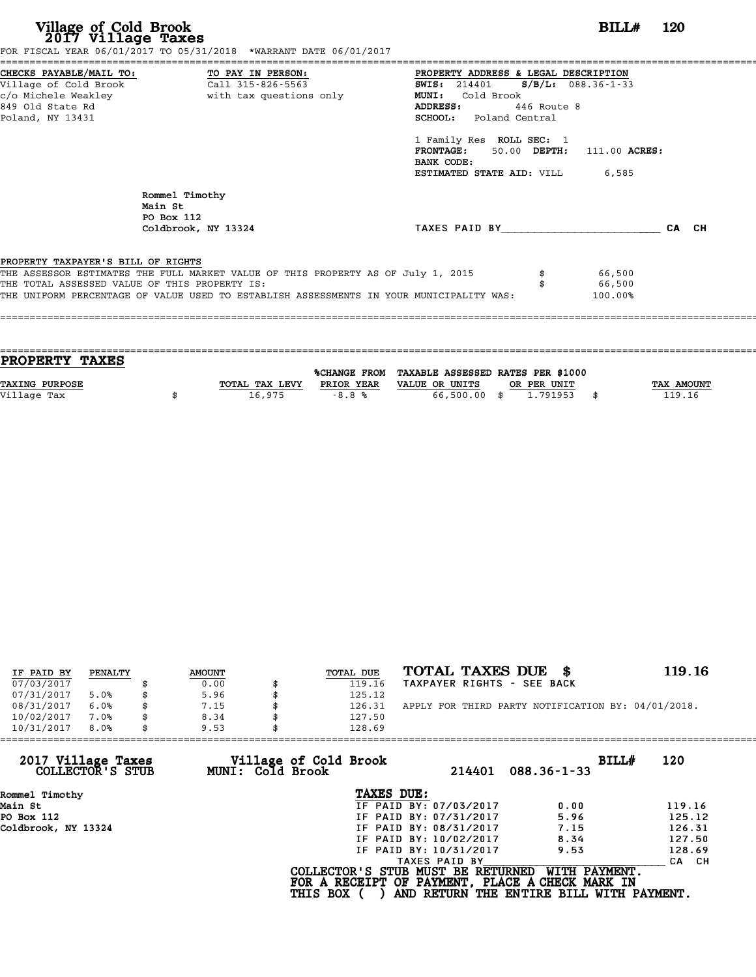| FOR FISCAL YEAR 06/01/2017 TO 05/31/2018 *WARRANT DATE 06/01/2017                                                                                                                                                                                                                                                                                        | <b>BILL#</b> 120 |
|----------------------------------------------------------------------------------------------------------------------------------------------------------------------------------------------------------------------------------------------------------------------------------------------------------------------------------------------------------|------------------|
| CHECKS PAYABLE/MAIL TO: TO PAY IN PERSON:<br>PROPERTY ADDRESS & LEGAL DESCRIPTION<br><b>SWIS:</b> 214401 <b>S/B/L:</b> 088.36-1-33<br>Cold Brook<br><b>MUNI:</b><br>446 Route 8<br>ADDRESS:<br><b>SCHOOL:</b> Poland Central<br>1 Family Res ROLL SEC: 1<br>FRONTAGE: 50.00 DEPTH: 111.00 ACRES:<br>BANK CODE:<br><b>ESTIMATED STATE AID:</b> VILL 6,585 |                  |
| TAXES PAID BY CA CH                                                                                                                                                                                                                                                                                                                                      |                  |
| THE ASSESSOR ESTIMATES THE FULL MARKET VALUE OF THIS PROPERTY AS OF July 1, 2015<br>66,500<br>66,500<br>THE UNIFORM PERCENTAGE OF VALUE USED TO ESTABLISH ASSESSMENTS IN YOUR MUNICIPALITY WAS:<br>100.00%                                                                                                                                               |                  |
|                                                                                                                                                                                                                                                                                                                                                          |                  |

| <b>PROPERTY TAXES</b> |                |            |                                                |             |                   |
|-----------------------|----------------|------------|------------------------------------------------|-------------|-------------------|
|                       |                |            |                                                |             |                   |
|                       |                |            | %CHANGE FROM TAXABLE ASSESSED RATES PER \$1000 |             |                   |
| TAXING PURPOSE        | TOTAL TAX LEVY | PRIOR YEAR | VALUE OR UNITS                                 | OR PER UNIT | <b>TAX AMOUNT</b> |
| Village Tax           | 16,975         | $-8.8%$    | 66,500.00 \$                                   | 1.791953    | 119.16            |
|                       |                |            |                                                |             |                   |
|                       |                |            |                                                |             |                   |

| IF PAID BY | PENALTY | <b>AMOUNT</b> | TOTAL DUE | TOTAL TAXES DUE \$                                 | 119.16 |
|------------|---------|---------------|-----------|----------------------------------------------------|--------|
| 07/03/2017 |         | 0.00          | 119.16    | TAXPAYER RIGHTS - SEE BACK                         |        |
| 07/31/2017 | 5.0%    | 5.96          | 125.12    |                                                    |        |
| 08/31/2017 | 6.0%    | \$<br>7.15    | 126.31    | APPLY FOR THIRD PARTY NOTIFICATION BY: 04/01/2018. |        |
| 10/02/2017 | 7.0%    | \$<br>8.34    | 127.50    |                                                    |        |
| 10/31/2017 | 8.0%    | \$<br>9.53    | 128.69    |                                                    |        |

| 9.53             |                        |                                                    |                                                                                                                                  |
|------------------|------------------------|----------------------------------------------------|----------------------------------------------------------------------------------------------------------------------------------|
| MUNI: Cold Brook | 214401                 | BILLH<br>$088.36 - 1 - 33$                         | 120                                                                                                                              |
|                  | TAXES DUE:             |                                                    |                                                                                                                                  |
|                  | IF PAID BY: 07/03/2017 | 0.00                                               | 119.16                                                                                                                           |
|                  | IF PAID BY: 07/31/2017 | 5.96                                               | 125.12                                                                                                                           |
|                  | IF PAID BY: 08/31/2017 | 7.15                                               | 126.31                                                                                                                           |
|                  | IF PAID BY: 10/02/2017 | 8.34                                               | 127.50                                                                                                                           |
|                  | IF PAID BY: 10/31/2017 | 9.53                                               | 128.69                                                                                                                           |
|                  | TAXES PAID BY          |                                                    | CA CH                                                                                                                            |
|                  |                        | WITH PAYMENT.                                      |                                                                                                                                  |
|                  |                        | 128.69<br>Village of Cold Brook<br><b>THIS BOX</b> | COLLECTOR'S STUB MUST BE RETURNED<br>FOR A RECEIPT OF PAYMENT, PLACE A CHECK MARK IN<br>AND RETURN THE ENTIRE BILL WITH PAYMENT. |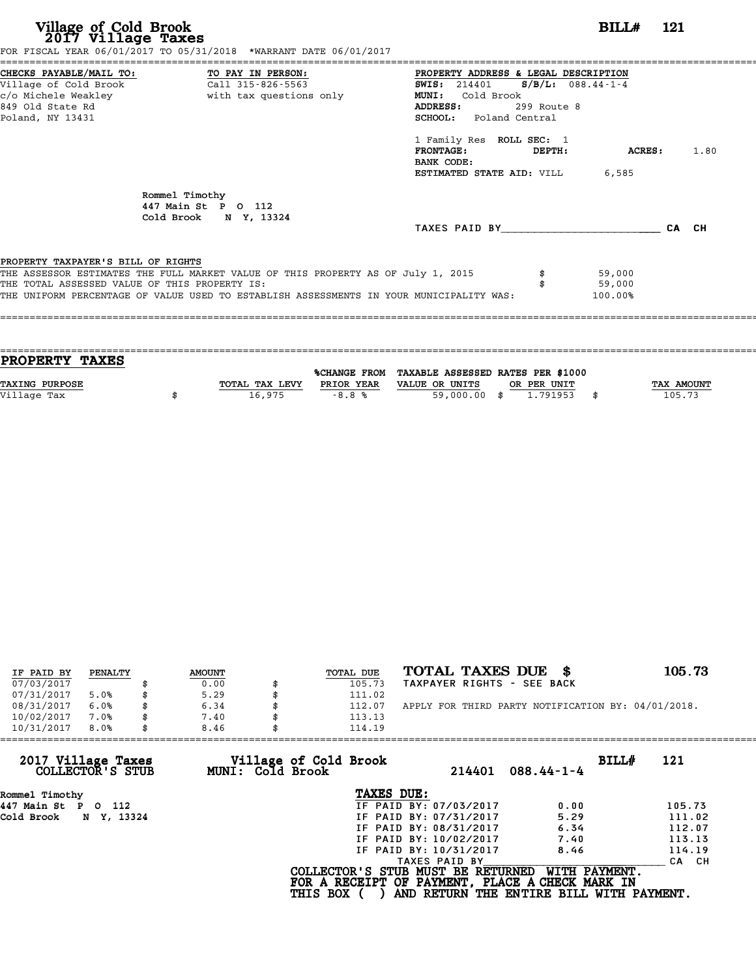| Village of Cold Brook<br>2017 Village Taxes                                         | FOR FISCAL YEAR 06/01/2017 TO 05/31/2018 *WARRANT DATE 06/01/2017                                                                                                                                                                    |                                                                                                                                                                                                                                                                                     | BILL# 121                   |  |
|-------------------------------------------------------------------------------------|--------------------------------------------------------------------------------------------------------------------------------------------------------------------------------------------------------------------------------------|-------------------------------------------------------------------------------------------------------------------------------------------------------------------------------------------------------------------------------------------------------------------------------------|-----------------------------|--|
| 849 Old State Rd<br>Poland, NY 13431                                                | c/o Michele Weakley <b>buying the set of the set of the set of the set of the set of the set of the set of the set of the set of the set of the set of the set of the set of the set of the set of the set of the set of the set</b> | PROPERTY ADDRESS & LEGAL DESCRIPTION<br>SWIS: $214401$ S/B/L: 088.44-1-4<br><b>MUNI:</b><br>Cold Brook<br>ADDRESS:<br>299 Route 8<br>SCHOOL: Poland Central<br>1 Family Res ROLL SEC: 1<br>$\tt FRONTAGE:$<br><b>DEPTH:</b><br>BANK CODE:<br><b>ESTIMATED STATE AID:</b> VILL 6,585 | <b>ACRES:</b> 1.80          |  |
|                                                                                     | Rommel Timothy<br>447 Main St P O 112<br>Cold Brook N Y, 13324                                                                                                                                                                       | TAXES PAID BY CA CH                                                                                                                                                                                                                                                                 |                             |  |
| PROPERTY TAXPAYER'S BILL OF RIGHTS<br>THE TOTAL ASSESSED VALUE OF THIS PROPERTY IS: | THE ASSESSOR ESTIMATES THE FULL MARKET VALUE OF THIS PROPERTY AS OF July 1, 2015<br>THE UNIFORM PERCENTAGE OF VALUE USED TO ESTABLISH ASSESSMENTS IN YOUR MUNICIPALITY WAS:                                                          | \$                                                                                                                                                                                                                                                                                  | 59,000<br>59,000<br>100.00% |  |

| <b>PROPERTY TAXES</b> |                |            |                                                |             |                   |
|-----------------------|----------------|------------|------------------------------------------------|-------------|-------------------|
|                       |                |            |                                                |             |                   |
|                       |                |            | %CHANGE FROM TAXABLE ASSESSED RATES PER \$1000 |             |                   |
| <b>TAXING PURPOSE</b> | TOTAL TAX LEVY | PRIOR YEAR | VALUE OR UNITS                                 | OR PER UNIT | <b>TAX AMOUNT</b> |
| Village Tax           | 16,975         | $-8.8%$    | 59,000.00 \$                                   | 1,791953    | 105.73            |
|                       |                |            |                                                |             |                   |

| IF PAID BY | PENALTY | <b>AMOUNT</b> | TOTAL DUE | TOTAL TAXES DUE \$                                 | 105.73 |
|------------|---------|---------------|-----------|----------------------------------------------------|--------|
| 07/03/2017 |         | 0.00          | 105.73    | TAXPAYER RIGHTS - SEE BACK                         |        |
| 07/31/2017 | 5.0%    | \$<br>5.29    | 111.02    |                                                    |        |
| 08/31/2017 | 6.0%    | \$<br>6.34    | 112.07    | APPLY FOR THIRD PARTY NOTIFICATION BY: 04/01/2018. |        |
| 10/02/2017 | 7.0%    | \$<br>7.40    | 113.13    |                                                    |        |
| 10/31/2017 | 8.0%    | \$<br>8.46    | 114.19    |                                                    |        |

| 10/31/2017<br>8.0%                     |            | 8.46 |                  | 114.19                                                                                                  |                        |                                                           |       |        |
|----------------------------------------|------------|------|------------------|---------------------------------------------------------------------------------------------------------|------------------------|-----------------------------------------------------------|-------|--------|
| 2017 Village Taxes<br>COLLECTOR'S STUB |            |      | MUNI: Cold Brook | Village of Cold Brook                                                                                   | 214401                 | $088.44 - 1 - 4$                                          | BILL# | 121    |
| Rommel Timothy                         |            |      |                  | TAXES DUE:                                                                                              |                        |                                                           |       |        |
| 447 Main St<br>P O 112                 |            |      |                  |                                                                                                         | IF PAID BY: 07/03/2017 | 0.00                                                      |       | 105.73 |
| Cold Brook                             | N Y, 13324 |      |                  |                                                                                                         | IF PAID BY: 07/31/2017 | 5.29                                                      |       | 111.02 |
|                                        |            |      |                  |                                                                                                         | IF PAID BY: 08/31/2017 | 6.34                                                      |       | 112.07 |
|                                        |            |      |                  |                                                                                                         | IF PAID BY: 10/02/2017 | 7.40                                                      |       | 113.13 |
|                                        |            |      |                  |                                                                                                         | IF PAID BY: 10/31/2017 | 8.46                                                      |       | 114.19 |
|                                        |            |      |                  |                                                                                                         | TAXES PAID BY          |                                                           |       | CA CH  |
|                                        |            |      |                  | COLLECTOR'S STUB MUST BE RETURNED<br>FOR A RECEIPT OF PAYMENT, PLACE A CHECK MARK IN<br><b>THIS BOX</b> |                        | WITH PAYMENT.<br>AND RETURN THE ENTIRE BILL WITH PAYMENT. |       |        |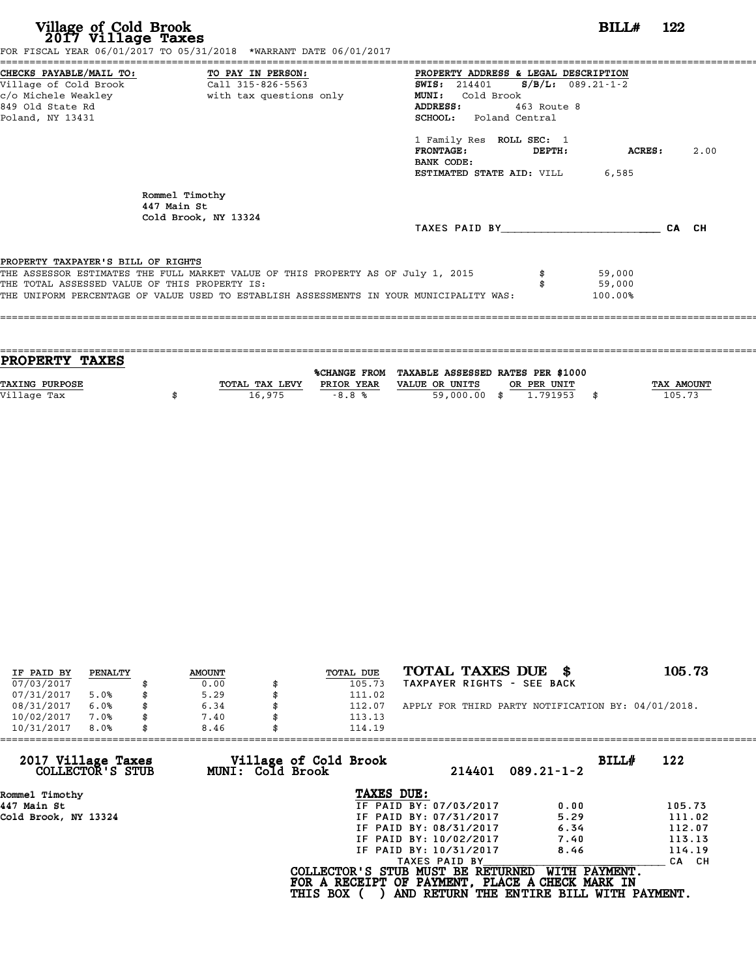# **Village of Cold Brook**<br> **2017 Village Taxes**<br> **2017 Village Taxes BILL#** 122

FOR FISCAL YEAR 06/01/2017 TO 05/31/2018 \*WARRANT DATE 06/01/2017

======================================================================================================================================== CHECKS PAYABLE/MAIL TO: TO PAY IN PERSON: PROPERTY ADDRESS & LEGAL DESCRIPTION Village of Cold Brook Call 315-826-5563 SWIS: <sup>214401</sup> S/B/L: 089.21-1-2 CHECKS PAYABLE/MAIL TO: TO PAY IN PERSON: PROPERTY ADDRESS & LE<br>
Village of Cold Brook Call 315-826-5563 SWIS: 214401 S/B<br>
c/o Michele Weakley with tax questions only MUNI: Cold Brook<br>
849 Old State Pd Village of Cold Brook Call 315-826-5563 WIS: 214401 S/B/L: 089.2<br>
c/o Michele Weakley With tax questions only MUNI: Cold Brook<br>
849 Old State Rd ADDRESS: 463 Route 8<br>
Poland NY 13431 SCHOOL: Poland Central c/o Michele Weakley (2) with tax questions only MUNI: Cold Brook<br>
Poland, NY 13431 SCHOOL: Poland Central<br>
Poland, NY 13431 ADDRESS: 463 Route 8<br>
SCHOOL: Poland Central<br>
1 Family Res ROLL SEC: 1<br>
FRONTAGE: DEPTH: ACRES: 2.00 1 Family Res ROLL SEC: 1<br>FRONTAGE: DEPTH:<br>BANK CODE: ESTIMATED STATE AID: VILL 6,585 Rommel Timothy<br>447 Main St Rommel Timothy<br>447 Main St<br>Cold Brook NY Cold Brook, NY 13324 TAXES PAID BY\_\_\_\_\_\_\_\_\_\_\_\_\_\_\_\_\_\_\_\_\_\_\_\_ CA CH PROPERTY TAXPAYER'S BILL OF RIGHTS **PROPERTY TAXPAYER'S BILL OF RIGHTS**<br>THE ASSESSOR ESTIMATES THE FULL MARKET VALUE OF THIS PROPERTY AS OF July 1, 2015 \$ 59,000<br>THE TOTAL ASSESSED VALUE OF THIS PROPERTY IS: **PROPERTY TAXPAYER'S BILL OF RIGHTS<br>THE ASSESSOR ESTIMATES THE FULL MARKET VALUE OF THIS PROPERTY AS OF July 1, 2015 \$\$\$\$\$\$\$\$\$\$\$\$\$\$\$\$\$\$\$\$\$\$\$\$\$\$\$\$\$<br>THE TOTAL ASSESSED VALUE OF THIS PROPERTY IS:<br>THE INIEOPM PEPCENTAGE OF VAL** THE ASSESSOR ESTIMATES THE FULL MARKET VALUE OF THIS PROPERTY AS OF July 1, 2015 \$\$\$\$\$\$\$\$ \$<br>THE TOTAL ASSESSED VALUE OF THIS PROPERTY IS:<br>THE UNIFORM PERCENTAGE OF VALUE USED TO ESTABLISH ASSESSMENTS IN YOUR MUNICIPALITY W ====================================================================================================================================

| <b>PROPERTY TAXES</b> |                |            |                                                |             |                   |
|-----------------------|----------------|------------|------------------------------------------------|-------------|-------------------|
|                       |                |            |                                                |             |                   |
|                       |                |            | %CHANGE FROM TAXABLE ASSESSED RATES PER \$1000 |             |                   |
| TAXING PURPOSE        | TOTAL TAX LEVY | PRIOR YEAR | VALUE OR UNITS                                 | OR PER UNIT | <b>TAX AMOUNT</b> |
| Village Tax           | 16,975         | $-8.8%$    | 59,000,00 \$                                   | 1.791953    | 105.73            |
|                       |                |            |                                                |             |                   |
|                       |                |            |                                                |             |                   |

| IF PAID BY | PENALTY | <b>AMOUNT</b> | <b>TOTAL DUE</b> | TOTAL TAXES DUE \$                                 | 105.73 |
|------------|---------|---------------|------------------|----------------------------------------------------|--------|
| 07/03/2017 |         | 0.00          | 105.73           | TAXPAYER RIGHTS - SEE BACK                         |        |
| 07/31/2017 | 5.0%    | 5.29          | 111.02           |                                                    |        |
| 08/31/2017 | 6.0%    | 6.34          | 112.07           | APPLY FOR THIRD PARTY NOTIFICATION BY: 04/01/2018. |        |
| 10/02/2017 | 7.0%    | 7.40          | 113.13           |                                                    |        |
| 10/31/2017 | 8.0%    | 8.46          | 114.19           |                                                    |        |

| MUNI: Cold Brook | 214401                 | BILLH<br>$089.21 - 1 - 2$                                  | 122                                                                                                                              |
|------------------|------------------------|------------------------------------------------------------|----------------------------------------------------------------------------------------------------------------------------------|
|                  | TAXES DUE:             |                                                            |                                                                                                                                  |
|                  | IF PAID BY: 07/03/2017 | 0.00                                                       | 105.73                                                                                                                           |
|                  | IF PAID BY: 07/31/2017 | 5.29                                                       | 111.02                                                                                                                           |
|                  | IF PAID BY: 08/31/2017 | 6.34                                                       | 112.07                                                                                                                           |
|                  | IF PAID BY: 10/02/2017 | 7.40                                                       | 113.13                                                                                                                           |
|                  | IF PAID BY: 10/31/2017 | 8.46                                                       | 114.19                                                                                                                           |
|                  | TAXES PAID BY          |                                                            | CA CH                                                                                                                            |
|                  |                        | WITH PAYMENT.                                              |                                                                                                                                  |
|                  |                        | 8.46<br>114.19<br>Village of Cold Brook<br><b>THIS BOX</b> | COLLECTOR'S STUB MUST BE RETURNED<br>FOR A RECEIPT OF PAYMENT, PLACE A CHECK MARK IN<br>AND RETURN THE ENTIRE BILL WITH PAYMENT. |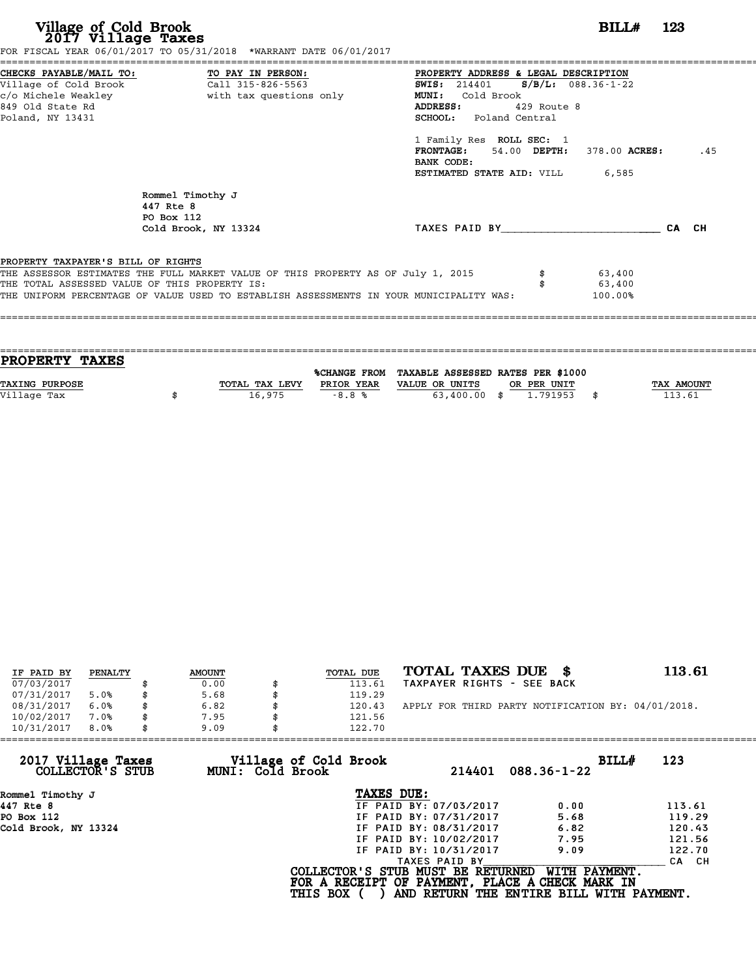| Village of Cold Brook<br>2017 Village Taxes                                                                                  | FOR FISCAL YEAR 06/01/2017 TO 05/31/2018 *WARRANT DATE 06/01/2017                                                                                                           |                                                                                                                                                                                                                                               | $BILLH$ 123                    |  |
|------------------------------------------------------------------------------------------------------------------------------|-----------------------------------------------------------------------------------------------------------------------------------------------------------------------------|-----------------------------------------------------------------------------------------------------------------------------------------------------------------------------------------------------------------------------------------------|--------------------------------|--|
| CHECKS PAYABLE/MAIL TO: TO PAY IN PERSON:<br>Village of Cold Brook Call 315-826-5563<br>849 Old State Rd<br>Poland, NY 13431 |                                                                                                                                                                             | PROPERTY ADDRESS & LEGAL DESCRIPTION<br>SWIS: 214401 S/B/L: 088.36-1-22<br><b>MUNI:</b><br>Cold Brook<br>ADDRESS: 429 Route 8<br><b>SCHOOL:</b> Poland Central<br>1 Family Res ROLL SEC: 1<br><b>FRONTAGE:</b> 54.00 DEPTH: 378.00 ACRES: .45 |                                |  |
| 447 Rte 8                                                                                                                    | Rommel Timothy J<br>PO Box 112<br>Cold Brook, NY 13324                                                                                                                      | BANK CODE:<br><b>ESTIMATED STATE AID:</b> VILL 6,585<br>TAXES PAID BY CA CH                                                                                                                                                                   |                                |  |
| PROPERTY TAXPAYER'S BILL OF RIGHTS<br>THE TOTAL ASSESSED VALUE OF THIS PROPERTY IS:                                          | THE ASSESSOR ESTIMATES THE FULL MARKET VALUE OF THIS PROPERTY AS OF July 1, 2015<br>THE UNIFORM PERCENTAGE OF VALUE USED TO ESTABLISH ASSESSMENTS IN YOUR MUNICIPALITY WAS: |                                                                                                                                                                                                                                               | \$ 63,400<br>63,400<br>100.00% |  |

| PROPERTY TAXES        |                |              |                                   |             |              |
|-----------------------|----------------|--------------|-----------------------------------|-------------|--------------|
|                       |                |              |                                   |             |              |
|                       |                | %CHANGE FROM | TAXABLE ASSESSED RATES PER \$1000 |             |              |
| <b>TAXING PURPOSE</b> | TOTAL TAX LEVY | PRIOR YEAR   | VALUE OR UNITS                    | OR PER UNIT | TAX AMOUNT   |
| Village Tax           | 16,975         | $-8.8%$      | 63,400.00 \$                      | 1.791953    | \$<br>113.61 |
|                       |                |              |                                   |             |              |

| IF PAID BY | PENALTY | <b>AMOUNT</b> | <b>TOTAL DUE</b> | TOTAL TAXES DUE \$                                 | 113.61 |
|------------|---------|---------------|------------------|----------------------------------------------------|--------|
| 07/03/2017 |         | 0.00          | 113.61           | TAXPAYER RIGHTS - SEE BACK                         |        |
| 07/31/2017 | 5.0%    | \$<br>5.68    | 119.29           |                                                    |        |
| 08/31/2017 | 6.0%    | \$<br>6.82    | \$<br>120.43     | APPLY FOR THIRD PARTY NOTIFICATION BY: 04/01/2018. |        |
| 10/02/2017 | 7.0%    | 7.95          | 121.56           |                                                    |        |
| 10/31/2017 | 8.0%    | \$<br>9.09    | 122.70           |                                                    |        |

| 9.09 | 122.70          |                                           |                                                                                                                                                               |                                                                                                                                                   |
|------|-----------------|-------------------------------------------|---------------------------------------------------------------------------------------------------------------------------------------------------------------|---------------------------------------------------------------------------------------------------------------------------------------------------|
|      |                 | 214401                                    | $088.36 - 1 - 22$                                                                                                                                             | BILLH<br>123                                                                                                                                      |
|      |                 |                                           |                                                                                                                                                               |                                                                                                                                                   |
|      |                 |                                           | 0.00                                                                                                                                                          | 113.61                                                                                                                                            |
|      |                 |                                           | 5.68                                                                                                                                                          | 119.29                                                                                                                                            |
|      |                 |                                           | 6.82                                                                                                                                                          | 120.43                                                                                                                                            |
|      |                 |                                           | 7.95                                                                                                                                                          | 121.56                                                                                                                                            |
|      |                 |                                           | 9.09                                                                                                                                                          | 122.70                                                                                                                                            |
|      |                 |                                           |                                                                                                                                                               | CA CH                                                                                                                                             |
|      | <b>THIS BOX</b> |                                           |                                                                                                                                                               |                                                                                                                                                   |
|      |                 | Village of Cold Brook<br>MUNI: Cold Brook | TAXES DUE:<br>IF PAID BY: 07/03/2017<br>IF PAID BY: 07/31/2017<br>IF PAID BY: 08/31/2017<br>IF PAID BY: 10/02/2017<br>IF PAID BY: 10/31/2017<br>TAXES PAID BY | COLLECTOR'S STUB MUST BE RETURNED<br>WITH PAYMENT.<br>FOR A RECEIPT OF PAYMENT, PLACE A CHECK MARK IN<br>AND RETURN THE ENTIRE BILL WITH PAYMENT. |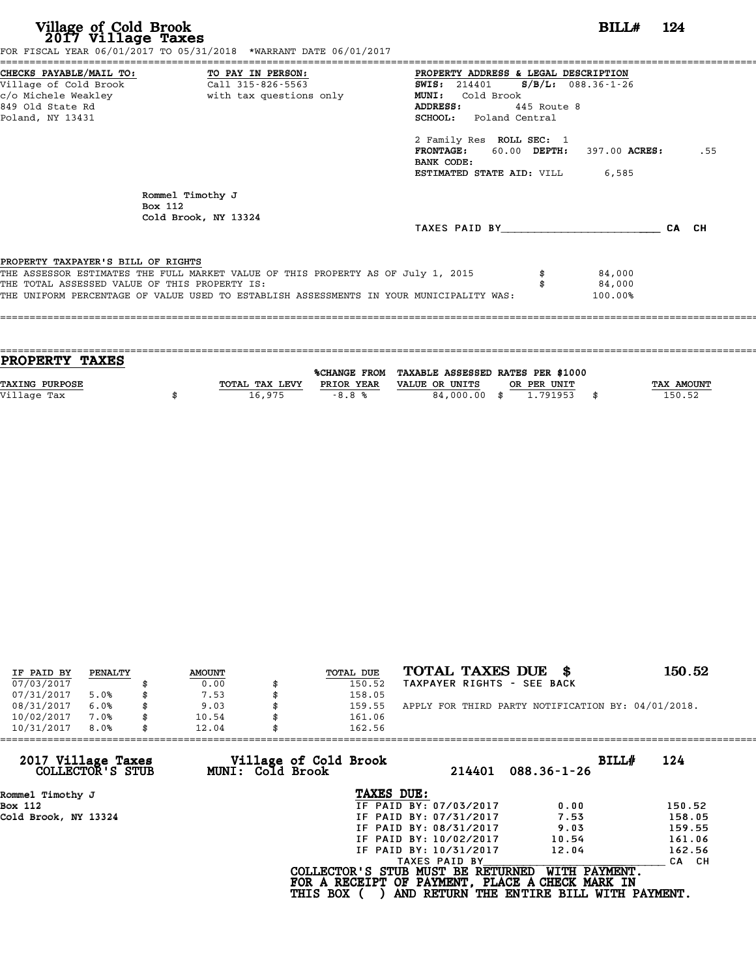| Village of Cold Brook<br>2017 Village Taxes<br>FOR FISCAL YEAR 06/01/2017 TO 05/31/2018 *WARRANT DATE 06/01/2017                                                                                                                                                   | $BILLH$ 124                                                                                                                                                                                                                                                                                                        |
|--------------------------------------------------------------------------------------------------------------------------------------------------------------------------------------------------------------------------------------------------------------------|--------------------------------------------------------------------------------------------------------------------------------------------------------------------------------------------------------------------------------------------------------------------------------------------------------------------|
| CHECKS PAYABLE/MAIL TO: TO PAY IN PERSON:<br>Village of Cold Brook<br>Call 315-826-5563<br>c/o Michele Weakley<br>with tax questions only<br>849 Old State Rd<br>Poland, NY 13431                                                                                  | PROPERTY ADDRESS & LEGAL DESCRIPTION<br><b>SWIS:</b> 214401 <b>S/B/L:</b> 088.36-1-26<br>Cold Brook<br><b>MUNI:</b><br>445 Route 8<br>ADDRESS:<br><b>SCHOOL:</b> Poland Central<br>2 Family Res ROLL SEC: 1<br>FRONTAGE: 60.00 DEPTH: 397.00 ACRES:<br>.55<br>BANK CODE:<br><b>ESTIMATED STATE AID:</b> VILL 6,585 |
| Rommel Timothy J<br>Box 112<br>Cold Brook, NY 13324                                                                                                                                                                                                                | TAXES PAID BY TAXES PAID BY<br>CA CH                                                                                                                                                                                                                                                                               |
| PROPERTY TAXPAYER'S BILL OF RIGHTS<br>THE ASSESSOR ESTIMATES THE FULL MARKET VALUE OF THIS PROPERTY AS OF July 1, 2015<br>THE TOTAL ASSESSED VALUE OF THIS PROPERTY IS:<br>THE UNIFORM PERCENTAGE OF VALUE USED TO ESTABLISH ASSESSMENTS IN YOUR MUNICIPALITY WAS: | 84,000<br>84,000<br>100.00%                                                                                                                                                                                                                                                                                        |

| <b>PROPERTY TAXES</b> |                |            |                                                |             |                   |
|-----------------------|----------------|------------|------------------------------------------------|-------------|-------------------|
|                       |                |            | %CHANGE FROM TAXABLE ASSESSED RATES PER \$1000 |             |                   |
|                       |                |            |                                                |             |                   |
| <b>TAXING PURPOSE</b> | TOTAL TAX LEVY | PRIOR YEAR | VALUE OR UNITS                                 | OR PER UNIT | <b>TAX AMOUNT</b> |
| Village Tax           | 16,975         | $-8.8%$    | 84,000.00 \$                                   | 1.791953    | 150.52            |
|                       |                |            |                                                |             |                   |
|                       |                |            |                                                |             |                   |

| IF PAID BY | PENALTY | <b>AMOUNT</b> | <b>TOTAL DUE</b> | TOTAL TAXES DUE \$                                 | 150.52 |
|------------|---------|---------------|------------------|----------------------------------------------------|--------|
| 07/03/2017 |         | 0.00          | 150.52           | TAXPAYER RIGHTS - SEE BACK                         |        |
| 07/31/2017 | 5.0%    | 7.53          | 158.05           |                                                    |        |
| 08/31/2017 | 6.0%    | \$<br>9.03    | 159.55           | APPLY FOR THIRD PARTY NOTIFICATION BY: 04/01/2018. |        |
| 10/02/2017 | 7.0%    | \$<br>10.54   | 161.06           |                                                    |        |
| 10/31/2017 | 8.0%    | \$<br>12.04   | 162.56           |                                                    |        |

| 10/31/2017<br>8.0%                     | 12.04            | 162.56                                                                                                  |                        |                                                           |              |
|----------------------------------------|------------------|---------------------------------------------------------------------------------------------------------|------------------------|-----------------------------------------------------------|--------------|
| 2017 Village Taxes<br>COLLECTOR'S STUB | MUNI: Cold Brook | Village of Cold Brook                                                                                   | 214401                 | $088.36 - 1 - 26$                                         | BILL#<br>124 |
| Rommel Timothy J                       |                  | TAXES DUE:                                                                                              |                        |                                                           |              |
| Box 112                                |                  |                                                                                                         | IF PAID BY: 07/03/2017 | 0.00                                                      | 150.52       |
| Cold Brook, NY 13324                   |                  |                                                                                                         | IF PAID BY: 07/31/2017 | 7.53                                                      | 158.05       |
|                                        |                  |                                                                                                         | IF PAID BY: 08/31/2017 | 9.03                                                      | 159.55       |
|                                        |                  |                                                                                                         | IF PAID BY: 10/02/2017 | 10.54                                                     | 161.06       |
|                                        |                  |                                                                                                         | IF PAID BY: 10/31/2017 | 12.04                                                     | 162.56       |
|                                        |                  |                                                                                                         | TAXES PAID BY          |                                                           | CA CH        |
|                                        |                  | COLLECTOR'S STUB MUST BE RETURNED<br>FOR A RECEIPT OF PAYMENT, PLACE A CHECK MARK IN<br><b>THIS BOX</b> |                        | WITH PAYMENT.<br>AND RETURN THE ENTIRE BILL WITH PAYMENT. |              |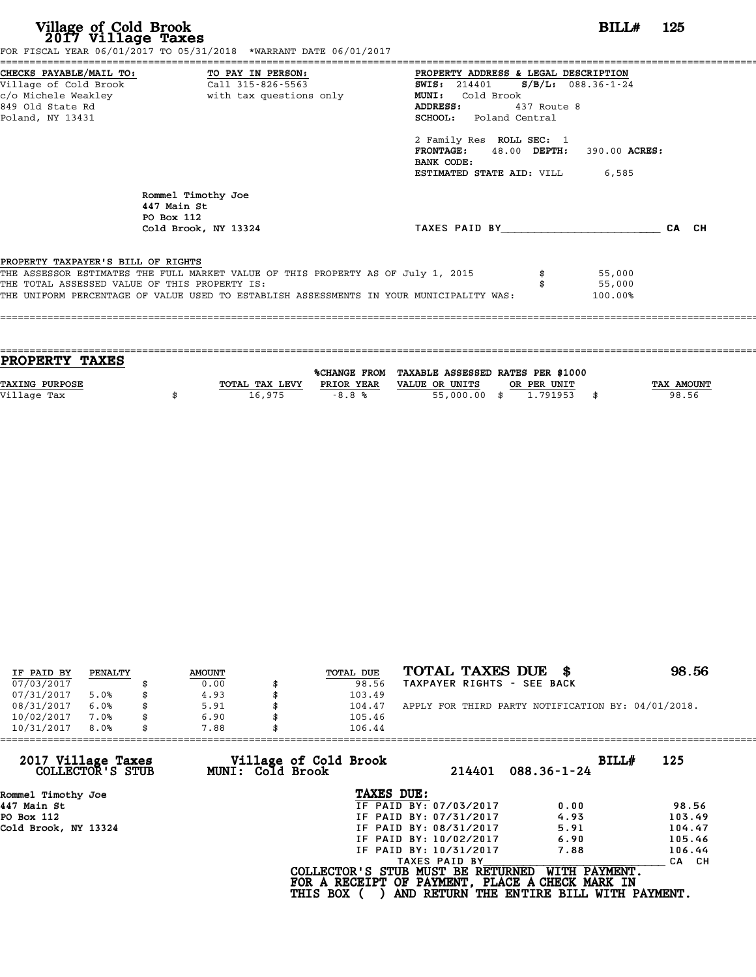# **Village of Cold Brook**<br> **2017 Village Taxes**<br> **2017 Village Taxes BILL#** 125

FOR FISCAL YEAR 06/01/2017 TO 05/31/2018 \*WARRANT DATE 06/01/2017

======================================================================================================================================== CHECKS PAYABLE/MAIL TO: TO PAY IN PERSON: PROPERTY ADDRESS & LEGAL DESCRIPTION Village of Cold Brook Call 315-826-5563 SWIS: <sup>214401</sup> S/B/L: 088.36-1-24 CHECKS PAYABLE/MAIL TO: TO PAY IN PERSON: PROPERTY ADDRESS & LE<br>
Village of Cold Brook Call 315-826-5563 SWIS: 214401 S/B<br>
c/o Michele Weakley with tax questions only MUNI: Cold Brook<br>
849 Old State Pd Village of Cold Brook Call 315-826-5563 WIS: 214401 S/B/L: 088.3<br>
c/o Michele Weakley With tax questions only MUNI: Cold Brook<br>
849 Old State Rd ADDRESS: 437 Route 8<br>
Poland NY 13431 Poland, NY 13431 SCHOOL: Poland Central ADDRESS: 437 Route 8<br>
SCHOOL: Poland Central<br>
2 Family Res ROLL SEC: 1<br>
FRONTAGE: 48.00 DEPTH: FRONTAGE: 48.00 DEPTH: 390.00 ACRES:<br>BANK CODE:<br>ESTIMATED STATE AID: VILL 6,585 2 Family Res ROLL SEC: 1<br>FRONTAGE: 48.00 DEPTH:<br>BANK CODE:<br>ESTIMATED STATE AID: VILL Rommel Timothy Joe<br>447 Main St Rommel Timothy<br>447 Main St<br>PO Box 112 Rommel Timoth<br>447 Main St<br>PO Box 112<br>Cold Brook N Cold Brook, NY 13324 TAXES PAID BY\_\_\_\_\_\_\_\_\_\_\_\_\_\_\_\_\_\_\_\_\_\_\_\_ CA CH Cold Brook, NY 13324<br>PROPERTY TAXPAYER'S BILL OF RIGHTS **PROPERTY TAXPAYER'S BILL OF RIGHTS**<br>THE ASSESSOR ESTIMATES THE FULL MARKET VALUE OF THIS PROPERTY AS OF July 1, 2015 \$ 55,000<br>THE TOTAL ASSESSED VALUE OF THIS PROPERTY IS: **PROPERTY TAXPAYER'S BILL OF RIGHTS<br>THE ASSESSOR ESTIMATES THE FULL MARKET VALUE OF THIS PROPERTY AS OF July 1, 2015 \$\$\$\$\$\$\$\$\$\$\$\$\$\$\$\$\$\$\$\$\$\$\$\$\$\$\$\$\$<br>THE TOTAL ASSESSED VALUE OF THIS PROPERTY IS:<br>THE INIEOPM PERCENTAGE OF VAL** THE ASSESSOR ESTIMATES THE FULL MARKET VALUE OF THIS PROPERTY AS OF July 1, 2015 \$\$\$\$\$\$\$\$ \$55,000<br>THE TOTAL ASSESSED VALUE OF THIS PROPERTY IS:<br>THE UNIFORM PERCENTAGE OF VALUE USED TO ESTABLISH ASSESSMENTS IN YOUR MUNICIPA ====================================================================================================================================

| <b>PROPERTY TAXES</b> |                |            |                                                |             |            |
|-----------------------|----------------|------------|------------------------------------------------|-------------|------------|
|                       |                |            |                                                |             |            |
|                       |                |            | %CHANGE FROM TAXABLE ASSESSED RATES PER \$1000 |             |            |
| <b>TAXING PURPOSE</b> | TOTAL TAX LEVY | PRIOR YEAR | VALUE OR UNITS                                 | OR PER UNIT | TAX AMOUNT |
| Village Tax           | 16,975         | $-8.8%$    | 55,000,00 \$                                   | 1,791953    | 98.56      |
|                       |                |            |                                                |             |            |
|                       |                |            |                                                |             |            |

| IF PAID BY | PENALTY | <b>AMOUNT</b> | <b>TOTAL DUE</b> | TOTAL TAXES DUE \$                                 | 98.56 |
|------------|---------|---------------|------------------|----------------------------------------------------|-------|
| 07/03/2017 |         | 0.00          | 98.56            | TAXPAYER RIGHTS - SEE BACK                         |       |
| 07/31/2017 | 5.0%    | \$<br>4.93    | 103.49           |                                                    |       |
| 08/31/2017 | 6.0%    | 5.91          | 104.47           | APPLY FOR THIRD PARTY NOTIFICATION BY: 04/01/2018. |       |
| 10/02/2017 | 7.0%    | \$<br>6.90    | 105.46           |                                                    |       |
| 10/31/2017 | 8.0%    | \$<br>7.88    | 106.44           |                                                    |       |

| 214401                 | BILLH<br>$088.36 - 1 - 24$                                 | 125                                                                                                                              |
|------------------------|------------------------------------------------------------|----------------------------------------------------------------------------------------------------------------------------------|
| TAXES DUE:             |                                                            |                                                                                                                                  |
| IF PAID BY: 07/03/2017 | 0.00                                                       | 98.56                                                                                                                            |
| IF PAID BY: 07/31/2017 | 4.93                                                       | 103.49                                                                                                                           |
| IF PAID BY: 08/31/2017 | 5.91                                                       | 104.47                                                                                                                           |
| IF PAID BY: 10/02/2017 | 6.90                                                       | 105.46                                                                                                                           |
| IF PAID BY: 10/31/2017 | 7.88                                                       | 106.44                                                                                                                           |
| TAXES PAID BY          |                                                            | CA CH                                                                                                                            |
|                        | WITH PAYMENT.                                              |                                                                                                                                  |
| MUNI: Cold Brook       | 7.88<br>106.44<br>Village of Cold Brook<br><b>THIS BOX</b> | COLLECTOR'S STUB MUST BE RETURNED<br>FOR A RECEIPT OF PAYMENT, PLACE A CHECK MARK IN<br>AND RETURN THE ENTIRE BILL WITH PAYMENT. |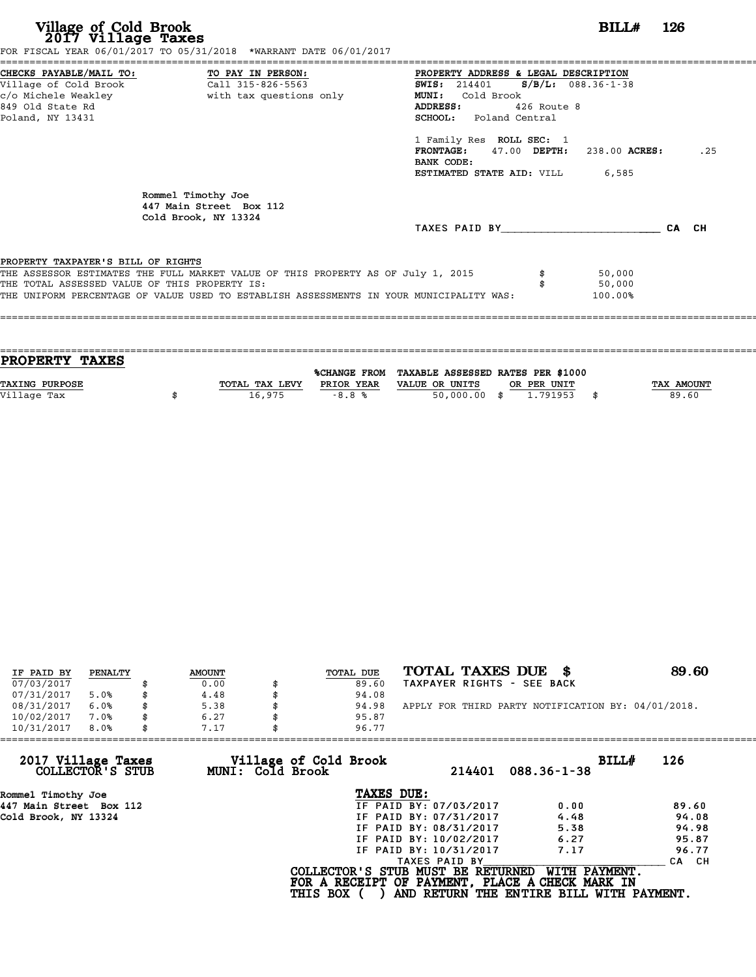| Village of Cold Brook<br>2017 Village Taxes                                         | FOR FISCAL YEAR 06/01/2017 TO 05/31/2018 *WARRANT DATE 06/01/2017                                                                                                           |                                                                                                                                                                                                                                                                                                                   | $BILLH$ 126                 |       |
|-------------------------------------------------------------------------------------|-----------------------------------------------------------------------------------------------------------------------------------------------------------------------------|-------------------------------------------------------------------------------------------------------------------------------------------------------------------------------------------------------------------------------------------------------------------------------------------------------------------|-----------------------------|-------|
| 849 Old State Rd<br>Poland, NY 13431                                                |                                                                                                                                                                             | PROPERTY ADDRESS & LEGAL DESCRIPTION<br><b>SWIS:</b> 214401 <b>S/B/L:</b> 088.36-1-38<br><b>MUNI:</b><br>Cold Brook<br>ADDRESS:<br>426 Route 8<br><b>SCHOOL:</b> Poland Central<br>1 Family Res ROLL SEC: 1<br>$FRONTAGE: 47.00$ $DEPTH: 238.00$ $ACRES:$<br>BANK CODE:<br><b>ESTIMATED STATE AID:</b> VILL 6,585 |                             | .25   |
|                                                                                     | Rommel Timothy Joe<br>447 Main Street Box 112<br>Cold Brook, NY 13324                                                                                                       | TAXES PAID BY TAXES                                                                                                                                                                                                                                                                                               |                             | CA CH |
| PROPERTY TAXPAYER'S BILL OF RIGHTS<br>THE TOTAL ASSESSED VALUE OF THIS PROPERTY IS: | THE ASSESSOR ESTIMATES THE FULL MARKET VALUE OF THIS PROPERTY AS OF July 1, 2015<br>THE UNIFORM PERCENTAGE OF VALUE USED TO ESTABLISH ASSESSMENTS IN YOUR MUNICIPALITY WAS: |                                                                                                                                                                                                                                                                                                                   | 50,000<br>50,000<br>100.00% |       |

| <b>PROPERTY TAXES</b> |                |            |                                                |             |                   |
|-----------------------|----------------|------------|------------------------------------------------|-------------|-------------------|
|                       |                |            |                                                |             |                   |
|                       |                |            | %CHANGE FROM TAXABLE ASSESSED RATES PER \$1000 |             |                   |
| <b>TAXING PURPOSE</b> | TOTAL TAX LEVY | PRIOR YEAR | VALUE OR UNITS                                 | OR PER UNIT | <b>TAX AMOUNT</b> |
| Village Tax           | 16,975         | $-8.8%$    | $50,000.00$ \$                                 | 1.791953    | 89.60             |
|                       |                |            |                                                |             |                   |

| IF PAID BY | PENALTY | <b>AMOUNT</b> | TOTAL DUE | TOTAL TAXES DUE \$                                 | 89.60 |
|------------|---------|---------------|-----------|----------------------------------------------------|-------|
| 07/03/2017 |         | 0.00          | 89.60     | TAXPAYER RIGHTS - SEE BACK                         |       |
| 07/31/2017 | 5.0%    | 4.48          | 94.08     |                                                    |       |
| 08/31/2017 | 6.0%    | 5.38          | 94.98     | APPLY FOR THIRD PARTY NOTIFICATION BY: 04/01/2018. |       |
| 10/02/2017 | 7.0%    | 6.27          | 95.87     |                                                    |       |
| 10/31/2017 | 8.0%    | 7.17          | 96.77     |                                                    |       |

| 7.17 | 96.77                  |                                                              |                                                                                                                                  |
|------|------------------------|--------------------------------------------------------------|----------------------------------------------------------------------------------------------------------------------------------|
|      | 214401                 | BILLH<br>$088.36 - 1 - 38$                                   | 126                                                                                                                              |
|      | TAXES DUE:             |                                                              |                                                                                                                                  |
|      | IF PAID BY: 07/03/2017 | 0.00                                                         | 89.60                                                                                                                            |
|      | IF PAID BY: 07/31/2017 | 4.48                                                         | 94.08                                                                                                                            |
|      | IF PAID BY: 08/31/2017 | 5.38                                                         | 94.98                                                                                                                            |
|      | IF PAID BY: 10/02/2017 | 6.27                                                         | 95.87                                                                                                                            |
|      | IF PAID BY: 10/31/2017 | 7.17                                                         | 96.77                                                                                                                            |
|      | TAXES PAID BY          |                                                              | CA CH                                                                                                                            |
|      |                        | WITH PAYMENT.                                                |                                                                                                                                  |
|      |                        | Village of Cold Brook<br>MUNI: Cold Brook<br><b>THIS BOX</b> | COLLECTOR'S STUB MUST BE RETURNED<br>FOR A RECEIPT OF PAYMENT, PLACE A CHECK MARK IN<br>AND RETURN THE ENTIRE BILL WITH PAYMENT. |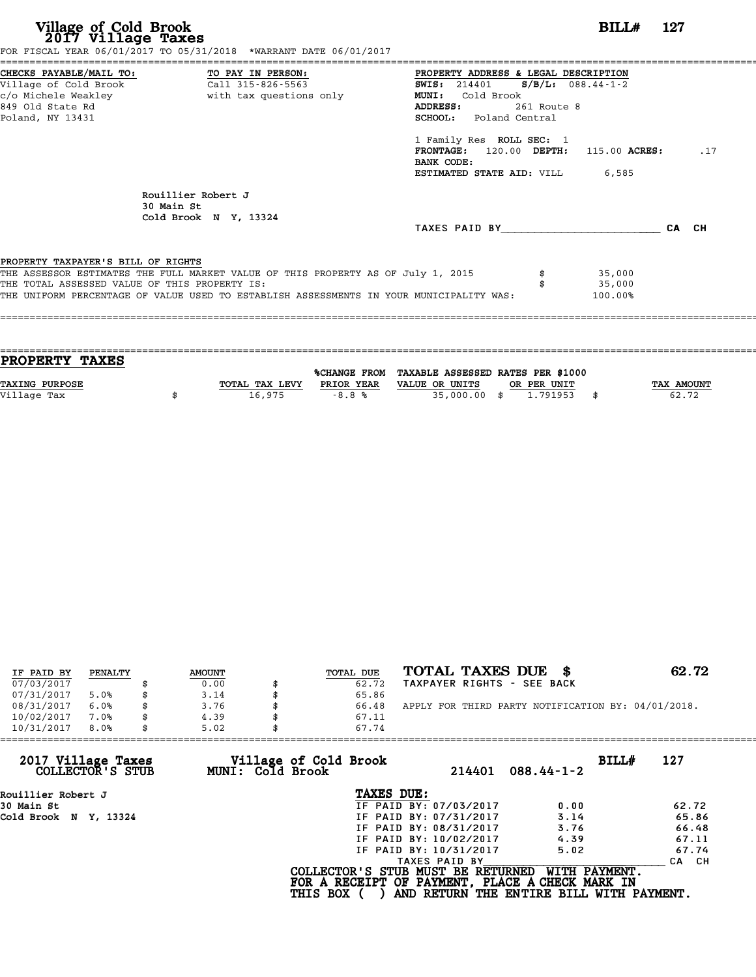| Village of Cold Brook<br>2017 Village Taxes                                                                                       | FOR FISCAL YEAR 06/01/2017 TO 05/31/2018 *WARRANT DATE 06/01/2017                                                                                                           |                                                                                                                                                                                                                                                                                              | BILL#                       | -- 127 |
|-----------------------------------------------------------------------------------------------------------------------------------|-----------------------------------------------------------------------------------------------------------------------------------------------------------------------------|----------------------------------------------------------------------------------------------------------------------------------------------------------------------------------------------------------------------------------------------------------------------------------------------|-----------------------------|--------|
| CHECKS PAYABLE/MAIL TO: TO PAY IN PERSON:<br>Village of Cold Brook<br>c/o Michele Weakley<br>849 Old State Rd<br>Poland, NY 13431 | Call 315-826-5563<br>with tax questions only                                                                                                                                | PROPERTY ADDRESS & LEGAL DESCRIPTION<br><b>SWIS:</b> 214401<br>Cold Brook<br><b>MUNI:</b><br>ADDRESS:<br>261 Route 8<br><b>SCHOOL:</b> Poland Central<br>1 Family Res ROLL SEC: 1<br>120.00 DEPTH: 115.00 ACRES:<br><b>FRONTAGE:</b><br>BANK CODE:<br><b>ESTIMATED STATE AID:</b> VILL 6,585 | $S/B/L: 088.44-1-2$         | .17    |
|                                                                                                                                   | Rouillier Robert J<br>30 Main St<br>Cold Brook N Y, 13324                                                                                                                   | TAXES PAID BY                                                                                                                                                                                                                                                                                |                             | CA CH  |
| PROPERTY TAXPAYER'S BILL OF RIGHTS<br>THE TOTAL ASSESSED VALUE OF THIS PROPERTY IS:                                               | THE ASSESSOR ESTIMATES THE FULL MARKET VALUE OF THIS PROPERTY AS OF July 1, 2015<br>THE UNIFORM PERCENTAGE OF VALUE USED TO ESTABLISH ASSESSMENTS IN YOUR MUNICIPALITY WAS: |                                                                                                                                                                                                                                                                                              | 35,000<br>35,000<br>100.00% |        |

| TOTAL TAX LEVY | PRIOR YEAR | VALUE OR UNITS<br>OR PER UNIT | TAX AMOUNT                                                                 |
|----------------|------------|-------------------------------|----------------------------------------------------------------------------|
|                |            |                               | 62.72                                                                      |
|                |            |                               |                                                                            |
|                | 16,975     | $-8.8%$                       | %CHANGE FROM TAXABLE ASSESSED RATES PER \$1000<br>35,000,00 \$<br>1,791953 |

| IF PAID BY | PENALTY | <b>AMOUNT</b> | <b>TOTAL DUE</b> | TOTAL TAXES DUE \$                                 | 62.72 |
|------------|---------|---------------|------------------|----------------------------------------------------|-------|
| 07/03/2017 |         | 0.00          | 62.72            | TAXPAYER RIGHTS - SEE BACK                         |       |
| 07/31/2017 | 5.0%    | \$<br>3.14    | 65.86            |                                                    |       |
| 08/31/2017 | 6.0%    | \$<br>3.76    | 66.48            | APPLY FOR THIRD PARTY NOTIFICATION BY: 04/01/2018. |       |
| 10/02/2017 | 7.0%    | \$<br>4.39    | 67.11            |                                                    |       |
| 10/31/2017 | 8.0%    | \$<br>5.02    | 67.74            |                                                    |       |

| 67.74      |                                                              |                                                                                                                                                           |                                                                                                                                                   |
|------------|--------------------------------------------------------------|-----------------------------------------------------------------------------------------------------------------------------------------------------------|---------------------------------------------------------------------------------------------------------------------------------------------------|
|            |                                                              | $088.44 - 1 - 2$                                                                                                                                          | BILL#<br>127                                                                                                                                      |
| TAXES DUE: |                                                              |                                                                                                                                                           |                                                                                                                                                   |
|            |                                                              | 0.00                                                                                                                                                      | 62.72                                                                                                                                             |
|            |                                                              | 3.14                                                                                                                                                      | 65.86                                                                                                                                             |
|            |                                                              | 3.76                                                                                                                                                      | 66.48                                                                                                                                             |
|            |                                                              | 4.39                                                                                                                                                      | 67.11                                                                                                                                             |
|            |                                                              | 5.02                                                                                                                                                      | 67.74                                                                                                                                             |
|            |                                                              |                                                                                                                                                           | CA CH                                                                                                                                             |
|            |                                                              |                                                                                                                                                           |                                                                                                                                                   |
| 5.02       | Village of Cold Brook<br>MUNI: Cold Brook<br><b>THIS BOX</b> | 214401<br>IF PAID BY: 07/03/2017<br>IF PAID BY: 07/31/2017<br>IF PAID BY: 08/31/2017<br>IF PAID BY: 10/02/2017<br>IF PAID BY: 10/31/2017<br>TAXES PAID BY | COLLECTOR'S STUB MUST BE RETURNED<br>WITH PAYMENT.<br>FOR A RECEIPT OF PAYMENT, PLACE A CHECK MARK IN<br>AND RETURN THE ENTIRE BILL WITH PAYMENT. |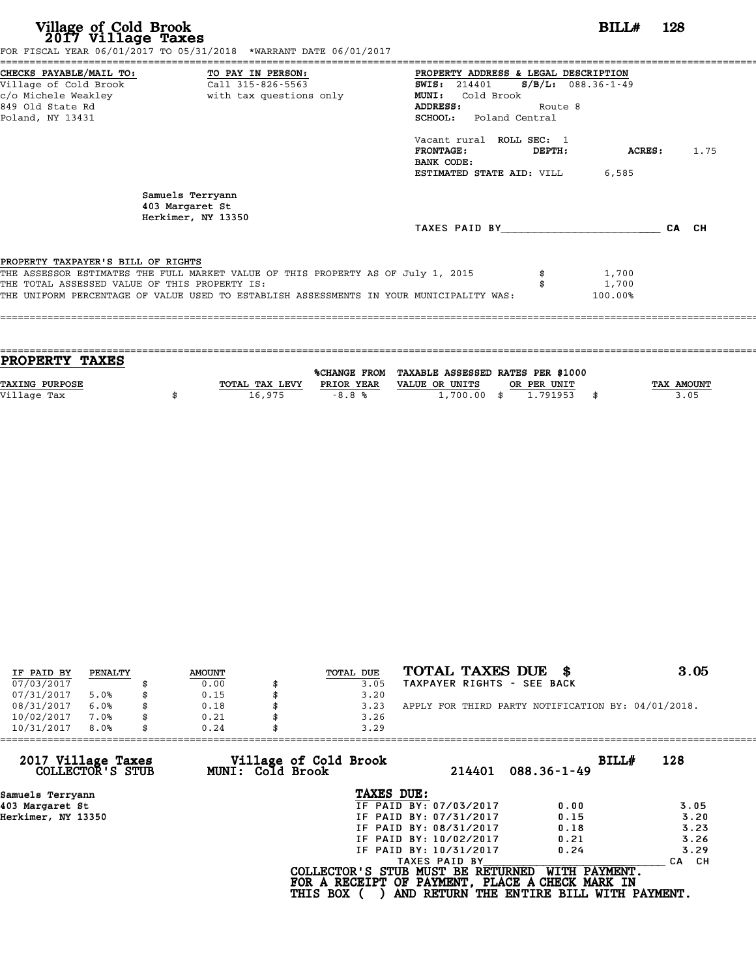| Village of Cold Brook<br>2017 Village Taxes                                                                     | FOR FISCAL YEAR 06/01/2017 TO 05/31/2018 *WARRANT DATE 06/01/2017                                                                                                           |                                                                                                                                        | BILL#                               | 128   |
|-----------------------------------------------------------------------------------------------------------------|-----------------------------------------------------------------------------------------------------------------------------------------------------------------------------|----------------------------------------------------------------------------------------------------------------------------------------|-------------------------------------|-------|
| CHECKS PAYABLE/MAIL TO:<br>Village of Cold Brook<br>c/o Michele Weakley<br>849 Old State Rd<br>Poland, NY 13431 | TO PAY IN PERSON:<br>Call 315-826-5563<br>with tax questions only                                                                                                           | PROPERTY ADDRESS & LEGAL DESCRIPTION<br><b>SWIS:</b> 214401<br><b>MUNI:</b><br>Cold Brook<br>ADDRESS:<br><b>SCHOOL:</b> Poland Central | $S/B/L: 088.36 - 1 - 49$<br>Route 8 |       |
|                                                                                                                 |                                                                                                                                                                             | Vacant rural ROLL SEC: 1<br><b>FRONTAGE:</b><br>DEPTH:<br>BANK CODE:<br>ESTIMATED STATE AID: VILL                                      | ACRES:<br>6,585                     | 1.75  |
|                                                                                                                 | Samuels Terryann<br>403 Margaret St<br>Herkimer, NY 13350                                                                                                                   |                                                                                                                                        |                                     | CA CH |
| PROPERTY TAXPAYER'S BILL OF RIGHTS<br>THE TOTAL ASSESSED VALUE OF THIS PROPERTY IS:                             | THE ASSESSOR ESTIMATES THE FULL MARKET VALUE OF THIS PROPERTY AS OF July 1, 2015<br>THE UNIFORM PERCENTAGE OF VALUE USED TO ESTABLISH ASSESSMENTS IN YOUR MUNICIPALITY WAS: |                                                                                                                                        | 1,700<br>1,700<br>100.00%           |       |

| PROPERTY TAXES |                |            |                                                |             |                   |
|----------------|----------------|------------|------------------------------------------------|-------------|-------------------|
|                |                |            | %CHANGE FROM TAXABLE ASSESSED RATES PER \$1000 |             |                   |
| TAXING PURPOSE | TOTAL TAX LEVY | PRIOR YEAR | VALUE OR UNITS                                 | OR PER UNIT | <b>TAX AMOUNT</b> |
|                |                |            |                                                |             |                   |
| Village Tax    | 16,975         | $-8.8%$    | $1,700.00$ \$                                  | 1.791953    | 3.05              |
|                |                |            |                                                |             |                   |

| IF PAID BY | PENALTY | <b>AMOUNT</b> | TOTAL DUE | TOTAL TAXES DUE                                    | 3.05 |
|------------|---------|---------------|-----------|----------------------------------------------------|------|
| 07/03/2017 |         | 0.00          | 3.05      | TAXPAYER RIGHTS - SEE BACK                         |      |
| 07/31/2017 | 5.0%    | 0.15          | 3.20      |                                                    |      |
| 08/31/2017 | 6.0%    | 0.18          | 3.23      | APPLY FOR THIRD PARTY NOTIFICATION BY: 04/01/2018. |      |
| 10/02/2017 | 7.0%    | 0.21          | 3.26      |                                                    |      |
| 10/31/2017 | 8.0%    | 0.24          | 3.29      |                                                    |      |

| 0.24 | 3.29                   |                                                              |                                                                                                                                  |
|------|------------------------|--------------------------------------------------------------|----------------------------------------------------------------------------------------------------------------------------------|
|      | 214401                 | BILLH<br>$088.36 - 1 - 49$                                   | 128                                                                                                                              |
|      | TAXES DUE:             |                                                              |                                                                                                                                  |
|      | IF PAID BY: 07/03/2017 | 0.00                                                         | 3.05                                                                                                                             |
|      | IF PAID BY: 07/31/2017 | 0.15                                                         | 3.20                                                                                                                             |
|      | IF PAID BY: 08/31/2017 | 0.18                                                         | 3.23                                                                                                                             |
|      | IF PAID BY: 10/02/2017 | 0.21                                                         | 3.26                                                                                                                             |
|      | IF PAID BY: 10/31/2017 | 0.24                                                         | 3.29                                                                                                                             |
|      | TAXES PAID BY          |                                                              | CH.<br><b>CA</b>                                                                                                                 |
|      |                        | WITH PAYMENT.                                                |                                                                                                                                  |
|      |                        | Village of Cold Brook<br>MUNI: Cold Brook<br><b>THIS BOX</b> | COLLECTOR'S STUB MUST BE RETURNED<br>FOR A RECEIPT OF PAYMENT, PLACE A CHECK MARK IN<br>AND RETURN THE ENTIRE BILL WITH PAYMENT. |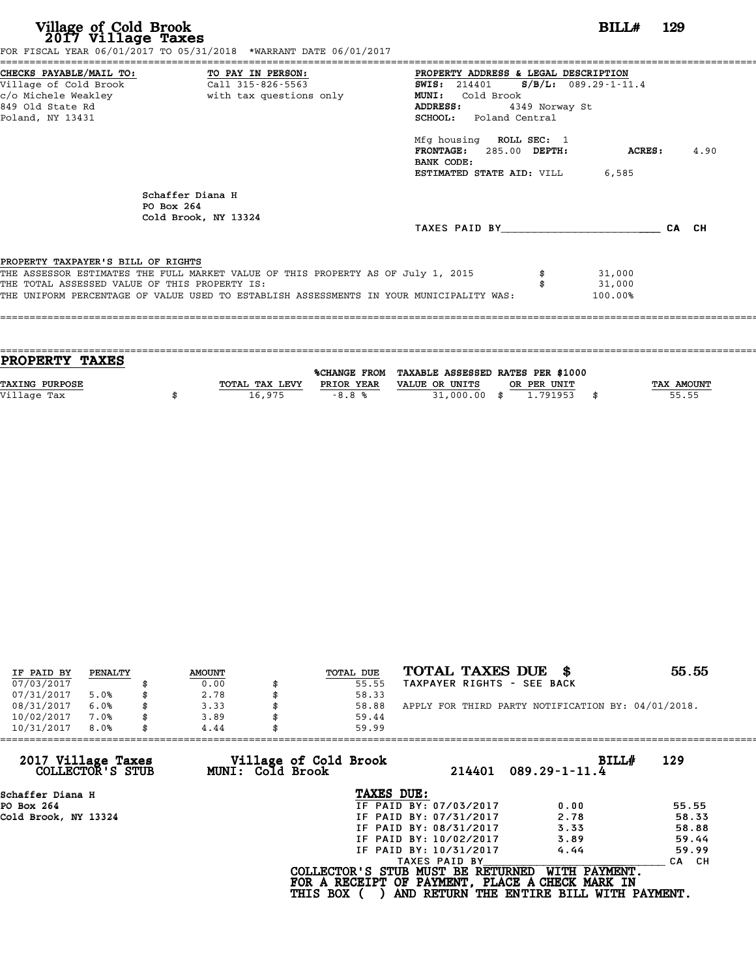| Village of Cold Brook<br>2017 Village Taxes                                                                                       | FOR FISCAL YEAR 06/01/2017 TO 05/31/2018 *WARRANT DATE 06/01/2017                                                                                                           |                                                                                                                                                                                                                               | <b>BILL#</b> 129            |        |      |
|-----------------------------------------------------------------------------------------------------------------------------------|-----------------------------------------------------------------------------------------------------------------------------------------------------------------------------|-------------------------------------------------------------------------------------------------------------------------------------------------------------------------------------------------------------------------------|-----------------------------|--------|------|
| CHECKS PAYABLE/MAIL TO: TO PAY IN PERSON:<br>Village of Cold Brook<br>c/o Michele Weakley<br>849 Old State Rd<br>Poland, NY 13431 | Call 315-826-5563<br>with tax questions only                                                                                                                                | ====================<br>PROPERTY ADDRESS & LEGAL DESCRIPTION<br>SWIS: $214401$ S/B/L: 089.29-1-11.4<br><b>MUNI:</b><br>Cold Brook<br>ADDRESS:<br>SCHOOL: Poland Central<br>Mfg housing ROLL SEC: 1<br>FRONTAGE: 285.00 DEPTH: | 4349 Norway St              | ACRES: | 4.90 |
|                                                                                                                                   | Schaffer Diana H<br>PO Box 264<br>Cold Brook, NY 13324                                                                                                                      | BANK CODE:<br><b>ESTIMATED STATE AID:</b> VILL 6,585<br>TAXES PAID BY CA CH                                                                                                                                                   |                             |        |      |
| PROPERTY TAXPAYER'S BILL OF RIGHTS<br>THE TOTAL ASSESSED VALUE OF THIS PROPERTY IS:                                               | THE ASSESSOR ESTIMATES THE FULL MARKET VALUE OF THIS PROPERTY AS OF July 1, 2015<br>THE UNIFORM PERCENTAGE OF VALUE USED TO ESTABLISH ASSESSMENTS IN YOUR MUNICIPALITY WAS: |                                                                                                                                                                                                                               | 31,000<br>31,000<br>100.00% |        |      |

| PROPERTY TAXES        |                |                     |                                   |             |      |            |
|-----------------------|----------------|---------------------|-----------------------------------|-------------|------|------------|
|                       |                | <b>%CHANGE FROM</b> | TAXABLE ASSESSED RATES PER \$1000 |             |      |            |
|                       |                |                     |                                   |             |      |            |
| <b>TAXING PURPOSE</b> | TOTAL TAX LEVY | PRIOR YEAR          | VALUE OR UNITS                    | OR PER UNIT |      | TAX AMOUNT |
| Village Tax           | 16,975         | $-8.8%$             | 31,000.00 \$                      | 1.791953    | - \$ | 55.55      |
|                       |                |                     |                                   |             |      |            |

| IF PAID BY | PENALTY | <b>AMOUNT</b> | TOTAL DUE | TOTAL TAXES DUE \$                                 | 55.55 |
|------------|---------|---------------|-----------|----------------------------------------------------|-------|
| 07/03/2017 |         | 0.00          | 55.55     | TAXPAYER RIGHTS - SEE BACK                         |       |
| 07/31/2017 | 5.0%    | \$<br>2.78    | 58.33     |                                                    |       |
| 08/31/2017 | 6.0%    | \$<br>3.33    | 58.88     | APPLY FOR THIRD PARTY NOTIFICATION BY: 04/01/2018. |       |
| 10/02/2017 | 7.0%    | \$<br>3.89    | 59.44     |                                                    |       |
| 10/31/2017 | 8.0%    | \$<br>4.44    | 59.99     |                                                    |       |

| 4.44 | 59.99                  |                                                              |                                                                                                                                  |
|------|------------------------|--------------------------------------------------------------|----------------------------------------------------------------------------------------------------------------------------------|
|      | 214401                 | BILL#<br>$089.29 - 1 - 11.4$                                 | 129                                                                                                                              |
|      | TAXES DUE:             |                                                              |                                                                                                                                  |
|      | IF PAID BY: 07/03/2017 | 0.00                                                         | 55.55                                                                                                                            |
|      | IF PAID BY: 07/31/2017 | 2.78                                                         | 58.33                                                                                                                            |
|      | IF PAID BY: 08/31/2017 | 3.33                                                         | 58.88                                                                                                                            |
|      | IF PAID BY: 10/02/2017 | 3.89                                                         | 59.44                                                                                                                            |
|      | IF PAID BY: 10/31/2017 | 4.44                                                         | 59.99                                                                                                                            |
|      | TAXES PAID BY          |                                                              | <b>CA</b><br>CH.                                                                                                                 |
|      |                        | WITH PAYMENT.                                                |                                                                                                                                  |
|      |                        | Village of Cold Brook<br>MUNI: Cold Brook<br><b>THIS BOX</b> | COLLECTOR'S STUB MUST BE RETURNED<br>FOR A RECEIPT OF PAYMENT, PLACE A CHECK MARK IN<br>AND RETURN THE ENTIRE BILL WITH PAYMENT. |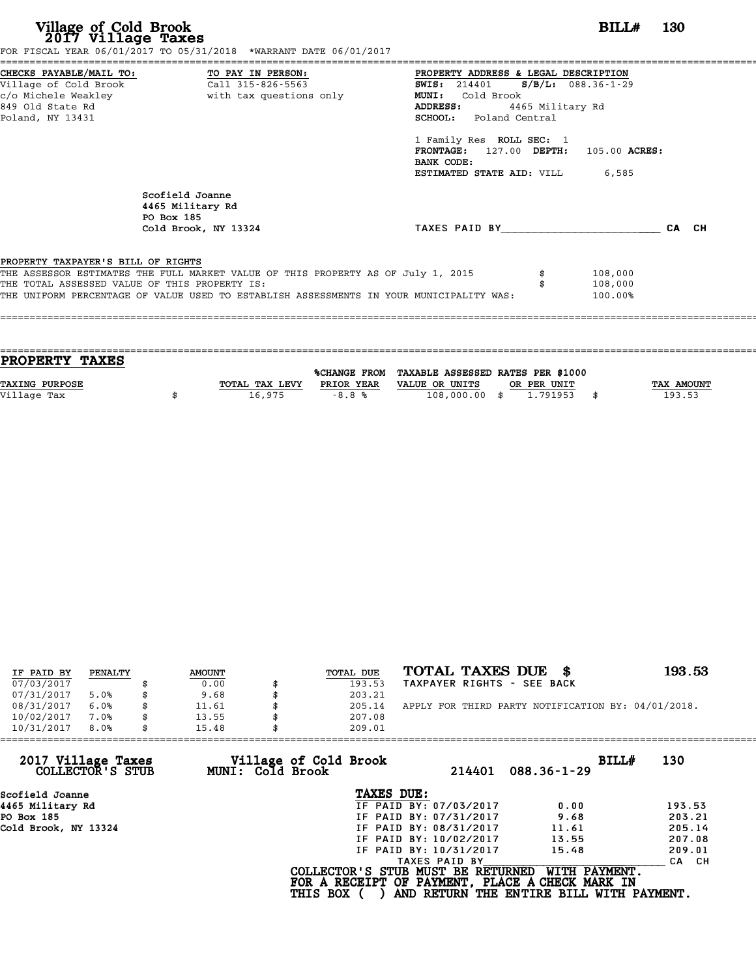| CHECKS PAYABLE/MAIL TO: TO PAY IN PERSON:<br>PROPERTY ADDRESS & LEGAL DESCRIPTION<br>Village of Cold Brook<br>Call 315-826-5563<br>SWIS: 214401 S/B/L: 088.36-1-29<br>c/o Michele Weakley<br>with tax questions only<br>MUNI: Cold Brook<br>849 Old State Rd<br>4465 Military Rd<br>ADDRESS:<br>SCHOOL: Poland Central<br>Poland, NY 13431<br>1 Family Res ROLL SEC: 1<br>FRONTAGE: 127.00 DEPTH: 105.00 ACRES:<br>BANK CODE: |       |  |
|-------------------------------------------------------------------------------------------------------------------------------------------------------------------------------------------------------------------------------------------------------------------------------------------------------------------------------------------------------------------------------------------------------------------------------|-------|--|
| <b>ESTIMATED STATE AID:</b> VILL 6,585                                                                                                                                                                                                                                                                                                                                                                                        |       |  |
| Scofield Joanne<br>4465 Military Rd<br>PO Box 185<br>TAXES PAID BY<br>Cold Brook, NY 13324                                                                                                                                                                                                                                                                                                                                    | CA CH |  |
| PROPERTY TAXPAYER'S BILL OF RIGHTS<br>THE ASSESSOR ESTIMATES THE FULL MARKET VALUE OF THIS PROPERTY AS OF July 1, 2015<br>108,000<br>THE TOTAL ASSESSED VALUE OF THIS PROPERTY IS:<br>108,000<br>THE UNIFORM PERCENTAGE OF VALUE USED TO ESTABLISH ASSESSMENTS IN YOUR MUNICIPALITY WAS:<br>100.00%                                                                                                                           |       |  |

| TOTAL TAX LEVY | PRIOR YEAR | VALUE OR UNITS |                     |               |                         | TAX AMOUNT                        |
|----------------|------------|----------------|---------------------|---------------|-------------------------|-----------------------------------|
| 16,975         | $-8.8%$    |                |                     |               |                         | 193.53                            |
|                |            |                |                     |               |                         |                                   |
|                |            |                | <b>%CHANGE FROM</b> | 108,000.00 \$ | OR PER UNIT<br>1.791953 | TAXABLE ASSESSED RATES PER \$1000 |

| IF PAID BY | PENALTY | <b>AMOUNT</b> | TOTAL DUE | TOTAL TAXES DUE<br>- 86                            | 193.53 |
|------------|---------|---------------|-----------|----------------------------------------------------|--------|
| 07/03/2017 |         | 0.00          | 193.53    | TAXPAYER RIGHTS - SEE BACK                         |        |
| 07/31/2017 | 5.0%    | \$<br>9.68    | 203.21    |                                                    |        |
| 08/31/2017 | 6.0%    | \$<br>11.61   | 205.14    | APPLY FOR THIRD PARTY NOTIFICATION BY: 04/01/2018. |        |
| 10/02/2017 | 7.0%    | \$<br>13.55   | 207.08    |                                                    |        |
| 10/31/2017 | 8.0%    | \$<br>15.48   | 209.01    |                                                    |        |

| 209.01          |                                           |                                                                                                                                                                                                    |                                                                                                                                   |
|-----------------|-------------------------------------------|----------------------------------------------------------------------------------------------------------------------------------------------------------------------------------------------------|-----------------------------------------------------------------------------------------------------------------------------------|
|                 | 214401                                    | BILLH                                                                                                                                                                                              | 130                                                                                                                               |
|                 |                                           |                                                                                                                                                                                                    |                                                                                                                                   |
|                 |                                           | 0.00                                                                                                                                                                                               | 193.53                                                                                                                            |
|                 |                                           | 9.68                                                                                                                                                                                               | 203.21                                                                                                                            |
|                 |                                           | 11.61                                                                                                                                                                                              | 205.14                                                                                                                            |
|                 |                                           | 13.55                                                                                                                                                                                              | 207.08                                                                                                                            |
|                 |                                           | 15.48                                                                                                                                                                                              | 209.01                                                                                                                            |
|                 |                                           |                                                                                                                                                                                                    | CA CH                                                                                                                             |
| <b>THIS BOX</b> |                                           |                                                                                                                                                                                                    |                                                                                                                                   |
|                 | Village of Cold Brook<br>MUNI: Cold Brook | TAXES DUE:<br>IF PAID BY: 07/03/2017<br>IF PAID BY: 07/31/2017<br>IF PAID BY: 08/31/2017<br>IF PAID BY: 10/02/2017<br>IF PAID BY: 10/31/2017<br>TAXES PAID BY<br>COLLECTOR'S STUB MUST BE RETURNED | $088.36 - 1 - 29$<br>WITH PAYMENT.<br>FOR A RECEIPT OF PAYMENT, PLACE A CHECK MARK IN<br>AND RETURN THE ENTIRE BILL WITH PAYMENT. |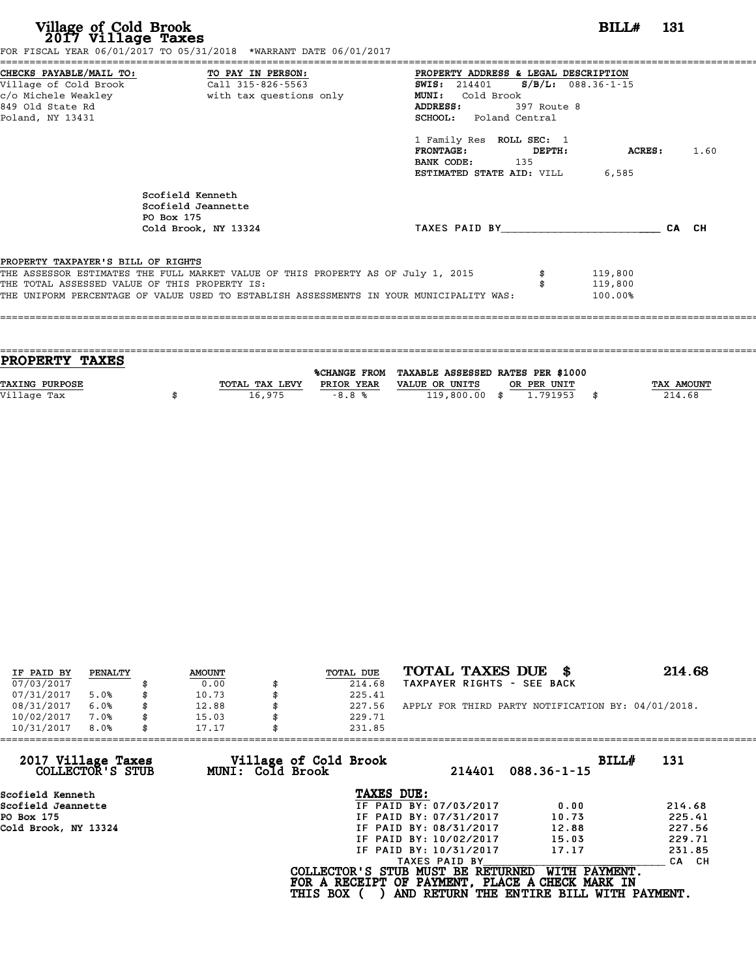| Village of Cold Brook<br>2017 Village Taxes                                         | FOR FISCAL YEAR 06/01/2017 TO 05/31/2018 *WARRANT DATE 06/01/2017                                                                                                           | <b>BILL#</b> 131                                                                                                                                                                                                                                                                             |                    |  |
|-------------------------------------------------------------------------------------|-----------------------------------------------------------------------------------------------------------------------------------------------------------------------------|----------------------------------------------------------------------------------------------------------------------------------------------------------------------------------------------------------------------------------------------------------------------------------------------|--------------------|--|
| c/o Michele Weakley<br>849 Old State Rd<br>Poland, NY 13431                         | CHECKS PAYABLE/MAIL TO: TO PAY IN PERSON:<br>Village of Cold Brook Call 315-826-5563<br>with tax questions only                                                             | PROPERTY ADDRESS & LEGAL DESCRIPTION<br>$S/B/L: 088.36 - 1 - 15$<br><b>SWIS:</b> 214401<br>MUNI: Cold Brook<br>ADDRESS:<br>397 Route 8<br><b>SCHOOL:</b> Poland Central<br>1 Family Res ROLL SEC: 1<br>$\tt FRONTAGE:$<br>DEPTH:<br>BANK CODE: 135<br><b>ESTIMATED STATE AID:</b> VILL 6,585 | <b>ACRES:</b> 1.60 |  |
|                                                                                     | Scofield Kenneth<br>Scofield Jeannette<br>PO Box 175<br>Cold Brook, NY 13324                                                                                                | TAXES PAID BY                                                                                                                                                                                                                                                                                | CA CH              |  |
| PROPERTY TAXPAYER'S BILL OF RIGHTS<br>THE TOTAL ASSESSED VALUE OF THIS PROPERTY IS: | THE ASSESSOR ESTIMATES THE FULL MARKET VALUE OF THIS PROPERTY AS OF July 1, 2015<br>THE UNIFORM PERCENTAGE OF VALUE USED TO ESTABLISH ASSESSMENTS IN YOUR MUNICIPALITY WAS: | 119,800<br>119,800<br>100.00%                                                                                                                                                                                                                                                                |                    |  |

| TAX AMOUNT |
|------------|
| 214.68     |
|            |
|            |

| IF PAID BY | PENALTY | <b>AMOUNT</b> | TOTAL DUE | TOTAL TAXES DUE \$                                 | 214.68 |
|------------|---------|---------------|-----------|----------------------------------------------------|--------|
| 07/03/2017 |         | 0.00          | 214.68    | TAXPAYER RIGHTS - SEE BACK                         |        |
| 07/31/2017 | 5.0%    | \$<br>10.73   | 225.41    |                                                    |        |
| 08/31/2017 | 6.0%    | \$<br>12.88   | 227.56    | APPLY FOR THIRD PARTY NOTIFICATION BY: 04/01/2018. |        |
| 10/02/2017 | 7.0%    | \$<br>15.03   | 229.71    |                                                    |        |
| 10/31/2017 | 8.0%    | \$<br>17.17   | 231.85    |                                                    |        |

| 231.85                                    |                             |                                                                                                                                                                                                                                                                                                   |
|-------------------------------------------|-----------------------------|---------------------------------------------------------------------------------------------------------------------------------------------------------------------------------------------------------------------------------------------------------------------------------------------------|
| Village of Cold Brook<br>MUNI: Cold Brook | 214401<br>$088.36 - 1 - 15$ | BILLH<br>131                                                                                                                                                                                                                                                                                      |
|                                           |                             |                                                                                                                                                                                                                                                                                                   |
|                                           | 0.00                        | 214.68                                                                                                                                                                                                                                                                                            |
|                                           | 10.73                       | 225.41                                                                                                                                                                                                                                                                                            |
|                                           | 12.88                       | 227.56                                                                                                                                                                                                                                                                                            |
|                                           | 15.03                       | 229.71                                                                                                                                                                                                                                                                                            |
|                                           | 17.17                       | 231.85                                                                                                                                                                                                                                                                                            |
|                                           |                             | CA CH                                                                                                                                                                                                                                                                                             |
| <b>THIS BOX</b>                           | WITH PAYMENT.               |                                                                                                                                                                                                                                                                                                   |
|                                           |                             | TAXES DUE:<br>IF PAID BY: 07/03/2017<br>IF PAID BY: 07/31/2017<br>IF PAID BY: 08/31/2017<br>IF PAID BY: 10/02/2017<br>IF PAID BY: 10/31/2017<br>TAXES PAID BY<br>COLLECTOR'S STUB MUST BE RETURNED<br>FOR A RECEIPT OF PAYMENT, PLACE A CHECK MARK IN<br>AND RETURN THE ENTIRE BILL WITH PAYMENT. |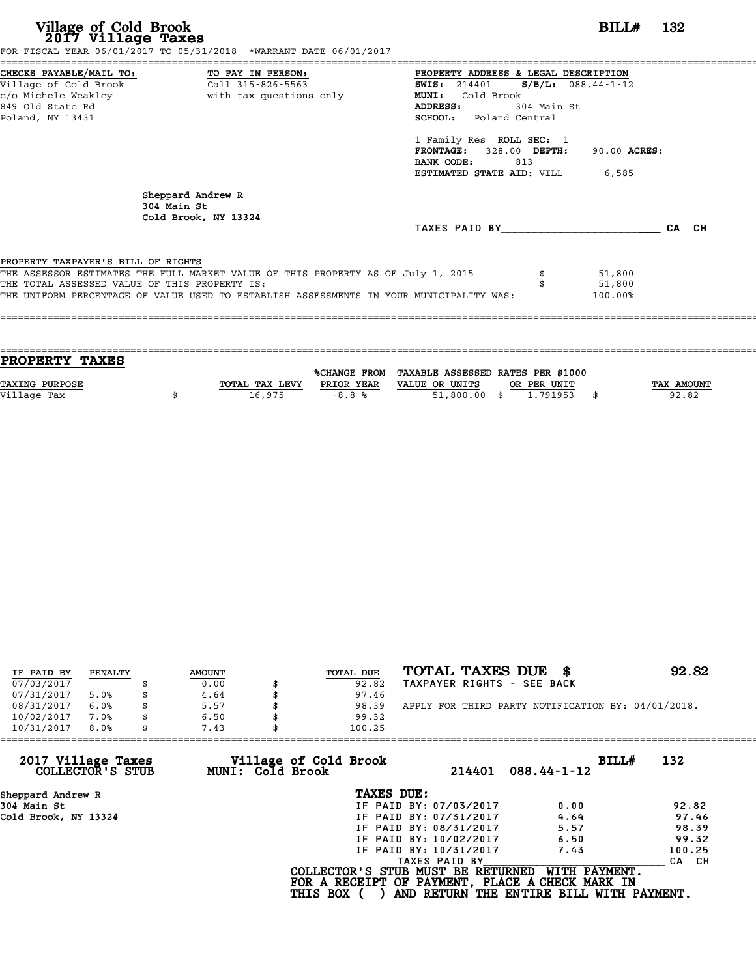| Village of Cold Brook<br>2017 Village Taxes                                         | FOR FISCAL YEAR 06/01/2017 TO 05/31/2018 *WARRANT DATE 06/01/2017                                                                                                           |                                                                                                                                                                                                                                                                                                             | BILL#                       | - 132 |
|-------------------------------------------------------------------------------------|-----------------------------------------------------------------------------------------------------------------------------------------------------------------------------|-------------------------------------------------------------------------------------------------------------------------------------------------------------------------------------------------------------------------------------------------------------------------------------------------------------|-----------------------------|-------|
| 849 Old State Rd<br>Poland, NY 13431                                                | CHECKS PAYABLE/MAIL TO: TO PAY IN PERSON:<br>Village of Cold Brook Call 315-826-5563<br>c/o Michele Weakley                       with tax questions only                   | PROPERTY ADDRESS & LEGAL DESCRIPTION<br>$S/B/L$ : 088.44-1-12<br><b>SWIS:</b> 214401<br><b>MUNI:</b><br>Cold Brook<br><b>ADDRESS:</b><br>304 Main St<br><b>SCHOOL:</b> Poland Central<br>1 Family Res ROLL SEC: 1<br>FRONTAGE: 328.00 DEPTH:<br>BANK CODE:<br>813<br><b>ESTIMATED STATE AID:</b> VILL 6,585 | 90.00 ACRES:                |       |
|                                                                                     | Sheppard Andrew R<br>304 Main St<br>Cold Brook, NY 13324                                                                                                                    | TAXES PAID BY                                                                                                                                                                                                                                                                                               |                             | CA CH |
| PROPERTY TAXPAYER'S BILL OF RIGHTS<br>THE TOTAL ASSESSED VALUE OF THIS PROPERTY IS: | THE ASSESSOR ESTIMATES THE FULL MARKET VALUE OF THIS PROPERTY AS OF July 1, 2015<br>THE UNIFORM PERCENTAGE OF VALUE USED TO ESTABLISH ASSESSMENTS IN YOUR MUNICIPALITY WAS: |                                                                                                                                                                                                                                                                                                             | 51,800<br>51,800<br>100.00% |       |

| <b>PROPERTY TAXES</b> |                |            |                                                |             |                   |
|-----------------------|----------------|------------|------------------------------------------------|-------------|-------------------|
|                       |                |            | %CHANGE FROM TAXABLE ASSESSED RATES PER \$1000 |             |                   |
| TAXING PURPOSE        | TOTAL TAX LEVY | PRIOR YEAR | VALUE OR UNITS                                 | OR PER UNIT | <b>TAX AMOUNT</b> |
| Village Tax           | 16,975         | $-8.8%$    | 51,800.00 \$                                   | 1.791953    | 92.82             |
|                       |                |            |                                                |             |                   |
|                       |                |            |                                                |             |                   |

| IF PAID BY | PENALTY | <b>AMOUNT</b> | TOTAL DUE | TOTAL TAXES DUE \$                                 | 92.82 |
|------------|---------|---------------|-----------|----------------------------------------------------|-------|
| 07/03/2017 |         | 0.00          | 92.82     | TAXPAYER RIGHTS - SEE BACK                         |       |
| 07/31/2017 | 5.0%    | 4.64          | 97.46     |                                                    |       |
| 08/31/2017 | 6.0%    | 5.57          | 98.39     | APPLY FOR THIRD PARTY NOTIFICATION BY: 04/01/2018. |       |
| 10/02/2017 | 7.0%    | 6.50          | 99.32     |                                                    |       |
| 10/31/2017 | 8.0%    | 7.43          | 100.25    |                                                    |       |

| 10/31/2017<br>8.0%<br>7.43             |                                           | 100.25                                                                               |                                                           |        |
|----------------------------------------|-------------------------------------------|--------------------------------------------------------------------------------------|-----------------------------------------------------------|--------|
| 2017 Village Taxes<br>COLLECTOR'S STUB | Village of Cold Brook<br>MUNI: Cold Brook | 214401                                                                               | BILL#<br>$088.44 - 1 - 12$                                | 132    |
| Sheppard Andrew R                      |                                           | TAXES DUE:                                                                           |                                                           |        |
| 304 Main St                            |                                           | IF PAID BY: 07/03/2017                                                               | 0.00                                                      | 92.82  |
| Cold Brook, NY 13324                   |                                           | IF PAID BY: 07/31/2017                                                               | 4.64                                                      | 97.46  |
|                                        |                                           | IF PAID BY: 08/31/2017                                                               | 5.57                                                      | 98.39  |
|                                        |                                           | IF PAID BY: 10/02/2017                                                               | 6.50                                                      | 99.32  |
|                                        |                                           | IF PAID BY: 10/31/2017                                                               | 7.43                                                      | 100.25 |
|                                        |                                           | TAXES PAID BY                                                                        |                                                           | CA CH  |
|                                        | <b>THIS BOX</b>                           | COLLECTOR'S STUB MUST BE RETURNED<br>FOR A RECEIPT OF PAYMENT, PLACE A CHECK MARK IN | WITH PAYMENT.<br>AND RETURN THE ENTIRE BILL WITH PAYMENT. |        |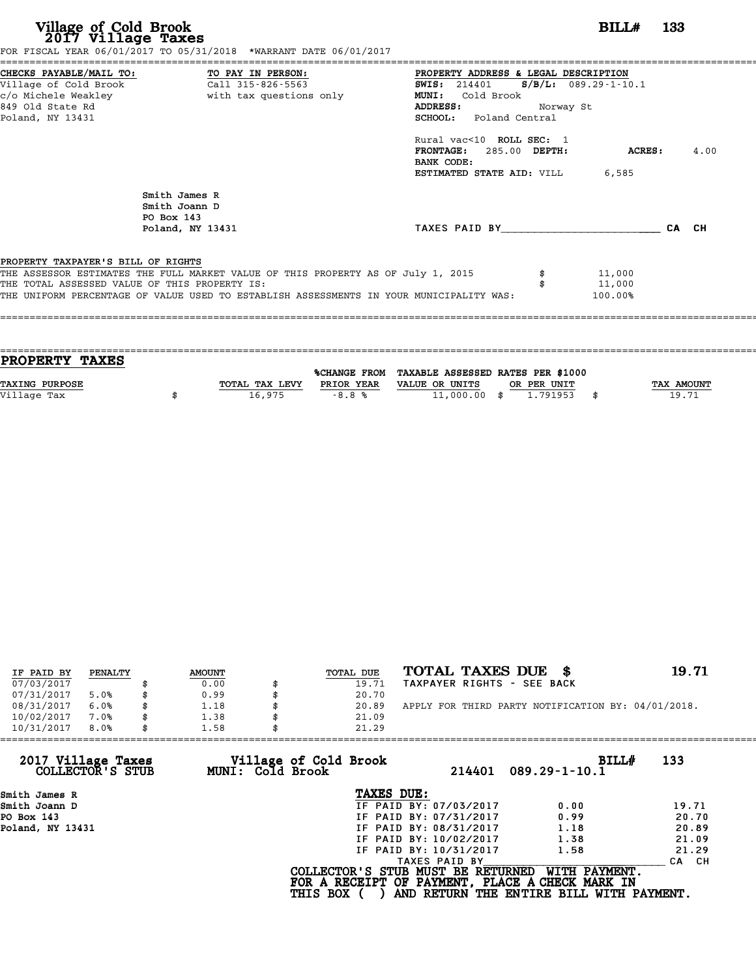| Village of Cold Brook<br>2017 Village Taxes   | FOR FISCAL YEAR 06/01/2017 TO 05/31/2018 *WARRANT DATE 06/01/2017                       |                                                 | <b>BILL#</b> 133 |       |      |
|-----------------------------------------------|-----------------------------------------------------------------------------------------|-------------------------------------------------|------------------|-------|------|
| CHECKS PAYABLE/MAIL TO:                       | TO PAY IN PERSON:                                                                       | PROPERTY ADDRESS & LEGAL DESCRIPTION            |                  |       |      |
| Village of Cold Brook Call 315-826-5563       |                                                                                         | <b>SWIS:</b> 214401 <b>S/B/L:</b> 089.29-1-10.1 |                  |       |      |
| c/o Michele Weakley                           | with tax questions only                                                                 | MUNI: Cold Brook                                |                  |       |      |
| 849 Old State Rd                              |                                                                                         | ADDRESS:<br>Norway St                           |                  |       |      |
| Poland, NY 13431                              |                                                                                         | <b>SCHOOL:</b> Poland Central                   |                  |       |      |
|                                               |                                                                                         | Rural vac<10 ROLL SEC: 1                        |                  |       |      |
|                                               |                                                                                         | FRONTAGE: 285.00 DEPTH:                         | ACRES :          |       | 4.00 |
|                                               |                                                                                         | BANK CODE:                                      |                  |       |      |
|                                               |                                                                                         | <b>ESTIMATED STATE AID:</b> VILL 6,585          |                  |       |      |
|                                               | Smith James R                                                                           |                                                 |                  |       |      |
|                                               | Smith Joann D                                                                           |                                                 |                  |       |      |
|                                               | PO Box 143                                                                              |                                                 |                  |       |      |
|                                               | Poland, NY 13431                                                                        | TAXES PAID BY                                   |                  | CA CH |      |
| PROPERTY TAXPAYER'S BILL OF RIGHTS            |                                                                                         |                                                 |                  |       |      |
|                                               | THE ASSESSOR ESTIMATES THE FULL MARKET VALUE OF THIS PROPERTY AS OF July 1, 2015        |                                                 | 11,000           |       |      |
| THE TOTAL ASSESSED VALUE OF THIS PROPERTY IS: |                                                                                         |                                                 | 11,000           |       |      |
|                                               | THE UNIFORM PERCENTAGE OF VALUE USED TO ESTABLISH ASSESSMENTS IN YOUR MUNICIPALITY WAS: |                                                 | 100.00%          |       |      |

| TAX AMOUNT |
|------------|
| 19.71      |
|            |
|            |

| IF PAID BY | PENALTY | <b>AMOUNT</b> | TOTAL DUE | TOTAL TAXES DUE \$                                 | 19.71 |
|------------|---------|---------------|-----------|----------------------------------------------------|-------|
| 07/03/2017 |         | 0.00          | 19.71     | TAXPAYER RIGHTS - SEE BACK                         |       |
| 07/31/2017 | 5.0%    | \$<br>0.99    | 20.70     |                                                    |       |
| 08/31/2017 | 6.0%    | 1.18          | 20.89     | APPLY FOR THIRD PARTY NOTIFICATION BY: 04/01/2018. |       |
| 10/02/2017 | 7.0%    | \$<br>1.38    | 21.09     |                                                    |       |
| 10/31/2017 | 8.0%    | \$<br>1.58    | 21.29     |                                                    |       |

| 10/31/2017<br>8.0%                     | 1.58                                      | 21.29                                                                                |                                          |       |
|----------------------------------------|-------------------------------------------|--------------------------------------------------------------------------------------|------------------------------------------|-------|
| 2017 Village Taxes<br>COLLECTOR'S STUB | Village of Cold Brook<br>MUNI: Cold Brook | 214401                                                                               | BILL#<br>$089.29 - 1 - 10.1$             | 133   |
| Smith James R                          |                                           | TAXES DUE:                                                                           |                                          |       |
| Smith Joann D                          |                                           | IF PAID BY: 07/03/2017                                                               | 0.00                                     | 19.71 |
| PO Box 143                             |                                           | IF PAID BY: 07/31/2017                                                               | 0.99                                     | 20.70 |
| Poland, NY 13431                       |                                           | IF PAID BY: 08/31/2017                                                               | 1.18                                     | 20.89 |
|                                        |                                           | IF PAID BY: 10/02/2017                                                               | 1.38                                     | 21.09 |
|                                        |                                           | IF PAID BY: 10/31/2017                                                               | 1.58                                     | 21.29 |
|                                        |                                           | TAXES PAID BY                                                                        |                                          | CA CH |
|                                        |                                           | COLLECTOR'S STUB MUST BE RETURNED<br>FOR A RECEIPT OF PAYMENT, PLACE A CHECK MARK IN | WITH PAYMENT.                            |       |
|                                        |                                           | <b>THIS BOX</b>                                                                      | AND RETURN THE ENTIRE BILL WITH PAYMENT. |       |
|                                        |                                           |                                                                                      |                                          |       |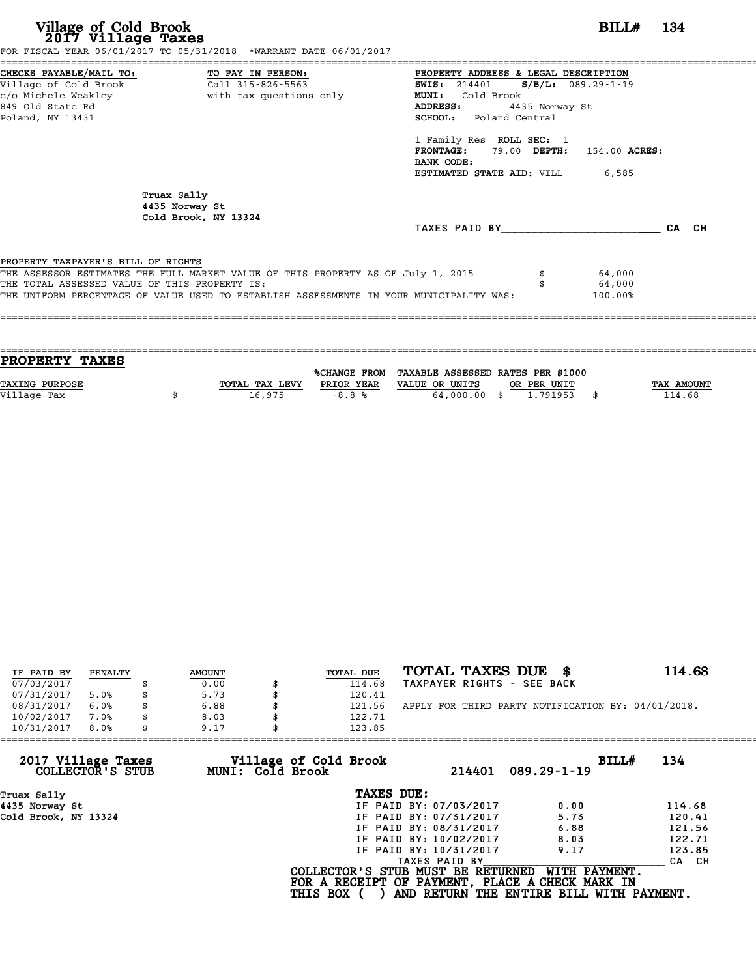| Village of Cold Brook<br>2017 Village Taxes   | FOR FISCAL YEAR 06/01/2017 TO 05/31/2018 *WARRANT DATE 06/01/2017                       |                                        | $BILLH$ 134 |
|-----------------------------------------------|-----------------------------------------------------------------------------------------|----------------------------------------|-------------|
|                                               |                                                                                         | PROPERTY ADDRESS & LEGAL DESCRIPTION   |             |
|                                               |                                                                                         | SWIS: 214401 S/B/L: 089.29-1-19        |             |
|                                               | c/o Michele Weakley                       with tax questions only                       | <b>MUNI:</b><br>Cold Brook             |             |
| 849 Old State Rd                              |                                                                                         | ADDRESS:<br>4435 Norway St             |             |
| Poland, NY 13431                              |                                                                                         | <b>SCHOOL:</b> Poland Central          |             |
|                                               |                                                                                         | 1 Family Res ROLL SEC: 1               |             |
|                                               |                                                                                         | FRONTAGE: 79.00 DEPTH: 154.00 ACRES:   |             |
|                                               |                                                                                         | BANK CODE:                             |             |
|                                               |                                                                                         | <b>ESTIMATED STATE AID:</b> VILL 6,585 |             |
|                                               | Truax Sally<br>4435 Norway St<br>Cold Brook, NY 13324                                   |                                        |             |
|                                               |                                                                                         | TAXES PAID BY TAXES PAID BY            | CA CH       |
| PROPERTY TAXPAYER'S BILL OF RIGHTS            |                                                                                         |                                        |             |
|                                               | THE ASSESSOR ESTIMATES THE FULL MARKET VALUE OF THIS PROPERTY AS OF July 1, 2015        | 64,000                                 |             |
| THE TOTAL ASSESSED VALUE OF THIS PROPERTY IS: |                                                                                         | 64,000                                 |             |
|                                               | THE UNIFORM PERCENTAGE OF VALUE USED TO ESTABLISH ASSESSMENTS IN YOUR MUNICIPALITY WAS: | 100.00%                                |             |
|                                               |                                                                                         |                                        |             |
|                                               |                                                                                         |                                        |             |

| TOTAL TAX LEVY | PRIOR YEAR | VALUE OR UNITS |              | TAX AMOUNT                                                                |
|----------------|------------|----------------|--------------|---------------------------------------------------------------------------|
|                |            |                |              | 114.68                                                                    |
|                |            |                |              |                                                                           |
|                | 16,975     | $-8.8%$        | 64,000,00 \$ | %CHANGE FROM TAXABLE ASSESSED RATES PER \$1000<br>OR PER UNIT<br>1,791953 |

| IF PAID BY | PENALTY | <b>AMOUNT</b> | TOTAL DUE | TOTAL TAXES DUE \$                                 | 114.68 |
|------------|---------|---------------|-----------|----------------------------------------------------|--------|
| 07/03/2017 |         | 0.00          | 114.68    | TAXPAYER RIGHTS - SEE BACK                         |        |
| 07/31/2017 | 5.0%    | \$<br>5.73    | 120.41    |                                                    |        |
| 08/31/2017 | 6.0%    | 6.88          | 121.56    | APPLY FOR THIRD PARTY NOTIFICATION BY: 04/01/2018. |        |
| 10/02/2017 | 7.0%    | \$<br>8.03    | 122.71    |                                                    |        |
| 10/31/2017 | 8.0%    | \$<br>9.17    | 123.85    |                                                    |        |

| 10/31/2017<br>8.0%                     | 9.17                                      | 123.85                                                                               |                                                           |        |
|----------------------------------------|-------------------------------------------|--------------------------------------------------------------------------------------|-----------------------------------------------------------|--------|
| 2017 Village Taxes<br>COLLECTOR'S STUB | Village of Cold Brook<br>MUNI: Cold Brook | 214401                                                                               | BILL#<br>$089.29 - 1 - 19$                                | 134    |
| Truax Sally                            |                                           | TAXES DUE:                                                                           |                                                           |        |
| 4435 Norway St                         |                                           | IF PAID BY: 07/03/2017                                                               | 0.00                                                      | 114.68 |
| Cold Brook, NY 13324                   |                                           | IF PAID BY: 07/31/2017                                                               | 5.73                                                      | 120.41 |
|                                        |                                           | IF PAID BY: 08/31/2017                                                               | 6.88                                                      | 121.56 |
|                                        |                                           | IF PAID BY: 10/02/2017                                                               | 8.03                                                      | 122.71 |
|                                        |                                           | IF PAID BY: 10/31/2017                                                               | 9.17                                                      | 123.85 |
|                                        |                                           | TAXES PAID BY                                                                        |                                                           | CA CH  |
|                                        | <b>THIS BOX</b>                           | COLLECTOR'S STUB MUST BE RETURNED<br>FOR A RECEIPT OF PAYMENT, PLACE A CHECK MARK IN | WITH PAYMENT.<br>AND RETURN THE ENTIRE BILL WITH PAYMENT. |        |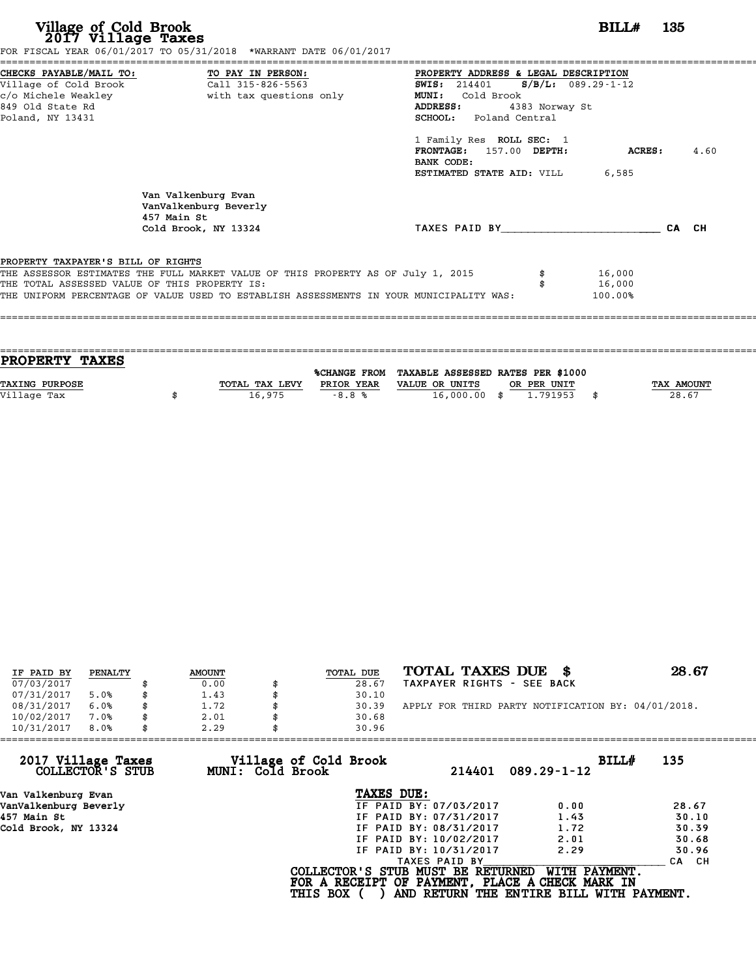| Village of Cold Brook<br>2017 Village Taxes   | FOR FISCAL YEAR 06/01/2017 TO 05/31/2018 *WARRANT DATE 06/01/2017                       | BILL#                                                                                                       | 135           |      |
|-----------------------------------------------|-----------------------------------------------------------------------------------------|-------------------------------------------------------------------------------------------------------------|---------------|------|
| CHECKS PAYABLE/MAIL TO:                       | TO PAY IN PERSON:                                                                       | PROPERTY ADDRESS & LEGAL DESCRIPTION                                                                        |               |      |
| Village of Cold Brook                         | Call 315-826-5563                                                                       | $S/B/L$ : 089.29-1-12<br><b>SWIS:</b> 214401                                                                |               |      |
| c/o Michele Weakley                           | with tax questions only                                                                 | MUNI: Cold Brook                                                                                            |               |      |
| 849 Old State Rd<br>Poland, NY 13431          |                                                                                         | ADDRESS:<br>4383 Norway St<br>SCHOOL: Poland Central                                                        |               |      |
|                                               |                                                                                         | 1 Family Res ROLL SEC: 1<br>FRONTAGE: 157.00 DEPTH:<br>BANK CODE:<br><b>ESTIMATED STATE AID:</b> VILL 6,585 | <b>ACRES:</b> | 4.60 |
|                                               | Van Valkenburg Evan<br>VanValkenburg Beverly<br>457 Main St                             |                                                                                                             |               |      |
|                                               | Cold Brook, NY 13324                                                                    | TAXES PAID BY                                                                                               | CA CH         |      |
| PROPERTY TAXPAYER'S BILL OF RIGHTS            |                                                                                         |                                                                                                             |               |      |
|                                               | THE ASSESSOR ESTIMATES THE FULL MARKET VALUE OF THIS PROPERTY AS OF July 1, 2015        | 16,000                                                                                                      |               |      |
| THE TOTAL ASSESSED VALUE OF THIS PROPERTY IS: |                                                                                         | 16,000                                                                                                      |               |      |
|                                               | THE UNIFORM PERCENTAGE OF VALUE USED TO ESTABLISH ASSESSMENTS IN YOUR MUNICIPALITY WAS: | 100.00%                                                                                                     |               |      |

| TAX AMOUNT |
|------------|
| 28.67      |
|            |
|            |

| IF PAID BY | PENALTY | <b>AMOUNT</b> | TOTAL DUE | TOTAL TAXES DUE \$                                 | 28.67 |
|------------|---------|---------------|-----------|----------------------------------------------------|-------|
| 07/03/2017 |         | 0.00          | 28.67     | TAXPAYER RIGHTS - SEE BACK                         |       |
| 07/31/2017 | 5.0%    | \$<br>1.43    | 30.10     |                                                    |       |
| 08/31/2017 | 6.0%    | 1.72          | 30.39     | APPLY FOR THIRD PARTY NOTIFICATION BY: 04/01/2018. |       |
| 10/02/2017 | 7.0%    | \$<br>2.01    | 30.68     |                                                    |       |
| 10/31/2017 | 8.0%    | \$<br>2.29    | 30.96     |                                                    |       |

| 2.29 | 30.96      |                                                              |                                                                                                                                                 |                                                                                                                                  |
|------|------------|--------------------------------------------------------------|-------------------------------------------------------------------------------------------------------------------------------------------------|----------------------------------------------------------------------------------------------------------------------------------|
|      |            | 214401                                                       | BILL#<br>$089.29 - 1 - 12$                                                                                                                      | 135                                                                                                                              |
|      | TAXES DUE: |                                                              |                                                                                                                                                 |                                                                                                                                  |
|      |            |                                                              | 0.00                                                                                                                                            | 28.67                                                                                                                            |
|      |            |                                                              | 1.43                                                                                                                                            | 30.10                                                                                                                            |
|      |            |                                                              | 1.72                                                                                                                                            | 30.39                                                                                                                            |
|      |            |                                                              | 2.01                                                                                                                                            | 30.68                                                                                                                            |
|      |            |                                                              | 2.29                                                                                                                                            | 30.96                                                                                                                            |
|      |            |                                                              |                                                                                                                                                 | CA CH                                                                                                                            |
|      |            |                                                              | WITH PAYMENT.                                                                                                                                   |                                                                                                                                  |
|      |            | Village of Cold Brook<br>MUNI: Cold Brook<br><b>THIS BOX</b> | IF PAID BY: 07/03/2017<br>IF PAID BY: 07/31/2017<br>IF PAID BY: 08/31/2017<br>IF PAID BY: 10/02/2017<br>IF PAID BY: 10/31/2017<br>TAXES PAID BY | COLLECTOR'S STUB MUST BE RETURNED<br>FOR A RECEIPT OF PAYMENT, PLACE A CHECK MARK IN<br>AND RETURN THE ENTIRE BILL WITH PAYMENT. |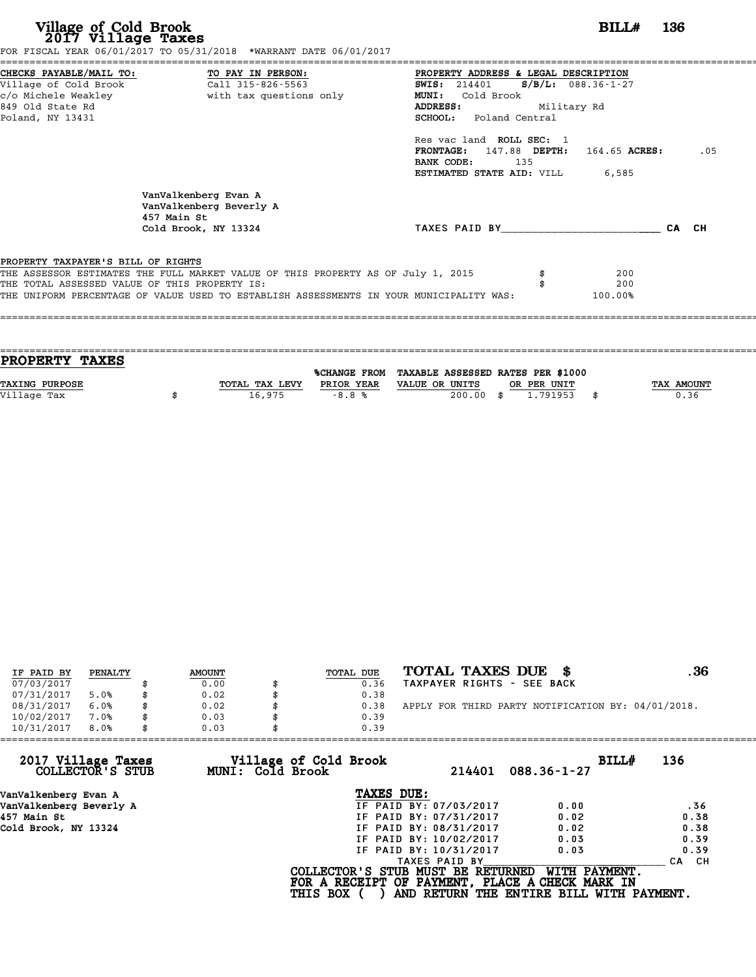| Village of Cold Brook<br>2017 Village Taxes                                                                                                         | FOR FISCAL YEAR 06/01/2017 TO 05/31/2018 *WARRANT DATE 06/01/2017                                                                                                           |                                                                                                                                                                                                                                |                    | BILL#                 | - 136 |
|-----------------------------------------------------------------------------------------------------------------------------------------------------|-----------------------------------------------------------------------------------------------------------------------------------------------------------------------------|--------------------------------------------------------------------------------------------------------------------------------------------------------------------------------------------------------------------------------|--------------------|-----------------------|-------|
| CHECKS PAYABLE/MAIL TO: TO PAY IN PERSON:<br>Village of Cold Brook Call 315-826-5563<br>c/o Michele Weakley<br>849 Old State Rd<br>Poland, NY 13431 | with tax questions only                                                                                                                                                     | PROPERTY ADDRESS & LEGAL DESCRIPTION<br>SWIS: 214401 S/B/L: 088.36-1-27<br><b>MUNI:</b><br>Cold Brook<br>ADDRESS:<br>SCHOOL: Poland Central<br>Res vac land ROLL SEC: 1<br>FRONTAGE: 147.88 DEPTH: 164.65 ACRES:<br>BANK CODE: | Military Rd<br>135 |                       | .05   |
|                                                                                                                                                     | VanValkenberg Evan A<br>VanValkenberg Beverly A<br>457 Main St<br>Cold Brook, NY 13324                                                                                      | <b>ESTIMATED STATE AID:</b> VILL 6,585<br>TAXES PAID BY TAXES                                                                                                                                                                  |                    |                       | CA CH |
| PROPERTY TAXPAYER'S BILL OF RIGHTS<br>THE TOTAL ASSESSED VALUE OF THIS PROPERTY IS:                                                                 | THE ASSESSOR ESTIMATES THE FULL MARKET VALUE OF THIS PROPERTY AS OF July 1, 2015<br>THE UNIFORM PERCENTAGE OF VALUE USED TO ESTABLISH ASSESSMENTS IN YOUR MUNICIPALITY WAS: |                                                                                                                                                                                                                                |                    | 200<br>200<br>100.00% |       |

| PROPERTY TAXES        |                |                     |                                   |             |            |
|-----------------------|----------------|---------------------|-----------------------------------|-------------|------------|
|                       |                | <b>%CHANGE FROM</b> | TAXABLE ASSESSED RATES PER \$1000 |             |            |
| <b>TAXING PURPOSE</b> | TOTAL TAX LEVY | PRIOR YEAR          | VALUE OR UNITS                    | OR PER UNIT | TAX AMOUNT |
|                       |                |                     |                                   |             |            |
| Village Tax           | 16,975         | $-8.8%$             | 200.00                            | 1.791953    | \$<br>0.36 |
|                       |                |                     |                                   |             |            |

| IF PAID BY | PENALTY | <b>AMOUNT</b> | TOTAL DUE | TOTAL TAXES DUE \$                                 | . 36 |
|------------|---------|---------------|-----------|----------------------------------------------------|------|
| 07/03/2017 |         | 0.00          | 0.36      | TAXPAYER RIGHTS - SEE BACK                         |      |
| 07/31/2017 | 5.0%    | 0.02          | 0.38      |                                                    |      |
| 08/31/2017 | 6.0%    | \$<br>0.02    | 0.38      | APPLY FOR THIRD PARTY NOTIFICATION BY: 04/01/2018. |      |
| 10/02/2017 | 7.0%    | 0.03          | 0.39      |                                                    |      |
| 10/31/2017 | 8.0%    | \$<br>0.03    | 0.39      |                                                    |      |

| 0.03 | 0.39                   |                                                              |                                                                                                                                  |
|------|------------------------|--------------------------------------------------------------|----------------------------------------------------------------------------------------------------------------------------------|
|      | 214401                 | BILLH<br>$088.36 - 1 - 27$                                   | 136                                                                                                                              |
|      | TAXES DUE:             |                                                              |                                                                                                                                  |
|      | IF PAID BY: 07/03/2017 | 0.00                                                         | .36                                                                                                                              |
|      | IF PAID BY: 07/31/2017 | 0.02                                                         | 0.38                                                                                                                             |
|      | IF PAID BY: 08/31/2017 | 0.02                                                         | 0.38                                                                                                                             |
|      | IF PAID BY: 10/02/2017 | 0.03                                                         | 0.39                                                                                                                             |
|      | IF PAID BY: 10/31/2017 | 0.03                                                         | 0.39                                                                                                                             |
|      | TAXES PAID BY          |                                                              | CA CH                                                                                                                            |
|      |                        | WITH PAYMENT.                                                |                                                                                                                                  |
|      |                        | Village of Cold Brook<br>MUNI: Cold Brook<br><b>THIS BOX</b> | COLLECTOR'S STUB MUST BE RETURNED<br>FOR A RECEIPT OF PAYMENT, PLACE A CHECK MARK IN<br>AND RETURN THE ENTIRE BILL WITH PAYMENT. |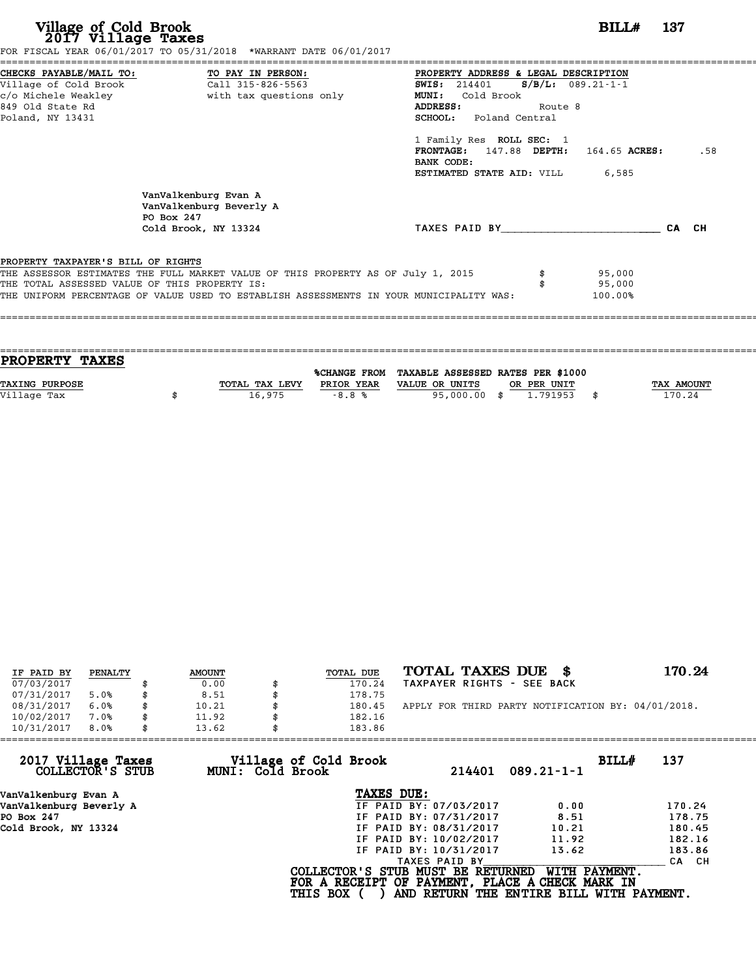| Village of Cold Brook<br>2017 Village Taxes                 | FOR FISCAL YEAR 06/01/2017 TO 05/31/2018 *WARRANT DATE 06/01/2017                                                                                                                                                            |                                                                                                                                                                                                                                                                                      | BILL#                       | -- 137 |     |
|-------------------------------------------------------------|------------------------------------------------------------------------------------------------------------------------------------------------------------------------------------------------------------------------------|--------------------------------------------------------------------------------------------------------------------------------------------------------------------------------------------------------------------------------------------------------------------------------------|-----------------------------|--------|-----|
| c/o Michele Weakley<br>849 Old State Rd<br>Poland, NY 13431 | CHECKS PAYABLE/MAIL TO: TO PAY IN PERSON:<br>Village of Cold Brook Call 315-826-5563<br>with tax questions only                                                                                                              | PROPERTY ADDRESS & LEGAL DESCRIPTION<br><b>SWIS:</b> 214401<br><b>MUNI:</b><br>Cold Brook<br>ADDRESS:<br>Route 8<br><b>SCHOOL:</b> Poland Central<br>1 Family Res ROLL SEC: 1<br>$FRONTAGE: 147.88$ $DEPTH: 164.65$ $ACRES:$<br>BANK CODE:<br><b>ESTIMATED STATE AID:</b> VILL 6,585 | $S/B/L: 089.21-1-1$         |        | .58 |
|                                                             | VanValkenburg Evan A<br>VanValkenburg Beverly A<br>PO Box 247<br>Cold Brook, NY 13324                                                                                                                                        | TAXES PAID BY CA CH                                                                                                                                                                                                                                                                  |                             |        |     |
| PROPERTY TAXPAYER'S BILL OF RIGHTS                          | THE ASSESSOR ESTIMATES THE FULL MARKET VALUE OF THIS PROPERTY AS OF July 1, 2015<br>THE TOTAL ASSESSED VALUE OF THIS PROPERTY IS:<br>THE UNIFORM PERCENTAGE OF VALUE USED TO ESTABLISH ASSESSMENTS IN YOUR MUNICIPALITY WAS: |                                                                                                                                                                                                                                                                                      | 95,000<br>95,000<br>100.00% |        |     |

| PROPERTY TAXES        |                |            |                                                |             |            |
|-----------------------|----------------|------------|------------------------------------------------|-------------|------------|
|                       |                |            |                                                |             |            |
|                       |                |            | %CHANGE FROM TAXABLE ASSESSED RATES PER \$1000 |             |            |
| <b>TAXING PURPOSE</b> | TOTAL TAX LEVY | PRIOR YEAR | VALUE OR UNITS                                 | OR PER UNIT | TAX AMOUNT |
| Village Tax           | 16,975         | $-8.8%$    | 95,000,00 \$                                   | 1,791953    | 170.24     |
|                       |                |            |                                                |             |            |
|                       |                |            |                                                |             |            |

| IF PAID BY | PENALTY | <b>AMOUNT</b> | <b>TOTAL DUE</b> | TOTAL TAXES DUE \$                                 | 170.24 |
|------------|---------|---------------|------------------|----------------------------------------------------|--------|
| 07/03/2017 |         | 0.00          | 170.24           | TAXPAYER RIGHTS - SEE BACK                         |        |
| 07/31/2017 | 5.0%    | \$<br>8.51    | 178.75           |                                                    |        |
| 08/31/2017 | 6.0%    | \$<br>10.21   | \$<br>180.45     | APPLY FOR THIRD PARTY NOTIFICATION BY: 04/01/2018. |        |
| 10/02/2017 | 7.0%    | \$<br>11.92   | 182.16           |                                                    |        |
| 10/31/2017 | 8.0%    | \$<br>13.62   | 183.86           |                                                    |        |

| 13.62            | 183.86                 |                                          |                                                                                                                                  |
|------------------|------------------------|------------------------------------------|----------------------------------------------------------------------------------------------------------------------------------|
| MUNI: Cold Brook | 214401                 | BILL#<br>$089.21 - 1 - 1$                | 137                                                                                                                              |
|                  | TAXES DUE:             |                                          |                                                                                                                                  |
|                  | IF PAID BY: 07/03/2017 | 0.00                                     | 170.24                                                                                                                           |
|                  | IF PAID BY: 07/31/2017 | 8.51                                     | 178.75                                                                                                                           |
|                  | IF PAID BY: 08/31/2017 | 10.21                                    | 180.45                                                                                                                           |
|                  | IF PAID BY: 10/02/2017 | 11.92                                    | 182.16                                                                                                                           |
|                  | IF PAID BY: 10/31/2017 | 13.62                                    | 183.86                                                                                                                           |
|                  | TAXES PAID BY          |                                          | CA CH                                                                                                                            |
|                  |                        | WITH PAYMENT.                            |                                                                                                                                  |
|                  |                        | Village of Cold Brook<br><b>THIS BOX</b> | COLLECTOR'S STUB MUST BE RETURNED<br>FOR A RECEIPT OF PAYMENT, PLACE A CHECK MARK IN<br>AND RETURN THE ENTIRE BILL WITH PAYMENT. |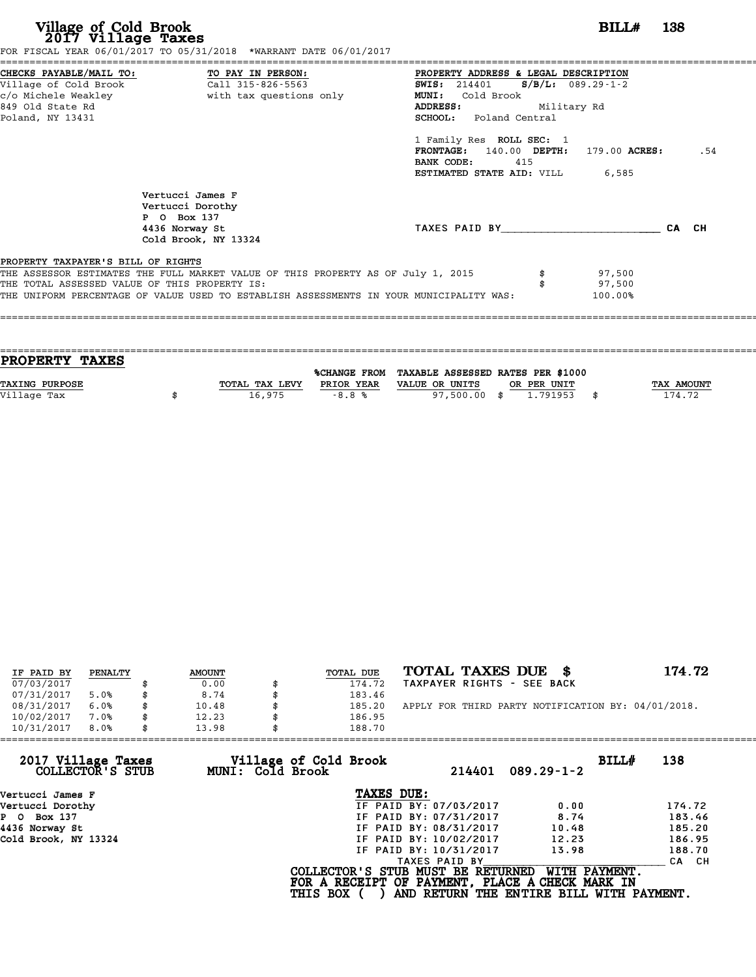| Village of Cold Brook<br>2017 Village Taxes                                         | FOR FISCAL YEAR 06/01/2017 TO 05/31/2018 *WARRANT DATE 06/01/2017                                                                                                           | <b>BILL#</b> 138                                                                                                                                                                                                                                                                                                   |     |
|-------------------------------------------------------------------------------------|-----------------------------------------------------------------------------------------------------------------------------------------------------------------------------|--------------------------------------------------------------------------------------------------------------------------------------------------------------------------------------------------------------------------------------------------------------------------------------------------------------------|-----|
| -------------------------------------<br>849 Old State Rd<br>Poland, NY 13431       | CHECKS PAYABLE/MAIL TO: TO PAY IN PERSON:<br>Village of Cold Brook Call 315-826-5563                                                                                        | PROPERTY ADDRESS & LEGAL DESCRIPTION<br><b>SWIS:</b> 214401 <b>S/B/L:</b> 089.29-1-2<br><b>MUNI:</b><br>Cold Brook<br><b>ADDRESS:</b><br>Military Rd<br><b>SCHOOL:</b> Poland Central<br>1 Family Res ROLL SEC: 1<br>FRONTAGE: 140.00 DEPTH: 179.00 ACRES:<br>BANK CODE:<br>415<br>ESTIMATED STATE AID: VILL 6,585 | .54 |
|                                                                                     | Vertucci James F<br>Vertucci Dorothy<br>P 0 Box 137<br>4436 Norway St<br>Cold Brook, NY 13324                                                                               | TAXES PAID BY CA CH                                                                                                                                                                                                                                                                                                |     |
| PROPERTY TAXPAYER'S BILL OF RIGHTS<br>THE TOTAL ASSESSED VALUE OF THIS PROPERTY IS: | THE ASSESSOR ESTIMATES THE FULL MARKET VALUE OF THIS PROPERTY AS OF July 1, 2015<br>THE UNIFORM PERCENTAGE OF VALUE USED TO ESTABLISH ASSESSMENTS IN YOUR MUNICIPALITY WAS: | 97,500<br>97,500<br>100.00%                                                                                                                                                                                                                                                                                        |     |

| <b>PROPERTY TAXES</b> |                |            |                                                |             |                   |
|-----------------------|----------------|------------|------------------------------------------------|-------------|-------------------|
|                       |                |            | %CHANGE FROM TAXABLE ASSESSED RATES PER \$1000 |             |                   |
| TAXING PURPOSE        | TOTAL TAX LEVY | PRIOR YEAR | VALUE OR UNITS                                 | OR PER UNIT | <b>TAX AMOUNT</b> |
| Village Tax           | 16,975         | $-8.8%$    | 97,500.00 \$                                   | 1.791953    | 174.72            |
|                       |                |            |                                                |             |                   |
|                       |                |            |                                                |             |                   |

| IF PAID BY | PENALTY | <b>AMOUNT</b> | TOTAL DUE | TOTAL TAXES DUE \$                                 | 174.72 |
|------------|---------|---------------|-----------|----------------------------------------------------|--------|
| 07/03/2017 |         | 0.00          | 174.72    | TAXPAYER RIGHTS - SEE BACK                         |        |
| 07/31/2017 | 5.0%    | 8.74          | 183.46    |                                                    |        |
| 08/31/2017 | 6.0%    | \$<br>10.48   | 185.20    | APPLY FOR THIRD PARTY NOTIFICATION BY: 04/01/2018. |        |
| 10/02/2017 | 7.0%    | \$<br>12.23   | 186.95    |                                                    |        |
| 10/31/2017 | 8.0%    | \$<br>13.98   | 188.70    |                                                    |        |

| 188.70          |                  |                                                                                                                                                                       |                                                                                                                                  |
|-----------------|------------------|-----------------------------------------------------------------------------------------------------------------------------------------------------------------------|----------------------------------------------------------------------------------------------------------------------------------|
|                 | 214401           | $089.29 - 1 - 2$                                                                                                                                                      | BILL#<br>138                                                                                                                     |
|                 |                  |                                                                                                                                                                       |                                                                                                                                  |
|                 |                  | 0.00                                                                                                                                                                  | 174.72                                                                                                                           |
|                 |                  | 8.74                                                                                                                                                                  | 183.46                                                                                                                           |
|                 |                  | 10.48                                                                                                                                                                 | 185.20                                                                                                                           |
|                 |                  | 12.23                                                                                                                                                                 | 186.95                                                                                                                           |
|                 |                  | 13.98                                                                                                                                                                 | 188.70                                                                                                                           |
|                 | TAXES PAID BY    |                                                                                                                                                                       | CA CH                                                                                                                            |
| <b>THIS BOX</b> |                  | WITH PAYMENT.                                                                                                                                                         |                                                                                                                                  |
|                 | MUNI: Cold Brook | Village of Cold Brook<br>TAXES DUE:<br>IF PAID BY: 07/03/2017<br>IF PAID BY: 07/31/2017<br>IF PAID BY: 08/31/2017<br>IF PAID BY: 10/02/2017<br>IF PAID BY: 10/31/2017 | COLLECTOR'S STUB MUST BE RETURNED<br>FOR A RECEIPT OF PAYMENT, PLACE A CHECK MARK IN<br>AND RETURN THE ENTIRE BILL WITH PAYMENT. |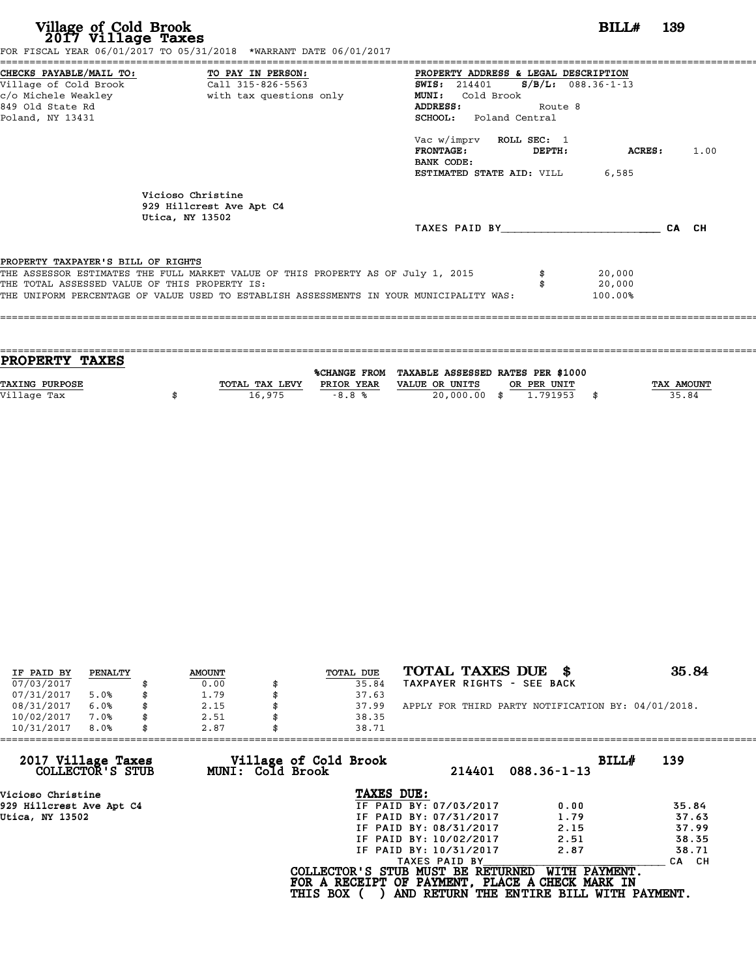| Village of Cold Brook<br>2017 Village Taxes                                                 | FOR FISCAL YEAR 06/01/2017 TO 05/31/2018 *WARRANT DATE 06/01/2017                       |                                                                                                                                |         | BILL#                 | 139   |      |
|---------------------------------------------------------------------------------------------|-----------------------------------------------------------------------------------------|--------------------------------------------------------------------------------------------------------------------------------|---------|-----------------------|-------|------|
| CHECKS PAYABLE/MAIL TO:<br>Village of Cold Brook<br>c/o Michele Weakley<br>849 Old State Rd | TO PAY IN PERSON:<br>Call 315-826-5563<br>with tax questions only                       | PROPERTY ADDRESS & LEGAL DESCRIPTION<br><b>SWIS: 214401</b><br>Cold Brook<br><b>MUNI:</b><br>ADDRESS:                          | Route 8 | $S/B/L$ : 088.36-1-13 |       |      |
| Poland, NY 13431                                                                            |                                                                                         | SCHOOL: Poland Central<br>Vac w/imprv ROLL SEC: 1<br><b>FRONTAGE :</b><br>BANK CODE:<br><b>ESTIMATED STATE AID:</b> VILL 6,585 | DEPTH:  | ACRES :               |       | 1.00 |
|                                                                                             | Vicioso Christine<br>929 Hillcrest Ave Apt C4<br>Utica, NY 13502                        |                                                                                                                                |         |                       |       |      |
|                                                                                             |                                                                                         | TAXES PAID BY                                                                                                                  |         |                       | CA CH |      |
| PROPERTY TAXPAYER'S BILL OF RIGHTS                                                          |                                                                                         |                                                                                                                                |         |                       |       |      |
|                                                                                             | THE ASSESSOR ESTIMATES THE FULL MARKET VALUE OF THIS PROPERTY AS OF July 1, 2015        |                                                                                                                                |         | 20,000                |       |      |
| THE TOTAL ASSESSED VALUE OF THIS PROPERTY IS:                                               |                                                                                         |                                                                                                                                |         | 20,000                |       |      |
|                                                                                             | THE UNIFORM PERCENTAGE OF VALUE USED TO ESTABLISH ASSESSMENTS IN YOUR MUNICIPALITY WAS: |                                                                                                                                |         | 100.00%               |       |      |

| PROPERTY TAXES |                |            |                                                |             |                   |
|----------------|----------------|------------|------------------------------------------------|-------------|-------------------|
|                |                |            |                                                |             |                   |
|                |                |            | %CHANGE FROM TAXABLE ASSESSED RATES PER \$1000 |             |                   |
| TAXING PURPOSE | TOTAL TAX LEVY | PRIOR YEAR | VALUE OR UNITS                                 | OR PER UNIT | <b>TAX AMOUNT</b> |
|                |                |            |                                                |             |                   |
| Village Tax    | 16,975         | $-8.8%$    | 20,000.00 \$                                   | 1.791953    | 35.84             |
|                |                |            |                                                |             |                   |

| IF PAID BY | PENALTY | <b>AMOUNT</b> | TOTAL DUE | TOTAL TAXES DUE \$                                 | 35.84 |
|------------|---------|---------------|-----------|----------------------------------------------------|-------|
| 07/03/2017 |         | 0.00          | 35.84     | TAXPAYER RIGHTS - SEE BACK                         |       |
| 07/31/2017 | 5.0%    | \$<br>1.79    | 37.63     |                                                    |       |
| 08/31/2017 | 6.0%    | 2.15          | 37.99     | APPLY FOR THIRD PARTY NOTIFICATION BY: 04/01/2018. |       |
| 10/02/2017 | 7.0%    | \$<br>2.51    | 38.35     |                                                    |       |
| 10/31/2017 | 8.0%    | \$<br>2.87    | 38.71     |                                                    |       |

| 10/31/2017<br>8.0%<br>2.87             |                                           | 38.71                                                                                |                                                           |       |
|----------------------------------------|-------------------------------------------|--------------------------------------------------------------------------------------|-----------------------------------------------------------|-------|
| 2017 Village Taxes<br>COLLECTOR'S STUB | Village of Cold Brook<br>MUNI: Cold Brook | 214401                                                                               | BILL#<br>$088.36 - 1 - 13$                                | 139   |
| Vicioso Christine                      |                                           | TAXES DUE:                                                                           |                                                           |       |
| 929 Hillcrest Ave Apt C4               |                                           | IF PAID BY: 07/03/2017                                                               | 0.00                                                      | 35.84 |
| Utica, NY 13502                        |                                           | IF PAID BY: 07/31/2017                                                               | 1.79                                                      | 37.63 |
|                                        |                                           | IF PAID BY: 08/31/2017                                                               | 2.15                                                      | 37.99 |
|                                        |                                           | IF PAID BY: 10/02/2017                                                               | 2.51                                                      | 38.35 |
|                                        |                                           | IF PAID BY: 10/31/2017                                                               | 2.87                                                      | 38.71 |
|                                        |                                           | TAXES PAID BY                                                                        |                                                           | CA CH |
|                                        | <b>THIS BOX</b>                           | COLLECTOR'S STUB MUST BE RETURNED<br>FOR A RECEIPT OF PAYMENT, PLACE A CHECK MARK IN | WITH PAYMENT.<br>AND RETURN THE ENTIRE BILL WITH PAYMENT. |       |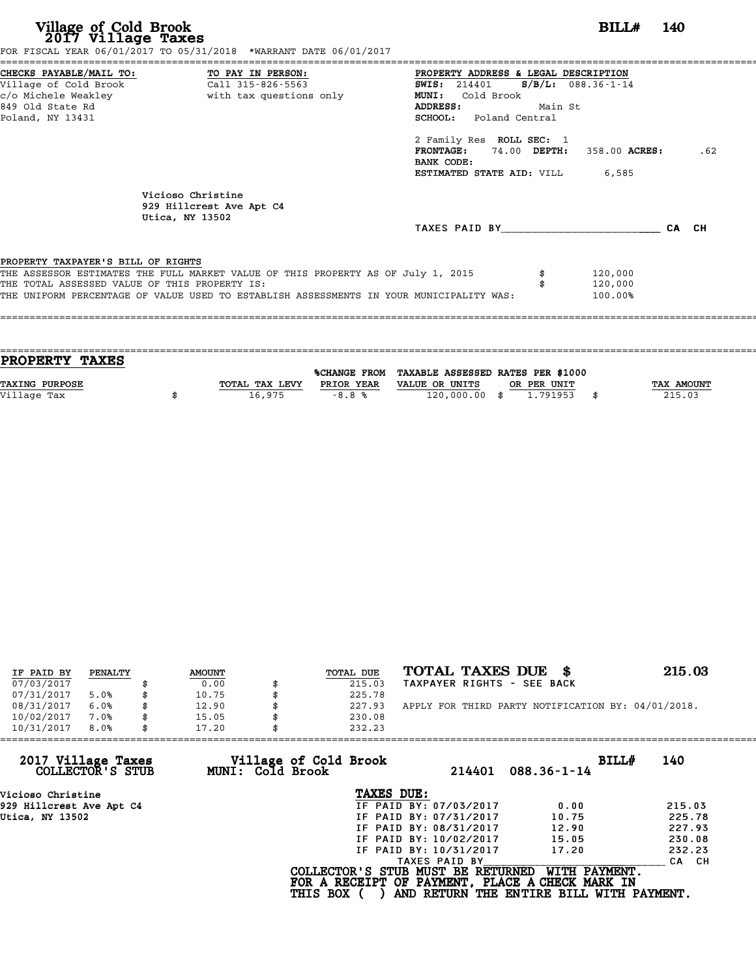| Village of Cold Brook<br>2017 Village Taxes                                                 | FOR FISCAL YEAR 06/01/2017 TO 05/31/2018 *WARRANT DATE 06/01/2017                                                                                                           |                                                                                                                                              | BILL#                         | - 140 |
|---------------------------------------------------------------------------------------------|-----------------------------------------------------------------------------------------------------------------------------------------------------------------------------|----------------------------------------------------------------------------------------------------------------------------------------------|-------------------------------|-------|
| CHECKS PAYABLE/MAIL TO:<br>Village of Cold Brook<br>c/o Michele Weakley<br>849 Old State Rd | TO PAY IN PERSON:<br>Call 315-826-5563<br>with tax questions only                                                                                                           | =================<br>PROPERTY ADDRESS & LEGAL DESCRIPTION<br><b>SWIS: 214401</b><br>Cold Brook<br><b>MUNI:</b><br><b>ADDRESS:</b><br>Main St | $S/B/L: 088.36-1-14$          |       |
| Poland, NY 13431                                                                            |                                                                                                                                                                             | <b>SCHOOL:</b> Poland Central<br>2 Family Res ROLL SEC: 1<br>FRONTAGE: 74.00 DEPTH: 358.00 ACRES:<br>BANK CODE:<br>ESTIMATED STATE AID: VILL | 6,585                         | .62   |
|                                                                                             | Vicioso Christine<br>929 Hillcrest Ave Apt C4<br>Utica, NY 13502                                                                                                            |                                                                                                                                              |                               |       |
|                                                                                             |                                                                                                                                                                             | TAXES PAID BY CA CH                                                                                                                          |                               |       |
| PROPERTY TAXPAYER'S BILL OF RIGHTS                                                          |                                                                                                                                                                             |                                                                                                                                              |                               |       |
| THE TOTAL ASSESSED VALUE OF THIS PROPERTY IS:                                               | THE ASSESSOR ESTIMATES THE FULL MARKET VALUE OF THIS PROPERTY AS OF July 1, 2015<br>THE UNIFORM PERCENTAGE OF VALUE USED TO ESTABLISH ASSESSMENTS IN YOUR MUNICIPALITY WAS: |                                                                                                                                              | 120,000<br>120,000<br>100.00% |       |

| <b>PROPERTY TAXES</b> |                |            |                                                |                   |
|-----------------------|----------------|------------|------------------------------------------------|-------------------|
|                       |                |            |                                                |                   |
|                       |                |            | %CHANGE FROM TAXABLE ASSESSED RATES PER \$1000 |                   |
| TAXING PURPOSE        | TOTAL TAX LEVY | PRIOR YEAR | VALUE OR UNITS<br>OR PER UNIT                  | <b>TAX AMOUNT</b> |
| Village Tax           | 16,975         | $-8.8%$    | 120,000.00 \$<br>1.791953                      | 215.03            |
|                       |                |            |                                                |                   |

| IF PAID BY | PENALTY | <b>AMOUNT</b> | <b>TOTAL DUE</b> | TOTAL TAXES DUE \$                                 | 215.03 |
|------------|---------|---------------|------------------|----------------------------------------------------|--------|
| 07/03/2017 |         | 0.00          | 215.03           | TAXPAYER RIGHTS - SEE BACK                         |        |
| 07/31/2017 | 5.0%    | \$<br>10.75   | 225.78           |                                                    |        |
| 08/31/2017 | 6.0%    | \$<br>12.90   | 227.93           | APPLY FOR THIRD PARTY NOTIFICATION BY: 04/01/2018. |        |
| 10/02/2017 | 7.0%    | \$<br>15.05   | 230.08           |                                                    |        |
| 10/31/2017 | 8.0%    | \$<br>17.20   | 232.23           |                                                    |        |

| 232.23          |                                           |                                                                                                                                                                                                    |                                                                                                                                                                                      |
|-----------------|-------------------------------------------|----------------------------------------------------------------------------------------------------------------------------------------------------------------------------------------------------|--------------------------------------------------------------------------------------------------------------------------------------------------------------------------------------|
|                 | 214401                                    | BILL#                                                                                                                                                                                              |                                                                                                                                                                                      |
|                 |                                           |                                                                                                                                                                                                    |                                                                                                                                                                                      |
|                 |                                           |                                                                                                                                                                                                    | 215.03                                                                                                                                                                               |
|                 |                                           |                                                                                                                                                                                                    | 225.78                                                                                                                                                                               |
|                 |                                           |                                                                                                                                                                                                    | 227.93                                                                                                                                                                               |
|                 |                                           |                                                                                                                                                                                                    | 230.08                                                                                                                                                                               |
|                 |                                           |                                                                                                                                                                                                    | 232.23                                                                                                                                                                               |
|                 |                                           |                                                                                                                                                                                                    | CA CH                                                                                                                                                                                |
| <b>THIS BOX</b> |                                           |                                                                                                                                                                                                    |                                                                                                                                                                                      |
|                 | Village of Cold Brook<br>MUNI: Cold Brook | TAXES DUE:<br>IF PAID BY: 07/03/2017<br>IF PAID BY: 07/31/2017<br>IF PAID BY: 08/31/2017<br>IF PAID BY: 10/02/2017<br>IF PAID BY: 10/31/2017<br>TAXES PAID BY<br>COLLECTOR'S STUB MUST BE RETURNED | 140<br>$088.36 - 1 - 14$<br>0.00<br>10.75<br>12.90<br>15.05<br>17.20<br>WITH PAYMENT.<br>FOR A RECEIPT OF PAYMENT, PLACE A CHECK MARK IN<br>AND RETURN THE ENTIRE BILL WITH PAYMENT. |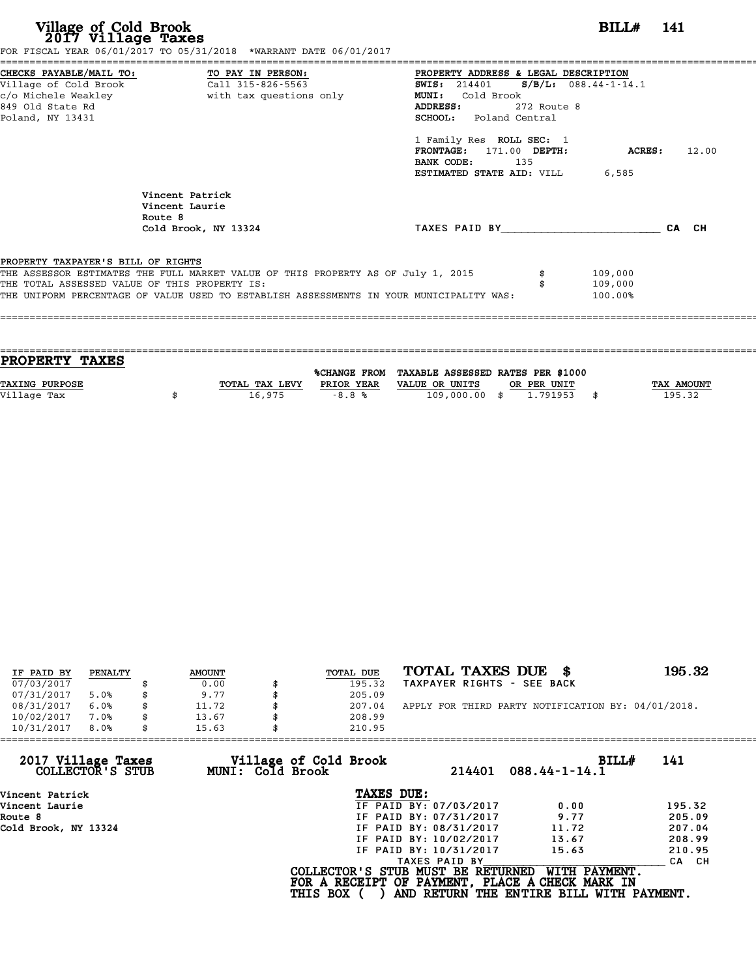| Village of Cold Brook<br>2017 Village Taxes | FOR FISCAL YEAR 06/01/2017 TO 05/31/2018 *WARRANT DATE 06/01/2017                                                                                                                                                            |                                                                                                                                                                                                                                                                                        | BILL# 141                     |       |
|---------------------------------------------|------------------------------------------------------------------------------------------------------------------------------------------------------------------------------------------------------------------------------|----------------------------------------------------------------------------------------------------------------------------------------------------------------------------------------------------------------------------------------------------------------------------------------|-------------------------------|-------|
| 849 Old State Rd<br>Poland, NY 13431        | CHECKS PAYABLE/MAIL TO: TO PAY IN PERSON:<br>Village of Cold Brook Call 315-826-5563<br>Call 315-826-5563                                                                                                                    | PROPERTY ADDRESS & LEGAL DESCRIPTION<br>SWIS: 214401 S/B/L: 088.44-1-14.1<br><b>MUNI:</b><br>Cold Brook<br>272 Route 8<br>ADDRESS:<br><b>SCHOOL:</b> Poland Central<br>1 Family Res ROLL SEC: 1<br>FRONTAGE: 171.00 DEPTH:<br>BANK CODE: 135<br><b>ESTIMATED STATE AID: VILL 6,585</b> | ACRES:                        | 12.00 |
|                                             | Vincent Patrick<br>Vincent Laurie<br>Route 8<br>Cold Brook, NY 13324                                                                                                                                                         | TAXES PAID BY CA CH                                                                                                                                                                                                                                                                    |                               |       |
| PROPERTY TAXPAYER'S BILL OF RIGHTS          | THE ASSESSOR ESTIMATES THE FULL MARKET VALUE OF THIS PROPERTY AS OF July 1, 2015<br>THE TOTAL ASSESSED VALUE OF THIS PROPERTY IS:<br>THE UNIFORM PERCENTAGE OF VALUE USED TO ESTABLISH ASSESSMENTS IN YOUR MUNICIPALITY WAS: |                                                                                                                                                                                                                                                                                        | 109,000<br>109,000<br>100.00% |       |

| PROPERTY TAXES |                |            |                                                |             |                   |
|----------------|----------------|------------|------------------------------------------------|-------------|-------------------|
|                |                |            |                                                |             |                   |
|                |                |            | %CHANGE FROM TAXABLE ASSESSED RATES PER \$1000 |             |                   |
| TAXING PURPOSE | TOTAL TAX LEVY | PRIOR YEAR | VALUE OR UNITS                                 | OR PER UNIT | <b>TAX AMOUNT</b> |
| Village Tax    | 16,975         | $-8.8%$    | 109,000.00 \$                                  | 1.791953    | 195.32            |
|                |                |            |                                                |             |                   |

| IF PAID BY | PENALTY | <b>AMOUNT</b> | TOTAL DUE | TOTAL TAXES DUE \$                                 | 195.32 |
|------------|---------|---------------|-----------|----------------------------------------------------|--------|
| 07/03/2017 |         | 0.00          | 195.32    | TAXPAYER RIGHTS - SEE BACK                         |        |
| 07/31/2017 | 5.0%    | \$<br>9.77    | 205.09    |                                                    |        |
| 08/31/2017 | 6.0%    | \$<br>11.72   | 207.04    | APPLY FOR THIRD PARTY NOTIFICATION BY: 04/01/2018. |        |
| 10/02/2017 | 7.0%    | \$<br>13.67   | 208.99    |                                                    |        |
| 10/31/2017 | 8.0%    | \$<br>15.63   | 210.95    |                                                    |        |

| 210.95          |                                           |                                                                                                                                                               |                                                                                                                                  |
|-----------------|-------------------------------------------|---------------------------------------------------------------------------------------------------------------------------------------------------------------|----------------------------------------------------------------------------------------------------------------------------------|
|                 | 214401                                    | BILL#<br>$088.44 - 1 - 14.1$                                                                                                                                  | 141                                                                                                                              |
|                 |                                           |                                                                                                                                                               |                                                                                                                                  |
|                 |                                           | 0.00                                                                                                                                                          | 195.32                                                                                                                           |
|                 |                                           | 9.77                                                                                                                                                          | 205.09                                                                                                                           |
|                 |                                           | 11.72                                                                                                                                                         | 207.04                                                                                                                           |
|                 |                                           | 13.67                                                                                                                                                         | 208.99                                                                                                                           |
|                 |                                           | 15.63                                                                                                                                                         | 210.95                                                                                                                           |
|                 |                                           |                                                                                                                                                               | CA CH                                                                                                                            |
| <b>THIS BOX</b> |                                           | WITH PAYMENT.                                                                                                                                                 |                                                                                                                                  |
|                 | Village of Cold Brook<br>MUNI: Cold Brook | TAXES DUE:<br>IF PAID BY: 07/03/2017<br>IF PAID BY: 07/31/2017<br>IF PAID BY: 08/31/2017<br>IF PAID BY: 10/02/2017<br>IF PAID BY: 10/31/2017<br>TAXES PAID BY | COLLECTOR'S STUB MUST BE RETURNED<br>FOR A RECEIPT OF PAYMENT, PLACE A CHECK MARK IN<br>AND RETURN THE ENTIRE BILL WITH PAYMENT. |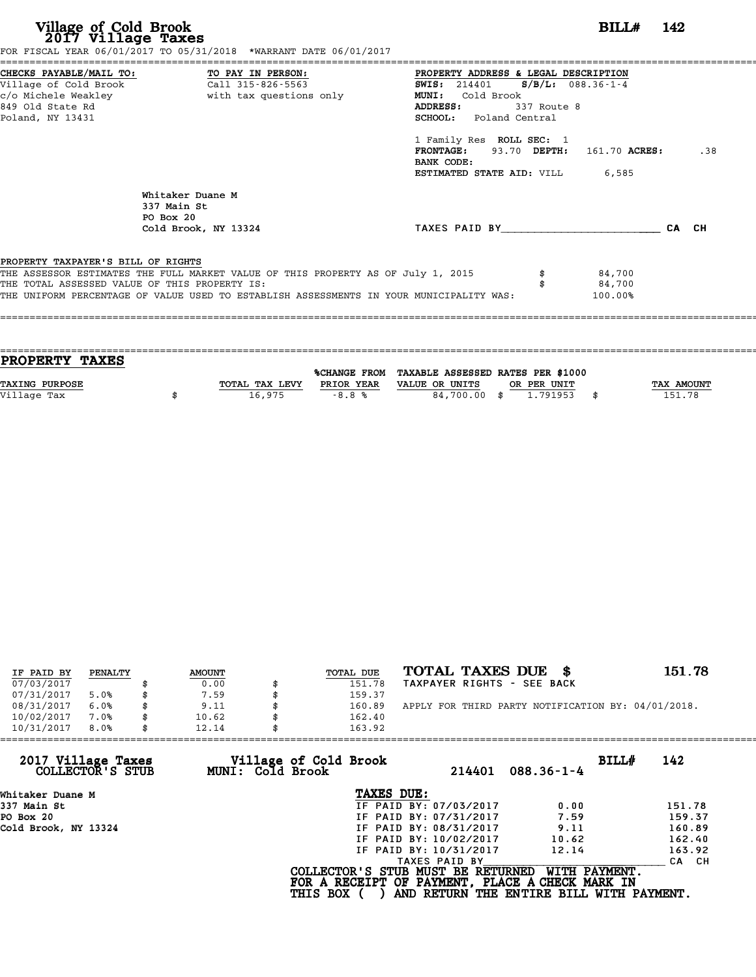| Village of Cold Brook<br>2017 Village Taxes   |                                                                                         | $BILLH$ 142                            |       |
|-----------------------------------------------|-----------------------------------------------------------------------------------------|----------------------------------------|-------|
| CHECKS PAYABLE/MAIL TO: TO PAY IN PERSON:     | FOR FISCAL YEAR 06/01/2017 TO 05/31/2018 *WARRANT DATE 06/01/2017                       | PROPERTY ADDRESS & LEGAL DESCRIPTION   |       |
| Village of Cold Brook Call 315-826-5563       |                                                                                         | SWIS: $214401$ S/B/L: 088.36-1-4       |       |
| c/o Michele Weakley                           | with tax questions only                                                                 | MUNI: Cold Brook                       |       |
| 849 Old State Rd                              |                                                                                         | ADDRESS:<br>337 Route 8                |       |
| Poland, NY 13431                              |                                                                                         | SCHOOL: Poland Central                 |       |
|                                               |                                                                                         | 1 Family Res ROLL SEC: 1               |       |
|                                               |                                                                                         | FRONTAGE: 93.70 DEPTH: 161.70 ACRES:   | .38   |
|                                               |                                                                                         | BANK CODE:                             |       |
|                                               |                                                                                         | <b>ESTIMATED STATE AID:</b> VILL 6,585 |       |
|                                               | Whitaker Duane M                                                                        |                                        |       |
|                                               | 337 Main St                                                                             |                                        |       |
|                                               | PO Box 20                                                                               |                                        |       |
|                                               | Cold Brook, NY 13324                                                                    | TAXES PAID BY                          | CA CH |
| PROPERTY TAXPAYER'S BILL OF RIGHTS            |                                                                                         |                                        |       |
|                                               | THE ASSESSOR ESTIMATES THE FULL MARKET VALUE OF THIS PROPERTY AS OF July 1, 2015        | 84,700                                 |       |
| THE TOTAL ASSESSED VALUE OF THIS PROPERTY IS: |                                                                                         | 84,700                                 |       |
|                                               | THE UNIFORM PERCENTAGE OF VALUE USED TO ESTABLISH ASSESSMENTS IN YOUR MUNICIPALITY WAS: | 100.00%                                |       |

| PROPERTY TAXES        |                |            |                                                |             |            |
|-----------------------|----------------|------------|------------------------------------------------|-------------|------------|
|                       |                |            | %CHANGE FROM TAXABLE ASSESSED RATES PER \$1000 |             |            |
|                       |                |            |                                                |             |            |
| <b>TAXING PURPOSE</b> | TOTAL TAX LEVY | PRIOR YEAR | VALUE OR UNITS                                 | OR PER UNIT | TAX AMOUNT |
|                       |                |            |                                                |             |            |
|                       |                |            |                                                |             |            |
| Village Tax           | 16,975         | $-8.8%$    | 84,700.00 \$                                   | 1,791953    | 151.78     |

| IF PAID BY | PENALTY | <b>AMOUNT</b> | <b>TOTAL DUE</b> | TOTAL TAXES DUE \$                                 | 151.78 |
|------------|---------|---------------|------------------|----------------------------------------------------|--------|
| 07/03/2017 |         | 0.00          | 151.78           | TAXPAYER RIGHTS - SEE BACK                         |        |
| 07/31/2017 | 5.0%    | 7.59          | 159.37           |                                                    |        |
| 08/31/2017 | 6.0%    | \$<br>9.11    | \$<br>160.89     | APPLY FOR THIRD PARTY NOTIFICATION BY: 04/01/2018. |        |
| 10/02/2017 | 7.0%    | \$<br>10.62   | 162.40           |                                                    |        |
| 10/31/2017 | 8.0%    | \$<br>12.14   | 163.92           |                                                    |        |

|                 | 214401           | $088.36 - 1 - 4$                    | 142<br>BILL#                                                                                                                                                                                                                                                       |
|-----------------|------------------|-------------------------------------|--------------------------------------------------------------------------------------------------------------------------------------------------------------------------------------------------------------------------------------------------------------------|
|                 |                  |                                     |                                                                                                                                                                                                                                                                    |
|                 |                  | 0.00                                | 151.78                                                                                                                                                                                                                                                             |
|                 |                  | 7.59                                | 159.37                                                                                                                                                                                                                                                             |
|                 |                  | 9.11                                | 160.89                                                                                                                                                                                                                                                             |
|                 |                  | 10.62                               | 162.40                                                                                                                                                                                                                                                             |
|                 |                  | 12.14                               | 163.92                                                                                                                                                                                                                                                             |
|                 | TAXES PAID BY    |                                     | CA CH                                                                                                                                                                                                                                                              |
| <b>THIS BOX</b> |                  | WITH PAYMENT.                       |                                                                                                                                                                                                                                                                    |
|                 | MUNI: Cold Brook | Village of Cold Brook<br>TAXES DUE: | IF PAID BY: 07/03/2017<br>IF PAID BY: 07/31/2017<br>IF PAID BY: 08/31/2017<br>IF PAID BY: 10/02/2017<br>IF PAID BY: 10/31/2017<br>COLLECTOR'S STUB MUST BE RETURNED<br>FOR A RECEIPT OF PAYMENT, PLACE A CHECK MARK IN<br>AND RETURN THE ENTIRE BILL WITH PAYMENT. |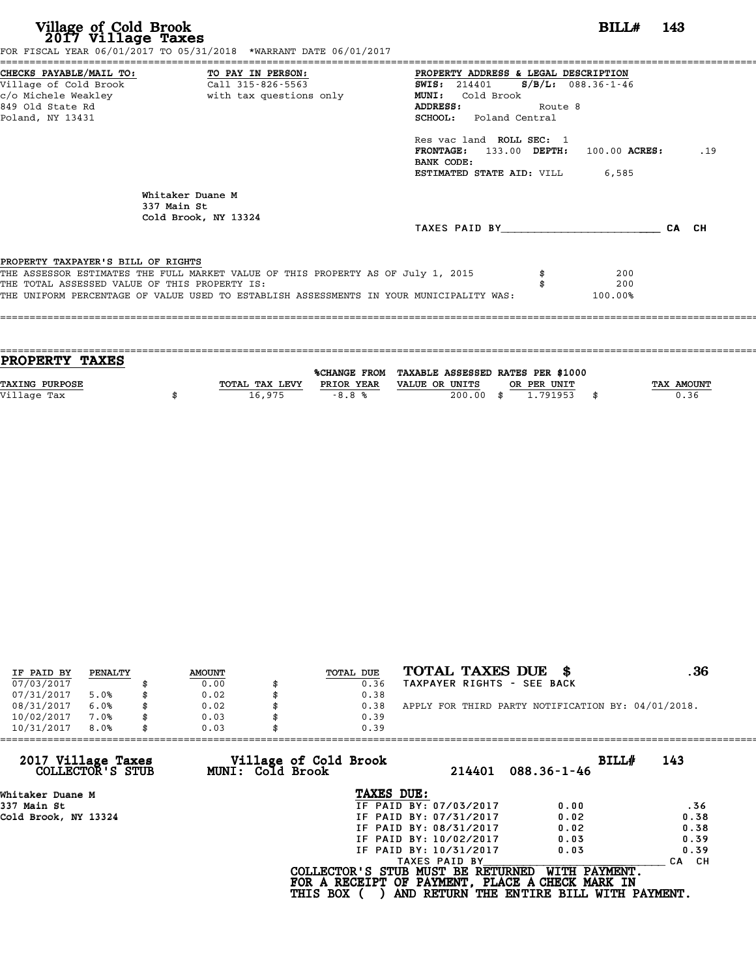# **Village of Cold Brook**<br> **2017 Village Taxes**<br> **2017 Village Taxes BILL# 143**<br> **2017 Village Taxes 143**

FOR FISCAL YEAR 06/01/2017 TO 05/31/2018 \*WARRANT DATE 06/01/2017 ======================================================================================================================================== CHECKS PAYABLE/MAIL TO: TO PAY IN PERSON: PROPERTY ADDRESS & LEGAL DESCRIPTION Village of Cold Brook Call 315-826-5563 SWIS: <sup>214401</sup> S/B/L: 088.36-1-46 CHECKS PAYABLE/MAIL TO: TO PAY IN PERSON: PROPERTY ADDRESS & LE<br>
Village of Cold Brook Call 315-826-5563 SWIS: 214401 S/B<br>
c/o Michele Weakley with tax questions only MUNI: Cold Brook<br>
849 Old State Pd CHECKS PAYABLE/MAIL TO: TO PAY IN PERSON: PROPERTY ADDRESS & LEGAL DESCRIPTION<br>
Village of Cold Brook Call 315-826-5563 SWIS: 214401 S/B/L: 088.36-1-46<br>
c/o Michele Weakley with tax questions only MUNI: Cold Brook Route 8<br> Poland, NY 13431 SCHOOL: Poland Central SCHOOL: Poland Central<br>Res vac land ROLL SEC: 1 **FRONTAGE:** 133.00 **DEPTH:** 100.00 **ACRES:** .19 Res vac land<br>**FRONTAGE:** 1<br>BANK CODE:<br>FSTIMATED STA FRONTAGE: 133.00 DEPTH: 100.00 ACRE<br>BANK CODE:<br>ESTIMATED STATE AID: VILL 6,585 Whitaker Duane M<br>337 Main St Whitaker Duane<br>337 Main St<br>Cold Brook NY 337 Main St<br>Cold Brook, NY 13324 TAXES PAID BY\_\_\_\_\_\_\_\_\_\_\_\_\_\_\_\_\_\_\_\_\_\_\_\_ CA CH PROPERTY TAXPAYER'S BILL OF RIGHTS **PROPERTY TAXPAYER'S BILL OF RIGHTS**<br>THE ASSESSOR ESTIMATES THE FULL MARKET VALUE OF THIS PROPERTY AS OF July 1, 2015 \$<br>THE TOTAL ASSESSED VALUE OF THIS PROPERTY IS. **PROPERTY TAXPAYER'S BILL OF RIGHTS<br>THE ASSESSOR ESTIMATES THE FULL MARKET VALUE OF THIS PROPERTY AS OF July 1, 2015 \$<br>THE TOTAL ASSESSED VALUE OF THIS PROPERTY IS: \$ 200<br>THE INIEOPM PERCENTAGE OF VALUE USED TO ESTABLISH A** THE UNIFORM PERCENTAGE OF VALUE USED TO ESTABLISH ASSESSMENTS IN YOUR MUNICIPALITY WAS: 100.00% ====================================================================================================================================

==================================================================================================================================== **PROPERTY TAXES** %CHANGE FROM TAXABLE ASSESSED RATES PER \$1000 **PROPERTY TAXES**<br>
TAXING PURPOSE TOTAL TAX LEVY PRIOR YEAR VALUE OR UNITS OR PER UNIT TAX AMOUNT<br>
VALUE OR UNITS OR PER UNIT TAX AMOUNT TAX AMOUNT TAX AMOUNT TAX AMOUNT PRIOR YEAR VALUE OR UNITS OR PER UNIT **TAXING PURPOSE**<br>
TAXING PURPOSE TAX NOUNT TOTAL TAX LEVY PRIOR YEAR VALUE OR UNITS OR PER UNIT<br>
Village Tax (1.791953) \$

| IF PAID BY | PENALTY | <b>AMOUNT</b> | TOTAL DUE | TOTAL TAXES DUE \$                                 | .36 |
|------------|---------|---------------|-----------|----------------------------------------------------|-----|
| 07/03/2017 |         | 0.00          | 0.36      | TAXPAYER RIGHTS - SEE BACK                         |     |
| 07/31/2017 | 5.0%    | 0.02          | 0.38      |                                                    |     |
| 08/31/2017 | 6.0%    | \$<br>0.02    | 0.38      | APPLY FOR THIRD PARTY NOTIFICATION BY: 04/01/2018. |     |
| 10/02/2017 | 7.0%    | 0.03          | 0.39      |                                                    |     |
| 10/31/2017 | 8.0%    | \$<br>0.03    | 0.39      |                                                    |     |

|                 | 214401<br>$088.36 - 1 - 46$                               | 143<br>BILL#                                                                                                                                                                                                                                                          |
|-----------------|-----------------------------------------------------------|-----------------------------------------------------------------------------------------------------------------------------------------------------------------------------------------------------------------------------------------------------------------------|
|                 |                                                           |                                                                                                                                                                                                                                                                       |
|                 | 0.00                                                      | .36                                                                                                                                                                                                                                                                   |
|                 | 0.02                                                      | 0.38                                                                                                                                                                                                                                                                  |
|                 | 0.02                                                      | 0.38                                                                                                                                                                                                                                                                  |
|                 | 0.03                                                      | 0.39                                                                                                                                                                                                                                                                  |
|                 | 0.03                                                      | 0.39                                                                                                                                                                                                                                                                  |
|                 | TAXES PAID BY                                             | CA CH                                                                                                                                                                                                                                                                 |
| <b>THIS BOX</b> | WITH PAYMENT.<br>AND RETURN THE ENTIRE BILL WITH PAYMENT. |                                                                                                                                                                                                                                                                       |
|                 | MUNI: Cold Brook                                          | 0.39<br>Village of Cold Brook<br>TAXES DUE:<br>IF PAID BY: 07/03/2017<br>IF PAID BY: 07/31/2017<br>IF PAID BY: 08/31/2017<br>IF PAID BY: 10/02/2017<br>IF PAID BY: 10/31/2017<br>COLLECTOR'S STUB MUST BE RETURNED<br>FOR A RECEIPT OF PAYMENT, PLACE A CHECK MARK IN |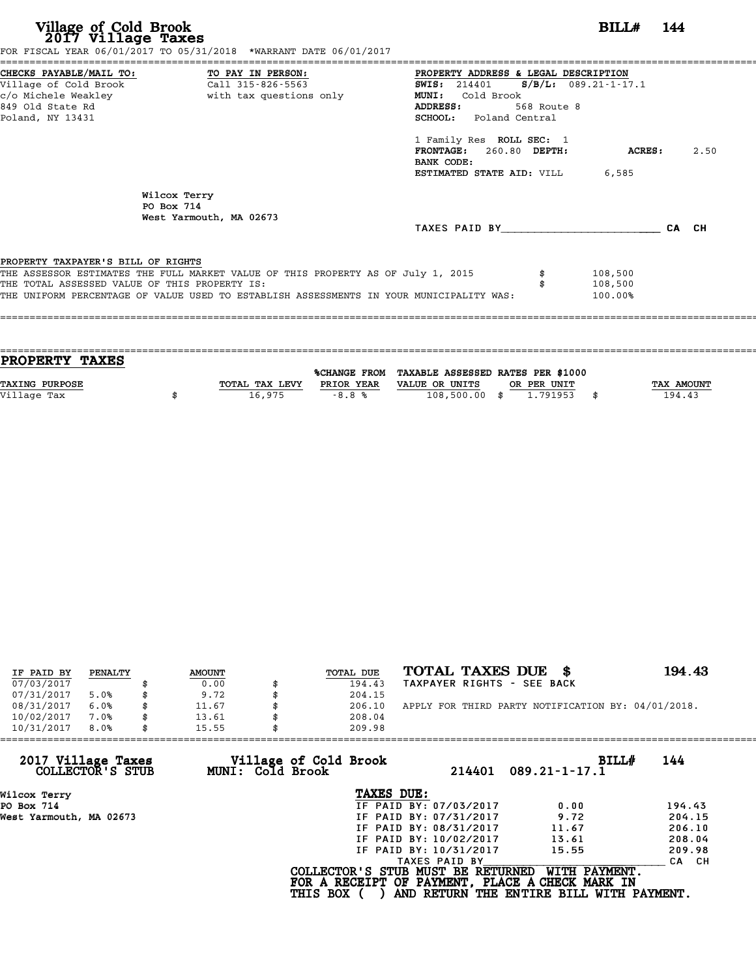| Village of Cold Brook<br>2017 Village Taxes                                         | FOR FISCAL YEAR 06/01/2017 TO 05/31/2018 *WARRANT DATE 06/01/2017                                                                                                           |                                                                                                                                                                                                                                                                               | BILL# 144                     |      |
|-------------------------------------------------------------------------------------|-----------------------------------------------------------------------------------------------------------------------------------------------------------------------------|-------------------------------------------------------------------------------------------------------------------------------------------------------------------------------------------------------------------------------------------------------------------------------|-------------------------------|------|
| Village of Cold Brook<br>849 Old State Rd<br>Poland, NY 13431                       | CHECKS PAYABLE/MAIL TO: TO PAY IN PERSON:<br>Call 315-826-5563                                                                                                              | PROPERTY ADDRESS & LEGAL DESCRIPTION<br>SWIS: $214401$ S/B/L: 089.21-1-17.1<br><b>MUNI:</b><br>Cold Brook<br>568 Route 8<br>ADDRESS:<br><b>SCHOOL:</b> Poland Central<br>1 Family Res ROLL SEC: 1<br>FRONTAGE: 260.80 DEPTH:<br>BANK CODE:<br>ESTIMATED STATE AID: VILL 6,585 | ACRES :                       | 2.50 |
|                                                                                     | Wilcox Terry<br>PO Box 714<br>West Yarmouth, MA 02673                                                                                                                       | TAXES PAID BY CA CH                                                                                                                                                                                                                                                           |                               |      |
| PROPERTY TAXPAYER'S BILL OF RIGHTS<br>THE TOTAL ASSESSED VALUE OF THIS PROPERTY IS: | THE ASSESSOR ESTIMATES THE FULL MARKET VALUE OF THIS PROPERTY AS OF July 1, 2015<br>THE UNIFORM PERCENTAGE OF VALUE USED TO ESTABLISH ASSESSMENTS IN YOUR MUNICIPALITY WAS: |                                                                                                                                                                                                                                                                               | 108,500<br>108,500<br>100.00% |      |

| PROPERTY TAXES |                |            |                                                |             |                   |
|----------------|----------------|------------|------------------------------------------------|-------------|-------------------|
|                |                |            |                                                |             |                   |
|                |                |            | %CHANGE FROM TAXABLE ASSESSED RATES PER \$1000 |             |                   |
| TAXING PURPOSE | TOTAL TAX LEVY | PRIOR YEAR | VALUE OR UNITS                                 | OR PER UNIT | <b>TAX AMOUNT</b> |
|                |                |            |                                                |             |                   |
| Village Tax    | 16,975         | $-8.8%$    | 108,500.00 \$                                  | 1.791953    | 194.43            |
|                |                |            |                                                |             |                   |

| IF PAID BY | PENALTY | <b>AMOUNT</b> | TOTAL DUE    | TOTAL TAXES DUE \$                                 | 194.43 |
|------------|---------|---------------|--------------|----------------------------------------------------|--------|
| 07/03/2017 |         | 0.00          | 194.43       | TAXPAYER RIGHTS - SEE BACK                         |        |
| 07/31/2017 | 5.0%    | 9.72          | 204.15       |                                                    |        |
| 08/31/2017 | 6.0%    | \$<br>11.67   | \$<br>206.10 | APPLY FOR THIRD PARTY NOTIFICATION BY: 04/01/2018. |        |
| 10/02/2017 | 7.0%    | 13.61         | 208.04       |                                                    |        |
| 10/31/2017 | 8.0%    | 15.55         | 209.98       |                                                    |        |

| 214401                 | BILL#<br>$089.21 - 1 - 17.1$                                 | 144                                                                                                                                                 |
|------------------------|--------------------------------------------------------------|-----------------------------------------------------------------------------------------------------------------------------------------------------|
| TAXES DUE:             |                                                              |                                                                                                                                                     |
| IF PAID BY: 07/03/2017 | 0.00                                                         | 194.43                                                                                                                                              |
| IF PAID BY: 07/31/2017 | 9.72                                                         | 204.15                                                                                                                                              |
| IF PAID BY: 08/31/2017 | 11.67                                                        | 206.10                                                                                                                                              |
| IF PAID BY: 10/02/2017 | 13.61                                                        | 208.04                                                                                                                                              |
| IF PAID BY: 10/31/2017 | 15.55                                                        | 209.98                                                                                                                                              |
| TAXES PAID BY          |                                                              | CA CH                                                                                                                                               |
|                        | WITH PAYMENT.                                                |                                                                                                                                                     |
|                        | Village of Cold Brook<br>MUNI: Cold Brook<br><b>THIS BOX</b> | 15.55<br>209.98<br>COLLECTOR'S STUB MUST BE RETURNED<br>FOR A RECEIPT OF PAYMENT, PLACE A CHECK MARK IN<br>AND RETURN THE ENTIRE BILL WITH PAYMENT. |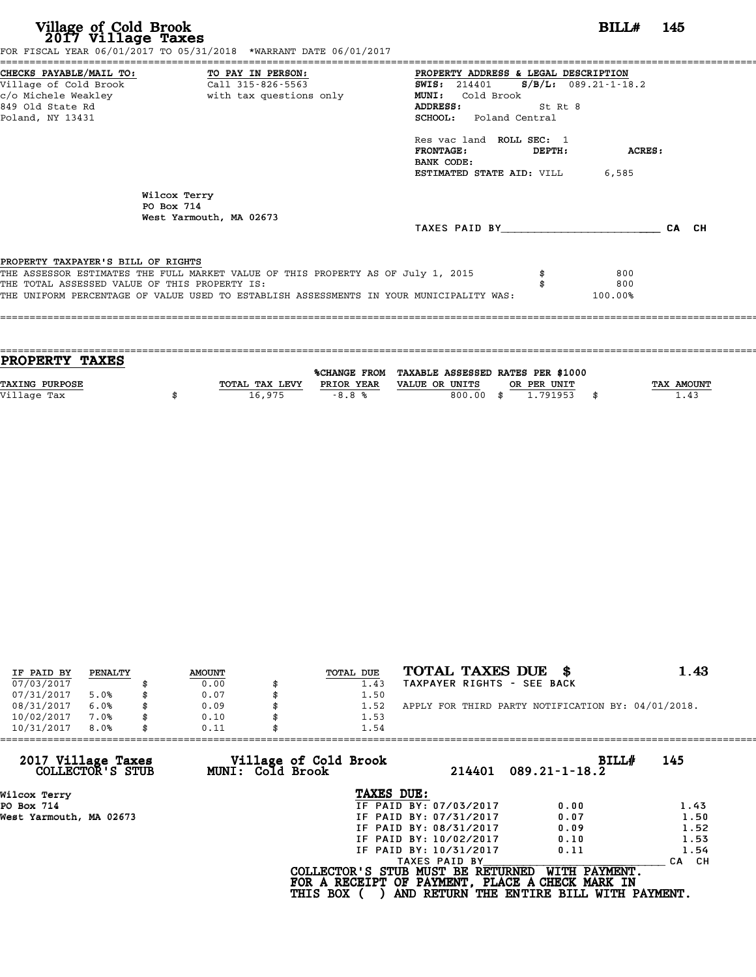| Village of Cold Brook<br>2017 Village Taxes                                          | FOR FISCAL YEAR 06/01/2017 TO 05/31/2018 *WARRANT DATE 06/01/2017                                                                                                           | ====================                                                                                                                                                                                                                                             |                   | BILL# 145             |       |  |
|--------------------------------------------------------------------------------------|-----------------------------------------------------------------------------------------------------------------------------------------------------------------------------|------------------------------------------------------------------------------------------------------------------------------------------------------------------------------------------------------------------------------------------------------------------|-------------------|-----------------------|-------|--|
| Village of Cold Brook<br>c/o Michele Weakley<br>849 Old State Rd<br>Poland, NY 13431 | CHECKS PAYABLE/MAIL TO: TO PAY IN PERSON:<br>Call 315-826-5563<br>with tax questions only                                                                                   | PROPERTY ADDRESS & LEGAL DESCRIPTION<br><b>SWIS:</b> 214401 <b>S/B/L:</b> 089.21-1-18.2<br>MUNI: Cold Brook<br>ADDRESS:<br><b>SCHOOL:</b> Poland Central<br>Res vac land ROLL SEC: 1<br><b>FRONTAGE:</b><br>BANK CODE:<br><b>ESTIMATED STATE AID:</b> VILL 6,585 | St Rt 8<br>DEPTH: | ACRES:                |       |  |
|                                                                                      | Wilcox Terry<br>PO Box 714<br>West Yarmouth, MA 02673                                                                                                                       | TAXES PAID BY TAXES PAID BY                                                                                                                                                                                                                                      |                   |                       | CA CH |  |
| PROPERTY TAXPAYER'S BILL OF RIGHTS<br>THE TOTAL ASSESSED VALUE OF THIS PROPERTY IS:  | THE ASSESSOR ESTIMATES THE FULL MARKET VALUE OF THIS PROPERTY AS OF July 1, 2015<br>THE UNIFORM PERCENTAGE OF VALUE USED TO ESTABLISH ASSESSMENTS IN YOUR MUNICIPALITY WAS: |                                                                                                                                                                                                                                                                  |                   | 800<br>800<br>100.00% |       |  |
|                                                                                      |                                                                                                                                                                             |                                                                                                                                                                                                                                                                  |                   |                       |       |  |

| PROPERTY TAXES        |                |              |                                   |      |             |            |
|-----------------------|----------------|--------------|-----------------------------------|------|-------------|------------|
|                       |                |              |                                   |      |             |            |
|                       |                | %CHANGE FROM | TAXABLE ASSESSED RATES PER \$1000 |      |             |            |
| <b>TAXING PURPOSE</b> | TOTAL TAX LEVY | PRIOR YEAR   | VALUE OR UNITS                    |      | OR PER UNIT | TAX AMOUNT |
| Village Tax           | 16,975         | $-8.8%$      | 800.00                            | - \$ | 1.791953    | \$<br>1.43 |
|                       |                |              |                                   |      |             |            |

| IF PAID BY | PENALTY | <b>AMOUNT</b> | TOTAL DUE | TOTAL TAXES DUE \$                                 | 1.43 |
|------------|---------|---------------|-----------|----------------------------------------------------|------|
| 07/03/2017 |         | 0.00          | 1.43      | TAXPAYER RIGHTS - SEE BACK                         |      |
| 07/31/2017 | 5.0%    | 0.07          | 1.50      |                                                    |      |
| 08/31/2017 | 6.0%    | 0.09          | 1.52      | APPLY FOR THIRD PARTY NOTIFICATION BY: 04/01/2018. |      |
| 10/02/2017 | 7.0%    | 0.10          | 1.53      |                                                    |      |
| 10/31/2017 | 8.0%    | 0.11          | 1.54      |                                                    |      |

| 0.11 | 1.54                   |                                                              |                                                                                                                                  |
|------|------------------------|--------------------------------------------------------------|----------------------------------------------------------------------------------------------------------------------------------|
|      | 214401                 | BILL#<br>$089.21 - 1 - 18.2$                                 | 145                                                                                                                              |
|      | TAXES DUE:             |                                                              |                                                                                                                                  |
|      | IF PAID BY: 07/03/2017 | 0.00                                                         | 1.43                                                                                                                             |
|      | IF PAID BY: 07/31/2017 | 0.07                                                         | 1.50                                                                                                                             |
|      | IF PAID BY: 08/31/2017 | 0.09                                                         | 1.52                                                                                                                             |
|      | IF PAID BY: 10/02/2017 | 0.10                                                         | 1.53                                                                                                                             |
|      | IF PAID BY: 10/31/2017 | 0.11                                                         | 1.54                                                                                                                             |
|      | TAXES PAID BY          |                                                              | CH.<br><b>CA</b>                                                                                                                 |
|      |                        | WITH PAYMENT.                                                |                                                                                                                                  |
|      |                        | Village of Cold Brook<br>MUNI: Cold Brook<br><b>THIS BOX</b> | COLLECTOR'S STUB MUST BE RETURNED<br>FOR A RECEIPT OF PAYMENT, PLACE A CHECK MARK IN<br>AND RETURN THE ENTIRE BILL WITH PAYMENT. |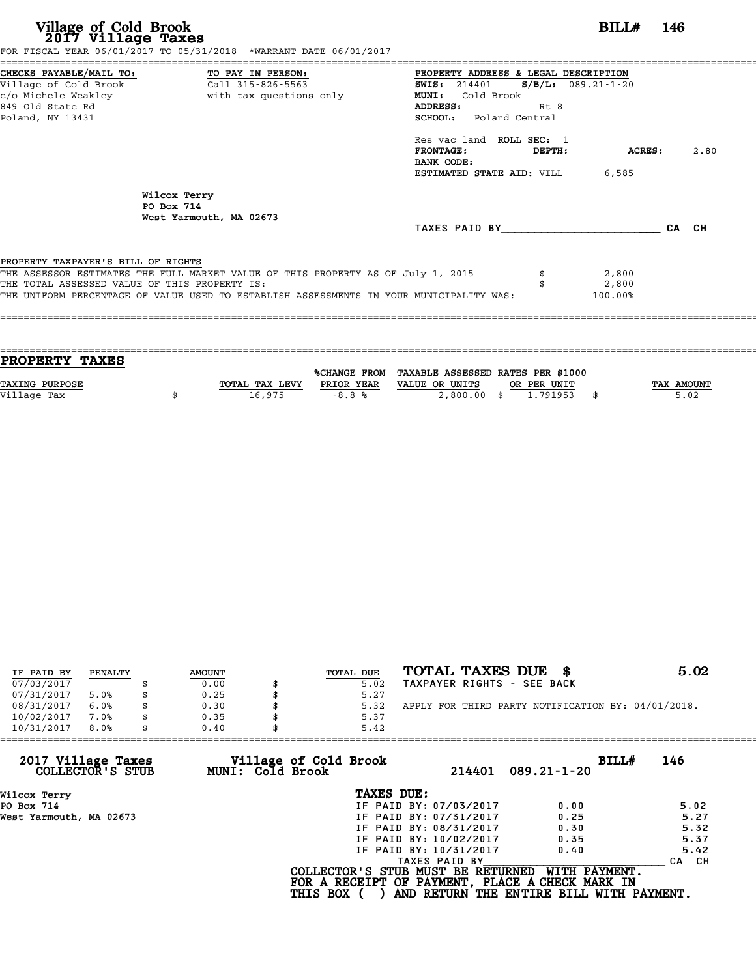| Village of Cold Brook<br>2017 Village Taxes<br>FOR FISCAL YEAR 06/01/2017 TO 05/31/2018 *WARRANT DATE 06/01/2017                                                                                                                                                   |                                              |                                                                                                                                                                                                                                                                       | BILL#                     | 146   |
|--------------------------------------------------------------------------------------------------------------------------------------------------------------------------------------------------------------------------------------------------------------------|----------------------------------------------|-----------------------------------------------------------------------------------------------------------------------------------------------------------------------------------------------------------------------------------------------------------------------|---------------------------|-------|
| CHECKS PAYABLE/MAIL TO: TO PAY IN PERSON:<br>Village of Cold Brook<br>c/o Michele Weakley<br>849 Old State Rd<br>Poland, NY 13431                                                                                                                                  | Call 315-826-5563<br>with tax questions only | PROPERTY ADDRESS & LEGAL DESCRIPTION<br>SWIS: 214401 S/B/L: 089.21-1-20<br>MUNI:<br>Cold Brook<br><b>ADDRESS:</b><br>Rt 8<br>SCHOOL: Poland Central<br>Res vac land ROLL SEC: 1<br><b>FRONTAGE:</b><br>DEPTH:<br>BANK CODE:<br><b>ESTIMATED STATE AID: VILL 6,585</b> | ACRES:                    | 2.80  |
| Wilcox Terry<br>PO Box 714<br>West Yarmouth, MA 02673                                                                                                                                                                                                              |                                              | TAXES PAID BY                                                                                                                                                                                                                                                         |                           | CA CH |
| PROPERTY TAXPAYER'S BILL OF RIGHTS<br>THE ASSESSOR ESTIMATES THE FULL MARKET VALUE OF THIS PROPERTY AS OF July 1, 2015<br>THE TOTAL ASSESSED VALUE OF THIS PROPERTY IS:<br>THE UNIFORM PERCENTAGE OF VALUE USED TO ESTABLISH ASSESSMENTS IN YOUR MUNICIPALITY WAS: |                                              |                                                                                                                                                                                                                                                                       | 2,800<br>2,800<br>100.00% |       |

| <b>PROPERTY TAXES</b> |                |            |                                                |             |                   |
|-----------------------|----------------|------------|------------------------------------------------|-------------|-------------------|
|                       |                |            | %CHANGE FROM TAXABLE ASSESSED RATES PER \$1000 |             |                   |
| <b>TAXING PURPOSE</b> | TOTAL TAX LEVY | PRIOR YEAR | VALUE OR UNITS                                 | OR PER UNIT | <b>TAX AMOUNT</b> |
| Village Tax           | 16,975         | $-8.8%$    | $2,800.00$ \$                                  | 1.791953    | 5.02              |
|                       |                |            |                                                |             |                   |

| IF PAID BY | PENALTY |    | <b>AMOUNT</b> | TOTAL DUE | TOTAL TAXES DUE                                    | 5.02 |
|------------|---------|----|---------------|-----------|----------------------------------------------------|------|
| 07/03/2017 |         |    | 0.00          | 5.02      | TAXPAYER RIGHTS - SEE BACK                         |      |
| 07/31/2017 | 5.0%    |    | 0.25          | 5.27      |                                                    |      |
| 08/31/2017 | 6.0%    |    | 0.30          | 5.32      | APPLY FOR THIRD PARTY NOTIFICATION BY: 04/01/2018. |      |
| 10/02/2017 | 7.0%    | S  | 0.35          | 5.37      |                                                    |      |
| 10/31/2017 | 8.0%    | \$ | 0.40          | 5.42      |                                                    |      |

| 10/31/2017<br>8.0%                     | 0.40             | 5.42                                            |                                          |              |
|----------------------------------------|------------------|-------------------------------------------------|------------------------------------------|--------------|
| 2017 Village Taxes<br>COLLECTOR'S STUB | MUNI: Cold Brook | Village of Cold Brook                           | 214401<br>$089.21 - 1 - 20$              | BILL#<br>146 |
| Wilcox Terry                           |                  | TAXES DUE:                                      |                                          |              |
| PO Box 714                             |                  | IF PAID BY: 07/03/2017                          | 0.00                                     | 5.02         |
| West Yarmouth, MA 02673                |                  | IF PAID BY: 07/31/2017                          | 0.25                                     | 5.27         |
|                                        |                  | IF PAID BY: 08/31/2017                          | 0.30                                     | 5.32         |
|                                        |                  | IF PAID BY: 10/02/2017                          | 0.35                                     | 5.37         |
|                                        |                  | IF PAID BY: 10/31/2017                          | 0.40                                     | 5.42         |
|                                        |                  | TAXES PAID BY                                   |                                          | CA CH        |
|                                        |                  | COLLECTOR'S STUB MUST BE RETURNED               | WITH PAYMENT.                            |              |
|                                        |                  | FOR A RECEIPT OF PAYMENT, PLACE A CHECK MARK IN |                                          |              |
|                                        |                  | <b>THIS BOX</b>                                 | AND RETURN THE ENTIRE BILL WITH PAYMENT. |              |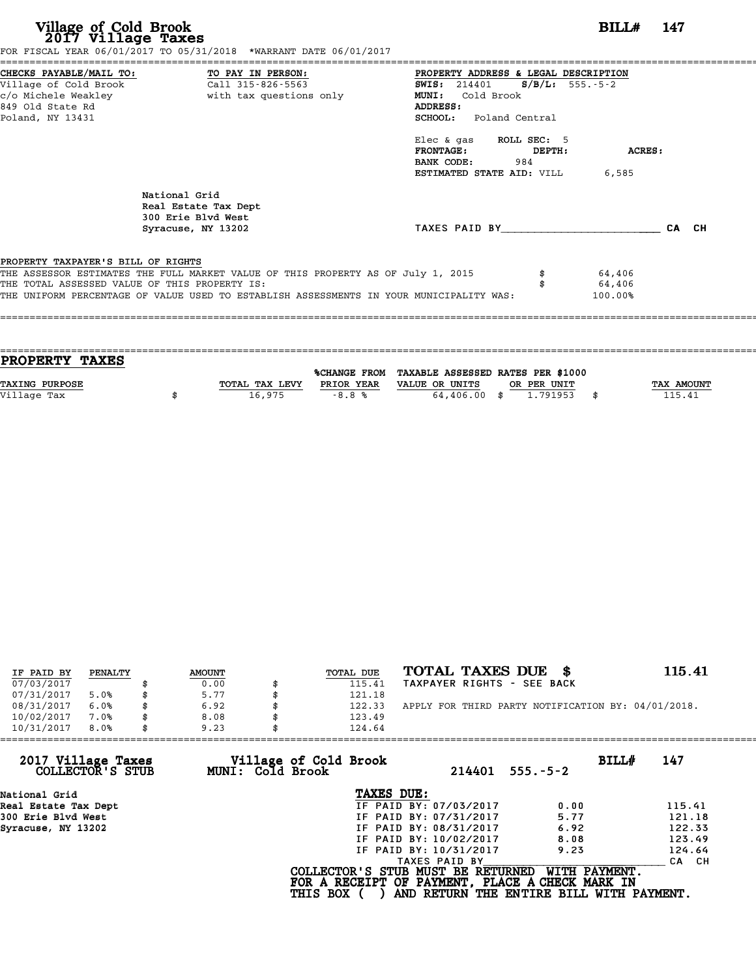| Village of Cold Brook<br>2017 Village Taxes                 | FOR FISCAL YEAR 06/01/2017 TO 05/31/2018 *WARRANT DATE 06/01/2017                                                                                                                                                            | $BILLH$ 147                                                                                                                                         |  |
|-------------------------------------------------------------|------------------------------------------------------------------------------------------------------------------------------------------------------------------------------------------------------------------------------|-----------------------------------------------------------------------------------------------------------------------------------------------------|--|
| c/o Michele Weakley<br>849 Old State Rd<br>Poland, NY 13431 | CHECKS PAYABLE/MAIL TO: TO PAY IN PERSON:<br>with tax questions only                                                                                                                                                         | PROPERTY ADDRESS & LEGAL DESCRIPTION<br><b>SWIS:</b> 214401 <b>S/B/L:</b> 555.-5-2<br>MUNI: Cold Brook<br>ADDRESS:<br><b>SCHOOL:</b> Poland Central |  |
|                                                             |                                                                                                                                                                                                                              | Elec & gas ROLL SEC: 5<br><b>FRONTAGE:</b><br>ACRES:<br>DEPTH:<br>984<br>BANK CODE:<br>ESTIMATED STATE AID: VILL<br>6,585                           |  |
|                                                             | National Grid<br>Real Estate Tax Dept<br>300 Erie Blvd West<br>Syracuse, NY 13202                                                                                                                                            | TAXES PAID BY CA CH                                                                                                                                 |  |
| PROPERTY TAXPAYER'S BILL OF RIGHTS                          | THE ASSESSOR ESTIMATES THE FULL MARKET VALUE OF THIS PROPERTY AS OF July 1, 2015<br>THE TOTAL ASSESSED VALUE OF THIS PROPERTY IS:<br>THE UNIFORM PERCENTAGE OF VALUE USED TO ESTABLISH ASSESSMENTS IN YOUR MUNICIPALITY WAS: | 64,406<br>64,406<br>100.00%                                                                                                                         |  |

| TAX AMOUNT |
|------------|
| 115.41     |
|            |
|            |

| IF PAID BY | PENALTY | <b>AMOUNT</b> | <b>TOTAL DUE</b> | TOTAL TAXES DUE \$                                 | 115.41 |
|------------|---------|---------------|------------------|----------------------------------------------------|--------|
| 07/03/2017 |         | 0.00          | 115.41           | TAXPAYER RIGHTS - SEE BACK                         |        |
| 07/31/2017 | 5.0%    | \$<br>5.77    | 121.18           |                                                    |        |
| 08/31/2017 | 6.0%    | \$<br>6.92    | \$<br>122.33     | APPLY FOR THIRD PARTY NOTIFICATION BY: 04/01/2018. |        |
| 10/02/2017 | 7.0%    | 8.08          | 123.49           |                                                    |        |
| 10/31/2017 | 8.0%    | \$<br>9.23    | 124.64           |                                                    |        |

| 9.23 |                        |                                                              |                                                                                                                                                      |
|------|------------------------|--------------------------------------------------------------|------------------------------------------------------------------------------------------------------------------------------------------------------|
|      |                        | BILL#<br>$555. - 5 - 2$                                      | 147                                                                                                                                                  |
|      | TAXES DUE:             |                                                              |                                                                                                                                                      |
|      | IF PAID BY: 07/03/2017 | 0.00                                                         | 115.41                                                                                                                                               |
|      | IF PAID BY: 07/31/2017 | 5.77                                                         | 121.18                                                                                                                                               |
|      | IF PAID BY: 08/31/2017 | 6.92                                                         | 122.33                                                                                                                                               |
|      | IF PAID BY: 10/02/2017 | 8.08                                                         | 123.49                                                                                                                                               |
|      | IF PAID BY: 10/31/2017 | 9.23                                                         | 124.64                                                                                                                                               |
|      | TAXES PAID BY          |                                                              | CA CH                                                                                                                                                |
|      |                        | WITH PAYMENT.                                                |                                                                                                                                                      |
|      |                        | Village of Cold Brook<br>MUNI: Cold Brook<br><b>THIS BOX</b> | 124.64<br>214401<br>COLLECTOR'S STUB MUST BE RETURNED<br>FOR A RECEIPT OF PAYMENT, PLACE A CHECK MARK IN<br>AND RETURN THE ENTIRE BILL WITH PAYMENT. |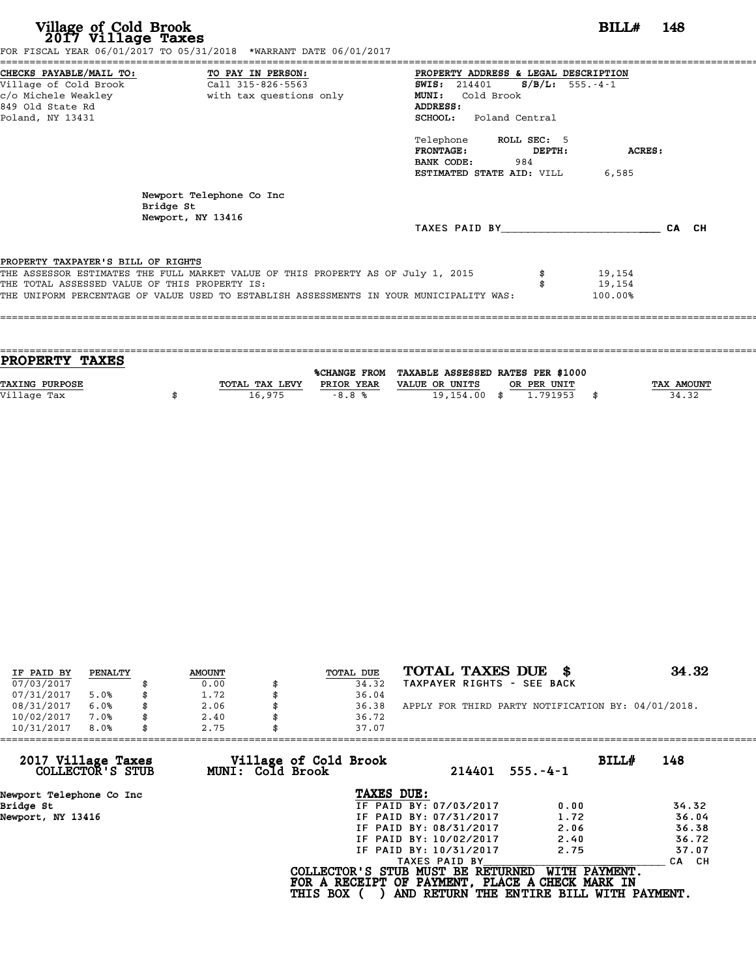| Village of Cold Brook<br>2017 Village Taxes<br>FOR FISCAL YEAR 06/01/2017 TO 05/31/2018 *WARRANT DATE 06/01/2017                                                                                                                                                   | BILL#<br>- 148                                                                                                                                                                                                                                                                              |
|--------------------------------------------------------------------------------------------------------------------------------------------------------------------------------------------------------------------------------------------------------------------|---------------------------------------------------------------------------------------------------------------------------------------------------------------------------------------------------------------------------------------------------------------------------------------------|
| CHECKS PAYABLE/MAIL TO: TO PAY IN PERSON:<br>Village of Cold Brook<br>Call 315-826-5563<br>c/o Michele Weakley<br>with tax questions only<br>849 Old State Rd<br>Poland, NY 13431                                                                                  | PROPERTY ADDRESS & LEGAL DESCRIPTION<br><b>SWIS:</b> 214401<br>$S/B/L$ : 555.-4-1<br>Cold Brook<br><b>MUNI:</b><br>ADDRESS:<br><b>SCHOOL:</b><br>Poland Central<br>Telephone ROLL SEC: 5<br><b>FRONTAGE:</b><br>DEPTH:<br>ACRES:<br>984<br>BANK CODE:<br>ESTIMATED STATE AID: VILL<br>6,585 |
| Newport Telephone Co Inc<br>Bridge St<br>Newport, NY 13416                                                                                                                                                                                                         | TAXES PAID BY<br>CA CH                                                                                                                                                                                                                                                                      |
| PROPERTY TAXPAYER'S BILL OF RIGHTS<br>THE ASSESSOR ESTIMATES THE FULL MARKET VALUE OF THIS PROPERTY AS OF July 1, 2015<br>THE TOTAL ASSESSED VALUE OF THIS PROPERTY IS:<br>THE UNIFORM PERCENTAGE OF VALUE USED TO ESTABLISH ASSESSMENTS IN YOUR MUNICIPALITY WAS: | 19,154<br>19,154<br>100.00%                                                                                                                                                                                                                                                                 |

==================================================================================================================================== **PROPERTY TAXES** %CHANGE FROM TAXABLE ASSESSED RATES PER \$1000 **PROPERTY TAXES**<br>
TAXING PURPOSE TOTAL TAX LEVY PRIOR YEAR VALUE OR UNITS OR PER UNIT TAX AMOUNT<br>
VALUE OR UNITS OR PER UNIT TAX AMOUNT TAX AMOUNT TAX AMOUNT TAX AMOUNT PRIOR YEAR VALUE OR UNITS OR PER UNIT

====================================================================================================================================

|                       |                | %CHANGE FROM | TAXABLE ASSESSED RATES PER \$1000 |             |            |
|-----------------------|----------------|--------------|-----------------------------------|-------------|------------|
| <b>TAXING PURPOSE</b> | TOTAL TAX LEVY | PRIOR YEAR   | VALUE OR UNITS                    | OR PER UNIT | TAX AMOUNT |
| Village Tax           | 16,975         | $-8.8%$      | 19,154,00                         | .791953     | 34.32      |

| IF PAID BY | PENALTY | <b>AMOUNT</b> | TOTAL DUE | TOTAL TAXES DUE \$                                 | 34.32 |
|------------|---------|---------------|-----------|----------------------------------------------------|-------|
| 07/03/2017 |         | 0.00          | 34.32     | TAXPAYER RIGHTS - SEE BACK                         |       |
| 07/31/2017 | 5.0%    | 1.72          | 36.04     |                                                    |       |
| 08/31/2017 | 6.0%    | 2.06          | 36.38     | APPLY FOR THIRD PARTY NOTIFICATION BY: 04/01/2018. |       |
| 10/02/2017 | 7.0%    | 2.40          | 36.72     |                                                    |       |
| 10/31/2017 | 8.0%    | 2.75          | 37.07     |                                                    |       |

| 2.75 | 37.07         |                                                              |                                                                                                                                                                                                                                                                                               |
|------|---------------|--------------------------------------------------------------|-----------------------------------------------------------------------------------------------------------------------------------------------------------------------------------------------------------------------------------------------------------------------------------------------|
|      |               | BILLH<br>$555. - 4 - 1$                                      | 148                                                                                                                                                                                                                                                                                           |
|      | TAXES DUE:    |                                                              |                                                                                                                                                                                                                                                                                               |
|      |               | 0.00                                                         | 34.32                                                                                                                                                                                                                                                                                         |
|      |               | 1.72                                                         | 36.04                                                                                                                                                                                                                                                                                         |
|      |               | 2.06                                                         | 36.38                                                                                                                                                                                                                                                                                         |
|      |               | 2.40                                                         | 36.72                                                                                                                                                                                                                                                                                         |
|      |               | 2.75                                                         | 37.07                                                                                                                                                                                                                                                                                         |
|      | TAXES PAID BY |                                                              | CA CH                                                                                                                                                                                                                                                                                         |
|      |               |                                                              |                                                                                                                                                                                                                                                                                               |
|      |               | Village of Cold Brook<br>MUNI: Cold Brook<br><b>THIS BOX</b> | 214401<br>IF PAID BY: 07/03/2017<br>IF PAID BY: 07/31/2017<br>IF PAID BY: 08/31/2017<br>IF PAID BY: 10/02/2017<br>IF PAID BY: 10/31/2017<br>COLLECTOR'S STUB MUST BE RETURNED<br>WITH PAYMENT.<br>FOR A RECEIPT OF PAYMENT, PLACE A CHECK MARK IN<br>AND RETURN THE ENTIRE BILL WITH PAYMENT. |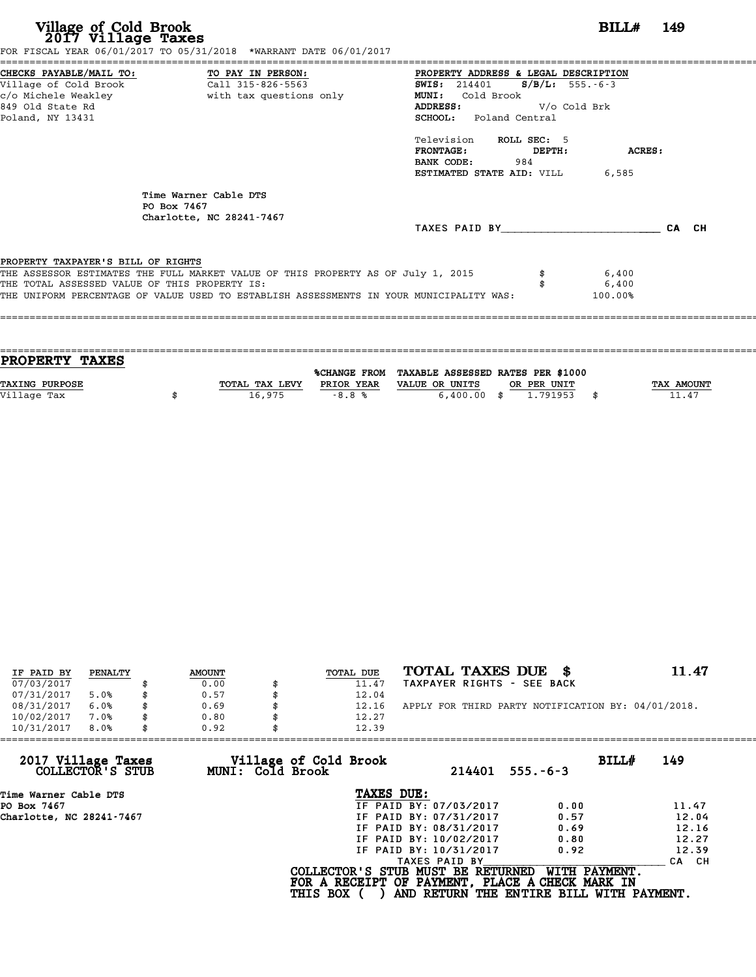| Village of Cold Brook<br>2017 Village Taxes                                         | FOR FISCAL YEAR 06/01/2017 TO 05/31/2018 *WARRANT DATE 06/01/2017                                                                                                           |                                                                                                                                                                   | <b>BILL#</b> 149 |
|-------------------------------------------------------------------------------------|-----------------------------------------------------------------------------------------------------------------------------------------------------------------------------|-------------------------------------------------------------------------------------------------------------------------------------------------------------------|------------------|
| 849 Old State Rd<br>Poland, NY 13431                                                | CHECKS PAYABLE/MAIL TO: TO PAY IN PERSON:<br>Village of Cold Brook Call 315-826-5563                                                                                        | PROPERTY ADDRESS & LEGAL DESCRIPTION<br>SWIS: $214401$ S/B/L: 555.-6-3<br><b>MUNI:</b><br>Cold Brook<br>V/o Cold Brk<br>ADDRESS:<br><b>SCHOOL:</b> Poland Central |                  |
|                                                                                     |                                                                                                                                                                             | Television ROLL SEC: 5<br><b>FRONTAGE:</b><br>DEPTH:<br>BANK CODE:<br>984<br><b>ESTIMATED STATE AID: VILL 6,585</b>                                               | ACRES:           |
|                                                                                     | Time Warner Cable DTS<br>PO Box 7467<br>Charlotte, NC 28241-7467                                                                                                            | TAXES PAID BY                                                                                                                                                     | CA CH            |
| PROPERTY TAXPAYER'S BILL OF RIGHTS<br>THE TOTAL ASSESSED VALUE OF THIS PROPERTY IS: | THE ASSESSOR ESTIMATES THE FULL MARKET VALUE OF THIS PROPERTY AS OF July 1, 2015<br>THE UNIFORM PERCENTAGE OF VALUE USED TO ESTABLISH ASSESSMENTS IN YOUR MUNICIPALITY WAS: | 6,400<br>6,400<br>100.00%                                                                                                                                         |                  |

| <b>PROPERTY TAXES</b> |                |            |                                                |             |                   |
|-----------------------|----------------|------------|------------------------------------------------|-------------|-------------------|
|                       |                |            | %CHANGE FROM TAXABLE ASSESSED RATES PER \$1000 |             |                   |
| <b>TAXING PURPOSE</b> | TOTAL TAX LEVY | PRIOR YEAR | VALUE OR UNITS                                 | OR PER UNIT | <b>TAX AMOUNT</b> |
| Village Tax           | 16,975         | $-8.8%$    | $6,400.00$ \$                                  | 1.791953    | 11.47             |
|                       |                |            |                                                |             |                   |

| IF PAID BY | PENALTY | <b>AMOUNT</b> | TOTAL DUE | TOTAL TAXES DUE \$                                 | 11.47 |
|------------|---------|---------------|-----------|----------------------------------------------------|-------|
| 07/03/2017 |         | 0.00          | 11.47     | TAXPAYER RIGHTS - SEE BACK                         |       |
| 07/31/2017 | 5.0%    | \$<br>0.57    | 12.04     |                                                    |       |
| 08/31/2017 | 6.0%    | \$<br>0.69    | 12.16     | APPLY FOR THIRD PARTY NOTIFICATION BY: 04/01/2018. |       |
| 10/02/2017 | 7.0%    | \$<br>0.80    | 12.27     |                                                    |       |
| 10/31/2017 | 8.0%    | \$<br>0.92    | 12.39     |                                                    |       |

| 12.39           |                                           |                                                                                                                                                               |                                                                                                                                                   |
|-----------------|-------------------------------------------|---------------------------------------------------------------------------------------------------------------------------------------------------------------|---------------------------------------------------------------------------------------------------------------------------------------------------|
|                 | 214401                                    | $555. - 6 - 3$                                                                                                                                                | BILL#<br>149                                                                                                                                      |
|                 |                                           |                                                                                                                                                               |                                                                                                                                                   |
|                 |                                           | 0.00                                                                                                                                                          | 11.47                                                                                                                                             |
|                 |                                           | 0.57                                                                                                                                                          | 12.04                                                                                                                                             |
|                 |                                           | 0.69                                                                                                                                                          | 12.16                                                                                                                                             |
|                 |                                           | 0.80                                                                                                                                                          | 12.27                                                                                                                                             |
|                 |                                           | 0.92                                                                                                                                                          | 12.39                                                                                                                                             |
|                 |                                           |                                                                                                                                                               | CA CH                                                                                                                                             |
| <b>THIS BOX</b> |                                           |                                                                                                                                                               |                                                                                                                                                   |
| 0.92            | Village of Cold Brook<br>MUNI: Cold Brook | TAXES DUE:<br>IF PAID BY: 07/03/2017<br>IF PAID BY: 07/31/2017<br>IF PAID BY: 08/31/2017<br>IF PAID BY: 10/02/2017<br>IF PAID BY: 10/31/2017<br>TAXES PAID BY | WITH PAYMENT.<br>COLLECTOR'S STUB MUST BE RETURNED<br>FOR A RECEIPT OF PAYMENT, PLACE A CHECK MARK IN<br>AND RETURN THE ENTIRE BILL WITH PAYMENT. |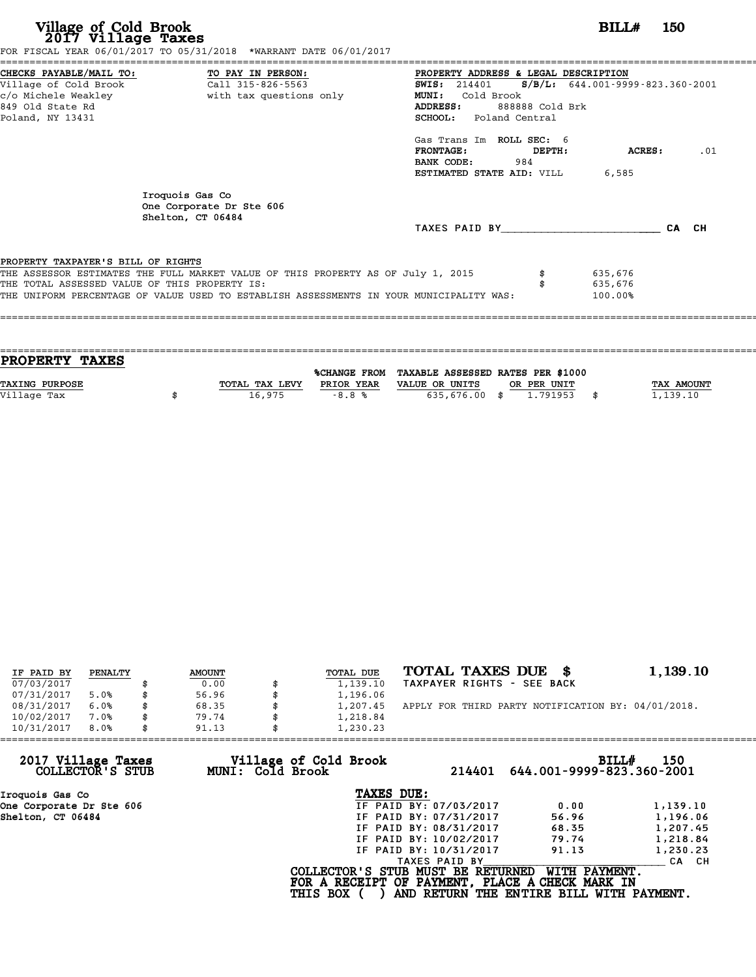| Village of Cold Brook<br>2017 Village Taxes                                                                     | FOR FISCAL YEAR 06/01/2017 TO 05/31/2018 *WARRANT DATE 06/01/2017                                                                                                           |                                                                                                                                                                                                   | BILL#                         | - 150 |
|-----------------------------------------------------------------------------------------------------------------|-----------------------------------------------------------------------------------------------------------------------------------------------------------------------------|---------------------------------------------------------------------------------------------------------------------------------------------------------------------------------------------------|-------------------------------|-------|
| CHECKS PAYABLE/MAIL TO:<br>Village of Cold Brook<br>c/o Michele Weakley<br>849 Old State Rd<br>Poland, NY 13431 | TO PAY IN PERSON:<br>Call 315-826-5563<br>with tax questions only                                                                                                           | PROPERTY ADDRESS & LEGAL DESCRIPTION<br><b>SWIS:</b> 214401 <b>S/B/L:</b> 644.001-9999-823.360-2001<br><b>MUNI:</b><br>Cold Brook<br>ADDRESS:<br>888888 Cold Brk<br><b>SCHOOL:</b> Poland Central |                               |       |
|                                                                                                                 |                                                                                                                                                                             | Gas Trans Im ROLL SEC: 6<br><b>FRONTAGE:</b><br>DEPTH:<br>BANK CODE:<br>984<br>ESTIMATED STATE AID: VILL                                                                                          | ACRES :<br>6,585              | .01   |
|                                                                                                                 | Iroquois Gas Co<br>One Corporate Dr Ste 606<br>Shelton, CT 06484                                                                                                            | TAXES PAID BY                                                                                                                                                                                     |                               | CA CH |
| PROPERTY TAXPAYER'S BILL OF RIGHTS<br>THE TOTAL ASSESSED VALUE OF THIS PROPERTY IS:                             | THE ASSESSOR ESTIMATES THE FULL MARKET VALUE OF THIS PROPERTY AS OF July 1, 2015<br>THE UNIFORM PERCENTAGE OF VALUE USED TO ESTABLISH ASSESSMENTS IN YOUR MUNICIPALITY WAS: |                                                                                                                                                                                                   | 635,676<br>635,676<br>100.00% |       |

| <b>PROPERTY TAXES</b> |                |            |                                                |             |                   |
|-----------------------|----------------|------------|------------------------------------------------|-------------|-------------------|
|                       |                |            | %CHANGE FROM TAXABLE ASSESSED RATES PER \$1000 |             |                   |
| <b>TAXING PURPOSE</b> | TOTAL TAX LEVY | PRIOR YEAR | VALUE OR UNITS                                 | OR PER UNIT | <b>TAX AMOUNT</b> |
| Village Tax           | 16,975         | $-8.8%$    | 635,676.00 \$                                  | 1.791953    | 1,139.10          |
|                       |                |            |                                                |             |                   |

| IF PAID BY | PENALTY | <b>AMOUNT</b> | TOTAL DUE      | TOTAL TAXES DUE<br>- 86                            | 1,139.10 |
|------------|---------|---------------|----------------|----------------------------------------------------|----------|
| 07/03/2017 |         | 0.00          | 1,139.10       | TAXPAYER RIGHTS - SEE BACK                         |          |
| 07/31/2017 | 5.0%    | \$<br>56.96   | 1,196.06       |                                                    |          |
| 08/31/2017 | 6.0%    | \$<br>68.35   | \$<br>1,207.45 | APPLY FOR THIRD PARTY NOTIFICATION BY: 04/01/2018. |          |
| 10/02/2017 | 7.0%    | \$<br>79.74   | 1,218.84       |                                                    |          |
| 10/31/2017 | 8.0%    | \$<br>91.13   | 1,230.23       |                                                    |          |

| 1,230.23        |                                           |                                                                                                                                                                                                                                                                                                      |
|-----------------|-------------------------------------------|------------------------------------------------------------------------------------------------------------------------------------------------------------------------------------------------------------------------------------------------------------------------------------------------------|
|                 | 214401                                    | BILL#<br>150<br>644.001-9999-823.360-2001                                                                                                                                                                                                                                                            |
| TAXES DUE:      |                                           |                                                                                                                                                                                                                                                                                                      |
|                 | 0.00                                      | 1,139.10                                                                                                                                                                                                                                                                                             |
|                 | 56.96                                     | 1,196.06                                                                                                                                                                                                                                                                                             |
|                 | 68.35                                     | 1,207.45                                                                                                                                                                                                                                                                                             |
|                 | 79.74                                     | 1,218.84                                                                                                                                                                                                                                                                                             |
|                 | 91.13                                     | 1,230.23                                                                                                                                                                                                                                                                                             |
|                 |                                           | CA CH                                                                                                                                                                                                                                                                                                |
| <b>THIS BOX</b> |                                           |                                                                                                                                                                                                                                                                                                      |
|                 | Village of Cold Brook<br>MUNI: Cold Brook | IF PAID BY: 07/03/2017<br>IF PAID BY: 07/31/2017<br>IF PAID BY: 08/31/2017<br>IF PAID BY: 10/02/2017<br>IF PAID BY: 10/31/2017<br>TAXES PAID BY<br>WITH PAYMENT.<br>COLLECTOR'S STUB MUST BE RETURNED<br>FOR A RECEIPT OF PAYMENT, PLACE A CHECK MARK IN<br>AND RETURN THE ENTIRE BILL WITH PAYMENT. |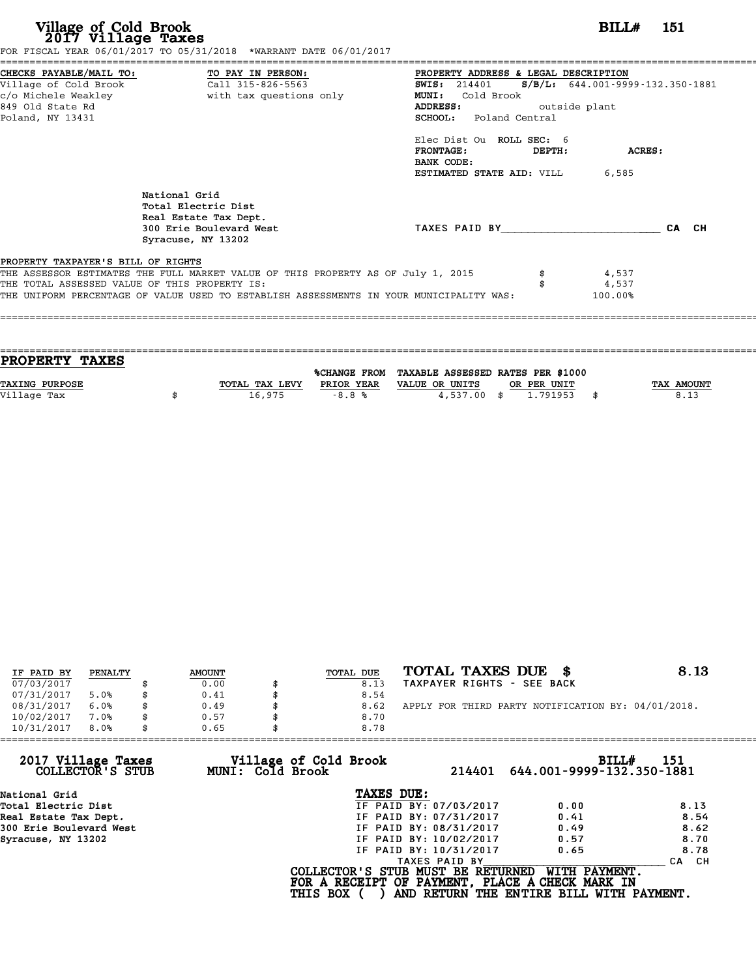| Village of Cold Brook<br>2017 Village Taxes                                          | FOR FISCAL YEAR 06/01/2017 TO 05/31/2018 *WARRANT DATE 06/01/2017                                                                                                           | <b>BILL#</b> 151                                                                                                                                                                                                                               |        |                                                                     |       |  |  |
|--------------------------------------------------------------------------------------|-----------------------------------------------------------------------------------------------------------------------------------------------------------------------------|------------------------------------------------------------------------------------------------------------------------------------------------------------------------------------------------------------------------------------------------|--------|---------------------------------------------------------------------|-------|--|--|
| Village of Cold Brook<br>c/o Michele Weakley<br>849 Old State Rd<br>Poland, NY 13431 | CHECKS PAYABLE/MAIL TO: TO PAY IN PERSON:<br>Call 315-826-5563<br>with tax questions only                                                                                   | PROPERTY ADDRESS & LEGAL DESCRIPTION<br><b>SWIS: 214401</b><br>MUNI:<br>Cold Brook<br><b>ADDRESS:</b><br><b>SCHOOL:</b> Poland Central<br>Elec Dist Ou ROLL SEC: 6<br><b>FRONTAGE:</b><br>BANK CODE:<br><b>ESTIMATED STATE AID:</b> VILL 6,585 | DEPTH: | $S/B/L: 644.001 - 9999 - 132.350 - 1881$<br>outside plant<br>ACRES: |       |  |  |
|                                                                                      | National Grid<br>Total Electric Dist<br>Real Estate Tax Dept.<br>300 Erie Boulevard West<br>Syracuse, NY 13202                                                              | TAXES PAID BY TAXES                                                                                                                                                                                                                            |        |                                                                     | CA CH |  |  |
| PROPERTY TAXPAYER'S BILL OF RIGHTS<br>THE TOTAL ASSESSED VALUE OF THIS PROPERTY IS:  | THE ASSESSOR ESTIMATES THE FULL MARKET VALUE OF THIS PROPERTY AS OF July 1, 2015<br>THE UNIFORM PERCENTAGE OF VALUE USED TO ESTABLISH ASSESSMENTS IN YOUR MUNICIPALITY WAS: |                                                                                                                                                                                                                                                |        | 4,537<br>4,537<br>100.00%                                           |       |  |  |

| PROPERTY TAXES        |                |              |                                   |             |            |
|-----------------------|----------------|--------------|-----------------------------------|-------------|------------|
|                       |                |              |                                   |             |            |
|                       |                | %CHANGE FROM | TAXABLE ASSESSED RATES PER \$1000 |             |            |
| <b>TAXING PURPOSE</b> | TOTAL TAX LEVY | PRIOR YEAR   | VALUE OR UNITS                    | OR PER UNIT | TAX AMOUNT |
| Village Tax           | 16,975         | $-8.8%$      | $4.537.00$ \$                     | 1.791953    | \$<br>8.13 |
|                       |                |              |                                   |             |            |

====================================================================================================================================

| IF PAID BY | PENALTY | <b>AMOUNT</b> | TOTAL DUE | TOTAL TAXES DUE \$                                 | 8.13 |
|------------|---------|---------------|-----------|----------------------------------------------------|------|
| 07/03/2017 |         | 0.00          | 8.13      | TAXPAYER RIGHTS - SEE BACK                         |      |
| 07/31/2017 | 5.0%    | 0.41          | 8.54      |                                                    |      |
| 08/31/2017 | 6.0%    | 0.49          | 8.62      | APPLY FOR THIRD PARTY NOTIFICATION BY: 04/01/2018. |      |
| 10/02/2017 | 7.0%    | 0.57          | 8.70      |                                                    |      |
| 10/31/2017 | 8.0%    | 0.65          | 8.78      |                                                    |      |

| 0.65 | 8.78                   |                                                              |                                                                                                                                                               |
|------|------------------------|--------------------------------------------------------------|---------------------------------------------------------------------------------------------------------------------------------------------------------------|
|      | 214401                 | BILL#                                                        | 151                                                                                                                                                           |
|      | TAXES DUE:             |                                                              |                                                                                                                                                               |
|      | IF PAID BY: 07/03/2017 | 0.00                                                         | 8.13                                                                                                                                                          |
|      | IF PAID BY: 07/31/2017 | 0.41                                                         | 8.54                                                                                                                                                          |
|      | IF PAID BY: 08/31/2017 | 0.49                                                         | 8.62                                                                                                                                                          |
|      | IF PAID BY: 10/02/2017 | 0.57                                                         | 8.70                                                                                                                                                          |
|      | IF PAID BY: 10/31/2017 | 0.65                                                         | 8.78                                                                                                                                                          |
|      | TAXES PAID BY          |                                                              | CA CH                                                                                                                                                         |
|      |                        | WITH PAYMENT.                                                |                                                                                                                                                               |
|      |                        | Village of Cold Brook<br>MUNI: Cold Brook<br><b>THIS BOX</b> | 644.001-9999-132.350-1881<br>COLLECTOR'S STUB MUST BE RETURNED<br>FOR A RECEIPT OF PAYMENT, PLACE A CHECK MARK IN<br>AND RETURN THE ENTIRE BILL WITH PAYMENT. |